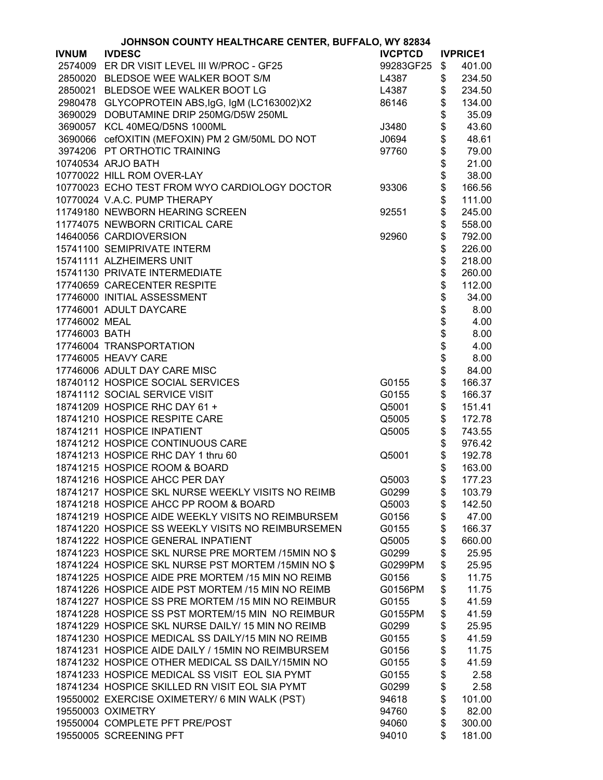|               | JOHNSON COUNTY HEALTHCARE CENTER, BUFFALO, WY 82834 |                |          |                 |
|---------------|-----------------------------------------------------|----------------|----------|-----------------|
| <b>IVNUM</b>  | <b>IVDESC</b>                                       | <b>IVCPTCD</b> |          | <b>IVPRICE1</b> |
|               | 2574009 ER DR VISIT LEVEL III W/PROC - GF25         | 99283GF25      | \$       | 401.00          |
|               | 2850020 BLEDSOE WEE WALKER BOOT S/M                 | L4387          | \$       | 234.50          |
|               | 2850021 BLEDSOE WEE WALKER BOOT LG                  | L4387          | \$       | 234.50          |
|               | 2980478 GLYCOPROTEIN ABS, IgG, IgM (LC163002)X2     | 86146          | \$       | 134.00          |
|               | 3690029 DOBUTAMINE DRIP 250MG/D5W 250ML             |                | \$       | 35.09           |
|               | 3690057 KCL 40MEQ/D5NS 1000ML                       | J3480          | \$       | 43.60           |
|               | 3690066 cefOXITIN (MEFOXIN) PM 2 GM/50ML DO NOT     | J0694          | \$       | 48.61           |
|               | 3974206 PT ORTHOTIC TRAINING                        |                | \$       | 79.00           |
|               | 10740534 ARJO BATH                                  | 97760          |          |                 |
|               |                                                     |                | \$       | 21.00           |
|               | 10770022 HILL ROM OVER-LAY                          |                | \$       | 38.00           |
|               | 10770023 ECHO TEST FROM WYO CARDIOLOGY DOCTOR       | 93306          | \$       | 166.56          |
|               | 10770024 V.A.C. PUMP THERAPY                        |                | \$       | 111.00          |
|               | 11749180 NEWBORN HEARING SCREEN                     | 92551          | \$       | 245.00          |
|               | 11774075 NEWBORN CRITICAL CARE                      |                | \$       | 558.00          |
|               | 14640056 CARDIOVERSION                              | 92960          | \$       | 792.00          |
|               | 15741100 SEMIPRIVATE INTERM                         |                | \$       | 226.00          |
|               | 15741111 ALZHEIMERS UNIT                            |                | \$       | 218.00          |
|               | 15741130 PRIVATE INTERMEDIATE                       |                | \$       | 260.00          |
|               | 17740659 CARECENTER RESPITE                         |                | \$       | 112.00          |
|               | 17746000 INITIAL ASSESSMENT                         |                | \$       | 34.00           |
|               | 17746001 ADULT DAYCARE                              |                | \$       | 8.00            |
| 17746002 MEAL |                                                     |                | \$       | 4.00            |
| 17746003 BATH |                                                     |                | \$       | 8.00            |
|               | 17746004 TRANSPORTATION                             |                |          | 4.00            |
|               | 17746005 HEAVY CARE                                 |                | \$<br>\$ | 8.00            |
|               | 17746006 ADULT DAY CARE MISC                        |                | \$       | 84.00           |
|               |                                                     |                | \$       |                 |
|               | 18740112 HOSPICE SOCIAL SERVICES                    | G0155          |          | 166.37          |
|               | 18741112 SOCIAL SERVICE VISIT                       | G0155          | \$       | 166.37          |
|               | 18741209 HOSPICE RHC DAY 61 +                       | Q5001          | \$       | 151.41          |
|               | 18741210 HOSPICE RESPITE CARE                       | Q5005          | \$       | 172.78          |
|               | 18741211 HOSPICE INPATIENT                          | Q5005          | \$       | 743.55          |
|               | 18741212 HOSPICE CONTINUOUS CARE                    |                | \$       | 976.42          |
|               | 18741213 HOSPICE RHC DAY 1 thru 60                  | Q5001          | \$       | 192.78          |
|               | 18741215 HOSPICE ROOM & BOARD                       |                | \$       | 163.00          |
|               | 18741216 HOSPICE AHCC PER DAY                       | Q5003          | \$       | 177.23          |
|               | 18741217 HOSPICE SKL NURSE WEEKLY VISITS NO REIMB   | G0299          | \$       | 103.79          |
|               | 18741218 HOSPICE AHCC PP ROOM & BOARD               | Q5003          | \$       | 142.50          |
|               | 18741219 HOSPICE AIDE WEEKLY VISITS NO REIMBURSEM   | G0156          | \$       | 47.00           |
|               | 18741220 HOSPICE SS WEEKLY VISITS NO REIMBURSEMEN   | G0155          | \$       | 166.37          |
|               | 18741222 HOSPICE GENERAL INPATIENT                  | Q5005          | \$       | 660.00          |
|               | 18741223 HOSPICE SKL NURSE PRE MORTEM /15MIN NO\$   | G0299          | \$       | 25.95           |
|               | 18741224 HOSPICE SKL NURSE PST MORTEM /15MIN NO\$   | G0299PM        | \$       | 25.95           |
|               | 18741225 HOSPICE AIDE PRE MORTEM /15 MIN NO REIMB   | G0156          | \$       | 11.75           |
|               | 18741226 HOSPICE AIDE PST MORTEM /15 MIN NO REIMB   | G0156PM        | \$       | 11.75           |
|               | 18741227 HOSPICE SS PRE MORTEM /15 MIN NO REIMBUR   | G0155          | \$       | 41.59           |
|               | 18741228 HOSPICE SS PST MORTEM/15 MIN NO REIMBUR    | G0155PM        | \$       | 41.59           |
|               | 18741229 HOSPICE SKL NURSE DAILY/ 15 MIN NO REIMB   | G0299          |          |                 |
|               |                                                     |                | \$       | 25.95           |
|               | 18741230 HOSPICE MEDICAL SS DAILY/15 MIN NO REIMB   | G0155          | \$       | 41.59           |
|               | 18741231 HOSPICE AIDE DAILY / 15MIN NO REIMBURSEM   | G0156          | \$       | 11.75           |
|               | 18741232 HOSPICE OTHER MEDICAL SS DAILY/15MIN NO    | G0155          | \$       | 41.59           |
|               | 18741233 HOSPICE MEDICAL SS VISIT EOL SIA PYMT      | G0155          | \$       | 2.58            |
|               | 18741234 HOSPICE SKILLED RN VISIT EOL SIA PYMT      | G0299          | \$       | 2.58            |
|               | 19550002 EXERCISE OXIMETERY/ 6 MIN WALK (PST)       | 94618          | \$       | 101.00          |
|               | 19550003 OXIMETRY                                   | 94760          | \$       | 82.00           |
|               | 19550004 COMPLETE PFT PRE/POST                      | 94060          | \$       | 300.00          |
|               | 19550005 SCREENING PFT                              | 94010          | \$       | 181.00          |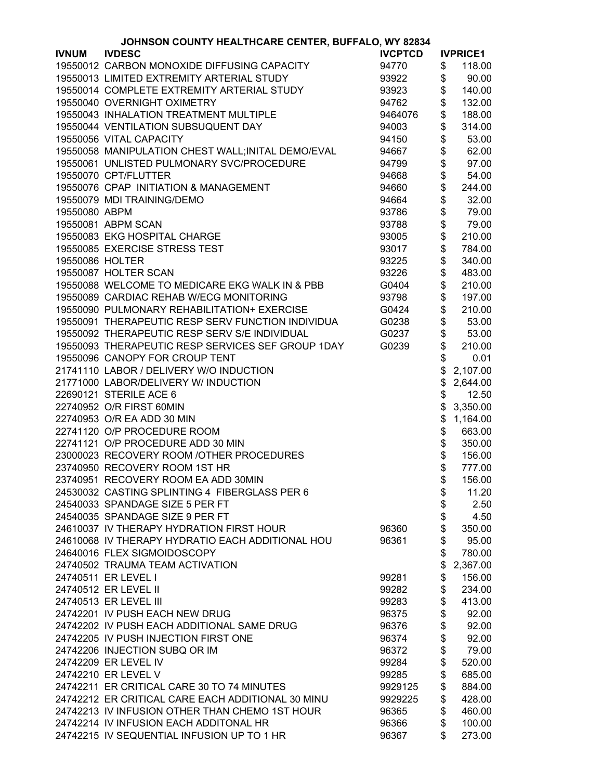|                 | JOHNSON COUNTY HEALTHCARE CENTER, BUFFALO, WY 82834 |                |      |                 |  |  |
|-----------------|-----------------------------------------------------|----------------|------|-----------------|--|--|
| <b>IVNUM</b>    | <b>IVDESC</b>                                       | <b>IVCPTCD</b> |      | <b>IVPRICE1</b> |  |  |
|                 | 19550012 CARBON MONOXIDE DIFFUSING CAPACITY         | 94770          | \$   | 118.00          |  |  |
|                 | 19550013 LIMITED EXTREMITY ARTERIAL STUDY           | 93922          | \$   | 90.00           |  |  |
|                 | 19550014 COMPLETE EXTREMITY ARTERIAL STUDY          | 93923          | \$   | 140.00          |  |  |
|                 | 19550040 OVERNIGHT OXIMETRY                         | 94762          | \$   | 132.00          |  |  |
|                 | 19550043 INHALATION TREATMENT MULTIPLE              | 9464076        | \$   | 188.00          |  |  |
|                 | 19550044 VENTILATION SUBSUQUENT DAY                 | 94003          | \$   | 314.00          |  |  |
|                 | 19550056 VITAL CAPACITY                             | 94150          | \$   | 53.00           |  |  |
|                 | 19550058 MANIPULATION CHEST WALL; INITAL DEMO/EVAL  | 94667          | \$   | 62.00           |  |  |
|                 | 19550061 UNLISTED PULMONARY SVC/PROCEDURE           |                | \$   | 97.00           |  |  |
|                 |                                                     | 94799          |      |                 |  |  |
|                 | 19550070 CPT/FLUTTER                                | 94668          | \$   | 54.00           |  |  |
|                 | 19550076 CPAP INITIATION & MANAGEMENT               | 94660          | \$   | 244.00          |  |  |
|                 | 19550079 MDI TRAINING/DEMO                          | 94664          | \$   | 32.00           |  |  |
| 19550080 ABPM   |                                                     | 93786          | \$\$ | 79.00           |  |  |
|                 | 19550081 ABPM SCAN                                  | 93788          |      | 79.00           |  |  |
|                 | 19550083 EKG HOSPITAL CHARGE                        | 93005          |      | 210.00          |  |  |
|                 | 19550085 EXERCISE STRESS TEST                       | 93017          | \$   | 784.00          |  |  |
| 19550086 HOLTER |                                                     | 93225          | \$   | 340.00          |  |  |
|                 | 19550087 HOLTER SCAN                                | 93226          | \$   | 483.00          |  |  |
|                 | 19550088 WELCOME TO MEDICARE EKG WALK IN & PBB      | G0404          | \$   | 210.00          |  |  |
|                 | 19550089 CARDIAC REHAB W/ECG MONITORING             | 93798          | \$   | 197.00          |  |  |
|                 | 19550090 PULMONARY REHABILITATION+ EXERCISE         | G0424          | \$   | 210.00          |  |  |
|                 | 19550091 THERAPEUTIC RESP SERV FUNCTION INDIVIDUA   | G0238          | \$   | 53.00           |  |  |
|                 | 19550092 THERAPEUTIC RESP SERV S/E INDIVIDUAL       | G0237          | \$   | 53.00           |  |  |
|                 | 19550093 THERAPEUTIC RESP SERVICES SEF GROUP 1DAY   | G0239          | \$   | 210.00          |  |  |
|                 | 19550096 CANOPY FOR CROUP TENT                      |                | \$   | 0.01            |  |  |
|                 | 21741110 LABOR / DELIVERY W/O INDUCTION             |                | \$   | 2,107.00        |  |  |
|                 | 21771000 LABOR/DELIVERY W/ INDUCTION                |                | \$   | 2,644.00        |  |  |
|                 | 22690121 STERILE ACE 6                              |                | \$   | 12.50           |  |  |
|                 | 22740952 O/R FIRST 60MIN                            |                | \$   |                 |  |  |
|                 | 22740953 O/R EA ADD 30 MIN                          |                | \$   | 3,350.00        |  |  |
|                 | 22741120 O/P PROCEDURE ROOM                         |                |      | 1,164.00        |  |  |
|                 |                                                     |                | \$   | 663.00          |  |  |
|                 | 22741121 O/P PROCEDURE ADD 30 MIN                   |                |      | 350.00          |  |  |
|                 | 23000023 RECOVERY ROOM /OTHER PROCEDURES            |                | \$   | 156.00          |  |  |
|                 | 23740950 RECOVERY ROOM 1ST HR                       |                | \$   | 777.00          |  |  |
|                 | 23740951 RECOVERY ROOM EA ADD 30MIN                 |                | \$   | 156.00          |  |  |
|                 | 24530032 CASTING SPLINTING 4 FIBERGLASS PER 6       |                | \$   | 11.20           |  |  |
|                 | 24540033 SPANDAGE SIZE 5 PER FT                     |                | \$   | 2.50            |  |  |
|                 | 24540035 SPANDAGE SIZE 9 PER FT                     |                | \$   | 4.50            |  |  |
|                 | 24610037 IV THERAPY HYDRATION FIRST HOUR            | 96360          | \$   | 350.00          |  |  |
|                 | 24610068 IV THERAPY HYDRATIO EACH ADDITIONAL HOU    | 96361          | \$   | 95.00           |  |  |
|                 | 24640016 FLEX SIGMOIDOSCOPY                         |                | \$   | 780.00          |  |  |
|                 | 24740502 TRAUMA TEAM ACTIVATION                     |                | \$   | 2,367.00        |  |  |
|                 | 24740511 ER LEVEL I                                 | 99281          | \$   | 156.00          |  |  |
|                 | 24740512 ER LEVEL II                                | 99282          | \$   | 234.00          |  |  |
|                 | 24740513 ER LEVEL III                               | 99283          | \$   | 413.00          |  |  |
|                 | 24742201 IV PUSH EACH NEW DRUG                      | 96375          | \$   | 92.00           |  |  |
|                 | 24742202 IV PUSH EACH ADDITIONAL SAME DRUG          | 96376          | \$   | 92.00           |  |  |
|                 | 24742205 IV PUSH INJECTION FIRST ONE                | 96374          | \$   | 92.00           |  |  |
|                 | 24742206 INJECTION SUBQ OR IM                       | 96372          | \$   | 79.00           |  |  |
|                 | 24742209 ER LEVEL IV                                | 99284          | \$   | 520.00          |  |  |
|                 | 24742210 ER LEVEL V                                 | 99285          | \$   | 685.00          |  |  |
|                 | 24742211 ER CRITICAL CARE 30 TO 74 MINUTES          | 9929125        | \$   | 884.00          |  |  |
|                 | 24742212 ER CRITICAL CARE EACH ADDITIONAL 30 MINU   | 9929225        | \$   | 428.00          |  |  |
|                 | 24742213 IV INFUSION OTHER THAN CHEMO 1ST HOUR      | 96365          | \$   | 460.00          |  |  |
|                 |                                                     |                |      |                 |  |  |
|                 | 24742214 IV INFUSION EACH ADDITONAL HR              | 96366          | \$   | 100.00          |  |  |
|                 | 24742215 IV SEQUENTIAL INFUSION UP TO 1 HR          | 96367          | \$   | 273.00          |  |  |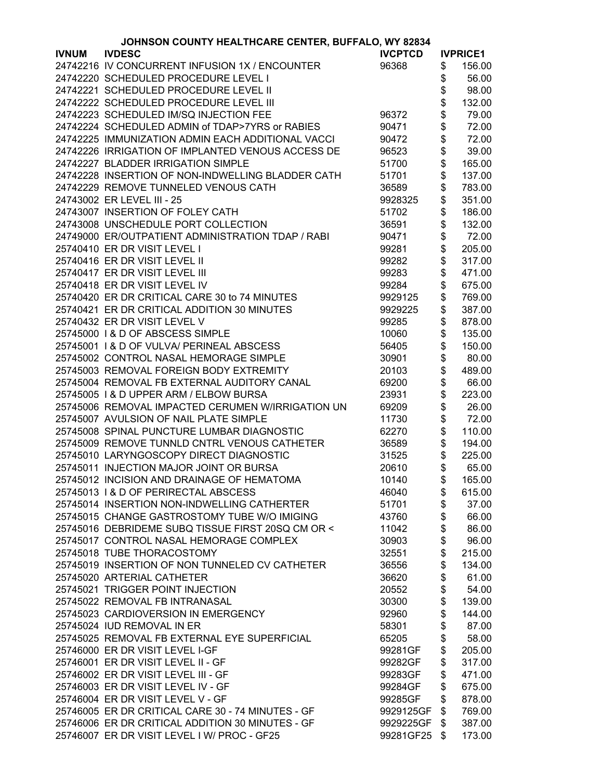| JOHNSON COUNTY HEALTHCARE CENTER, BUFFALO, WY 82834 |                                                   |                |    |                 |
|-----------------------------------------------------|---------------------------------------------------|----------------|----|-----------------|
| <b>IVNUM</b>                                        | <b>IVDESC</b>                                     | <b>IVCPTCD</b> |    | <b>IVPRICE1</b> |
|                                                     | 24742216 IV CONCURRENT INFUSION 1X / ENCOUNTER    | 96368          | \$ | 156.00          |
|                                                     | 24742220 SCHEDULED PROCEDURE LEVEL I              |                | \$ | 56.00           |
|                                                     | 24742221 SCHEDULED PROCEDURE LEVEL II             |                | \$ | 98.00           |
|                                                     | 24742222 SCHEDULED PROCEDURE LEVEL III            |                | \$ | 132.00          |
|                                                     | 24742223 SCHEDULED IM/SQ INJECTION FEE            | 96372          | \$ | 79.00           |
|                                                     | 24742224 SCHEDULED ADMIN of TDAP>7YRS or RABIES   | 90471          | \$ | 72.00           |
|                                                     | 24742225 IMMUNIZATION ADMIN EACH ADDITIONAL VACCI | 90472          | \$ | 72.00           |
|                                                     | 24742226 IRRIGATION OF IMPLANTED VENOUS ACCESS DE | 96523          | \$ | 39.00           |
|                                                     | 24742227 BLADDER IRRIGATION SIMPLE                | 51700          | \$ | 165.00          |
|                                                     | 24742228 INSERTION OF NON-INDWELLING BLADDER CATH | 51701          | \$ | 137.00          |
|                                                     | 24742229 REMOVE TUNNELED VENOUS CATH              | 36589          | \$ | 783.00          |
|                                                     |                                                   |                |    |                 |
|                                                     | 24743002 ER LEVEL III - 25                        | 9928325        | \$ | 351.00          |
|                                                     | 24743007 INSERTION OF FOLEY CATH                  | 51702          | \$ | 186.00          |
|                                                     | 24743008 UNSCHEDULE PORT COLLECTION               | 36591          | \$ | 132.00          |
|                                                     | 24749000 ER/OUTPATIENT ADMINISTRATION TDAP / RABI | 90471          | \$ | 72.00           |
|                                                     | 25740410 ER DR VISIT LEVEL I                      | 99281          | \$ | 205.00          |
|                                                     | 25740416 ER DR VISIT LEVEL II                     | 99282          | \$ | 317.00          |
|                                                     | 25740417 ER DR VISIT LEVEL III                    | 99283          | \$ | 471.00          |
|                                                     | 25740418 ER DR VISIT LEVEL IV                     | 99284          | \$ | 675.00          |
|                                                     | 25740420 ER DR CRITICAL CARE 30 to 74 MINUTES     | 9929125        | \$ | 769.00          |
|                                                     | 25740421 ER DR CRITICAL ADDITION 30 MINUTES       | 9929225        | \$ | 387.00          |
|                                                     | 25740432 ER DR VISIT LEVEL V                      | 99285          | \$ | 878.00          |
|                                                     | 25745000 I & D OF ABSCESS SIMPLE                  | 10060          | \$ | 135.00          |
|                                                     | 25745001   & D OF VULVA/ PERINEAL ABSCESS         | 56405          | \$ | 150.00          |
|                                                     | 25745002 CONTROL NASAL HEMORAGE SIMPLE            | 30901          | \$ | 80.00           |
|                                                     | 25745003 REMOVAL FOREIGN BODY EXTREMITY           | 20103          | \$ | 489.00          |
|                                                     | 25745004 REMOVAL FB EXTERNAL AUDITORY CANAL       | 69200          | \$ | 66.00           |
|                                                     | 25745005   & D UPPER ARM / ELBOW BURSA            | 23931          | \$ | 223.00          |
|                                                     | 25745006 REMOVAL IMPACTED CERUMEN W/IRRIGATION UN | 69209          | \$ | 26.00           |
|                                                     | 25745007 AVULSION OF NAIL PLATE SIMPLE            | 11730          | \$ | 72.00           |
|                                                     | 25745008 SPINAL PUNCTURE LUMBAR DIAGNOSTIC        | 62270          | \$ | 110.00          |
|                                                     | 25745009 REMOVE TUNNLD CNTRL VENOUS CATHETER      | 36589          | \$ | 194.00          |
|                                                     | 25745010 LARYNGOSCOPY DIRECT DIAGNOSTIC           | 31525          | \$ | 225.00          |
|                                                     | 25745011 INJECTION MAJOR JOINT OR BURSA           | 20610          | \$ | 65.00           |
|                                                     | 25745012 INCISION AND DRAINAGE OF HEMATOMA        | 10140          | \$ | 165.00          |
|                                                     | 25745013   & D OF PERIRECTAL ABSCESS              | 46040          | \$ | 615.00          |
|                                                     | 25745014 INSERTION NON-INDWELLING CATHERTER       | 51701          | \$ | 37.00           |
|                                                     | 25745015 CHANGE GASTROSTOMY TUBE W/O IMIGING      | 43760          | \$ | 66.00           |
|                                                     | 25745016 DEBRIDEME SUBQ TISSUE FIRST 20SQ CM OR < | 11042          | \$ | 86.00           |
|                                                     | 25745017 CONTROL NASAL HEMORAGE COMPLEX           | 30903          | \$ | 96.00           |
|                                                     | 25745018 TUBE THORACOSTOMY                        | 32551          | \$ | 215.00          |
|                                                     | 25745019 INSERTION OF NON TUNNELED CV CATHETER    | 36556          | \$ | 134.00          |
|                                                     | 25745020 ARTERIAL CATHETER                        | 36620          | \$ | 61.00           |
|                                                     | 25745021 TRIGGER POINT INJECTION                  | 20552          | \$ | 54.00           |
|                                                     | 25745022 REMOVAL FB INTRANASAL                    |                |    |                 |
|                                                     |                                                   | 30300          | \$ | 139.00          |
|                                                     | 25745023 CARDIOVERSION IN EMERGENCY               | 92960          | \$ | 144.00          |
|                                                     | 25745024 IUD REMOVAL IN ER                        | 58301          | \$ | 87.00           |
|                                                     | 25745025 REMOVAL FB EXTERNAL EYE SUPERFICIAL      | 65205          | \$ | 58.00           |
|                                                     | 25746000 ER DR VISIT LEVEL I-GF                   | 99281GF        | \$ | 205.00          |
|                                                     | 25746001 ER DR VISIT LEVEL II - GF                | 99282GF        | \$ | 317.00          |
|                                                     | 25746002 ER DR VISIT LEVEL III - GF               | 99283GF        | \$ | 471.00          |
|                                                     | 25746003 ER DR VISIT LEVEL IV - GF                | 99284GF        | \$ | 675.00          |
|                                                     | 25746004 ER DR VISIT LEVEL V - GF                 | 99285GF        | \$ | 878.00          |
|                                                     | 25746005 ER DR CRITICAL CARE 30 - 74 MINUTES - GF | 9929125GF      | \$ | 769.00          |
|                                                     | 25746006 ER DR CRITICAL ADDITION 30 MINUTES - GF  | 9929225GF      | \$ | 387.00          |
|                                                     | 25746007 ER DR VISIT LEVEL I W/ PROC - GF25       | 99281GF25      | \$ | 173.00          |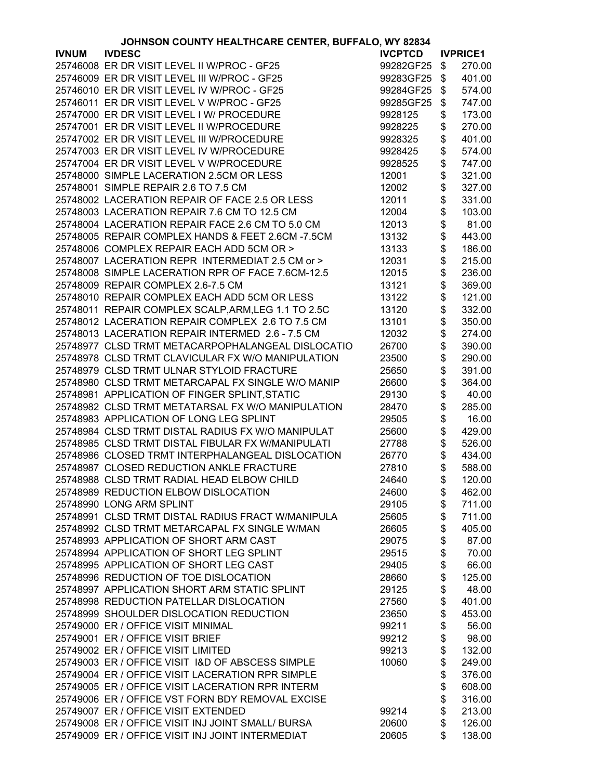|              | JOHNSON COUNTY HEALTHCARE CENTER, BUFFALO, WY 82834 |                |          |                 |
|--------------|-----------------------------------------------------|----------------|----------|-----------------|
| <b>IVNUM</b> | <b>IVDESC</b>                                       | <b>IVCPTCD</b> |          | <b>IVPRICE1</b> |
|              | 25746008 ER DR VISIT LEVEL II W/PROC - GF25         | 99282GF25      | \$       | 270.00          |
|              | 25746009 ER DR VISIT LEVEL III W/PROC - GF25        | 99283GF25      | \$       | 401.00          |
|              | 25746010 ER DR VISIT LEVEL IV W/PROC - GF25         | 99284GF25      | \$       | 574.00          |
|              | 25746011 ER DR VISIT LEVEL V W/PROC - GF25          | 99285GF25      | \$       | 747.00          |
|              | 25747000 ER DR VISIT LEVEL I W/ PROCEDURE           | 9928125        | \$       | 173.00          |
|              | 25747001 ER DR VISIT LEVEL II W/PROCEDURE           | 9928225        | \$       | 270.00          |
|              | 25747002 ER DR VISIT LEVEL III W/PROCEDURE          | 9928325        | \$       | 401.00          |
|              | 25747003 ER DR VISIT LEVEL IV W/PROCEDURE           | 9928425        | \$       | 574.00          |
|              |                                                     |                |          |                 |
|              | 25747004 ER DR VISIT LEVEL V W/PROCEDURE            | 9928525        | \$       | 747.00          |
|              | 25748000 SIMPLE LACERATION 2.5CM OR LESS            | 12001          | \$       | 321.00          |
|              | 25748001 SIMPLE REPAIR 2.6 TO 7.5 CM                | 12002          | \$       | 327.00          |
|              | 25748002 LACERATION REPAIR OF FACE 2.5 OR LESS      | 12011          | \$       | 331.00          |
|              | 25748003 LACERATION REPAIR 7.6 CM TO 12.5 CM        | 12004          | \$       | 103.00          |
|              | 25748004 LACERATION REPAIR FACE 2.6 CM TO 5.0 CM    | 12013          | \$       | 81.00           |
|              | 25748005 REPAIR COMPLEX HANDS & FEET 2.6CM -7.5CM   | 13132          | \$       | 443.00          |
|              | 25748006 COMPLEX REPAIR EACH ADD 5CM OR >           | 13133          | \$       | 186.00          |
|              | 25748007 LACERATION REPR INTERMEDIAT 2.5 CM or >    | 12031          | \$       | 215.00          |
|              | 25748008 SIMPLE LACERATION RPR OF FACE 7.6CM-12.5   | 12015          | \$       | 236.00          |
|              | 25748009 REPAIR COMPLEX 2.6-7.5 CM                  | 13121          | \$       | 369.00          |
|              | 25748010 REPAIR COMPLEX EACH ADD 5CM OR LESS        | 13122          | \$       | 121.00          |
|              | 25748011 REPAIR COMPLEX SCALP, ARM, LEG 1.1 TO 2.5C | 13120          | \$       | 332.00          |
|              | 25748012 LACERATION REPAIR COMPLEX 2.6 TO 7.5 CM    | 13101          | \$       | 350.00          |
|              | 25748013 LACERATION REPAIR INTERMED 2.6 - 7.5 CM    | 12032          | \$       | 274.00          |
|              | 25748977 CLSD TRMT METACARPOPHALANGEAL DISLOCATIO   | 26700          | \$       | 390.00          |
|              | 25748978 CLSD TRMT CLAVICULAR FX W/O MANIPULATION   | 23500          | \$       | 290.00          |
|              | 25748979 CLSD TRMT ULNAR STYLOID FRACTURE           | 25650          | \$       | 391.00          |
|              | 25748980 CLSD TRMT METARCAPAL FX SINGLE W/O MANIP   | 26600          | \$       | 364.00          |
|              | 25748981 APPLICATION OF FINGER SPLINT, STATIC       | 29130          | \$       | 40.00           |
|              | 25748982 CLSD TRMT METATARSAL FX W/O MANIPULATION   | 28470          | \$       | 285.00          |
|              | 25748983 APPLICATION OF LONG LEG SPLINT             | 29505          |          |                 |
|              | 25748984 CLSD TRMT DISTAL RADIUS FX W/O MANIPULAT   |                | \$<br>\$ | 16.00<br>429.00 |
|              |                                                     | 25600          |          |                 |
|              | 25748985 CLSD TRMT DISTAL FIBULAR FX W/MANIPULATI   | 27788          | \$       | 526.00          |
|              | 25748986 CLOSED TRMT INTERPHALANGEAL DISLOCATION    | 26770          | \$       | 434.00          |
|              | 25748987 CLOSED REDUCTION ANKLE FRACTURE            | 27810          | \$       | 588.00          |
|              | 25748988 CLSD TRMT RADIAL HEAD ELBOW CHILD          | 24640          | \$       | 120.00          |
|              | 25748989 REDUCTION ELBOW DISLOCATION                | 24600          | \$       | 462.00          |
|              | 25748990 LONG ARM SPLINT                            | 29105          | \$       | 711.00          |
|              | 25748991 CLSD TRMT DISTAL RADIUS FRACT W/MANIPULA   | 25605          | \$       | 711.00          |
|              | 25748992 CLSD TRMT METARCAPAL FX SINGLE W/MAN       | 26605          | \$       | 405.00          |
|              | 25748993 APPLICATION OF SHORT ARM CAST              | 29075          | \$       | 87.00           |
|              | 25748994 APPLICATION OF SHORT LEG SPLINT            | 29515          | \$       | 70.00           |
|              | 25748995 APPLICATION OF SHORT LEG CAST              | 29405          | \$       | 66.00           |
|              | 25748996 REDUCTION OF TOE DISLOCATION               | 28660          | \$       | 125.00          |
|              | 25748997 APPLICATION SHORT ARM STATIC SPLINT        | 29125          | \$       | 48.00           |
|              | 25748998 REDUCTION PATELLAR DISLOCATION             | 27560          | \$       | 401.00          |
|              | 25748999 SHOULDER DISLOCATION REDUCTION             | 23650          | \$       | 453.00          |
|              | 25749000 ER / OFFICE VISIT MINIMAL                  | 99211          | \$       | 56.00           |
|              | 25749001 ER / OFFICE VISIT BRIEF                    | 99212          | \$       | 98.00           |
|              | 25749002 ER / OFFICE VISIT LIMITED                  | 99213          | \$       | 132.00          |
|              | 25749003 ER / OFFICE VISIT I&D OF ABSCESS SIMPLE    | 10060          | \$       | 249.00          |
|              | 25749004 ER / OFFICE VISIT LACERATION RPR SIMPLE    |                | \$       | 376.00          |
|              | 25749005 ER / OFFICE VISIT LACERATION RPR INTERM    |                | \$       | 608.00          |
|              | 25749006 ER / OFFICE VST FORN BDY REMOVAL EXCISE    |                | \$       | 316.00          |
|              | 25749007 ER / OFFICE VISIT EXTENDED                 | 99214          | \$       | 213.00          |
|              | 25749008 ER / OFFICE VISIT INJ JOINT SMALL/ BURSA   | 20600          | \$       | 126.00          |
|              | 25749009 ER / OFFICE VISIT INJ JOINT INTERMEDIAT    | 20605          | \$       | 138.00          |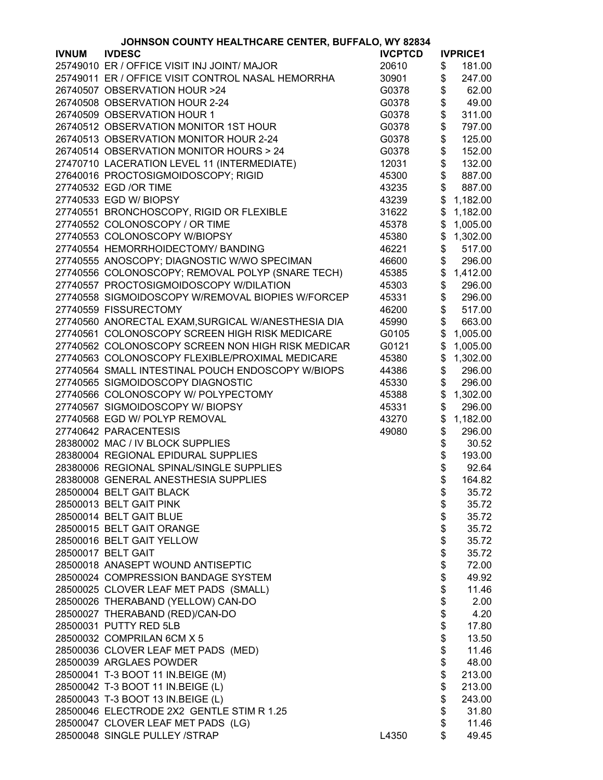|              | JOHNSON COUNTY HEALTHCARE CENTER, BUFFALO, WY 82834 |                |          |                 |
|--------------|-----------------------------------------------------|----------------|----------|-----------------|
| <b>IVNUM</b> | <b>IVDESC</b>                                       | <b>IVCPTCD</b> |          | <b>IVPRICE1</b> |
|              | 25749010 ER / OFFICE VISIT INJ JOINT/ MAJOR         | 20610          | \$       | 181.00          |
|              | 25749011 ER / OFFICE VISIT CONTROL NASAL HEMORRHA   | 30901          | \$       | 247.00          |
|              | 26740507 OBSERVATION HOUR >24                       | G0378          | \$       | 62.00           |
|              | 26740508 OBSERVATION HOUR 2-24                      | G0378          | \$       | 49.00           |
|              | 26740509 OBSERVATION HOUR 1                         | G0378          | \$       | 311.00          |
|              | 26740512 OBSERVATION MONITOR 1ST HOUR               | G0378          | \$       | 797.00          |
|              | 26740513 OBSERVATION MONITOR HOUR 2-24              | G0378          | \$       | 125.00          |
|              | 26740514 OBSERVATION MONITOR HOURS > 24             | G0378          | \$       | 152.00          |
|              | 27470710 LACERATION LEVEL 11 (INTERMEDIATE)         |                | \$       |                 |
|              |                                                     | 12031          |          | 132.00          |
|              | 27640016 PROCTOSIGMOIDOSCOPY; RIGID                 | 45300          | \$       | 887.00          |
|              | 27740532 EGD /OR TIME                               | 43235          | \$       | 887.00          |
|              | 27740533 EGD W/ BIOPSY                              | 43239          | \$       | 1,182.00        |
|              | 27740551 BRONCHOSCOPY, RIGID OR FLEXIBLE            | 31622          | \$       | 1,182.00        |
|              | 27740552 COLONOSCOPY / OR TIME                      | 45378          | \$       | 1,005.00        |
|              | 27740553 COLONOSCOPY W/BIOPSY                       | 45380          | \$       | 1,302.00        |
|              | 27740554 HEMORRHOIDECTOMY/ BANDING                  | 46221          | \$       | 517.00          |
|              | 27740555 ANOSCOPY; DIAGNOSTIC W/WO SPECIMAN         | 46600          | \$       | 296.00          |
|              | 27740556 COLONOSCOPY; REMOVAL POLYP (SNARE TECH)    | 45385          | \$       | 1,412.00        |
|              | 27740557 PROCTOSIGMOIDOSCOPY W/DILATION             | 45303          | \$       | 296.00          |
|              | 27740558 SIGMOIDOSCOPY W/REMOVAL BIOPIES W/FORCEP   | 45331          | \$       | 296.00          |
|              | 27740559 FISSURECTOMY                               | 46200          | \$       | 517.00          |
|              | 27740560 ANORECTAL EXAM, SURGICAL W/ANESTHESIA DIA  | 45990          | \$       | 663.00          |
|              | 27740561 COLONOSCOPY SCREEN HIGH RISK MEDICARE      | G0105          | \$       | 1,005.00        |
|              | 27740562 COLONOSCOPY SCREEN NON HIGH RISK MEDICAR   | G0121          | \$       | 1,005.00        |
|              | 27740563 COLONOSCOPY FLEXIBLE/PROXIMAL MEDICARE     | 45380          | \$       | 1,302.00        |
|              | 27740564 SMALL INTESTINAL POUCH ENDOSCOPY W/BIOPS   | 44386          | \$       | 296.00          |
|              | 27740565 SIGMOIDOSCOPY DIAGNOSTIC                   | 45330          | \$       | 296.00          |
|              | 27740566 COLONOSCOPY W/ POLYPECTOMY                 | 45388          | \$       | 1,302.00        |
|              | 27740567 SIGMOIDOSCOPY W/BIOPSY                     | 45331          | \$       | 296.00          |
|              | 27740568 EGD W/ POLYP REMOVAL                       | 43270          | \$       | 1,182.00        |
|              | 27740642 PARACENTESIS                               | 49080          | \$       | 296.00          |
|              | 28380002 MAC / IV BLOCK SUPPLIES                    |                |          | 30.52           |
|              | 28380004 REGIONAL EPIDURAL SUPPLIES                 |                | \$       |                 |
|              |                                                     |                | \$       | 193.00          |
|              | 28380006 REGIONAL SPINAL/SINGLE SUPPLIES            |                | \$       | 92.64           |
|              | 28380008 GENERAL ANESTHESIA SUPPLIES                |                | \$       | 164.82          |
|              | 28500004 BELT GAIT BLACK                            |                | \$       | 35.72           |
|              | 28500013 BELT GAIT PINK                             |                | \$       | 35.72           |
|              | 28500014 BELT GAIT BLUE                             |                | \$       | 35.72           |
|              | 28500015 BELT GAIT ORANGE                           |                |          | 35.72           |
|              | 28500016 BELT GAIT YELLOW                           |                | \$<br>\$ | 35.72           |
|              | 28500017 BELT GAIT                                  |                |          | 35.72           |
|              | 28500018 ANASEPT WOUND ANTISEPTIC                   |                | \$<br>\$ | 72.00           |
|              | 28500024 COMPRESSION BANDAGE SYSTEM                 |                |          | 49.92           |
|              | 28500025 CLOVER LEAF MET PADS (SMALL)               |                | \$       | 11.46           |
|              | 28500026 THERABAND (YELLOW) CAN-DO                  |                | \$       | 2.00            |
|              | 28500027 THERABAND (RED)/CAN-DO                     |                | \$       | 4.20            |
|              | 28500031 PUTTY RED 5LB                              |                | \$       | 17.80           |
|              | 28500032 COMPRILAN 6CM X 5                          |                | \$       | 13.50           |
|              | 28500036 CLOVER LEAF MET PADS (MED)                 |                | \$       | 11.46           |
|              | 28500039 ARGLAES POWDER                             |                | \$       | 48.00           |
|              | 28500041 T-3 BOOT 11 IN.BEIGE (M)                   |                | \$       | 213.00          |
|              | 28500042 T-3 BOOT 11 IN.BEIGE (L)                   |                | \$       | 213.00          |
|              | 28500043 T-3 BOOT 13 IN.BEIGE (L)                   |                | \$       | 243.00          |
|              | 28500046 ELECTRODE 2X2 GENTLE STIM R 1.25           |                | \$       | 31.80           |
|              | 28500047 CLOVER LEAF MET PADS (LG)                  |                | \$       | 11.46           |
|              | 28500048 SINGLE PULLEY /STRAP                       | L4350          | \$       | 49.45           |
|              |                                                     |                |          |                 |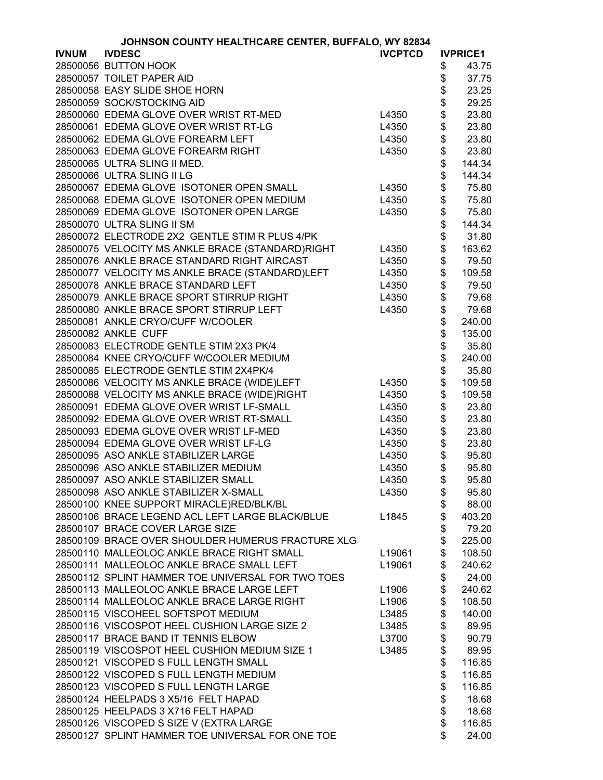| JOHNSON COUNTY HEALTHCARE CENTER, BUFFALO, WY 82834 |                                                   |                |      |                 |
|-----------------------------------------------------|---------------------------------------------------|----------------|------|-----------------|
| <b>IVNUM</b>                                        | <b>IVDESC</b>                                     | <b>IVCPTCD</b> |      | <b>IVPRICE1</b> |
|                                                     | 28500056 BUTTON HOOK                              |                | \$   | 43.75           |
|                                                     | 28500057 TOILET PAPER AID                         |                | \$   | 37.75           |
|                                                     | 28500058 EASY SLIDE SHOE HORN                     |                | \$   | 23.25           |
|                                                     | 28500059 SOCK/STOCKING AID                        |                | \$   | 29.25           |
|                                                     | 28500060 EDEMA GLOVE OVER WRIST RT-MED            | L4350          | \$   | 23.80           |
|                                                     | 28500061 EDEMA GLOVE OVER WRIST RT-LG             | L4350          | \$   | 23.80           |
|                                                     | 28500062 EDEMA GLOVE FOREARM LEFT                 | L4350          |      | 23.80           |
|                                                     | 28500063 EDEMA GLOVE FOREARM RIGHT                | L4350          | \$\$ | 23.80           |
|                                                     | 28500065 ULTRA SLING II MED.                      |                |      | 144.34          |
|                                                     | 28500066 ULTRA SLING II LG                        |                | \$   | 144.34          |
|                                                     | 28500067 EDEMA GLOVE ISOTONER OPEN SMALL          | L4350          | \$   | 75.80           |
|                                                     | 28500068 EDEMA GLOVE ISOTONER OPEN MEDIUM         | L4350          |      | 75.80           |
|                                                     | 28500069 EDEMA GLOVE ISOTONER OPEN LARGE          | L4350          | \$   | 75.80           |
|                                                     | 28500070 ULTRA SLING II SM                        |                | \$   | 144.34          |
|                                                     | 28500072 ELECTRODE 2X2 GENTLE STIM R PLUS 4/PK    |                | \$   | 31.80           |
|                                                     | 28500075 VELOCITY MS ANKLE BRACE (STANDARD)RIGHT  | L4350          | \$   | 163.62          |
|                                                     |                                                   |                |      |                 |
|                                                     | 28500076 ANKLE BRACE STANDARD RIGHT AIRCAST       | L4350          | \$   | 79.50           |
|                                                     | 28500077 VELOCITY MS ANKLE BRACE (STANDARD)LEFT   | L4350          | \$   | 109.58          |
|                                                     | 28500078 ANKLE BRACE STANDARD LEFT                | L4350          | \$   | 79.50           |
|                                                     | 28500079 ANKLE BRACE SPORT STIRRUP RIGHT          | L4350          | \$   | 79.68           |
|                                                     | 28500080 ANKLE BRACE SPORT STIRRUP LEFT           | L4350          | \$   | 79.68           |
|                                                     | 28500081 ANKLE CRYO/CUFF W/COOLER                 |                | \$   | 240.00          |
|                                                     | 28500082 ANKLE CUFF                               |                | \$   | 135.00          |
|                                                     | 28500083 ELECTRODE GENTLE STIM 2X3 PK/4           |                | \$   | 35.80           |
|                                                     | 28500084 KNEE CRYO/CUFF W/COOLER MEDIUM           |                | \$   | 240.00          |
|                                                     | 28500085 ELECTRODE GENTLE STIM 2X4PK/4            |                | \$   | 35.80           |
|                                                     | 28500086 VELOCITY MS ANKLE BRACE (WIDE)LEFT       | L4350          | \$   | 109.58          |
|                                                     | 28500088 VELOCITY MS ANKLE BRACE (WIDE)RIGHT      | L4350          | \$   | 109.58          |
|                                                     | 28500091 EDEMA GLOVE OVER WRIST LF-SMALL          | L4350          | \$   | 23.80           |
|                                                     | 28500092 EDEMA GLOVE OVER WRIST RT-SMALL          | L4350          | \$   | 23.80           |
|                                                     | 28500093 EDEMA GLOVE OVER WRIST LF-MED            | L4350          | \$   | 23.80           |
|                                                     | 28500094 EDEMA GLOVE OVER WRIST LF-LG             | L4350          | \$   | 23.80           |
|                                                     | 28500095 ASO ANKLE STABILIZER LARGE               | L4350          | \$   | 95.80           |
|                                                     | 28500096 ASO ANKLE STABILIZER MEDIUM              | L4350          | \$   | 95.80           |
|                                                     | 28500097 ASO ANKLE STABILIZER SMALL               | L4350          | \$   | 95.80           |
|                                                     | 28500098 ASO ANKLE STABILIZER X-SMALL             | L4350          | \$   | 95.80           |
|                                                     | 28500100 KNEE SUPPORT MIRACLE)RED/BLK/BL          |                | \$   | 88.00           |
|                                                     | 28500106 BRACE LEGEND ACL LEFT LARGE BLACK/BLUE   | L1845          | \$   | 403.20          |
|                                                     | 28500107 BRACE COVER LARGE SIZE                   |                | \$   | 79.20           |
|                                                     | 28500109 BRACE OVER SHOULDER HUMERUS FRACTURE XLG |                | \$   | 225.00          |
|                                                     | 28500110 MALLEOLOC ANKLE BRACE RIGHT SMALL        | L19061         | \$   | 108.50          |
|                                                     | 28500111 MALLEOLOC ANKLE BRACE SMALL LEFT         | L19061         | \$   | 240.62          |
|                                                     | 28500112 SPLINT HAMMER TOE UNIVERSAL FOR TWO TOES |                | \$   | 24.00           |
|                                                     | 28500113 MALLEOLOC ANKLE BRACE LARGE LEFT         | L1906          | \$   | 240.62          |
|                                                     | 28500114 MALLEOLOC ANKLE BRACE LARGE RIGHT        | L1906          | \$   | 108.50          |
|                                                     | 28500115 VISCOHEEL SOFTSPOT MEDIUM                | L3485          | \$   | 140.00          |
|                                                     |                                                   |                |      |                 |
|                                                     | 28500116 VISCOSPOT HEEL CUSHION LARGE SIZE 2      | L3485          | \$   | 89.95           |
|                                                     | 28500117 BRACE BAND IT TENNIS ELBOW               | L3700          | \$   | 90.79           |
|                                                     | 28500119 VISCOSPOT HEEL CUSHION MEDIUM SIZE 1     | L3485          | \$   | 89.95           |
|                                                     | 28500121 VISCOPED S FULL LENGTH SMALL             |                | \$   | 116.85          |
|                                                     | 28500122 VISCOPED S FULL LENGTH MEDIUM            |                | \$   | 116.85          |
|                                                     | 28500123 VISCOPED S FULL LENGTH LARGE             |                | \$   | 116.85          |
|                                                     | 28500124 HEELPADS 3 X5/16 FELT HAPAD              |                | \$   | 18.68           |
|                                                     | 28500125 HEELPADS 3 X716 FELT HAPAD               |                | \$   | 18.68           |
|                                                     | 28500126 VISCOPED S SIZE V (EXTRA LARGE           |                | \$   | 116.85          |
|                                                     | 28500127 SPLINT HAMMER TOE UNIVERSAL FOR ONE TOE  |                | \$   | 24.00           |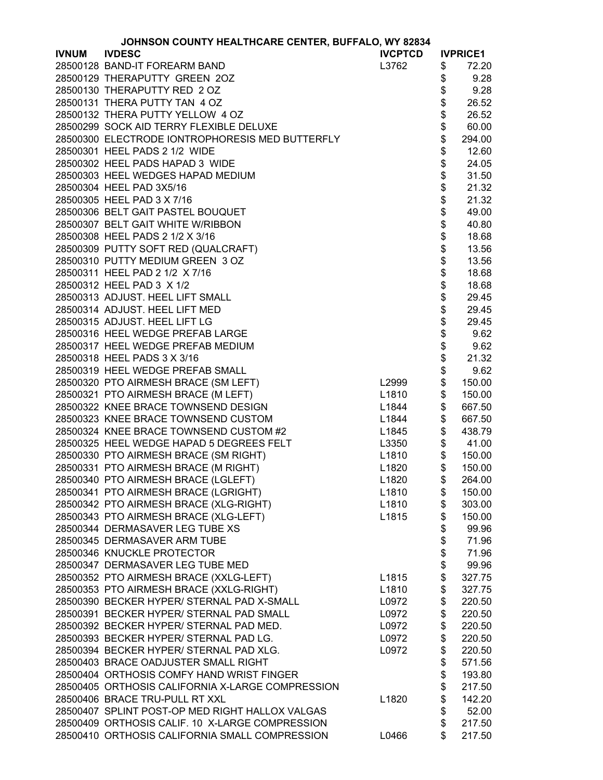|              | JOHNSON COUNTY HEALTHCARE CENTER, BUFFALO, WY 82834 |                   |          |                 |
|--------------|-----------------------------------------------------|-------------------|----------|-----------------|
| <b>IVNUM</b> | <b>IVDESC</b>                                       | <b>IVCPTCD</b>    |          | <b>IVPRICE1</b> |
|              | 28500128 BAND-IT FOREARM BAND                       | L3762             | \$       | 72.20           |
|              | 28500129 THERAPUTTY GREEN 2OZ                       |                   | \$       | 9.28            |
|              | 28500130 THERAPUTTY RED 2 OZ                        |                   | \$       | 9.28            |
|              | 28500131 THERA PUTTY TAN 4 OZ                       |                   | \$       | 26.52           |
|              | 28500132 THERA PUTTY YELLOW 4 OZ                    |                   | \$       | 26.52           |
|              | 28500299 SOCK AID TERRY FLEXIBLE DELUXE             |                   | \$       | 60.00           |
|              | 28500300 ELECTRODE IONTROPHORESIS MED BUTTERFLY     |                   | \$       | 294.00          |
|              | 28500301 HEEL PADS 2 1/2 WIDE                       |                   | \$       | 12.60           |
|              | 28500302 HEEL PADS HAPAD 3 WIDE                     |                   |          | 24.05           |
|              | 28500303 HEEL WEDGES HAPAD MEDIUM                   |                   |          | 31.50           |
|              | 28500304 HEEL PAD 3X5/16                            |                   |          | 21.32           |
|              | 28500305 HEEL PAD 3 X 7/16                          |                   |          | 21.32           |
|              | 28500306 BELT GAIT PASTEL BOUQUET                   |                   |          | 49.00           |
|              | 28500307 BELT GAIT WHITE W/RIBBON                   |                   |          | 40.80           |
|              | 28500308 HEEL PADS 2 1/2 X 3/16                     |                   |          | 18.68           |
|              | 28500309 PUTTY SOFT RED (QUALCRAFT)                 |                   |          | 13.56           |
|              | 28500310 PUTTY MEDIUM GREEN 3 OZ                    |                   |          | 13.56           |
|              | 28500311 HEEL PAD 2 1/2 X 7/16                      |                   |          | 18.68           |
|              | 28500312 HEEL PAD 3 X 1/2                           |                   |          | 18.68           |
|              | 28500313 ADJUST. HEEL LIFT SMALL                    |                   |          | 29.45           |
|              | 28500314 ADJUST. HEEL LIFT MED                      |                   | \$       | 29.45           |
|              | 28500315 ADJUST. HEEL LIFT LG                       |                   | \$       | 29.45           |
|              | 28500316 HEEL WEDGE PREFAB LARGE                    |                   | \$       | 9.62            |
|              | 28500317 HEEL WEDGE PREFAB MEDIUM                   |                   | \$       | 9.62            |
|              | 28500318 HEEL PADS 3 X 3/16                         |                   | \$       | 21.32           |
|              | 28500319 HEEL WEDGE PREFAB SMALL                    |                   | \$       | 9.62            |
|              | 28500320 PTO AIRMESH BRACE (SM LEFT)                | L2999             | \$       | 150.00          |
|              | 28500321 PTO AIRMESH BRACE (M LEFT)                 | L1810             | \$       | 150.00          |
|              | 28500322 KNEE BRACE TOWNSEND DESIGN                 | L1844             | \$       | 667.50          |
|              | 28500323 KNEE BRACE TOWNSEND CUSTOM                 | L1844             | \$       | 667.50          |
|              | 28500324 KNEE BRACE TOWNSEND CUSTOM #2              | L1845             | \$       | 438.79          |
|              | 28500325 HEEL WEDGE HAPAD 5 DEGREES FELT            | L3350             | \$       | 41.00           |
|              | 28500330 PTO AIRMESH BRACE (SM RIGHT)               | L1810             | \$       | 150.00          |
|              | 28500331 PTO AIRMESH BRACE (M RIGHT)                | L1820             | \$       | 150.00          |
|              | 28500340 PTO AIRMESH BRACE (LGLEFT)                 | L <sub>1820</sub> | \$       | 264.00          |
|              | 28500341 PTO AIRMESH BRACE (LGRIGHT)                | L1810             | \$       | 150.00          |
|              | 28500342 PTO AIRMESH BRACE (XLG-RIGHT)              | L1810             | \$       | 303.00          |
|              | 28500343 PTO AIRMESH BRACE (XLG-LEFT)               | L1815             | \$       | 150.00          |
|              | 28500344 DERMASAVER LEG TUBE XS                     |                   | \$       | 99.96           |
|              | 28500345 DERMASAVER ARM TUBE                        |                   | \$       | 71.96           |
|              | 28500346 KNUCKLE PROTECTOR                          |                   |          | 71.96           |
|              | 28500347 DERMASAVER LEG TUBE MED                    |                   | \$<br>\$ | 99.96           |
|              | 28500352 PTO AIRMESH BRACE (XXLG-LEFT)              | L1815             | \$       | 327.75          |
|              | 28500353 PTO AIRMESH BRACE (XXLG-RIGHT)             | L1810             | \$       | 327.75          |
|              | 28500390 BECKER HYPER/ STERNAL PAD X-SMALL          | L0972             | \$       | 220.50          |
|              | 28500391 BECKER HYPER/ STERNAL PAD SMALL            | L0972             | \$       | 220.50          |
|              | 28500392 BECKER HYPER/ STERNAL PAD MED.             | L0972             | \$       | 220.50          |
|              | 28500393 BECKER HYPER/ STERNAL PAD LG.              | L0972             | \$       | 220.50          |
|              | 28500394 BECKER HYPER/ STERNAL PAD XLG.             | L0972             | \$       | 220.50          |
|              | 28500403 BRACE OADJUSTER SMALL RIGHT                |                   | \$       | 571.56          |
|              | 28500404 ORTHOSIS COMFY HAND WRIST FINGER           |                   | \$       | 193.80          |
|              | 28500405 ORTHOSIS CALIFORNIA X-LARGE COMPRESSION    |                   | \$       | 217.50          |
|              | 28500406 BRACE TRU-PULL RT XXL                      | L1820             | \$       | 142.20          |
|              | 28500407 SPLINT POST-OP MED RIGHT HALLOX VALGAS     |                   | \$       | 52.00           |
|              | 28500409 ORTHOSIS CALIF. 10 X-LARGE COMPRESSION     |                   | \$       | 217.50          |
|              | 28500410 ORTHOSIS CALIFORNIA SMALL COMPRESSION      | L0466             | \$       | 217.50          |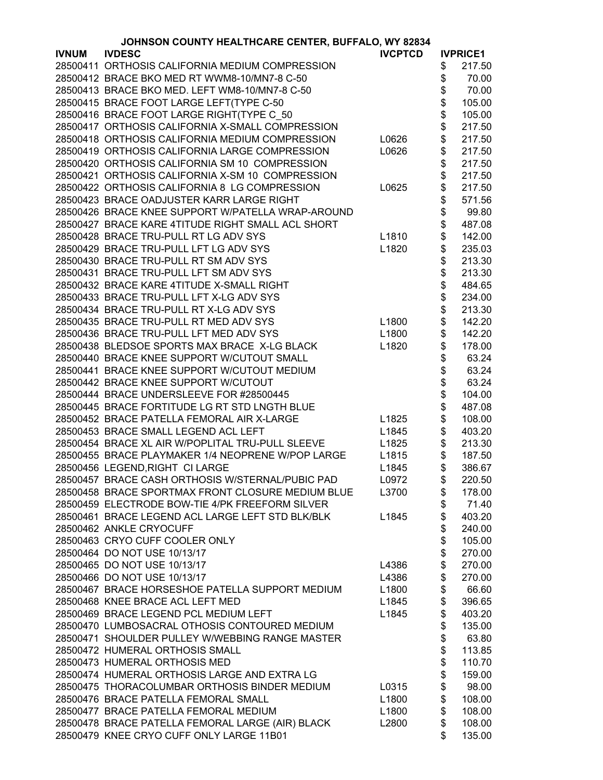|              | JOHNSON COUNTY HEALTHCARE CENTER, BUFFALO, WY 82834 |                |          |                 |  |
|--------------|-----------------------------------------------------|----------------|----------|-----------------|--|
| <b>IVNUM</b> | <b>IVDESC</b>                                       | <b>IVCPTCD</b> |          | <b>IVPRICE1</b> |  |
|              | 28500411 ORTHOSIS CALIFORNIA MEDIUM COMPRESSION     |                | \$       | 217.50          |  |
|              | 28500412 BRACE BKO MED RT WWM8-10/MN7-8 C-50        |                | \$       | 70.00           |  |
|              | 28500413 BRACE BKO MED. LEFT WM8-10/MN7-8 C-50      |                | \$       | 70.00           |  |
|              | 28500415 BRACE FOOT LARGE LEFT(TYPE C-50            |                | \$       | 105.00          |  |
|              | 28500416 BRACE FOOT LARGE RIGHT(TYPE C_50           |                |          | 105.00          |  |
|              | 28500417 ORTHOSIS CALIFORNIA X-SMALL COMPRESSION    |                | \$<br>\$ | 217.50          |  |
|              | 28500418 ORTHOSIS CALIFORNIA MEDIUM COMPRESSION     | L0626          | \$       | 217.50          |  |
|              | 28500419 ORTHOSIS CALIFORNIA LARGE COMPRESSION      | L0626          | \$       | 217.50          |  |
|              | 28500420 ORTHOSIS CALIFORNIA SM 10 COMPRESSION      |                | \$       | 217.50          |  |
|              | 28500421 ORTHOSIS CALIFORNIA X-SM 10 COMPRESSION    |                | \$       | 217.50          |  |
|              | 28500422 ORTHOSIS CALIFORNIA 8 LG COMPRESSION       | L0625          | \$       | 217.50          |  |
|              | 28500423 BRACE OADJUSTER KARR LARGE RIGHT           |                | \$       | 571.56          |  |
|              | 28500426 BRACE KNEE SUPPORT W/PATELLA WRAP-AROUND   |                | \$       | 99.80           |  |
|              | 28500427 BRACE KARE 4TITUDE RIGHT SMALL ACL SHORT   |                | \$       | 487.08          |  |
|              | 28500428 BRACE TRU-PULL RT LG ADV SYS               | L1810          | \$       | 142.00          |  |
|              | 28500429 BRACE TRU-PULL LFT LG ADV SYS              | L1820          | \$       | 235.03          |  |
|              | 28500430 BRACE TRU-PULL RT SM ADV SYS               |                | \$       | 213.30          |  |
|              | 28500431 BRACE TRU-PULL LFT SM ADV SYS              |                | \$       | 213.30          |  |
|              | 28500432 BRACE KARE 4TITUDE X-SMALL RIGHT           |                | \$       | 484.65          |  |
|              | 28500433 BRACE TRU-PULL LFT X-LG ADV SYS            |                | \$       | 234.00          |  |
|              | 28500434 BRACE TRU-PULL RT X-LG ADV SYS             |                | \$       | 213.30          |  |
|              | 28500435 BRACE TRU-PULL RT MED ADV SYS              | L1800          | \$       | 142.20          |  |
|              | 28500436 BRACE TRU-PULL LFT MED ADV SYS             | L1800          | \$       | 142.20          |  |
|              | 28500438 BLEDSOE SPORTS MAX BRACE X-LG BLACK        | L1820          | \$       | 178.00          |  |
|              | 28500440 BRACE KNEE SUPPORT W/CUTOUT SMALL          |                | \$       | 63.24           |  |
|              | 28500441 BRACE KNEE SUPPORT W/CUTOUT MEDIUM         |                |          | 63.24           |  |
|              | 28500442 BRACE KNEE SUPPORT W/CUTOUT                |                |          | 63.24           |  |
|              | 28500444 BRACE UNDERSLEEVE FOR #28500445            |                | \$\$     | 104.00          |  |
|              | 28500445 BRACE FORTITUDE LG RT STD LNGTH BLUE       |                | \$       | 487.08          |  |
|              | 28500452 BRACE PATELLA FEMORAL AIR X-LARGE          |                | \$       |                 |  |
|              | 28500453 BRACE SMALL LEGEND ACL LEFT                | L1825<br>L1845 |          | 108.00          |  |
|              |                                                     |                | \$<br>\$ | 403.20          |  |
|              | 28500454 BRACE XL AIR W/POPLITAL TRU-PULL SLEEVE    | L1825          |          | 213.30          |  |
|              | 28500455 BRACE PLAYMAKER 1/4 NEOPRENE W/POP LARGE   | L1815          | \$<br>\$ | 187.50          |  |
|              | 28500456 LEGEND, RIGHT CI LARGE                     | L1845          |          | 386.67          |  |
|              | 28500457 BRACE CASH ORTHOSIS W/STERNAL/PUBIC PAD    | L0972          | \$       | 220.50          |  |
|              | 28500458 BRACE SPORTMAX FRONT CLOSURE MEDIUM BLUE   | L3700          | \$       | 178.00          |  |
|              | 28500459 ELECTRODE BOW-TIE 4/PK FREEFORM SILVER     |                | \$       | 71.40           |  |
|              | 28500461 BRACE LEGEND ACL LARGE LEFT STD BLK/BLK    | L1845          | \$       | 403.20          |  |
|              | 28500462 ANKLE CRYOCUFF                             |                | \$       | 240.00          |  |
|              | 28500463 CRYO CUFF COOLER ONLY                      |                | \$       | 105.00          |  |
|              | 28500464 DO NOT USE 10/13/17                        |                | \$       | 270.00          |  |
|              | 28500465 DO NOT USE 10/13/17                        | L4386          | \$       | 270.00          |  |
|              | 28500466 DO NOT USE 10/13/17                        | L4386          | \$       | 270.00          |  |
|              | 28500467 BRACE HORSESHOE PATELLA SUPPORT MEDIUM     | L1800          | \$       | 66.60           |  |
|              | 28500468 KNEE BRACE ACL LEFT MED                    | L1845          | \$       | 396.65          |  |
|              | 28500469 BRACE LEGEND PCL MEDIUM LEFT               | L1845          | \$       | 403.20          |  |
|              | 28500470 LUMBOSACRAL OTHOSIS CONTOURED MEDIUM       |                | \$       | 135.00          |  |
|              | 28500471 SHOULDER PULLEY W/WEBBING RANGE MASTER     |                | \$       | 63.80           |  |
|              | 28500472 HUMERAL ORTHOSIS SMALL                     |                | \$       | 113.85          |  |
|              | 28500473 HUMERAL ORTHOSIS MED                       |                | \$       | 110.70          |  |
|              | 28500474 HUMERAL ORTHOSIS LARGE AND EXTRA LG        |                | \$       | 159.00          |  |
|              | 28500475 THORACOLUMBAR ORTHOSIS BINDER MEDIUM       | L0315          | \$       | 98.00           |  |
|              | 28500476 BRACE PATELLA FEMORAL SMALL                | L1800          | \$       | 108.00          |  |
|              | 28500477 BRACE PATELLA FEMORAL MEDIUM               | L1800          | \$       | 108.00          |  |
|              | 28500478 BRACE PATELLA FEMORAL LARGE (AIR) BLACK    | L2800          | \$       | 108.00          |  |
|              | 28500479 KNEE CRYO CUFF ONLY LARGE 11B01            |                | \$       | 135.00          |  |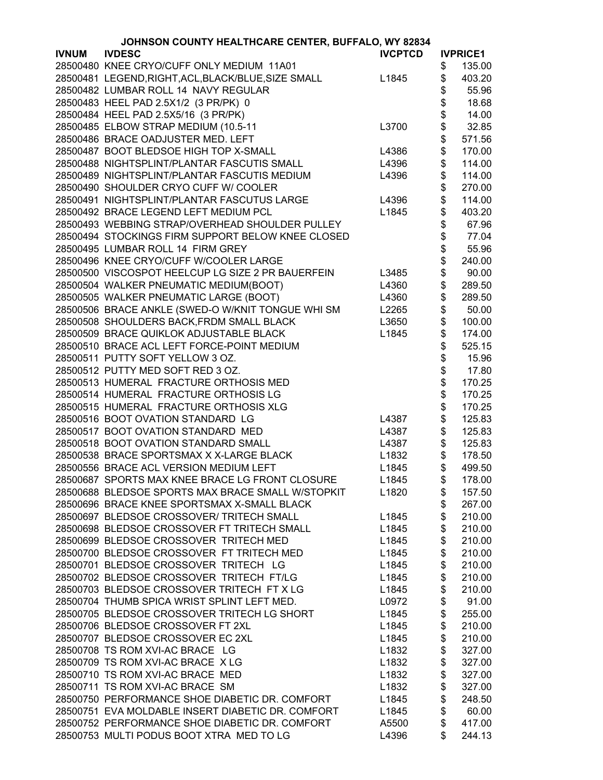|              | JOHNSON COUNTY HEALTHCARE CENTER, BUFFALO, WY 82834 |                   |          |                 |  |
|--------------|-----------------------------------------------------|-------------------|----------|-----------------|--|
| <b>IVNUM</b> | <b>IVDESC</b>                                       | <b>IVCPTCD</b>    |          | <b>IVPRICE1</b> |  |
|              | 28500480 KNEE CRYO/CUFF ONLY MEDIUM 11A01           |                   | \$       | 135.00          |  |
|              | 28500481 LEGEND, RIGHT, ACL, BLACK/BLUE, SIZE SMALL | L1845             | \$       | 403.20          |  |
|              | 28500482 LUMBAR ROLL 14 NAVY REGULAR                |                   | \$       | 55.96           |  |
|              | 28500483 HEEL PAD 2.5X1/2 (3 PR/PK) 0               |                   | \$       | 18.68           |  |
|              | 28500484 HEEL PAD 2.5X5/16 (3 PR/PK)                |                   |          | 14.00           |  |
|              | 28500485 ELBOW STRAP MEDIUM (10.5-11                | L3700             | \$\$\$\$ | 32.85           |  |
|              | 28500486 BRACE OADJUSTER MED. LEFT                  |                   |          | 571.56          |  |
|              | 28500487 BOOT BLEDSOE HIGH TOP X-SMALL              |                   |          |                 |  |
|              |                                                     | L4386             |          | 170.00          |  |
|              | 28500488 NIGHTSPLINT/PLANTAR FASCUTIS SMALL         | L4396             | \$       | 114.00          |  |
|              | 28500489 NIGHTSPLINT/PLANTAR FASCUTIS MEDIUM        | L4396             | \$       | 114.00          |  |
|              | 28500490 SHOULDER CRYO CUFF W/ COOLER               |                   | \$       | 270.00          |  |
|              | 28500491 NIGHTSPLINT/PLANTAR FASCUTUS LARGE         | L4396             | \$       | 114.00          |  |
|              | 28500492 BRACE LEGEND LEFT MEDIUM PCL               | L1845             | \$       | 403.20          |  |
|              | 28500493 WEBBING STRAP/OVERHEAD SHOULDER PULLEY     |                   | \$       | 67.96           |  |
|              | 28500494 STOCKINGS FIRM SUPPORT BELOW KNEE CLOSED   |                   | \$       | 77.04           |  |
|              | 28500495 LUMBAR ROLL 14 FIRM GREY                   |                   |          | 55.96           |  |
|              | 28500496 KNEE CRYO/CUFF W/COOLER LARGE              |                   | \$       | 240.00          |  |
|              | 28500500 VISCOSPOT HEELCUP LG SIZE 2 PR BAUERFEIN   | L3485             | \$       | 90.00           |  |
|              | 28500504 WALKER PNEUMATIC MEDIUM(BOOT)              | L4360             | \$       | 289.50          |  |
|              | 28500505 WALKER PNEUMATIC LARGE (BOOT)              | L4360             | \$       | 289.50          |  |
|              | 28500506 BRACE ANKLE (SWED-O W/KNIT TONGUE WHI SM   | L2265             | \$       | 50.00           |  |
|              | 28500508 SHOULDERS BACK, FRDM SMALL BLACK           | L3650             | \$       | 100.00          |  |
|              | 28500509 BRACE QUIKLOK ADJUSTABLE BLACK             | L1845             | \$       | 174.00          |  |
|              | 28500510 BRACE ACL LEFT FORCE-POINT MEDIUM          |                   | \$       | 525.15          |  |
|              | 28500511 PUTTY SOFT YELLOW 3 OZ.                    |                   | \$       | 15.96           |  |
|              | 28500512 PUTTY MED SOFT RED 3 OZ.                   |                   |          | 17.80           |  |
|              | 28500513 HUMERAL FRACTURE ORTHOSIS MED              |                   | \$<br>\$ | 170.25          |  |
|              | 28500514 HUMERAL FRACTURE ORTHOSIS LG               |                   | \$       | 170.25          |  |
|              | 28500515 HUMERAL FRACTURE ORTHOSIS XLG              |                   | \$       | 170.25          |  |
|              |                                                     |                   |          |                 |  |
|              | 28500516 BOOT OVATION STANDARD LG                   | L4387             | \$       | 125.83          |  |
|              | 28500517 BOOT OVATION STANDARD MED                  | L4387             | \$       | 125.83          |  |
|              | 28500518 BOOT OVATION STANDARD SMALL                | L4387             | \$       | 125.83          |  |
|              | 28500538 BRACE SPORTSMAX X X-LARGE BLACK            | L1832             | \$       | 178.50          |  |
|              | 28500556 BRACE ACL VERSION MEDIUM LEFT              | L1845             | \$       | 499.50          |  |
|              | 28500687 SPORTS MAX KNEE BRACE LG FRONT CLOSURE     | L1845             | \$       | 178.00          |  |
|              | 28500688 BLEDSOE SPORTS MAX BRACE SMALL W/STOPKIT   | L <sub>1820</sub> | \$       | 157.50          |  |
|              | 28500696 BRACE KNEE SPORTSMAX X-SMALL BLACK         |                   | \$       | 267.00          |  |
|              | 28500697 BLEDSOE CROSSOVER/ TRITECH SMALL           | L1845             | \$       | 210.00          |  |
|              | 28500698 BLEDSOE CROSSOVER FT TRITECH SMALL         | L1845             | \$       | 210.00          |  |
|              | 28500699 BLEDSOE CROSSOVER TRITECH MED              | L1845             | \$       | 210.00          |  |
|              | 28500700 BLEDSOE CROSSOVER FT TRITECH MED           | L1845             | \$       | 210.00          |  |
|              | 28500701 BLEDSOE CROSSOVER TRITECH LG               | L1845             | \$       | 210.00          |  |
|              | 28500702 BLEDSOE CROSSOVER TRITECH FT/LG            | L1845             | \$       | 210.00          |  |
|              | 28500703 BLEDSOE CROSSOVER TRITECH FT X LG          | L1845             | \$       | 210.00          |  |
|              | 28500704 THUMB SPICA WRIST SPLINT LEFT MED.         | L0972             | \$       | 91.00           |  |
|              | 28500705 BLEDSOE CROSSOVER TRITECH LG SHORT         | L1845             | \$       | 255.00          |  |
|              | 28500706 BLEDSOE CROSSOVER FT 2XL                   | L1845             | \$       | 210.00          |  |
|              | 28500707 BLEDSOE CROSSOVER EC 2XL                   | L1845             | \$       | 210.00          |  |
|              | 28500708 TS ROM XVI-AC BRACE LG                     | L1832             | \$       | 327.00          |  |
|              | 28500709 TS ROM XVI-AC BRACE X LG                   | L1832             | \$       | 327.00          |  |
|              | 28500710 TS ROM XVI-AC BRACE MED                    | L1832             | \$       | 327.00          |  |
|              | 28500711 TS ROM XVI-AC BRACE SM                     | L1832             | \$       | 327.00          |  |
|              | 28500750 PERFORMANCE SHOE DIABETIC DR. COMFORT      | L1845             | \$       | 248.50          |  |
|              | 28500751 EVA MOLDABLE INSERT DIABETIC DR. COMFORT   | L1845             | \$       | 60.00           |  |
|              | 28500752 PERFORMANCE SHOE DIABETIC DR. COMFORT      | A5500             | \$       | 417.00          |  |
|              | 28500753 MULTI PODUS BOOT XTRA MED TO LG            | L4396             | \$       | 244.13          |  |
|              |                                                     |                   |          |                 |  |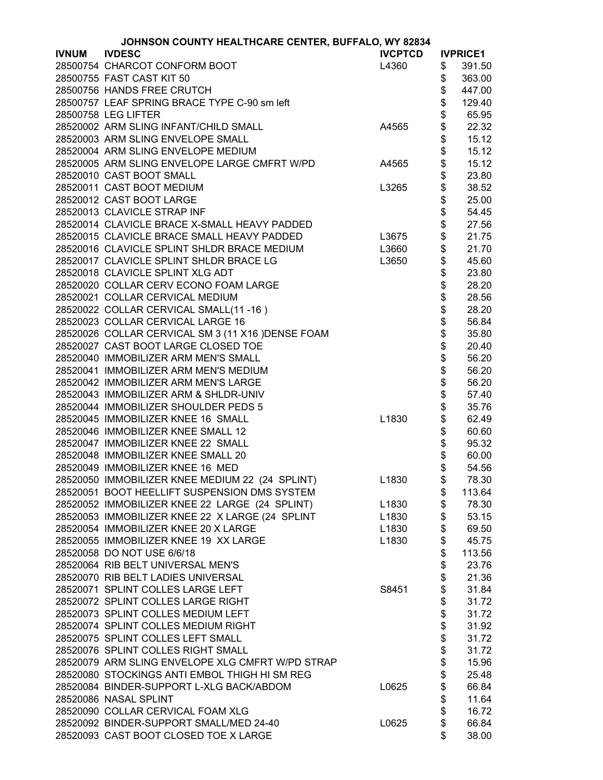| JOHNSON COUNTY HEALTHCARE CENTER, BUFFALO, WY 82834 |                                                    |                |                |                 |
|-----------------------------------------------------|----------------------------------------------------|----------------|----------------|-----------------|
| <b>IVNUM</b>                                        | <b>IVDESC</b>                                      | <b>IVCPTCD</b> |                | <b>IVPRICE1</b> |
|                                                     | 28500754 CHARCOT CONFORM BOOT                      | L4360          | \$             | 391.50          |
|                                                     | 28500755 FAST CAST KIT 50                          |                | \$             | 363.00          |
|                                                     | 28500756 HANDS FREE CRUTCH                         |                | \$             | 447.00          |
|                                                     | 28500757 LEAF SPRING BRACE TYPE C-90 sm left       |                | \$             | 129.40          |
|                                                     | 28500758 LEG LIFTER                                |                | \$             | 65.95           |
|                                                     | 28520002 ARM SLING INFANT/CHILD SMALL              | A4565          | \$             | 22.32           |
|                                                     | 28520003 ARM SLING ENVELOPE SMALL                  |                | \$             | 15.12           |
|                                                     | 28520004 ARM SLING ENVELOPE MEDIUM                 |                | \$             | 15.12           |
|                                                     | 28520005 ARM SLING ENVELOPE LARGE CMFRT W/PD       | A4565          | \$             | 15.12           |
|                                                     |                                                    |                |                |                 |
|                                                     | 28520010 CAST BOOT SMALL                           |                | \$             | 23.80           |
|                                                     | 28520011 CAST BOOT MEDIUM                          | L3265          | \$             | 38.52           |
|                                                     | 28520012 CAST BOOT LARGE                           |                | \$             | 25.00           |
|                                                     | 28520013 CLAVICLE STRAP INF                        |                | \$<br>\$       | 54.45           |
|                                                     | 28520014 CLAVICLE BRACE X-SMALL HEAVY PADDED       |                |                | 27.56           |
|                                                     | 28520015 CLAVICLE BRACE SMALL HEAVY PADDED         | L3675          |                | 21.75           |
|                                                     | 28520016 CLAVICLE SPLINT SHLDR BRACE MEDIUM        | L3660          | \$             | 21.70           |
|                                                     | 28520017 CLAVICLE SPLINT SHLDR BRACE LG            | L3650          | \$             | 45.60           |
|                                                     | 28520018 CLAVICLE SPLINT XLG ADT                   |                | \$             | 23.80           |
|                                                     | 28520020 COLLAR CERV ECONO FOAM LARGE              |                | \$             | 28.20           |
|                                                     | 28520021 COLLAR CERVICAL MEDIUM                    |                | \$             | 28.56           |
|                                                     | 28520022 COLLAR CERVICAL SMALL(11-16)              |                | \$             | 28.20           |
|                                                     | 28520023 COLLAR CERVICAL LARGE 16                  |                | \$             | 56.84           |
|                                                     | 28520026 COLLAR CERVICAL SM 3 (11 X16 ) DENSE FOAM |                | \$             | 35.80           |
|                                                     | 28520027 CAST BOOT LARGE CLOSED TOE                |                |                | 20.40           |
|                                                     | 28520040 IMMOBILIZER ARM MEN'S SMALL               |                | \$\$\$\$\$\$\$ | 56.20           |
|                                                     | 28520041 IMMOBILIZER ARM MEN'S MEDIUM              |                |                | 56.20           |
|                                                     | 28520042 IMMOBILIZER ARM MEN'S LARGE               |                |                | 56.20           |
|                                                     | 28520043 IMMOBILIZER ARM & SHLDR-UNIV              |                |                | 57.40           |
|                                                     | 28520044 IMMOBILIZER SHOULDER PEDS 5               |                |                | 35.76           |
|                                                     | 28520045 IMMOBILIZER KNEE 16 SMALL                 | L1830          | \$             | 62.49           |
|                                                     |                                                    |                |                |                 |
|                                                     | 28520046 IMMOBILIZER KNEE SMALL 12                 |                | \$             | 60.60           |
|                                                     | 28520047 IMMOBILIZER KNEE 22 SMALL                 |                | \$             | 95.32           |
|                                                     | 28520048 IMMOBILIZER KNEE SMALL 20                 |                | \$             | 60.00           |
|                                                     | 28520049 IMMOBILIZER KNEE 16 MED                   |                | \$             | 54.56           |
|                                                     | 28520050 IMMOBILIZER KNEE MEDIUM 22 (24 SPLINT)    | L1830          | \$             | 78.30           |
|                                                     | 28520051 BOOT HEELLIFT SUSPENSION DMS SYSTEM       |                | \$             | 113.64          |
|                                                     | 28520052 IMMOBILIZER KNEE 22 LARGE (24 SPLINT)     | L1830          | \$             | 78.30           |
|                                                     | 28520053 IMMOBILIZER KNEE 22 X LARGE (24 SPLINT    | L1830          | \$             | 53.15           |
|                                                     | 28520054 IMMOBILIZER KNEE 20 X LARGE               | L1830          | \$             | 69.50           |
|                                                     | 28520055 IMMOBILIZER KNEE 19 XX LARGE              | L1830          | \$             | 45.75           |
|                                                     | 28520058 DO NOT USE 6/6/18                         |                | \$             | 113.56          |
|                                                     | 28520064 RIB BELT UNIVERSAL MEN'S                  |                | \$             | 23.76           |
|                                                     | 28520070 RIB BELT LADIES UNIVERSAL                 |                |                | 21.36           |
|                                                     | 28520071 SPLINT COLLES LARGE LEFT                  | S8451          | \$\$           | 31.84           |
|                                                     | 28520072 SPLINT COLLES LARGE RIGHT                 |                |                | 31.72           |
|                                                     | 28520073 SPLINT COLLES MEDIUM LEFT                 |                |                | 31.72           |
|                                                     | 28520074 SPLINT COLLES MEDIUM RIGHT                |                |                | 31.92           |
|                                                     | 28520075 SPLINT COLLES LEFT SMALL                  |                |                | 31.72           |
|                                                     | 28520076 SPLINT COLLES RIGHT SMALL                 |                |                | 31.72           |
|                                                     | 28520079 ARM SLING ENVELOPE XLG CMFRT W/PD STRAP   |                | \$\$\$\$\$\$\$ | 15.96           |
|                                                     | 28520080 STOCKINGS ANTI EMBOL THIGH HI SM REG      |                |                | 25.48           |
|                                                     | 28520084 BINDER-SUPPORT L-XLG BACK/ABDOM           | L0625          | \$             | 66.84           |
|                                                     | 28520086 NASAL SPLINT                              |                | \$             | 11.64           |
|                                                     |                                                    |                | \$             |                 |
|                                                     | 28520090 COLLAR CERVICAL FOAM XLG                  |                |                | 16.72           |
|                                                     | 28520092 BINDER-SUPPORT SMALL/MED 24-40            | L0625          | \$             | 66.84           |
|                                                     | 28520093 CAST BOOT CLOSED TOE X LARGE              |                | \$             | 38.00           |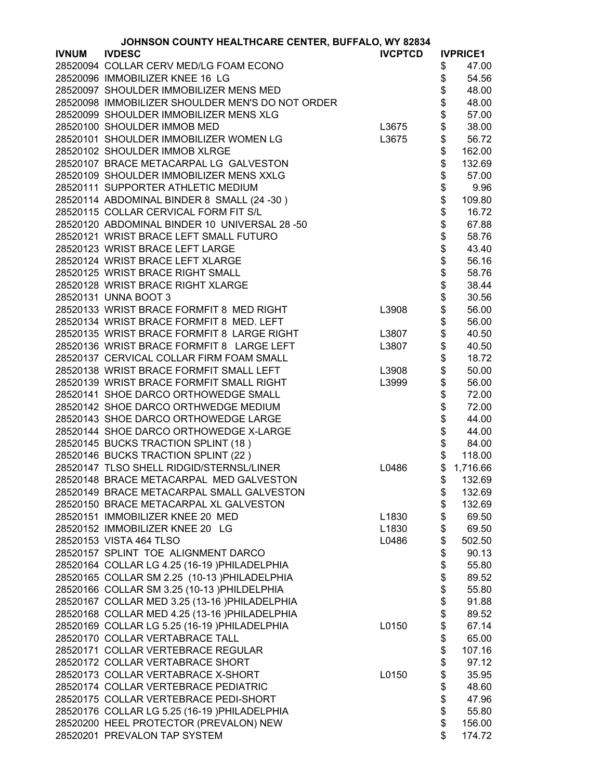|              | JOHNSON COUNTY HEALTHCARE CENTER, BUFFALO, WY 82834 |                |          |                         |
|--------------|-----------------------------------------------------|----------------|----------|-------------------------|
| <b>IVNUM</b> | <b>IVDESC</b>                                       | <b>IVCPTCD</b> |          | <b>IVPRICE1</b>         |
|              | 28520094 COLLAR CERV MED/LG FOAM ECONO              |                | \$       | 47.00                   |
|              | 28520096 IMMOBILIZER KNEE 16 LG                     |                | \$       | 54.56                   |
|              | 28520097 SHOULDER IMMOBILIZER MENS MED              |                | \$       | 48.00                   |
|              | 28520098 IMMOBILIZER SHOULDER MEN'S DO NOT ORDER    |                | \$       | 48.00                   |
|              | 28520099 SHOULDER IMMOBILIZER MENS XLG              |                | \$       | 57.00                   |
|              | 28520100 SHOULDER IMMOB MED                         | L3675          | \$       | 38.00                   |
|              | 28520101 SHOULDER IMMOBILIZER WOMEN LG              | L3675          | \$       | 56.72                   |
|              | 28520102 SHOULDER IMMOB XLRGE                       |                | \$       | 162.00                  |
|              | 28520107 BRACE METACARPAL LG GALVESTON              |                | \$       | 132.69                  |
|              | 28520109 SHOULDER IMMOBILIZER MENS XXLG             |                | \$       | 57.00                   |
|              | 28520111 SUPPORTER ATHLETIC MEDIUM                  |                |          | 9.96                    |
|              |                                                     |                | \$<br>\$ |                         |
|              | 28520114 ABDOMINAL BINDER 8 SMALL (24 - 30)         |                |          | 109.80                  |
|              | 28520115 COLLAR CERVICAL FORM FIT S/L               |                | \$       | 16.72                   |
|              | 28520120 ABDOMINAL BINDER 10 UNIVERSAL 28 -50       |                | \$\$\$   | 67.88                   |
|              | 28520121 WRIST BRACE LEFT SMALL FUTURO              |                |          | 58.76                   |
|              | 28520123 WRIST BRACE LEFT LARGE                     |                |          | 43.40                   |
|              | 28520124 WRIST BRACE LEFT XLARGE                    |                |          | 56.16                   |
|              | 28520125 WRIST BRACE RIGHT SMALL                    |                | \$       | 58.76                   |
|              | 28520128 WRIST BRACE RIGHT XLARGE                   |                | \$       | 38.44                   |
|              | 28520131 UNNA BOOT 3                                |                | \$       | 30.56                   |
|              | 28520133 WRIST BRACE FORMFIT 8 MED RIGHT            | L3908          | \$       | 56.00                   |
|              | 28520134 WRIST BRACE FORMFIT 8 MED. LEFT            |                | \$       | 56.00                   |
|              | 28520135 WRIST BRACE FORMFIT 8 LARGE RIGHT          | L3807          | \$       | 40.50                   |
|              | 28520136 WRIST BRACE FORMFIT 8 LARGE LEFT           | L3807          | \$       | 40.50                   |
|              | 28520137 CERVICAL COLLAR FIRM FOAM SMALL            |                | \$       | 18.72                   |
|              | 28520138 WRIST BRACE FORMFIT SMALL LEFT             | L3908          |          | 50.00                   |
|              | 28520139 WRIST BRACE FORMFIT SMALL RIGHT            | L3999          |          | 56.00                   |
|              | 28520141 SHOE DARCO ORTHOWEDGE SMALL                |                | \$\$     | 72.00                   |
|              | 28520142 SHOE DARCO ORTHWEDGE MEDIUM                |                |          | 72.00                   |
|              | 28520143 SHOE DARCO ORTHOWEDGE LARGE                |                | \$<br>\$ | 44.00                   |
|              | 28520144 SHOE DARCO ORTHOWEDGE X-LARGE              |                |          | 44.00                   |
|              | 28520145 BUCKS TRACTION SPLINT (18)                 |                | \$<br>\$ | 84.00                   |
|              | 28520146 BUCKS TRACTION SPLINT (22)                 |                | \$       | 118.00                  |
|              | 28520147 TLSO SHELL RIDGID/STERNSL/LINER            | L0486          | \$       | 1,716.66                |
|              | 28520148 BRACE METACARPAL MED GALVESTON             |                |          | $\frac{1}{2}$<br>132.69 |
|              | 28520149 BRACE METACARPAL SMALL GALVESTON           |                | \$       | 132.69                  |
|              | 28520150 BRACE METACARPAL XL GALVESTON              |                | \$       | 132.69                  |
|              | 28520151 IMMOBILIZER KNEE 20 MED                    | L1830          | \$       | 69.50                   |
|              | 28520152 IMMOBILIZER KNEE 20 LG                     | L1830          | \$       | 69.50                   |
|              | 28520153 VISTA 464 TLSO                             | L0486          | \$       | 502.50                  |
|              | 28520157 SPLINT TOE ALIGNMENT DARCO                 |                | \$       | 90.13                   |
|              | 28520164 COLLAR LG 4.25 (16-19 )PHILADELPHIA        |                | \$       | 55.80                   |
|              |                                                     |                |          |                         |
|              | 28520165 COLLAR SM 2.25 (10-13 )PHILADELPHIA        |                | \$<br>\$ | 89.52                   |
|              | 28520166 COLLAR SM 3.25 (10-13 )PHILDELPHIA         |                |          | 55.80                   |
|              | 28520167 COLLAR MED 3.25 (13-16 )PHILADELPHIA       |                | \$       | 91.88                   |
|              | 28520168 COLLAR MED 4.25 (13-16 )PHILADELPHIA       |                | \$       | 89.52                   |
|              | 28520169 COLLAR LG 5.25 (16-19 )PHILADELPHIA        | L0150          | \$       | 67.14                   |
|              | 28520170 COLLAR VERTABRACE TALL                     |                | \$       | 65.00                   |
|              | 28520171 COLLAR VERTEBRACE REGULAR                  |                | \$       | 107.16                  |
|              | 28520172 COLLAR VERTABRACE SHORT                    |                | \$       | 97.12                   |
|              | 28520173 COLLAR VERTABRACE X-SHORT                  | L0150          | \$       | 35.95                   |
|              | 28520174 COLLAR VERTEBRACE PEDIATRIC                |                | \$       | 48.60                   |
|              | 28520175 COLLAR VERTEBRACE PEDI-SHORT               |                | \$       | 47.96                   |
|              | 28520176 COLLAR LG 5.25 (16-19 )PHILADELPHIA        |                | \$       | 55.80                   |
|              | 28520200 HEEL PROTECTOR (PREVALON) NEW              |                | \$       | 156.00                  |
|              | 28520201 PREVALON TAP SYSTEM                        |                | \$       | 174.72                  |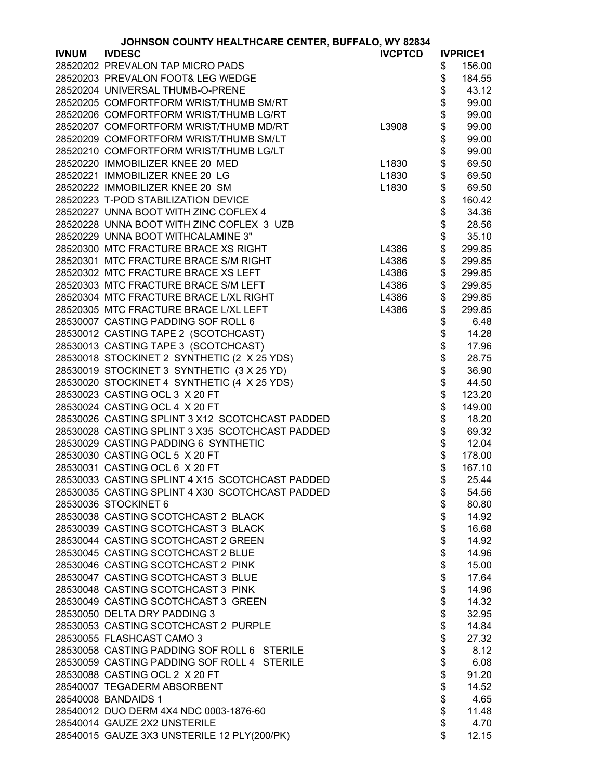|              | JOHNSON COUNTY HEALTHCARE CENTER, BUFFALO, WY 82834 |                |                |                 |  |
|--------------|-----------------------------------------------------|----------------|----------------|-----------------|--|
| <b>IVNUM</b> | <b>IVDESC</b>                                       | <b>IVCPTCD</b> |                | <b>IVPRICE1</b> |  |
|              | 28520202 PREVALON TAP MICRO PADS                    |                | \$             | 156.00          |  |
|              | 28520203 PREVALON FOOT& LEG WEDGE                   |                | \$             | 184.55          |  |
|              | 28520204 UNIVERSAL THUMB-O-PRENE                    |                | \$             | 43.12           |  |
|              | 28520205 COMFORTFORM WRIST/THUMB SM/RT              |                | \$             | 99.00           |  |
|              | 28520206 COMFORTFORM WRIST/THUMB LG/RT              |                | \$             | 99.00           |  |
|              | 28520207 COMFORTFORM WRIST/THUMB MD/RT              | L3908          |                | 99.00           |  |
|              | 28520209 COMFORTFORM WRIST/THUMB SM/LT              |                | \$<br>\$       | 99.00           |  |
|              | 28520210 COMFORTFORM WRIST/THUMB LG/LT              |                | \$             | 99.00           |  |
|              |                                                     |                |                |                 |  |
|              | 28520220 IMMOBILIZER KNEE 20 MED                    | L1830          | \$             | 69.50           |  |
|              | 28520221 IMMOBILIZER KNEE 20 LG                     | L1830          | \$             | 69.50           |  |
|              | 28520222 IMMOBILIZER KNEE 20 SM                     | L1830          | \$             | 69.50           |  |
|              | 28520223 T-POD STABILIZATION DEVICE                 |                | \$             | 160.42          |  |
|              | 28520227 UNNA BOOT WITH ZINC COFLEX 4               |                | \$             | 34.36           |  |
|              | 28520228 UNNA BOOT WITH ZINC COFLEX 3 UZB           |                | \$             | 28.56           |  |
|              | 28520229 UNNA BOOT WITHCALAMINE 3"                  |                | \$             | 35.10           |  |
|              | 28520300 MTC FRACTURE BRACE XS RIGHT                | L4386          | \$             | 299.85          |  |
|              | 28520301 MTC FRACTURE BRACE S/M RIGHT               | L4386          | \$             | 299.85          |  |
|              | 28520302 MTC FRACTURE BRACE XS LEFT                 | L4386          | \$             | 299.85          |  |
|              | 28520303 MTC FRACTURE BRACE S/M LEFT                | L4386          | \$             | 299.85          |  |
|              | 28520304 MTC FRACTURE BRACE L/XL RIGHT              | L4386          | \$             | 299.85          |  |
|              | 28520305 MTC FRACTURE BRACE L/XL LEFT               | L4386          | \$             | 299.85          |  |
|              | 28530007 CASTING PADDING SOF ROLL 6                 |                |                | 6.48            |  |
|              | 28530012 CASTING TAPE 2 (SCOTCHCAST)                |                |                | 14.28           |  |
|              | 28530013 CASTING TAPE 3 (SCOTCHCAST)                |                |                | 17.96           |  |
|              | 28530018 STOCKINET 2 SYNTHETIC (2 X 25 YDS)         |                |                | 28.75           |  |
|              | 28530019 STOCKINET 3 SYNTHETIC (3 X 25 YD)          |                |                | 36.90           |  |
|              |                                                     |                |                | 44.50           |  |
|              | 28530020 STOCKINET 4 SYNTHETIC (4 X 25 YDS)         |                | \$\$\$\$\$\$\$ |                 |  |
|              | 28530023 CASTING OCL 3 X 20 FT                      |                |                | 123.20          |  |
|              | 28530024 CASTING OCL 4 X 20 FT                      |                | \$             | 149.00          |  |
|              | 28530026 CASTING SPLINT 3 X12 SCOTCHCAST PADDED     |                | \$             | 18.20           |  |
|              | 28530028 CASTING SPLINT 3 X35 SCOTCHCAST PADDED     |                | \$             | 69.32           |  |
|              | 28530029 CASTING PADDING 6 SYNTHETIC                |                | \$             | 12.04           |  |
|              | 28530030 CASTING OCL 5 X 20 FT                      |                | \$             | 178.00          |  |
|              | 28530031 CASTING OCL 6 X 20 FT                      |                | \$             | 167.10          |  |
|              | 28530033 CASTING SPLINT 4 X15 SCOTCHCAST PADDED     |                | \$             | 25.44           |  |
|              | 28530035 CASTING SPLINT 4 X30 SCOTCHCAST PADDED     |                | \$             | 54.56           |  |
|              | 28530036 STOCKINET 6                                |                | \$             | 80.80           |  |
|              | 28530038 CASTING SCOTCHCAST 2 BLACK                 |                | \$             | 14.92           |  |
|              | 28530039 CASTING SCOTCHCAST 3 BLACK                 |                |                | 16.68           |  |
|              | 28530044 CASTING SCOTCHCAST 2 GREEN                 |                |                | 14.92           |  |
|              | 28530045 CASTING SCOTCHCAST 2 BLUE                  |                | \$\$\$\$\$\$\$ | 14.96           |  |
|              | 28530046 CASTING SCOTCHCAST 2 PINK                  |                |                | 15.00           |  |
|              | 28530047 CASTING SCOTCHCAST 3 BLUE                  |                |                | 17.64           |  |
|              | 28530048 CASTING SCOTCHCAST 3 PINK                  |                |                | 14.96           |  |
|              | 28530049 CASTING SCOTCHCAST 3 GREEN                 |                |                | 14.32           |  |
|              | 28530050 DELTA DRY PADDING 3                        |                | \$             | 32.95           |  |
|              | 28530053 CASTING SCOTCHCAST 2 PURPLE                |                | \$             | 14.84           |  |
|              | 28530055 FLASHCAST CAMO 3                           |                | \$             | 27.32           |  |
|              | 28530058 CASTING PADDING SOF ROLL 6 STERILE         |                | \$             | 8.12            |  |
|              | 28530059 CASTING PADDING SOF ROLL 4 STERILE         |                | \$             | 6.08            |  |
|              | 28530088 CASTING OCL 2 X 20 FT                      |                | \$             | 91.20           |  |
|              | 28540007 TEGADERM ABSORBENT                         |                | \$             | 14.52           |  |
|              | 28540008 BANDAIDS 1                                 |                | \$             | 4.65            |  |
|              |                                                     |                | \$             |                 |  |
|              | 28540012 DUO DERM 4X4 NDC 0003-1876-60              |                | \$             | 11.48           |  |
|              | 28540014 GAUZE 2X2 UNSTERILE                        |                |                | 4.70            |  |
|              | 28540015 GAUZE 3X3 UNSTERILE 12 PLY(200/PK)         |                | \$             | 12.15           |  |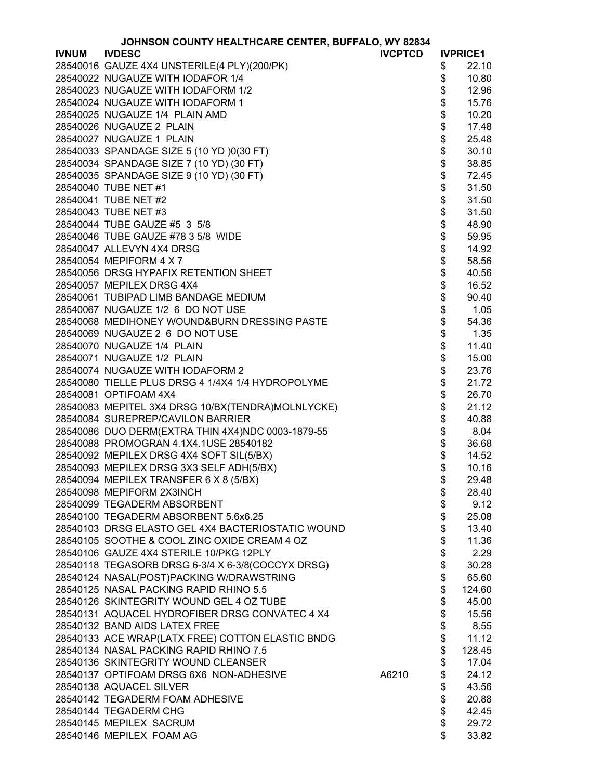|              | JOHNSON COUNTY HEALTHCARE CENTER, BUFFALO, WY 82834                                   |                |                                          |                 |
|--------------|---------------------------------------------------------------------------------------|----------------|------------------------------------------|-----------------|
| <b>IVNUM</b> | <b>IVDESC</b>                                                                         | <b>IVCPTCD</b> |                                          | <b>IVPRICE1</b> |
|              | 28540016 GAUZE 4X4 UNSTERILE(4 PLY)(200/PK)                                           |                | \$                                       | 22.10           |
|              | 28540022 NUGAUZE WITH IODAFOR 1/4                                                     |                | \$                                       | 10.80           |
|              | 28540023 NUGAUZE WITH IODAFORM 1/2                                                    |                | \$                                       | 12.96           |
|              | 28540024 NUGAUZE WITH IODAFORM 1                                                      |                | \$                                       | 15.76           |
|              | 28540025 NUGAUZE 1/4 PLAIN AMD                                                        |                |                                          | 10.20           |
|              | 28540026 NUGAUZE 2 PLAIN                                                              |                |                                          | 17.48           |
|              | 28540027 NUGAUZE 1 PLAIN                                                              |                |                                          | 25.48           |
|              | 28540033 SPANDAGE SIZE 5 (10 YD )0(30 FT)                                             |                |                                          | 30.10           |
|              | 28540034 SPANDAGE SIZE 7 (10 YD) (30 FT)                                              |                |                                          | 38.85           |
|              | 28540035 SPANDAGE SIZE 9 (10 YD) (30 FT)                                              |                |                                          | 72.45           |
|              | 28540040 TUBE NET #1                                                                  |                |                                          | 31.50           |
|              | 28540041 TUBE NET #2                                                                  |                |                                          | 31.50           |
|              | 28540043 TUBE NET #3                                                                  |                |                                          | 31.50           |
|              | 28540044 TUBE GAUZE #5 3 5/8                                                          |                |                                          | 48.90           |
|              | 28540046 TUBE GAUZE #78 3 5/8 WIDE                                                    |                |                                          | 59.95           |
|              | 28540047 ALLEVYN 4X4 DRSG                                                             |                |                                          | 14.92           |
|              | 28540054 MEPIFORM 4 X 7                                                               |                |                                          | 58.56           |
|              | 28540056 DRSG HYPAFIX RETENTION SHEET                                                 |                |                                          | 40.56           |
|              | 28540057 MEPILEX DRSG 4X4                                                             |                | \$\$\$\$\$\$\$\$\$\$\$\$\$\$\$\$\$\$\$\$ | 16.52           |
|              | 28540061 TUBIPAD LIMB BANDAGE MEDIUM                                                  |                |                                          | 90.40           |
|              | 28540067 NUGAUZE 1/2 6 DO NOT USE                                                     |                | \$                                       | 1.05            |
|              | 28540068 MEDIHONEY WOUND&BURN DRESSING PASTE                                          |                | \$                                       | 54.36           |
|              | 28540069 NUGAUZE 2 6 DO NOT USE                                                       |                | \$                                       | 1.35            |
|              | 28540070 NUGAUZE 1/4 PLAIN                                                            |                |                                          | 11.40           |
|              | 28540071 NUGAUZE 1/2 PLAIN                                                            |                | \$\$\$\$\$\$\$\$\$\$\$                   | 15.00           |
|              |                                                                                       |                |                                          |                 |
|              | 28540074 NUGAUZE WITH IODAFORM 2<br>28540080 TIELLE PLUS DRSG 4 1/4X4 1/4 HYDROPOLYME |                |                                          | 23.76<br>21.72  |
|              |                                                                                       |                |                                          |                 |
|              | 28540081 OPTIFOAM 4X4                                                                 |                |                                          | 26.70           |
|              | 28540083 MEPITEL 3X4 DRSG 10/BX(TENDRA)MOLNLYCKE)                                     |                |                                          | 21.12           |
|              | 28540084 SUREPREP/CAVILON BARRIER                                                     |                |                                          | 40.88           |
|              | 28540086 DUO DERM(EXTRA THIN 4X4)NDC 0003-1879-55                                     |                |                                          | 8.04            |
|              | 28540088 PROMOGRAN 4.1X4.1USE 28540182                                                |                |                                          | 36.68           |
|              | 28540092 MEPILEX DRSG 4X4 SOFT SIL(5/BX)                                              |                | \$                                       | 14.52           |
|              | 28540093 MEPILEX DRSG 3X3 SELF ADH(5/BX)                                              |                |                                          | 10.16           |
|              | 28540094 MEPILEX TRANSFER 6 X 8 (5/BX)                                                |                | \$                                       | 29.48           |
|              | 28540098 MEPIFORM 2X3INCH                                                             |                | \$                                       | 28.40           |
|              | 28540099 TEGADERM ABSORBENT                                                           |                | \$                                       | 9.12            |
|              | 28540100 TEGADERM ABSORBENT 5.6x6.25                                                  |                | \$                                       | 25.08           |
|              | 28540103 DRSG ELASTO GEL 4X4 BACTERIOSTATIC WOUND                                     |                | \$                                       | 13.40           |
|              | 28540105 SOOTHE & COOL ZINC OXIDE CREAM 4 OZ                                          |                | \$                                       | 11.36           |
|              | 28540106 GAUZE 4X4 STERILE 10/PKG 12PLY                                               |                | \$                                       | 2.29            |
|              | 28540118 TEGASORB DRSG 6-3/4 X 6-3/8(COCCYX DRSG)                                     |                | \$<br>\$                                 | 30.28           |
|              | 28540124 NASAL(POST)PACKING W/DRAWSTRING                                              |                |                                          | 65.60           |
|              | 28540125 NASAL PACKING RAPID RHINO 5.5                                                |                | \$                                       | 124.60          |
|              | 28540126 SKINTEGRITY WOUND GEL 4 OZ TUBE                                              |                | \$                                       | 45.00           |
|              | 28540131 AQUACEL HYDROFIBER DRSG CONVATEC 4 X4                                        |                | \$                                       | 15.56           |
|              | 28540132 BAND AIDS LATEX FREE                                                         |                | \$                                       | 8.55            |
|              | 28540133 ACE WRAP(LATX FREE) COTTON ELASTIC BNDG                                      |                | \$                                       | 11.12           |
|              | 28540134 NASAL PACKING RAPID RHINO 7.5                                                |                | \$                                       | 128.45          |
|              | 28540136 SKINTEGRITY WOUND CLEANSER                                                   |                | \$                                       | 17.04           |
|              | 28540137 OPTIFOAM DRSG 6X6 NON-ADHESIVE                                               | A6210          | \$                                       | 24.12           |
|              | 28540138 AQUACEL SILVER                                                               |                | \$                                       | 43.56           |
|              | 28540142 TEGADERM FOAM ADHESIVE                                                       |                | \$                                       | 20.88           |
|              | 28540144 TEGADERM CHG                                                                 |                | \$                                       | 42.45           |
|              | 28540145 MEPILEX SACRUM                                                               |                | \$                                       | 29.72           |
|              | 28540146 MEPILEX FOAM AG                                                              |                | \$                                       | 33.82           |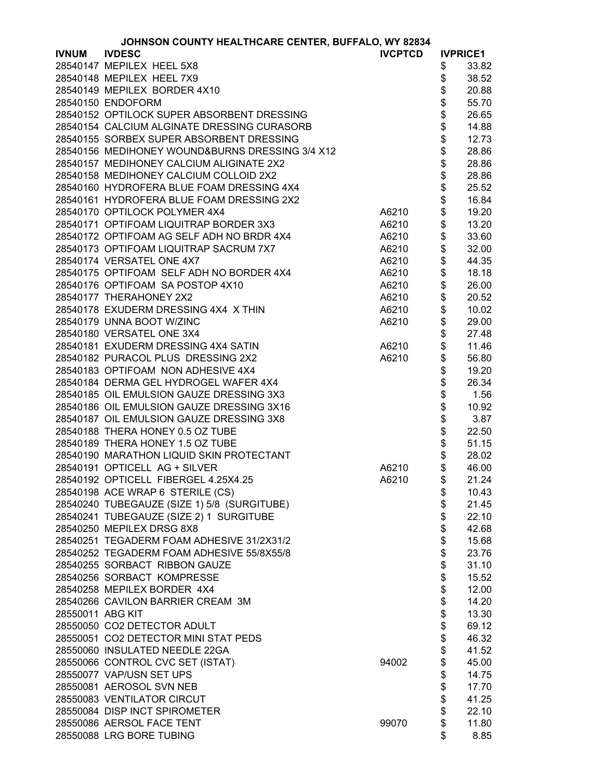|                  | JOHNSON COUNTY HEALTHCARE CENTER, BUFFALO, WY 82834 |                |                 |       |
|------------------|-----------------------------------------------------|----------------|-----------------|-------|
| <b>IVNUM</b>     | <b>IVDESC</b>                                       | <b>IVCPTCD</b> | <b>IVPRICE1</b> |       |
|                  | 28540147 MEPILEX HEEL 5X8                           |                | \$              | 33.82 |
|                  | 28540148 MEPILEX HEEL 7X9                           |                | \$              | 38.52 |
|                  | 28540149 MEPILEX BORDER 4X10                        |                | \$              | 20.88 |
|                  | 28540150 ENDOFORM                                   |                | \$              | 55.70 |
|                  | 28540152 OPTILOCK SUPER ABSORBENT DRESSING          |                | \$              | 26.65 |
|                  | 28540154 CALCIUM ALGINATE DRESSING CURASORB         |                | \$              | 14.88 |
|                  | 28540155 SORBEX SUPER ABSORBENT DRESSING            |                |                 | 12.73 |
|                  | 28540156 MEDIHONEY WOUND&BURNS DRESSING 3/4 X12     |                | \$              | 28.86 |
|                  | 28540157 MEDIHONEY CALCIUM ALIGINATE 2X2            |                | \$              | 28.86 |
|                  | 28540158 MEDIHONEY CALCIUM COLLOID 2X2              |                | \$              | 28.86 |
|                  | 28540160 HYDROFERA BLUE FOAM DRESSING 4X4           |                | \$              | 25.52 |
|                  | 28540161 HYDROFERA BLUE FOAM DRESSING 2X2           |                | \$              | 16.84 |
|                  | 28540170 OPTILOCK POLYMER 4X4                       | A6210          | \$              | 19.20 |
|                  | 28540171 OPTIFOAM LIQUITRAP BORDER 3X3              | A6210          | \$              | 13.20 |
|                  | 28540172 OPTIFOAM AG SELF ADH NO BRDR 4X4           | A6210          | \$              | 33.60 |
|                  | 28540173 OPTIFOAM LIQUITRAP SACRUM 7X7              | A6210          | \$              | 32.00 |
|                  | 28540174 VERSATEL ONE 4X7                           | A6210          | \$              | 44.35 |
|                  | 28540175 OPTIFOAM SELF ADH NO BORDER 4X4            | A6210          | \$              | 18.18 |
|                  | 28540176 OPTIFOAM SA POSTOP 4X10                    | A6210          | \$              | 26.00 |
|                  | 28540177 THERAHONEY 2X2                             | A6210          | \$              | 20.52 |
|                  | 28540178 EXUDERM DRESSING 4X4 X THIN                | A6210          | \$              | 10.02 |
|                  | 28540179 UNNA BOOT W/ZINC                           | A6210          | \$              | 29.00 |
|                  | 28540180 VERSATEL ONE 3X4                           |                | \$              | 27.48 |
|                  | 28540181 EXUDERM DRESSING 4X4 SATIN                 | A6210          | \$              | 11.46 |
|                  | 28540182 PURACOL PLUS DRESSING 2X2                  | A6210          | \$              | 56.80 |
|                  | 28540183 OPTIFOAM NON ADHESIVE 4X4                  |                | \$              | 19.20 |
|                  | 28540184 DERMA GEL HYDROGEL WAFER 4X4               |                | \$              | 26.34 |
|                  | 28540185 OIL EMULSION GAUZE DRESSING 3X3            |                | \$              | 1.56  |
|                  | 28540186 OIL EMULSION GAUZE DRESSING 3X16           |                | \$              | 10.92 |
|                  | 28540187 OIL EMULSION GAUZE DRESSING 3X8            |                | \$              | 3.87  |
|                  | 28540188 THERA HONEY 0.5 OZ TUBE                    |                | \$              | 22.50 |
|                  | 28540189 THERA HONEY 1.5 OZ TUBE                    |                | \$              | 51.15 |
|                  | 28540190 MARATHON LIQUID SKIN PROTECTANT            |                | \$              | 28.02 |
|                  | 28540191 OPTICELL AG + SILVER                       | A6210          | \$              | 46.00 |
|                  | 28540192 OPTICELL FIBERGEL 4.25X4.25                | A6210          | \$              | 21.24 |
|                  | 28540198 ACE WRAP 6 STERILE (CS)                    |                | \$              | 10.43 |
|                  | 28540240 TUBEGAUZE (SIZE 1) 5/8 (SURGITUBE)         |                | \$              | 21.45 |
|                  | 28540241 TUBEGAUZE (SIZE 2) 1 SURGITUBE             |                | \$              | 22.10 |
|                  | 28540250 MEPILEX DRSG 8X8                           |                |                 | 42.68 |
|                  | 28540251 TEGADERM FOAM ADHESIVE 31/2X31/2           |                | \$<br>\$        | 15.68 |
|                  | 28540252 TEGADERM FOAM ADHESIVE 55/8X55/8           |                | \$              | 23.76 |
|                  | 28540255 SORBACT RIBBON GAUZE                       |                | \$              | 31.10 |
|                  | 28540256 SORBACT KOMPRESSE                          |                | \$              | 15.52 |
|                  | 28540258 MEPILEX BORDER 4X4                         |                | \$              | 12.00 |
|                  | 28540266 CAVILON BARRIER CREAM 3M                   |                | \$              | 14.20 |
| 28550011 ABG KIT |                                                     |                | \$              | 13.30 |
|                  | 28550050 CO2 DETECTOR ADULT                         |                |                 | 69.12 |
|                  | 28550051 CO2 DETECTOR MINI STAT PEDS                |                |                 | 46.32 |
|                  | 28550060 INSULATED NEEDLE 22GA                      |                |                 | 41.52 |
|                  | 28550066 CONTROL CVC SET (ISTAT)                    | 94002          | \$\$\$          | 45.00 |
|                  | 28550077 VAP/USN SET UPS                            |                | \$              | 14.75 |
|                  | 28550081 AEROSOL SVN NEB                            |                | \$              | 17.70 |
|                  | 28550083 VENTILATOR CIRCUT                          |                | \$              | 41.25 |
|                  | 28550084 DISP INCT SPIROMETER                       |                | \$              | 22.10 |
|                  | 28550086 AERSOL FACE TENT                           | 99070          | \$              | 11.80 |
|                  | 28550088 LRG BORE TUBING                            |                | \$              | 8.85  |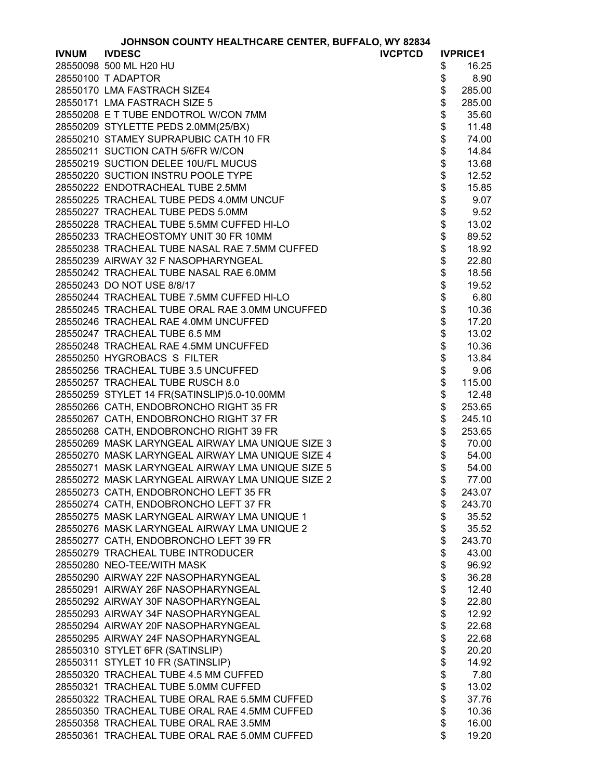| JOHNSON COUNTY HEALTHCARE CENTER, BUFFALO, WY 82834 |  |  |
|-----------------------------------------------------|--|--|
|-----------------------------------------------------|--|--|

|              | JOHNSON COUNTY HEALTHCARE CENTER, BUFFALO, WY 82834 |          |                 |
|--------------|-----------------------------------------------------|----------|-----------------|
| <b>IVNUM</b> | <b>IVDESC</b><br><b>IVCPTCD</b>                     |          | <b>IVPRICE1</b> |
|              | 28550098 500 ML H20 HU                              | \$       | 16.25           |
|              | 28550100 T ADAPTOR                                  | \$       | 8.90            |
|              | 28550170 LMA FASTRACH SIZE4                         | \$       | 285.00          |
|              | 28550171 LMA FASTRACH SIZE 5                        | \$       | 285.00          |
|              | 28550208 E T TUBE ENDOTROL W/CON 7MM                | \$       | 35.60           |
|              | 28550209 STYLETTE PEDS 2.0MM(25/BX)                 | \$       | 11.48           |
|              | 28550210 STAMEY SUPRAPUBIC CATH 10 FR               | \$       | 74.00           |
|              | 28550211 SUCTION CATH 5/6FR W/CON                   | \$       | 14.84           |
|              | 28550219 SUCTION DELEE 10U/FL MUCUS                 | \$       | 13.68           |
|              | 28550220 SUCTION INSTRU POOLE TYPE                  | \$       | 12.52           |
|              | 28550222 ENDOTRACHEAL TUBE 2.5MM                    | \$       | 15.85           |
|              | 28550225 TRACHEAL TUBE PEDS 4.0MM UNCUF             | \$       | 9.07            |
|              | 28550227 TRACHEAL TUBE PEDS 5.0MM                   | \$       | 9.52            |
|              | 28550228 TRACHEAL TUBE 5.5MM CUFFED HI-LO           | \$       | 13.02           |
|              | 28550233 TRACHEOSTOMY UNIT 30 FR 10MM               | \$       | 89.52           |
|              | 28550238 TRACHEAL TUBE NASAL RAE 7.5MM CUFFED       | \$       | 18.92           |
|              | 28550239 AIRWAY 32 F NASOPHARYNGEAL                 | \$       | 22.80           |
|              | 28550242 TRACHEAL TUBE NASAL RAE 6.0MM              |          | 18.56           |
|              | 28550243 DO NOT USE 8/8/17                          | \$<br>\$ | 19.52           |
|              | 28550244 TRACHEAL TUBE 7.5MM CUFFED HI-LO           | \$       | 6.80            |
|              | 28550245 TRACHEAL TUBE ORAL RAE 3.0MM UNCUFFED      |          | 10.36           |
|              | 28550246 TRACHEAL RAE 4.0MM UNCUFFED                | \$\$     | 17.20           |
|              |                                                     |          |                 |
|              | 28550247 TRACHEAL TUBE 6.5 MM                       |          | 13.02           |
|              | 28550248 TRACHEAL RAE 4.5MM UNCUFFED                | \$       | 10.36           |
|              | 28550250 HYGROBACS S FILTER                         | \$       | 13.84           |
|              | 28550256 TRACHEAL TUBE 3.5 UNCUFFED                 | \$       | 9.06            |
|              | 28550257 TRACHEAL TUBE RUSCH 8.0                    | \$       | 115.00          |
|              | 28550259 STYLET 14 FR(SATINSLIP)5.0-10.00MM         | \$       | 12.48           |
|              | 28550266 CATH, ENDOBRONCHO RIGHT 35 FR              | \$       | 253.65          |
|              | 28550267 CATH, ENDOBRONCHO RIGHT 37 FR              | \$       | 245.10          |
|              | 28550268 CATH, ENDOBRONCHO RIGHT 39 FR              | \$       | 253.65          |
|              | 28550269 MASK LARYNGEAL AIRWAY LMA UNIQUE SIZE 3    | \$       | 70.00           |
|              | 28550270 MASK LARYNGEAL AIRWAY LMA UNIQUE SIZE 4    | \$       | 54.00           |
|              | 28550271 MASK LARYNGEAL AIRWAY LMA UNIQUE SIZE 5    | \$       | 54.00           |
|              | 28550272 MASK LARYNGEAL AIRWAY LMA UNIQUE SIZE 2    | \$       | 77.00           |
|              | 28550273 CATH, ENDOBRONCHO LEFT 35 FR               | \$       | 243.07          |
|              | 28550274 CATH, ENDOBRONCHO LEFT 37 FR               | \$       | 243.70          |
|              | 28550275 MASK LARYNGEAL AIRWAY LMA UNIQUE 1         | \$       | 35.52           |
|              | 28550276 MASK LARYNGEAL AIRWAY LMA UNIQUE 2         | \$       | 35.52           |
|              | 28550277 CATH, ENDOBRONCHO LEFT 39 FR               | \$       | 243.70          |
|              | 28550279 TRACHEAL TUBE INTRODUCER                   | \$       | 43.00           |
|              | 28550280 NEO-TEE/WITH MASK                          | \$       | 96.92           |
|              | 28550290 AIRWAY 22F NASOPHARYNGEAL                  | \$       | 36.28           |
|              | 28550291 AIRWAY 26F NASOPHARYNGEAL                  | \$       | 12.40           |
|              | 28550292 AIRWAY 30F NASOPHARYNGEAL                  | \$       | 22.80           |
|              | 28550293 AIRWAY 34F NASOPHARYNGEAL                  | \$       | 12.92           |
|              | 28550294 AIRWAY 20F NASOPHARYNGEAL                  | \$       | 22.68           |
|              | 28550295 AIRWAY 24F NASOPHARYNGEAL                  | \$       | 22.68           |
|              | 28550310 STYLET 6FR (SATINSLIP)                     | \$       | 20.20           |
|              | 28550311 STYLET 10 FR (SATINSLIP)                   | \$       | 14.92           |
|              | 28550320 TRACHEAL TUBE 4.5 MM CUFFED                | \$       | 7.80            |
|              | 28550321 TRACHEAL TUBE 5.0MM CUFFED                 | \$       | 13.02           |
|              | 28550322 TRACHEAL TUBE ORAL RAE 5.5MM CUFFED        | \$       | 37.76           |
|              | 28550350 TRACHEAL TUBE ORAL RAE 4.5MM CUFFED        | \$       | 10.36           |
|              | 28550358 TRACHEAL TUBE ORAL RAE 3.5MM               | \$       | 16.00           |
|              | 28550361 TRACHEAL TUBE ORAL RAE 5.0MM CUFFED        | \$       | 19.20           |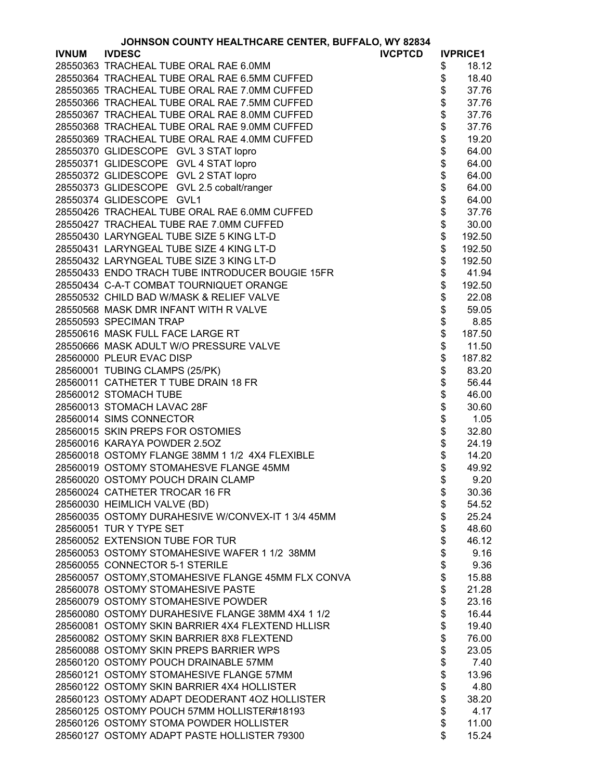|              | JOHNSON COUNTY HEALTHCARE CENTER, BUFFALO, WY 82834 |            |                 |
|--------------|-----------------------------------------------------|------------|-----------------|
| <b>IVNUM</b> | <b>IVDESC</b><br><b>IVCPTCD</b>                     |            | <b>IVPRICE1</b> |
|              | 28550363 TRACHEAL TUBE ORAL RAE 6.0MM               | \$         | 18.12           |
|              | 28550364 TRACHEAL TUBE ORAL RAE 6.5MM CUFFED        | \$         | 18.40           |
|              | 28550365 TRACHEAL TUBE ORAL RAE 7.0MM CUFFED        | \$         | 37.76           |
|              | 28550366 TRACHEAL TUBE ORAL RAE 7.5MM CUFFED        | \$         | 37.76           |
|              | 28550367 TRACHEAL TUBE ORAL RAE 8.0MM CUFFED        | \$         | 37.76           |
|              | 28550368 TRACHEAL TUBE ORAL RAE 9.0MM CUFFED        | \$         | 37.76           |
|              | 28550369 TRACHEAL TUBE ORAL RAE 4.0MM CUFFED        | \$         | 19.20           |
|              | 28550370 GLIDESCOPE GVL 3 STAT lopro                | \$         |                 |
|              |                                                     |            | 64.00           |
|              | 28550371 GLIDESCOPE GVL 4 STAT lopro                |            | 64.00           |
|              | 28550372 GLIDESCOPE GVL 2 STAT lopro                | \$\$\$\$\$ | 64.00           |
|              | 28550373 GLIDESCOPE GVL 2.5 cobalt/ranger           |            | 64.00           |
|              | 28550374 GLIDESCOPE GVL1                            |            | 64.00           |
|              | 28550426 TRACHEAL TUBE ORAL RAE 6.0MM CUFFED        |            | 37.76           |
|              | 28550427 TRACHEAL TUBE RAE 7.0MM CUFFED             | \$         | 30.00           |
|              | 28550430 LARYNGEAL TUBE SIZE 5 KING LT-D            | \$         | 192.50          |
|              | 28550431 LARYNGEAL TUBE SIZE 4 KING LT-D            | \$         | 192.50          |
|              | 28550432 LARYNGEAL TUBE SIZE 3 KING LT-D            | \$         | 192.50          |
|              | 28550433 ENDO TRACH TUBE INTRODUCER BOUGIE 15FR     | \$         | 41.94           |
|              | 28550434 C-A-T COMBAT TOURNIQUET ORANGE             | \$         | 192.50          |
|              | 28550532 CHILD BAD W/MASK & RELIEF VALVE            | \$         | 22.08           |
|              | 28550568 MASK DMR INFANT WITH R VALVE               | \$         | 59.05           |
|              | 28550593 SPECIMAN TRAP                              | \$         | 8.85            |
|              |                                                     | \$         |                 |
|              | 28550616 MASK FULL FACE LARGE RT                    |            | 187.50          |
|              | 28550666 MASK ADULT W/O PRESSURE VALVE              | \$         | 11.50           |
|              | 28560000 PLEUR EVAC DISP                            | \$         | 187.82          |
|              | 28560001 TUBING CLAMPS (25/PK)                      | \$         | 83.20           |
|              | 28560011 CATHETER T TUBE DRAIN 18 FR                | \$         | 56.44           |
|              | 28560012 STOMACH TUBE                               | \$         | 46.00           |
|              | 28560013 STOMACH LAVAC 28F                          | \$         | 30.60           |
|              | 28560014 SIMS CONNECTOR                             | \$<br>\$   | 1.05            |
|              | 28560015 SKIN PREPS FOR OSTOMIES                    |            | 32.80           |
|              | 28560016 KARAYA POWDER 2.5OZ                        | \$         | 24.19           |
|              | 28560018 OSTOMY FLANGE 38MM 1 1/2 4X4 FLEXIBLE      | \$         | 14.20           |
|              | 28560019 OSTOMY STOMAHESVE FLANGE 45MM              | \$         | 49.92           |
|              | 28560020 OSTOMY POUCH DRAIN CLAMP                   | \$         | 9.20            |
|              | 28560024 CATHETER TROCAR 16 FR                      | \$         | 30.36           |
|              | 28560030 HEIMLICH VALVE (BD)                        | \$         | 54.52           |
|              | 28560035 OSTOMY DURAHESIVE W/CONVEX-IT 1 3/4 45MM   | \$         | 25.24           |
|              | 28560051 TUR Y TYPE SET                             | \$         | 48.60           |
|              | 28560052 EXTENSION TUBE FOR TUR                     | \$         | 46.12           |
|              | 28560053 OSTOMY STOMAHESIVE WAFER 1 1/2 38MM        | \$         | 9.16            |
|              | 28560055 CONNECTOR 5-1 STERILE                      | \$         | 9.36            |
|              | 28560057 OSTOMY, STOMAHESIVE FLANGE 45MM FLX CONVA  | \$         | 15.88           |
|              | 28560078 OSTOMY STOMAHESIVE PASTE                   |            |                 |
|              |                                                     | \$         | 21.28           |
|              | 28560079 OSTOMY STOMAHESIVE POWDER                  | \$         | 23.16           |
|              | 28560080 OSTOMY DURAHESIVE FLANGE 38MM 4X4 1 1/2    | \$         | 16.44           |
|              | 28560081 OSTOMY SKIN BARRIER 4X4 FLEXTEND HLLISR    | \$         | 19.40           |
|              | 28560082 OSTOMY SKIN BARRIER 8X8 FLEXTEND           | \$         | 76.00           |
|              | 28560088 OSTOMY SKIN PREPS BARRIER WPS              | \$         | 23.05           |
|              | 28560120 OSTOMY POUCH DRAINABLE 57MM                | \$         | 7.40            |
|              | 28560121 OSTOMY STOMAHESIVE FLANGE 57MM             | \$         | 13.96           |
|              | 28560122 OSTOMY SKIN BARRIER 4X4 HOLLISTER          | \$         | 4.80            |
|              | 28560123 OSTOMY ADAPT DEODERANT 4OZ HOLLISTER       | \$         | 38.20           |
|              | 28560125 OSTOMY POUCH 57MM HOLLISTER#18193          | \$         | 4.17            |
|              | 28560126 OSTOMY STOMA POWDER HOLLISTER              | \$         | 11.00           |
|              | 28560127 OSTOMY ADAPT PASTE HOLLISTER 79300         | \$         | 15.24           |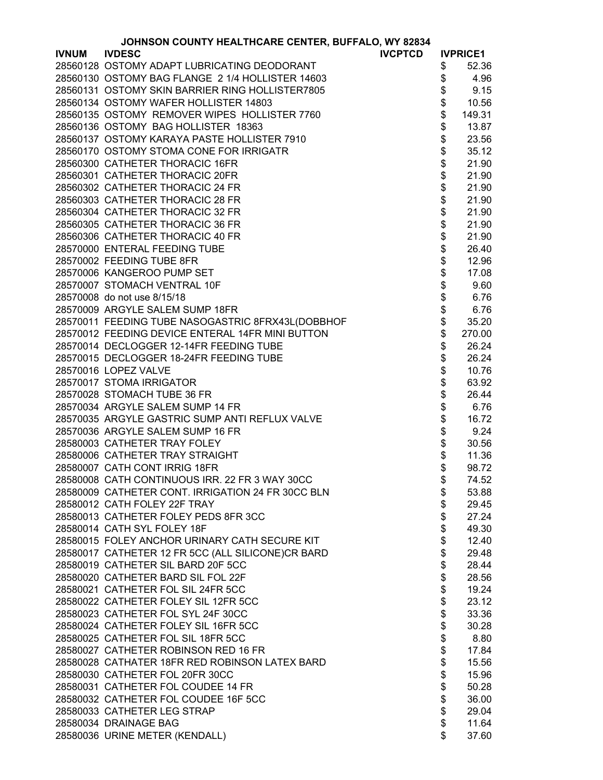|              | JOHNSON COUNTY HEALTHCARE CENTER, BUFFALO, WY 82834 |                |                              |                 |
|--------------|-----------------------------------------------------|----------------|------------------------------|-----------------|
| <b>IVNUM</b> | <b>IVDESC</b>                                       | <b>IVCPTCD</b> |                              | <b>IVPRICE1</b> |
|              | 28560128 OSTOMY ADAPT LUBRICATING DEODORANT         |                | \$                           | 52.36           |
|              | 28560130 OSTOMY BAG FLANGE 2 1/4 HOLLISTER 14603    |                | \$                           | 4.96            |
|              | 28560131 OSTOMY SKIN BARRIER RING HOLLISTER7805     |                | \$                           | 9.15            |
|              | 28560134 OSTOMY WAFER HOLLISTER 14803               |                | \$                           | 10.56           |
|              | 28560135 OSTOMY REMOVER WIPES HOLLISTER 7760        |                | \$                           | 149.31          |
|              | 28560136 OSTOMY BAG HOLLISTER 18363                 |                | \$                           | 13.87           |
|              | 28560137 OSTOMY KARAYA PASTE HOLLISTER 7910         |                |                              | 23.56           |
|              | 28560170 OSTOMY STOMA CONE FOR IRRIGATR             |                |                              | 35.12           |
|              | 28560300 CATHETER THORACIC 16FR                     |                |                              | 21.90           |
|              | 28560301 CATHETER THORACIC 20FR                     |                |                              | 21.90           |
|              | 28560302 CATHETER THORACIC 24 FR                    |                |                              | 21.90           |
|              | 28560303 CATHETER THORACIC 28 FR                    |                |                              | 21.90           |
|              |                                                     |                |                              |                 |
|              | 28560304 CATHETER THORACIC 32 FR                    |                |                              | 21.90           |
|              | 28560305 CATHETER THORACIC 36 FR                    |                | \$\$\$\$\$\$\$\$\$\$\$\$\$\$ | 21.90           |
|              | 28560306 CATHETER THORACIC 40 FR                    |                |                              | 21.90           |
|              | 28570000 ENTERAL FEEDING TUBE                       |                |                              | 26.40           |
|              | 28570002 FEEDING TUBE 8FR                           |                |                              | 12.96           |
|              | 28570006 KANGEROO PUMP SET                          |                |                              | 17.08           |
|              | 28570007 STOMACH VENTRAL 10F                        |                | \$                           | 9.60            |
|              | 28570008 do not use 8/15/18                         |                | \$                           | 6.76            |
|              | 28570009 ARGYLE SALEM SUMP 18FR                     |                | \$                           | 6.76            |
|              | 28570011 FEEDING TUBE NASOGASTRIC 8FRX43L(DOBBHOF   |                | \$                           | 35.20           |
|              | 28570012 FEEDING DEVICE ENTERAL 14FR MINI BUTTON    |                | \$                           | 270.00          |
|              | 28570014 DECLOGGER 12-14FR FEEDING TUBE             |                |                              | 26.24           |
|              | 28570015 DECLOGGER 18-24FR FEEDING TUBE             |                |                              | 26.24           |
|              | 28570016 LOPEZ VALVE                                |                | \$\$\$\$\$\$\$\$\$\$         | 10.76           |
|              | 28570017 STOMA IRRIGATOR                            |                |                              | 63.92           |
|              | 28570028 STOMACH TUBE 36 FR                         |                |                              | 26.44           |
|              | 28570034 ARGYLE SALEM SUMP 14 FR                    |                |                              | 6.76            |
|              | 28570035 ARGYLE GASTRIC SUMP ANTI REFLUX VALVE      |                |                              | 16.72           |
|              | 28570036 ARGYLE SALEM SUMP 16 FR                    |                |                              | 9.24            |
|              | 28580003 CATHETER TRAY FOLEY                        |                |                              | 30.56           |
|              | 28580006 CATHETER TRAY STRAIGHT                     |                | \$                           | 11.36           |
|              | 28580007 CATH CONT IRRIG 18FR                       |                | \$                           | 98.72           |
|              | 28580008 CATH CONTINUOUS IRR. 22 FR 3 WAY 30CC      |                | \$                           | 74.52           |
|              | 28580009 CATHETER CONT. IRRIGATION 24 FR 30CC BLN   |                | \$                           | 53.88           |
|              | 28580012 CATH FOLEY 22F TRAY                        |                | \$                           | 29.45           |
|              | 28580013 CATHETER FOLEY PEDS 8FR 3CC                |                | \$                           | 27.24           |
|              | 28580014 CATH SYL FOLEY 18F                         |                | \$                           | 49.30           |
|              | 28580015 FOLEY ANCHOR URINARY CATH SECURE KIT       |                |                              | 12.40           |
|              | 28580017 CATHETER 12 FR 5CC (ALL SILICONE)CR BARD   |                |                              | 29.48           |
|              | 28580019 CATHETER SIL BARD 20F 5CC                  |                |                              | 28.44           |
|              | 28580020 CATHETER BARD SIL FOL 22F                  |                |                              | 28.56           |
|              | 28580021 CATHETER FOL SIL 24FR 5CC                  |                |                              | 19.24           |
|              | 28580022 CATHETER FOLEY SIL 12FR 5CC                |                | \$\$\$\$\$\$\$               | 23.12           |
|              | 28580023 CATHETER FOL SYL 24F 30CC                  |                |                              | 33.36           |
|              | 28580024 CATHETER FOLEY SIL 16FR 5CC                |                | \$<br>\$                     | 30.28           |
|              | 28580025 CATHETER FOL SIL 18FR 5CC                  |                | \$                           | 8.80            |
|              | 28580027 CATHETER ROBINSON RED 16 FR                |                | \$                           | 17.84           |
|              | 28580028 CATHATER 18FR RED ROBINSON LATEX BARD      |                |                              | 15.56           |
|              | 28580030 CATHETER FOL 20FR 30CC                     |                |                              | 15.96           |
|              | 28580031 CATHETER FOL COUDEE 14 FR                  |                | \$\$                         | 50.28           |
|              | 28580032 CATHETER FOL COUDEE 16F 5CC                |                | \$                           | 36.00           |
|              | 28580033 CATHETER LEG STRAP                         |                | \$                           | 29.04           |
|              | 28580034 DRAINAGE BAG                               |                | \$                           | 11.64           |
|              | 28580036 URINE METER (KENDALL)                      |                | \$                           | 37.60           |
|              |                                                     |                |                              |                 |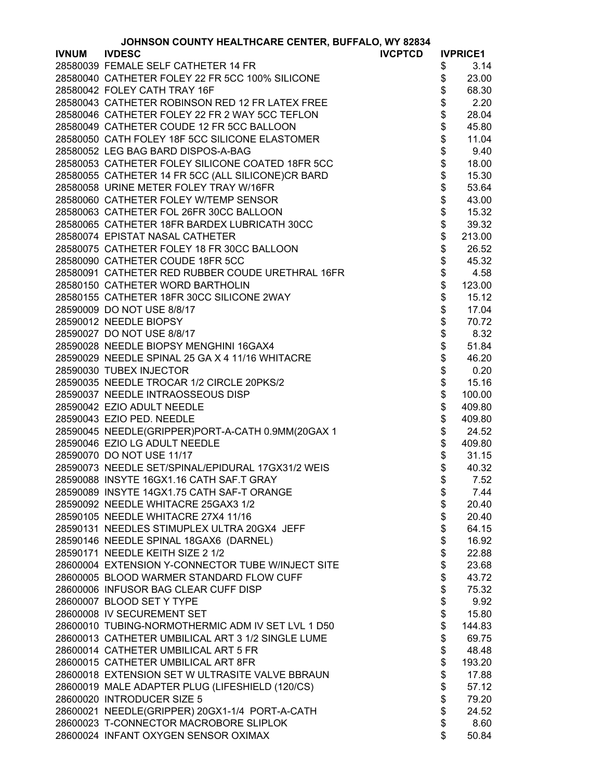|              | JOHNSON COUNTY HEALTHCARE CENTER, BUFFALO, WY 82834 |                |            |                 |
|--------------|-----------------------------------------------------|----------------|------------|-----------------|
| <b>IVNUM</b> | <b>IVDESC</b>                                       | <b>IVCPTCD</b> |            | <b>IVPRICE1</b> |
|              | 28580039 FEMALE SELF CATHETER 14 FR                 |                | \$         | 3.14            |
|              | 28580040 CATHETER FOLEY 22 FR 5CC 100% SILICONE     |                | \$         | 23.00           |
|              | 28580042 FOLEY CATH TRAY 16F                        |                | \$         | 68.30           |
|              | 28580043 CATHETER ROBINSON RED 12 FR LATEX FREE     |                | \$         | 2.20            |
|              | 28580046 CATHETER FOLEY 22 FR 2 WAY 5CC TEFLON      |                | \$         | 28.04           |
|              | 28580049 CATHETER COUDE 12 FR 5CC BALLOON           |                | \$         | 45.80           |
|              | 28580050 CATH FOLEY 18F 5CC SILICONE ELASTOMER      |                | \$         | 11.04           |
|              | 28580052 LEG BAG BARD DISPOS-A-BAG                  |                |            | 9.40            |
|              | 28580053 CATHETER FOLEY SILICONE COATED 18FR 5CC    |                | \$\$\$\$\$ | 18.00           |
|              | 28580055 CATHETER 14 FR 5CC (ALL SILICONE)CR BARD   |                |            | 15.30           |
|              | 28580058 URINE METER FOLEY TRAY W/16FR              |                |            | 53.64           |
|              | 28580060 CATHETER FOLEY W/TEMP SENSOR               |                |            | 43.00           |
|              | 28580063 CATHETER FOL 26FR 30CC BALLOON             |                | $\dot{\$}$ | 15.32           |
|              | 28580065 CATHETER 18FR BARDEX LUBRICATH 30CC        |                | $\dot{\$}$ | 39.32           |
|              | 28580074 EPISTAT NASAL CATHETER                     |                | \$         | 213.00          |
|              | 28580075 CATHETER FOLEY 18 FR 30CC BALLOON          |                | \$         | 26.52           |
|              | 28580090 CATHETER COUDE 18FR 5CC                    |                |            | 45.32           |
|              |                                                     |                | \$\$       |                 |
|              | 28580091 CATHETER RED RUBBER COUDE URETHRAL 16FR    |                |            | 4.58            |
|              | 28580150 CATHETER WORD BARTHOLIN                    |                |            | 123.00          |
|              | 28580155 CATHETER 18FR 30CC SILICONE 2WAY           |                | \$         | 15.12           |
|              | 28590009 DO NOT USE 8/8/17                          |                | \$         | 17.04           |
|              | 28590012 NEEDLE BIOPSY                              |                | \$         | 70.72           |
|              | 28590027 DO NOT USE 8/8/17                          |                | \$         | 8.32            |
|              | 28590028 NEEDLE BIOPSY MENGHINI 16GAX4              |                | \$         | 51.84           |
|              | 28590029 NEEDLE SPINAL 25 GA X 4 11/16 WHITACRE     |                | \$\$\$     | 46.20           |
|              | 28590030 TUBEX INJECTOR                             |                |            | 0.20            |
|              | 28590035 NEEDLE TROCAR 1/2 CIRCLE 20PKS/2           |                |            | 15.16           |
|              | 28590037 NEEDLE INTRAOSSEOUS DISP                   |                |            | 100.00          |
|              | 28590042 EZIO ADULT NEEDLE                          |                | \$         | 409.80          |
|              | 28590043 EZIO PED. NEEDLE                           |                | \$         | 409.80          |
|              | 28590045 NEEDLE(GRIPPER)PORT-A-CATH 0.9MM(20GAX 1   |                | \$         | 24.52           |
|              | 28590046 EZIO LG ADULT NEEDLE                       |                | \$         | 409.80          |
|              | 28590070 DO NOT USE 11/17                           |                | \$         | 31.15           |
|              | 28590073 NEEDLE SET/SPINAL/EPIDURAL 17GX31/2 WEIS   |                | \$         | 40.32           |
|              | 28590088 INSYTE 16GX1.16 CATH SAF.T GRAY            |                | \$         | 7.52            |
|              | 28590089 INSYTE 14GX1.75 CATH SAF-T ORANGE          |                | \$         | 7.44            |
|              | 28590092 NEEDLE WHITACRE 25GAX3 1/2                 |                | \$         | 20.40           |
|              | 28590105 NEEDLE WHITACRE 27X4 11/16                 |                | \$         | 20.40           |
|              | 28590131 NEEDLES STIMUPLEX ULTRA 20GX4 JEFF         |                | \$         | 64.15           |
|              | 28590146 NEEDLE SPINAL 18GAX6 (DARNEL)              |                | \$         | 16.92           |
|              | 28590171 NEEDLE KEITH SIZE 2 1/2                    |                | \$         | 22.88           |
|              | 28600004 EXTENSION Y-CONNECTOR TUBE W/INJECT SITE   |                | \$         | 23.68           |
|              | 28600005 BLOOD WARMER STANDARD FLOW CUFF            |                | \$         | 43.72           |
|              | 28600006 INFUSOR BAG CLEAR CUFF DISP                |                | \$         | 75.32           |
|              | 28600007 BLOOD SET Y TYPE                           |                | \$         | 9.92            |
|              | 28600008 IV SECUREMENT SET                          |                | \$         | 15.80           |
|              |                                                     |                |            |                 |
|              | 28600010 TUBING-NORMOTHERMIC ADM IV SET LVL 1 D50   |                | \$         | 144.83          |
|              | 28600013 CATHETER UMBILICAL ART 3 1/2 SINGLE LUME   |                | \$         | 69.75           |
|              | 28600014 CATHETER UMBILICAL ART 5 FR                |                | \$         | 48.48           |
|              | 28600015 CATHETER UMBILICAL ART 8FR                 |                | \$         | 193.20          |
|              | 28600018 EXTENSION SET W ULTRASITE VALVE BBRAUN     |                | \$         | 17.88           |
|              | 28600019 MALE ADAPTER PLUG (LIFESHIELD (120/CS)     |                | \$         | 57.12           |
|              | 28600020 INTRODUCER SIZE 5                          |                | \$         | 79.20           |
|              | 28600021 NEEDLE(GRIPPER) 20GX1-1/4 PORT-A-CATH      |                | \$         | 24.52           |
|              | 28600023 T-CONNECTOR MACROBORE SLIPLOK              |                | \$         | 8.60            |
|              | 28600024 INFANT OXYGEN SENSOR OXIMAX                |                | \$         | 50.84           |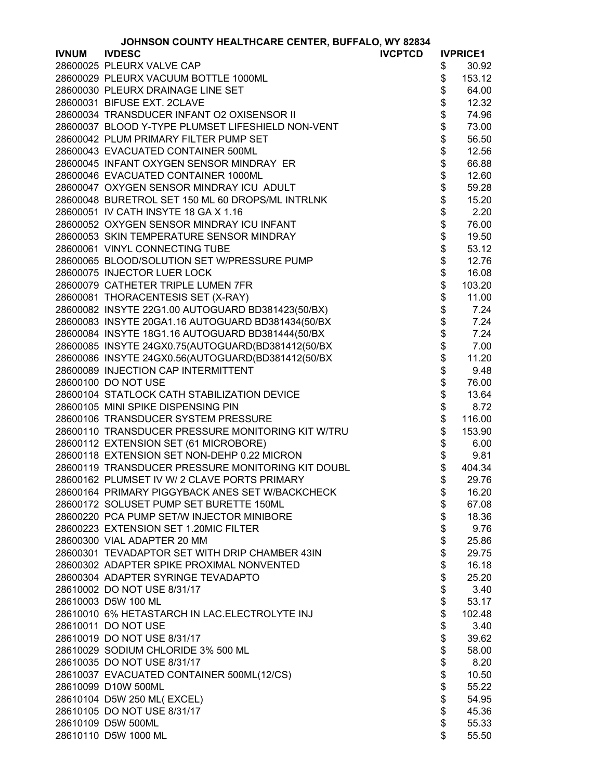| <b>JOHNSON COUNTY HEALTHCARE CENTER, BUFFALO, WY 82834</b> |
|------------------------------------------------------------|
|------------------------------------------------------------|

|              | <b>JOHNSON COUNTY HEALTHCARE CENTER, BUFFALO, WY 82834</b> |                |          |                 |
|--------------|------------------------------------------------------------|----------------|----------|-----------------|
| <b>IVNUM</b> | <b>IVDESC</b>                                              | <b>IVCPTCD</b> |          | <b>IVPRICE1</b> |
|              | 28600025 PLEURX VALVE CAP                                  |                | \$       | 30.92           |
|              | 28600029 PLEURX VACUUM BOTTLE 1000ML                       |                | \$       | 153.12          |
|              | 28600030 PLEURX DRAINAGE LINE SET                          |                | \$       | 64.00           |
|              | 28600031 BIFUSE EXT. 2CLAVE                                |                | \$       | 12.32           |
|              | 28600034 TRANSDUCER INFANT O2 OXISENSOR II                 |                | \$       | 74.96           |
|              | 28600037 BLOOD Y-TYPE PLUMSET LIFESHIELD NON-VENT          |                | \$       | 73.00           |
|              | 28600042 PLUM PRIMARY FILTER PUMP SET                      |                | \$       | 56.50           |
|              | 28600043 EVACUATED CONTAINER 500ML                         |                | \$       | 12.56           |
|              | 28600045 INFANT OXYGEN SENSOR MINDRAY ER                   |                | \$       | 66.88           |
|              | 28600046 EVACUATED CONTAINER 1000ML                        |                | \$       | 12.60           |
|              | 28600047 OXYGEN SENSOR MINDRAY ICU ADULT                   |                | \$       | 59.28           |
|              | 28600048 BURETROL SET 150 ML 60 DROPS/ML INTRLNK           |                | \$       | 15.20           |
|              | 28600051 IV CATH INSYTE 18 GA X 1.16                       |                | \$       | 2.20            |
|              | 28600052 OXYGEN SENSOR MINDRAY ICU INFANT                  |                | \$       | 76.00           |
|              | 28600053 SKIN TEMPERATURE SENSOR MINDRAY                   |                | \$       | 19.50           |
|              | 28600061 VINYL CONNECTING TUBE                             |                | \$       | 53.12           |
|              | 28600065 BLOOD/SOLUTION SET W/PRESSURE PUMP                |                | \$       | 12.76           |
|              | 28600075 INJECTOR LUER LOCK                                |                | \$       | 16.08           |
|              | 28600079 CATHETER TRIPLE LUMEN 7FR                         |                | \$       | 103.20          |
|              | 28600081 THORACENTESIS SET (X-RAY)                         |                | \$       | 11.00           |
|              | 28600082 INSYTE 22G1.00 AUTOGUARD BD381423(50/BX)          |                | \$       | 7.24            |
|              | 28600083 INSYTE 20GA1.16 AUTOGUARD BD381434(50/BX          |                | \$       | 7.24            |
|              | 28600084 INSYTE 18G1.16 AUTOGUARD BD381444(50/BX           |                | \$       | 7.24            |
|              | 28600085 INSYTE 24GX0.75(AUTOGUARD(BD381412(50/BX          |                | \$       | 7.00            |
|              | 28600086 INSYTE 24GX0.56(AUTOGUARD(BD381412(50/BX          |                | \$       | 11.20           |
|              | 28600089 INJECTION CAP INTERMITTENT                        |                | \$       | 9.48            |
|              | 28600100 DO NOT USE                                        |                | \$       | 76.00           |
|              | 28600104 STATLOCK CATH STABILIZATION DEVICE                |                | \$       | 13.64           |
|              | 28600105 MINI SPIKE DISPENSING PIN                         |                | \$       | 8.72            |
|              | 28600106 TRANSDUCER SYSTEM PRESSURE                        |                | \$       | 116.00          |
|              | 28600110 TRANSDUCER PRESSURE MONITORING KIT W/TRU          |                | \$       | 153.90          |
|              | 28600112 EXTENSION SET (61 MICROBORE)                      |                | \$       | 6.00            |
|              | 28600118 EXTENSION SET NON-DEHP 0.22 MICRON                |                |          | 9.81            |
|              | 28600119 TRANSDUCER PRESSURE MONITORING KIT DOUBL          |                | \$<br>\$ | 404.34          |
|              | 28600162 PLUMSET IV W/ 2 CLAVE PORTS PRIMARY               |                | \$       | 29.76           |
|              | 28600164 PRIMARY PIGGYBACK ANES SET W/BACKCHECK            |                | \$       | 16.20           |
|              | 28600172 SOLUSET PUMP SET BURETTE 150ML                    |                | \$       | 67.08           |
|              | 28600220 PCA PUMP SET/W INJECTOR MINIBORE                  |                | \$       | 18.36           |
|              | 28600223 EXTENSION SET 1.20MIC FILTER                      |                | \$       | 9.76            |
|              | 28600300 VIAL ADAPTER 20 MM                                |                | \$       | 25.86           |
|              | 28600301 TEVADAPTOR SET WITH DRIP CHAMBER 43IN             |                | \$       | 29.75           |
|              | 28600302 ADAPTER SPIKE PROXIMAL NONVENTED                  |                | \$       | 16.18           |
|              | 28600304 ADAPTER SYRINGE TEVADAPTO                         |                | \$       | 25.20           |
|              | 28610002 DO NOT USE 8/31/17                                |                | \$       | 3.40            |
|              | 28610003 D5W 100 ML                                        |                | \$       | 53.17           |
|              | 28610010 6% HETASTARCH IN LAC.ELECTROLYTE INJ              |                | \$       | 102.48          |
|              | 28610011 DO NOT USE                                        |                | \$       | 3.40            |
|              | 28610019 DO NOT USE 8/31/17                                |                | \$       | 39.62           |
|              | 28610029 SODIUM CHLORIDE 3% 500 ML                         |                | \$       | 58.00           |
|              | 28610035 DO NOT USE 8/31/17                                |                | \$       | 8.20            |
|              | 28610037 EVACUATED CONTAINER 500ML(12/CS)                  |                | \$       | 10.50           |
|              | 28610099 D10W 500ML                                        |                | \$       | 55.22           |
|              | 28610104 D5W 250 ML(EXCEL)                                 |                | \$       | 54.95           |
|              | 28610105 DO NOT USE 8/31/17                                |                |          | 45.36           |
|              | 28610109 D5W 500ML                                         |                | \$<br>\$ | 55.33           |
|              | 28610110 D5W 1000 ML                                       |                | \$       |                 |
|              |                                                            |                |          | 55.50           |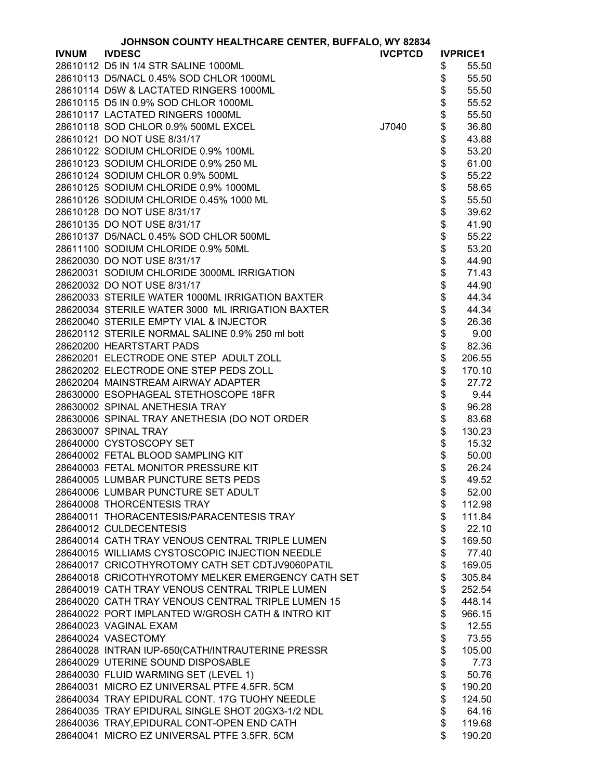|              | JOHNSON COUNTY HEALTHCARE CENTER, BUFFALO, WY 82834 |                |                                                                |                 |
|--------------|-----------------------------------------------------|----------------|----------------------------------------------------------------|-----------------|
| <b>IVNUM</b> | <b>IVDESC</b>                                       | <b>IVCPTCD</b> |                                                                | <b>IVPRICE1</b> |
|              | 28610112 D5 IN 1/4 STR SALINE 1000ML                |                | \$                                                             | 55.50           |
|              | 28610113 D5/NACL 0.45% SOD CHLOR 1000ML             |                | \$                                                             | 55.50           |
|              | 28610114 D5W & LACTATED RINGERS 1000ML              |                | \$                                                             | 55.50           |
|              | 28610115 D5 IN 0.9% SOD CHLOR 1000ML                |                |                                                                | 55.52           |
|              | 28610117 LACTATED RINGERS 1000ML                    |                |                                                                | 55.50           |
|              | 28610118 SOD CHLOR 0.9% 500ML EXCEL                 | J7040          |                                                                | 36.80           |
|              | 28610121 DO NOT USE 8/31/17                         |                |                                                                | 43.88           |
|              | 28610122 SODIUM CHLORIDE 0.9% 100ML                 |                |                                                                | 53.20           |
|              | 28610123 SODIUM CHLORIDE 0.9% 250 ML                |                |                                                                | 61.00           |
|              | 28610124 SODIUM CHLOR 0.9% 500ML                    |                |                                                                | 55.22           |
|              | 28610125 SODIUM CHLORIDE 0.9% 1000ML                |                |                                                                | 58.65           |
|              |                                                     |                |                                                                |                 |
|              | 28610126 SODIUM CHLORIDE 0.45% 1000 ML              |                |                                                                | 55.50           |
|              | 28610128 DO NOT USE 8/31/17                         |                |                                                                | 39.62           |
|              | 28610135 DO NOT USE 8/31/17                         |                |                                                                | 41.90           |
|              | 28610137 D5/NACL 0.45% SOD CHLOR 500ML              |                |                                                                | 55.22           |
|              | 28611100 SODIUM CHLORIDE 0.9% 50ML                  |                |                                                                | 53.20           |
|              | 28620030 DO NOT USE 8/31/17                         |                |                                                                | 44.90           |
|              | 28620031 SODIUM CHLORIDE 3000ML IRRIGATION          |                |                                                                | 71.43           |
|              | 28620032 DO NOT USE 8/31/17                         |                |                                                                | 44.90           |
|              | 28620033 STERILE WATER 1000ML IRRIGATION BAXTER     |                |                                                                | 44.34           |
|              | 28620034 STERILE WATER 3000 ML IRRIGATION BAXTER    |                |                                                                | 44.34           |
|              | 28620040 STERILE EMPTY VIAL & INJECTOR              |                |                                                                | 26.36           |
|              | 28620112 STERILE NORMAL SALINE 0.9% 250 ml bott     |                |                                                                | 9.00            |
|              | 28620200 HEARTSTART PADS                            |                |                                                                | 82.36           |
|              | 28620201 ELECTRODE ONE STEP ADULT ZOLL              |                | \$\$\$\$\$\$\$\$\$\$\$\$\$\$\$\$\$\$\$\$\$\$\$\$\$\$\$\$\$\$\$ | 206.55          |
|              | 28620202 ELECTRODE ONE STEP PEDS ZOLL               |                |                                                                | 170.10          |
|              | 28620204 MAINSTREAM AIRWAY ADAPTER                  |                |                                                                | 27.72           |
|              | 28630000 ESOPHAGEAL STETHOSCOPE 18FR                |                | \$\$\$\$\$                                                     | 9.44            |
|              | 28630002 SPINAL ANETHESIA TRAY                      |                |                                                                | 96.28           |
|              | 28630006 SPINAL TRAY ANETHESIA (DO NOT ORDER        |                |                                                                | 83.68           |
|              | 28630007 SPINAL TRAY                                |                |                                                                | 130.23          |
|              | 28640000 CYSTOSCOPY SET                             |                | \$                                                             | 15.32           |
|              | 28640002 FETAL BLOOD SAMPLING KIT                   |                | \$                                                             | 50.00           |
|              | 28640003 FETAL MONITOR PRESSURE KIT                 |                | \$                                                             | 26.24           |
|              | 28640005 LUMBAR PUNCTURE SETS PEDS                  |                | \$                                                             | 49.52           |
|              | 28640006 LUMBAR PUNCTURE SET ADULT                  |                | \$                                                             | 52.00           |
|              | 28640008 THORCENTESIS TRAY                          |                | \$                                                             | 112.98          |
|              | 28640011 THORACENTESIS/PARACENTESIS TRAY            |                | \$                                                             | 111.84          |
|              | 28640012 CULDECENTESIS                              |                | \$                                                             | 22.10           |
|              | 28640014 CATH TRAY VENOUS CENTRAL TRIPLE LUMEN      |                | \$                                                             | 169.50          |
|              | 28640015 WILLIAMS CYSTOSCOPIC INJECTION NEEDLE      |                | \$                                                             | 77.40           |
|              | 28640017 CRICOTHYROTOMY CATH SET CDTJV9060PATIL     |                | \$                                                             | 169.05          |
|              | 28640018 CRICOTHYROTOMY MELKER EMERGENCY CATH SET   |                | \$                                                             | 305.84          |
|              | 28640019 CATH TRAY VENOUS CENTRAL TRIPLE LUMEN      |                | \$                                                             | 252.54          |
|              | 28640020 CATH TRAY VENOUS CENTRAL TRIPLE LUMEN 15   |                | \$                                                             | 448.14          |
|              | 28640022 PORT IMPLANTED W/GROSH CATH & INTRO KIT    |                | \$                                                             | 966.15          |
|              | 28640023 VAGINAL EXAM                               |                | \$                                                             | 12.55           |
|              | 28640024 VASECTOMY                                  |                | \$                                                             | 73.55           |
|              | 28640028 INTRAN IUP-650(CATH/INTRAUTERINE PRESSR    |                | \$                                                             | 105.00          |
|              | 28640029 UTERINE SOUND DISPOSABLE                   |                | \$                                                             | 7.73            |
|              | 28640030 FLUID WARMING SET (LEVEL 1)                |                | \$                                                             | 50.76           |
|              | 28640031 MICRO EZ UNIVERSAL PTFE 4.5FR. 5CM         |                | \$                                                             | 190.20          |
|              | 28640034 TRAY EPIDURAL CONT. 17G TUOHY NEEDLE       |                | \$                                                             | 124.50          |
|              | 28640035 TRAY EPIDURAL SINGLE SHOT 20GX3-1/2 NDL    |                | \$                                                             | 64.16           |
|              | 28640036 TRAY, EPIDURAL CONT-OPEN END CATH          |                | \$                                                             | 119.68          |
|              | 28640041 MICRO EZ UNIVERSAL PTFE 3.5FR. 5CM         |                | \$                                                             | 190.20          |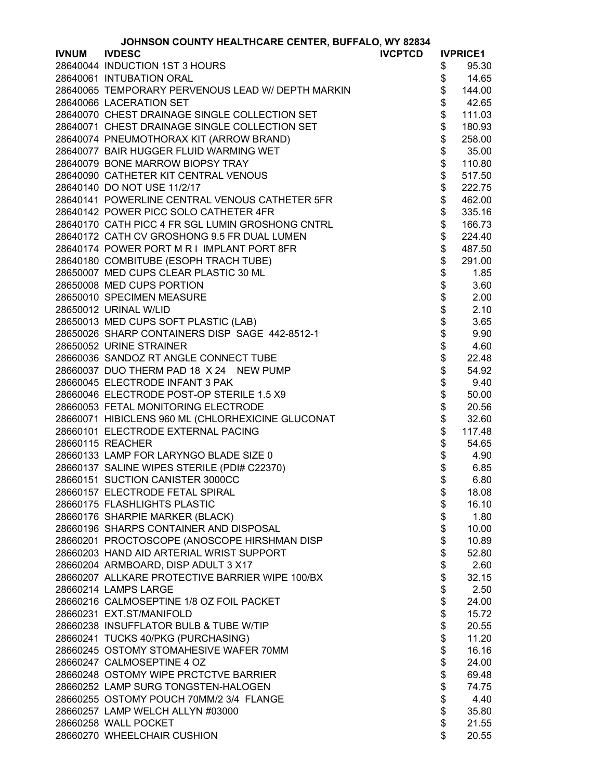| <b>JOHNSON COUNTY HEALTHCARE CENTER, BUFFALO, WY 82834</b> |  |  |
|------------------------------------------------------------|--|--|
|                                                            |  |  |

|              | <b>JOHNSON COUNTY HEALTHCARE CENTER, BUFFALO, WY 82834</b> |                |                |                 |
|--------------|------------------------------------------------------------|----------------|----------------|-----------------|
| <b>IVNUM</b> | <b>IVDESC</b>                                              | <b>IVCPTCD</b> |                | <b>IVPRICE1</b> |
|              | 28640044 INDUCTION 1ST 3 HOURS                             |                | \$             | 95.30           |
|              | 28640061 INTUBATION ORAL                                   |                | \$             | 14.65           |
|              | 28640065 TEMPORARY PERVENOUS LEAD W/ DEPTH MARKIN          |                | \$             | 144.00          |
|              | 28640066 LACERATION SET                                    |                | \$             | 42.65           |
|              | 28640070 CHEST DRAINAGE SINGLE COLLECTION SET              |                | \$             | 111.03          |
|              | 28640071 CHEST DRAINAGE SINGLE COLLECTION SET              |                | \$             | 180.93          |
|              | 28640074 PNEUMOTHORAX KIT (ARROW BRAND)                    |                | \$             | 258.00          |
|              | 28640077 BAIR HUGGER FLUID WARMING WET                     |                | \$             | 35.00           |
|              | 28640079 BONE MARROW BIOPSY TRAY                           |                | \$             | 110.80          |
|              | 28640090 CATHETER KIT CENTRAL VENOUS                       |                | \$             | 517.50          |
|              | 28640140 DO NOT USE 11/2/17                                |                | \$             | 222.75          |
|              | 28640141 POWERLINE CENTRAL VENOUS CATHETER 5FR             |                | \$             | 462.00          |
|              | 28640142 POWER PICC SOLO CATHETER 4FR                      |                | \$             |                 |
|              |                                                            |                | \$             | 335.16          |
|              | 28640170 CATH PICC 4 FR SGL LUMIN GROSHONG CNTRL           |                |                | 166.73          |
|              | 28640172 CATH CV GROSHONG 9.5 FR DUAL LUMEN                |                | \$             | 224.40          |
|              | 28640174 POWER PORT M R I IMPLANT PORT 8FR                 |                | \$             | 487.50          |
|              | 28640180 COMBITUBE (ESOPH TRACH TUBE)                      |                | \$             | 291.00          |
|              | 28650007 MED CUPS CLEAR PLASTIC 30 ML                      |                | \$             | 1.85            |
|              | 28650008 MED CUPS PORTION                                  |                |                | 3.60            |
|              | 28650010 SPECIMEN MEASURE                                  |                |                | 2.00            |
|              | 28650012 URINAL W/LID                                      |                |                | 2.10            |
|              | 28650013 MED CUPS SOFT PLASTIC (LAB)                       |                |                | 3.65            |
|              | 28650026 SHARP CONTAINERS DISP SAGE 442-8512-1             |                | <b>8888888</b> | 9.90            |
|              | 28650052 URINE STRAINER                                    |                |                | 4.60            |
|              | 28660036 SANDOZ RT ANGLE CONNECT TUBE                      |                |                | 22.48           |
|              | 28660037 DUO THERM PAD 18 X 24 NEW PUMP                    |                | \$             | 54.92           |
|              | 28660045 ELECTRODE INFANT 3 PAK                            |                | \$             | 9.40            |
|              | 28660046 ELECTRODE POST-OP STERILE 1.5 X9                  |                | \$             | 50.00           |
|              | 28660053 FETAL MONITORING ELECTRODE                        |                | \$             | 20.56           |
|              | 28660071 HIBICLENS 960 ML (CHLORHEXICINE GLUCONAT          |                | \$             | 32.60           |
|              | 28660101 ELECTRODE EXTERNAL PACING                         |                | \$             | 117.48          |
|              | 28660115 REACHER                                           |                | \$             | 54.65           |
|              | 28660133 LAMP FOR LARYNGO BLADE SIZE 0                     |                |                | 4.90            |
|              |                                                            |                | \$<br>\$       |                 |
|              | 28660137 SALINE WIPES STERILE (PDI# C22370)                |                | \$             | 6.85            |
|              | 28660151 SUCTION CANISTER 3000CC                           |                |                | 6.80            |
|              | 28660157 ELECTRODE FETAL SPIRAL                            |                | \$             | 18.08           |
|              | 28660175 FLASHLIGHTS PLASTIC                               |                | \$             | 16.10           |
|              | 28660176 SHARPIE MARKER (BLACK)                            |                | \$             | 1.80            |
|              | 28660196 SHARPS CONTAINER AND DISPOSAL                     |                | \$             | 10.00           |
|              | 28660201 PROCTOSCOPE (ANOSCOPE HIRSHMAN DISP               |                | \$             | 10.89           |
|              | 28660203 HAND AID ARTERIAL WRIST SUPPORT                   |                | \$             | 52.80           |
|              | 28660204 ARMBOARD, DISP ADULT 3 X17                        |                | \$             | 2.60            |
|              | 28660207 ALLKARE PROTECTIVE BARRIER WIPE 100/BX            |                | \$             | 32.15           |
|              | 28660214 LAMPS LARGE                                       |                | \$             | 2.50            |
|              | 28660216 CALMOSEPTINE 1/8 OZ FOIL PACKET                   |                | \$             | 24.00           |
|              | 28660231 EXT.ST/MANIFOLD                                   |                | $\dot{\$}$     | 15.72           |
|              | 28660238 INSUFFLATOR BULB & TUBE W/TIP                     |                | \$             | 20.55           |
|              | 28660241 TUCKS 40/PKG (PURCHASING)                         |                | \$             | 11.20           |
|              | 28660245 OSTOMY STOMAHESIVE WAFER 70MM                     |                | \$             | 16.16           |
|              | 28660247 CALMOSEPTINE 4 OZ                                 |                | \$             | 24.00           |
|              | 28660248 OSTOMY WIPE PRCTCTVE BARRIER                      |                | \$             | 69.48           |
|              | 28660252 LAMP SURG TONGSTEN-HALOGEN                        |                | \$             | 74.75           |
|              | 28660255 OSTOMY POUCH 70MM/2 3/4 FLANGE                    |                | \$             | 4.40            |
|              | 28660257 LAMP WELCH ALLYN #03000                           |                | \$             | 35.80           |
|              | 28660258 WALL POCKET                                       |                | \$             | 21.55           |
|              | 28660270 WHEELCHAIR CUSHION                                |                | \$             | 20.55           |
|              |                                                            |                |                |                 |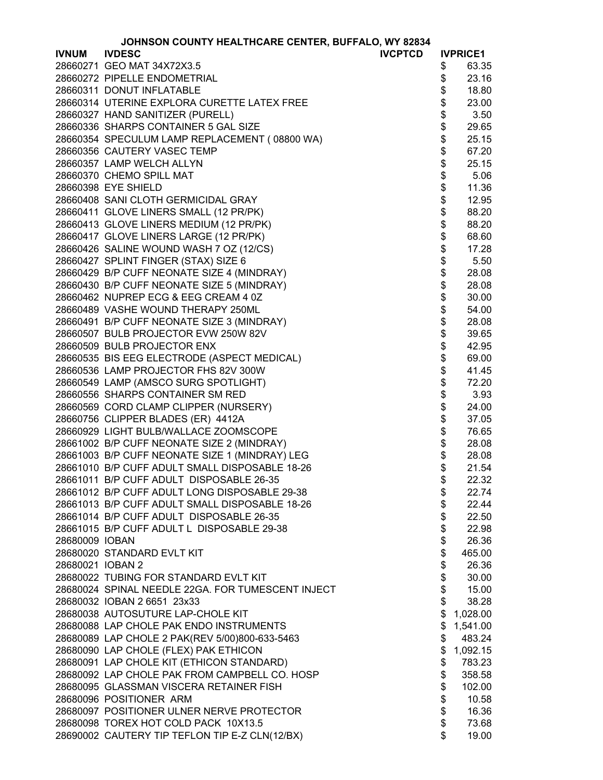| JOHNSON COUNTY HEALTHCARE CENTER, BUFFALO, WY 82834 |  |
|-----------------------------------------------------|--|

|                  | JOHNSON COUNTY HEALTHCARE CENTER, BUFFALO, WY 82834 |        |                 |
|------------------|-----------------------------------------------------|--------|-----------------|
| <b>IVNUM</b>     | <b>IVDESC</b><br><b>IVCPTCD</b>                     |        | <b>IVPRICE1</b> |
|                  | 28660271 GEO MAT 34X72X3.5                          | \$     | 63.35           |
|                  | 28660272 PIPELLE ENDOMETRIAL                        | \$     | 23.16           |
|                  | 28660311 DONUT INFLATABLE                           | \$     | 18.80           |
|                  | 28660314 UTERINE EXPLORA CURETTE LATEX FREE         | \$     | 23.00           |
|                  | 28660327 HAND SANITIZER (PURELL)                    | \$     | 3.50            |
|                  | 28660336 SHARPS CONTAINER 5 GAL SIZE                | \$     | 29.65           |
|                  | 28660354 SPECULUM LAMP REPLACEMENT (08800 WA)       |        | 25.15           |
|                  | 28660356 CAUTERY VASEC TEMP                         | \$\$   | 67.20           |
|                  | 28660357 LAMP WELCH ALLYN                           |        | 25.15           |
|                  | 28660370 CHEMO SPILL MAT                            | \$     | 5.06            |
|                  | 28660398 EYE SHIELD                                 | \$     | 11.36           |
|                  | 28660408 SANI CLOTH GERMICIDAL GRAY                 | \$     | 12.95           |
|                  |                                                     | \$     |                 |
|                  | 28660411 GLOVE LINERS SMALL (12 PR/PK)              |        | 88.20           |
|                  | 28660413 GLOVE LINERS MEDIUM (12 PR/PK)             | \$     | 88.20           |
|                  | 28660417 GLOVE LINERS LARGE (12 PR/PK)              | \$     | 68.60           |
|                  | 28660426 SALINE WOUND WASH 7 OZ (12/CS)             | \$     | 17.28           |
|                  | 28660427 SPLINT FINGER (STAX) SIZE 6                | \$     | 5.50            |
|                  | 28660429 B/P CUFF NEONATE SIZE 4 (MINDRAY)          | \$\$   | 28.08           |
|                  | 28660430 B/P CUFF NEONATE SIZE 5 (MINDRAY)          |        | 28.08           |
|                  | 28660462 NUPREP ECG & EEG CREAM 4 0Z                |        | 30.00           |
|                  | 28660489 VASHE WOUND THERAPY 250ML                  | \$     | 54.00           |
|                  | 28660491 B/P CUFF NEONATE SIZE 3 (MINDRAY)          |        | 28.08           |
|                  | 28660507 BULB PROJECTOR EVW 250W 82V                |        | 39.65           |
|                  | 28660509 BULB PROJECTOR ENX                         | \$\$\$ | 42.95           |
|                  | 28660535 BIS EEG ELECTRODE (ASPECT MEDICAL)         |        | 69.00           |
|                  | 28660536 LAMP PROJECTOR FHS 82V 300W                | \$     | 41.45           |
|                  | 28660549 LAMP (AMSCO SURG SPOTLIGHT)                | \$     | 72.20           |
|                  | 28660556 SHARPS CONTAINER SM RED                    | \$     | 3.93            |
|                  | 28660569 CORD CLAMP CLIPPER (NURSERY)               | \$     | 24.00           |
|                  | 28660756 CLIPPER BLADES (ER) 4412A                  | \$     | 37.05           |
|                  | 28660929 LIGHT BULB/WALLACE ZOOMSCOPE               | \$     | 76.65           |
|                  | 28661002 B/P CUFF NEONATE SIZE 2 (MINDRAY)          | \$     | 28.08           |
|                  | 28661003 B/P CUFF NEONATE SIZE 1 (MINDRAY) LEG      | \$     | 28.08           |
|                  |                                                     | \$     |                 |
|                  | 28661010 B/P CUFF ADULT SMALL DISPOSABLE 18-26      | \$     | 21.54           |
|                  | 28661011 B/P CUFF ADULT DISPOSABLE 26-35            |        | 22.32           |
|                  | 28661012 B/P CUFF ADULT LONG DISPOSABLE 29-38       | \$     | 22.74           |
|                  | 28661013 B/P CUFF ADULT SMALL DISPOSABLE 18-26      | \$     | 22.44           |
|                  | 28661014 B/P CUFF ADULT DISPOSABLE 26-35            | \$     | 22.50           |
|                  | 28661015 B/P CUFF ADULT L DISPOSABLE 29-38          | \$\$   | 22.98           |
| 28680009 IOBAN   |                                                     |        | 26.36           |
|                  | 28680020 STANDARD EVLT KIT                          |        | 465.00          |
| 28680021 IOBAN 2 |                                                     | \$     | 26.36           |
|                  | 28680022 TUBING FOR STANDARD EVLT KIT               | \$     | 30.00           |
|                  | 28680024 SPINAL NEEDLE 22GA. FOR TUMESCENT INJECT   | \$     | 15.00           |
|                  | 28680032 IOBAN 2 6651 23x33                         | \$     | 38.28           |
|                  | 28680038 AUTOSUTURE LAP-CHOLE KIT                   | \$     | 1,028.00        |
|                  | 28680088 LAP CHOLE PAK ENDO INSTRUMENTS             | \$     | 1,541.00        |
|                  | 28680089 LAP CHOLE 2 PAK(REV 5/00)800-633-5463      | \$     | 483.24          |
|                  | 28680090 LAP CHOLE (FLEX) PAK ETHICON               | \$     | 1,092.15        |
|                  | 28680091 LAP CHOLE KIT (ETHICON STANDARD)           | \$     | 783.23          |
|                  | 28680092 LAP CHOLE PAK FROM CAMPBELL CO. HOSP       | \$     | 358.58          |
|                  | 28680095 GLASSMAN VISCERA RETAINER FISH             | \$     | 102.00          |
|                  | 28680096 POSITIONER ARM                             | \$     | 10.58           |
|                  | 28680097 POSITIONER ULNER NERVE PROTECTOR           | \$     | 16.36           |
|                  | 28680098 TOREX HOT COLD PACK 10X13.5                | \$     | 73.68           |
|                  | 28690002 CAUTERY TIP TEFLON TIP E-Z CLN(12/BX)      | \$     | 19.00           |
|                  |                                                     |        |                 |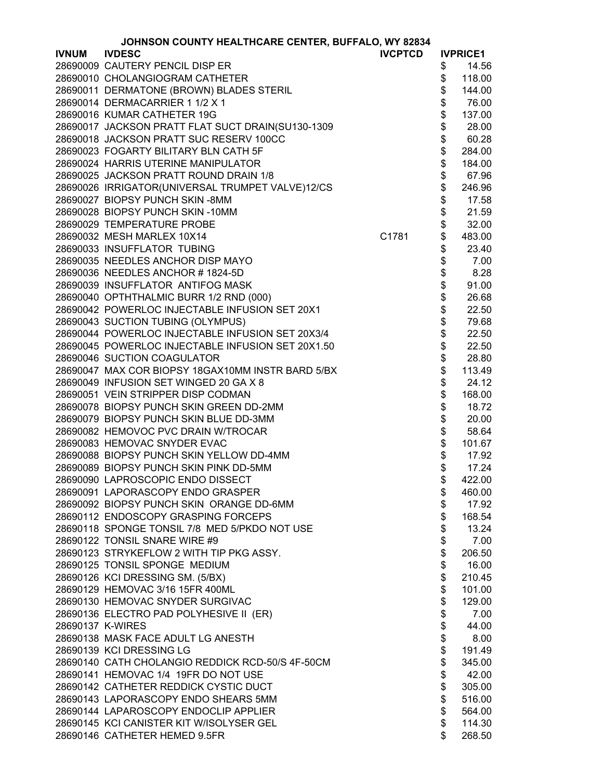|                  | JOHNSON COUNTY HEALTHCARE CENTER, BUFFALO, WY 82834 |                |          |                 |
|------------------|-----------------------------------------------------|----------------|----------|-----------------|
| <b>IVNUM</b>     | <b>IVDESC</b>                                       | <b>IVCPTCD</b> |          | <b>IVPRICE1</b> |
|                  | 28690009 CAUTERY PENCIL DISP ER                     |                | \$       | 14.56           |
|                  | 28690010 CHOLANGIOGRAM CATHETER                     |                | \$       | 118.00          |
|                  | 28690011 DERMATONE (BROWN) BLADES STERIL            |                | \$       | 144.00          |
|                  | 28690014 DERMACARRIER 1 1/2 X 1                     |                | \$       | 76.00           |
|                  | 28690016 KUMAR CATHETER 19G                         |                | \$       | 137.00          |
|                  | 28690017 JACKSON PRATT FLAT SUCT DRAIN(SU130-1309   |                | \$       | 28.00           |
|                  | 28690018 JACKSON PRATT SUC RESERV 100CC             |                | \$       | 60.28           |
|                  | 28690023 FOGARTY BILITARY BLN CATH 5F               |                | \$       | 284.00          |
|                  | 28690024 HARRIS UTERINE MANIPULATOR                 |                | \$       | 184.00          |
|                  | 28690025 JACKSON PRATT ROUND DRAIN 1/8              |                | \$       | 67.96           |
|                  | 28690026 IRRIGATOR(UNIVERSAL TRUMPET VALVE)12/CS    |                | \$       | 246.96          |
|                  | 28690027 BIOPSY PUNCH SKIN-8MM                      |                | \$       | 17.58           |
|                  | 28690028 BIOPSY PUNCH SKIN-10MM                     |                |          | 21.59           |
|                  | 28690029 TEMPERATURE PROBE                          |                | \$<br>\$ | 32.00           |
|                  | 28690032 MESH MARLEX 10X14                          | C1781          | \$       | 483.00          |
|                  | 28690033 INSUFFLATOR TUBING                         |                | \$       | 23.40           |
|                  | 28690035 NEEDLES ANCHOR DISP MAYO                   |                |          |                 |
|                  | 28690036 NEEDLES ANCHOR # 1824-5D                   |                | \$       | 7.00            |
|                  |                                                     |                | \$       | 8.28            |
|                  | 28690039 INSUFFLATOR ANTIFOG MASK                   |                | \$       | 91.00           |
|                  | 28690040 OPTHTHALMIC BURR 1/2 RND (000)             |                | \$       | 26.68           |
|                  | 28690042 POWERLOC INJECTABLE INFUSION SET 20X1      |                | \$       | 22.50           |
|                  | 28690043 SUCTION TUBING (OLYMPUS)                   |                | \$       | 79.68           |
|                  | 28690044 POWERLOC INJECTABLE INFUSION SET 20X3/4    |                | \$       | 22.50           |
|                  | 28690045 POWERLOC INJECTABLE INFUSION SET 20X1.50   |                | \$       | 22.50           |
|                  | 28690046 SUCTION COAGULATOR                         |                | \$       | 28.80           |
|                  | 28690047 MAX COR BIOPSY 18GAX10MM INSTR BARD 5/BX   |                | \$       | 113.49          |
|                  | 28690049 INFUSION SET WINGED 20 GA X 8              |                | \$       | 24.12           |
|                  | 28690051 VEIN STRIPPER DISP CODMAN                  |                | \$       | 168.00          |
|                  | 28690078 BIOPSY PUNCH SKIN GREEN DD-2MM             |                | \$       | 18.72           |
|                  | 28690079 BIOPSY PUNCH SKIN BLUE DD-3MM              |                | \$       | 20.00           |
|                  | 28690082 HEMOVOC PVC DRAIN W/TROCAR                 |                | \$<br>\$ | 58.64           |
|                  | 28690083 HEMOVAC SNYDER EVAC                        |                |          | 101.67          |
|                  | 28690088 BIOPSY PUNCH SKIN YELLOW DD-4MM            |                | \$       | 17.92           |
|                  | 28690089 BIOPSY PUNCH SKIN PINK DD-5MM              |                | \$       | 17.24           |
|                  | 28690090 LAPROSCOPIC ENDO DISSECT                   |                | \$       | 422.00          |
|                  | 28690091 LAPORASCOPY ENDO GRASPER                   |                | \$       | 460.00          |
|                  | 28690092 BIOPSY PUNCH SKIN ORANGE DD-6MM            |                | \$       | 17.92           |
|                  | 28690112 ENDOSCOPY GRASPING FORCEPS                 |                | \$       | 168.54          |
|                  | 28690118 SPONGE TONSIL 7/8 MED 5/PKDO NOT USE       |                | \$       | 13.24           |
|                  | 28690122 TONSIL SNARE WIRE #9                       |                | \$       | 7.00            |
|                  | 28690123 STRYKEFLOW 2 WITH TIP PKG ASSY.            |                | \$       | 206.50          |
|                  | 28690125 TONSIL SPONGE MEDIUM                       |                | \$       | 16.00           |
|                  | 28690126 KCI DRESSING SM. (5/BX)                    |                | \$       | 210.45          |
|                  | 28690129 HEMOVAC 3/16 15FR 400ML                    |                | \$       | 101.00          |
|                  | 28690130 HEMOVAC SNYDER SURGIVAC                    |                | \$       | 129.00          |
|                  | 28690136 ELECTRO PAD POLYHESIVE II (ER)             |                | \$       | 7.00            |
| 28690137 K-WIRES |                                                     |                | \$       | 44.00           |
|                  | 28690138 MASK FACE ADULT LG ANESTH                  |                | \$       | 8.00            |
|                  | 28690139 KCI DRESSING LG                            |                |          |                 |
|                  | 28690140 CATH CHOLANGIO REDDICK RCD-50/S 4F-50CM    |                | \$       | 191.49          |
|                  |                                                     |                | \$       | 345.00          |
|                  | 28690141 HEMOVAC 1/4 19FR DO NOT USE                |                | \$       | 42.00           |
|                  | 28690142 CATHETER REDDICK CYSTIC DUCT               |                | \$       | 305.00          |
|                  | 28690143 LAPORASCOPY ENDO SHEARS 5MM                |                | \$       | 516.00          |
|                  | 28690144 LAPAROSCOPY ENDOCLIP APPLIER               |                | \$       | 564.00          |
|                  | 28690145 KCI CANISTER KIT W/ISOLYSER GEL            |                | \$       | 114.30          |
|                  | 28690146 CATHETER HEMED 9.5FR                       |                | \$       | 268.50          |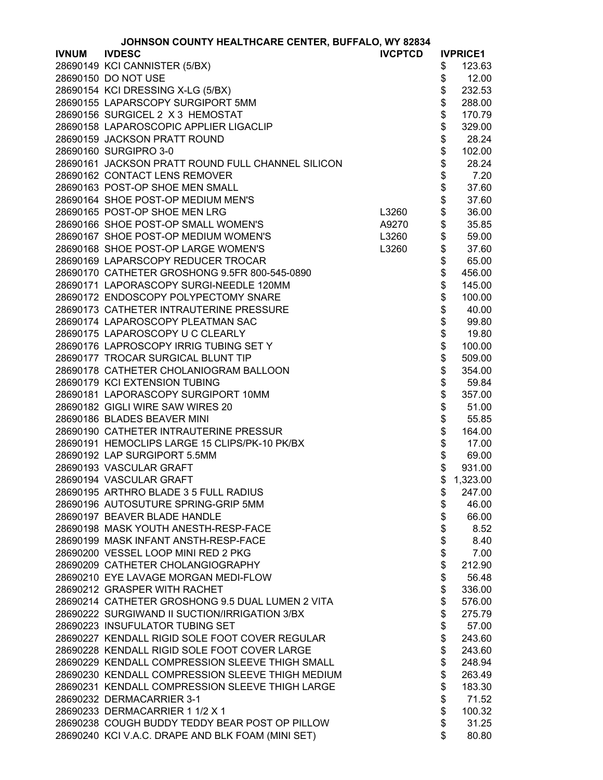|              | JOHNSON COUNTY HEALTHCARE CENTER, BUFFALO, WY 82834 |                |      |                 |
|--------------|-----------------------------------------------------|----------------|------|-----------------|
| <b>IVNUM</b> | <b>IVDESC</b>                                       | <b>IVCPTCD</b> |      | <b>IVPRICE1</b> |
|              | 28690149 KCI CANNISTER (5/BX)                       |                | \$   | 123.63          |
|              | 28690150 DO NOT USE                                 |                | \$   | 12.00           |
|              | 28690154 KCI DRESSING X-LG (5/BX)                   |                | \$   | 232.53          |
|              | 28690155 LAPARSCOPY SURGIPORT 5MM                   |                | \$   | 288.00          |
|              | 28690156 SURGICEL 2 X 3 HEMOSTAT                    |                | \$   | 170.79          |
|              | 28690158 LAPAROSCOPIC APPLIER LIGACLIP              |                | \$   | 329.00          |
|              | 28690159 JACKSON PRATT ROUND                        |                | \$   | 28.24           |
|              | 28690160 SURGIPRO 3-0                               |                | \$   | 102.00          |
|              |                                                     |                | \$   | 28.24           |
|              | 28690161 JACKSON PRATT ROUND FULL CHANNEL SILICON   |                |      |                 |
|              | 28690162 CONTACT LENS REMOVER                       |                |      | 7.20            |
|              | 28690163 POST-OP SHOE MEN SMALL                     |                | \$\$ | 37.60           |
|              | 28690164 SHOE POST-OP MEDIUM MEN'S                  |                |      | 37.60           |
|              | 28690165 POST-OP SHOE MEN LRG                       | L3260          | \$   | 36.00           |
|              | 28690166 SHOE POST-OP SMALL WOMEN'S                 | A9270          | \$   | 35.85           |
|              | 28690167 SHOE POST-OP MEDIUM WOMEN'S                | L3260          |      | 59.00           |
|              | 28690168 SHOE POST-OP LARGE WOMEN'S                 | L3260          | \$   | 37.60           |
|              | 28690169 LAPARSCOPY REDUCER TROCAR                  |                | \$   | 65.00           |
|              | 28690170 CATHETER GROSHONG 9.5FR 800-545-0890       |                | \$   | 456.00          |
|              | 28690171 LAPORASCOPY SURGI-NEEDLE 120MM             |                | \$   | 145.00          |
|              | 28690172 ENDOSCOPY POLYPECTOMY SNARE                |                | \$   | 100.00          |
|              | 28690173 CATHETER INTRAUTERINE PRESSURE             |                | \$   | 40.00           |
|              | 28690174 LAPAROSCOPY PLEATMAN SAC                   |                | \$   | 99.80           |
|              | 28690175 LAPAROSCOPY U C CLEARLY                    |                | \$   | 19.80           |
|              | 28690176 LAPROSCOPY IRRIG TUBING SET Y              |                | \$   | 100.00          |
|              | 28690177 TROCAR SURGICAL BLUNT TIP                  |                | \$   | 509.00          |
|              | 28690178 CATHETER CHOLANIOGRAM BALLOON              |                | \$   | 354.00          |
|              | 28690179 KCI EXTENSION TUBING                       |                | \$   | 59.84           |
|              |                                                     |                |      |                 |
|              | 28690181 LAPORASCOPY SURGIPORT 10MM                 |                | \$   | 357.00          |
|              | 28690182 GIGLI WIRE SAW WIRES 20                    |                | \$   | 51.00           |
|              | 28690186 BLADES BEAVER MINI                         |                | \$   | 55.85           |
|              | 28690190 CATHETER INTRAUTERINE PRESSUR              |                | \$   | 164.00          |
|              | 28690191 HEMOCLIPS LARGE 15 CLIPS/PK-10 PK/BX       |                | \$   | 17.00           |
|              | 28690192 LAP SURGIPORT 5.5MM                        |                | \$   | 69.00           |
|              | 28690193 VASCULAR GRAFT                             |                | \$   | 931.00          |
|              | 28690194 VASCULAR GRAFT                             |                | \$   | 1,323.00        |
|              | 28690195 ARTHRO BLADE 3 5 FULL RADIUS               |                | \$   | 247.00          |
|              | 28690196 AUTOSUTURE SPRING-GRIP 5MM                 |                | \$   | 46.00           |
|              | 28690197 BEAVER BLADE HANDLE                        |                | \$   | 66.00           |
|              | 28690198 MASK YOUTH ANESTH-RESP-FACE                |                | \$   | 8.52            |
|              | 28690199 MASK INFANT ANSTH-RESP-FACE                |                | \$   | 8.40            |
|              | 28690200 VESSEL LOOP MINI RED 2 PKG                 |                | \$   | 7.00            |
|              | 28690209 CATHETER CHOLANGIOGRAPHY                   |                | \$   | 212.90          |
|              | 28690210 EYE LAVAGE MORGAN MEDI-FLOW                |                | \$   | 56.48           |
|              | 28690212 GRASPER WITH RACHET                        |                | \$   | 336.00          |
|              | 28690214 CATHETER GROSHONG 9.5 DUAL LUMEN 2 VITA    |                | \$   | 576.00          |
|              | 28690222 SURGIWAND II SUCTION/IRRIGATION 3/BX       |                | \$   | 275.79          |
|              | 28690223 INSUFULATOR TUBING SET                     |                | \$   | 57.00           |
|              | 28690227 KENDALL RIGID SOLE FOOT COVER REGULAR      |                | \$   | 243.60          |
|              | 28690228 KENDALL RIGID SOLE FOOT COVER LARGE        |                | \$   | 243.60          |
|              | 28690229 KENDALL COMPRESSION SLEEVE THIGH SMALL     |                | \$   | 248.94          |
|              | 28690230 KENDALL COMPRESSION SLEEVE THIGH MEDIUM    |                | \$   | 263.49          |
|              | 28690231 KENDALL COMPRESSION SLEEVE THIGH LARGE     |                | \$   | 183.30          |
|              | 28690232 DERMACARRIER 3-1                           |                | \$   | 71.52           |
|              |                                                     |                |      |                 |
|              | 28690233 DERMACARRIER 1 1/2 X 1                     |                | \$   | 100.32          |
|              | 28690238 COUGH BUDDY TEDDY BEAR POST OP PILLOW      |                | \$   | 31.25           |
|              | 28690240 KCI V.A.C. DRAPE AND BLK FOAM (MINI SET)   |                | \$   | 80.80           |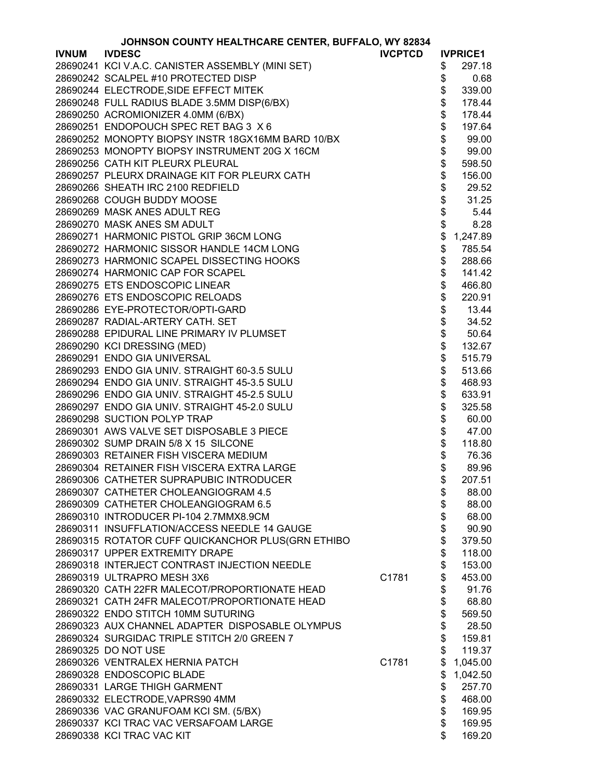|              | JOHNSON COUNTY HEALTHCARE CENTER, BUFFALO, WY 82834 |                |             |                 |
|--------------|-----------------------------------------------------|----------------|-------------|-----------------|
| <b>IVNUM</b> | <b>IVDESC</b>                                       | <b>IVCPTCD</b> |             | <b>IVPRICE1</b> |
|              | 28690241 KCI V.A.C. CANISTER ASSEMBLY (MINI SET)    |                | \$          | 297.18          |
|              | 28690242 SCALPEL #10 PROTECTED DISP                 |                | \$          | 0.68            |
|              | 28690244 ELECTRODE, SIDE EFFECT MITEK               |                | \$          | 339.00          |
|              | 28690248 FULL RADIUS BLADE 3.5MM DISP(6/BX)         |                | \$          | 178.44          |
|              | 28690250 ACROMIONIZER 4.0MM (6/BX)                  |                | \$          | 178.44          |
|              | 28690251 ENDOPOUCH SPEC RET BAG 3 X 6               |                | \$          | 197.64          |
|              | 28690252 MONOPTY BIOPSY INSTR 18GX16MM BARD 10/BX   |                | \$          | 99.00           |
|              | 28690253 MONOPTY BIOPSY INSTRUMENT 20G X 16CM       |                | \$          | 99.00           |
|              |                                                     |                |             |                 |
|              | 28690256 CATH KIT PLEURX PLEURAL                    |                |             | 598.50          |
|              | 28690257 PLEURX DRAINAGE KIT FOR PLEURX CATH        |                | \$<br>\$    | 156.00          |
|              | 28690266 SHEATH IRC 2100 REDFIELD                   |                |             | 29.52           |
|              | 28690268 COUGH BUDDY MOOSE                          |                | $\ddot{\$}$ | 31.25           |
|              | 28690269 MASK ANES ADULT REG                        |                | $\ddot{\$}$ | 5.44            |
|              | 28690270 MASK ANES SM ADULT                         |                | $\ddot{\$}$ | 8.28            |
|              | 28690271 HARMONIC PISTOL GRIP 36CM LONG             |                | \$          | 1,247.89        |
|              | 28690272 HARMONIC SISSOR HANDLE 14CM LONG           |                | \$          | 785.54          |
|              | 28690273 HARMONIC SCAPEL DISSECTING HOOKS           |                | \$          | 288.66          |
|              | 28690274 HARMONIC CAP FOR SCAPEL                    |                | \$          | 141.42          |
|              | 28690275 ETS ENDOSCOPIC LINEAR                      |                | \$          | 466.80          |
|              | 28690276 ETS ENDOSCOPIC RELOADS                     |                | \$          | 220.91          |
|              | 28690286 EYE-PROTECTOR/OPTI-GARD                    |                | \$          | 13.44           |
|              | 28690287 RADIAL-ARTERY CATH. SET                    |                | \$          | 34.52           |
|              | 28690288 EPIDURAL LINE PRIMARY IV PLUMSET           |                | \$          | 50.64           |
|              | 28690290 KCI DRESSING (MED)                         |                | \$          | 132.67          |
|              | 28690291 ENDO GIA UNIVERSAL                         |                | \$          | 515.79          |
|              | 28690293 ENDO GIA UNIV. STRAIGHT 60-3.5 SULU        |                | \$          | 513.66          |
|              | 28690294 ENDO GIA UNIV. STRAIGHT 45-3.5 SULU        |                | \$          |                 |
|              | 28690296 ENDO GIA UNIV. STRAIGHT 45-2.5 SULU        |                | \$          | 468.93          |
|              |                                                     |                |             | 633.91          |
|              | 28690297 ENDO GIA UNIV. STRAIGHT 45-2.0 SULU        |                | \$          | 325.58          |
|              | 28690298 SUCTION POLYP TRAP                         |                | \$          | 60.00           |
|              | 28690301 AWS VALVE SET DISPOSABLE 3 PIECE           |                | \$          | 47.00           |
|              | 28690302 SUMP DRAIN 5/8 X 15 SILCONE                |                |             | 118.80          |
|              | 28690303 RETAINER FISH VISCERA MEDIUM               |                | \$          | 76.36           |
|              | 28690304 RETAINER FISH VISCERA EXTRA LARGE          |                | \$          | 89.96           |
|              | 28690306 CATHETER SUPRAPUBIC INTRODUCER             |                | \$          | 207.51          |
|              | 28690307 CATHETER CHOLEANGIOGRAM 4.5                |                | \$          | 88.00           |
|              | 28690309 CATHETER CHOLEANGIOGRAM 6.5                |                | \$          | 88.00           |
|              | 28690310 INTRODUCER PI-104 2.7MMX8.9CM              |                | \$          | 68.00           |
|              | 28690311 INSUFFLATION/ACCESS NEEDLE 14 GAUGE        |                | \$          | 90.90           |
|              | 28690315 ROTATOR CUFF QUICKANCHOR PLUS(GRN ETHIBO   |                | \$          | 379.50          |
|              | 28690317 UPPER EXTREMITY DRAPE                      |                | \$          | 118.00          |
|              | 28690318 INTERJECT CONTRAST INJECTION NEEDLE        |                | \$          | 153.00          |
|              | 28690319 ULTRAPRO MESH 3X6                          | C1781          | \$          | 453.00          |
|              | 28690320 CATH 22FR MALECOT/PROPORTIONATE HEAD       |                | \$          | 91.76           |
|              | 28690321 CATH 24FR MALECOT/PROPORTIONATE HEAD       |                | \$          | 68.80           |
|              | 28690322 ENDO STITCH 10MM SUTURING                  |                | \$          | 569.50          |
|              | 28690323 AUX CHANNEL ADAPTER DISPOSABLE OLYMPUS     |                | \$          | 28.50           |
|              | 28690324 SURGIDAC TRIPLE STITCH 2/0 GREEN 7         |                | \$          | 159.81          |
|              | 28690325 DO NOT USE                                 |                | \$          | 119.37          |
|              | 28690326 VENTRALEX HERNIA PATCH                     | C1781          | \$          | 1,045.00        |
|              | 28690328 ENDOSCOPIC BLADE                           |                | \$          | 1,042.50        |
|              | 28690331 LARGE THIGH GARMENT                        |                | \$          | 257.70          |
|              | 28690332 ELECTRODE, VAPRS90 4MM                     |                | \$          | 468.00          |
|              |                                                     |                | \$          |                 |
|              | 28690336 VAC GRANUFOAM KCI SM. (5/BX)               |                | \$          | 169.95          |
|              | 28690337 KCI TRAC VAC VERSAFOAM LARGE               |                |             | 169.95          |
|              | 28690338 KCI TRAC VAC KIT                           |                | \$          | 169.20          |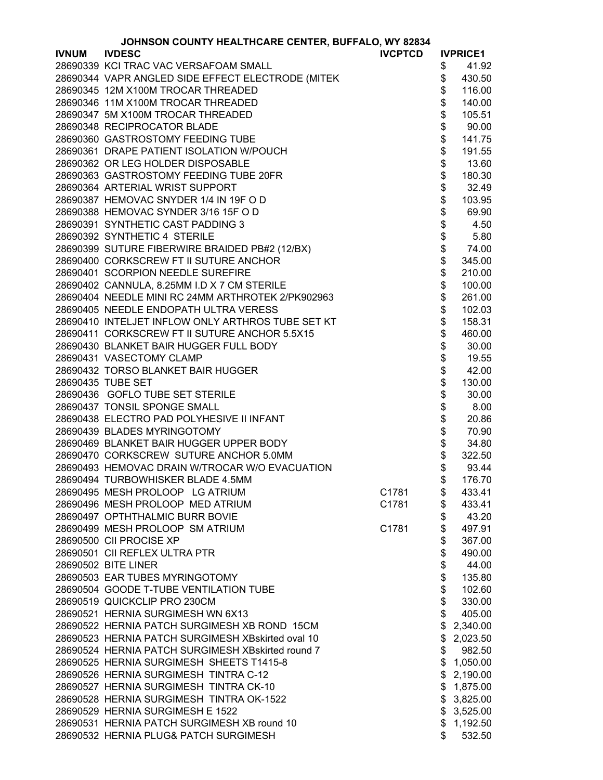|              | JOHNSON COUNTY HEALTHCARE CENTER, BUFFALO, WY 82834 |                |                 |                 |
|--------------|-----------------------------------------------------|----------------|-----------------|-----------------|
| <b>IVNUM</b> | <b>IVDESC</b>                                       | <b>IVCPTCD</b> |                 | <b>IVPRICE1</b> |
|              | 28690339 KCI TRAC VAC VERSAFOAM SMALL               |                | \$              | 41.92           |
|              | 28690344 VAPR ANGLED SIDE EFFECT ELECTRODE (MITEK   |                | \$              | 430.50          |
|              | 28690345 12M X100M TROCAR THREADED                  |                | \$              | 116.00          |
|              | 28690346 11M X100M TROCAR THREADED                  |                | \$              | 140.00          |
|              | 28690347 5M X100M TROCAR THREADED                   |                | \$              | 105.51          |
|              | 28690348 RECIPROCATOR BLADE                         |                | \$              | 90.00           |
|              | 28690360 GASTROSTOMY FEEDING TUBE                   |                | \$              | 141.75          |
|              | 28690361 DRAPE PATIENT ISOLATION W/POUCH            |                | \$              | 191.55          |
|              | 28690362 OR LEG HOLDER DISPOSABLE                   |                |                 | 13.60           |
|              |                                                     |                |                 |                 |
|              | 28690363 GASTROSTOMY FEEDING TUBE 20FR              |                | \$\$            | 180.30          |
|              | 28690364 ARTERIAL WRIST SUPPORT                     |                |                 | 32.49           |
|              | 28690387 HEMOVAC SNYDER 1/4 IN 19F O D              |                | \$              | 103.95          |
|              | 28690388 HEMOVAC SYNDER 3/16 15F O D                |                | \$              | 69.90           |
|              | 28690391 SYNTHETIC CAST PADDING 3                   |                |                 | 4.50            |
|              | 28690392 SYNTHETIC 4 STERILE                        |                | \$\$\$\$\$      | 5.80            |
|              | 28690399 SUTURE FIBERWIRE BRAIDED PB#2 (12/BX)      |                |                 | 74.00           |
|              | 28690400 CORKSCREW FT II SUTURE ANCHOR              |                |                 | 345.00          |
|              | 28690401 SCORPION NEEDLE SUREFIRE                   |                |                 | 210.00          |
|              | 28690402 CANNULA, 8.25MM I.D X 7 CM STERILE         |                | \$              | 100.00          |
|              | 28690404 NEEDLE MINI RC 24MM ARTHROTEK 2/PK902963   |                | \$              | 261.00          |
|              | 28690405 NEEDLE ENDOPATH ULTRA VERESS               |                | \$              | 102.03          |
|              | 28690410 INTELJET INFLOW ONLY ARTHROS TUBE SET KT   |                | \$              | 158.31          |
|              | 28690411 CORKSCREW FT II SUTURE ANCHOR 5.5X15       |                | \$              | 460.00          |
|              | 28690430 BLANKET BAIR HUGGER FULL BODY              |                | \$              | 30.00           |
|              | 28690431 VASECTOMY CLAMP                            |                |                 | 19.55           |
|              | 28690432 TORSO BLANKET BAIR HUGGER                  |                |                 | 42.00           |
|              | 28690435 TUBE SET                                   |                |                 | 130.00          |
|              | 28690436 GOFLO TUBE SET STERILE                     |                | <b>88888888</b> | 30.00           |
|              | 28690437 TONSIL SPONGE SMALL                        |                |                 | 8.00            |
|              | 28690438 ELECTRO PAD POLYHESIVE II INFANT           |                |                 | 20.86           |
|              | 28690439 BLADES MYRINGOTOMY                         |                |                 | 70.90           |
|              | 28690469 BLANKET BAIR HUGGER UPPER BODY             |                |                 | 34.80           |
|              | 28690470 CORKSCREW SUTURE ANCHOR 5.0MM              |                | \$              | 322.50          |
|              | 28690493 HEMOVAC DRAIN W/TROCAR W/O EVACUATION      |                | \$              | 93.44           |
|              | 28690494 TURBOWHISKER BLADE 4.5MM                   |                | \$              | 176.70          |
|              | 28690495 MESH PROLOOP LG ATRIUM                     | C1781          | \$              | 433.41          |
|              | 28690496 MESH PROLOOP MED ATRIUM                    | C1781          | \$              | 433.41          |
|              | 28690497 OPTHTHALMIC BURR BOVIE                     |                | \$              | 43.20           |
|              | 28690499 MESH PROLOOP SM ATRIUM                     | C1781          | \$              | 497.91          |
|              | 28690500 CII PROCISE XP                             |                | \$              | 367.00          |
|              | 28690501 CII REFLEX ULTRA PTR                       |                | \$              | 490.00          |
|              | 28690502 BITE LINER                                 |                | \$              | 44.00           |
|              | 28690503 EAR TUBES MYRINGOTOMY                      |                | \$              | 135.80          |
|              | 28690504 GOODE T-TUBE VENTILATION TUBE              |                | \$              | 102.60          |
|              | 28690519 QUICKCLIP PRO 230CM                        |                | \$              | 330.00          |
|              | 28690521 HERNIA SURGIMESH WN 6X13                   |                | \$              |                 |
|              |                                                     |                |                 | 405.00          |
|              | 28690522 HERNIA PATCH SURGIMESH XB ROND 15CM        |                | \$              | 2,340.00        |
|              | 28690523 HERNIA PATCH SURGIMESH XBskirted oval 10   |                | \$              | 2,023.50        |
|              | 28690524 HERNIA PATCH SURGIMESH XBskirted round 7   |                | \$              | 982.50          |
|              | 28690525 HERNIA SURGIMESH SHEETS T1415-8            |                | \$              | 1,050.00        |
|              | 28690526 HERNIA SURGIMESH TINTRA C-12               |                | \$              | 2,190.00        |
|              | 28690527 HERNIA SURGIMESH TINTRA CK-10              |                | \$              | 1,875.00        |
|              | 28690528 HERNIA SURGIMESH TINTRA OK-1522            |                | \$              | 3,825.00        |
|              | 28690529 HERNIA SURGIMESH E 1522                    |                | \$              | 3,525.00        |
|              | 28690531 HERNIA PATCH SURGIMESH XB round 10         |                | \$              | 1,192.50        |
|              | 28690532 HERNIA PLUG& PATCH SURGIMESH               |                | \$              | 532.50          |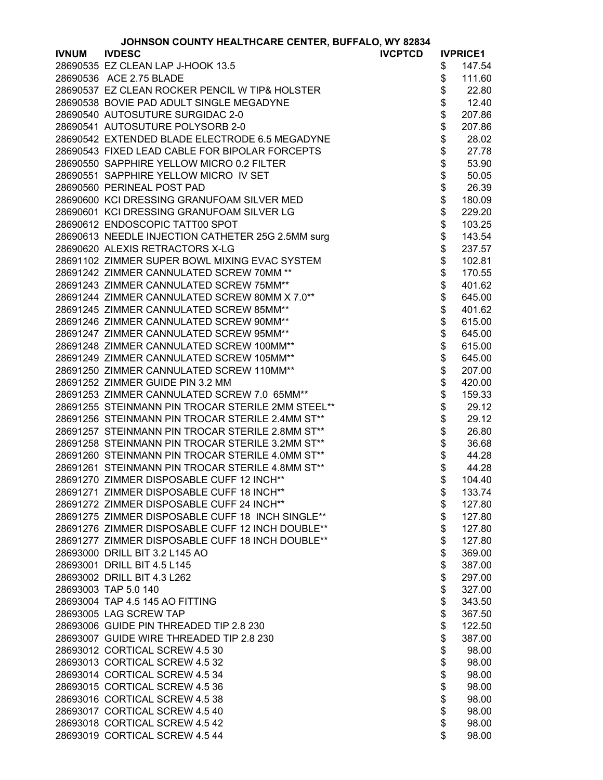| <b>JOHNSON COUNTY HEALTHCARE CENTER, BUFFALO, WY 82834</b> |  |  |
|------------------------------------------------------------|--|--|
|------------------------------------------------------------|--|--|

|              | <b>JOHNSON COUNTY HEALTHCARE CENTER, BUFFALO, WY 82834</b> |    |                 |
|--------------|------------------------------------------------------------|----|-----------------|
| <b>IVNUM</b> | <b>IVDESC</b><br><b>IVCPTCD</b>                            |    | <b>IVPRICE1</b> |
|              | 28690535 EZ CLEAN LAP J-HOOK 13.5                          | \$ | 147.54          |
|              | 28690536 ACE 2.75 BLADE                                    | \$ | 111.60          |
|              | 28690537 EZ CLEAN ROCKER PENCIL W TIP& HOLSTER             | \$ | 22.80           |
|              | 28690538 BOVIE PAD ADULT SINGLE MEGADYNE                   | \$ | 12.40           |
|              | 28690540 AUTOSUTURE SURGIDAC 2-0                           | \$ | 207.86          |
|              | 28690541 AUTOSUTURE POLYSORB 2-0                           | \$ | 207.86          |
|              | 28690542 EXTENDED BLADE ELECTRODE 6.5 MEGADYNE             | \$ | 28.02           |
|              | 28690543 FIXED LEAD CABLE FOR BIPOLAR FORCEPTS             | \$ | 27.78           |
|              | 28690550 SAPPHIRE YELLOW MICRO 0.2 FILTER                  | \$ | 53.90           |
|              | 28690551 SAPPHIRE YELLOW MICRO IV SET                      | \$ | 50.05           |
|              | 28690560 PERINEAL POST PAD                                 | \$ | 26.39           |
|              | 28690600 KCI DRESSING GRANUFOAM SILVER MED                 | \$ | 180.09          |
|              | 28690601 KCI DRESSING GRANUFOAM SILVER LG                  | \$ | 229.20          |
|              | 28690612 ENDOSCOPIC TATT00 SPOT                            | \$ | 103.25          |
|              |                                                            | \$ |                 |
|              | 28690613 NEEDLE INJECTION CATHETER 25G 2.5MM surg          |    | 143.54          |
|              | 28690620 ALEXIS RETRACTORS X-LG                            | \$ | 237.57          |
|              | 28691102 ZIMMER SUPER BOWL MIXING EVAC SYSTEM              | \$ | 102.81          |
|              | 28691242 ZIMMER CANNULATED SCREW 70MM **                   | \$ | 170.55          |
|              | 28691243 ZIMMER CANNULATED SCREW 75MM**                    | \$ | 401.62          |
|              | 28691244 ZIMMER CANNULATED SCREW 80MM X 7.0**              | \$ | 645.00          |
|              | 28691245 ZIMMER CANNULATED SCREW 85MM**                    | \$ | 401.62          |
|              | 28691246 ZIMMER CANNULATED SCREW 90MM**                    | \$ | 615.00          |
|              | 28691247 ZIMMER CANNULATED SCREW 95MM**                    | \$ | 645.00          |
|              | 28691248 ZIMMER CANNULATED SCREW 100MM**                   | \$ | 615.00          |
|              | 28691249 ZIMMER CANNULATED SCREW 105MM**                   | \$ | 645.00          |
|              | 28691250 ZIMMER CANNULATED SCREW 110MM**                   | \$ | 207.00          |
|              | 28691252 ZIMMER GUIDE PIN 3.2 MM                           | \$ | 420.00          |
|              | 28691253 ZIMMER CANNULATED SCREW 7.0 65MM**                | \$ | 159.33          |
|              | 28691255 STEINMANN PIN TROCAR STERILE 2MM STEEL**          | \$ | 29.12           |
|              | 28691256 STEINMANN PIN TROCAR STERILE 2.4MM ST**           | \$ | 29.12           |
|              | 28691257 STEINMANN PIN TROCAR STERILE 2.8MM ST**           | \$ | 26.80           |
|              | 28691258 STEINMANN PIN TROCAR STERILE 3.2MM ST**           | \$ | 36.68           |
|              | 28691260 STEINMANN PIN TROCAR STERILE 4.0MM ST**           | \$ | 44.28           |
|              | 28691261 STEINMANN PIN TROCAR STERILE 4.8MM ST**           | \$ | 44.28           |
|              | 28691270 ZIMMER DISPOSABLE CUFF 12 INCH**                  |    | 104.40          |
|              | 28691271 ZIMMER DISPOSABLE CUFF 18 INCH**                  | \$ | 133.74          |
|              | 28691272 ZIMMER DISPOSABLE CUFF 24 INCH**                  | \$ | 127.80          |
|              | 28691275 ZIMMER DISPOSABLE CUFF 18 INCH SINGLE**           | \$ | 127.80          |
|              | 28691276 ZIMMER DISPOSABLE CUFF 12 INCH DOUBLE**           | \$ | 127.80          |
|              | 28691277 ZIMMER DISPOSABLE CUFF 18 INCH DOUBLE**           | \$ | 127.80          |
|              | 28693000 DRILL BIT 3.2 L145 AO                             | \$ | 369.00          |
|              | 28693001 DRILL BIT 4.5 L145                                | \$ | 387.00          |
|              | 28693002 DRILL BIT 4.3 L262                                | \$ | 297.00          |
|              | 28693003 TAP 5.0 140                                       | \$ | 327.00          |
|              | 28693004 TAP 4.5 145 AO FITTING                            | \$ | 343.50          |
|              | 28693005 LAG SCREW TAP                                     | \$ | 367.50          |
|              | 28693006 GUIDE PIN THREADED TIP 2.8 230                    | \$ | 122.50          |
|              | 28693007 GUIDE WIRE THREADED TIP 2.8 230                   | \$ | 387.00          |
|              | 28693012 CORTICAL SCREW 4.5 30                             | \$ | 98.00           |
|              | 28693013 CORTICAL SCREW 4.5 32                             | \$ | 98.00           |
|              | 28693014 CORTICAL SCREW 4.5 34                             | \$ | 98.00           |
|              | 28693015 CORTICAL SCREW 4.5 36                             | \$ | 98.00           |
|              | 28693016 CORTICAL SCREW 4.5 38                             | \$ | 98.00           |
|              | 28693017 CORTICAL SCREW 4.5 40                             | \$ | 98.00           |
|              | 28693018 CORTICAL SCREW 4.5 42                             | \$ | 98.00           |
|              | 28693019 CORTICAL SCREW 4.5 44                             | \$ | 98.00           |
|              |                                                            |    |                 |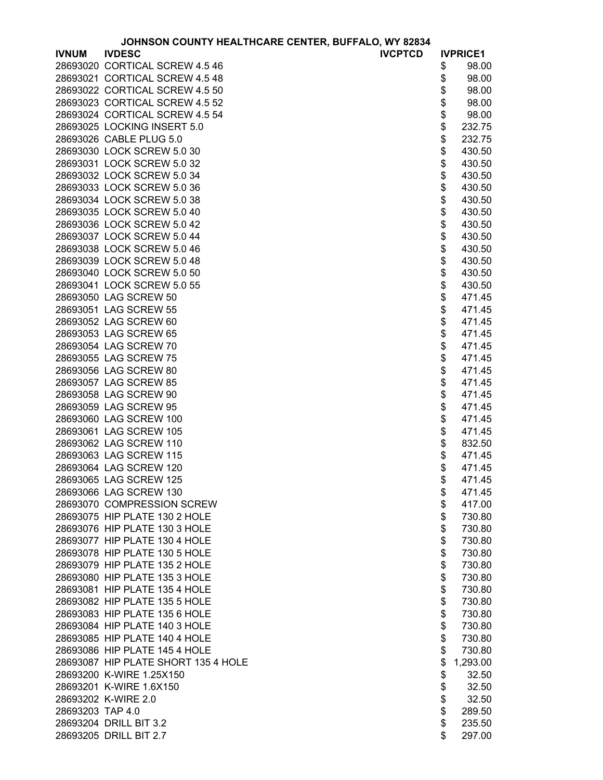|                  | JOHNSON COUNTY HEALTHCARE CENTER, BUFFALO, WY 82834 |                |          |                 |
|------------------|-----------------------------------------------------|----------------|----------|-----------------|
| <b>IVNUM</b>     | <b>IVDESC</b>                                       | <b>IVCPTCD</b> |          | <b>IVPRICE1</b> |
|                  | 28693020 CORTICAL SCREW 4.5 46                      |                | \$       | 98.00           |
|                  | 28693021 CORTICAL SCREW 4.5 48                      |                | \$       | 98.00           |
|                  | 28693022 CORTICAL SCREW 4.5 50                      |                | \$<br>\$ | 98.00           |
|                  | 28693023 CORTICAL SCREW 4.5 52                      |                |          | 98.00           |
|                  | 28693024 CORTICAL SCREW 4.5 54                      |                | \$       | 98.00           |
|                  | 28693025 LOCKING INSERT 5.0                         |                | \$       | 232.75          |
|                  | 28693026 CABLE PLUG 5.0                             |                |          | 232.75          |
|                  | 28693030 LOCK SCREW 5.0 30                          |                | \$       | 430.50          |
|                  | 28693031 LOCK SCREW 5.0 32                          |                | \$       | 430.50          |
|                  | 28693032 LOCK SCREW 5.0 34                          |                | \$       | 430.50          |
|                  | 28693033 LOCK SCREW 5.0 36                          |                | \$       | 430.50          |
|                  | 28693034 LOCK SCREW 5.0 38                          |                | \$       | 430.50          |
|                  | 28693035 LOCK SCREW 5.0 40                          |                | \$       | 430.50          |
|                  | 28693036 LOCK SCREW 5.0 42                          |                | \$       | 430.50          |
|                  | 28693037 LOCK SCREW 5.0 44                          |                | \$       | 430.50          |
|                  | 28693038 LOCK SCREW 5.0 46                          |                | \$       | 430.50          |
|                  | 28693039 LOCK SCREW 5.0 48                          |                | \$       | 430.50          |
|                  | 28693040 LOCK SCREW 5.0 50                          |                | \$       | 430.50          |
|                  | 28693041 LOCK SCREW 5.0 55                          |                | \$       | 430.50          |
|                  | 28693050 LAG SCREW 50                               |                | \$       | 471.45          |
|                  | 28693051 LAG SCREW 55                               |                | \$       | 471.45          |
|                  | 28693052 LAG SCREW 60                               |                | \$       | 471.45          |
|                  | 28693053 LAG SCREW 65                               |                | \$       | 471.45          |
|                  | 28693054 LAG SCREW 70                               |                | \$       | 471.45          |
|                  | 28693055 LAG SCREW 75                               |                | \$       | 471.45          |
|                  | 28693056 LAG SCREW 80                               |                | \$       | 471.45          |
|                  | 28693057 LAG SCREW 85                               |                | \$       | 471.45          |
|                  | 28693058 LAG SCREW 90                               |                | \$       | 471.45          |
|                  | 28693059 LAG SCREW 95                               |                | \$       |                 |
|                  | 28693060 LAG SCREW 100                              |                | \$       | 471.45          |
|                  |                                                     |                |          | 471.45          |
|                  | 28693061 LAG SCREW 105<br>28693062 LAG SCREW 110    |                | \$       | 471.45          |
|                  |                                                     |                | \$       | 832.50          |
|                  | 28693063 LAG SCREW 115                              |                | \$       | 471.45          |
|                  | 28693064 LAG SCREW 120                              |                | \$       | 471.45          |
|                  | 28693065 LAG SCREW 125                              |                | \$       | 471.45          |
|                  | 28693066 LAG SCREW 130                              |                | \$       | 471.45          |
|                  | 28693070 COMPRESSION SCREW                          |                | \$       | 417.00          |
|                  | 28693075 HIP PLATE 130 2 HOLE                       |                | \$       | 730.80          |
|                  | 28693076 HIP PLATE 130 3 HOLE                       |                | \$       | 730.80          |
|                  | 28693077 HIP PLATE 130 4 HOLE                       |                | \$       | 730.80          |
|                  | 28693078 HIP PLATE 130 5 HOLE                       |                | \$       | 730.80          |
|                  | 28693079 HIP PLATE 135 2 HOLE                       |                | \$       | 730.80          |
|                  | 28693080 HIP PLATE 135 3 HOLE                       |                | \$       | 730.80          |
|                  | 28693081 HIP PLATE 135 4 HOLE                       |                | \$       | 730.80          |
|                  | 28693082 HIP PLATE 135 5 HOLE                       |                | \$       | 730.80          |
|                  | 28693083 HIP PLATE 135 6 HOLE                       |                | \$       | 730.80          |
|                  | 28693084 HIP PLATE 140 3 HOLE                       |                | \$       | 730.80          |
|                  | 28693085 HIP PLATE 140 4 HOLE                       |                | \$       | 730.80          |
|                  | 28693086 HIP PLATE 145 4 HOLE                       |                | \$       | 730.80          |
|                  | 28693087 HIP PLATE SHORT 135 4 HOLE                 |                | \$       | 1,293.00        |
|                  | 28693200 K-WIRE 1.25X150                            |                | \$       | 32.50           |
|                  | 28693201 K-WIRE 1.6X150                             |                |          | 32.50           |
|                  | 28693202 K-WIRE 2.0                                 |                | \$<br>\$ | 32.50           |
| 28693203 TAP 4.0 |                                                     |                | \$       | 289.50          |
|                  | 28693204 DRILL BIT 3.2                              |                | \$       | 235.50          |
|                  | 28693205 DRILL BIT 2.7                              |                | \$       | 297.00          |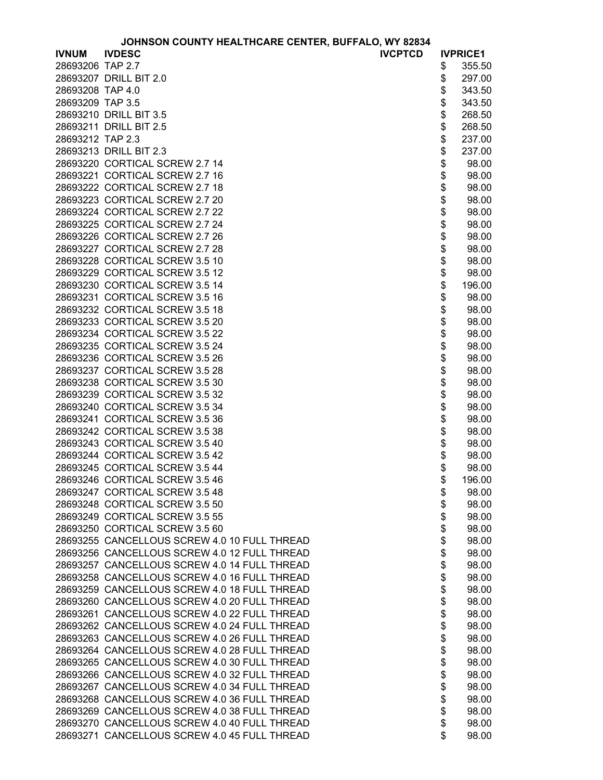| JOHNSON COUNTY HEALTHCARE CENTER, BUFFALO, WY 82834 |  |  |  |  |  |  |
|-----------------------------------------------------|--|--|--|--|--|--|
|-----------------------------------------------------|--|--|--|--|--|--|

|                  | JOHNSON COUNTY HEALTHCARE CENTER, BUFFALO, WY 82834 |          |                 |
|------------------|-----------------------------------------------------|----------|-----------------|
| <b>IVNUM</b>     | <b>IVDESC</b><br><b>IVCPTCD</b>                     |          | <b>IVPRICE1</b> |
| 28693206 TAP 2.7 |                                                     | \$       | 355.50          |
|                  | 28693207 DRILL BIT 2.0                              | \$       | 297.00          |
| 28693208 TAP 4.0 |                                                     | \$       | 343.50          |
| 28693209 TAP 3.5 |                                                     | \$       | 343.50          |
|                  | 28693210 DRILL BIT 3.5                              | \$       | 268.50          |
|                  | 28693211 DRILL BIT 2.5                              | \$       | 268.50          |
| 28693212 TAP 2.3 |                                                     | \$       | 237.00          |
|                  | 28693213 DRILL BIT 2.3                              | \$       | 237.00          |
|                  | 28693220 CORTICAL SCREW 2.7 14                      | \$       | 98.00           |
|                  | 28693221 CORTICAL SCREW 2.7 16                      | \$       | 98.00           |
|                  | 28693222 CORTICAL SCREW 2.7 18                      | \$       | 98.00           |
|                  | 28693223 CORTICAL SCREW 2.7 20                      | \$       | 98.00           |
|                  | 28693224 CORTICAL SCREW 2.7 22                      |          |                 |
|                  |                                                     | \$       | 98.00           |
|                  | 28693225 CORTICAL SCREW 2.7 24                      | \$       | 98.00           |
|                  | 28693226 CORTICAL SCREW 2.7 26                      | \$       | 98.00           |
|                  | 28693227 CORTICAL SCREW 2.7 28                      | \$       | 98.00           |
|                  | 28693228 CORTICAL SCREW 3.5 10                      | \$       | 98.00           |
|                  | 28693229 CORTICAL SCREW 3.5 12                      | \$       | 98.00           |
|                  | 28693230 CORTICAL SCREW 3.5 14                      | \$       | 196.00          |
|                  | 28693231 CORTICAL SCREW 3.5 16                      | \$       | 98.00           |
|                  | 28693232 CORTICAL SCREW 3.5 18                      | \$       | 98.00           |
|                  | 28693233 CORTICAL SCREW 3.5 20                      | \$       | 98.00           |
|                  | 28693234 CORTICAL SCREW 3.5 22                      | \$       | 98.00           |
|                  | 28693235 CORTICAL SCREW 3.5 24                      | \$       | 98.00           |
|                  | 28693236 CORTICAL SCREW 3.5 26                      | \$       | 98.00           |
|                  | 28693237 CORTICAL SCREW 3.5 28                      | \$       | 98.00           |
|                  | 28693238 CORTICAL SCREW 3.5 30                      | \$       | 98.00           |
|                  | 28693239 CORTICAL SCREW 3.5 32                      | \$       | 98.00           |
|                  | 28693240 CORTICAL SCREW 3.5 34                      | \$       | 98.00           |
|                  | 28693241 CORTICAL SCREW 3.5 36                      | \$       | 98.00           |
|                  | 28693242 CORTICAL SCREW 3.5 38                      | \$       | 98.00           |
|                  | 28693243 CORTICAL SCREW 3.5 40                      | \$       | 98.00           |
|                  | 28693244 CORTICAL SCREW 3.5 42                      | \$       | 98.00           |
|                  | 28693245 CORTICAL SCREW 3.5 44                      | \$       | 98.00           |
|                  | 28693246 CORTICAL SCREW 3.5 46                      | \$       | 196.00          |
|                  | 28693247 CORTICAL SCREW 3.5 48                      | \$       | 98.00           |
|                  | 28693248 CORTICAL SCREW 3.5 50                      | \$       | 98.00           |
|                  | 28693249 CORTICAL SCREW 3.5 55                      | \$       | 98.00           |
|                  | 28693250 CORTICAL SCREW 3.5 60                      | \$       | 98.00           |
|                  | 28693255 CANCELLOUS SCREW 4.0 10 FULL THREAD        | \$       | 98.00           |
|                  | 28693256 CANCELLOUS SCREW 4.0 12 FULL THREAD        | \$       | 98.00           |
|                  | 28693257 CANCELLOUS SCREW 4.0 14 FULL THREAD        | \$       | 98.00           |
|                  | 28693258 CANCELLOUS SCREW 4.0 16 FULL THREAD        | \$       | 98.00           |
|                  | 28693259 CANCELLOUS SCREW 4.0 18 FULL THREAD        | \$       | 98.00           |
|                  | 28693260 CANCELLOUS SCREW 4.0 20 FULL THREAD        | \$       | 98.00           |
|                  | 28693261 CANCELLOUS SCREW 4.0 22 FULL THREAD        | \$       | 98.00           |
|                  | 28693262 CANCELLOUS SCREW 4.0 24 FULL THREAD        | \$       | 98.00           |
|                  | 28693263 CANCELLOUS SCREW 4.0 26 FULL THREAD        | \$       | 98.00           |
|                  | 28693264 CANCELLOUS SCREW 4.0 28 FULL THREAD        | \$       | 98.00           |
|                  | 28693265 CANCELLOUS SCREW 4.0 30 FULL THREAD        |          | 98.00           |
|                  | 28693266 CANCELLOUS SCREW 4.0 32 FULL THREAD        | \$<br>\$ | 98.00           |
|                  | 28693267 CANCELLOUS SCREW 4.0 34 FULL THREAD        | \$       | 98.00           |
|                  | 28693268 CANCELLOUS SCREW 4.0 36 FULL THREAD        | \$       | 98.00           |
|                  | 28693269 CANCELLOUS SCREW 4.0 38 FULL THREAD        | \$       | 98.00           |
|                  | 28693270 CANCELLOUS SCREW 4.0 40 FULL THREAD        | \$       | 98.00           |
|                  | 28693271 CANCELLOUS SCREW 4.0 45 FULL THREAD        | \$       | 98.00           |
|                  |                                                     |          |                 |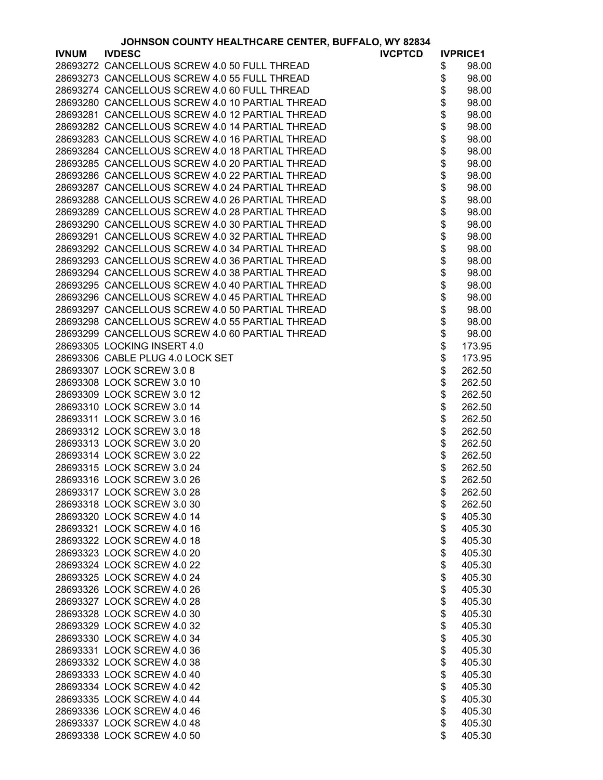|              | JOHNSON COUNTY HEALTHCARE CENTER, BUFFALO, WY 82834 |                 |
|--------------|-----------------------------------------------------|-----------------|
| <b>IVNUM</b> | <b>IVDESC</b><br><b>IVCPTCD</b>                     | <b>IVPRICE1</b> |
|              | 28693272 CANCELLOUS SCREW 4.0 50 FULL THREAD        | \$<br>98.00     |
|              | 28693273 CANCELLOUS SCREW 4.0 55 FULL THREAD        | \$<br>98.00     |
|              | 28693274 CANCELLOUS SCREW 4.0 60 FULL THREAD        | \$<br>98.00     |
|              | 28693280 CANCELLOUS SCREW 4.0 10 PARTIAL THREAD     | \$<br>98.00     |
|              | 28693281 CANCELLOUS SCREW 4.0 12 PARTIAL THREAD     | \$<br>98.00     |
|              | 28693282 CANCELLOUS SCREW 4.0 14 PARTIAL THREAD     | \$<br>98.00     |
|              | 28693283 CANCELLOUS SCREW 4.0 16 PARTIAL THREAD     | \$<br>98.00     |
|              | 28693284 CANCELLOUS SCREW 4.0 18 PARTIAL THREAD     | \$              |
|              |                                                     | 98.00           |
|              | 28693285 CANCELLOUS SCREW 4.0 20 PARTIAL THREAD     | \$<br>98.00     |
|              | 28693286 CANCELLOUS SCREW 4.0 22 PARTIAL THREAD     | \$<br>98.00     |
|              | 28693287 CANCELLOUS SCREW 4.0 24 PARTIAL THREAD     | \$<br>98.00     |
|              | 28693288 CANCELLOUS SCREW 4.0 26 PARTIAL THREAD     | \$<br>98.00     |
|              | 28693289 CANCELLOUS SCREW 4.0 28 PARTIAL THREAD     | \$<br>98.00     |
|              | 28693290 CANCELLOUS SCREW 4.0 30 PARTIAL THREAD     | \$<br>98.00     |
|              | 28693291 CANCELLOUS SCREW 4.0 32 PARTIAL THREAD     | 98.00           |
|              | 28693292 CANCELLOUS SCREW 4.0 34 PARTIAL THREAD     | \$<br>98.00     |
|              | 28693293 CANCELLOUS SCREW 4.0 36 PARTIAL THREAD     | \$<br>98.00     |
|              | 28693294 CANCELLOUS SCREW 4.0 38 PARTIAL THREAD     | \$<br>98.00     |
|              | 28693295 CANCELLOUS SCREW 4.0 40 PARTIAL THREAD     | \$<br>98.00     |
|              | 28693296 CANCELLOUS SCREW 4.0 45 PARTIAL THREAD     | \$<br>98.00     |
|              | 28693297 CANCELLOUS SCREW 4.0 50 PARTIAL THREAD     | \$<br>98.00     |
|              | 28693298 CANCELLOUS SCREW 4.0 55 PARTIAL THREAD     | \$<br>98.00     |
|              | 28693299 CANCELLOUS SCREW 4.0 60 PARTIAL THREAD     | \$<br>98.00     |
|              | 28693305 LOCKING INSERT 4.0                         | \$<br>173.95    |
|              | 28693306 CABLE PLUG 4.0 LOCK SET                    | \$<br>173.95    |
|              | 28693307 LOCK SCREW 3.0 8                           | \$<br>262.50    |
|              | 28693308 LOCK SCREW 3.0 10                          | \$<br>262.50    |
|              | 28693309 LOCK SCREW 3.0 12                          | \$              |
|              |                                                     | 262.50          |
|              | 28693310 LOCK SCREW 3.0 14                          | \$<br>262.50    |
|              | 28693311 LOCK SCREW 3.0 16                          | \$<br>262.50    |
|              | 28693312 LOCK SCREW 3.0 18                          | \$<br>262.50    |
|              | 28693313 LOCK SCREW 3.0 20                          | \$<br>262.50    |
|              | 28693314 LOCK SCREW 3.0 22                          | \$<br>262.50    |
|              | 28693315 LOCK SCREW 3.0 24                          | \$<br>262.50    |
|              | 28693316 LOCK SCREW 3.0 26                          | \$<br>262.50    |
|              | 28693317 LOCK SCREW 3.0 28                          | \$<br>262.50    |
|              | 28693318 LOCK SCREW 3.0 30                          | \$<br>262.50    |
|              | 28693320 LOCK SCREW 4.0 14                          | \$<br>405.30    |
|              | 28693321 LOCK SCREW 4.0 16                          | \$<br>405.30    |
|              | 28693322 LOCK SCREW 4.0 18                          | \$<br>405.30    |
|              | 28693323 LOCK SCREW 4.0 20                          | \$<br>405.30    |
|              | 28693324 LOCK SCREW 4.0 22                          | \$<br>405.30    |
|              | 28693325 LOCK SCREW 4.0 24                          | \$<br>405.30    |
|              | 28693326 LOCK SCREW 4.0 26                          | \$<br>405.30    |
|              | 28693327 LOCK SCREW 4.0 28                          | \$<br>405.30    |
|              | 28693328 LOCK SCREW 4.0 30                          | \$<br>405.30    |
|              | 28693329 LOCK SCREW 4.0 32                          | \$<br>405.30    |
|              | 28693330 LOCK SCREW 4.0 34                          | \$<br>405.30    |
|              | 28693331 LOCK SCREW 4.0 36                          | \$<br>405.30    |
|              | 28693332 LOCK SCREW 4.0 38                          | \$<br>405.30    |
|              | 28693333 LOCK SCREW 4.0 40                          | \$<br>405.30    |
|              | 28693334 LOCK SCREW 4.0 42                          | \$<br>405.30    |
|              | 28693335 LOCK SCREW 4.0 44                          | \$<br>405.30    |
|              |                                                     |                 |
|              | 28693336 LOCK SCREW 4.0 46                          | \$<br>405.30    |
|              | 28693337 LOCK SCREW 4.0 48                          | \$<br>405.30    |
|              | 28693338 LOCK SCREW 4.0 50                          | \$<br>405.30    |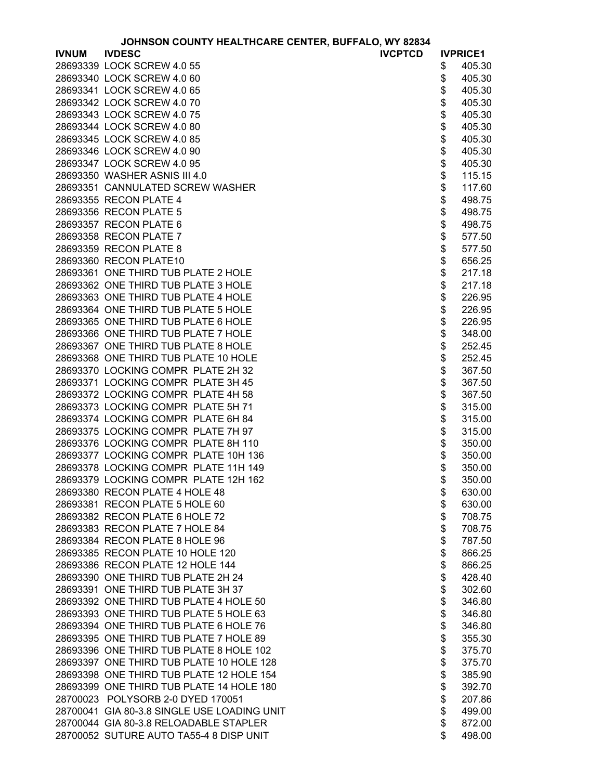| JOHNSON COUNTY HEALTHCARE CENTER, BUFFALO, WY 82834 |  |  |
|-----------------------------------------------------|--|--|
|-----------------------------------------------------|--|--|

|              | <b>JOHNSON COUNTY HEALTHCARE CENTER, BUFFALO, WY 82834</b> |                 |
|--------------|------------------------------------------------------------|-----------------|
| <b>IVNUM</b> | <b>IVDESC</b><br><b>IVCPTCD</b>                            | <b>IVPRICE1</b> |
|              | 28693339 LOCK SCREW 4.0 55                                 | \$<br>405.30    |
|              | 28693340 LOCK SCREW 4.0 60                                 | \$<br>405.30    |
|              | 28693341 LOCK SCREW 4.0 65                                 | \$<br>405.30    |
|              | 28693342 LOCK SCREW 4.0 70                                 | \$<br>405.30    |
|              | 28693343 LOCK SCREW 4.0 75                                 | \$<br>405.30    |
|              | 28693344 LOCK SCREW 4.0 80                                 | \$<br>405.30    |
|              | 28693345 LOCK SCREW 4.0 85                                 | \$<br>405.30    |
|              | 28693346 LOCK SCREW 4.0 90                                 | \$<br>405.30    |
|              | 28693347 LOCK SCREW 4.0 95                                 | \$<br>405.30    |
|              | 28693350 WASHER ASNIS III 4.0                              | \$<br>115.15    |
|              | 28693351 CANNULATED SCREW WASHER                           | \$<br>117.60    |
|              | 28693355 RECON PLATE 4                                     | \$<br>498.75    |
|              |                                                            |                 |
|              | 28693356 RECON PLATE 5                                     | \$<br>498.75    |
|              | 28693357 RECON PLATE 6                                     | \$<br>498.75    |
|              | 28693358 RECON PLATE 7                                     | \$<br>577.50    |
|              | 28693359 RECON PLATE 8                                     | \$<br>577.50    |
|              | 28693360 RECON PLATE10                                     | \$<br>656.25    |
|              | 28693361 ONE THIRD TUB PLATE 2 HOLE                        | \$<br>217.18    |
|              | 28693362 ONE THIRD TUB PLATE 3 HOLE                        | \$<br>217.18    |
|              | 28693363 ONE THIRD TUB PLATE 4 HOLE                        | \$<br>226.95    |
|              | 28693364 ONE THIRD TUB PLATE 5 HOLE                        | \$<br>226.95    |
|              | 28693365 ONE THIRD TUB PLATE 6 HOLE                        | \$<br>226.95    |
|              | 28693366 ONE THIRD TUB PLATE 7 HOLE                        | \$<br>348.00    |
|              | 28693367 ONE THIRD TUB PLATE 8 HOLE                        | \$<br>252.45    |
|              | 28693368 ONE THIRD TUB PLATE 10 HOLE                       | \$<br>252.45    |
|              | 28693370 LOCKING COMPR PLATE 2H 32                         | \$<br>367.50    |
|              | 28693371 LOCKING COMPR PLATE 3H 45                         | \$<br>367.50    |
|              | 28693372 LOCKING COMPR PLATE 4H 58                         | \$<br>367.50    |
|              | 28693373 LOCKING COMPR PLATE 5H 71                         | \$<br>315.00    |
|              | 28693374 LOCKING COMPR PLATE 6H 84                         | \$<br>315.00    |
|              | 28693375 LOCKING COMPR PLATE 7H 97                         | \$<br>315.00    |
|              | 28693376 LOCKING COMPR PLATE 8H 110                        | \$<br>350.00    |
|              | 28693377 LOCKING COMPR PLATE 10H 136                       | \$<br>350.00    |
|              | 28693378 LOCKING COMPR PLATE 11H 149                       | \$<br>350.00    |
|              | 28693379 LOCKING COMPR PLATE 12H 162                       | \$<br>350.00    |
|              | 28693380 RECON PLATE 4 HOLE 48                             | \$<br>630.00    |
|              | 28693381 RECON PLATE 5 HOLE 60                             | \$<br>630.00    |
|              | 28693382 RECON PLATE 6 HOLE 72                             | \$<br>708.75    |
|              | 28693383 RECON PLATE 7 HOLE 84                             | \$<br>708.75    |
|              | 28693384 RECON PLATE 8 HOLE 96                             | \$<br>787.50    |
|              | 28693385 RECON PLATE 10 HOLE 120                           | \$<br>866.25    |
|              | 28693386 RECON PLATE 12 HOLE 144                           | \$<br>866.25    |
|              |                                                            | \$<br>428.40    |
|              | 28693390 ONE THIRD TUB PLATE 2H 24                         |                 |
|              | 28693391 ONE THIRD TUB PLATE 3H 37                         | \$<br>302.60    |
|              | 28693392 ONE THIRD TUB PLATE 4 HOLE 50                     | \$<br>346.80    |
|              | 28693393 ONE THIRD TUB PLATE 5 HOLE 63                     | \$<br>346.80    |
|              | 28693394 ONE THIRD TUB PLATE 6 HOLE 76                     | \$<br>346.80    |
|              | 28693395 ONE THIRD TUB PLATE 7 HOLE 89                     | \$<br>355.30    |
|              | 28693396 ONE THIRD TUB PLATE 8 HOLE 102                    | \$<br>375.70    |
|              | 28693397 ONE THIRD TUB PLATE 10 HOLE 128                   | \$<br>375.70    |
|              | 28693398 ONE THIRD TUB PLATE 12 HOLE 154                   | \$<br>385.90    |
|              | 28693399 ONE THIRD TUB PLATE 14 HOLE 180                   | \$<br>392.70    |
|              | 28700023 POLYSORB 2-0 DYED 170051                          | \$<br>207.86    |
|              | 28700041 GIA 80-3.8 SINGLE USE LOADING UNIT                | \$<br>499.00    |
|              | 28700044 GIA 80-3.8 RELOADABLE STAPLER                     | \$<br>872.00    |
|              | 28700052 SUTURE AUTO TA55-4 8 DISP UNIT                    | \$<br>498.00    |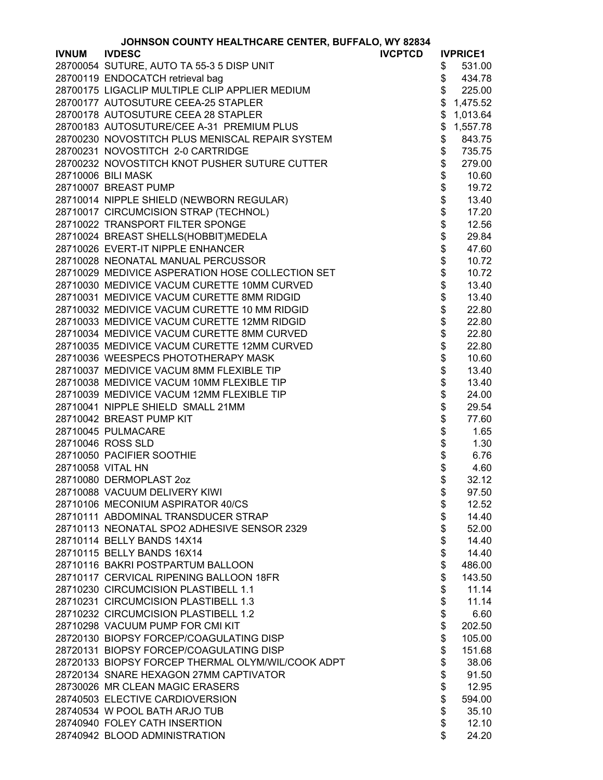|                   | JOHNSON COUNTY HEALTHCARE CENTER, BUFFALO, WY 82834 |                |                          |                 |
|-------------------|-----------------------------------------------------|----------------|--------------------------|-----------------|
| <b>IVNUM</b>      | <b>IVDESC</b>                                       | <b>IVCPTCD</b> |                          | <b>IVPRICE1</b> |
|                   | 28700054 SUTURE, AUTO TA 55-3 5 DISP UNIT           |                | \$                       | 531.00          |
|                   | 28700119 ENDOCATCH retrieval bag                    |                | \$                       | 434.78          |
|                   | 28700175 LIGACLIP MULTIPLE CLIP APPLIER MEDIUM      |                | \$                       | 225.00          |
|                   | 28700177 AUTOSUTURE CEEA-25 STAPLER                 |                | \$                       | 1,475.52        |
|                   | 28700178 AUTOSUTURE CEEA 28 STAPLER                 |                | \$                       | 1,013.64        |
|                   | 28700183 AUTOSUTURE/CEE A-31 PREMIUM PLUS           |                | \$                       | 1,557.78        |
|                   | 28700230 NOVOSTITCH PLUS MENISCAL REPAIR SYSTEM     |                | \$                       | 843.75          |
|                   | 28700231 NOVOSTITCH 2-0 CARTRIDGE                   |                | \$                       | 735.75          |
|                   | 28700232 NOVOSTITCH KNOT PUSHER SUTURE CUTTER       |                |                          | 279.00          |
|                   | 28710006 BILI MASK                                  |                |                          | 10.60           |
|                   | 28710007 BREAST PUMP                                |                | \$\$\$\$\$\$\$\$\$\$\$\$ | 19.72           |
|                   | 28710014 NIPPLE SHIELD (NEWBORN REGULAR)            |                |                          | 13.40           |
|                   | 28710017 CIRCUMCISION STRAP (TECHNOL)               |                |                          | 17.20           |
|                   | 28710022 TRANSPORT FILTER SPONGE                    |                |                          | 12.56           |
|                   | 28710024 BREAST SHELLS(HOBBIT)MEDELA                |                |                          | 29.84           |
|                   | 28710026 EVERT-IT NIPPLE ENHANCER                   |                |                          | 47.60           |
|                   | 28710028 NEONATAL MANUAL PERCUSSOR                  |                |                          | 10.72           |
|                   | 28710029 MEDIVICE ASPERATION HOSE COLLECTION SET    |                |                          | 10.72           |
|                   | 28710030 MEDIVICE VACUM CURETTE 10MM CURVED         |                |                          | 13.40           |
|                   | 28710031 MEDIVICE VACUM CURETTE 8MM RIDGID          |                | \$                       | 13.40           |
|                   | 28710032 MEDIVICE VACUM CURETTE 10 MM RIDGID        |                | \$                       | 22.80           |
|                   | 28710033 MEDIVICE VACUM CURETTE 12MM RIDGID         |                | \$                       | 22.80           |
|                   | 28710034 MEDIVICE VACUM CURETTE 8MM CURVED          |                | \$                       | 22.80           |
|                   | 28710035 MEDIVICE VACUM CURETTE 12MM CURVED         |                |                          | 22.80           |
|                   | 28710036 WEESPECS PHOTOTHERAPY MASK                 |                |                          | 10.60           |
|                   | 28710037 MEDIVICE VACUM 8MM FLEXIBLE TIP            |                |                          | 13.40           |
|                   | 28710038 MEDIVICE VACUM 10MM FLEXIBLE TIP           |                |                          | 13.40           |
|                   | 28710039 MEDIVICE VACUM 12MM FLEXIBLE TIP           |                | \$\$\$\$\$\$\$\$\$\$     | 24.00           |
|                   | 28710041 NIPPLE SHIELD SMALL 21MM                   |                |                          | 29.54           |
|                   | 28710042 BREAST PUMP KIT                            |                |                          | 77.60           |
|                   | 28710045 PULMACARE                                  |                |                          | 1.65            |
|                   | 28710046 ROSS SLD                                   |                |                          | 1.30            |
|                   | 28710050 PACIFIER SOOTHIE                           |                | \$                       | 6.76            |
| 28710058 VITAL HN |                                                     |                | \$                       | 4.60            |
|                   | 28710080 DERMOPLAST 2oz                             |                | \$                       | 32.12           |
|                   | 28710088 VACUUM DELIVERY KIWI                       |                | \$                       | 97.50           |
|                   | 28710106 MECONIUM ASPIRATOR 40/CS                   |                | \$                       | 12.52           |
|                   | 28710111 ABDOMINAL TRANSDUCER STRAP                 |                | \$                       | 14.40           |
|                   | 28710113 NEONATAL SPO2 ADHESIVE SENSOR 2329         |                | \$                       | 52.00           |
|                   | 28710114 BELLY BANDS 14X14                          |                | \$                       | 14.40           |
|                   | 28710115 BELLY BANDS 16X14                          |                | \$                       | 14.40           |
|                   | 28710116 BAKRI POSTPARTUM BALLOON                   |                | \$                       | 486.00          |
|                   | 28710117 CERVICAL RIPENING BALLOON 18FR             |                | \$                       | 143.50          |
|                   | 28710230 CIRCUMCISION PLASTIBELL 1.1                |                | \$                       | 11.14           |
|                   | 28710231 CIRCUMCISION PLASTIBELL 1.3                |                | \$                       | 11.14           |
|                   | 28710232 CIRCUMCISION PLASTIBELL 1.2                |                | \$                       | 6.60            |
|                   | 28710298 VACUUM PUMP FOR CMI KIT                    |                | \$                       | 202.50          |
|                   | 28720130 BIOPSY FORCEP/COAGULATING DISP             |                | \$                       | 105.00          |
|                   | 28720131 BIOPSY FORCEP/COAGULATING DISP             |                | \$                       | 151.68          |
|                   | 28720133 BIOPSY FORCEP THERMAL OLYM/WIL/COOK ADPT   |                | \$                       | 38.06           |
|                   | 28720134 SNARE HEXAGON 27MM CAPTIVATOR              |                | \$                       | 91.50           |
|                   | 28730026 MR CLEAN MAGIC ERASERS                     |                | \$                       | 12.95           |
|                   | 28740503 ELECTIVE CARDIOVERSION                     |                | \$                       | 594.00          |
|                   | 28740534 W POOL BATH ARJO TUB                       |                | \$                       | 35.10           |
|                   | 28740940 FOLEY CATH INSERTION                       |                | \$                       | 12.10           |
|                   | 28740942 BLOOD ADMINISTRATION                       |                | \$                       | 24.20           |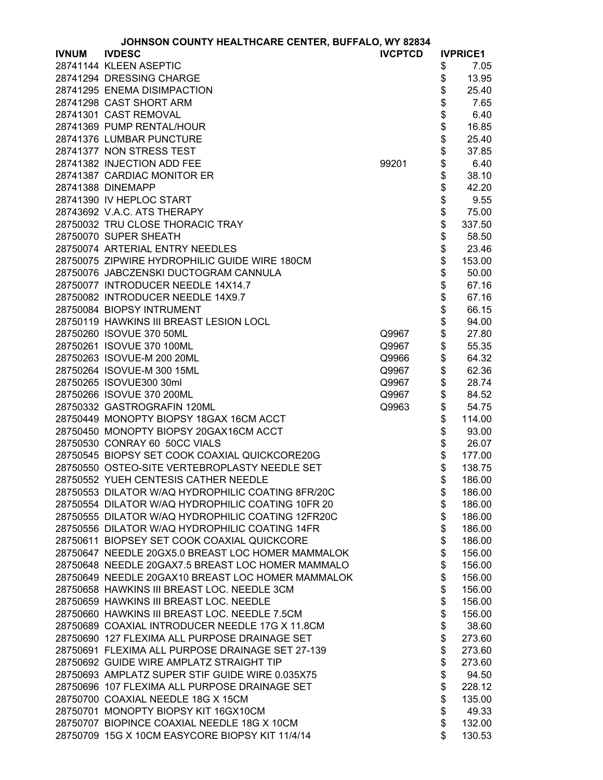| JOHNSON COUNTY HEALTHCARE CENTER, BUFFALO, WY 82834 |                                                   |                |            |                 |
|-----------------------------------------------------|---------------------------------------------------|----------------|------------|-----------------|
| <b>IVNUM</b>                                        | <b>IVDESC</b>                                     | <b>IVCPTCD</b> |            | <b>IVPRICE1</b> |
|                                                     | 28741144 KLEEN ASEPTIC                            |                | \$         | 7.05            |
|                                                     | 28741294 DRESSING CHARGE                          |                | \$         | 13.95           |
|                                                     | 28741295 ENEMA DISIMPACTION                       |                | \$         | 25.40           |
|                                                     | 28741298 CAST SHORT ARM                           |                |            | 7.65            |
|                                                     | 28741301 CAST REMOVAL                             |                | \$\$\$\$\$ | 6.40            |
|                                                     | 28741369 PUMP RENTAL/HOUR                         |                |            | 16.85           |
|                                                     | 28741376 LUMBAR PUNCTURE                          |                |            | 25.40           |
|                                                     | 28741377 NON STRESS TEST                          |                |            | 37.85           |
|                                                     | 28741382 INJECTION ADD FEE                        | 99201          | \$         | 6.40            |
|                                                     | 28741387 CARDIAC MONITOR ER                       |                | \$         | 38.10           |
|                                                     | 28741388 DINEMAPP                                 |                |            | 42.20           |
|                                                     | 28741390 IV HEPLOC START                          |                | \$\$       | 9.55            |
|                                                     |                                                   |                |            |                 |
|                                                     | 28743692 V.A.C. ATS THERAPY                       |                |            | 75.00           |
|                                                     | 28750032 TRU CLOSE THORACIC TRAY                  |                | \$         | 337.50          |
|                                                     | 28750070 SUPER SHEATH                             |                | \$         | 58.50           |
|                                                     | 28750074 ARTERIAL ENTRY NEEDLES                   |                | \$         | 23.46           |
|                                                     | 28750075 ZIPWIRE HYDROPHILIC GUIDE WIRE 180CM     |                | \$         | 153.00          |
|                                                     | 28750076 JABCZENSKI DUCTOGRAM CANNULA             |                | \$         | 50.00           |
|                                                     | 28750077 INTRODUCER NEEDLE 14X14.7                |                | \$         | 67.16           |
|                                                     | 28750082 INTRODUCER NEEDLE 14X9.7                 |                |            | 67.16           |
|                                                     | 28750084 BIOPSY INTRUMENT                         |                |            | 66.15           |
|                                                     | 28750119 HAWKINS III BREAST LESION LOCL           |                |            | 94.00           |
|                                                     | 28750260 ISOVUE 370 50ML                          | Q9967          | \$\$\$\$   | 27.80           |
|                                                     | 28750261 ISOVUE 370 100ML                         | Q9967          | \$         | 55.35           |
|                                                     | 28750263 ISOVUE-M 200 20ML                        | Q9966          | \$         | 64.32           |
|                                                     | 28750264 ISOVUE-M 300 15ML                        | Q9967          | \$         | 62.36           |
|                                                     | 28750265 ISOVUE300 30ml                           | Q9967          | \$         | 28.74           |
|                                                     | 28750266 ISOVUE 370 200ML                         |                |            | 84.52           |
|                                                     |                                                   | Q9967          | \$         |                 |
|                                                     | 28750332 GASTROGRAFIN 120ML                       | Q9963          | \$         | 54.75           |
|                                                     | 28750449 MONOPTY BIOPSY 18GAX 16CM ACCT           |                | \$         | 114.00          |
|                                                     | 28750450 MONOPTY BIOPSY 20GAX16CM ACCT            |                | \$         | 93.00           |
|                                                     | 28750530 CONRAY 60 50CC VIALS                     |                | \$         | 26.07           |
|                                                     | 28750545 BIOPSY SET COOK COAXIAL QUICKCORE20G     |                | \$         | 177.00          |
|                                                     | 28750550 OSTEO-SITE VERTEBROPLASTY NEEDLE SET     |                | \$         | 138.75          |
|                                                     | 28750552 YUEH CENTESIS CATHER NEEDLE              |                | \$         | 186.00          |
|                                                     | 28750553 DILATOR W/AQ HYDROPHILIC COATING 8FR/20C |                | \$         | 186.00          |
|                                                     | 28750554 DILATOR W/AQ HYDROPHILIC COATING 10FR 20 |                | \$         | 186.00          |
|                                                     | 28750555 DILATOR W/AQ HYDROPHILIC COATING 12FR20C |                | \$         | 186.00          |
|                                                     | 28750556 DILATOR W/AQ HYDROPHILIC COATING 14FR    |                | \$         | 186.00          |
|                                                     | 28750611 BIOPSEY SET COOK COAXIAL QUICKCORE       |                | \$         | 186.00          |
|                                                     | 28750647 NEEDLE 20GX5.0 BREAST LOC HOMER MAMMALOK |                | \$         | 156.00          |
|                                                     | 28750648 NEEDLE 20GAX7.5 BREAST LOC HOMER MAMMALO |                | \$         | 156.00          |
|                                                     | 28750649 NEEDLE 20GAX10 BREAST LOC HOMER MAMMALOK |                | \$         | 156.00          |
|                                                     | 28750658 HAWKINS III BREAST LOC. NEEDLE 3CM       |                | \$         | 156.00          |
|                                                     | 28750659 HAWKINS III BREAST LOC. NEEDLE           |                | \$         | 156.00          |
|                                                     | 28750660 HAWKINS III BREAST LOC. NEEDLE 7.5CM     |                | \$         | 156.00          |
|                                                     | 28750689 COAXIAL INTRODUCER NEEDLE 17G X 11.8CM   |                | \$         | 38.60           |
|                                                     | 28750690 127 FLEXIMA ALL PURPOSE DRAINAGE SET     |                | \$         | 273.60          |
|                                                     | 28750691 FLEXIMA ALL PURPOSE DRAINAGE SET 27-139  |                | \$         | 273.60          |
|                                                     |                                                   |                |            |                 |
|                                                     | 28750692 GUIDE WIRE AMPLATZ STRAIGHT TIP          |                | \$         | 273.60          |
|                                                     | 28750693 AMPLATZ SUPER STIF GUIDE WIRE 0.035X75   |                | \$         | 94.50           |
|                                                     | 28750696 107 FLEXIMA ALL PURPOSE DRAINAGE SET     |                | \$         | 228.12          |
|                                                     | 28750700 COAXIAL NEEDLE 18G X 15CM                |                | \$         | 135.00          |
|                                                     | 28750701 MONOPTY BIOPSY KIT 16GX10CM              |                | \$         | 49.33           |
|                                                     | 28750707 BIOPINCE COAXIAL NEEDLE 18G X 10CM       |                | \$         | 132.00          |
|                                                     | 28750709 15G X 10CM EASYCORE BIOPSY KIT 11/4/14   |                | \$         | 130.53          |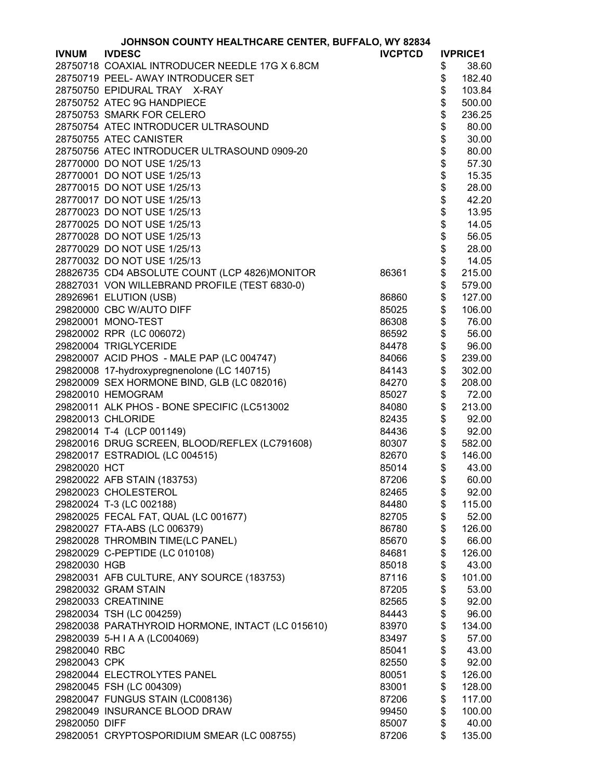|               | JOHNSON COUNTY HEALTHCARE CENTER, BUFFALO, WY 82834 |                |                     |                 |
|---------------|-----------------------------------------------------|----------------|---------------------|-----------------|
| <b>IVNUM</b>  | <b>IVDESC</b>                                       | <b>IVCPTCD</b> |                     | <b>IVPRICE1</b> |
|               | 28750718 COAXIAL INTRODUCER NEEDLE 17G X 6.8CM      |                | \$                  | 38.60           |
|               | 28750719 PEEL- AWAY INTRODUCER SET                  |                | \$                  | 182.40          |
|               | 28750750 EPIDURAL TRAY X-RAY                        |                | \$                  | 103.84          |
|               | 28750752 ATEC 9G HANDPIECE                          |                | \$                  | 500.00          |
|               | 28750753 SMARK FOR CELERO                           |                | \$                  | 236.25          |
|               | 28750754 ATEC INTRODUCER ULTRASOUND                 |                | \$                  | 80.00           |
|               |                                                     |                |                     |                 |
|               | 28750755 ATEC CANISTER                              |                |                     | 30.00           |
|               | 28750756 ATEC INTRODUCER ULTRASOUND 0909-20         |                |                     | 80.00           |
|               | 28770000 DO NOT USE 1/25/13                         |                |                     | 57.30           |
|               | 28770001 DO NOT USE 1/25/13                         |                |                     | 15.35           |
|               | 28770015 DO NOT USE 1/25/13                         |                |                     | 28.00           |
|               | 28770017 DO NOT USE 1/25/13                         |                |                     | 42.20           |
|               | 28770023 DO NOT USE 1/25/13                         |                |                     | 13.95           |
|               | 28770025 DO NOT USE 1/25/13                         |                |                     | 14.05           |
|               | 28770028 DO NOT USE 1/25/13                         |                | <b>888888888888</b> | 56.05           |
|               | 28770029 DO NOT USE 1/25/13                         |                |                     | 28.00           |
|               | 28770032 DO NOT USE 1/25/13                         |                |                     | 14.05           |
|               | 28826735 CD4 ABSOLUTE COUNT (LCP 4826)MONITOR       | 86361          | \$                  | 215.00          |
|               | 28827031 VON WILLEBRAND PROFILE (TEST 6830-0)       |                | \$                  | 579.00          |
|               | 28926961 ELUTION (USB)                              | 86860          | \$                  | 127.00          |
|               | 29820000 CBC W/AUTO DIFF                            | 85025          | \$                  | 106.00          |
|               | 29820001 MONO-TEST                                  | 86308          | \$                  | 76.00           |
|               | 29820002 RPR (LC 006072)                            | 86592          | \$                  | 56.00           |
|               |                                                     |                |                     |                 |
|               | 29820004 TRIGLYCERIDE                               | 84478          | \$                  | 96.00           |
|               | 29820007 ACID PHOS - MALE PAP (LC 004747)           | 84066          | \$                  | 239.00          |
|               | 29820008 17-hydroxypregnenolone (LC 140715)         | 84143          | \$                  | 302.00          |
|               | 29820009 SEX HORMONE BIND, GLB (LC 082016)          | 84270          | \$                  | 208.00          |
|               | 29820010 HEMOGRAM                                   | 85027          | \$                  | 72.00           |
|               | 29820011 ALK PHOS - BONE SPECIFIC (LC513002         | 84080          | \$                  | 213.00          |
|               | 29820013 CHLORIDE                                   | 82435          | \$                  | 92.00           |
|               | 29820014 T-4 (LCP 001149)                           | 84436          | \$                  | 92.00           |
|               | 29820016 DRUG SCREEN, BLOOD/REFLEX (LC791608)       | 80307          | \$                  | 582.00          |
|               | 29820017 ESTRADIOL (LC 004515)                      | 82670          | \$                  | 146.00          |
| 29820020 HCT  |                                                     | 85014          | \$                  | 43.00           |
|               | 29820022 AFB STAIN (183753)                         | 87206          | \$                  | 60.00           |
|               | 29820023 CHOLESTEROL                                | 82465          | \$                  | 92.00           |
|               | 29820024 T-3 (LC 002188)                            | 84480          | \$                  | 115.00          |
|               | 29820025 FECAL FAT, QUAL (LC 001677)                | 82705          | \$                  | 52.00           |
|               | 29820027 FTA-ABS (LC 006379)                        | 86780          | \$                  | 126.00          |
|               | 29820028 THROMBIN TIME(LC PANEL)                    | 85670          | \$                  | 66.00           |
|               | 29820029 C-PEPTIDE (LC 010108)                      | 84681          | \$                  | 126.00          |
| 29820030 HGB  |                                                     | 85018          | \$                  | 43.00           |
|               | 29820031 AFB CULTURE, ANY SOURCE (183753)           | 87116          | \$                  | 101.00          |
|               | 29820032 GRAM STAIN                                 | 87205          | \$                  | 53.00           |
|               | 29820033 CREATININE                                 |                |                     |                 |
|               |                                                     | 82565          | \$                  | 92.00           |
|               | 29820034 TSH (LC 004259)                            | 84443          | \$                  | 96.00           |
|               | 29820038 PARATHYROID HORMONE, INTACT (LC 015610)    | 83970          | \$                  | 134.00          |
|               | 29820039 5-H I A A (LC004069)                       | 83497          | \$                  | 57.00           |
| 29820040 RBC  |                                                     | 85041          | \$                  | 43.00           |
| 29820043 CPK  |                                                     | 82550          | \$                  | 92.00           |
|               | 29820044 ELECTROLYTES PANEL                         | 80051          | \$                  | 126.00          |
|               | 29820045 FSH (LC 004309)                            | 83001          | \$                  | 128.00          |
|               | 29820047 FUNGUS STAIN (LC008136)                    | 87206          | \$                  | 117.00          |
|               | 29820049 INSURANCE BLOOD DRAW                       | 99450          | \$                  | 100.00          |
| 29820050 DIFF |                                                     | 85007          | \$                  | 40.00           |
|               | 29820051 CRYPTOSPORIDIUM SMEAR (LC 008755)          | 87206          | \$                  | 135.00          |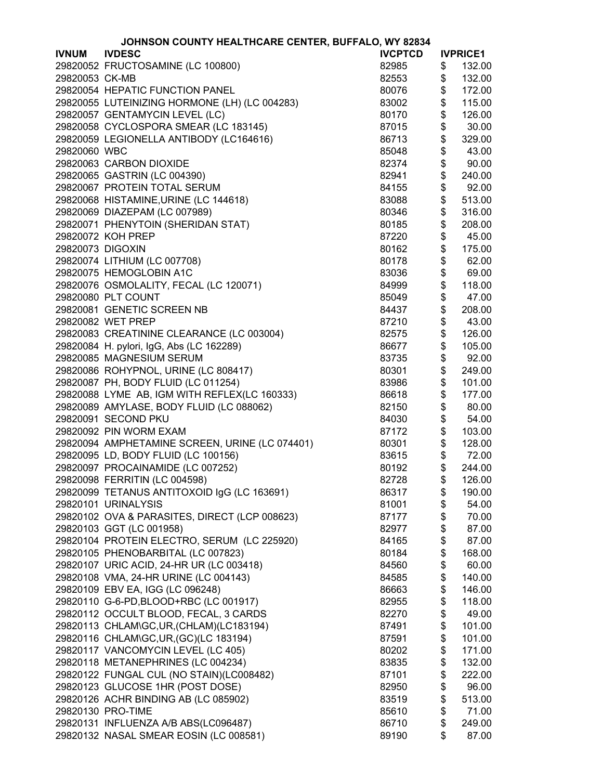|                  | JOHNSON COUNTY HEALTHCARE CENTER, BUFFALO, WY 82834 |                |                 |
|------------------|-----------------------------------------------------|----------------|-----------------|
| <b>IVNUM</b>     | <b>IVDESC</b>                                       | <b>IVCPTCD</b> | <b>IVPRICE1</b> |
|                  | 29820052 FRUCTOSAMINE (LC 100800)                   | 82985          | \$<br>132.00    |
| 29820053 CK-MB   |                                                     | 82553          | \$<br>132.00    |
|                  | 29820054 HEPATIC FUNCTION PANEL                     | 80076          | \$<br>172.00    |
|                  | 29820055 LUTEINIZING HORMONE (LH) (LC 004283)       | 83002          | \$<br>115.00    |
|                  | 29820057 GENTAMYCIN LEVEL (LC)                      | 80170          | \$<br>126.00    |
|                  | 29820058 CYCLOSPORA SMEAR (LC 183145)               | 87015          | \$<br>30.00     |
|                  | 29820059 LEGIONELLA ANTIBODY (LC164616)             | 86713          | \$<br>329.00    |
| 29820060 WBC     |                                                     | 85048          | \$<br>43.00     |
|                  | 29820063 CARBON DIOXIDE                             | 82374          | \$<br>90.00     |
|                  | 29820065 GASTRIN (LC 004390)                        | 82941          | \$<br>240.00    |
|                  | 29820067 PROTEIN TOTAL SERUM                        | 84155          | \$<br>92.00     |
|                  | 29820068 HISTAMINE, URINE (LC 144618)               | 83088          | \$<br>513.00    |
|                  | 29820069 DIAZEPAM (LC 007989)                       | 80346          | \$<br>316.00    |
|                  | 29820071 PHENYTOIN (SHERIDAN STAT)                  | 80185          | \$<br>208.00    |
|                  | 29820072 KOH PREP                                   | 87220          | \$<br>45.00     |
| 29820073 DIGOXIN |                                                     | 80162          | \$<br>175.00    |
|                  | 29820074 LITHIUM (LC 007708)                        | 80178          | \$<br>62.00     |
|                  | 29820075 HEMOGLOBIN A1C                             | 83036          | \$<br>69.00     |
|                  | 29820076 OSMOLALITY, FECAL (LC 120071)              | 84999          | \$<br>118.00    |
|                  | 29820080 PLT COUNT                                  | 85049          | \$<br>47.00     |
|                  | 29820081 GENETIC SCREEN NB                          | 84437          | \$<br>208.00    |
|                  | 29820082 WET PREP                                   | 87210          | \$<br>43.00     |
|                  | 29820083 CREATININE CLEARANCE (LC 003004)           | 82575          | \$<br>126.00    |
|                  | 29820084 H. pylori, IgG, Abs (LC 162289)            | 86677          | \$<br>105.00    |
|                  | 29820085 MAGNESIUM SERUM                            | 83735          | \$<br>92.00     |
|                  | 29820086 ROHYPNOL, URINE (LC 808417)                | 80301          | \$<br>249.00    |
|                  | 29820087 PH, BODY FLUID (LC 011254)                 | 83986          | \$<br>101.00    |
|                  | 29820088 LYME AB, IGM WITH REFLEX(LC 160333)        | 86618          | \$<br>177.00    |
|                  | 29820089 AMYLASE, BODY FLUID (LC 088062)            | 82150          | \$<br>80.00     |
|                  | 29820091 SECOND PKU                                 | 84030          | \$<br>54.00     |
|                  | 29820092 PIN WORM EXAM                              | 87172          | \$<br>103.00    |
|                  | 29820094 AMPHETAMINE SCREEN, URINE (LC 074401)      | 80301          | \$<br>128.00    |
|                  | 29820095 LD, BODY FLUID (LC 100156)                 | 83615          | \$<br>72.00     |
|                  | 29820097 PROCAINAMIDE (LC 007252)                   | 80192          | \$<br>244.00    |
|                  | 29820098 FERRITIN (LC 004598)                       | 82728          | \$<br>126.00    |
|                  | 29820099 TETANUS ANTITOXOID IgG (LC 163691)         | 86317          | \$<br>190.00    |
|                  | 29820101 URINALYSIS                                 | 81001          | \$<br>54.00     |
|                  | 29820102 OVA & PARASITES, DIRECT (LCP 008623)       | 87177          | \$<br>70.00     |
|                  | 29820103 GGT (LC 001958)                            | 82977          | \$<br>87.00     |
|                  | 29820104 PROTEIN ELECTRO, SERUM (LC 225920)         | 84165          | \$<br>87.00     |
|                  | 29820105 PHENOBARBITAL (LC 007823)                  | 80184          | \$<br>168.00    |
|                  | 29820107 URIC ACID, 24-HR UR (LC 003418)            | 84560          | \$<br>60.00     |
|                  | 29820108 VMA, 24-HR URINE (LC 004143)               | 84585          | \$<br>140.00    |
|                  | 29820109 EBV EA, IGG (LC 096248)                    | 86663          | \$<br>146.00    |
|                  | 29820110 G-6-PD, BLOOD+RBC (LC 001917)              | 82955          | \$<br>118.00    |
|                  | 29820112 OCCULT BLOOD, FECAL, 3 CARDS               | 82270          | \$<br>49.00     |
|                  | 29820113 CHLAM\GC, UR, (CHLAM)(LC183194)            | 87491          | \$<br>101.00    |
|                  | 29820116 CHLAM\GC, UR, (GC)(LC 183194)              | 87591          | \$<br>101.00    |
|                  | 29820117 VANCOMYCIN LEVEL (LC 405)                  | 80202          | \$<br>171.00    |
|                  | 29820118 METANEPHRINES (LC 004234)                  | 83835          | \$<br>132.00    |
|                  | 29820122 FUNGAL CUL (NO STAIN)(LC008482)            | 87101          | \$<br>222.00    |
|                  | 29820123 GLUCOSE 1HR (POST DOSE)                    | 82950          | \$<br>96.00     |
|                  | 29820126 ACHR BINDING AB (LC 085902)                | 83519          | \$<br>513.00    |
|                  | 29820130 PRO-TIME                                   | 85610          | \$<br>71.00     |
|                  | 29820131 INFLUENZA A/B ABS(LC096487)                | 86710          | \$<br>249.00    |
|                  | 29820132 NASAL SMEAR EOSIN (LC 008581)              | 89190          | \$<br>87.00     |
|                  |                                                     |                |                 |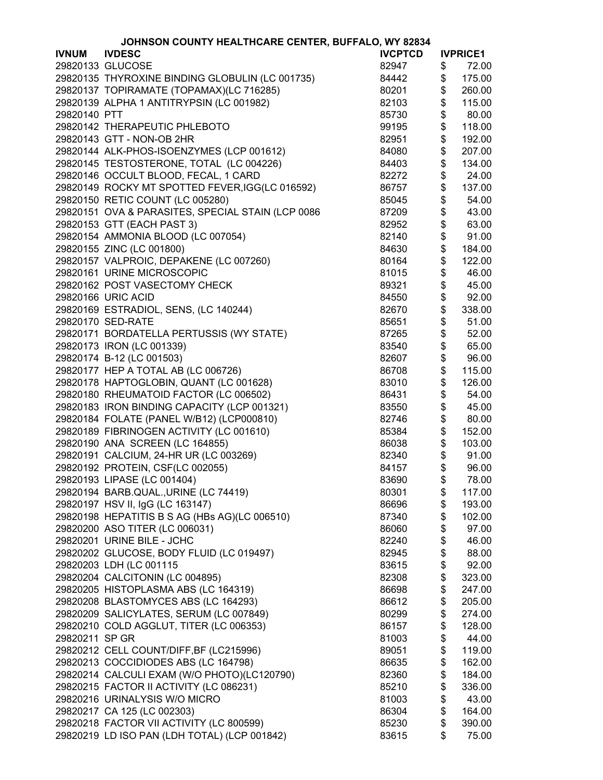|                | JOHNSON COUNTY HEALTHCARE CENTER, BUFFALO, WY 82834 |                |                                           |                  |
|----------------|-----------------------------------------------------|----------------|-------------------------------------------|------------------|
| <b>IVNUM</b>   | <b>IVDESC</b>                                       | <b>IVCPTCD</b> |                                           | <b>IVPRICE1</b>  |
|                | 29820133 GLUCOSE                                    | 82947          | \$                                        | 72.00            |
|                | 29820135 THYROXINE BINDING GLOBULIN (LC 001735)     | 84442          | \$                                        | 175.00           |
|                | 29820137 TOPIRAMATE (TOPAMAX)(LC 716285)            | 80201          | \$                                        | 260.00           |
|                | 29820139 ALPHA 1 ANTITRYPSIN (LC 001982)            | 82103          | \$                                        | 115.00           |
| 29820140 PTT   |                                                     | 85730          | \$                                        | 80.00            |
|                | 29820142 THERAPEUTIC PHLEBOTO                       | 99195          | \$                                        | 118.00           |
|                | 29820143 GTT - NON-OB 2HR                           | 82951          | \$                                        | 192.00           |
|                | 29820144 ALK-PHOS-ISOENZYMES (LCP 001612)           | 84080          | \$                                        | 207.00           |
|                | 29820145 TESTOSTERONE, TOTAL (LC 004226)            | 84403          | \$                                        | 134.00           |
|                | 29820146 OCCULT BLOOD, FECAL, 1 CARD                | 82272          | \$                                        | 24.00            |
|                | 29820149 ROCKY MT SPOTTED FEVER, IGG(LC 016592)     | 86757          |                                           | 137.00           |
|                | 29820150 RETIC COUNT (LC 005280)                    | 85045          | \$<br>\$                                  | 54.00            |
|                | 29820151 OVA & PARASITES, SPECIAL STAIN (LCP 0086   | 87209          |                                           | 43.00            |
|                | 29820153 GTT (EACH PAST 3)                          | 82952          | $\frac{6}{3}$                             | 63.00            |
|                | 29820154 AMMONIA BLOOD (LC 007054)                  | 82140          |                                           | 91.00            |
|                | 29820155 ZINC (LC 001800)                           | 84630          | \$\$                                      | 184.00           |
|                | 29820157 VALPROIC, DEPAKENE (LC 007260)             | 80164          |                                           | 122.00           |
|                | 29820161 URINE MICROSCOPIC                          | 81015          | \$                                        | 46.00            |
|                | 29820162 POST VASECTOMY CHECK                       | 89321          |                                           | 45.00            |
|                | 29820166 URIC ACID                                  | 84550          | \$                                        | 92.00            |
|                | 29820169 ESTRADIOL, SENS, (LC 140244)               | 82670          | \$                                        | 338.00           |
|                | 29820170 SED-RATE                                   | 85651          | \$                                        | 51.00            |
|                | 29820171 BORDATELLA PERTUSSIS (WY STATE)            | 87265          | \$                                        | 52.00            |
|                | 29820173 IRON (LC 001339)                           | 83540          | \$                                        | 65.00            |
|                | 29820174 B-12 (LC 001503)                           | 82607          | \$                                        | 96.00            |
|                | 29820177 HEP A TOTAL AB (LC 006726)                 | 86708          | \$                                        | 115.00           |
|                | 29820178 HAPTOGLOBIN, QUANT (LC 001628)             | 83010          | $\, \, \raisebox{12pt}{$\scriptstyle \$}$ | 126.00           |
|                | 29820180 RHEUMATOID FACTOR (LC 006502)              | 86431          | \$                                        | 54.00            |
|                | 29820183 IRON BINDING CAPACITY (LCP 001321)         | 83550          | \$                                        | 45.00            |
|                | 29820184 FOLATE (PANEL W/B12) (LCP000810)           | 82746          | \$                                        | 80.00            |
|                | 29820189 FIBRINOGEN ACTIVITY (LC 001610)            | 85384          | \$                                        | 152.00           |
|                | 29820190 ANA SCREEN (LC 164855)                     | 86038          | \$                                        | 103.00           |
|                | 29820191 CALCIUM, 24-HR UR (LC 003269)              | 82340          | \$                                        | 91.00            |
|                | 29820192 PROTEIN, CSF(LC 002055)                    | 84157          | \$                                        | 96.00            |
|                | 29820193 LIPASE (LC 001404)                         | 83690          | \$                                        | 78.00            |
|                | 29820194 BARB.QUAL., URINE (LC 74419)               | 80301          | \$                                        | 117.00           |
|                | 29820197 HSV II, IgG (LC 163147)                    | 86696          | \$                                        | 193.00           |
|                | 29820198 HEPATITIS B S AG (HBs AG)(LC 006510)       | 87340          | \$                                        | 102.00           |
|                | 29820200 ASO TITER (LC 006031)                      | 86060          | \$                                        | 97.00            |
|                | 29820201 URINE BILE - JCHC                          | 82240          | \$                                        | 46.00            |
|                | 29820202 GLUCOSE, BODY FLUID (LC 019497)            | 82945          | \$                                        | 88.00            |
|                | 29820203 LDH (LC 001115                             | 83615          | \$                                        | 92.00            |
|                | 29820204 CALCITONIN (LC 004895)                     | 82308          | \$                                        | 323.00           |
|                | 29820205 HISTOPLASMA ABS (LC 164319)                | 86698          | \$                                        | 247.00           |
|                |                                                     |                | \$                                        |                  |
|                | 29820208 BLASTOMYCES ABS (LC 164293)                | 86612          | \$                                        | 205.00           |
|                | 29820209 SALICYLATES, SERUM (LC 007849)             | 80299          | \$                                        | 274.00<br>128.00 |
| 29820211 SP GR | 29820210 COLD AGGLUT, TITER (LC 006353)             | 86157          |                                           | 44.00            |
|                |                                                     | 81003          | \$                                        |                  |
|                | 29820212 CELL COUNT/DIFF, BF (LC215996)             | 89051          | \$                                        | 119.00           |
|                | 29820213 COCCIDIODES ABS (LC 164798)                | 86635          | \$                                        | 162.00           |
|                | 29820214 CALCULI EXAM (W/O PHOTO)(LC120790)         | 82360          |                                           | 184.00           |
|                | 29820215 FACTOR II ACTIVITY (LC 086231)             | 85210          | \$                                        | 336.00           |
|                | 29820216 URINALYSIS W/O MICRO                       | 81003          | \$                                        | 43.00            |
|                | 29820217 CA 125 (LC 002303)                         | 86304          | \$                                        | 164.00           |
|                | 29820218 FACTOR VII ACTIVITY (LC 800599)            | 85230          | \$                                        | 390.00           |
|                | 29820219 LD ISO PAN (LDH TOTAL) (LCP 001842)        | 83615          | \$                                        | 75.00            |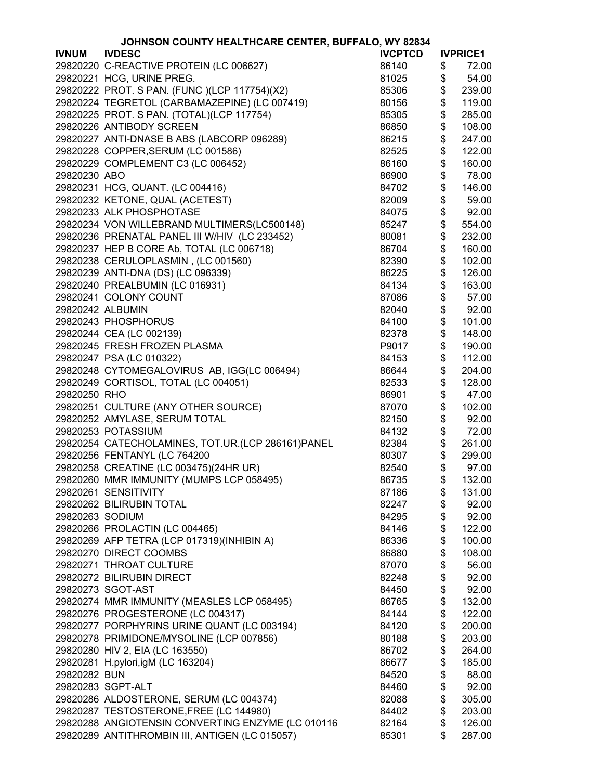|                  | JOHNSON COUNTY HEALTHCARE CENTER, BUFFALO, WY 82834 |                |                                           |                 |
|------------------|-----------------------------------------------------|----------------|-------------------------------------------|-----------------|
| <b>IVNUM</b>     | <b>IVDESC</b>                                       | <b>IVCPTCD</b> |                                           | <b>IVPRICE1</b> |
|                  | 29820220 C-REACTIVE PROTEIN (LC 006627)             | 86140          | \$                                        | 72.00           |
|                  | 29820221 HCG, URINE PREG.                           | 81025          | \$                                        | 54.00           |
|                  | 29820222 PROT. S PAN. (FUNC )(LCP 117754)(X2)       | 85306          | \$                                        | 239.00          |
|                  | 29820224 TEGRETOL (CARBAMAZEPINE) (LC 007419)       | 80156          | \$                                        | 119.00          |
|                  | 29820225 PROT. S PAN. (TOTAL)(LCP 117754)           | 85305          | \$                                        | 285.00          |
|                  | 29820226 ANTIBODY SCREEN                            | 86850          | \$                                        | 108.00          |
|                  | 29820227 ANTI-DNASE B ABS (LABCORP 096289)          | 86215          | \$                                        | 247.00          |
|                  | 29820228 COPPER, SERUM (LC 001586)                  | 82525          | \$                                        | 122.00          |
|                  | 29820229 COMPLEMENT C3 (LC 006452)                  | 86160          | \$                                        | 160.00          |
|                  |                                                     |                |                                           |                 |
| 29820230 ABO     |                                                     | 86900          | \$                                        | 78.00           |
|                  | 29820231 HCG, QUANT. (LC 004416)                    | 84702          | \$                                        | 146.00          |
|                  | 29820232 KETONE, QUAL (ACETEST)                     | 82009          | \$                                        | 59.00           |
|                  | 29820233 ALK PHOSPHOTASE                            | 84075          | \$                                        | 92.00           |
|                  | 29820234 VON WILLEBRAND MULTIMERS(LC500148)         | 85247          | \$                                        | 554.00          |
|                  | 29820236 PRENATAL PANEL III W/HIV (LC 233452)       | 80081          | \$                                        | 232.00          |
|                  | 29820237 HEP B CORE Ab, TOTAL (LC 006718)           | 86704          | \$                                        | 160.00          |
|                  | 29820238 CERULOPLASMIN, (LC 001560)                 | 82390          | \$                                        | 102.00          |
|                  | 29820239 ANTI-DNA (DS) (LC 096339)                  | 86225          | \$                                        | 126.00          |
|                  | 29820240 PREALBUMIN (LC 016931)                     | 84134          | \$                                        | 163.00          |
|                  | 29820241 COLONY COUNT                               | 87086          | \$                                        | 57.00           |
| 29820242 ALBUMIN |                                                     | 82040          | \$                                        | 92.00           |
|                  | 29820243 PHOSPHORUS                                 | 84100          | \$                                        | 101.00          |
|                  | 29820244 CEA (LC 002139)                            | 82378          | \$                                        | 148.00          |
|                  | 29820245 FRESH FROZEN PLASMA                        | P9017          | \$                                        | 190.00          |
|                  | 29820247 PSA (LC 010322)                            | 84153          | \$                                        | 112.00          |
|                  | 29820248 CYTOMEGALOVIRUS AB, IGG(LC 006494)         | 86644          | \$                                        | 204.00          |
|                  | 29820249 CORTISOL, TOTAL (LC 004051)                | 82533          | \$                                        | 128.00          |
| 29820250 RHO     |                                                     | 86901          | \$                                        | 47.00           |
|                  | 29820251 CULTURE (ANY OTHER SOURCE)                 | 87070          | \$                                        | 102.00          |
|                  | 29820252 AMYLASE, SERUM TOTAL                       | 82150          | \$                                        | 92.00           |
|                  | 29820253 POTASSIUM                                  | 84132          | \$                                        | 72.00           |
|                  | 29820254 CATECHOLAMINES, TOT.UR.(LCP 286161)PANEL   | 82384          | \$                                        | 261.00          |
|                  | 29820256 FENTANYL (LC 764200                        | 80307          | $\, \, \raisebox{12pt}{$\scriptstyle \$}$ | 299.00          |
|                  | 29820258 CREATINE (LC 003475)(24HR UR)              | 82540          | \$                                        | 97.00           |
|                  | 29820260 MMR IMMUNITY (MUMPS LCP 058495)            |                | $\frac{1}{2}$                             | 132.00          |
|                  | 29820261 SENSITIVITY                                | 86735          |                                           |                 |
|                  | 29820262 BILIRUBIN TOTAL                            | 87186<br>82247 | \$                                        | 131.00          |
|                  |                                                     |                | \$                                        | 92.00           |
| 29820263 SODIUM  |                                                     | 84295          | \$<br>\$                                  | 92.00           |
|                  | 29820266 PROLACTIN (LC 004465)                      | 84146          |                                           | 122.00          |
|                  | 29820269 AFP TETRA (LCP 017319)(INHIBIN A)          | 86336          | \$                                        | 100.00          |
|                  | 29820270 DIRECT COOMBS                              | 86880          | \$                                        | 108.00          |
|                  | 29820271 THROAT CULTURE                             | 87070          | \$                                        | 56.00           |
|                  | 29820272 BILIRUBIN DIRECT                           | 82248          | \$                                        | 92.00           |
|                  | 29820273 SGOT-AST                                   | 84450          | \$                                        | 92.00           |
|                  | 29820274 MMR IMMUNITY (MEASLES LCP 058495)          | 86765          | \$                                        | 132.00          |
|                  | 29820276 PROGESTERONE (LC 004317)                   | 84144          | \$                                        | 122.00          |
|                  | 29820277 PORPHYRINS URINE QUANT (LC 003194)         | 84120          | \$                                        | 200.00          |
|                  | 29820278 PRIMIDONE/MYSOLINE (LCP 007856)            | 80188          | \$                                        | 203.00          |
|                  | 29820280 HIV 2, EIA (LC 163550)                     | 86702          | \$                                        | 264.00          |
|                  | 29820281 H.pylori,igM (LC 163204)                   | 86677          | \$                                        | 185.00          |
| 29820282 BUN     |                                                     | 84520          | \$                                        | 88.00           |
|                  | 29820283 SGPT-ALT                                   | 84460          | \$                                        | 92.00           |
|                  | 29820286 ALDOSTERONE, SERUM (LC 004374)             | 82088          | \$                                        | 305.00          |
|                  | 29820287 TESTOSTERONE, FREE (LC 144980)             | 84402          | \$                                        | 203.00          |
|                  | 29820288 ANGIOTENSIN CONVERTING ENZYME (LC 010116   | 82164          | \$                                        | 126.00          |
|                  | 29820289 ANTITHROMBIN III, ANTIGEN (LC 015057)      | 85301          | \$                                        | 287.00          |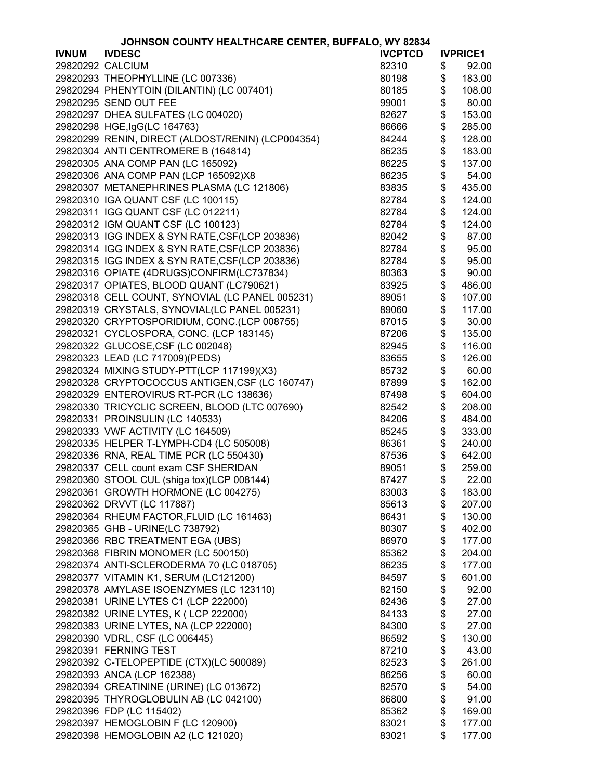| OHNSON COUNTY HEALTHCARE CENTER, BUFFALO, WY 82834 |
|----------------------------------------------------|
|----------------------------------------------------|

|                  | JOHNSON COUNTY HEALTHCARE CENTER, BUFFALO, WY 82834 |                |                 |
|------------------|-----------------------------------------------------|----------------|-----------------|
| <b>IVNUM</b>     | <b>IVDESC</b>                                       | <b>IVCPTCD</b> | <b>IVPRICE1</b> |
| 29820292 CALCIUM |                                                     | 82310          | \$<br>92.00     |
|                  | 29820293 THEOPHYLLINE (LC 007336)                   | 80198          | \$<br>183.00    |
|                  | 29820294 PHENYTOIN (DILANTIN) (LC 007401)           | 80185          | \$<br>108.00    |
|                  | 29820295 SEND OUT FEE                               | 99001          | \$<br>80.00     |
|                  | 29820297 DHEA SULFATES (LC 004020)                  | 82627          | \$<br>153.00    |
|                  | 29820298 HGE, IgG(LC 164763)                        | 86666          | \$<br>285.00    |
|                  | 29820299 RENIN, DIRECT (ALDOST/RENIN) (LCP004354)   | 84244          | \$<br>128.00    |
|                  | 29820304 ANTI CENTROMERE B (164814)                 | 86235          | \$<br>183.00    |
|                  | 29820305 ANA COMP PAN (LC 165092)                   | 86225          | \$<br>137.00    |
|                  | 29820306 ANA COMP PAN (LCP 165092)X8                | 86235          | \$<br>54.00     |
|                  | 29820307 METANEPHRINES PLASMA (LC 121806)           | 83835          | \$<br>435.00    |
|                  | 29820310 IGA QUANT CSF (LC 100115)                  | 82784          | \$<br>124.00    |
|                  | 29820311 IGG QUANT CSF (LC 012211)                  | 82784          | \$<br>124.00    |
|                  | 29820312 IGM QUANT CSF (LC 100123)                  | 82784          | \$<br>124.00    |
|                  | 29820313 IGG INDEX & SYN RATE, CSF(LCP 203836)      |                |                 |
|                  |                                                     | 82042          | \$<br>87.00     |
|                  | 29820314 IGG INDEX & SYN RATE, CSF(LCP 203836)      | 82784          | \$<br>95.00     |
|                  | 29820315 IGG INDEX & SYN RATE, CSF(LCP 203836)      | 82784          | \$<br>95.00     |
|                  | 29820316 OPIATE (4DRUGS)CONFIRM(LC737834)           | 80363          | \$<br>90.00     |
|                  | 29820317 OPIATES, BLOOD QUANT (LC790621)            | 83925          | \$<br>486.00    |
|                  | 29820318 CELL COUNT, SYNOVIAL (LC PANEL 005231)     | 89051          | \$<br>107.00    |
|                  | 29820319 CRYSTALS, SYNOVIAL(LC PANEL 005231)        | 89060          | \$<br>117.00    |
|                  | 29820320 CRYPTOSPORIDIUM, CONC.(LCP 008755)         | 87015          | \$<br>30.00     |
|                  | 29820321 CYCLOSPORA, CONC. (LCP 183145)             | 87206          | \$<br>135.00    |
|                  | 29820322 GLUCOSE, CSF (LC 002048)                   | 82945          | \$<br>116.00    |
|                  | 29820323 LEAD (LC 717009)(PEDS)                     | 83655          | \$<br>126.00    |
|                  | 29820324 MIXING STUDY-PTT(LCP 117199)(X3)           | 85732          | \$<br>60.00     |
|                  | 29820328 CRYPTOCOCCUS ANTIGEN, CSF (LC 160747)      | 87899          | \$<br>162.00    |
|                  | 29820329 ENTEROVIRUS RT-PCR (LC 138636)             | 87498          | \$<br>604.00    |
|                  | 29820330 TRICYCLIC SCREEN, BLOOD (LTC 007690)       | 82542          | \$<br>208.00    |
|                  | 29820331 PROINSULIN (LC 140533)                     | 84206          | \$<br>484.00    |
|                  | 29820333 VWF ACTIVITY (LC 164509)                   | 85245          | \$<br>333.00    |
|                  | 29820335 HELPER T-LYMPH-CD4 (LC 505008)             | 86361          | \$<br>240.00    |
|                  | 29820336 RNA, REAL TIME PCR (LC 550430)             | 87536          | \$<br>642.00    |
|                  | 29820337 CELL count exam CSF SHERIDAN               | 89051          | \$<br>259.00    |
|                  | 29820360 STOOL CUL (shiga tox)(LCP 008144)          | 87427          | \$<br>22.00     |
|                  | 29820361 GROWTH HORMONE (LC 004275)                 | 83003          | \$<br>183.00    |
|                  | 29820362 DRVVT (LC 117887)                          | 85613          | \$<br>207.00    |
|                  | 29820364 RHEUM FACTOR, FLUID (LC 161463)            | 86431          | \$<br>130.00    |
|                  | 29820365 GHB - URINE(LC 738792)                     | 80307          | \$<br>402.00    |
|                  | 29820366 RBC TREATMENT EGA (UBS)                    | 86970          | \$<br>177.00    |
|                  | 29820368 FIBRIN MONOMER (LC 500150)                 | 85362          | \$<br>204.00    |
|                  | 29820374 ANTI-SCLERODERMA 70 (LC 018705)            | 86235          | \$<br>177.00    |
|                  | 29820377 VITAMIN K1, SERUM (LC121200)               | 84597          | \$<br>601.00    |
|                  | 29820378 AMYLASE ISOENZYMES (LC 123110)             | 82150          | \$<br>92.00     |
|                  | 29820381 URINE LYTES C1 (LCP 222000)                | 82436          | \$<br>27.00     |
|                  | 29820382 URINE LYTES, K (LCP 222000)                | 84133          | \$<br>27.00     |
|                  | 29820383 URINE LYTES, NA (LCP 222000)               | 84300          | \$<br>27.00     |
|                  | 29820390 VDRL, CSF (LC 006445)                      | 86592          | \$<br>130.00    |
|                  | 29820391 FERNING TEST                               | 87210          | \$<br>43.00     |
|                  |                                                     |                | \$              |
|                  | 29820392 C-TELOPEPTIDE (CTX)(LC 500089)             | 82523          | 261.00          |
|                  | 29820393 ANCA (LCP 162388)                          | 86256          | \$<br>60.00     |
|                  | 29820394 CREATININE (URINE) (LC 013672)             | 82570          | \$<br>54.00     |
|                  | 29820395 THYROGLOBULIN AB (LC 042100)               | 86800          | \$<br>91.00     |
|                  | 29820396 FDP (LC 115402)                            | 85362          | \$<br>169.00    |
|                  | 29820397 HEMOGLOBIN F (LC 120900)                   | 83021          | \$<br>177.00    |
|                  | 29820398 HEMOGLOBIN A2 (LC 121020)                  | 83021          | \$<br>177.00    |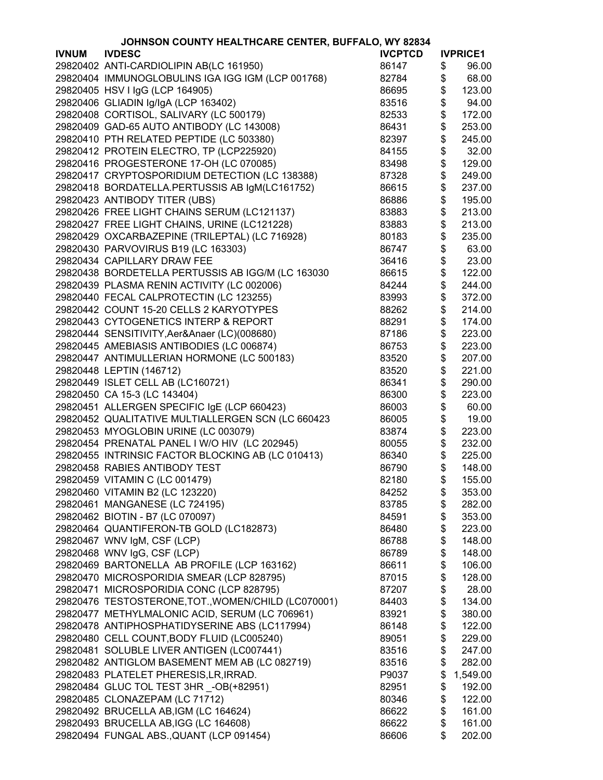|              | JOHNSON COUNTY HEALTHCARE CENTER, BUFFALO, WY 82834 |                |                 |
|--------------|-----------------------------------------------------|----------------|-----------------|
| <b>IVNUM</b> | <b>IVDESC</b>                                       | <b>IVCPTCD</b> | <b>IVPRICE1</b> |
|              | 29820402 ANTI-CARDIOLIPIN AB(LC 161950)             | 86147          | \$<br>96.00     |
|              | 29820404 IMMUNOGLOBULINS IGA IGG IGM (LCP 001768)   | 82784          | \$<br>68.00     |
|              | 29820405 HSV I IgG (LCP 164905)                     | 86695          | \$<br>123.00    |
|              | 29820406 GLIADIN Ig/IgA (LCP 163402)                | 83516          | \$<br>94.00     |
|              | 29820408 CORTISOL, SALIVARY (LC 500179)             | 82533          | \$<br>172.00    |
|              | 29820409 GAD-65 AUTO ANTIBODY (LC 143008)           | 86431          | \$<br>253.00    |
|              | 29820410 PTH RELATED PEPTIDE (LC 503380)            | 82397          | \$<br>245.00    |
|              | 29820412 PROTEIN ELECTRO, TP (LCP225920)            | 84155          | \$<br>32.00     |
|              | 29820416 PROGESTERONE 17-OH (LC 070085)             | 83498          | \$<br>129.00    |
|              |                                                     |                |                 |
|              | 29820417 CRYPTOSPORIDIUM DETECTION (LC 138388)      | 87328          | \$<br>249.00    |
|              | 29820418 BORDATELLA.PERTUSSIS AB IgM(LC161752)      | 86615          | \$<br>237.00    |
|              | 29820423 ANTIBODY TITER (UBS)                       | 86886          | \$<br>195.00    |
|              | 29820426 FREE LIGHT CHAINS SERUM (LC121137)         | 83883          | \$<br>213.00    |
|              | 29820427 FREE LIGHT CHAINS, URINE (LC121228)        | 83883          | \$<br>213.00    |
|              | 29820429 OXCARBAZEPINE (TRILEPTAL) (LC 716928)      | 80183          | \$<br>235.00    |
|              | 29820430 PARVOVIRUS B19 (LC 163303)                 | 86747          | \$<br>63.00     |
|              | 29820434 CAPILLARY DRAW FEE                         | 36416          | \$<br>23.00     |
|              | 29820438 BORDETELLA PERTUSSIS AB IGG/M (LC 163030   | 86615          | \$<br>122.00    |
|              | 29820439 PLASMA RENIN ACTIVITY (LC 002006)          | 84244          | \$<br>244.00    |
|              | 29820440 FECAL CALPROTECTIN (LC 123255)             | 83993          | \$<br>372.00    |
|              | 29820442 COUNT 15-20 CELLS 2 KARYOTYPES             | 88262          | \$<br>214.00    |
|              | 29820443 CYTOGENETICS INTERP & REPORT               | 88291          | \$<br>174.00    |
|              | 29820444 SENSITIVITY, Aer&Anaer (LC)(008680)        | 87186          | \$<br>223.00    |
|              | 29820445 AMEBIASIS ANTIBODIES (LC 006874)           | 86753          | \$<br>223.00    |
|              | 29820447 ANTIMULLERIAN HORMONE (LC 500183)          | 83520          | \$<br>207.00    |
|              | 29820448 LEPTIN (146712)                            | 83520          | \$<br>221.00    |
|              | 29820449 ISLET CELL AB (LC160721)                   | 86341          | \$<br>290.00    |
|              | 29820450 CA 15-3 (LC 143404)                        | 86300          | \$<br>223.00    |
|              |                                                     |                |                 |
|              | 29820451 ALLERGEN SPECIFIC IgE (LCP 660423)         | 86003          | \$<br>60.00     |
|              | 29820452 QUALITATIVE MULTIALLERGEN SCN (LC 660423   | 86005          | \$<br>19.00     |
|              | 29820453 MYOGLOBIN URINE (LC 003079)                | 83874          | \$<br>223.00    |
|              | 29820454 PRENATAL PANEL I W/O HIV (LC 202945)       | 80055          | \$<br>232.00    |
|              | 29820455 INTRINSIC FACTOR BLOCKING AB (LC 010413)   | 86340          | \$<br>225.00    |
|              | 29820458 RABIES ANTIBODY TEST                       | 86790          | \$<br>148.00    |
|              | 29820459 VITAMIN C (LC 001479)                      | 82180          | \$<br>155.00    |
|              | 29820460 VITAMIN B2 (LC 123220)                     | 84252          | \$<br>353.00    |
|              | 29820461 MANGANESE (LC 724195)                      | 83785          | \$<br>282.00    |
|              | 29820462 BIOTIN - B7 (LC 070097)                    | 84591          | \$<br>353.00    |
|              | 29820464 QUANTIFERON-TB GOLD (LC182873)             | 86480          | \$<br>223.00    |
|              | 29820467 WNV IgM, CSF (LCP)                         | 86788          | \$<br>148.00    |
|              | 29820468 WNV IgG, CSF (LCP)                         | 86789          | \$<br>148.00    |
|              | 29820469 BARTONELLA AB PROFILE (LCP 163162)         | 86611          | \$<br>106.00    |
|              | 29820470 MICROSPORIDIA SMEAR (LCP 828795)           | 87015          | \$<br>128.00    |
|              | 29820471 MICROSPORIDIA CONC (LCP 828795)            | 87207          | \$<br>28.00     |
|              | 29820476 TESTOSTERONE, TOT., WOMEN/CHILD (LC070001) | 84403          | \$<br>134.00    |
|              | 29820477 METHYLMALONIC ACID, SERUM (LC 706961)      | 83921          | \$<br>380.00    |
|              | 29820478 ANTIPHOSPHATIDYSERINE ABS (LC117994)       | 86148          | \$<br>122.00    |
|              | 29820480 CELL COUNT, BODY FLUID (LC005240)          | 89051          | \$<br>229.00    |
|              | 29820481 SOLUBLE LIVER ANTIGEN (LC007441)           | 83516          | \$<br>247.00    |
|              | 29820482 ANTIGLOM BASEMENT MEM AB (LC 082719)       | 83516          | \$<br>282.00    |
|              | 29820483 PLATELET PHERESIS, LR, IRRAD.              | P9037          | \$<br>1,549.00  |
|              | 29820484 GLUC TOL TEST 3HR _- OB(+82951)            | 82951          | \$<br>192.00    |
|              |                                                     |                | \$              |
|              | 29820485 CLONAZEPAM (LC 71712)                      | 80346          | 122.00          |
|              | 29820492 BRUCELLA AB, IGM (LC 164624)               | 86622          | \$<br>161.00    |
|              | 29820493 BRUCELLA AB, IGG (LC 164608)               | 86622          | \$<br>161.00    |
|              | 29820494 FUNGAL ABS., QUANT (LCP 091454)            | 86606          | \$<br>202.00    |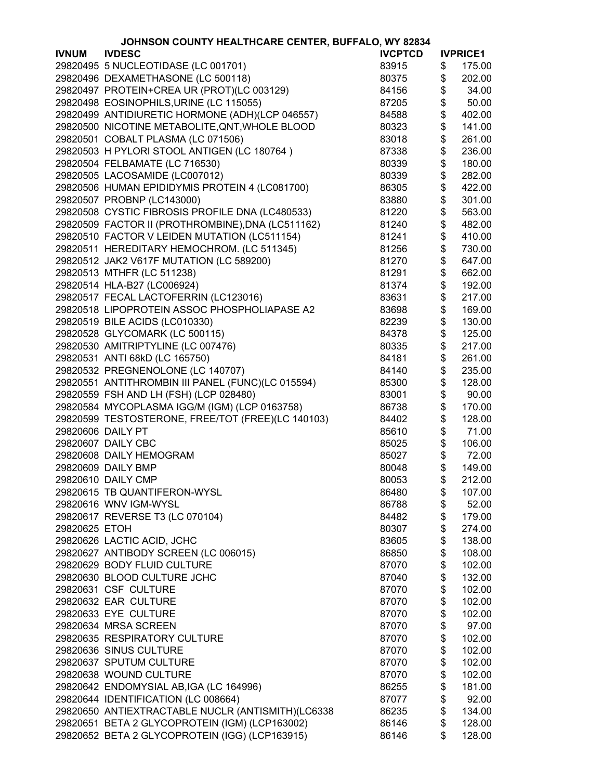|                   | JOHNSON COUNTY HEALTHCARE CENTER, BUFFALO, WY 82834                                     |                |                 |
|-------------------|-----------------------------------------------------------------------------------------|----------------|-----------------|
| <b>IVNUM</b>      | <b>IVDESC</b>                                                                           | <b>IVCPTCD</b> | <b>IVPRICE1</b> |
|                   | 29820495 5 NUCLEOTIDASE (LC 001701)                                                     | 83915          | \$<br>175.00    |
|                   | 29820496 DEXAMETHASONE (LC 500118)                                                      | 80375          | \$<br>202.00    |
|                   | 29820497 PROTEIN+CREA UR (PROT)(LC 003129)                                              | 84156          | \$<br>34.00     |
|                   | 29820498 EOSINOPHILS, URINE (LC 115055)                                                 | 87205          | \$<br>50.00     |
|                   | 29820499 ANTIDIURETIC HORMONE (ADH)(LCP 046557)                                         | 84588          | \$<br>402.00    |
|                   | 29820500 NICOTINE METABOLITE, QNT, WHOLE BLOOD                                          | 80323          | \$<br>141.00    |
|                   | 29820501 COBALT PLASMA (LC 071506)                                                      | 83018          | \$<br>261.00    |
|                   | 29820503 H PYLORI STOOL ANTIGEN (LC 180764)                                             | 87338          | \$<br>236.00    |
|                   | 29820504 FELBAMATE (LC 716530)                                                          | 80339          | \$<br>180.00    |
|                   |                                                                                         |                |                 |
|                   | 29820505 LACOSAMIDE (LC007012)                                                          | 80339          | \$<br>282.00    |
|                   | 29820506 HUMAN EPIDIDYMIS PROTEIN 4 (LC081700)                                          | 86305          | \$<br>422.00    |
|                   | 29820507 PROBNP (LC143000)                                                              | 83880          | \$<br>301.00    |
|                   | 29820508 CYSTIC FIBROSIS PROFILE DNA (LC480533)                                         | 81220          | \$<br>563.00    |
|                   | 29820509 FACTOR II (PROTHROMBINE), DNA (LC511162)                                       | 81240          | \$<br>482.00    |
|                   | 29820510 FACTOR V LEIDEN MUTATION (LC511154)                                            | 81241          | \$<br>410.00    |
|                   | 29820511 HEREDITARY HEMOCHROM. (LC 511345)                                              | 81256          | \$<br>730.00    |
|                   | 29820512 JAK2 V617F MUTATION (LC 589200)                                                | 81270          | \$<br>647.00    |
|                   | 29820513 MTHFR (LC 511238)                                                              | 81291          | \$<br>662.00    |
|                   | 29820514 HLA-B27 (LC006924)                                                             | 81374          | \$<br>192.00    |
|                   | 29820517 FECAL LACTOFERRIN (LC123016)                                                   | 83631          | \$<br>217.00    |
|                   | 29820518 LIPOPROTEIN ASSOC PHOSPHOLIAPASE A2                                            | 83698          | \$<br>169.00    |
|                   | 29820519 BILE ACIDS (LC010330)                                                          | 82239          | \$<br>130.00    |
|                   | 29820528 GLYCOMARK (LC 500115)                                                          | 84378          | \$<br>125.00    |
|                   | 29820530 AMITRIPTYLINE (LC 007476)                                                      | 80335          | \$<br>217.00    |
|                   | 29820531 ANTI 68kD (LC 165750)                                                          | 84181          | \$<br>261.00    |
|                   | 29820532 PREGNENOLONE (LC 140707)                                                       | 84140          | \$<br>235.00    |
|                   | 29820551 ANTITHROMBIN III PANEL (FUNC)(LC 015594)                                       | 85300          | \$<br>128.00    |
|                   |                                                                                         | 83001          | \$<br>90.00     |
|                   | 29820559 FSH AND LH (FSH) (LCP 028480)<br>29820584 MYCOPLASMA IGG/M (IGM) (LCP 0163758) |                | \$              |
|                   |                                                                                         | 86738          | 170.00          |
|                   | 29820599 TESTOSTERONE, FREE/TOT (FREE)(LC 140103)                                       | 84402          | \$<br>128.00    |
| 29820606 DAILY PT |                                                                                         | 85610          | \$<br>71.00     |
|                   | 29820607 DAILY CBC                                                                      | 85025          | \$<br>106.00    |
|                   | 29820608 DAILY HEMOGRAM                                                                 | 85027          | \$<br>72.00     |
|                   | 29820609 DAILY BMP                                                                      | 80048          | \$<br>149.00    |
|                   | 29820610 DAILY CMP                                                                      | 80053          | \$<br>212.00    |
|                   | 29820615 TB QUANTIFERON-WYSL                                                            | 86480          | \$<br>107.00    |
|                   | 29820616 WNV IGM-WYSL                                                                   | 86788          | \$<br>52.00     |
|                   | 29820617 REVERSE T3 (LC 070104)                                                         | 84482          | \$<br>179.00    |
| 29820625 ETOH     |                                                                                         | 80307          | \$<br>274.00    |
|                   | 29820626 LACTIC ACID, JCHC                                                              | 83605          | \$<br>138.00    |
|                   | 29820627 ANTIBODY SCREEN (LC 006015)                                                    | 86850          | \$<br>108.00    |
|                   | 29820629 BODY FLUID CULTURE                                                             | 87070          | \$<br>102.00    |
|                   | 29820630 BLOOD CULTURE JCHC                                                             | 87040          | \$<br>132.00    |
|                   | 29820631 CSF CULTURE                                                                    | 87070          | \$<br>102.00    |
|                   | 29820632 EAR CULTURE                                                                    | 87070          | \$<br>102.00    |
|                   | 29820633 EYE CULTURE                                                                    | 87070          | \$<br>102.00    |
|                   | 29820634 MRSA SCREEN                                                                    | 87070          | \$<br>97.00     |
|                   | 29820635 RESPIRATORY CULTURE                                                            | 87070          | \$<br>102.00    |
|                   | 29820636 SINUS CULTURE                                                                  | 87070          | \$<br>102.00    |
|                   | 29820637 SPUTUM CULTURE                                                                 | 87070          | \$<br>102.00    |
|                   | 29820638 WOUND CULTURE                                                                  | 87070          | \$<br>102.00    |
|                   | 29820642 ENDOMYSIAL AB, IGA (LC 164996)                                                 | 86255          | \$<br>181.00    |
|                   | 29820644 IDENTIFICATION (LC 008664)                                                     | 87077          | \$<br>92.00     |
|                   | 29820650 ANTIEXTRACTABLE NUCLR (ANTISMITH)(LC6338                                       |                | \$<br>134.00    |
|                   |                                                                                         | 86235          |                 |
|                   | 29820651 BETA 2 GLYCOPROTEIN (IGM) (LCP163002)                                          | 86146          | \$<br>128.00    |
|                   | 29820652 BETA 2 GLYCOPROTEIN (IGG) (LCP163915)                                          | 86146          | \$<br>128.00    |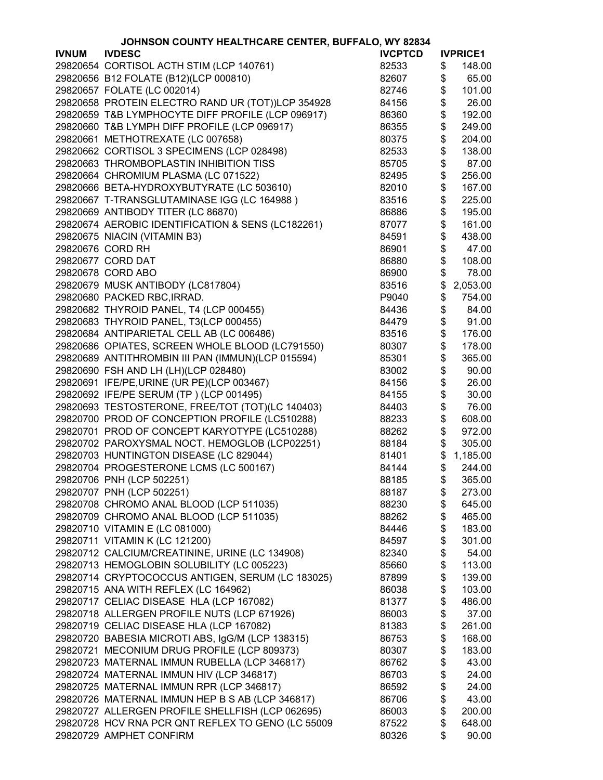|              | JOHNSON COUNTY HEALTHCARE CENTER, BUFFALO, WY 82834 |                |               |                 |
|--------------|-----------------------------------------------------|----------------|---------------|-----------------|
| <b>IVNUM</b> | <b>IVDESC</b>                                       | <b>IVCPTCD</b> |               | <b>IVPRICE1</b> |
|              | 29820654 CORTISOL ACTH STIM (LCP 140761)            | 82533          | \$            | 148.00          |
|              | 29820656 B12 FOLATE (B12)(LCP 000810)               | 82607          | \$            | 65.00           |
|              | 29820657 FOLATE (LC 002014)                         | 82746          | \$            | 101.00          |
|              | 29820658 PROTEIN ELECTRO RAND UR (TOT))LCP 354928   | 84156          | \$            | 26.00           |
|              | 29820659 T&B LYMPHOCYTE DIFF PROFILE (LCP 096917)   | 86360          | \$            | 192.00          |
|              | 29820660 T&B LYMPH DIFF PROFILE (LCP 096917)        | 86355          | \$            | 249.00          |
|              | 29820661 METHOTREXATE (LC 007658)                   | 80375          | \$            | 204.00          |
|              | 29820662 CORTISOL 3 SPECIMENS (LCP 028498)          | 82533          | \$            | 138.00          |
|              | 29820663 THROMBOPLASTIN INHIBITION TISS             | 85705          | \$            | 87.00           |
|              |                                                     |                |               |                 |
|              | 29820664 CHROMIUM PLASMA (LC 071522)                | 82495          | \$            | 256.00          |
|              | 29820666 BETA-HYDROXYBUTYRATE (LC 503610)           | 82010          | \$            | 167.00          |
|              | 29820667 T-TRANSGLUTAMINASE IGG (LC 164988)         | 83516          | \$            | 225.00          |
|              | 29820669 ANTIBODY TITER (LC 86870)                  | 86886          | \$            | 195.00          |
|              | 29820674 AEROBIC IDENTIFICATION & SENS (LC182261)   | 87077          | \$            | 161.00          |
|              | 29820675 NIACIN (VITAMIN B3)                        | 84591          | \$            | 438.00          |
|              | 29820676 CORD RH                                    | 86901          | \$            | 47.00           |
|              | 29820677 CORD DAT                                   | 86880          | \$            | 108.00          |
|              | 29820678 CORD ABO                                   | 86900          | \$            | 78.00           |
|              | 29820679 MUSK ANTIBODY (LC817804)                   | 83516          | \$            | 2,053.00        |
|              | 29820680 PACKED RBC, IRRAD.                         | P9040          | \$            | 754.00          |
|              | 29820682 THYROID PANEL, T4 (LCP 000455)             | 84436          | \$            | 84.00           |
|              | 29820683 THYROID PANEL, T3(LCP 000455)              | 84479          | \$            | 91.00           |
|              | 29820684 ANTIPARIETAL CELL AB (LC 006486)           | 83516          | \$            | 176.00          |
|              | 29820686 OPIATES, SCREEN WHOLE BLOOD (LC791550)     | 80307          | \$            | 178.00          |
|              | 29820689 ANTITHROMBIN III PAN (IMMUN)(LCP 015594)   | 85301          | \$            | 365.00          |
|              | 29820690 FSH AND LH (LH)(LCP 028480)                | 83002          | \$            | 90.00           |
|              | 29820691 IFE/PE, URINE (UR PE)(LCP 003467)          | 84156          | \$            | 26.00           |
|              | 29820692 IFE/PE SERUM (TP) (LCP 001495)             | 84155          | \$            | 30.00           |
|              | 29820693 TESTOSTERONE, FREE/TOT (TOT)(LC 140403)    | 84403          | \$            |                 |
|              |                                                     |                | \$            | 76.00           |
|              | 29820700 PROD OF CONCEPTION PROFILE (LC510288)      | 88233          | \$            | 608.00          |
|              | 29820701 PROD OF CONCEPT KARYOTYPE (LC510288)       | 88262          |               | 972.00          |
|              | 29820702 PAROXYSMAL NOCT. HEMOGLOB (LCP02251)       | 88184          | \$            | 305.00          |
|              | 29820703 HUNTINGTON DISEASE (LC 829044)             | 81401          | \$            | 1,185.00        |
|              | 29820704 PROGESTERONE LCMS (LC 500167)              | 84144          | \$            | 244.00          |
|              | 29820706 PNH (LCP 502251)                           | 88185          | $\frac{1}{2}$ | 365.00          |
|              | 29820707 PNH (LCP 502251)                           | 88187          | \$            | 273.00          |
|              | 29820708 CHROMO ANAL BLOOD (LCP 511035)             | 88230          | \$            | 645.00          |
|              | 29820709 CHROMO ANAL BLOOD (LCP 511035)             | 88262          | \$            | 465.00          |
|              | 29820710 VITAMIN E (LC 081000)                      | 84446          | \$            | 183.00          |
|              | 29820711 VITAMIN K (LC 121200)                      | 84597          | \$            | 301.00          |
|              | 29820712 CALCIUM/CREATININE, URINE (LC 134908)      | 82340          | \$            | 54.00           |
|              | 29820713 HEMOGLOBIN SOLUBILITY (LC 005223)          | 85660          | \$            | 113.00          |
|              | 29820714 CRYPTOCOCCUS ANTIGEN, SERUM (LC 183025)    | 87899          | \$            | 139.00          |
|              | 29820715 ANA WITH REFLEX (LC 164962)                | 86038          | \$            | 103.00          |
|              | 29820717 CELIAC DISEASE HLA (LCP 167082)            | 81377          | \$            | 486.00          |
|              | 29820718 ALLERGEN PROFILE NUTS (LCP 671926)         | 86003          | \$            | 37.00           |
|              | 29820719 CELIAC DISEASE HLA (LCP 167082)            | 81383          | \$            | 261.00          |
|              | 29820720 BABESIA MICROTI ABS, IgG/M (LCP 138315)    | 86753          | \$            | 168.00          |
|              | 29820721 MECONIUM DRUG PROFILE (LCP 809373)         | 80307          | \$            | 183.00          |
|              | 29820723 MATERNAL IMMUN RUBELLA (LCP 346817)        | 86762          | \$            | 43.00           |
|              | 29820724 MATERNAL IMMUN HIV (LCP 346817)            | 86703          | \$            | 24.00           |
|              | 29820725 MATERNAL IMMUN RPR (LCP 346817)            | 86592          | \$            | 24.00           |
|              | 29820726 MATERNAL IMMUN HEP B S AB (LCP 346817)     | 86706          | \$            | 43.00           |
|              | 29820727 ALLERGEN PROFILE SHELLFISH (LCP 062695)    | 86003          | \$            | 200.00          |
|              |                                                     |                | \$            | 648.00          |
|              | 29820728 HCV RNA PCR QNT REFLEX TO GENO (LC 55009   | 87522          |               |                 |
|              | 29820729 AMPHET CONFIRM                             | 80326          | \$            | 90.00           |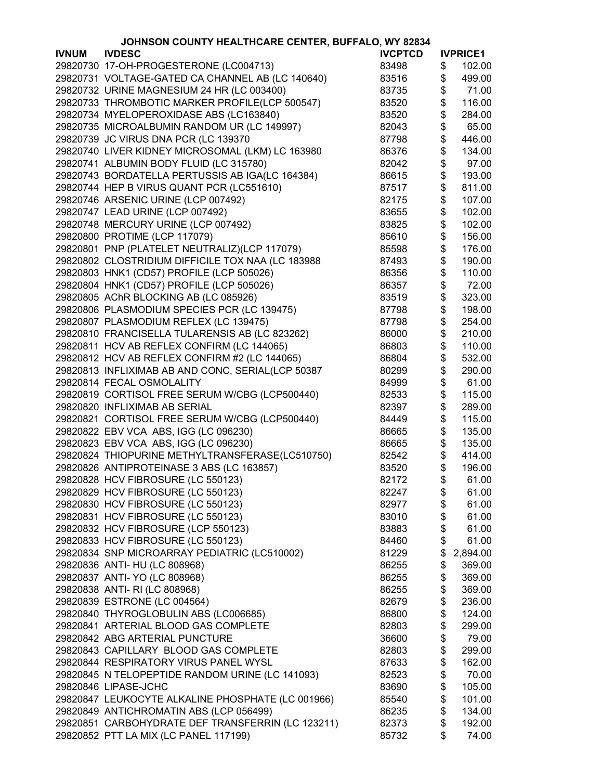|              | JOHNSON COUNTY HEALTHCARE CENTER, BUFFALO, WY 82834 |                |                 |
|--------------|-----------------------------------------------------|----------------|-----------------|
| <b>IVNUM</b> | <b>IVDESC</b>                                       | <b>IVCPTCD</b> | <b>IVPRICE1</b> |
|              | 29820730 17-OH-PROGESTERONE (LC004713)              | 83498          | \$<br>102.00    |
|              | 29820731 VOLTAGE-GATED CA CHANNEL AB (LC 140640)    | 83516          | \$<br>499.00    |
|              | 29820732 URINE MAGNESIUM 24 HR (LC 003400)          | 83735          | \$<br>71.00     |
|              | 29820733 THROMBOTIC MARKER PROFILE(LCP 500547)      | 83520          | \$<br>116.00    |
|              | 29820734 MYELOPEROXIDASE ABS (LC163840)             | 83520          | \$<br>284.00    |
|              | 29820735 MICROALBUMIN RANDOM UR (LC 149997)         | 82043          | \$<br>65.00     |
|              | 29820739 JC VIRUS DNA PCR (LC 139370                | 87798          | \$<br>446.00    |
|              | 29820740 LIVER KIDNEY MICROSOMAL (LKM) LC 163980    | 86376          | \$<br>134.00    |
|              | 29820741 ALBUMIN BODY FLUID (LC 315780)             |                | \$<br>97.00     |
|              |                                                     | 82042          |                 |
|              | 29820743 BORDATELLA PERTUSSIS AB IGA(LC 164384)     | 86615          | \$<br>193.00    |
|              | 29820744 HEP B VIRUS QUANT PCR (LC551610)           | 87517          | \$<br>811.00    |
|              | 29820746 ARSENIC URINE (LCP 007492)                 | 82175          | \$<br>107.00    |
|              | 29820747 LEAD URINE (LCP 007492)                    | 83655          | \$<br>102.00    |
|              | 29820748 MERCURY URINE (LCP 007492)                 | 83825          | \$<br>102.00    |
|              | 29820800 PROTIME (LCP 117079)                       | 85610          | \$<br>156.00    |
|              | 29820801 PNP (PLATELET NEUTRALIZ)(LCP 117079)       | 85598          | \$<br>176.00    |
|              | 29820802 CLOSTRIDIUM DIFFICILE TOX NAA (LC 183988   | 87493          | \$<br>190.00    |
|              | 29820803 HNK1 (CD57) PROFILE (LCP 505026)           | 86356          | \$<br>110.00    |
|              | 29820804 HNK1 (CD57) PROFILE (LCP 505026)           | 86357          | \$<br>72.00     |
|              | 29820805 AChR BLOCKING AB (LC 085926)               | 83519          | \$<br>323.00    |
|              | 29820806 PLASMODIUM SPECIES PCR (LC 139475)         | 87798          | \$<br>198.00    |
|              | 29820807 PLASMODIUM REFLEX (LC 139475)              | 87798          | \$<br>254.00    |
|              | 29820810 FRANCISELLA TULARENSIS AB (LC 823262)      | 86000          | \$<br>210.00    |
|              | 29820811 HCV AB REFLEX CONFIRM (LC 144065)          | 86803          | \$<br>110.00    |
|              | 29820812 HCV AB REFLEX CONFIRM #2 (LC 144065)       | 86804          | \$<br>532.00    |
|              | 29820813 INFLIXIMAB AB AND CONC, SERIAL(LCP 50387   | 80299          | \$<br>290.00    |
|              | 29820814 FECAL OSMOLALITY                           | 84999          | \$<br>61.00     |
|              | 29820819 CORTISOL FREE SERUM W/CBG (LCP500440)      | 82533          | \$<br>115.00    |
|              | 29820820 INFLIXIMAB AB SERIAL                       | 82397          | \$<br>289.00    |
|              | 29820821 CORTISOL FREE SERUM W/CBG (LCP500440)      |                | \$              |
|              |                                                     | 84449          | 115.00          |
|              | 29820822 EBV VCA ABS, IGG (LC 096230)               | 86665          | \$<br>135.00    |
|              | 29820823 EBV VCA ABS, IGG (LC 096230)               | 86665          | \$<br>135.00    |
|              | 29820824 THIOPURINE METHYLTRANSFERASE(LC510750)     | 82542          | \$<br>414.00    |
|              | 29820826 ANTIPROTEINASE 3 ABS (LC 163857)           | 83520          | \$<br>196.00    |
|              | 29820828 HCV FIBROSURE (LC 550123)                  | 82172          | \$<br>61.00     |
|              | 29820829 HCV FIBROSURE (LC 550123)                  | 82247          | \$<br>61.00     |
|              | 29820830 HCV FIBROSURE (LC 550123)                  | 82977          | \$<br>61.00     |
|              | 29820831 HCV FIBROSURE (LC 550123)                  | 83010          | \$<br>61.00     |
|              | 29820832 HCV FIBROSURE (LCP 550123)                 | 83883          | \$<br>61.00     |
|              | 29820833 HCV FIBROSURE (LC 550123)                  | 84460          | \$<br>61.00     |
|              | 29820834 SNP MICROARRAY PEDIATRIC (LC510002)        | 81229          | \$<br>2,894.00  |
|              | 29820836 ANTI- HU (LC 808968)                       | 86255          | \$<br>369.00    |
|              | 29820837 ANTI- YO (LC 808968)                       | 86255          | \$<br>369.00    |
|              | 29820838 ANTI- RI (LC 808968)                       | 86255          | \$<br>369.00    |
|              | 29820839 ESTRONE (LC 004564)                        | 82679          | \$<br>236.00    |
|              | 29820840 THYROGLOBULIN ABS (LC006685)               | 86800          | \$<br>124.00    |
|              | 29820841 ARTERIAL BLOOD GAS COMPLETE                | 82803          | \$<br>299.00    |
|              | 29820842 ABG ARTERIAL PUNCTURE                      | 36600          | \$<br>79.00     |
|              | 29820843 CAPILLARY BLOOD GAS COMPLETE               | 82803          | \$<br>299.00    |
|              | 29820844 RESPIRATORY VIRUS PANEL WYSL               | 87633          | \$<br>162.00    |
|              | 29820845 N TELOPEPTIDE RANDOM URINE (LC 141093)     | 82523          | \$<br>70.00     |
|              | 29820846 LIPASE-JCHC                                | 83690          | \$<br>105.00    |
|              | 29820847 LEUKOCYTE ALKALINE PHOSPHATE (LC 001966)   | 85540          | \$<br>101.00    |
|              | 29820849 ANTICHROMATIN ABS (LCP 056499)             | 86235          | \$<br>134.00    |
|              |                                                     |                | \$              |
|              | 29820851 CARBOHYDRATE DEF TRANSFERRIN (LC 123211)   | 82373          | 192.00          |
|              | 29820852 PTT LA MIX (LC PANEL 117199)               | 85732          | \$<br>74.00     |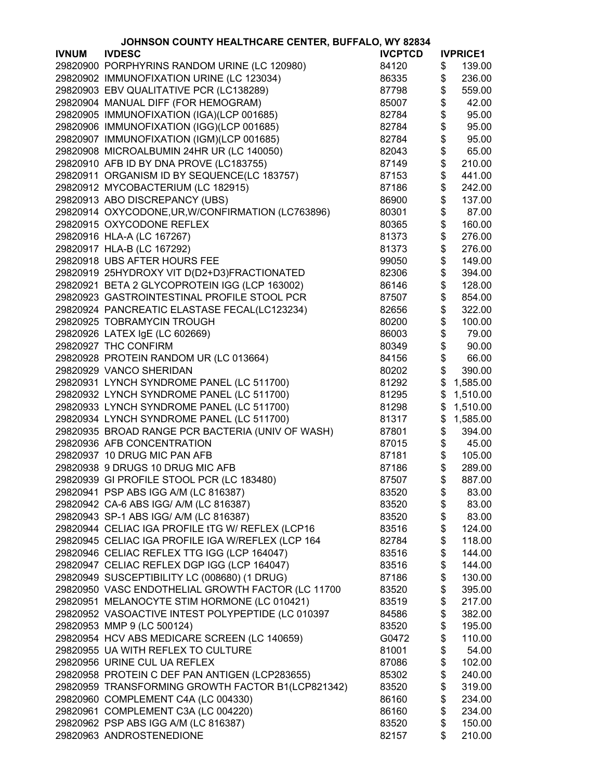|              | JOHNSON COUNTY HEALTHCARE CENTER, BUFFALO, WY 82834 |                |                 |
|--------------|-----------------------------------------------------|----------------|-----------------|
| <b>IVNUM</b> | <b>IVDESC</b>                                       | <b>IVCPTCD</b> | <b>IVPRICE1</b> |
|              | 29820900 PORPHYRINS RANDOM URINE (LC 120980)        | 84120          | \$<br>139.00    |
|              | 29820902 IMMUNOFIXATION URINE (LC 123034)           | 86335          | \$<br>236.00    |
|              | 29820903 EBV QUALITATIVE PCR (LC138289)             | 87798          | \$<br>559.00    |
|              | 29820904 MANUAL DIFF (FOR HEMOGRAM)                 | 85007          | \$<br>42.00     |
|              | 29820905 IMMUNOFIXATION (IGA)(LCP 001685)           | 82784          | \$<br>95.00     |
|              | 29820906 IMMUNOFIXATION (IGG)(LCP 001685)           | 82784          | \$<br>95.00     |
|              |                                                     | 82784          | \$<br>95.00     |
|              | 29820907 IMMUNOFIXATION (IGM)(LCP 001685)           |                |                 |
|              | 29820908 MICROALBUMIN 24HR UR (LC 140050)           | 82043          | \$<br>65.00     |
|              | 29820910 AFB ID BY DNA PROVE (LC183755)             | 87149          | \$<br>210.00    |
|              | 29820911 ORGANISM ID BY SEQUENCE(LC 183757)         | 87153          | \$<br>441.00    |
|              | 29820912 MYCOBACTERIUM (LC 182915)                  | 87186          | \$<br>242.00    |
|              | 29820913 ABO DISCREPANCY (UBS)                      | 86900          | \$<br>137.00    |
|              | 29820914 OXYCODONE, UR, W/CONFIRMATION (LC763896)   | 80301          | \$<br>87.00     |
|              | 29820915 OXYCODONE REFLEX                           | 80365          | \$<br>160.00    |
|              | 29820916 HLA-A (LC 167267)                          | 81373          | \$<br>276.00    |
|              | 29820917 HLA-B (LC 167292)                          | 81373          | \$<br>276.00    |
|              | 29820918 UBS AFTER HOURS FEE                        | 99050          | \$<br>149.00    |
|              | 29820919 25HYDROXY VIT D(D2+D3)FRACTIONATED         | 82306          | \$<br>394.00    |
|              | 29820921 BETA 2 GLYCOPROTEIN IGG (LCP 163002)       | 86146          | \$<br>128.00    |
|              | 29820923 GASTROINTESTINAL PROFILE STOOL PCR         | 87507          | \$<br>854.00    |
|              | 29820924 PANCREATIC ELASTASE FECAL(LC123234)        | 82656          | \$<br>322.00    |
|              | 29820925 TOBRAMYCIN TROUGH                          | 80200          | \$<br>100.00    |
|              |                                                     | 86003          | \$<br>79.00     |
|              | 29820926 LATEX IgE (LC 602669)                      |                |                 |
|              | 29820927 THC CONFIRM                                | 80349          | \$<br>90.00     |
|              | 29820928 PROTEIN RANDOM UR (LC 013664)              | 84156          | \$<br>66.00     |
|              | 29820929 VANCO SHERIDAN                             | 80202          | \$<br>390.00    |
|              | 29820931 LYNCH SYNDROME PANEL (LC 511700)           | 81292          | \$<br>1,585.00  |
|              | 29820932 LYNCH SYNDROME PANEL (LC 511700)           | 81295          | \$<br>1,510.00  |
|              | 29820933 LYNCH SYNDROME PANEL (LC 511700)           | 81298          | \$<br>1,510.00  |
|              | 29820934 LYNCH SYNDROME PANEL (LC 511700)           | 81317          | \$<br>1,585.00  |
|              | 29820935 BROAD RANGE PCR BACTERIA (UNIV OF WASH)    | 87801          | \$<br>394.00    |
|              | 29820936 AFB CONCENTRATION                          | 87015          | \$<br>45.00     |
|              | 29820937 10 DRUG MIC PAN AFB                        | 87181          | \$<br>105.00    |
|              | 29820938 9 DRUGS 10 DRUG MIC AFB                    | 87186          | \$<br>289.00    |
|              | 29820939 GI PROFILE STOOL PCR (LC 183480)           | 87507          | \$<br>887.00    |
|              | 29820941 PSP ABS IGG A/M (LC 816387)                | 83520          | \$<br>83.00     |
|              | 29820942 CA-6 ABS IGG/ A/M (LC 816387)              | 83520          | \$<br>83.00     |
|              | 29820943 SP-1 ABS IGG/ A/M (LC 816387)              | 83520          | \$<br>83.00     |
|              | 29820944 CELIAC IGA PROFILE tTG W/ REFLEX (LCP16    | 83516          | \$<br>124.00    |
|              | 29820945 CELIAC IGA PROFILE IGA W/REFLEX (LCP 164   | 82784          | \$<br>118.00    |
|              | 29820946 CELIAC REFLEX TTG IGG (LCP 164047)         | 83516          | \$<br>144.00    |
|              | 29820947 CELIAC REFLEX DGP IGG (LCP 164047)         | 83516          | \$<br>144.00    |
|              | 29820949 SUSCEPTIBILITY LC (008680) (1 DRUG)        | 87186          | \$<br>130.00    |
|              | 29820950 VASC ENDOTHELIAL GROWTH FACTOR (LC 11700   |                | \$              |
|              |                                                     | 83520          | 395.00          |
|              | 29820951 MELANOCYTE STIM HORMONE (LC 010421)        | 83519          | \$<br>217.00    |
|              | 29820952 VASOACTIVE INTEST POLYPEPTIDE (LC 010397   | 84586          | \$<br>382.00    |
|              | 29820953 MMP 9 (LC 500124)                          | 83520          | \$<br>195.00    |
|              | 29820954 HCV ABS MEDICARE SCREEN (LC 140659)        | G0472          | \$<br>110.00    |
|              | 29820955 UA WITH REFLEX TO CULTURE                  | 81001          | \$<br>54.00     |
|              | 29820956 URINE CUL UA REFLEX                        | 87086          | \$<br>102.00    |
|              | 29820958 PROTEIN C DEF PAN ANTIGEN (LCP283655)      | 85302          | \$<br>240.00    |
|              | 29820959 TRANSFORMING GROWTH FACTOR B1(LCP821342)   | 83520          | \$<br>319.00    |
|              | 29820960 COMPLEMENT C4A (LC 004330)                 | 86160          | \$<br>234.00    |
|              | 29820961 COMPLEMENT C3A (LC 004220)                 | 86160          | \$<br>234.00    |
|              | 29820962 PSP ABS IGG A/M (LC 816387)                | 83520          | \$<br>150.00    |
|              | 29820963 ANDROSTENEDIONE                            | 82157          | \$<br>210.00    |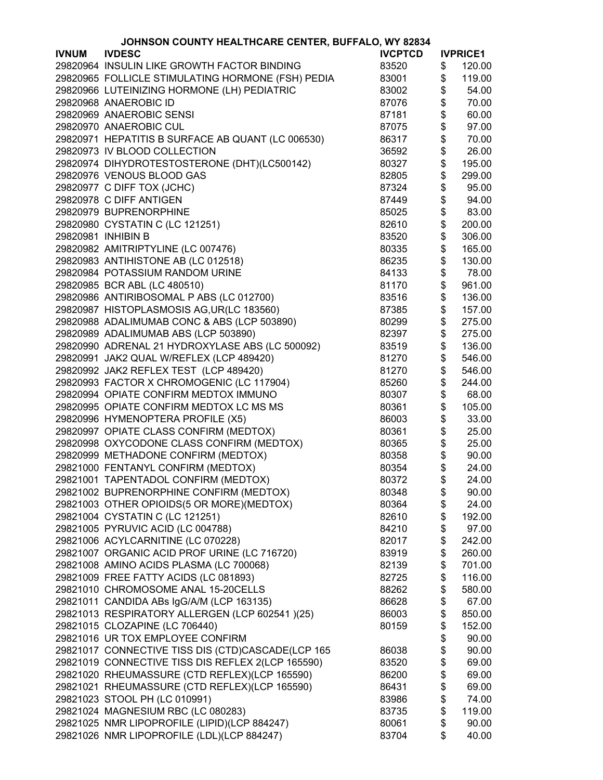|              | JOHNSON COUNTY HEALTHCARE CENTER, BUFFALO, WY 82834 |                |                 |
|--------------|-----------------------------------------------------|----------------|-----------------|
| <b>IVNUM</b> | <b>IVDESC</b>                                       | <b>IVCPTCD</b> | <b>IVPRICE1</b> |
|              | 29820964 INSULIN LIKE GROWTH FACTOR BINDING         | 83520          | \$<br>120.00    |
|              | 29820965 FOLLICLE STIMULATING HORMONE (FSH) PEDIA   | 83001          | \$<br>119.00    |
|              | 29820966 LUTEINIZING HORMONE (LH) PEDIATRIC         | 83002          | \$<br>54.00     |
|              | 29820968 ANAEROBIC ID                               | 87076          | \$<br>70.00     |
|              | 29820969 ANAEROBIC SENSI                            | 87181          | \$<br>60.00     |
|              | 29820970 ANAEROBIC CUL                              | 87075          | \$<br>97.00     |
|              | 29820971 HEPATITIS B SURFACE AB QUANT (LC 006530)   | 86317          | \$<br>70.00     |
|              | 29820973 IV BLOOD COLLECTION                        | 36592          | \$<br>26.00     |
|              | 29820974 DIHYDROTESTOSTERONE (DHT)(LC500142)        | 80327          | \$<br>195.00    |
|              | 29820976 VENOUS BLOOD GAS                           | 82805          | \$<br>299.00    |
|              | 29820977 C DIFF TOX (JCHC)                          | 87324          | \$<br>95.00     |
|              | 29820978 C DIFF ANTIGEN                             | 87449          | \$<br>94.00     |
|              | 29820979 BUPRENORPHINE                              | 85025          | \$<br>83.00     |
|              | 29820980 CYSTATIN C (LC 121251)                     | 82610          | \$<br>200.00    |
|              | 29820981 INHIBIN B                                  | 83520          | \$<br>306.00    |
|              | 29820982 AMITRIPTYLINE (LC 007476)                  | 80335          | \$<br>165.00    |
|              | 29820983 ANTIHISTONE AB (LC 012518)                 | 86235          | \$<br>130.00    |
|              | 29820984 POTASSIUM RANDOM URINE                     | 84133          | \$<br>78.00     |
|              | 29820985 BCR ABL (LC 480510)                        | 81170          | \$<br>961.00    |
|              | 29820986 ANTIRIBOSOMAL P ABS (LC 012700)            | 83516          | \$<br>136.00    |
|              | 29820987 HISTOPLASMOSIS AG, UR(LC 183560)           | 87385          | \$<br>157.00    |
|              | 29820988 ADALIMUMAB CONC & ABS (LCP 503890)         | 80299          | \$<br>275.00    |
|              | 29820989 ADALIMUMAB ABS (LCP 503890)                | 82397          | \$<br>275.00    |
|              | 29820990 ADRENAL 21 HYDROXYLASE ABS (LC 500092)     |                | \$<br>136.00    |
|              |                                                     | 83519          |                 |
|              | 29820991 JAK2 QUAL W/REFLEX (LCP 489420)            | 81270          | \$<br>546.00    |
|              | 29820992 JAK2 REFLEX TEST (LCP 489420)              | 81270          | \$<br>546.00    |
|              | 29820993 FACTOR X CHROMOGENIC (LC 117904)           | 85260          | \$<br>244.00    |
|              | 29820994 OPIATE CONFIRM MEDTOX IMMUNO               | 80307          | \$<br>68.00     |
|              | 29820995 OPIATE CONFIRM MEDTOX LC MS MS             | 80361          | \$<br>105.00    |
|              | 29820996 HYMENOPTERA PROFILE (X5)                   | 86003          | \$<br>33.00     |
|              | 29820997 OPIATE CLASS CONFIRM (MEDTOX)              | 80361          | \$<br>25.00     |
|              | 29820998 OXYCODONE CLASS CONFIRM (MEDTOX)           | 80365          | \$<br>25.00     |
|              | 29820999 METHADONE CONFIRM (MEDTOX)                 | 80358          | \$<br>90.00     |
|              | 29821000 FENTANYL CONFIRM (MEDTOX)                  | 80354          | \$<br>24.00     |
|              | 29821001 TAPENTADOL CONFIRM (MEDTOX)                | 80372          | \$<br>24.00     |
|              | 29821002 BUPRENORPHINE CONFIRM (MEDTOX)             | 80348          | \$<br>90.00     |
|              | 29821003 OTHER OPIOIDS(5 OR MORE)(MEDTOX)           | 80364          | \$<br>24.00     |
|              | 29821004 CYSTATIN C (LC 121251)                     | 82610          | \$<br>192.00    |
|              | 29821005 PYRUVIC ACID (LC 004788)                   | 84210          | \$<br>97.00     |
|              | 29821006 ACYLCARNITINE (LC 070228)                  | 82017          | \$<br>242.00    |
|              | 29821007 ORGANIC ACID PROF URINE (LC 716720)        | 83919          | \$<br>260.00    |
|              | 29821008 AMINO ACIDS PLASMA (LC 700068)             | 82139          | \$<br>701.00    |
|              | 29821009 FREE FATTY ACIDS (LC 081893)               | 82725          | \$<br>116.00    |
|              | 29821010 CHROMOSOME ANAL 15-20CELLS                 | 88262          | \$<br>580.00    |
|              | 29821011 CANDIDA ABs IgG/A/M (LCP 163135)           | 86628          | \$<br>67.00     |
|              | 29821013 RESPIRATORY ALLERGEN (LCP 602541 )(25)     | 86003          | \$<br>850.00    |
|              | 29821015 CLOZAPINE (LC 706440)                      | 80159          | \$<br>152.00    |
|              | 29821016 UR TOX EMPLOYEE CONFIRM                    |                | \$<br>90.00     |
|              | 29821017 CONNECTIVE TISS DIS (CTD)CASCADE(LCP 165   | 86038          | \$<br>90.00     |
|              | 29821019 CONNECTIVE TISS DIS REFLEX 2(LCP 165590)   | 83520          | \$<br>69.00     |
|              | 29821020 RHEUMASSURE (CTD REFLEX)(LCP 165590)       | 86200          | \$<br>69.00     |
|              | 29821021 RHEUMASSURE (CTD REFLEX)(LCP 165590)       | 86431          | \$<br>69.00     |
|              | 29821023 STOOL PH (LC 010991)                       | 83986          | \$<br>74.00     |
|              | 29821024 MAGNESIUM RBC (LC 080283)                  | 83735          | \$<br>119.00    |
|              | 29821025 NMR LIPOPROFILE (LIPID)(LCP 884247)        | 80061          | \$<br>90.00     |
|              | 29821026 NMR LIPOPROFILE (LDL)(LCP 884247)          | 83704          | \$<br>40.00     |
|              |                                                     |                |                 |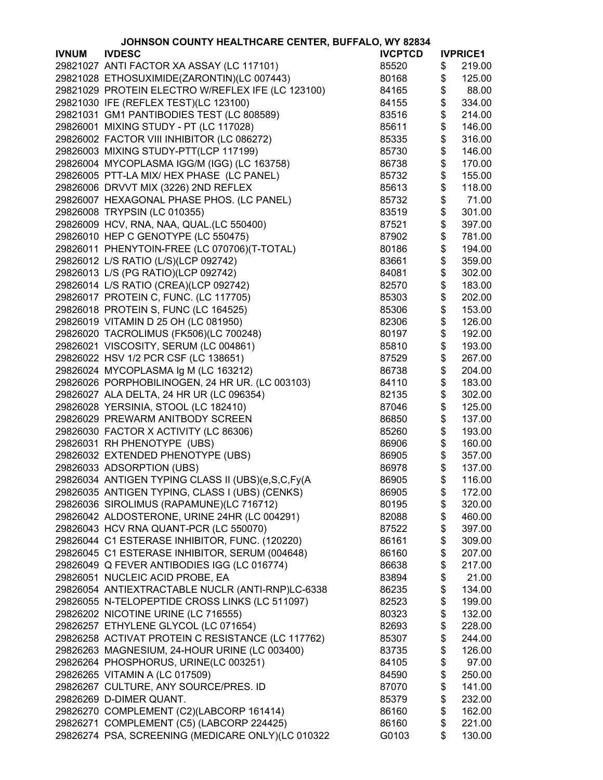|              | JOHNSON COUNTY HEALTHCARE CENTER, BUFFALO, WY 82834 |                |                 |
|--------------|-----------------------------------------------------|----------------|-----------------|
| <b>IVNUM</b> | <b>IVDESC</b>                                       | <b>IVCPTCD</b> | <b>IVPRICE1</b> |
|              | 29821027 ANTI FACTOR XA ASSAY (LC 117101)           | 85520          | \$<br>219.00    |
|              | 29821028 ETHOSUXIMIDE(ZARONTIN)(LC 007443)          | 80168          | \$<br>125.00    |
|              | 29821029 PROTEIN ELECTRO W/REFLEX IFE (LC 123100)   | 84165          | \$<br>88.00     |
|              | 29821030 IFE (REFLEX TEST)(LC 123100)               | 84155          | \$<br>334.00    |
|              | 29821031 GM1 PANTIBODIES TEST (LC 808589)           | 83516          | \$<br>214.00    |
|              | 29826001 MIXING STUDY - PT (LC 117028)              | 85611          | \$<br>146.00    |
|              | 29826002 FACTOR VIII INHIBITOR (LC 086272)          | 85335          | \$<br>316.00    |
|              | 29826003 MIXING STUDY-PTT(LCP 117199)               | 85730          | \$<br>146.00    |
|              | 29826004 MYCOPLASMA IGG/M (IGG) (LC 163758)         | 86738          | \$<br>170.00    |
|              | 29826005 PTT-LA MIX/ HEX PHASE (LC PANEL)           | 85732          | \$<br>155.00    |
|              |                                                     |                | \$              |
|              | 29826006 DRVVT MIX (3226) 2ND REFLEX                | 85613          | 118.00          |
|              | 29826007 HEXAGONAL PHASE PHOS. (LC PANEL)           | 85732          | \$<br>71.00     |
|              | 29826008 TRYPSIN (LC 010355)                        | 83519          | \$<br>301.00    |
|              | 29826009 HCV, RNA, NAA, QUAL.(LC 550400)            | 87521          | \$<br>397.00    |
|              | 29826010 HEP C GENOTYPE (LC 550475)                 | 87902          | \$<br>781.00    |
|              | 29826011 PHENYTOIN-FREE (LC 070706)(T-TOTAL)        | 80186          | \$<br>194.00    |
|              | 29826012 L/S RATIO (L/S)(LCP 092742)                | 83661          | \$<br>359.00    |
|              | 29826013 L/S (PG RATIO)(LCP 092742)                 | 84081          | \$<br>302.00    |
|              | 29826014 L/S RATIO (CREA)(LCP 092742)               | 82570          | \$<br>183.00    |
|              | 29826017 PROTEIN C, FUNC. (LC 117705)               | 85303          | \$<br>202.00    |
|              | 29826018 PROTEIN S, FUNC (LC 164525)                | 85306          | \$<br>153.00    |
|              | 29826019 VITAMIN D 25 OH (LC 081950)                | 82306          | \$<br>126.00    |
|              | 29826020 TACROLIMUS (FK506)(LC 700248)              | 80197          | \$<br>192.00    |
|              | 29826021 VISCOSITY, SERUM (LC 004861)               | 85810          | \$<br>193.00    |
|              | 29826022 HSV 1/2 PCR CSF (LC 138651)                | 87529          | \$<br>267.00    |
|              | 29826024 MYCOPLASMA Ig M (LC 163212)                | 86738          | \$<br>204.00    |
|              | 29826026 PORPHOBILINOGEN, 24 HR UR. (LC 003103)     | 84110          | \$<br>183.00    |
|              | 29826027 ALA DELTA, 24 HR UR (LC 096354)            | 82135          | \$<br>302.00    |
|              | 29826028 YERSINIA, STOOL (LC 182410)                | 87046          | \$<br>125.00    |
|              | 29826029 PREWARM ANITBODY SCREEN                    | 86850          | \$<br>137.00    |
|              | 29826030 FACTOR X ACTIVITY (LC 86306)               | 85260          | \$<br>193.00    |
|              | 29826031 RH PHENOTYPE (UBS)                         | 86906          | \$<br>160.00    |
|              | 29826032 EXTENDED PHENOTYPE (UBS)                   | 86905          | \$<br>357.00    |
|              | 29826033 ADSORPTION (UBS)                           | 86978          | \$<br>137.00    |
|              | 29826034 ANTIGEN TYPING CLASS II (UBS)(e,S,C,Fy(A   | 86905          | \$<br>116.00    |
|              | 29826035 ANTIGEN TYPING, CLASS I (UBS) (CENKS)      | 86905          | \$<br>172.00    |
|              | 29826036 SIROLIMUS (RAPAMUNE)(LC 716712)            | 80195          | \$<br>320.00    |
|              | 29826042 ALDOSTERONE, URINE 24HR (LC 004291)        | 82088          | \$<br>460.00    |
|              | 29826043 HCV RNA QUANT-PCR (LC 550070)              | 87522          | \$<br>397.00    |
|              | 29826044 C1 ESTERASE INHIBITOR, FUNC. (120220)      | 86161          | \$<br>309.00    |
|              | 29826045 C1 ESTERASE INHIBITOR, SERUM (004648)      | 86160          | \$<br>207.00    |
|              | 29826049 Q FEVER ANTIBODIES IGG (LC 016774)         | 86638          | \$<br>217.00    |
|              | 29826051 NUCLEIC ACID PROBE, EA                     | 83894          | \$<br>21.00     |
|              | 29826054 ANTIEXTRACTABLE NUCLR (ANTI-RNP)LC-6338    | 86235          | \$<br>134.00    |
|              | 29826055 N-TELOPEPTIDE CROSS LINKS (LC 511097)      |                | \$              |
|              |                                                     | 82523          | 199.00          |
|              | 29826202 NICOTINE URINE (LC 716555)                 | 80323          | \$<br>132.00    |
|              | 29826257 ETHYLENE GLYCOL (LC 071654)                | 82693          | \$<br>228.00    |
|              | 29826258 ACTIVAT PROTEIN C RESISTANCE (LC 117762)   | 85307          | \$<br>244.00    |
|              | 29826263 MAGNESIUM, 24-HOUR URINE (LC 003400)       | 83735          | \$<br>126.00    |
|              | 29826264 PHOSPHORUS, URINE(LC 003251)               | 84105          | \$<br>97.00     |
|              | 29826265 VITAMIN A (LC 017509)                      | 84590          | \$<br>250.00    |
|              | 29826267 CULTURE, ANY SOURCE/PRES. ID               | 87070          | \$<br>141.00    |
|              | 29826269 D-DIMER QUANT.                             | 85379          | \$<br>232.00    |
|              | 29826270 COMPLEMENT (C2)(LABCORP 161414)            | 86160          | \$<br>162.00    |
|              | 29826271 COMPLEMENT (C5) (LABCORP 224425)           | 86160          | \$<br>221.00    |
|              | 29826274 PSA, SCREENING (MEDICARE ONLY)(LC 010322   | G0103          | \$<br>130.00    |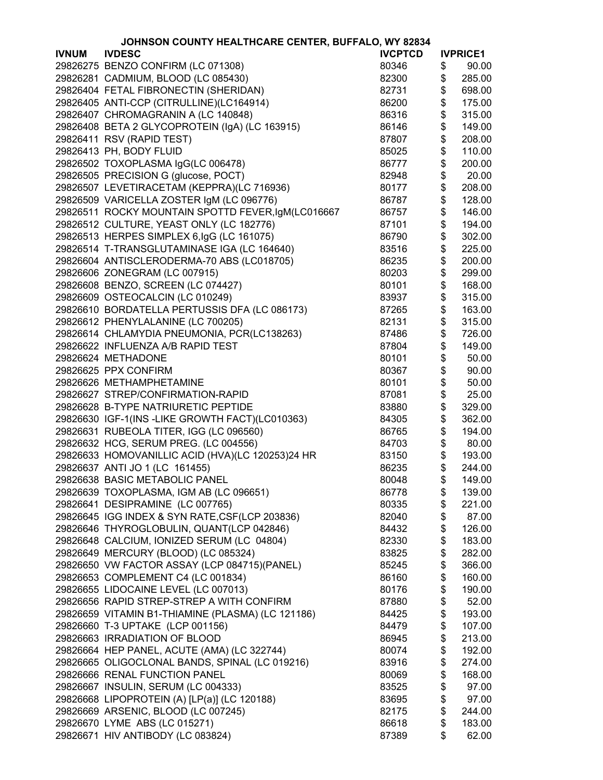|              | JOHNSON COUNTY HEALTHCARE CENTER, BUFFALO, WY 82834 |                |          |                 |
|--------------|-----------------------------------------------------|----------------|----------|-----------------|
| <b>IVNUM</b> | <b>IVDESC</b>                                       | <b>IVCPTCD</b> |          | <b>IVPRICE1</b> |
|              | 29826275 BENZO CONFIRM (LC 071308)                  | 80346          | \$       | 90.00           |
|              | 29826281 CADMIUM, BLOOD (LC 085430)                 | 82300          | \$       | 285.00          |
|              | 29826404 FETAL FIBRONECTIN (SHERIDAN)               | 82731          | \$       | 698.00          |
|              | 29826405 ANTI-CCP (CITRULLINE)(LC164914)            | 86200          | \$       | 175.00          |
|              | 29826407 CHROMAGRANIN A (LC 140848)                 | 86316          | \$       | 315.00          |
|              | 29826408 BETA 2 GLYCOPROTEIN (IgA) (LC 163915)      | 86146          | \$       | 149.00          |
|              | 29826411 RSV (RAPID TEST)                           | 87807          | \$       | 208.00          |
|              | 29826413 PH, BODY FLUID                             | 85025          | \$       | 110.00          |
|              |                                                     |                | \$       | 200.00          |
|              | 29826502 TOXOPLASMA IgG(LC 006478)                  | 86777          |          | 20.00           |
|              | 29826505 PRECISION G (glucose, POCT)                | 82948          | \$       |                 |
|              | 29826507 LEVETIRACETAM (KEPPRA)(LC 716936)          | 80177          | \$       | 208.00          |
|              | 29826509 VARICELLA ZOSTER IgM (LC 096776)           | 86787          | \$       | 128.00          |
|              | 29826511 ROCKY MOUNTAIN SPOTTD FEVER, IgM(LC016667  | 86757          | \$       | 146.00          |
|              | 29826512 CULTURE, YEAST ONLY (LC 182776)            | 87101          | \$       | 194.00          |
|              | 29826513 HERPES SIMPLEX 6, lgG (LC 161075)          | 86790          | \$       | 302.00          |
|              | 29826514 T-TRANSGLUTAMINASE IGA (LC 164640)         | 83516          | \$       | 225.00          |
|              | 29826604 ANTISCLERODERMA-70 ABS (LC018705)          | 86235          | \$       | 200.00          |
|              | 29826606 ZONEGRAM (LC 007915)                       | 80203          | \$       | 299.00          |
|              | 29826608 BENZO, SCREEN (LC 074427)                  | 80101          | \$       | 168.00          |
|              | 29826609 OSTEOCALCIN (LC 010249)                    | 83937          | \$       | 315.00          |
|              | 29826610 BORDATELLA PERTUSSIS DFA (LC 086173)       | 87265          | \$       | 163.00          |
|              | 29826612 PHENYLALANINE (LC 700205)                  | 82131          | \$       | 315.00          |
|              | 29826614 CHLAMYDIA PNEUMONIA, PCR(LC138263)         | 87486          | \$       | 726.00          |
|              | 29826622 INFLUENZA A/B RAPID TEST                   | 87804          | \$       | 149.00          |
|              | 29826624 METHADONE                                  | 80101          | \$       | 50.00           |
|              | 29826625 PPX CONFIRM                                | 80367          | \$       | 90.00           |
|              | 29826626 METHAMPHETAMINE                            | 80101          | \$       | 50.00           |
|              | 29826627 STREP/CONFIRMATION-RAPID                   | 87081          | \$       | 25.00           |
|              | 29826628 B-TYPE NATRIURETIC PEPTIDE                 | 83880          | \$       | 329.00          |
|              | 29826630 IGF-1(INS -LIKE GROWTH FACT)(LC010363)     | 84305          | \$       | 362.00          |
|              | 29826631 RUBEOLA TITER, IGG (LC 096560)             | 86765          | \$       | 194.00          |
|              |                                                     | 84703          | \$       |                 |
|              | 29826632 HCG, SERUM PREG. (LC 004556)               | 83150          |          | 80.00<br>193.00 |
|              | 29826633 HOMOVANILLIC ACID (HVA)(LC 120253)24 HR    | 86235          | \$<br>\$ | 244.00          |
|              | 29826637 ANTI JO 1 (LC 161455)                      |                |          |                 |
|              | 29826638 BASIC METABOLIC PANEL                      | 80048          | \$       | 149.00          |
|              | 29826639 TOXOPLASMA, IGM AB (LC 096651)             | 86778          | \$       | 139.00          |
|              | 29826641 DESIPRAMINE (LC 007765)                    | 80335          | \$       | 221.00          |
|              | 29826645 IGG INDEX & SYN RATE, CSF(LCP 203836)      | 82040          | \$       | 87.00           |
|              | 29826646 THYROGLOBULIN, QUANT(LCP 042846)           | 84432          | \$       | 126.00          |
|              | 29826648 CALCIUM, IONIZED SERUM (LC 04804)          | 82330          | \$       | 183.00          |
|              | 29826649 MERCURY (BLOOD) (LC 085324)                | 83825          | \$       | 282.00          |
|              | 29826650 VW FACTOR ASSAY (LCP 084715)(PANEL)        | 85245          | \$       | 366.00          |
|              | 29826653 COMPLEMENT C4 (LC 001834)                  | 86160          | \$       | 160.00          |
|              | 29826655 LIDOCAINE LEVEL (LC 007013)                | 80176          | \$       | 190.00          |
|              | 29826656 RAPID STREP-STREP A WITH CONFIRM           | 87880          | \$       | 52.00           |
|              | 29826659 VITAMIN B1-THIAMINE (PLASMA) (LC 121186)   | 84425          | \$       | 193.00          |
|              | 29826660 T-3 UPTAKE (LCP 001156)                    | 84479          | \$       | 107.00          |
|              | 29826663 IRRADIATION OF BLOOD                       | 86945          | \$       | 213.00          |
|              | 29826664 HEP PANEL, ACUTE (AMA) (LC 322744)         | 80074          | \$       | 192.00          |
|              | 29826665 OLIGOCLONAL BANDS, SPINAL (LC 019216)      | 83916          | \$       | 274.00          |
|              | 29826666 RENAL FUNCTION PANEL                       | 80069          | \$       | 168.00          |
|              | 29826667 INSULIN, SERUM (LC 004333)                 | 83525          | \$       | 97.00           |
|              | 29826668 LIPOPROTEIN (A) [LP(a)] (LC 120188)        | 83695          | \$       | 97.00           |
|              | 29826669 ARSENIC, BLOOD (LC 007245)                 | 82175          | \$       | 244.00          |
|              | 29826670 LYME ABS (LC 015271)                       | 86618          | \$       | 183.00          |
|              | 29826671 HIV ANTIBODY (LC 083824)                   | 87389          | \$       | 62.00           |
|              |                                                     |                |          |                 |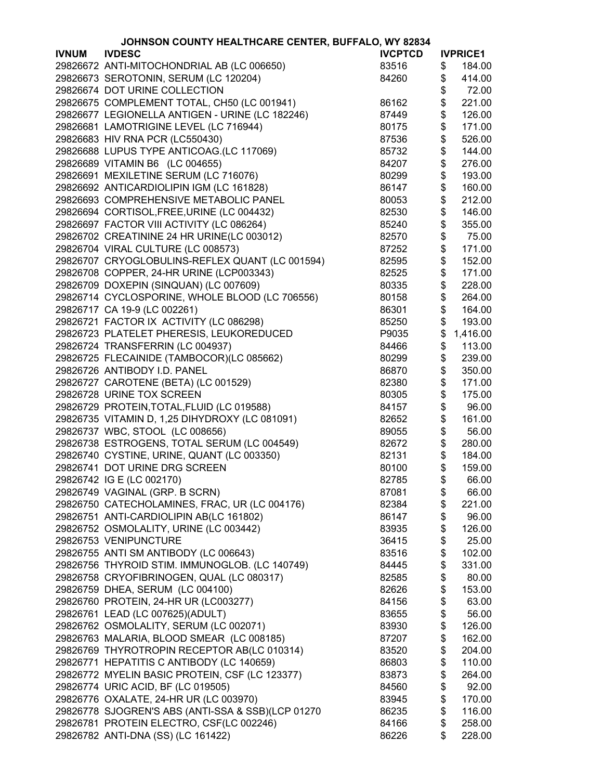|              | JOHNSON COUNTY HEALTHCARE CENTER, BUFFALO, WY 82834 |                |               |                 |
|--------------|-----------------------------------------------------|----------------|---------------|-----------------|
| <b>IVNUM</b> | <b>IVDESC</b>                                       | <b>IVCPTCD</b> |               | <b>IVPRICE1</b> |
|              | 29826672 ANTI-MITOCHONDRIAL AB (LC 006650)          | 83516          | \$            | 184.00          |
|              | 29826673 SEROTONIN, SERUM (LC 120204)               | 84260          | \$            | 414.00          |
|              | 29826674 DOT URINE COLLECTION                       |                | \$            | 72.00           |
|              | 29826675 COMPLEMENT TOTAL, CH50 (LC 001941)         | 86162          | \$            | 221.00          |
|              | 29826677 LEGIONELLA ANTIGEN - URINE (LC 182246)     | 87449          | \$            | 126.00          |
|              | 29826681 LAMOTRIGINE LEVEL (LC 716944)              | 80175          | \$            | 171.00          |
|              | 29826683 HIV RNA PCR (LC550430)                     | 87536          | \$            | 526.00          |
|              | 29826688 LUPUS TYPE ANTICOAG.(LC 117069)            | 85732          | \$            | 144.00          |
|              | 29826689 VITAMIN B6 (LC 004655)                     | 84207          | \$            | 276.00          |
|              | 29826691 MEXILETINE SERUM (LC 716076)               | 80299          | \$            | 193.00          |
|              | 29826692 ANTICARDIOLIPIN IGM (LC 161828)            | 86147          | \$            | 160.00          |
|              | 29826693 COMPREHENSIVE METABOLIC PANEL              | 80053          | \$            | 212.00          |
|              | 29826694 CORTISOL, FREE, URINE (LC 004432)          | 82530          | \$            | 146.00          |
|              | 29826697 FACTOR VIII ACTIVITY (LC 086264)           | 85240          | \$            | 355.00          |
|              | 29826702 CREATININE 24 HR URINE(LC 003012)          | 82570          | \$            | 75.00           |
|              | 29826704 VIRAL CULTURE (LC 008573)                  | 87252          | \$            | 171.00          |
|              | 29826707 CRYOGLOBULINS-REFLEX QUANT (LC 001594)     | 82595          | \$            | 152.00          |
|              | 29826708 COPPER, 24-HR URINE (LCP003343)            | 82525          | \$            | 171.00          |
|              |                                                     |                |               |                 |
|              | 29826709 DOXEPIN (SINQUAN) (LC 007609)              | 80335          | \$            | 228.00          |
|              | 29826714 CYCLOSPORINE, WHOLE BLOOD (LC 706556)      | 80158          | \$            | 264.00          |
|              | 29826717 CA 19-9 (LC 002261)                        | 86301          | \$            | 164.00          |
|              | 29826721 FACTOR IX ACTIVITY (LC 086298)             | 85250          | \$            | 193.00          |
|              | 29826723 PLATELET PHERESIS, LEUKOREDUCED            | P9035          | \$            | 1,416.00        |
|              | 29826724 TRANSFERRIN (LC 004937)                    | 84466          | \$            | 113.00          |
|              | 29826725 FLECAINIDE (TAMBOCOR)(LC 085662)           | 80299          | \$            | 239.00          |
|              | 29826726 ANTIBODY I.D. PANEL                        | 86870          | \$            | 350.00          |
|              | 29826727 CAROTENE (BETA) (LC 001529)                | 82380          | \$            | 171.00          |
|              | 29826728 URINE TOX SCREEN                           | 80305          | \$            | 175.00          |
|              | 29826729 PROTEIN, TOTAL, FLUID (LC 019588)          | 84157          | $\frac{3}{3}$ | 96.00           |
|              | 29826735 VITAMIN D, 1,25 DIHYDROXY (LC 081091)      | 82652          |               | 161.00          |
|              | 29826737 WBC, STOOL (LC 008656)                     | 89055          | \$            | 56.00           |
|              | 29826738 ESTROGENS, TOTAL SERUM (LC 004549)         | 82672          | \$            | 280.00          |
|              | 29826740 CYSTINE, URINE, QUANT (LC 003350)          | 82131          | \$            | 184.00          |
|              | 29826741 DOT URINE DRG SCREEN                       | 80100          | \$            | 159.00          |
|              | 29826742 IG E (LC 002170)                           | 82785          | \$            | 66.00           |
|              | 29826749 VAGINAL (GRP. B SCRN)                      | 87081          | \$            | 66.00           |
|              | 29826750 CATECHOLAMINES, FRAC, UR (LC 004176)       | 82384          | \$            | 221.00          |
|              | 29826751 ANTI-CARDIOLIPIN AB(LC 161802)             | 86147          | \$            | 96.00           |
|              | 29826752 OSMOLALITY, URINE (LC 003442)              | 83935          | \$            | 126.00          |
|              | 29826753 VENIPUNCTURE                               | 36415          | \$            | 25.00           |
|              | 29826755 ANTI SM ANTIBODY (LC 006643)               | 83516          | \$            | 102.00          |
|              | 29826756 THYROID STIM. IMMUNOGLOB. (LC 140749)      | 84445          | \$            | 331.00          |
|              | 29826758 CRYOFIBRINOGEN, QUAL (LC 080317)           | 82585          | \$            | 80.00           |
|              | 29826759 DHEA, SERUM (LC 004100)                    | 82626          | \$            | 153.00          |
|              | 29826760 PROTEIN, 24-HR UR (LC003277)               | 84156          | \$            | 63.00           |
|              | 29826761 LEAD (LC 007625)(ADULT)                    | 83655          | \$            | 56.00           |
|              | 29826762 OSMOLALITY, SERUM (LC 002071)              | 83930          | \$            | 126.00          |
|              | 29826763 MALARIA, BLOOD SMEAR (LC 008185)           |                | \$            | 162.00          |
|              | 29826769 THYROTROPIN RECEPTOR AB(LC 010314)         | 87207          |               | 204.00          |
|              |                                                     | 83520          | \$            |                 |
|              | 29826771 HEPATITIS C ANTIBODY (LC 140659)           | 86803          | \$            | 110.00          |
|              | 29826772 MYELIN BASIC PROTEIN, CSF (LC 123377)      | 83873          | \$            | 264.00          |
|              | 29826774 URIC ACID, BF (LC 019505)                  | 84560          | \$            | 92.00           |
|              | 29826776 OXALATE, 24-HR UR (LC 003970)              | 83945          | \$            | 170.00          |
|              | 29826778 SJOGREN'S ABS (ANTI-SSA & SSB)(LCP 01270   | 86235          | \$            | 116.00          |
|              | 29826781 PROTEIN ELECTRO, CSF(LC 002246)            | 84166          | \$            | 258.00          |
|              | 29826782 ANTI-DNA (SS) (LC 161422)                  | 86226          | \$            | 228.00          |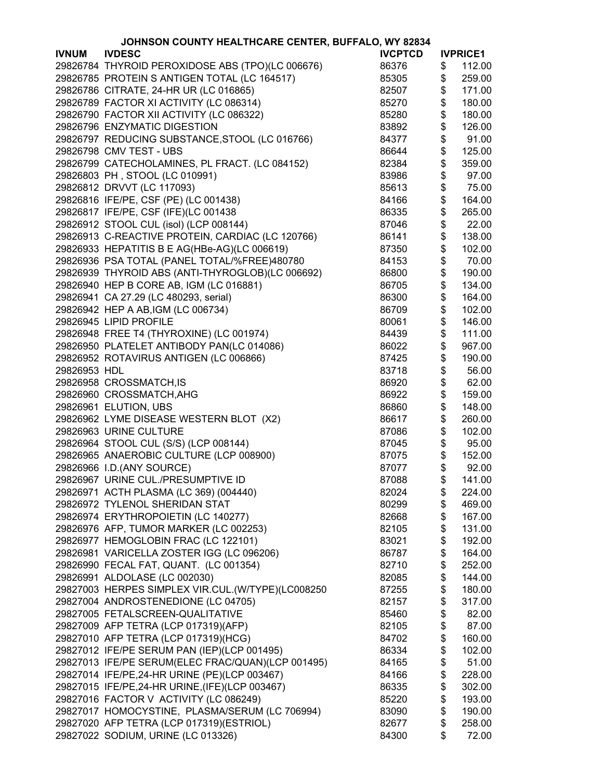|              | JOHNSON COUNTY HEALTHCARE CENTER, BUFFALO, WY 82834 |                |                 |
|--------------|-----------------------------------------------------|----------------|-----------------|
| <b>IVNUM</b> | <b>IVDESC</b>                                       | <b>IVCPTCD</b> | <b>IVPRICE1</b> |
|              | 29826784 THYROID PEROXIDOSE ABS (TPO)(LC 006676)    | 86376          | \$<br>112.00    |
|              | 29826785 PROTEIN S ANTIGEN TOTAL (LC 164517)        | 85305          | \$<br>259.00    |
|              | 29826786 CITRATE, 24-HR UR (LC 016865)              | 82507          | \$<br>171.00    |
|              | 29826789 FACTOR XI ACTIVITY (LC 086314)             | 85270          | \$<br>180.00    |
|              | 29826790 FACTOR XII ACTIVITY (LC 086322)            | 85280          | \$<br>180.00    |
|              | 29826796 ENZYMATIC DIGESTION                        | 83892          | \$<br>126.00    |
|              | 29826797 REDUCING SUBSTANCE, STOOL (LC 016766)      | 84377          | \$<br>91.00     |
|              | 29826798 CMV TEST - UBS                             | 86644          | \$<br>125.00    |
|              |                                                     | 82384          | \$              |
|              | 29826799 CATECHOLAMINES, PL FRACT. (LC 084152)      |                | 359.00          |
|              | 29826803 PH, STOOL (LC 010991)                      | 83986          | \$<br>97.00     |
|              | 29826812 DRVVT (LC 117093)                          | 85613          | \$<br>75.00     |
|              | 29826816 IFE/PE, CSF (PE) (LC 001438)               | 84166          | \$<br>164.00    |
|              | 29826817 IFE/PE, CSF (IFE)(LC 001438                | 86335          | \$<br>265.00    |
|              | 29826912 STOOL CUL (isol) (LCP 008144)              | 87046          | \$<br>22.00     |
|              | 29826913 C-REACTIVE PROTEIN, CARDIAC (LC 120766)    | 86141          | \$<br>138.00    |
|              | 29826933 HEPATITIS B E AG(HBe-AG)(LC 006619)        | 87350          | \$<br>102.00    |
|              | 29826936 PSA TOTAL (PANEL TOTAL/%FREE)480780        | 84153          | \$<br>70.00     |
|              | 29826939 THYROID ABS (ANTI-THYROGLOB)(LC 006692)    | 86800          | \$<br>190.00    |
|              | 29826940 HEP B CORE AB, IGM (LC 016881)             | 86705          | \$<br>134.00    |
|              | 29826941 CA 27.29 (LC 480293, serial)               | 86300          | \$<br>164.00    |
|              | 29826942 HEP A AB, IGM (LC 006734)                  | 86709          | \$<br>102.00    |
|              | 29826945 LIPID PROFILE                              | 80061          | \$<br>146.00    |
|              | 29826948 FREE T4 (THYROXINE) (LC 001974)            | 84439          | \$<br>111.00    |
|              | 29826950 PLATELET ANTIBODY PAN(LC 014086)           | 86022          | \$<br>967.00    |
|              | 29826952 ROTAVIRUS ANTIGEN (LC 006866)              | 87425          | \$<br>190.00    |
| 29826953 HDL |                                                     | 83718          | \$<br>56.00     |
|              | 29826958 CROSSMATCH, IS                             | 86920          | \$<br>62.00     |
|              |                                                     |                |                 |
|              | 29826960 CROSSMATCH, AHG                            | 86922          | \$<br>159.00    |
|              | 29826961 ELUTION, UBS                               | 86860          | \$<br>148.00    |
|              | 29826962 LYME DISEASE WESTERN BLOT (X2)             | 86617          | \$<br>260.00    |
|              | 29826963 URINE CULTURE                              | 87086          | \$<br>102.00    |
|              | 29826964 STOOL CUL (S/S) (LCP 008144)               | 87045          | \$<br>95.00     |
|              | 29826965 ANAEROBIC CULTURE (LCP 008900)             | 87075          | \$<br>152.00    |
|              | 29826966 I.D.(ANY SOURCE)                           | 87077          | \$<br>92.00     |
|              | 29826967 URINE CUL./PRESUMPTIVE ID                  | 87088          | \$<br>141.00    |
|              | 29826971 ACTH PLASMA (LC 369) (004440)              | 82024          | \$<br>224.00    |
|              | 29826972 TYLENOL SHERIDAN STAT                      | 80299          | \$<br>469.00    |
|              | 29826974 ERYTHROPOIETIN (LC 140277)                 | 82668          | \$<br>167.00    |
|              | 29826976 AFP, TUMOR MARKER (LC 002253)              | 82105          | \$<br>131.00    |
|              | 29826977 HEMOGLOBIN FRAC (LC 122101)                | 83021          | \$<br>192.00    |
|              | 29826981 VARICELLA ZOSTER IGG (LC 096206)           | 86787          | \$<br>164.00    |
|              | 29826990 FECAL FAT, QUANT. (LC 001354)              | 82710          | \$<br>252.00    |
|              | 29826991 ALDOLASE (LC 002030)                       | 82085          | \$<br>144.00    |
|              | 29827003 HERPES SIMPLEX VIR.CUL.(W/TYPE)(LC008250   | 87255          | \$<br>180.00    |
|              | 29827004 ANDROSTENEDIONE (LC 04705)                 | 82157          | \$<br>317.00    |
|              | 29827005 FETALSCREEN-QUALITATIVE                    | 85460          | \$<br>82.00     |
|              | 29827009 AFP TETRA (LCP 017319)(AFP)                | 82105          | \$<br>87.00     |
|              | 29827010 AFP TETRA (LCP 017319)(HCG)                | 84702          | \$<br>160.00    |
|              | 29827012 IFE/PE SERUM PAN (IEP)(LCP 001495)         | 86334          | \$<br>102.00    |
|              | 29827013 IFE/PE SERUM(ELEC FRAC/QUAN)(LCP 001495)   | 84165          | \$<br>51.00     |
|              | 29827014 IFE/PE, 24-HR URINE (PE)(LCP 003467)       | 84166          | \$<br>228.00    |
|              | 29827015 IFE/PE, 24-HR URINE, (IFE) (LCP 003467)    | 86335          | \$<br>302.00    |
|              |                                                     |                |                 |
|              | 29827016 FACTOR V ACTIVITY (LC 086249)              | 85220          | \$<br>193.00    |
|              | 29827017 HOMOCYSTINE, PLASMA/SERUM (LC 706994)      | 83090          | \$<br>190.00    |
|              | 29827020 AFP TETRA (LCP 017319)(ESTRIOL)            | 82677          | \$<br>258.00    |
|              | 29827022 SODIUM, URINE (LC 013326)                  | 84300          | \$<br>72.00     |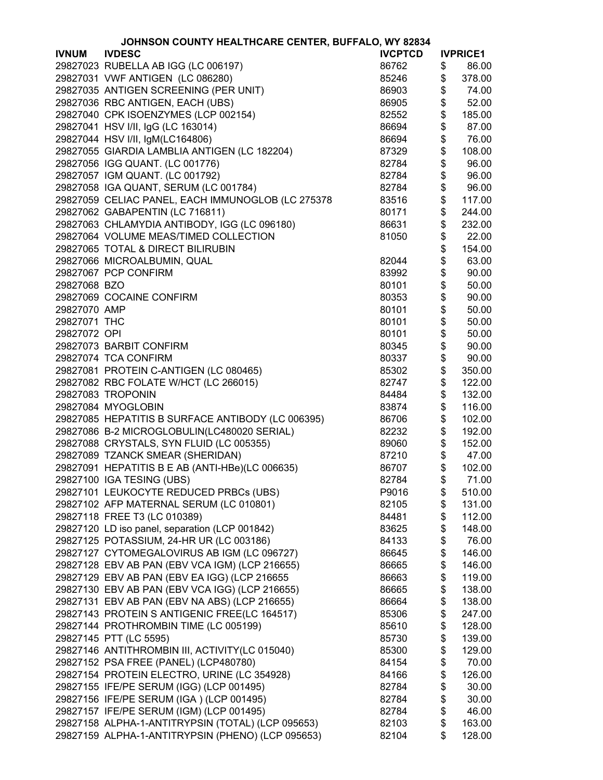| JOHNSON COUNTY HEALTHCARE CENTER, BUFFALO, WY 82834 |                                                                                   |                |    |                 |
|-----------------------------------------------------|-----------------------------------------------------------------------------------|----------------|----|-----------------|
| <b>IVNUM</b>                                        | <b>IVDESC</b>                                                                     | <b>IVCPTCD</b> |    | <b>IVPRICE1</b> |
|                                                     | 29827023 RUBELLA AB IGG (LC 006197)                                               | 86762          | \$ | 86.00           |
|                                                     | 29827031 VWF ANTIGEN (LC 086280)                                                  | 85246          | \$ | 378.00          |
|                                                     | 29827035 ANTIGEN SCREENING (PER UNIT)                                             | 86903          | \$ | 74.00           |
|                                                     | 29827036 RBC ANTIGEN, EACH (UBS)                                                  | 86905          | \$ | 52.00           |
|                                                     | 29827040 CPK ISOENZYMES (LCP 002154)                                              | 82552          | \$ | 185.00          |
|                                                     | 29827041 HSV I/II, IgG (LC 163014)                                                | 86694          | \$ | 87.00           |
|                                                     | 29827044 HSV I/II, IgM(LC164806)                                                  | 86694          | \$ | 76.00           |
|                                                     | 29827055 GIARDIA LAMBLIA ANTIGEN (LC 182204)                                      | 87329          | \$ | 108.00          |
|                                                     | 29827056 IGG QUANT. (LC 001776)                                                   | 82784          | \$ | 96.00           |
|                                                     |                                                                                   |                |    |                 |
|                                                     | 29827057 IGM QUANT. (LC 001792)                                                   | 82784          | \$ | 96.00           |
|                                                     | 29827058 IGA QUANT, SERUM (LC 001784)                                             | 82784          | \$ | 96.00           |
|                                                     | 29827059 CELIAC PANEL, EACH IMMUNOGLOB (LC 275378                                 | 83516          | \$ | 117.00          |
|                                                     | 29827062 GABAPENTIN (LC 716811)                                                   | 80171          | \$ | 244.00          |
|                                                     | 29827063 CHLAMYDIA ANTIBODY, IGG (LC 096180)                                      | 86631          | \$ | 232.00          |
|                                                     | 29827064 VOLUME MEAS/TIMED COLLECTION                                             | 81050          | \$ | 22.00           |
|                                                     | 29827065 TOTAL & DIRECT BILIRUBIN                                                 |                | \$ | 154.00          |
|                                                     | 29827066 MICROALBUMIN, QUAL                                                       | 82044          | \$ | 63.00           |
|                                                     | 29827067 PCP CONFIRM                                                              | 83992          | \$ | 90.00           |
| 29827068 BZO                                        |                                                                                   | 80101          | \$ | 50.00           |
|                                                     | 29827069 COCAINE CONFIRM                                                          | 80353          | \$ | 90.00           |
| 29827070 AMP                                        |                                                                                   | 80101          | \$ | 50.00           |
| 29827071 THC                                        |                                                                                   | 80101          | \$ | 50.00           |
| 29827072 OPI                                        |                                                                                   | 80101          | \$ | 50.00           |
|                                                     | 29827073 BARBIT CONFIRM                                                           | 80345          | \$ | 90.00           |
|                                                     | 29827074 TCA CONFIRM                                                              | 80337          | \$ | 90.00           |
|                                                     | 29827081 PROTEIN C-ANTIGEN (LC 080465)                                            | 85302          | \$ | 350.00          |
|                                                     | 29827082 RBC FOLATE W/HCT (LC 266015)                                             | 82747          | \$ | 122.00          |
|                                                     | 29827083 TROPONIN                                                                 | 84484          | \$ | 132.00          |
|                                                     | 29827084 MYOGLOBIN                                                                | 83874          | \$ | 116.00          |
|                                                     | 29827085 HEPATITIS B SURFACE ANTIBODY (LC 006395)                                 | 86706          | \$ | 102.00          |
|                                                     | 29827086 B-2 MICROGLOBULIN(LC480020 SERIAL)                                       | 82232          | \$ | 192.00          |
|                                                     | 29827088 CRYSTALS, SYN FLUID (LC 005355)                                          | 89060          | \$ | 152.00          |
|                                                     | 29827089 TZANCK SMEAR (SHERIDAN)                                                  | 87210          | \$ | 47.00           |
|                                                     | 29827091 HEPATITIS B E AB (ANTI-HBe)(LC 006635)                                   | 86707          | \$ | 102.00          |
|                                                     |                                                                                   |                |    |                 |
|                                                     | 29827100 IGA TESING (UBS)                                                         | 82784          | \$ | 71.00           |
|                                                     | 29827101 LEUKOCYTE REDUCED PRBCs (UBS)<br>29827102 AFP MATERNAL SERUM (LC 010801) | P9016          | \$ | 510.00          |
|                                                     |                                                                                   | 82105          | \$ | 131.00          |
|                                                     | 29827118 FREE T3 (LC 010389)                                                      | 84481          | \$ | 112.00          |
|                                                     | 29827120 LD iso panel, separation (LCP 001842)                                    | 83625          | \$ | 148.00          |
|                                                     | 29827125 POTASSIUM, 24-HR UR (LC 003186)                                          | 84133          | \$ | 76.00           |
|                                                     | 29827127 CYTOMEGALOVIRUS AB IGM (LC 096727)                                       | 86645          | \$ | 146.00          |
|                                                     | 29827128 EBV AB PAN (EBV VCA IGM) (LCP 216655)                                    | 86665          | \$ | 146.00          |
|                                                     | 29827129 EBV AB PAN (EBV EA IGG) (LCP 216655                                      | 86663          | \$ | 119.00          |
|                                                     | 29827130 EBV AB PAN (EBV VCA IGG) (LCP 216655)                                    | 86665          | \$ | 138.00          |
|                                                     | 29827131 EBV AB PAN (EBV NA ABS) (LCP 216655)                                     | 86664          | \$ | 138.00          |
|                                                     | 29827143 PROTEIN S ANTIGENIC FREE(LC 164517)                                      | 85306          | \$ | 247.00          |
|                                                     | 29827144 PROTHROMBIN TIME (LC 005199)                                             | 85610          | \$ | 128.00          |
|                                                     | 29827145 PTT (LC 5595)                                                            | 85730          | \$ | 139.00          |
|                                                     | 29827146 ANTITHROMBIN III, ACTIVITY(LC 015040)                                    | 85300          | \$ | 129.00          |
|                                                     | 29827152 PSA FREE (PANEL) (LCP480780)                                             | 84154          | \$ | 70.00           |
|                                                     | 29827154 PROTEIN ELECTRO, URINE (LC 354928)                                       | 84166          | \$ | 126.00          |
|                                                     | 29827155 IFE/PE SERUM (IGG) (LCP 001495)                                          | 82784          | \$ | 30.00           |
|                                                     | 29827156 IFE/PE SERUM (IGA) (LCP 001495)                                          | 82784          | \$ | 30.00           |
|                                                     | 29827157 IFE/PE SERUM (IGM) (LCP 001495)                                          | 82784          | \$ | 46.00           |
|                                                     | 29827158 ALPHA-1-ANTITRYPSIN (TOTAL) (LCP 095653)                                 | 82103          | \$ | 163.00          |
|                                                     | 29827159 ALPHA-1-ANTITRYPSIN (PHENO) (LCP 095653)                                 | 82104          | \$ | 128.00          |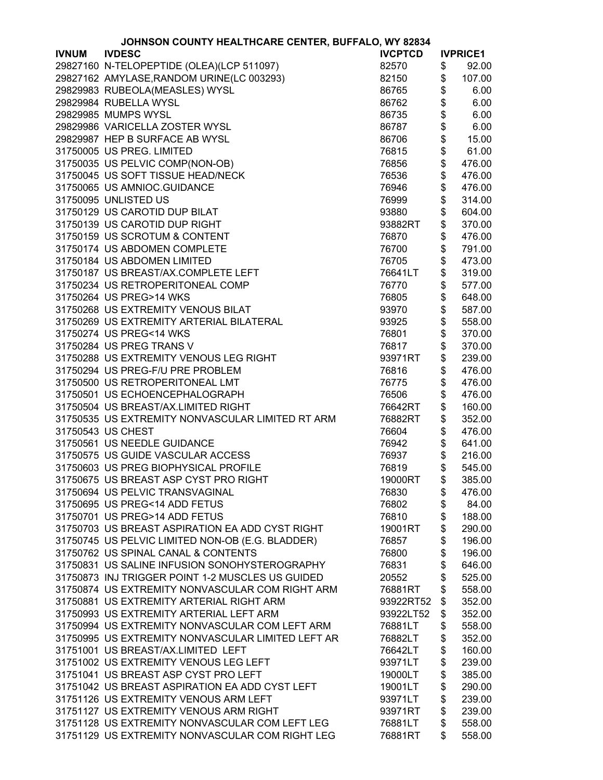| JOHNSON COUNTY HEALTHCARE CENTER, BUFFALO, WY 82834 |                                                   |                |               |                 |
|-----------------------------------------------------|---------------------------------------------------|----------------|---------------|-----------------|
| <b>IVNUM</b>                                        | <b>IVDESC</b>                                     | <b>IVCPTCD</b> |               | <b>IVPRICE1</b> |
|                                                     | 29827160 N-TELOPEPTIDE (OLEA)(LCP 511097)         | 82570          | \$            | 92.00           |
|                                                     | 29827162 AMYLASE, RANDOM URINE(LC 003293)         | 82150          | \$            | 107.00          |
|                                                     | 29829983 RUBEOLA(MEASLES) WYSL                    | 86765          | \$            | 6.00            |
|                                                     | 29829984 RUBELLA WYSL                             | 86762          | \$            | 6.00            |
|                                                     | 29829985 MUMPS WYSL                               | 86735          | \$            | 6.00            |
|                                                     | 29829986 VARICELLA ZOSTER WYSL                    | 86787          | \$            | 6.00            |
|                                                     | 29829987 HEP B SURFACE AB WYSL                    | 86706          | \$            | 15.00           |
|                                                     | 31750005 US PREG. LIMITED                         | 76815          | \$            | 61.00           |
|                                                     |                                                   |                |               |                 |
|                                                     | 31750035 US PELVIC COMP(NON-OB)                   | 76856          | \$            | 476.00          |
|                                                     | 31750045 US SOFT TISSUE HEAD/NECK                 | 76536          | \$            | 476.00          |
|                                                     | 31750065 US AMNIOC.GUIDANCE                       | 76946          | \$            | 476.00          |
|                                                     | 31750095 UNLISTED US                              | 76999          | \$            | 314.00          |
|                                                     | 31750129 US CAROTID DUP BILAT                     | 93880          | \$            | 604.00          |
|                                                     | 31750139 US CAROTID DUP RIGHT                     | 93882RT        | \$            | 370.00          |
|                                                     | 31750159 US SCROTUM & CONTENT                     | 76870          | \$            | 476.00          |
|                                                     | 31750174 US ABDOMEN COMPLETE                      | 76700          | \$            | 791.00          |
|                                                     | 31750184 US ABDOMEN LIMITED                       | 76705          | \$            | 473.00          |
|                                                     | 31750187 US BREAST/AX.COMPLETE LEFT               | 76641LT        | \$            | 319.00          |
|                                                     | 31750234 US RETROPERITONEAL COMP                  | 76770          | \$            | 577.00          |
|                                                     | 31750264 US PREG>14 WKS                           | 76805          | \$            | 648.00          |
|                                                     | 31750268 US EXTREMITY VENOUS BILAT                | 93970          | \$            | 587.00          |
|                                                     | 31750269 US EXTREMITY ARTERIAL BILATERAL          | 93925          | \$            | 558.00          |
|                                                     | 31750274 US PREG<14 WKS                           | 76801          | \$            | 370.00          |
|                                                     | 31750284 US PREG TRANS V                          | 76817          | \$            | 370.00          |
|                                                     | 31750288 US EXTREMITY VENOUS LEG RIGHT            | 93971RT        | \$            | 239.00          |
|                                                     | 31750294 US PREG-F/U PRE PROBLEM                  | 76816          | \$            | 476.00          |
|                                                     | 31750500 US RETROPERITONEAL LMT                   | 76775          | \$            | 476.00          |
|                                                     | 31750501 US ECHOENCEPHALOGRAPH                    |                | \$            |                 |
|                                                     |                                                   | 76506          |               | 476.00          |
|                                                     | 31750504 US BREAST/AX.LIMITED RIGHT               | 76642RT        | \$            | 160.00          |
|                                                     | 31750535 US EXTREMITY NONVASCULAR LIMITED RT ARM  | 76882RT        | \$            | 352.00          |
|                                                     | 31750543 US CHEST                                 | 76604          | \$            | 476.00          |
|                                                     | 31750561 US NEEDLE GUIDANCE                       | 76942          | \$            | 641.00          |
|                                                     | 31750575 US GUIDE VASCULAR ACCESS                 | 76937          | \$            | 216.00          |
|                                                     | 31750603 US PREG BIOPHYSICAL PROFILE              | 76819          | \$            | 545.00          |
|                                                     | 31750675 US BREAST ASP CYST PRO RIGHT             | 19000RT        | $\frac{1}{2}$ | 385.00          |
|                                                     | 31750694 US PELVIC TRANSVAGINAL                   | 76830          | \$            | 476.00          |
|                                                     | 31750695 US PREG<14 ADD FETUS                     | 76802          | \$            | 84.00           |
|                                                     | 31750701 US PREG>14 ADD FETUS                     | 76810          | \$            | 188.00          |
|                                                     | 31750703 US BREAST ASPIRATION EA ADD CYST RIGHT   | 19001RT        | \$            | 290.00          |
|                                                     | 31750745 US PELVIC LIMITED NON-OB (E.G. BLADDER)  | 76857          | \$            | 196.00          |
|                                                     | 31750762 US SPINAL CANAL & CONTENTS               | 76800          | \$            | 196.00          |
|                                                     | 31750831 US SALINE INFUSION SONOHYSTEROGRAPHY     | 76831          | \$            | 646.00          |
|                                                     | 31750873 INJ TRIGGER POINT 1-2 MUSCLES US GUIDED  | 20552          | \$            | 525.00          |
|                                                     | 31750874 US EXTREMITY NONVASCULAR COM RIGHT ARM   | 76881RT        | \$            | 558.00          |
|                                                     | 31750881 US EXTREMITY ARTERIAL RIGHT ARM          | 93922RT52      | \$            | 352.00          |
|                                                     | 31750993 US EXTREMITY ARTERIAL LEFT ARM           | 93922LT52      | \$            | 352.00          |
|                                                     | 31750994 US EXTREMITY NONVASCULAR COM LEFT ARM    | 76881LT        | \$            | 558.00          |
|                                                     | 31750995 US EXTREMITY NONVASCULAR LIMITED LEFT AR | 76882LT        | \$            | 352.00          |
|                                                     | 31751001 US BREAST/AX.LIMITED LEFT                | 76642LT        | \$            | 160.00          |
|                                                     | 31751002 US EXTREMITY VENOUS LEG LEFT             |                |               |                 |
|                                                     |                                                   | 93971LT        | \$            | 239.00          |
|                                                     | 31751041 US BREAST ASP CYST PRO LEFT              | 19000LT        | \$            | 385.00          |
|                                                     | 31751042 US BREAST ASPIRATION EA ADD CYST LEFT    | 19001LT        | \$            | 290.00          |
|                                                     | 31751126 US EXTREMITY VENOUS ARM LEFT             | 93971LT        | \$            | 239.00          |
|                                                     | 31751127 US EXTREMITY VENOUS ARM RIGHT            | 93971RT        | \$            | 239.00          |
|                                                     | 31751128 US EXTREMITY NONVASCULAR COM LEFT LEG    | 76881LT        | \$            | 558.00          |
|                                                     | 31751129 US EXTREMITY NONVASCULAR COM RIGHT LEG   | 76881RT        | \$            | 558.00          |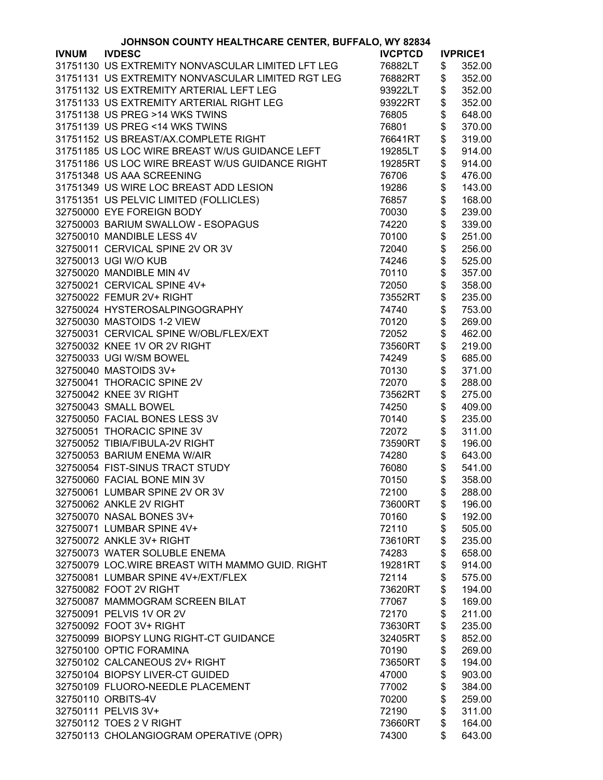|              | JOHNSON COUNTY HEALTHCARE CENTER, BUFFALO, WY 82834 |                |               |                 |
|--------------|-----------------------------------------------------|----------------|---------------|-----------------|
| <b>IVNUM</b> | <b>IVDESC</b>                                       | <b>IVCPTCD</b> |               | <b>IVPRICE1</b> |
|              | 31751130 US EXTREMITY NONVASCULAR LIMITED LFT LEG   | 76882LT        | \$            | 352.00          |
|              | 31751131 US EXTREMITY NONVASCULAR LIMITED RGT LEG   | 76882RT        | \$            | 352.00          |
|              | 31751132 US EXTREMITY ARTERIAL LEFT LEG             | 93922LT        | \$            | 352.00          |
|              | 31751133 US EXTREMITY ARTERIAL RIGHT LEG            | 93922RT        | \$            | 352.00          |
|              | 31751138 US PREG >14 WKS TWINS                      | 76805          | \$            | 648.00          |
|              | 31751139 US PREG <14 WKS TWINS                      | 76801          | \$            | 370.00          |
|              | 31751152 US BREAST/AX.COMPLETE RIGHT                | 76641RT        | \$            | 319.00          |
|              |                                                     |                |               |                 |
|              | 31751185 US LOC WIRE BREAST W/US GUIDANCE LEFT      | 19285LT        | \$            | 914.00          |
|              | 31751186 US LOC WIRE BREAST W/US GUIDANCE RIGHT     | 19285RT        | \$            | 914.00          |
|              | 31751348 US AAA SCREENING                           | 76706          | \$            | 476.00          |
|              | 31751349 US WIRE LOC BREAST ADD LESION              | 19286          | \$            | 143.00          |
|              | 31751351 US PELVIC LIMITED (FOLLICLES)              | 76857          | \$\$\$\$      | 168.00          |
|              | 32750000 EYE FOREIGN BODY                           | 70030          |               | 239.00          |
|              | 32750003 BARIUM SWALLOW - ESOPAGUS                  | 74220          |               | 339.00          |
|              | 32750010 MANDIBLE LESS 4V                           | 70100          |               | 251.00          |
|              | 32750011 CERVICAL SPINE 2V OR 3V                    | 72040          | \$            | 256.00          |
|              | 32750013 UGI W/O KUB                                | 74246          | \$            | 525.00          |
|              | 32750020 MANDIBLE MIN 4V                            | 70110          | \$            | 357.00          |
|              | 32750021 CERVICAL SPINE 4V+                         | 72050          | \$            | 358.00          |
|              | 32750022 FEMUR 2V+ RIGHT                            | 73552RT        | \$            | 235.00          |
|              | 32750024 HYSTEROSALPINGOGRAPHY                      | 74740          | \$            | 753.00          |
|              | 32750030 MASTOIDS 1-2 VIEW                          | 70120          | \$            | 269.00          |
|              | 32750031 CERVICAL SPINE W/OBL/FLEX/EXT              | 72052          | \$            | 462.00          |
|              | 32750032 KNEE 1V OR 2V RIGHT                        | 73560RT        | \$            | 219.00          |
|              | 32750033 UGI W/SM BOWEL                             | 74249          | \$            | 685.00          |
|              | 32750040 MASTOIDS 3V+                               |                |               | 371.00          |
|              |                                                     | 70130          | \$            |                 |
|              | 32750041 THORACIC SPINE 2V                          | 72070          | \$            | 288.00          |
|              | 32750042 KNEE 3V RIGHT                              | 73562RT        | \$            | 275.00          |
|              | 32750043 SMALL BOWEL                                | 74250          | \$            | 409.00          |
|              | 32750050 FACIAL BONES LESS 3V                       | 70140          | \$            | 235.00          |
|              | 32750051 THORACIC SPINE 3V                          | 72072          | \$            | 311.00          |
|              | 32750052 TIBIA/FIBULA-2V RIGHT                      | 73590RT        | \$            | 196.00          |
|              | 32750053 BARIUM ENEMA W/AIR                         | 74280          | \$            | 643.00          |
|              | 32750054 FIST-SINUS TRACT STUDY                     | 76080          | \$            | 541.00          |
|              | 32750060 FACIAL BONE MIN 3V                         | 70150          | $\frac{1}{2}$ | 358.00          |
|              | 32750061 LUMBAR SPINE 2V OR 3V                      | 72100          | \$            | 288.00          |
|              | 32750062 ANKLE 2V RIGHT                             | 73600RT        | \$            | 196.00          |
|              | 32750070 NASAL BONES 3V+                            | 70160          | \$            | 192.00          |
|              | 32750071 LUMBAR SPINE 4V+                           | 72110          | \$            | 505.00          |
|              | 32750072 ANKLE 3V+ RIGHT                            | 73610RT        | \$            | 235.00          |
|              | 32750073 WATER SOLUBLE ENEMA                        | 74283          | \$            | 658.00          |
|              | 32750079 LOC. WIRE BREAST WITH MAMMO GUID. RIGHT    | 19281RT        | \$            | 914.00          |
|              | 32750081 LUMBAR SPINE 4V+/EXT/FLEX                  | 72114          | \$            | 575.00          |
|              | 32750082 FOOT 2V RIGHT                              | 73620RT        | \$            | 194.00          |
|              | 32750087 MAMMOGRAM SCREEN BILAT                     | 77067          | \$            | 169.00          |
|              | 32750091 PELVIS 1V OR 2V                            | 72170          | \$            | 211.00          |
|              | 32750092 FOOT 3V+ RIGHT                             | 73630RT        | \$            | 235.00          |
|              | 32750099 BIOPSY LUNG RIGHT-CT GUIDANCE              | 32405RT        | \$            | 852.00          |
|              | 32750100 OPTIC FORAMINA                             |                |               |                 |
|              |                                                     | 70190          | \$            | 269.00          |
|              | 32750102 CALCANEOUS 2V+ RIGHT                       | 73650RT        | \$            | 194.00          |
|              | 32750104 BIOPSY LIVER-CT GUIDED                     | 47000          | \$            | 903.00          |
|              | 32750109 FLUORO-NEEDLE PLACEMENT                    | 77002          | \$            | 384.00          |
|              | 32750110 ORBITS-4V                                  | 70200          | \$            | 259.00          |
|              | 32750111 PELVIS 3V+                                 | 72190          | \$            | 311.00          |
|              | 32750112 TOES 2 V RIGHT                             | 73660RT        | \$            | 164.00          |
|              | 32750113 CHOLANGIOGRAM OPERATIVE (OPR)              | 74300          | \$            | 643.00          |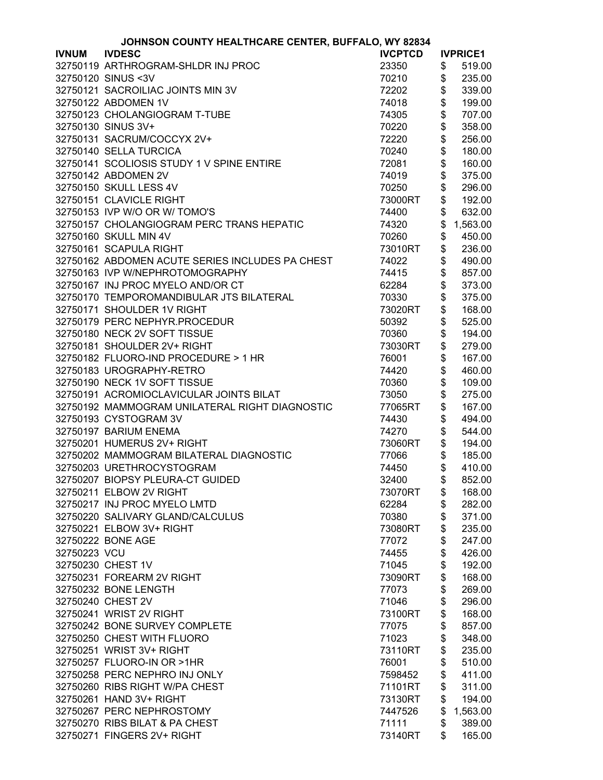|              | JOHNSON COUNTY HEALTHCARE CENTER, BUFFALO, WY 82834 |                |               |                 |
|--------------|-----------------------------------------------------|----------------|---------------|-----------------|
| <b>IVNUM</b> | <b>IVDESC</b>                                       | <b>IVCPTCD</b> |               | <b>IVPRICE1</b> |
|              | 32750119 ARTHROGRAM-SHLDR INJ PROC                  | 23350          | \$            | 519.00          |
|              | 32750120 SINUS < 3V                                 | 70210          | \$            | 235.00          |
|              | 32750121 SACROILIAC JOINTS MIN 3V                   | 72202          | \$            | 339.00          |
|              | 32750122 ABDOMEN 1V                                 | 74018          | \$            | 199.00          |
|              | 32750123 CHOLANGIOGRAM T-TUBE                       | 74305          | \$            | 707.00          |
|              | 32750130 SINUS 3V+                                  | 70220          | \$            | 358.00          |
|              | 32750131 SACRUM/COCCYX 2V+                          | 72220          | \$            | 256.00          |
|              | 32750140 SELLA TURCICA                              | 70240          | \$            | 180.00          |
|              | 32750141 SCOLIOSIS STUDY 1 V SPINE ENTIRE           | 72081          | \$            | 160.00          |
|              | 32750142 ABDOMEN 2V                                 |                | \$            |                 |
|              |                                                     | 74019          |               | 375.00          |
|              | 32750150 SKULL LESS 4V                              | 70250          | \$            | 296.00          |
|              | 32750151 CLAVICLE RIGHT                             | 73000RT        | \$            | 192.00          |
|              | 32750153 IVP W/O OR W/ TOMO'S                       | 74400          | \$            | 632.00          |
|              | 32750157 CHOLANGIOGRAM PERC TRANS HEPATIC           | 74320          | \$            | 1,563.00        |
|              | 32750160 SKULL MIN 4V                               | 70260          | \$            | 450.00          |
|              | 32750161 SCAPULA RIGHT                              | 73010RT        | \$            | 236.00          |
|              | 32750162 ABDOMEN ACUTE SERIES INCLUDES PA CHEST     | 74022          | \$            | 490.00          |
|              | 32750163 IVP W/NEPHROTOMOGRAPHY                     | 74415          | \$            | 857.00          |
|              | 32750167 INJ PROC MYELO AND/OR CT                   | 62284          | \$            | 373.00          |
|              | 32750170 TEMPOROMANDIBULAR JTS BILATERAL            | 70330          | \$            | 375.00          |
|              | 32750171 SHOULDER 1V RIGHT                          | 73020RT        | \$            | 168.00          |
|              | 32750179 PERC NEPHYR.PROCEDUR                       | 50392          | \$            | 525.00          |
|              | 32750180 NECK 2V SOFT TISSUE                        | 70360          | \$            | 194.00          |
|              | 32750181 SHOULDER 2V+ RIGHT                         | 73030RT        | \$            | 279.00          |
|              | 32750182 FLUORO-IND PROCEDURE > 1 HR                | 76001          | \$            | 167.00          |
|              | 32750183 UROGRAPHY-RETRO                            | 74420          | \$            | 460.00          |
|              | 32750190 NECK 1V SOFT TISSUE                        | 70360          | \$            | 109.00          |
|              | 32750191 ACROMIOCLAVICULAR JOINTS BILAT             | 73050          | \$            | 275.00          |
|              | 32750192 MAMMOGRAM UNILATERAL RIGHT DIAGNOSTIC      | 77065RT        | \$            | 167.00          |
|              | 32750193 CYSTOGRAM 3V                               | 74430          | \$            | 494.00          |
|              | 32750197 BARIUM ENEMA                               | 74270          | \$            | 544.00          |
|              | 32750201 HUMERUS 2V+ RIGHT                          | 73060RT        | \$            | 194.00          |
|              | 32750202 MAMMOGRAM BILATERAL DIAGNOSTIC             | 77066          | \$            | 185.00          |
|              | 32750203 URETHROCYSTOGRAM                           | 74450          | \$            | 410.00          |
|              | 32750207 BIOPSY PLEURA-CT GUIDED                    | 32400          | $\frac{1}{2}$ | 852.00          |
|              | 32750211 ELBOW 2V RIGHT                             | 73070RT        | \$            | 168.00          |
|              | 32750217 INJ PROC MYELO LMTD                        | 62284          | \$            | 282.00          |
|              | 32750220 SALIVARY GLAND/CALCULUS                    | 70380          | \$            | 371.00          |
|              | 32750221 ELBOW 3V+ RIGHT                            | 73080RT        | \$            | 235.00          |
|              | 32750222 BONE AGE                                   | 77072          | \$            | 247.00          |
| 32750223 VCU |                                                     | 74455          | \$            | 426.00          |
|              | 32750230 CHEST 1V                                   | 71045          | \$            | 192.00          |
|              | 32750231 FOREARM 2V RIGHT                           | 73090RT        | \$            | 168.00          |
|              | 32750232 BONE LENGTH                                | 77073          | \$            | 269.00          |
|              | 32750240 CHEST 2V                                   | 71046          | \$            | 296.00          |
|              | 32750241 WRIST 2V RIGHT                             | 73100RT        | \$            | 168.00          |
|              | 32750242 BONE SURVEY COMPLETE                       | 77075          | \$            | 857.00          |
|              | 32750250 CHEST WITH FLUORO                          |                |               | 348.00          |
|              | 32750251 WRIST 3V+ RIGHT                            | 71023          | \$            |                 |
|              |                                                     | 73110RT        | \$            | 235.00          |
|              | 32750257 FLUORO-IN OR >1HR                          | 76001          | \$            | 510.00          |
|              | 32750258 PERC NEPHRO INJ ONLY                       | 7598452        | \$            | 411.00          |
|              | 32750260 RIBS RIGHT W/PA CHEST                      | 71101RT        | \$            | 311.00          |
|              | 32750261 HAND 3V+ RIGHT                             | 73130RT        | \$            | 194.00          |
|              | 32750267 PERC NEPHROSTOMY                           | 7447526        | \$            | 1,563.00        |
|              | 32750270 RIBS BILAT & PA CHEST                      | 71111          | \$            | 389.00          |
|              | 32750271 FINGERS 2V+ RIGHT                          | 73140RT        | \$            | 165.00          |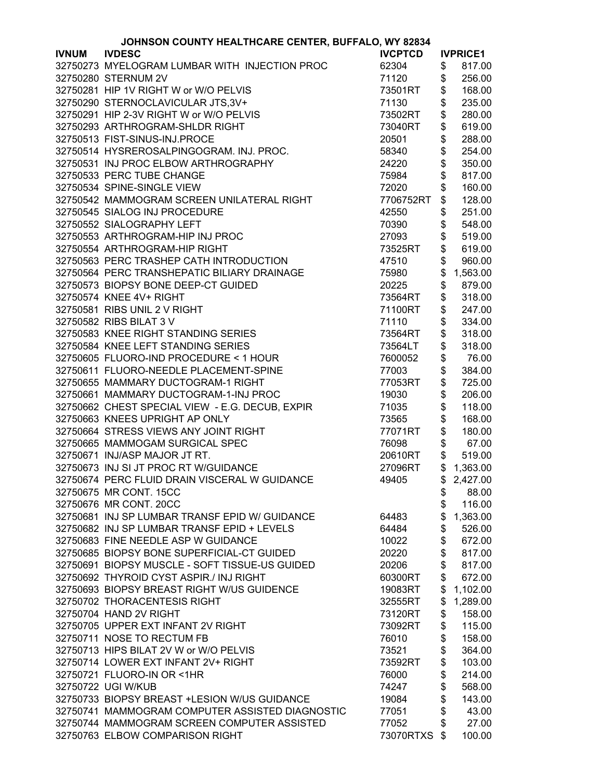|              | JOHNSON COUNTY HEALTHCARE CENTER, BUFFALO, WY 82834 |                |                |                 |
|--------------|-----------------------------------------------------|----------------|----------------|-----------------|
| <b>IVNUM</b> | <b>IVDESC</b>                                       | <b>IVCPTCD</b> |                | <b>IVPRICE1</b> |
|              | 32750273 MYELOGRAM LUMBAR WITH INJECTION PROC       | 62304          | \$             | 817.00          |
|              | 32750280 STERNUM 2V                                 | 71120          | \$             | 256.00          |
|              | 32750281 HIP 1V RIGHT W or W/O PELVIS               | 73501RT        | \$             | 168.00          |
|              | 32750290 STERNOCLAVICULAR JTS,3V+                   | 71130          | \$             | 235.00          |
|              | 32750291 HIP 2-3V RIGHT W or W/O PELVIS             | 73502RT        | \$             | 280.00          |
|              | 32750293 ARTHROGRAM-SHLDR RIGHT                     | 73040RT        | \$             | 619.00          |
|              | 32750513 FIST-SINUS-INJ.PROCE                       | 20501          | \$             | 288.00          |
|              | 32750514 HYSREROSALPINGOGRAM, INJ. PROC.            | 58340          | \$             | 254.00          |
|              |                                                     |                |                | 350.00          |
|              | 32750531 INJ PROC ELBOW ARTHROGRAPHY                | 24220          | \$             |                 |
|              | 32750533 PERC TUBE CHANGE                           | 75984          | \$             | 817.00          |
|              | 32750534 SPINE-SINGLE VIEW                          | 72020          | \$             | 160.00          |
|              | 32750542 MAMMOGRAM SCREEN UNILATERAL RIGHT          | 7706752RT      | \$             | 128.00          |
|              | 32750545 SIALOG INJ PROCEDURE                       | 42550          | \$             | 251.00          |
|              | 32750552 SIALOGRAPHY LEFT                           | 70390          | \$             | 548.00          |
|              | 32750553 ARTHROGRAM-HIP INJ PROC                    | 27093          | \$             | 519.00          |
|              | 32750554 ARTHROGRAM-HIP RIGHT                       | 73525RT        | \$             | 619.00          |
|              | 32750563 PERC TRASHEP CATH INTRODUCTION             | 47510          | \$             | 960.00          |
|              | 32750564 PERC TRANSHEPATIC BILIARY DRAINAGE         | 75980          | \$             | 1,563.00        |
|              | 32750573 BIOPSY BONE DEEP-CT GUIDED                 | 20225          | \$             | 879.00          |
|              | 32750574 KNEE 4V+ RIGHT                             | 73564RT        | \$             | 318.00          |
|              | 32750581 RIBS UNIL 2 V RIGHT                        | 71100RT        | \$             | 247.00          |
|              | 32750582 RIBS BILAT 3 V                             | 71110          | \$             | 334.00          |
|              | 32750583 KNEE RIGHT STANDING SERIES                 | 73564RT        | \$             | 318.00          |
|              | 32750584 KNEE LEFT STANDING SERIES                  | 73564LT        | \$             | 318.00          |
|              | 32750605 FLUORO-IND PROCEDURE < 1 HOUR              | 7600052        | \$             | 76.00           |
|              | 32750611 FLUORO-NEEDLE PLACEMENT-SPINE              |                |                |                 |
|              |                                                     | 77003          | \$             | 384.00          |
|              | 32750655 MAMMARY DUCTOGRAM-1 RIGHT                  | 77053RT        | \$             | 725.00          |
|              | 32750661 MAMMARY DUCTOGRAM-1-INJ PROC               | 19030          | \$             | 206.00          |
|              | 32750662 CHEST SPECIAL VIEW - E.G. DECUB, EXPIR     | 71035          | \$             | 118.00          |
|              | 32750663 KNEES UPRIGHT AP ONLY                      | 73565          | \$             | 168.00          |
|              | 32750664 STRESS VIEWS ANY JOINT RIGHT               | 77071RT        | \$             | 180.00          |
|              | 32750665 MAMMOGAM SURGICAL SPEC                     | 76098          | \$             | 67.00           |
|              | 32750671 INJ/ASP MAJOR JT RT.                       | 20610RT        | $\mathfrak{S}$ | 519.00          |
|              | 32750673 INJ SI JT PROC RT W/GUIDANCE               | 27096RT        |                | \$1,363.00      |
|              | 32750674 PERC FLUID DRAIN VISCERAL W GUIDANCE       | 49405          |                | \$2,427.00      |
|              | 32750675 MR CONT. 15CC                              |                | \$             | 88.00           |
|              | 32750676 MR CONT. 20CC                              |                | \$             | 116.00          |
|              | 32750681 INJ SP LUMBAR TRANSF EPID W/ GUIDANCE      | 64483          | \$             | 1,363.00        |
|              | 32750682 INJ SP LUMBAR TRANSF EPID + LEVELS         | 64484          | \$             | 526.00          |
|              | 32750683 FINE NEEDLE ASP W GUIDANCE                 | 10022          | \$             | 672.00          |
|              | 32750685 BIOPSY BONE SUPERFICIAL-CT GUIDED          | 20220          | \$             | 817.00          |
|              | 32750691 BIOPSY MUSCLE - SOFT TISSUE-US GUIDED      | 20206          | \$             | 817.00          |
|              | 32750692 THYROID CYST ASPIR./ INJ RIGHT             | 60300RT        | \$             | 672.00          |
|              | 32750693 BIOPSY BREAST RIGHT W/US GUIDENCE          | 19083RT        | \$             | 1,102.00        |
|              | 32750702 THORACENTESIS RIGHT                        | 32555RT        | \$             | 1,289.00        |
|              | 32750704 HAND 2V RIGHT                              | 73120RT        | \$             | 158.00          |
|              | 32750705 UPPER EXT INFANT 2V RIGHT                  | 73092RT        | \$             | 115.00          |
|              | 32750711 NOSE TO RECTUM FB                          | 76010          | \$             | 158.00          |
|              | 32750713 HIPS BILAT 2V W or W/O PELVIS              | 73521          | \$             | 364.00          |
|              | 32750714 LOWER EXT INFANT 2V+ RIGHT                 | 73592RT        | \$             | 103.00          |
|              | 32750721 FLUORO-IN OR <1HR                          |                |                |                 |
|              | 32750722 UGI W/KUB                                  | 76000          | \$             | 214.00          |
|              |                                                     | 74247          | \$             | 568.00          |
|              | 32750733 BIOPSY BREAST +LESION W/US GUIDANCE        | 19084          | \$             | 143.00          |
|              | 32750741 MAMMOGRAM COMPUTER ASSISTED DIAGNOSTIC     | 77051          | \$             | 43.00           |
|              | 32750744 MAMMOGRAM SCREEN COMPUTER ASSISTED         | 77052          | \$             | 27.00           |
|              | 32750763 ELBOW COMPARISON RIGHT                     | 73070RTXS \$   |                | 100.00          |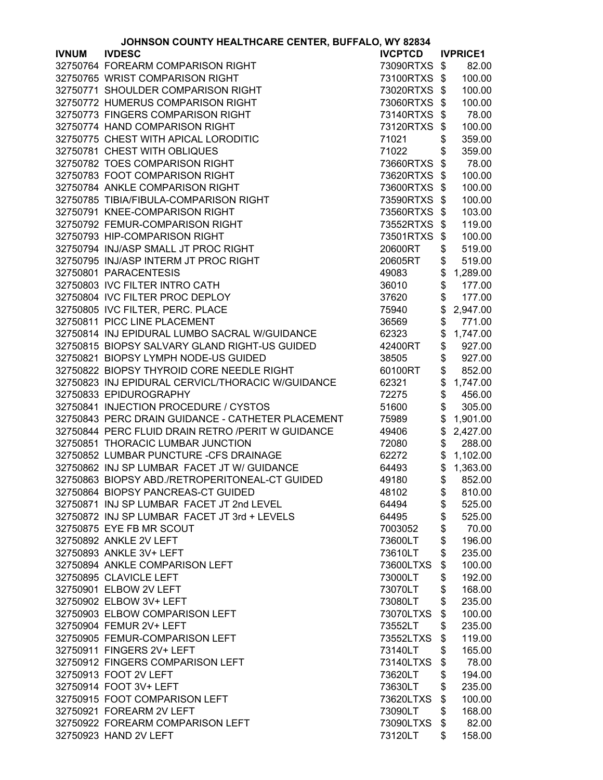|              | JOHNSON COUNTY HEALTHCARE CENTER, BUFFALO, WY 82834 |                |               |                 |
|--------------|-----------------------------------------------------|----------------|---------------|-----------------|
| <b>IVNUM</b> | <b>IVDESC</b>                                       | <b>IVCPTCD</b> |               | <b>IVPRICE1</b> |
|              | 32750764 FOREARM COMPARISON RIGHT                   | 73090RTXS \$   |               | 82.00           |
|              | 32750765 WRIST COMPARISON RIGHT                     | 73100RTXS \$   |               | 100.00          |
|              | 32750771 SHOULDER COMPARISON RIGHT                  | 73020RTXS \$   |               | 100.00          |
|              | 32750772 HUMERUS COMPARISON RIGHT                   | 73060RTXS \$   |               | 100.00          |
|              | 32750773 FINGERS COMPARISON RIGHT                   | 73140RTXS \$   |               | 78.00           |
|              | 32750774 HAND COMPARISON RIGHT                      | 73120RTXS      | \$            | 100.00          |
|              | 32750775 CHEST WITH APICAL LORODITIC                | 71021          | \$            | 359.00          |
|              | 32750781 CHEST WITH OBLIQUES                        | 71022          | \$            | 359.00          |
|              | 32750782 TOES COMPARISON RIGHT                      | 73660RTXS \$   |               | 78.00           |
|              |                                                     |                |               |                 |
|              | 32750783 FOOT COMPARISON RIGHT                      | 73620RTXS \$   |               | 100.00          |
|              | 32750784 ANKLE COMPARISON RIGHT                     | 73600RTXS \$   |               | 100.00          |
|              | 32750785 TIBIA/FIBULA-COMPARISON RIGHT              | 73590RTXS \$   |               | 100.00          |
|              | 32750791 KNEE-COMPARISON RIGHT                      | 73560RTXS \$   |               | 103.00          |
|              | 32750792 FEMUR-COMPARISON RIGHT                     | 73552RTXS \$   |               | 119.00          |
|              | 32750793 HIP-COMPARISON RIGHT                       | 73501RTXS      | $\frac{1}{2}$ | 100.00          |
|              | 32750794 INJ/ASP SMALL JT PROC RIGHT                | 20600RT        | \$            | 519.00          |
|              | 32750795 INJ/ASP INTERM JT PROC RIGHT               | 20605RT        | \$            | 519.00          |
|              | 32750801 PARACENTESIS                               | 49083          | \$            | 1,289.00        |
|              | 32750803 IVC FILTER INTRO CATH                      | 36010          | \$            | 177.00          |
|              | 32750804 IVC FILTER PROC DEPLOY                     | 37620          | \$            | 177.00          |
|              | 32750805 IVC FILTER, PERC. PLACE                    | 75940          | \$            | 2,947.00        |
|              | 32750811 PICC LINE PLACEMENT                        | 36569          | \$            | 771.00          |
|              | 32750814 INJ EPIDURAL LUMBO SACRAL W/GUIDANCE       | 62323          | \$            | 1,747.00        |
|              | 32750815 BIOPSY SALVARY GLAND RIGHT-US GUIDED       | 42400RT        | \$            | 927.00          |
|              | 32750821 BIOPSY LYMPH NODE-US GUIDED                | 38505          | \$            | 927.00          |
|              | 32750822 BIOPSY THYROID CORE NEEDLE RIGHT           | 60100RT        | \$            | 852.00          |
|              | 32750823 INJ EPIDURAL CERVICL/THORACIC W/GUIDANCE   | 62321          | \$            | 1,747.00        |
|              | 32750833 EPIDUROGRAPHY                              | 72275          | \$            | 456.00          |
|              | 32750841 INJECTION PROCEDURE / CYSTOS               | 51600          | \$            | 305.00          |
|              | 32750843 PERC DRAIN GUIDANCE - CATHETER PLACEMENT   |                |               |                 |
|              |                                                     | 75989          | \$            | 1,901.00        |
|              | 32750844 PERC FLUID DRAIN RETRO /PERIT W GUIDANCE   | 49406          | \$            | 2,427.00        |
|              | 32750851 THORACIC LUMBAR JUNCTION                   | 72080          | \$            | 288.00          |
|              | 32750852 LUMBAR PUNCTURE -CFS DRAINAGE              | 62272          | \$            | 1,102.00        |
|              | 32750862 INJ SP LUMBAR FACET JT W/ GUIDANCE         | 64493          | \$            | 1,363.00        |
|              | 32750863 BIOPSY ABD./RETROPERITONEAL-CT GUIDED      | 49180          |               | \$852.00        |
|              | 32750864 BIOPSY PANCREAS-CT GUIDED                  | 48102          | \$            | 810.00          |
|              | 32750871 INJ SP LUMBAR FACET JT 2nd LEVEL           | 64494          | \$            | 525.00          |
|              | 32750872 INJ SP LUMBAR FACET JT 3rd + LEVELS        | 64495          | \$            | 525.00          |
|              | 32750875 EYE FB MR SCOUT                            | 7003052        | \$            | 70.00           |
|              | 32750892 ANKLE 2V LEFT                              | 73600LT        | \$            | 196.00          |
|              | 32750893 ANKLE 3V+ LEFT                             | 73610LT        | \$            | 235.00          |
|              | 32750894 ANKLE COMPARISON LEFT                      | 73600LTXS      | \$            | 100.00          |
|              | 32750895 CLAVICLE LEFT                              | 73000LT        | \$            | 192.00          |
|              | 32750901 ELBOW 2V LEFT                              | 73070LT        | \$            | 168.00          |
|              | 32750902 ELBOW 3V+ LEFT                             | 73080LT        | \$            | 235.00          |
|              | 32750903 ELBOW COMPARISON LEFT                      | 73070LTXS      | \$            | 100.00          |
|              | 32750904 FEMUR 2V+ LEFT                             | 73552LT        | \$            | 235.00          |
|              | 32750905 FEMUR-COMPARISON LEFT                      | 73552LTXS      | \$            | 119.00          |
|              | 32750911 FINGERS 2V+ LEFT                           | 73140LT        | \$            | 165.00          |
|              | 32750912 FINGERS COMPARISON LEFT                    | 73140LTXS      | \$            | 78.00           |
|              | 32750913 FOOT 2V LEFT                               | 73620LT        | \$            | 194.00          |
|              | 32750914 FOOT 3V+ LEFT                              | 73630LT        | \$            | 235.00          |
|              | 32750915 FOOT COMPARISON LEFT                       | 73620LTXS      | \$            | 100.00          |
|              | 32750921 FOREARM 2V LEFT                            | 73090LT        | \$            | 168.00          |
|              | 32750922 FOREARM COMPARISON LEFT                    | 73090LTXS      |               | 82.00           |
|              |                                                     |                | \$            |                 |
|              | 32750923 HAND 2V LEFT                               | 73120LT        | \$            | 158.00          |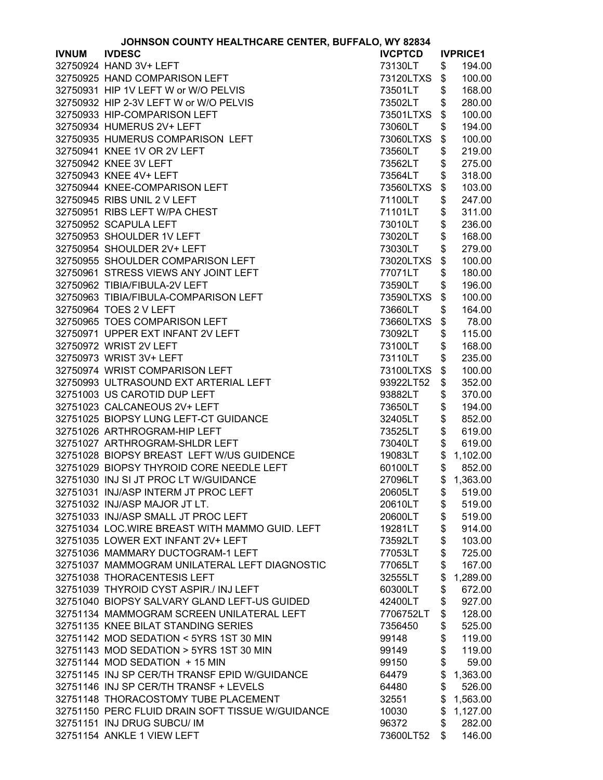|              | JOHNSON COUNTY HEALTHCARE CENTER, BUFFALO, WY 82834 |                    |          |                  |
|--------------|-----------------------------------------------------|--------------------|----------|------------------|
| <b>IVNUM</b> | <b>IVDESC</b>                                       | <b>IVCPTCD</b>     |          | <b>IVPRICE1</b>  |
|              | 32750924 HAND 3V+ LEFT                              | 73130LT            | \$       | 194.00           |
|              | 32750925 HAND COMPARISON LEFT                       | 73120LTXS          | \$       | 100.00           |
|              | 32750931 HIP 1V LEFT W or W/O PELVIS                | 73501LT            | \$       | 168.00           |
|              | 32750932 HIP 2-3V LEFT W or W/O PELVIS              | 73502LT            | \$       | 280.00           |
|              | 32750933 HIP-COMPARISON LEFT                        | 73501LTXS          | \$       | 100.00           |
|              | 32750934 HUMERUS 2V+ LEFT                           | 73060LT            | \$       | 194.00           |
|              | 32750935 HUMERUS COMPARISON LEFT                    | 73060LTXS          | \$       | 100.00           |
|              | 32750941 KNEE 1V OR 2V LEFT                         | 73560LT            | \$       | 219.00           |
|              | 32750942 KNEE 3V LEFT                               |                    |          | 275.00           |
|              |                                                     | 73562LT            | \$       |                  |
|              | 32750943 KNEE 4V+ LEFT                              | 73564LT            | \$       | 318.00           |
|              | 32750944 KNEE-COMPARISON LEFT                       | 73560LTXS          | \$       | 103.00           |
|              | 32750945 RIBS UNIL 2 V LEFT                         | 71100LT            | \$       | 247.00           |
|              | 32750951 RIBS LEFT W/PA CHEST                       | 71101LT            | \$       | 311.00           |
|              | 32750952 SCAPULA LEFT                               | 73010LT            | \$       | 236.00           |
|              | 32750953 SHOULDER 1V LEFT                           | 73020LT            | \$       | 168.00           |
|              | 32750954 SHOULDER 2V+ LEFT                          | 73030LT            | \$       | 279.00           |
|              | 32750955 SHOULDER COMPARISON LEFT                   | 73020LTXS          | \$       | 100.00           |
|              | 32750961 STRESS VIEWS ANY JOINT LEFT                | 77071LT            | \$       | 180.00           |
|              | 32750962 TIBIA/FIBULA-2V LEFT                       | 73590LT            | \$       | 196.00           |
|              | 32750963 TIBIA/FIBULA-COMPARISON LEFT               | 73590LTXS          | \$       | 100.00           |
|              | 32750964 TOES 2 V LEFT                              | 73660LT            | \$       | 164.00           |
|              | 32750965 TOES COMPARISON LEFT                       | 73660LTXS          | \$       | 78.00            |
|              | 32750971 UPPER EXT INFANT 2V LEFT                   | 73092LT            | \$       | 115.00           |
|              | 32750972 WRIST 2V LEFT                              | 73100LT            | \$       | 168.00           |
|              | 32750973 WRIST 3V+ LEFT                             | 73110LT            | \$       | 235.00           |
|              | 32750974 WRIST COMPARISON LEFT                      | 73100LTXS          | \$       | 100.00           |
|              | 32750993 ULTRASOUND EXT ARTERIAL LEFT               | 93922LT52          | \$       | 352.00           |
|              | 32751003 US CAROTID DUP LEFT                        | 93882LT            | \$       | 370.00           |
|              | 32751023 CALCANEOUS 2V+ LEFT                        | 73650LT            | \$       | 194.00           |
|              | 32751025 BIOPSY LUNG LEFT-CT GUIDANCE               | 32405LT            | \$       | 852.00           |
|              | 32751026 ARTHROGRAM-HIP LEFT                        | 73525LT            | \$       | 619.00           |
|              | 32751027 ARTHROGRAM-SHLDR LEFT                      | 73040LT            | \$       | 619.00           |
|              | 32751028 BIOPSY BREAST LEFT W/US GUIDENCE           | 19083LT            | \$       | 1,102.00         |
|              | 32751029 BIOPSY THYROID CORE NEEDLE LEFT            | 60100LT            | \$       | 852.00           |
|              | 32751030 INJ SI JT PROC LT W/GUIDANCE               |                    |          | \$1,363.00       |
|              | 32751031 INJ/ASP INTERM JT PROC LEFT                | 27096LT            |          |                  |
|              | 32751032 INJ/ASP MAJOR JT LT.                       | 20605LT<br>20610LT | \$<br>\$ | 519.00<br>519.00 |
|              | 32751033 INJ/ASP SMALL JT PROC LEFT                 | 20600LT            | \$       | 519.00           |
|              | 32751034 LOC.WIRE BREAST WITH MAMMO GUID. LEFT      | 19281LT            | \$       | 914.00           |
|              | 32751035 LOWER EXT INFANT 2V+ LEFT                  | 73592LT            | \$       | 103.00           |
|              | 32751036 MAMMARY DUCTOGRAM-1 LEFT                   | 77053LT            | \$       | 725.00           |
|              | 32751037 MAMMOGRAM UNILATERAL LEFT DIAGNOSTIC       | 77065LT            | \$       | 167.00           |
|              | 32751038 THORACENTESIS LEFT                         | 32555LT            | \$       | 1,289.00         |
|              | 32751039 THYROID CYST ASPIR./ INJ LEFT              | 60300LT            |          |                  |
|              | 32751040 BIOPSY SALVARY GLAND LEFT-US GUIDED        |                    | \$       | 672.00           |
|              |                                                     | 42400LT            | \$       | 927.00           |
|              | 32751134 MAMMOGRAM SCREEN UNILATERAL LEFT           | 7706752LT          | \$       | 128.00           |
|              | 32751135 KNEE BILAT STANDING SERIES                 | 7356450            | \$       | 525.00           |
|              | 32751142 MOD SEDATION < 5YRS 1ST 30 MIN             | 99148              | \$       | 119.00           |
|              | 32751143 MOD SEDATION > 5YRS 1ST 30 MIN             | 99149              | \$       | 119.00           |
|              | 32751144 MOD SEDATION + 15 MIN                      | 99150              | \$       | 59.00            |
|              | 32751145 INJ SP CER/TH TRANSF EPID W/GUIDANCE       | 64479              | \$       | 1,363.00         |
|              | 32751146 INJ SP CER/TH TRANSF + LEVELS              | 64480              | \$       | 526.00           |
|              | 32751148 THORACOSTOMY TUBE PLACEMENT                | 32551              | \$       | 1,563.00         |
|              | 32751150 PERC FLUID DRAIN SOFT TISSUE W/GUIDANCE    | 10030              | \$       | 1,127.00         |
|              | 32751151 INJ DRUG SUBCU/ IM                         | 96372              | \$       | 282.00           |
|              | 32751154 ANKLE 1 VIEW LEFT                          | 73600LT52          | \$       | 146.00           |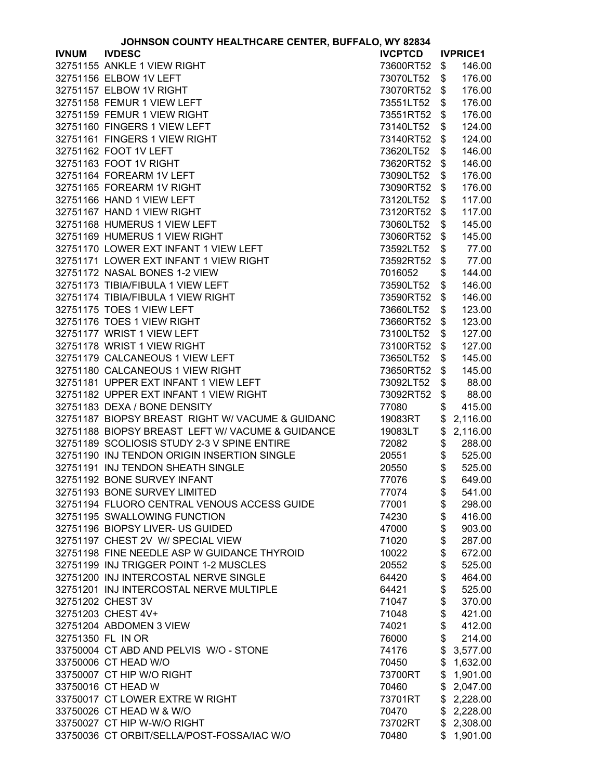|              | JUNNSUN CUUNTT NEALTNCARE CENTER, BUFFALU, WT 02034 |                |          |                 |
|--------------|-----------------------------------------------------|----------------|----------|-----------------|
| <b>IVNUM</b> | <b>IVDESC</b>                                       | <b>IVCPTCD</b> |          | <b>IVPRICE1</b> |
|              | 32751155 ANKLE 1 VIEW RIGHT                         | 73600RT52      | \$       | 146.00          |
|              | 32751156 ELBOW 1V LEFT                              | 73070LT52      | \$       | 176.00          |
|              | 32751157 ELBOW 1V RIGHT                             | 73070RT52      | \$       | 176.00          |
|              | 32751158 FEMUR 1 VIEW LEFT                          | 73551LT52      | \$       | 176.00          |
|              | 32751159 FEMUR 1 VIEW RIGHT                         | 73551RT52      | \$       | 176.00          |
|              | 32751160 FINGERS 1 VIEW LEFT                        | 73140LT52      | \$       | 124.00          |
|              | 32751161 FINGERS 1 VIEW RIGHT                       | 73140RT52      | \$       | 124.00          |
|              | 32751162 FOOT 1V LEFT                               | 73620LT52      | \$       | 146.00          |
|              | 32751163 FOOT 1V RIGHT                              | 73620RT52      | \$       | 146.00          |
|              | 32751164 FOREARM 1V LEFT                            | 73090LT52      | \$       | 176.00          |
|              | 32751165 FOREARM 1V RIGHT                           | 73090RT52      | \$       | 176.00          |
|              | 32751166 HAND 1 VIEW LEFT                           | 73120LT52      | \$       | 117.00          |
|              | 32751167 HAND 1 VIEW RIGHT                          | 73120RT52      | \$       | 117.00          |
|              | 32751168 HUMERUS 1 VIEW LEFT                        | 73060LT52      | \$       | 145.00          |
|              | 32751169 HUMERUS 1 VIEW RIGHT                       | 73060RT52      | \$       | 145.00          |
|              | 32751170 LOWER EXT INFANT 1 VIEW LEFT               | 73592LT52      | \$       | 77.00           |
|              | 32751171 LOWER EXT INFANT 1 VIEW RIGHT              |                |          |                 |
|              |                                                     | 73592RT52      | \$       | 77.00           |
|              | 32751172 NASAL BONES 1-2 VIEW                       | 7016052        | \$       | 144.00          |
|              | 32751173 TIBIA/FIBULA 1 VIEW LEFT                   | 73590LT52      | \$       | 146.00          |
|              | 32751174 TIBIA/FIBULA 1 VIEW RIGHT                  | 73590RT52      | \$       | 146.00          |
|              | 32751175 TOES 1 VIEW LEFT                           | 73660LT52      | \$       | 123.00          |
|              | 32751176 TOES 1 VIEW RIGHT                          | 73660RT52      | \$       | 123.00          |
|              | 32751177 WRIST 1 VIEW LEFT                          | 73100LT52      | \$       | 127.00          |
|              | 32751178 WRIST 1 VIEW RIGHT                         | 73100RT52      | \$       | 127.00          |
|              | 32751179 CALCANEOUS 1 VIEW LEFT                     | 73650LT52      | \$       | 145.00          |
|              | 32751180 CALCANEOUS 1 VIEW RIGHT                    | 73650RT52      | \$       | 145.00          |
|              | 32751181 UPPER EXT INFANT 1 VIEW LEFT               | 73092LT52      | \$       | 88.00           |
|              | 32751182 UPPER EXT INFANT 1 VIEW RIGHT              | 73092RT52      | \$       | 88.00           |
|              | 32751183 DEXA / BONE DENSITY                        | 77080          | \$       | 415.00          |
|              | 32751187 BIOPSY BREAST RIGHT W/ VACUME & GUIDANC    | 19083RT        | \$       | 2,116.00        |
|              | 32751188 BIOPSY BREAST LEFT W/ VACUME & GUIDANCE    | 19083LT        | \$       | 2,116.00        |
|              | 32751189 SCOLIOSIS STUDY 2-3 V SPINE ENTIRE         | 72082          | \$       | 288.00          |
|              | 32751190 INJ TENDON ORIGIN INSERTION SINGLE         | 20551          | \$       | 525.00          |
|              | 32751191 INJ TENDON SHEATH SINGLE                   | 20550          | \$       | 525.00          |
|              | 32751192 BONE SURVEY INFANT                         | 77076          | \$       | 649.00          |
|              | 32751193 BONE SURVEY LIMITED                        | 77074          | \$       | 541.00          |
|              | 32751194 FLUORO CENTRAL VENOUS ACCESS GUIDE         | 77001          | \$       | 298.00          |
|              | 32751195 SWALLOWING FUNCTION                        | 74230          | \$       | 416.00          |
|              | 32751196 BIOPSY LIVER- US GUIDED                    | 47000          | \$       | 903.00          |
|              | 32751197 CHEST 2V W/ SPECIAL VIEW                   | 71020          | \$       | 287.00          |
|              | 32751198 FINE NEEDLE ASP W GUIDANCE THYROID         | 10022          | \$       | 672.00          |
|              | 32751199 INJ TRIGGER POINT 1-2 MUSCLES              | 20552          | \$       | 525.00          |
|              | 32751200 INJ INTERCOSTAL NERVE SINGLE               | 64420          | \$<br>\$ | 464.00          |
|              | 32751201 INJ INTERCOSTAL NERVE MULTIPLE             | 64421          |          | 525.00          |
|              | 32751202 CHEST 3V                                   | 71047          | \$       | 370.00          |
|              | 32751203 CHEST 4V+                                  | 71048          | \$       | 421.00          |
|              | 32751204 ABDOMEN 3 VIEW                             | 74021          | \$       | 412.00          |
|              | 32751350 FL IN OR                                   | 76000          | \$       | 214.00          |
|              | 33750004 CT ABD AND PELVIS W/O - STONE              | 74176          | \$       | 3,577.00        |
|              | 33750006 CT HEAD W/O                                | 70450          | \$       | 1,632.00        |
|              | 33750007 CT HIP W/O RIGHT                           | 73700RT        |          | \$1,901.00      |
|              | 33750016 CT HEAD W                                  | 70460          |          | \$2,047.00      |
|              | 33750017 CT LOWER EXTRE W RIGHT                     | 73701RT        |          | \$2,228.00      |
|              | 33750026 CT HEAD W & W/O                            | 70470          | \$       | 2,228.00        |
|              | 33750027 CT HIP W-W/O RIGHT                         | 73702RT        | \$       | 2,308.00        |
|              | 33750036 CT ORBIT/SELLA/POST-FOSSA/IAC W/O          | 70480          | \$       | 1,901.00        |
|              |                                                     |                |          |                 |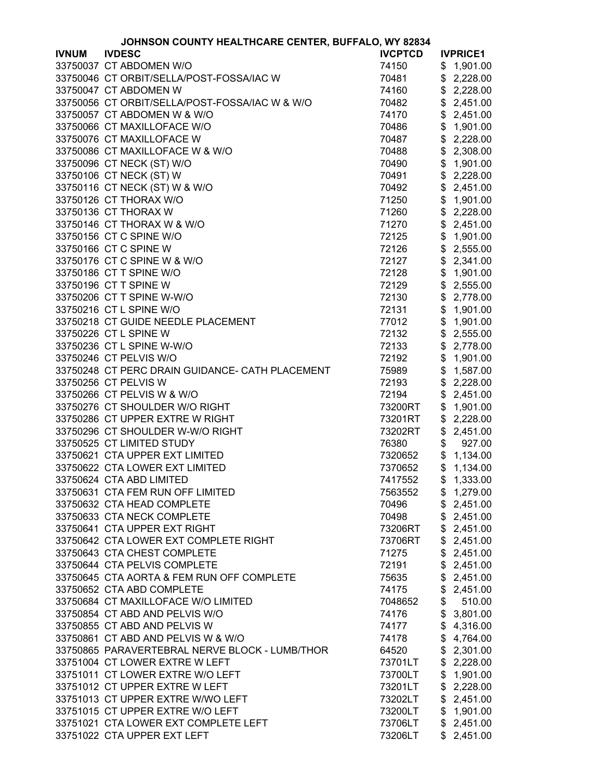| <b>IVDESC</b><br><b>IVCPTCD</b><br><b>IVNUM</b><br><b>IVPRICE1</b><br>33750037 CT ABDOMEN W/O<br>74150<br>1,901.00<br>\$<br>33750046 CT ORBIT/SELLA/POST-FOSSA/IAC W<br>70481<br>\$2,228.00<br>33750047 CT ABDOMEN W<br>\$2,228.00<br>74160<br>33750056 CT ORBIT/SELLA/POST-FOSSA/IAC W & W/O<br>\$<br>2,451.00<br>70482<br>33750057 CT ABDOMEN W & W/O<br>74170<br>\$<br>2,451.00<br>33750066 CT MAXILLOFACE W/O<br>70486<br>\$<br>1,901.00<br>\$<br>2,228.00<br>33750076 CT MAXILLOFACE W<br>70487<br>\$<br>33750086 CT MAXILLOFACE W & W/O<br>70488<br>2,308.00<br>33750096 CT NECK (ST) W/O<br>\$<br>70490<br>1,901.00<br>33750106 CT NECK (ST) W<br>70491<br>\$<br>2,228.00<br>33750116 CT NECK (ST) W & W/O<br>70492<br>\$<br>2,451.00<br>33750126 CT THORAX W/O<br>71250<br>\$<br>1,901.00<br>33750136 CT THORAX W<br>\$<br>2,228.00<br>71260<br>33750146 CT THORAX W & W/O<br>\$<br>2,451.00<br>71270<br>33750156 CT C SPINE W/O<br>\$<br>1,901.00<br>72125<br>\$<br>33750166 CT C SPINE W<br>2,555.00<br>72126<br>\$<br>33750176 CT C SPINE W & W/O<br>2,341.00<br>72127<br>\$<br>33750186 CT T SPINE W/O<br>72128<br>1,901.00<br>\$<br>33750196 CT T SPINE W<br>72129<br>2,555.00<br>\$<br>33750206 CT T SPINE W-W/O<br>72130<br>2,778.00<br>33750216 CT L SPINE W/O<br>\$<br>72131<br>1,901.00<br>33750218 CT GUIDE NEEDLE PLACEMENT<br>\$<br>77012<br>1,901.00<br>\$<br>33750226 CT L SPINE W<br>2,555.00<br>72132<br>\$<br>33750236 CT L SPINE W-W/O<br>2,778.00<br>72133<br>33750246 CT PELVIS W/O<br>\$<br>72192<br>1,901.00<br>33750248 CT PERC DRAIN GUIDANCE- CATH PLACEMENT<br>1,587.00<br>75989<br>\$<br>33750256 CT PELVIS W<br>72193<br>\$<br>2,228.00<br>33750266 CT PELVIS W & W/O<br>\$<br>2,451.00<br>72194<br>33750276 CT SHOULDER W/O RIGHT<br>1,901.00<br>73200RT<br>\$<br>33750286 CT UPPER EXTRE W RIGHT<br>2,228.00<br>73201RT<br>\$<br>33750296 CT SHOULDER W-W/O RIGHT<br>\$<br>2,451.00<br>73202RT<br>33750525 CT LIMITED STUDY<br>\$<br>76380<br>927.00<br>33750621 CTA UPPER EXT LIMITED<br>\$1,134.00<br>7320652<br>33750622 CTA LOWER EXT LIMITED<br>\$<br>7370652<br>1,134.00<br>33750624 CTA ABD LIMITED<br>7417552<br>\$1,333.00<br>33750631 CTA FEM RUN OFF LIMITED<br>\$1,279.00<br>7563552<br>33750632 CTA HEAD COMPLETE<br>\$<br>2,451.00<br>70496<br>33750633 CTA NECK COMPLETE<br>\$<br>2,451.00<br>70498<br>33750641 CTA UPPER EXT RIGHT<br>73206RT<br>\$<br>2,451.00<br>33750642 CTA LOWER EXT COMPLETE RIGHT<br>\$<br>2,451.00<br>73706RT<br>33750643 CTA CHEST COMPLETE<br>71275<br>\$<br>2,451.00<br>33750644 CTA PELVIS COMPLETE<br>\$<br>2,451.00<br>72191<br>33750645 CTA AORTA & FEM RUN OFF COMPLETE<br>2,451.00<br>75635<br>\$<br>33750652 CTA ABD COMPLETE<br>74175<br>\$<br>2,451.00<br>33750684 CT MAXILLOFACE W/O LIMITED<br>\$<br>510.00<br>7048652<br>33750854 CT ABD AND PELVIS W/O<br>\$<br>3,801.00<br>74176<br>33750855 CT ABD AND PELVIS W<br>74177<br>\$<br>4,316.00<br>33750861 CT ABD AND PELVIS W & W/O<br>\$<br>74178<br>4,764.00<br>33750865 PARAVERTEBRAL NERVE BLOCK - LUMB/THOR<br>\$<br>2,301.00<br>64520<br>33751004 CT LOWER EXTRE W LEFT<br>\$<br>2,228.00<br>73701LT<br>33751011 CT LOWER EXTRE W/O LEFT<br>\$<br>73700LT<br>1,901.00<br>33751012 CT UPPER EXTRE W LEFT<br>\$2,228.00<br>73201LT<br>33751013 CT UPPER EXTRE W/WO LEFT<br>\$2,451.00<br>73202LT<br>33751015 CT UPPER EXTRE W/O LEFT<br>\$<br>1,901.00<br>73200LT<br>33751021 CTA LOWER EXT COMPLETE LEFT<br>\$2,451.00<br>73706LT<br>33751022 CTA UPPER EXT LEFT<br>\$<br>2,451.00<br>73206LT | JOHNSON COUNTY HEALTHCARE CENTER, BUFFALO, WY 82834 |  |  |  |  |
|--------------------------------------------------------------------------------------------------------------------------------------------------------------------------------------------------------------------------------------------------------------------------------------------------------------------------------------------------------------------------------------------------------------------------------------------------------------------------------------------------------------------------------------------------------------------------------------------------------------------------------------------------------------------------------------------------------------------------------------------------------------------------------------------------------------------------------------------------------------------------------------------------------------------------------------------------------------------------------------------------------------------------------------------------------------------------------------------------------------------------------------------------------------------------------------------------------------------------------------------------------------------------------------------------------------------------------------------------------------------------------------------------------------------------------------------------------------------------------------------------------------------------------------------------------------------------------------------------------------------------------------------------------------------------------------------------------------------------------------------------------------------------------------------------------------------------------------------------------------------------------------------------------------------------------------------------------------------------------------------------------------------------------------------------------------------------------------------------------------------------------------------------------------------------------------------------------------------------------------------------------------------------------------------------------------------------------------------------------------------------------------------------------------------------------------------------------------------------------------------------------------------------------------------------------------------------------------------------------------------------------------------------------------------------------------------------------------------------------------------------------------------------------------------------------------------------------------------------------------------------------------------------------------------------------------------------------------------------------------------------------------------------------------------------------------------------------------------------------------------------------------------------------------------------------------------------------------------------------------------------------------------------------------------------------------------------------------------------------------------------------------------------------------------------------------------------------------------------------------------------------------------------------------------------|-----------------------------------------------------|--|--|--|--|
|                                                                                                                                                                                                                                                                                                                                                                                                                                                                                                                                                                                                                                                                                                                                                                                                                                                                                                                                                                                                                                                                                                                                                                                                                                                                                                                                                                                                                                                                                                                                                                                                                                                                                                                                                                                                                                                                                                                                                                                                                                                                                                                                                                                                                                                                                                                                                                                                                                                                                                                                                                                                                                                                                                                                                                                                                                                                                                                                                                                                                                                                                                                                                                                                                                                                                                                                                                                                                                                                                                                                                  |                                                     |  |  |  |  |
|                                                                                                                                                                                                                                                                                                                                                                                                                                                                                                                                                                                                                                                                                                                                                                                                                                                                                                                                                                                                                                                                                                                                                                                                                                                                                                                                                                                                                                                                                                                                                                                                                                                                                                                                                                                                                                                                                                                                                                                                                                                                                                                                                                                                                                                                                                                                                                                                                                                                                                                                                                                                                                                                                                                                                                                                                                                                                                                                                                                                                                                                                                                                                                                                                                                                                                                                                                                                                                                                                                                                                  |                                                     |  |  |  |  |
|                                                                                                                                                                                                                                                                                                                                                                                                                                                                                                                                                                                                                                                                                                                                                                                                                                                                                                                                                                                                                                                                                                                                                                                                                                                                                                                                                                                                                                                                                                                                                                                                                                                                                                                                                                                                                                                                                                                                                                                                                                                                                                                                                                                                                                                                                                                                                                                                                                                                                                                                                                                                                                                                                                                                                                                                                                                                                                                                                                                                                                                                                                                                                                                                                                                                                                                                                                                                                                                                                                                                                  |                                                     |  |  |  |  |
|                                                                                                                                                                                                                                                                                                                                                                                                                                                                                                                                                                                                                                                                                                                                                                                                                                                                                                                                                                                                                                                                                                                                                                                                                                                                                                                                                                                                                                                                                                                                                                                                                                                                                                                                                                                                                                                                                                                                                                                                                                                                                                                                                                                                                                                                                                                                                                                                                                                                                                                                                                                                                                                                                                                                                                                                                                                                                                                                                                                                                                                                                                                                                                                                                                                                                                                                                                                                                                                                                                                                                  |                                                     |  |  |  |  |
|                                                                                                                                                                                                                                                                                                                                                                                                                                                                                                                                                                                                                                                                                                                                                                                                                                                                                                                                                                                                                                                                                                                                                                                                                                                                                                                                                                                                                                                                                                                                                                                                                                                                                                                                                                                                                                                                                                                                                                                                                                                                                                                                                                                                                                                                                                                                                                                                                                                                                                                                                                                                                                                                                                                                                                                                                                                                                                                                                                                                                                                                                                                                                                                                                                                                                                                                                                                                                                                                                                                                                  |                                                     |  |  |  |  |
|                                                                                                                                                                                                                                                                                                                                                                                                                                                                                                                                                                                                                                                                                                                                                                                                                                                                                                                                                                                                                                                                                                                                                                                                                                                                                                                                                                                                                                                                                                                                                                                                                                                                                                                                                                                                                                                                                                                                                                                                                                                                                                                                                                                                                                                                                                                                                                                                                                                                                                                                                                                                                                                                                                                                                                                                                                                                                                                                                                                                                                                                                                                                                                                                                                                                                                                                                                                                                                                                                                                                                  |                                                     |  |  |  |  |
|                                                                                                                                                                                                                                                                                                                                                                                                                                                                                                                                                                                                                                                                                                                                                                                                                                                                                                                                                                                                                                                                                                                                                                                                                                                                                                                                                                                                                                                                                                                                                                                                                                                                                                                                                                                                                                                                                                                                                                                                                                                                                                                                                                                                                                                                                                                                                                                                                                                                                                                                                                                                                                                                                                                                                                                                                                                                                                                                                                                                                                                                                                                                                                                                                                                                                                                                                                                                                                                                                                                                                  |                                                     |  |  |  |  |
|                                                                                                                                                                                                                                                                                                                                                                                                                                                                                                                                                                                                                                                                                                                                                                                                                                                                                                                                                                                                                                                                                                                                                                                                                                                                                                                                                                                                                                                                                                                                                                                                                                                                                                                                                                                                                                                                                                                                                                                                                                                                                                                                                                                                                                                                                                                                                                                                                                                                                                                                                                                                                                                                                                                                                                                                                                                                                                                                                                                                                                                                                                                                                                                                                                                                                                                                                                                                                                                                                                                                                  |                                                     |  |  |  |  |
|                                                                                                                                                                                                                                                                                                                                                                                                                                                                                                                                                                                                                                                                                                                                                                                                                                                                                                                                                                                                                                                                                                                                                                                                                                                                                                                                                                                                                                                                                                                                                                                                                                                                                                                                                                                                                                                                                                                                                                                                                                                                                                                                                                                                                                                                                                                                                                                                                                                                                                                                                                                                                                                                                                                                                                                                                                                                                                                                                                                                                                                                                                                                                                                                                                                                                                                                                                                                                                                                                                                                                  |                                                     |  |  |  |  |
|                                                                                                                                                                                                                                                                                                                                                                                                                                                                                                                                                                                                                                                                                                                                                                                                                                                                                                                                                                                                                                                                                                                                                                                                                                                                                                                                                                                                                                                                                                                                                                                                                                                                                                                                                                                                                                                                                                                                                                                                                                                                                                                                                                                                                                                                                                                                                                                                                                                                                                                                                                                                                                                                                                                                                                                                                                                                                                                                                                                                                                                                                                                                                                                                                                                                                                                                                                                                                                                                                                                                                  |                                                     |  |  |  |  |
|                                                                                                                                                                                                                                                                                                                                                                                                                                                                                                                                                                                                                                                                                                                                                                                                                                                                                                                                                                                                                                                                                                                                                                                                                                                                                                                                                                                                                                                                                                                                                                                                                                                                                                                                                                                                                                                                                                                                                                                                                                                                                                                                                                                                                                                                                                                                                                                                                                                                                                                                                                                                                                                                                                                                                                                                                                                                                                                                                                                                                                                                                                                                                                                                                                                                                                                                                                                                                                                                                                                                                  |                                                     |  |  |  |  |
|                                                                                                                                                                                                                                                                                                                                                                                                                                                                                                                                                                                                                                                                                                                                                                                                                                                                                                                                                                                                                                                                                                                                                                                                                                                                                                                                                                                                                                                                                                                                                                                                                                                                                                                                                                                                                                                                                                                                                                                                                                                                                                                                                                                                                                                                                                                                                                                                                                                                                                                                                                                                                                                                                                                                                                                                                                                                                                                                                                                                                                                                                                                                                                                                                                                                                                                                                                                                                                                                                                                                                  |                                                     |  |  |  |  |
|                                                                                                                                                                                                                                                                                                                                                                                                                                                                                                                                                                                                                                                                                                                                                                                                                                                                                                                                                                                                                                                                                                                                                                                                                                                                                                                                                                                                                                                                                                                                                                                                                                                                                                                                                                                                                                                                                                                                                                                                                                                                                                                                                                                                                                                                                                                                                                                                                                                                                                                                                                                                                                                                                                                                                                                                                                                                                                                                                                                                                                                                                                                                                                                                                                                                                                                                                                                                                                                                                                                                                  |                                                     |  |  |  |  |
|                                                                                                                                                                                                                                                                                                                                                                                                                                                                                                                                                                                                                                                                                                                                                                                                                                                                                                                                                                                                                                                                                                                                                                                                                                                                                                                                                                                                                                                                                                                                                                                                                                                                                                                                                                                                                                                                                                                                                                                                                                                                                                                                                                                                                                                                                                                                                                                                                                                                                                                                                                                                                                                                                                                                                                                                                                                                                                                                                                                                                                                                                                                                                                                                                                                                                                                                                                                                                                                                                                                                                  |                                                     |  |  |  |  |
|                                                                                                                                                                                                                                                                                                                                                                                                                                                                                                                                                                                                                                                                                                                                                                                                                                                                                                                                                                                                                                                                                                                                                                                                                                                                                                                                                                                                                                                                                                                                                                                                                                                                                                                                                                                                                                                                                                                                                                                                                                                                                                                                                                                                                                                                                                                                                                                                                                                                                                                                                                                                                                                                                                                                                                                                                                                                                                                                                                                                                                                                                                                                                                                                                                                                                                                                                                                                                                                                                                                                                  |                                                     |  |  |  |  |
|                                                                                                                                                                                                                                                                                                                                                                                                                                                                                                                                                                                                                                                                                                                                                                                                                                                                                                                                                                                                                                                                                                                                                                                                                                                                                                                                                                                                                                                                                                                                                                                                                                                                                                                                                                                                                                                                                                                                                                                                                                                                                                                                                                                                                                                                                                                                                                                                                                                                                                                                                                                                                                                                                                                                                                                                                                                                                                                                                                                                                                                                                                                                                                                                                                                                                                                                                                                                                                                                                                                                                  |                                                     |  |  |  |  |
|                                                                                                                                                                                                                                                                                                                                                                                                                                                                                                                                                                                                                                                                                                                                                                                                                                                                                                                                                                                                                                                                                                                                                                                                                                                                                                                                                                                                                                                                                                                                                                                                                                                                                                                                                                                                                                                                                                                                                                                                                                                                                                                                                                                                                                                                                                                                                                                                                                                                                                                                                                                                                                                                                                                                                                                                                                                                                                                                                                                                                                                                                                                                                                                                                                                                                                                                                                                                                                                                                                                                                  |                                                     |  |  |  |  |
|                                                                                                                                                                                                                                                                                                                                                                                                                                                                                                                                                                                                                                                                                                                                                                                                                                                                                                                                                                                                                                                                                                                                                                                                                                                                                                                                                                                                                                                                                                                                                                                                                                                                                                                                                                                                                                                                                                                                                                                                                                                                                                                                                                                                                                                                                                                                                                                                                                                                                                                                                                                                                                                                                                                                                                                                                                                                                                                                                                                                                                                                                                                                                                                                                                                                                                                                                                                                                                                                                                                                                  |                                                     |  |  |  |  |
|                                                                                                                                                                                                                                                                                                                                                                                                                                                                                                                                                                                                                                                                                                                                                                                                                                                                                                                                                                                                                                                                                                                                                                                                                                                                                                                                                                                                                                                                                                                                                                                                                                                                                                                                                                                                                                                                                                                                                                                                                                                                                                                                                                                                                                                                                                                                                                                                                                                                                                                                                                                                                                                                                                                                                                                                                                                                                                                                                                                                                                                                                                                                                                                                                                                                                                                                                                                                                                                                                                                                                  |                                                     |  |  |  |  |
|                                                                                                                                                                                                                                                                                                                                                                                                                                                                                                                                                                                                                                                                                                                                                                                                                                                                                                                                                                                                                                                                                                                                                                                                                                                                                                                                                                                                                                                                                                                                                                                                                                                                                                                                                                                                                                                                                                                                                                                                                                                                                                                                                                                                                                                                                                                                                                                                                                                                                                                                                                                                                                                                                                                                                                                                                                                                                                                                                                                                                                                                                                                                                                                                                                                                                                                                                                                                                                                                                                                                                  |                                                     |  |  |  |  |
|                                                                                                                                                                                                                                                                                                                                                                                                                                                                                                                                                                                                                                                                                                                                                                                                                                                                                                                                                                                                                                                                                                                                                                                                                                                                                                                                                                                                                                                                                                                                                                                                                                                                                                                                                                                                                                                                                                                                                                                                                                                                                                                                                                                                                                                                                                                                                                                                                                                                                                                                                                                                                                                                                                                                                                                                                                                                                                                                                                                                                                                                                                                                                                                                                                                                                                                                                                                                                                                                                                                                                  |                                                     |  |  |  |  |
|                                                                                                                                                                                                                                                                                                                                                                                                                                                                                                                                                                                                                                                                                                                                                                                                                                                                                                                                                                                                                                                                                                                                                                                                                                                                                                                                                                                                                                                                                                                                                                                                                                                                                                                                                                                                                                                                                                                                                                                                                                                                                                                                                                                                                                                                                                                                                                                                                                                                                                                                                                                                                                                                                                                                                                                                                                                                                                                                                                                                                                                                                                                                                                                                                                                                                                                                                                                                                                                                                                                                                  |                                                     |  |  |  |  |
|                                                                                                                                                                                                                                                                                                                                                                                                                                                                                                                                                                                                                                                                                                                                                                                                                                                                                                                                                                                                                                                                                                                                                                                                                                                                                                                                                                                                                                                                                                                                                                                                                                                                                                                                                                                                                                                                                                                                                                                                                                                                                                                                                                                                                                                                                                                                                                                                                                                                                                                                                                                                                                                                                                                                                                                                                                                                                                                                                                                                                                                                                                                                                                                                                                                                                                                                                                                                                                                                                                                                                  |                                                     |  |  |  |  |
|                                                                                                                                                                                                                                                                                                                                                                                                                                                                                                                                                                                                                                                                                                                                                                                                                                                                                                                                                                                                                                                                                                                                                                                                                                                                                                                                                                                                                                                                                                                                                                                                                                                                                                                                                                                                                                                                                                                                                                                                                                                                                                                                                                                                                                                                                                                                                                                                                                                                                                                                                                                                                                                                                                                                                                                                                                                                                                                                                                                                                                                                                                                                                                                                                                                                                                                                                                                                                                                                                                                                                  |                                                     |  |  |  |  |
|                                                                                                                                                                                                                                                                                                                                                                                                                                                                                                                                                                                                                                                                                                                                                                                                                                                                                                                                                                                                                                                                                                                                                                                                                                                                                                                                                                                                                                                                                                                                                                                                                                                                                                                                                                                                                                                                                                                                                                                                                                                                                                                                                                                                                                                                                                                                                                                                                                                                                                                                                                                                                                                                                                                                                                                                                                                                                                                                                                                                                                                                                                                                                                                                                                                                                                                                                                                                                                                                                                                                                  |                                                     |  |  |  |  |
|                                                                                                                                                                                                                                                                                                                                                                                                                                                                                                                                                                                                                                                                                                                                                                                                                                                                                                                                                                                                                                                                                                                                                                                                                                                                                                                                                                                                                                                                                                                                                                                                                                                                                                                                                                                                                                                                                                                                                                                                                                                                                                                                                                                                                                                                                                                                                                                                                                                                                                                                                                                                                                                                                                                                                                                                                                                                                                                                                                                                                                                                                                                                                                                                                                                                                                                                                                                                                                                                                                                                                  |                                                     |  |  |  |  |
|                                                                                                                                                                                                                                                                                                                                                                                                                                                                                                                                                                                                                                                                                                                                                                                                                                                                                                                                                                                                                                                                                                                                                                                                                                                                                                                                                                                                                                                                                                                                                                                                                                                                                                                                                                                                                                                                                                                                                                                                                                                                                                                                                                                                                                                                                                                                                                                                                                                                                                                                                                                                                                                                                                                                                                                                                                                                                                                                                                                                                                                                                                                                                                                                                                                                                                                                                                                                                                                                                                                                                  |                                                     |  |  |  |  |
|                                                                                                                                                                                                                                                                                                                                                                                                                                                                                                                                                                                                                                                                                                                                                                                                                                                                                                                                                                                                                                                                                                                                                                                                                                                                                                                                                                                                                                                                                                                                                                                                                                                                                                                                                                                                                                                                                                                                                                                                                                                                                                                                                                                                                                                                                                                                                                                                                                                                                                                                                                                                                                                                                                                                                                                                                                                                                                                                                                                                                                                                                                                                                                                                                                                                                                                                                                                                                                                                                                                                                  |                                                     |  |  |  |  |
|                                                                                                                                                                                                                                                                                                                                                                                                                                                                                                                                                                                                                                                                                                                                                                                                                                                                                                                                                                                                                                                                                                                                                                                                                                                                                                                                                                                                                                                                                                                                                                                                                                                                                                                                                                                                                                                                                                                                                                                                                                                                                                                                                                                                                                                                                                                                                                                                                                                                                                                                                                                                                                                                                                                                                                                                                                                                                                                                                                                                                                                                                                                                                                                                                                                                                                                                                                                                                                                                                                                                                  |                                                     |  |  |  |  |
|                                                                                                                                                                                                                                                                                                                                                                                                                                                                                                                                                                                                                                                                                                                                                                                                                                                                                                                                                                                                                                                                                                                                                                                                                                                                                                                                                                                                                                                                                                                                                                                                                                                                                                                                                                                                                                                                                                                                                                                                                                                                                                                                                                                                                                                                                                                                                                                                                                                                                                                                                                                                                                                                                                                                                                                                                                                                                                                                                                                                                                                                                                                                                                                                                                                                                                                                                                                                                                                                                                                                                  |                                                     |  |  |  |  |
|                                                                                                                                                                                                                                                                                                                                                                                                                                                                                                                                                                                                                                                                                                                                                                                                                                                                                                                                                                                                                                                                                                                                                                                                                                                                                                                                                                                                                                                                                                                                                                                                                                                                                                                                                                                                                                                                                                                                                                                                                                                                                                                                                                                                                                                                                                                                                                                                                                                                                                                                                                                                                                                                                                                                                                                                                                                                                                                                                                                                                                                                                                                                                                                                                                                                                                                                                                                                                                                                                                                                                  |                                                     |  |  |  |  |
|                                                                                                                                                                                                                                                                                                                                                                                                                                                                                                                                                                                                                                                                                                                                                                                                                                                                                                                                                                                                                                                                                                                                                                                                                                                                                                                                                                                                                                                                                                                                                                                                                                                                                                                                                                                                                                                                                                                                                                                                                                                                                                                                                                                                                                                                                                                                                                                                                                                                                                                                                                                                                                                                                                                                                                                                                                                                                                                                                                                                                                                                                                                                                                                                                                                                                                                                                                                                                                                                                                                                                  |                                                     |  |  |  |  |
|                                                                                                                                                                                                                                                                                                                                                                                                                                                                                                                                                                                                                                                                                                                                                                                                                                                                                                                                                                                                                                                                                                                                                                                                                                                                                                                                                                                                                                                                                                                                                                                                                                                                                                                                                                                                                                                                                                                                                                                                                                                                                                                                                                                                                                                                                                                                                                                                                                                                                                                                                                                                                                                                                                                                                                                                                                                                                                                                                                                                                                                                                                                                                                                                                                                                                                                                                                                                                                                                                                                                                  |                                                     |  |  |  |  |
|                                                                                                                                                                                                                                                                                                                                                                                                                                                                                                                                                                                                                                                                                                                                                                                                                                                                                                                                                                                                                                                                                                                                                                                                                                                                                                                                                                                                                                                                                                                                                                                                                                                                                                                                                                                                                                                                                                                                                                                                                                                                                                                                                                                                                                                                                                                                                                                                                                                                                                                                                                                                                                                                                                                                                                                                                                                                                                                                                                                                                                                                                                                                                                                                                                                                                                                                                                                                                                                                                                                                                  |                                                     |  |  |  |  |
|                                                                                                                                                                                                                                                                                                                                                                                                                                                                                                                                                                                                                                                                                                                                                                                                                                                                                                                                                                                                                                                                                                                                                                                                                                                                                                                                                                                                                                                                                                                                                                                                                                                                                                                                                                                                                                                                                                                                                                                                                                                                                                                                                                                                                                                                                                                                                                                                                                                                                                                                                                                                                                                                                                                                                                                                                                                                                                                                                                                                                                                                                                                                                                                                                                                                                                                                                                                                                                                                                                                                                  |                                                     |  |  |  |  |
|                                                                                                                                                                                                                                                                                                                                                                                                                                                                                                                                                                                                                                                                                                                                                                                                                                                                                                                                                                                                                                                                                                                                                                                                                                                                                                                                                                                                                                                                                                                                                                                                                                                                                                                                                                                                                                                                                                                                                                                                                                                                                                                                                                                                                                                                                                                                                                                                                                                                                                                                                                                                                                                                                                                                                                                                                                                                                                                                                                                                                                                                                                                                                                                                                                                                                                                                                                                                                                                                                                                                                  |                                                     |  |  |  |  |
|                                                                                                                                                                                                                                                                                                                                                                                                                                                                                                                                                                                                                                                                                                                                                                                                                                                                                                                                                                                                                                                                                                                                                                                                                                                                                                                                                                                                                                                                                                                                                                                                                                                                                                                                                                                                                                                                                                                                                                                                                                                                                                                                                                                                                                                                                                                                                                                                                                                                                                                                                                                                                                                                                                                                                                                                                                                                                                                                                                                                                                                                                                                                                                                                                                                                                                                                                                                                                                                                                                                                                  |                                                     |  |  |  |  |
|                                                                                                                                                                                                                                                                                                                                                                                                                                                                                                                                                                                                                                                                                                                                                                                                                                                                                                                                                                                                                                                                                                                                                                                                                                                                                                                                                                                                                                                                                                                                                                                                                                                                                                                                                                                                                                                                                                                                                                                                                                                                                                                                                                                                                                                                                                                                                                                                                                                                                                                                                                                                                                                                                                                                                                                                                                                                                                                                                                                                                                                                                                                                                                                                                                                                                                                                                                                                                                                                                                                                                  |                                                     |  |  |  |  |
|                                                                                                                                                                                                                                                                                                                                                                                                                                                                                                                                                                                                                                                                                                                                                                                                                                                                                                                                                                                                                                                                                                                                                                                                                                                                                                                                                                                                                                                                                                                                                                                                                                                                                                                                                                                                                                                                                                                                                                                                                                                                                                                                                                                                                                                                                                                                                                                                                                                                                                                                                                                                                                                                                                                                                                                                                                                                                                                                                                                                                                                                                                                                                                                                                                                                                                                                                                                                                                                                                                                                                  |                                                     |  |  |  |  |
|                                                                                                                                                                                                                                                                                                                                                                                                                                                                                                                                                                                                                                                                                                                                                                                                                                                                                                                                                                                                                                                                                                                                                                                                                                                                                                                                                                                                                                                                                                                                                                                                                                                                                                                                                                                                                                                                                                                                                                                                                                                                                                                                                                                                                                                                                                                                                                                                                                                                                                                                                                                                                                                                                                                                                                                                                                                                                                                                                                                                                                                                                                                                                                                                                                                                                                                                                                                                                                                                                                                                                  |                                                     |  |  |  |  |
|                                                                                                                                                                                                                                                                                                                                                                                                                                                                                                                                                                                                                                                                                                                                                                                                                                                                                                                                                                                                                                                                                                                                                                                                                                                                                                                                                                                                                                                                                                                                                                                                                                                                                                                                                                                                                                                                                                                                                                                                                                                                                                                                                                                                                                                                                                                                                                                                                                                                                                                                                                                                                                                                                                                                                                                                                                                                                                                                                                                                                                                                                                                                                                                                                                                                                                                                                                                                                                                                                                                                                  |                                                     |  |  |  |  |
|                                                                                                                                                                                                                                                                                                                                                                                                                                                                                                                                                                                                                                                                                                                                                                                                                                                                                                                                                                                                                                                                                                                                                                                                                                                                                                                                                                                                                                                                                                                                                                                                                                                                                                                                                                                                                                                                                                                                                                                                                                                                                                                                                                                                                                                                                                                                                                                                                                                                                                                                                                                                                                                                                                                                                                                                                                                                                                                                                                                                                                                                                                                                                                                                                                                                                                                                                                                                                                                                                                                                                  |                                                     |  |  |  |  |
|                                                                                                                                                                                                                                                                                                                                                                                                                                                                                                                                                                                                                                                                                                                                                                                                                                                                                                                                                                                                                                                                                                                                                                                                                                                                                                                                                                                                                                                                                                                                                                                                                                                                                                                                                                                                                                                                                                                                                                                                                                                                                                                                                                                                                                                                                                                                                                                                                                                                                                                                                                                                                                                                                                                                                                                                                                                                                                                                                                                                                                                                                                                                                                                                                                                                                                                                                                                                                                                                                                                                                  |                                                     |  |  |  |  |
|                                                                                                                                                                                                                                                                                                                                                                                                                                                                                                                                                                                                                                                                                                                                                                                                                                                                                                                                                                                                                                                                                                                                                                                                                                                                                                                                                                                                                                                                                                                                                                                                                                                                                                                                                                                                                                                                                                                                                                                                                                                                                                                                                                                                                                                                                                                                                                                                                                                                                                                                                                                                                                                                                                                                                                                                                                                                                                                                                                                                                                                                                                                                                                                                                                                                                                                                                                                                                                                                                                                                                  |                                                     |  |  |  |  |
|                                                                                                                                                                                                                                                                                                                                                                                                                                                                                                                                                                                                                                                                                                                                                                                                                                                                                                                                                                                                                                                                                                                                                                                                                                                                                                                                                                                                                                                                                                                                                                                                                                                                                                                                                                                                                                                                                                                                                                                                                                                                                                                                                                                                                                                                                                                                                                                                                                                                                                                                                                                                                                                                                                                                                                                                                                                                                                                                                                                                                                                                                                                                                                                                                                                                                                                                                                                                                                                                                                                                                  |                                                     |  |  |  |  |
|                                                                                                                                                                                                                                                                                                                                                                                                                                                                                                                                                                                                                                                                                                                                                                                                                                                                                                                                                                                                                                                                                                                                                                                                                                                                                                                                                                                                                                                                                                                                                                                                                                                                                                                                                                                                                                                                                                                                                                                                                                                                                                                                                                                                                                                                                                                                                                                                                                                                                                                                                                                                                                                                                                                                                                                                                                                                                                                                                                                                                                                                                                                                                                                                                                                                                                                                                                                                                                                                                                                                                  |                                                     |  |  |  |  |
|                                                                                                                                                                                                                                                                                                                                                                                                                                                                                                                                                                                                                                                                                                                                                                                                                                                                                                                                                                                                                                                                                                                                                                                                                                                                                                                                                                                                                                                                                                                                                                                                                                                                                                                                                                                                                                                                                                                                                                                                                                                                                                                                                                                                                                                                                                                                                                                                                                                                                                                                                                                                                                                                                                                                                                                                                                                                                                                                                                                                                                                                                                                                                                                                                                                                                                                                                                                                                                                                                                                                                  |                                                     |  |  |  |  |
|                                                                                                                                                                                                                                                                                                                                                                                                                                                                                                                                                                                                                                                                                                                                                                                                                                                                                                                                                                                                                                                                                                                                                                                                                                                                                                                                                                                                                                                                                                                                                                                                                                                                                                                                                                                                                                                                                                                                                                                                                                                                                                                                                                                                                                                                                                                                                                                                                                                                                                                                                                                                                                                                                                                                                                                                                                                                                                                                                                                                                                                                                                                                                                                                                                                                                                                                                                                                                                                                                                                                                  |                                                     |  |  |  |  |
|                                                                                                                                                                                                                                                                                                                                                                                                                                                                                                                                                                                                                                                                                                                                                                                                                                                                                                                                                                                                                                                                                                                                                                                                                                                                                                                                                                                                                                                                                                                                                                                                                                                                                                                                                                                                                                                                                                                                                                                                                                                                                                                                                                                                                                                                                                                                                                                                                                                                                                                                                                                                                                                                                                                                                                                                                                                                                                                                                                                                                                                                                                                                                                                                                                                                                                                                                                                                                                                                                                                                                  |                                                     |  |  |  |  |
|                                                                                                                                                                                                                                                                                                                                                                                                                                                                                                                                                                                                                                                                                                                                                                                                                                                                                                                                                                                                                                                                                                                                                                                                                                                                                                                                                                                                                                                                                                                                                                                                                                                                                                                                                                                                                                                                                                                                                                                                                                                                                                                                                                                                                                                                                                                                                                                                                                                                                                                                                                                                                                                                                                                                                                                                                                                                                                                                                                                                                                                                                                                                                                                                                                                                                                                                                                                                                                                                                                                                                  |                                                     |  |  |  |  |
|                                                                                                                                                                                                                                                                                                                                                                                                                                                                                                                                                                                                                                                                                                                                                                                                                                                                                                                                                                                                                                                                                                                                                                                                                                                                                                                                                                                                                                                                                                                                                                                                                                                                                                                                                                                                                                                                                                                                                                                                                                                                                                                                                                                                                                                                                                                                                                                                                                                                                                                                                                                                                                                                                                                                                                                                                                                                                                                                                                                                                                                                                                                                                                                                                                                                                                                                                                                                                                                                                                                                                  |                                                     |  |  |  |  |
|                                                                                                                                                                                                                                                                                                                                                                                                                                                                                                                                                                                                                                                                                                                                                                                                                                                                                                                                                                                                                                                                                                                                                                                                                                                                                                                                                                                                                                                                                                                                                                                                                                                                                                                                                                                                                                                                                                                                                                                                                                                                                                                                                                                                                                                                                                                                                                                                                                                                                                                                                                                                                                                                                                                                                                                                                                                                                                                                                                                                                                                                                                                                                                                                                                                                                                                                                                                                                                                                                                                                                  |                                                     |  |  |  |  |
|                                                                                                                                                                                                                                                                                                                                                                                                                                                                                                                                                                                                                                                                                                                                                                                                                                                                                                                                                                                                                                                                                                                                                                                                                                                                                                                                                                                                                                                                                                                                                                                                                                                                                                                                                                                                                                                                                                                                                                                                                                                                                                                                                                                                                                                                                                                                                                                                                                                                                                                                                                                                                                                                                                                                                                                                                                                                                                                                                                                                                                                                                                                                                                                                                                                                                                                                                                                                                                                                                                                                                  |                                                     |  |  |  |  |
|                                                                                                                                                                                                                                                                                                                                                                                                                                                                                                                                                                                                                                                                                                                                                                                                                                                                                                                                                                                                                                                                                                                                                                                                                                                                                                                                                                                                                                                                                                                                                                                                                                                                                                                                                                                                                                                                                                                                                                                                                                                                                                                                                                                                                                                                                                                                                                                                                                                                                                                                                                                                                                                                                                                                                                                                                                                                                                                                                                                                                                                                                                                                                                                                                                                                                                                                                                                                                                                                                                                                                  |                                                     |  |  |  |  |
|                                                                                                                                                                                                                                                                                                                                                                                                                                                                                                                                                                                                                                                                                                                                                                                                                                                                                                                                                                                                                                                                                                                                                                                                                                                                                                                                                                                                                                                                                                                                                                                                                                                                                                                                                                                                                                                                                                                                                                                                                                                                                                                                                                                                                                                                                                                                                                                                                                                                                                                                                                                                                                                                                                                                                                                                                                                                                                                                                                                                                                                                                                                                                                                                                                                                                                                                                                                                                                                                                                                                                  |                                                     |  |  |  |  |
|                                                                                                                                                                                                                                                                                                                                                                                                                                                                                                                                                                                                                                                                                                                                                                                                                                                                                                                                                                                                                                                                                                                                                                                                                                                                                                                                                                                                                                                                                                                                                                                                                                                                                                                                                                                                                                                                                                                                                                                                                                                                                                                                                                                                                                                                                                                                                                                                                                                                                                                                                                                                                                                                                                                                                                                                                                                                                                                                                                                                                                                                                                                                                                                                                                                                                                                                                                                                                                                                                                                                                  |                                                     |  |  |  |  |
|                                                                                                                                                                                                                                                                                                                                                                                                                                                                                                                                                                                                                                                                                                                                                                                                                                                                                                                                                                                                                                                                                                                                                                                                                                                                                                                                                                                                                                                                                                                                                                                                                                                                                                                                                                                                                                                                                                                                                                                                                                                                                                                                                                                                                                                                                                                                                                                                                                                                                                                                                                                                                                                                                                                                                                                                                                                                                                                                                                                                                                                                                                                                                                                                                                                                                                                                                                                                                                                                                                                                                  |                                                     |  |  |  |  |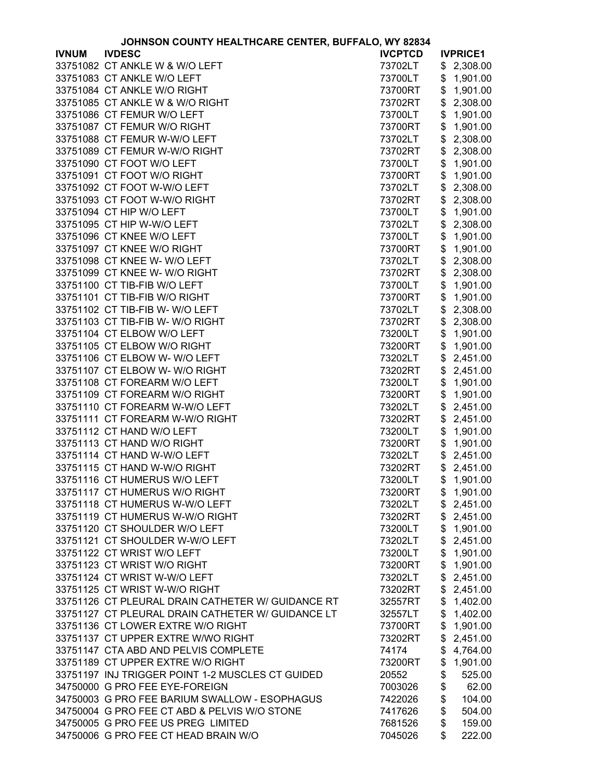| JOHNSON COUNTY HEALTHCARE CENTER, BUFFALO, WY 82834 |                                                   |                |    |                 |
|-----------------------------------------------------|---------------------------------------------------|----------------|----|-----------------|
| <b>IVNUM</b>                                        | <b>IVDESC</b>                                     | <b>IVCPTCD</b> |    | <b>IVPRICE1</b> |
|                                                     | 33751082 CT ANKLE W & W/O LEFT                    | 73702LT        | \$ | 2,308.00        |
|                                                     | 33751083 CT ANKLE W/O LEFT                        | 73700LT        | \$ | 1,901.00        |
|                                                     | 33751084 CT ANKLE W/O RIGHT                       | 73700RT        | \$ | 1,901.00        |
|                                                     | 33751085 CT ANKLE W & W/O RIGHT                   | 73702RT        | \$ | 2,308.00        |
|                                                     | 33751086 CT FEMUR W/O LEFT                        | 73700LT        | \$ | 1,901.00        |
|                                                     | 33751087 CT FEMUR W/O RIGHT                       | 73700RT        | \$ | 1,901.00        |
|                                                     | 33751088 CT FEMUR W-W/O LEFT                      | 73702LT        | \$ | 2,308.00        |
|                                                     |                                                   |                |    |                 |
|                                                     | 33751089 CT FEMUR W-W/O RIGHT                     | 73702RT        | \$ | 2,308.00        |
|                                                     | 33751090 CT FOOT W/O LEFT                         | 73700LT        | \$ | 1,901.00        |
|                                                     | 33751091 CT FOOT W/O RIGHT                        | 73700RT        | \$ | 1,901.00        |
|                                                     | 33751092 CT FOOT W-W/O LEFT                       | 73702LT        | \$ | 2,308.00        |
|                                                     | 33751093 CT FOOT W-W/O RIGHT                      | 73702RT        | \$ | 2,308.00        |
|                                                     | 33751094 CT HIP W/O LEFT                          | 73700LT        | \$ | 1,901.00        |
|                                                     | 33751095 CT HIP W-W/O LEFT                        | 73702LT        | \$ | 2,308.00        |
|                                                     | 33751096 CT KNEE W/O LEFT                         | 73700LT        | \$ | 1,901.00        |
|                                                     | 33751097 CT KNEE W/O RIGHT                        | 73700RT        | \$ | 1,901.00        |
|                                                     | 33751098 CT KNEE W- W/O LEFT                      | 73702LT        | \$ | 2,308.00        |
|                                                     | 33751099 CT KNEE W- W/O RIGHT                     | 73702RT        | \$ | 2,308.00        |
|                                                     | 33751100 CT TIB-FIB W/O LEFT                      | 73700LT        | \$ | 1,901.00        |
|                                                     | 33751101 CT TIB-FIB W/O RIGHT                     | 73700RT        | \$ | 1,901.00        |
|                                                     | 33751102 CT TIB-FIB W- W/O LEFT                   | 73702LT        | \$ | 2,308.00        |
|                                                     | 33751103 CT TIB-FIB W- W/O RIGHT                  | 73702RT        | \$ | 2,308.00        |
|                                                     | 33751104 CT ELBOW W/O LEFT                        | 73200LT        | \$ | 1,901.00        |
|                                                     |                                                   |                |    |                 |
|                                                     | 33751105 CT ELBOW W/O RIGHT                       | 73200RT        | \$ | 1,901.00        |
|                                                     | 33751106 CT ELBOW W- W/O LEFT                     | 73202LT        | \$ | 2,451.00        |
|                                                     | 33751107 CT ELBOW W- W/O RIGHT                    | 73202RT        | \$ | 2,451.00        |
|                                                     | 33751108 CT FOREARM W/O LEFT                      | 73200LT        | \$ | 1,901.00        |
|                                                     | 33751109 CT FOREARM W/O RIGHT                     | 73200RT        | \$ | 1,901.00        |
|                                                     | 33751110 CT FOREARM W-W/O LEFT                    | 73202LT        | \$ | 2,451.00        |
|                                                     | 33751111 CT FOREARM W-W/O RIGHT                   | 73202RT        | \$ | 2,451.00        |
|                                                     | 33751112 CT HAND W/O LEFT                         | 73200LT        | \$ | 1,901.00        |
|                                                     | 33751113 CT HAND W/O RIGHT                        | 73200RT        | \$ | 1,901.00        |
|                                                     | 33751114 CT HAND W-W/O LEFT                       | 73202LT        | \$ | 2,451.00        |
|                                                     | 33751115 CT HAND W-W/O RIGHT                      | 73202RT        | \$ | 2,451.00        |
|                                                     | 33751116 CT HUMERUS W/O LEFT                      | 73200LT        |    | \$1,901.00      |
|                                                     | 33751117 CT HUMERUS W/O RIGHT                     | 73200RT        | \$ | 1,901.00        |
|                                                     | 33751118 CT HUMERUS W-W/O LEFT                    | 73202LT        | \$ | 2,451.00        |
|                                                     | 33751119 CT HUMERUS W-W/O RIGHT                   | 73202RT        | \$ | 2,451.00        |
|                                                     | 33751120 CT SHOULDER W/O LEFT                     | 73200LT        | \$ | 1,901.00        |
|                                                     | 33751121 CT SHOULDER W-W/O LEFT                   | 73202LT        | \$ | 2,451.00        |
|                                                     | 33751122 CT WRIST W/O LEFT                        | 73200LT        | \$ | 1,901.00        |
|                                                     | 33751123 CT WRIST W/O RIGHT                       | 73200RT        | \$ | 1,901.00        |
|                                                     | 33751124 CT WRIST W-W/O LEFT                      | 73202LT        | \$ | 2,451.00        |
|                                                     | 33751125 CT WRIST W-W/O RIGHT                     | 73202RT        | \$ | 2,451.00        |
|                                                     | 33751126 CT PLEURAL DRAIN CATHETER W/ GUIDANCE RT | 32557RT        | \$ | 1,402.00        |
|                                                     |                                                   |                |    |                 |
|                                                     | 33751127 CT PLEURAL DRAIN CATHETER W/ GUIDANCE LT | 32557LT        | \$ | 1,402.00        |
|                                                     | 33751136 CT LOWER EXTRE W/O RIGHT                 | 73700RT        | \$ | 1,901.00        |
|                                                     | 33751137 CT UPPER EXTRE W/WO RIGHT                | 73202RT        | \$ | 2,451.00        |
|                                                     | 33751147 CTA ABD AND PELVIS COMPLETE              | 74174          | \$ | 4,764.00        |
|                                                     | 33751189 CT UPPER EXTRE W/O RIGHT                 | 73200RT        | \$ | 1,901.00        |
|                                                     | 33751197 INJ TRIGGER POINT 1-2 MUSCLES CT GUIDED  | 20552          | \$ | 525.00          |
|                                                     | 34750000 G PRO FEE EYE-FOREIGN                    | 7003026        | \$ | 62.00           |
|                                                     | 34750003 G PRO FEE BARIUM SWALLOW - ESOPHAGUS     | 7422026        | \$ | 104.00          |
|                                                     | 34750004 G PRO FEE CT ABD & PELVIS W/O STONE      | 7417626        | \$ | 504.00          |
|                                                     | 34750005 G PRO FEE US PREG LIMITED                | 7681526        | \$ | 159.00          |
|                                                     | 34750006 G PRO FEE CT HEAD BRAIN W/O              | 7045026        | \$ | 222.00          |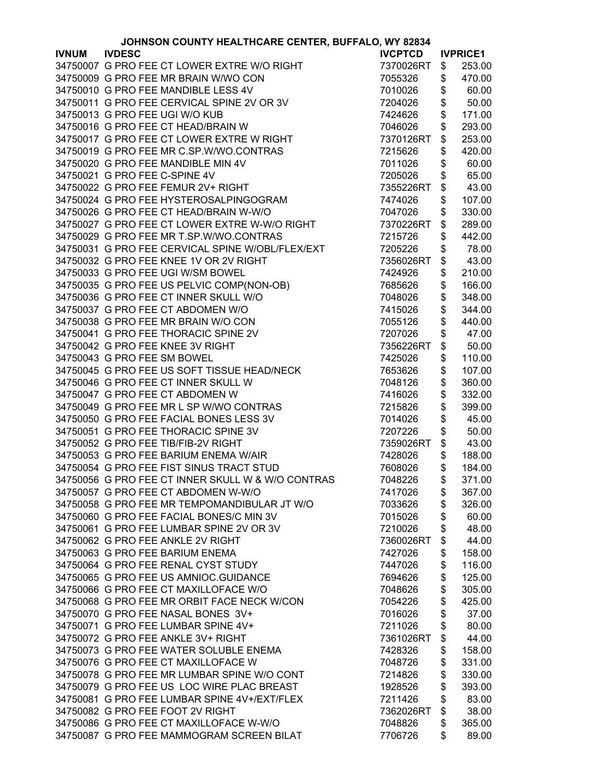|              | JOHNSON COUNTY HEALTHCARE CENTER, BUFFALO, WY 82834 |                |            |                 |
|--------------|-----------------------------------------------------|----------------|------------|-----------------|
| <b>IVNUM</b> | <b>IVDESC</b>                                       | <b>IVCPTCD</b> |            | <b>IVPRICE1</b> |
|              | 34750007 G PRO FEE CT LOWER EXTRE W/O RIGHT         | 7370026RT      | \$         | 253.00          |
|              | 34750009 G PRO FEE MR BRAIN W/WO CON                | 7055326        | \$         | 470.00          |
|              | 34750010 G PRO FEE MANDIBLE LESS 4V                 | 7010026        | \$         | 60.00           |
|              | 34750011 G PRO FEE CERVICAL SPINE 2V OR 3V          | 7204026        | \$         | 50.00           |
|              | 34750013 G PRO FEE UGI W/O KUB                      | 7424626        | \$         | 171.00          |
|              | 34750016 G PRO FEE CT HEAD/BRAIN W                  | 7046026        | \$         | 293.00          |
|              | 34750017 G PRO FEE CT LOWER EXTRE W RIGHT           | 7370126RT      | \$         | 253.00          |
|              | 34750019 G PRO FEE MR C.SP.W/WO.CONTRAS             | 7215626        | \$         | 420.00          |
|              |                                                     |                |            |                 |
|              | 34750020 G PRO FEE MANDIBLE MIN 4V                  | 7011026        | \$         | 60.00           |
|              | 34750021 G PRO FEE C-SPINE 4V                       | 7205026        | \$         | 65.00           |
|              | 34750022 G PRO FEE FEMUR 2V+ RIGHT                  | 7355226RT      | \$         | 43.00           |
|              | 34750024 G PRO FEE HYSTEROSALPINGOGRAM              | 7474026        | \$         | 107.00          |
|              | 34750026 G PRO FEE CT HEAD/BRAIN W-W/O              | 7047026        | \$         | 330.00          |
|              | 34750027 G PRO FEE CT LOWER EXTRE W-W/O RIGHT       | 7370226RT      | \$         | 289.00          |
|              | 34750029 G PRO FEE MR T.SP.W/WO.CONTRAS             | 7215726        | \$         | 442.00          |
|              | 34750031 G PRO FEE CERVICAL SPINE W/OBL/FLEX/EXT    | 7205226        | \$         | 78.00           |
|              | 34750032 G PRO FEE KNEE 1V OR 2V RIGHT              | 7356026RT      | \$         | 43.00           |
|              | 34750033 G PRO FEE UGI W/SM BOWEL                   | 7424926        | \$         | 210.00          |
|              | 34750035 G PRO FEE US PELVIC COMP(NON-OB)           | 7685626        | \$         | 166.00          |
|              | 34750036 G PRO FEE CT INNER SKULL W/O               | 7048026        | \$         | 348.00          |
|              | 34750037 G PRO FEE CT ABDOMEN W/O                   | 7415026        | \$         | 344.00          |
|              | 34750038 G PRO FEE MR BRAIN W/O CON                 | 7055126        | \$         | 440.00          |
|              | 34750041 G PRO FEE THORACIC SPINE 2V                | 7207026        | \$         | 47.00           |
|              | 34750042 G PRO FEE KNEE 3V RIGHT                    | 7356226RT      | \$         | 50.00           |
|              | 34750043 G PRO FEE SM BOWEL                         | 7425026        | \$         | 110.00          |
|              | 34750045 G PRO FEE US SOFT TISSUE HEAD/NECK         | 7653626        | \$         | 107.00          |
|              | 34750046 G PRO FEE CT INNER SKULL W                 | 7048126        | \$         | 360.00          |
|              | 34750047 G PRO FEE CT ABDOMEN W                     | 7416026        | \$         | 332.00          |
|              | 34750049 G PRO FEE MR L SP W/WO CONTRAS             |                | \$         |                 |
|              |                                                     | 7215826        |            | 399.00          |
|              | 34750050 G PRO FEE FACIAL BONES LESS 3V             | 7014026        | \$         | 45.00           |
|              | 34750051 G PRO FEE THORACIC SPINE 3V                | 7207226        | \$         | 50.00           |
|              | 34750052 G PRO FEE TIB/FIB-2V RIGHT                 | 7359026RT      | \$         | 43.00           |
|              | 34750053 G PRO FEE BARIUM ENEMA W/AIR               | 7428026        | \$         | 188.00          |
|              | 34750054 G PRO FEE FIST SINUS TRACT STUD            | 7608026        | \$         | 184.00          |
|              | 34750056 G PRO FEE CT INNER SKULL W & W/O CONTRAS   | 7048226        | $\sqrt{2}$ | 371.00          |
|              | 34750057 G PRO FEE CT ABDOMEN W-W/O                 | 7417026        | \$         | 367.00          |
|              | 34750058 G PRO FEE MR TEMPOMANDIBULAR JT W/O        | 7033626        | \$         | 326.00          |
|              | 34750060 G PRO FEE FACIAL BONES/C MIN 3V            | 7015026        | \$         | 60.00           |
|              | 34750061 G PRO FEE LUMBAR SPINE 2V OR 3V            | 7210026        | \$         | 48.00           |
|              | 34750062 G PRO FEE ANKLE 2V RIGHT                   | 7360026RT      | \$         | 44.00           |
|              | 34750063 G PRO FEE BARIUM ENEMA                     | 7427026        | \$         | 158.00          |
|              | 34750064 G PRO FEE RENAL CYST STUDY                 | 7447026        | \$         | 116.00          |
|              | 34750065 G PRO FEE US AMNIOC. GUIDANCE              | 7694626        | \$         | 125.00          |
|              | 34750066 G PRO FEE CT MAXILLOFACE W/O               | 7048626        | \$         | 305.00          |
|              | 34750068 G PRO FEE MR ORBIT FACE NECK W/CON         | 7054226        | \$         | 425.00          |
|              | 34750070 G PRO FEE NASAL BONES 3V+                  | 7016026        | \$         | 37.00           |
|              | 34750071 G PRO FEE LUMBAR SPINE 4V+                 | 7211026        | \$         | 80.00           |
|              | 34750072 G PRO FEE ANKLE 3V+ RIGHT                  | 7361026RT      | \$         | 44.00           |
|              | 34750073 G PRO FEE WATER SOLUBLE ENEMA              | 7428326        | \$         | 158.00          |
|              | 34750076 G PRO FEE CT MAXILLOFACE W                 | 7048726        | \$         | 331.00          |
|              | 34750078 G PRO FEE MR LUMBAR SPINE W/O CONT         | 7214826        | \$         | 330.00          |
|              | 34750079 G PRO FEE US LOC WIRE PLAC BREAST          | 1928526        | \$         | 393.00          |
|              | 34750081 G PRO FEE LUMBAR SPINE 4V+/EXT/FLEX        | 7211426        | \$         | 83.00           |
|              | 34750082 G PRO FEE FOOT 2V RIGHT                    | 7362026RT      | \$         | 38.00           |
|              | 34750086 G PRO FEE CT MAXILLOFACE W-W/O             | 7048826        |            | 365.00          |
|              |                                                     |                | \$         |                 |
|              | 34750087 G PRO FEE MAMMOGRAM SCREEN BILAT           | 7706726        | \$         | 89.00           |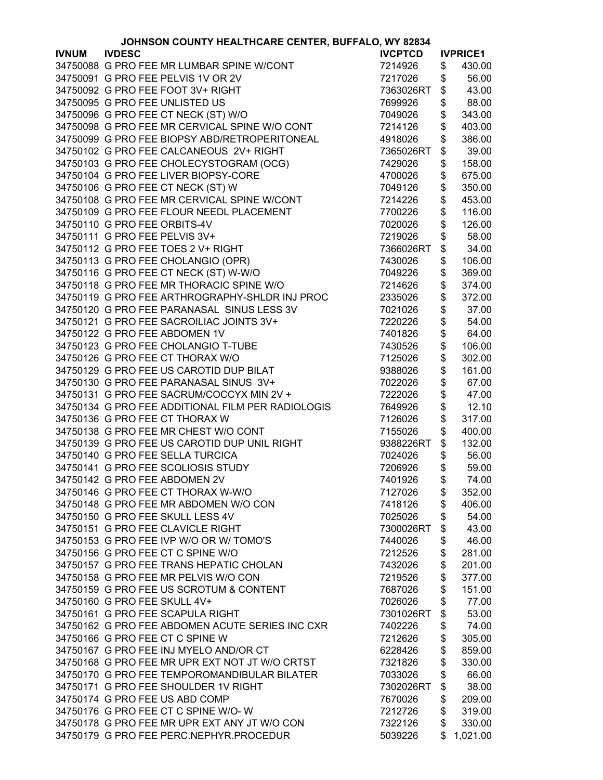|              | JOHNSON COUNTY HEALTHCARE CENTER, BUFFALO, WY 82834 |                |               |                 |
|--------------|-----------------------------------------------------|----------------|---------------|-----------------|
| <b>IVNUM</b> | <b>IVDESC</b>                                       | <b>IVCPTCD</b> |               | <b>IVPRICE1</b> |
|              | 34750088 G PRO FEE MR LUMBAR SPINE W/CONT           | 7214926        | \$            | 430.00          |
|              | 34750091 G PRO FEE PELVIS 1V OR 2V                  | 7217026        | \$            | 56.00           |
|              | 34750092 G PRO FEE FOOT 3V+ RIGHT                   | 7363026RT      | \$            | 43.00           |
|              | 34750095 G PRO FEE UNLISTED US                      | 7699926        | \$            | 88.00           |
|              | 34750096 G PRO FEE CT NECK (ST) W/O                 | 7049026        | \$            | 343.00          |
|              | 34750098 G PRO FEE MR CERVICAL SPINE W/O CONT       | 7214126        | \$            | 403.00          |
|              |                                                     |                |               |                 |
|              | 34750099 G PRO FEE BIOPSY ABD/RETROPERITONEAL       | 4918026        | \$            | 386.00          |
|              | 34750102 G PRO FEE CALCANEOUS 2V+ RIGHT             | 7365026RT      | \$            | 39.00           |
|              | 34750103 G PRO FEE CHOLECYSTOGRAM (OCG)             | 7429026        | \$            | 158.00          |
|              | 34750104 G PRO FEE LIVER BIOPSY-CORE                | 4700026        | \$            | 675.00          |
|              | 34750106 G PRO FEE CT NECK (ST) W                   | 7049126        | \$            | 350.00          |
|              | 34750108 G PRO FEE MR CERVICAL SPINE W/CONT         | 7214226        | \$            | 453.00          |
|              | 34750109 G PRO FEE FLOUR NEEDL PLACEMENT            | 7700226        | \$            | 116.00          |
|              | 34750110 G PRO FEE ORBITS-4V                        | 7020026        | \$            | 126.00          |
|              | 34750111 G PRO FEE PELVIS 3V+                       | 7219026        | \$            | 58.00           |
|              | 34750112 G PRO FEE TOES 2 V+ RIGHT                  | 7366026RT      | \$            | 34.00           |
|              | 34750113 G PRO FEE CHOLANGIO (OPR)                  | 7430026        | \$            | 106.00          |
|              | 34750116 G PRO FEE CT NECK (ST) W-W/O               | 7049226        | \$            | 369.00          |
|              | 34750118 G PRO FEE MR THORACIC SPINE W/O            | 7214626        | \$            | 374.00          |
|              | 34750119 G PRO FEE ARTHROGRAPHY-SHLDR INJ PROC      |                | \$            | 372.00          |
|              |                                                     | 2335026        |               |                 |
|              | 34750120 G PRO FEE PARANASAL SINUS LESS 3V          | 7021026        | \$            | 37.00           |
|              | 34750121 G PRO FEE SACROILIAC JOINTS 3V+            | 7220226        | \$            | 54.00           |
|              | 34750122 G PRO FEE ABDOMEN 1V                       | 7401826        | \$            | 64.00           |
|              | 34750123 G PRO FEE CHOLANGIO T-TUBE                 | 7430526        | \$            | 106.00          |
|              | 34750126 G PRO FEE CT THORAX W/O                    | 7125026        | \$            | 302.00          |
|              | 34750129 G PRO FEE US CAROTID DUP BILAT             | 9388026        | \$            | 161.00          |
|              | 34750130 G PRO FEE PARANASAL SINUS 3V+              | 7022026        | \$            | 67.00           |
|              | 34750131 G PRO FEE SACRUM/COCCYX MIN 2V +           | 7222026        | \$            | 47.00           |
|              | 34750134 G PRO FEE ADDITIONAL FILM PER RADIOLOGIS   | 7649926        | \$            | 12.10           |
|              | 34750136 G PRO FEE CT THORAX W                      | 7126026        | \$            | 317.00          |
|              | 34750138 G PRO FEE MR CHEST W/O CONT                | 7155026        | \$            | 400.00          |
|              | 34750139 G PRO FEE US CAROTID DUP UNIL RIGHT        | 9388226RT      | \$            | 132.00          |
|              | 34750140 G PRO FEE SELLA TURCICA                    | 7024026        | \$            | 56.00           |
|              | 34750141 G PRO FEE SCOLIOSIS STUDY                  | 7206926        | \$            | 59.00           |
|              | 34750142 G PRO FEE ABDOMEN 2V                       | 7401926        | $\mathcal{S}$ | 74.00           |
|              | 34750146 G PRO FEE CT THORAX W-W/O                  |                |               |                 |
|              |                                                     | 7127026        | \$            | 352.00          |
|              | 34750148 G PRO FEE MR ABDOMEN W/O CON               | 7418126        | \$            | 406.00          |
|              | 34750150 G PRO FEE SKULL LESS 4V                    | 7025026        | \$            | 54.00           |
|              | 34750151 G PRO FEE CLAVICLE RIGHT                   | 7300026RT      | \$            | 43.00           |
|              | 34750153 G PRO FEE IVP W/O OR W/ TOMO'S             | 7440026        | \$            | 46.00           |
|              | 34750156 G PRO FEE CT C SPINE W/O                   | 7212526        | \$            | 281.00          |
|              | 34750157 G PRO FEE TRANS HEPATIC CHOLAN             | 7432026        | \$            | 201.00          |
|              | 34750158 G PRO FEE MR PELVIS W/O CON                | 7219526        | \$            | 377.00          |
|              | 34750159 G PRO FEE US SCROTUM & CONTENT             | 7687026        | \$            | 151.00          |
|              | 34750160 G PRO FEE SKULL 4V+                        | 7026026        | \$            | 77.00           |
|              | 34750161 G PRO FEE SCAPULA RIGHT                    | 7301026RT      | \$            | 53.00           |
|              | 34750162 G PRO FEE ABDOMEN ACUTE SERIES INC CXR     | 7402226        | \$            | 74.00           |
|              | 34750166 G PRO FEE CT C SPINE W                     | 7212626        | \$            | 305.00          |
|              | 34750167 G PRO FEE INJ MYELO AND/OR CT              | 6228426        | \$            | 859.00          |
|              | 34750168 G PRO FEE MR UPR EXT NOT JT W/O CRTST      | 7321826        | \$            | 330.00          |
|              | 34750170 G PRO FEE TEMPOROMANDIBULAR BILATER        |                |               |                 |
|              | 34750171 G PRO FEE SHOULDER 1V RIGHT                | 7033026        | \$            | 66.00           |
|              |                                                     | 7302026RT      | \$            | 38.00           |
|              | 34750174 G PRO FEE US ABD COMP                      | 7670026        | \$            | 209.00          |
|              | 34750176 G PRO FEE CT C SPINE W/O-W                 | 7212726        | \$            | 319.00          |
|              | 34750178 G PRO FEE MR UPR EXT ANY JT W/O CON        | 7322126        | \$            | 330.00          |
|              | 34750179 G PRO FEE PERC.NEPHYR.PROCEDUR             | 5039226        | \$            | 1,021.00        |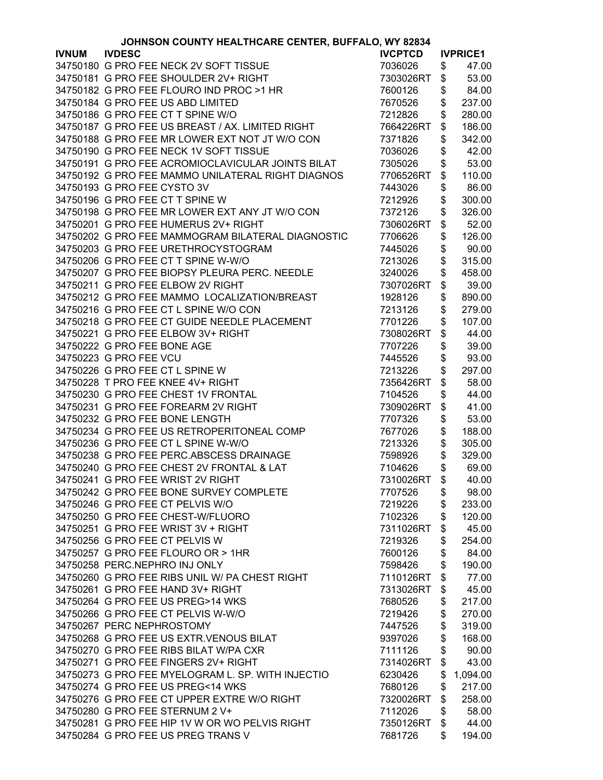|              | JOHNSON COUNTY HEALTHCARE CENTER, BUFFALO, WY 82834 |                |    |                 |  |
|--------------|-----------------------------------------------------|----------------|----|-----------------|--|
| <b>IVNUM</b> | <b>IVDESC</b>                                       | <b>IVCPTCD</b> |    | <b>IVPRICE1</b> |  |
|              | 34750180 G PRO FEE NECK 2V SOFT TISSUE              | 7036026        | \$ | 47.00           |  |
|              | 34750181 G PRO FEE SHOULDER 2V+ RIGHT               | 7303026RT      | \$ | 53.00           |  |
|              | 34750182 G PRO FEE FLOURO IND PROC >1 HR            | 7600126        | \$ | 84.00           |  |
|              | 34750184 G PRO FEE US ABD LIMITED                   | 7670526        | \$ | 237.00          |  |
|              | 34750186 G PRO FEE CT T SPINE W/O                   | 7212826        | \$ | 280.00          |  |
|              | 34750187 G PRO FEE US BREAST / AX. LIMITED RIGHT    | 7664226RT      | \$ | 186.00          |  |
|              | 34750188 G PRO FEE MR LOWER EXT NOT JT W/O CON      | 7371826        | \$ | 342.00          |  |
|              | 34750190 G PRO FEE NECK 1V SOFT TISSUE              | 7036026        | \$ | 42.00           |  |
|              | 34750191 G PRO FEE ACROMIOCLAVICULAR JOINTS BILAT   |                |    |                 |  |
|              |                                                     | 7305026        | \$ | 53.00           |  |
|              | 34750192 G PRO FEE MAMMO UNILATERAL RIGHT DIAGNOS   | 7706526RT      | \$ | 110.00          |  |
|              | 34750193 G PRO FEE CYSTO 3V                         | 7443026        | \$ | 86.00           |  |
|              | 34750196 G PRO FEE CT T SPINE W                     | 7212926        | \$ | 300.00          |  |
|              | 34750198 G PRO FEE MR LOWER EXT ANY JT W/O CON      | 7372126        | \$ | 326.00          |  |
|              | 34750201 G PRO FEE HUMERUS 2V+ RIGHT                | 7306026RT      | \$ | 52.00           |  |
|              | 34750202 G PRO FEE MAMMOGRAM BILATERAL DIAGNOSTIC   | 7706626        | \$ | 126.00          |  |
|              | 34750203 G PRO FEE URETHROCYSTOGRAM                 | 7445026        | \$ | 90.00           |  |
|              | 34750206 G PRO FEE CT T SPINE W-W/O                 | 7213026        | \$ | 315.00          |  |
|              | 34750207 G PRO FEE BIOPSY PLEURA PERC. NEEDLE       | 3240026        | \$ | 458.00          |  |
|              | 34750211 G PRO FEE ELBOW 2V RIGHT                   | 7307026RT      | \$ | 39.00           |  |
|              | 34750212 G PRO FEE MAMMO LOCALIZATION/BREAST        | 1928126        | \$ | 890.00          |  |
|              | 34750216 G PRO FEE CT L SPINE W/O CON               | 7213126        | \$ | 279.00          |  |
|              | 34750218 G PRO FEE CT GUIDE NEEDLE PLACEMENT        | 7701226        | \$ | 107.00          |  |
|              | 34750221 G PRO FEE ELBOW 3V+ RIGHT                  | 7308026RT      | \$ | 44.00           |  |
|              | 34750222 G PRO FEE BONE AGE                         | 7707226        | \$ | 39.00           |  |
|              | 34750223 G PRO FEE VCU                              | 7445526        | \$ | 93.00           |  |
|              | 34750226 G PRO FEE CT L SPINE W                     | 7213226        | \$ | 297.00          |  |
|              | 34750228 T PRO FEE KNEE 4V+ RIGHT                   | 7356426RT      | \$ | 58.00           |  |
|              | 34750230 G PRO FEE CHEST 1V FRONTAL                 | 7104526        | \$ | 44.00           |  |
|              | 34750231 G PRO FEE FOREARM 2V RIGHT                 |                |    | 41.00           |  |
|              |                                                     | 7309026RT      | \$ |                 |  |
|              | 34750232 G PRO FEE BONE LENGTH                      | 7707326        | \$ | 53.00           |  |
|              | 34750234 G PRO FEE US RETROPERITONEAL COMP          | 7677026        | \$ | 188.00          |  |
|              | 34750236 G PRO FEE CT L SPINE W-W/O                 | 7213326        | \$ | 305.00          |  |
|              | 34750238 G PRO FEE PERC.ABSCESS DRAINAGE            | 7598926        | \$ | 329.00          |  |
|              | 34750240 G PRO FEE CHEST 2V FRONTAL & LAT           | 7104626        | \$ | 69.00           |  |
|              | 34750241 G PRO FEE WRIST 2V RIGHT                   | 7310026RT      | \$ | 40.00           |  |
|              | 34750242 G PRO FEE BONE SURVEY COMPLETE             | 7707526        | \$ | 98.00           |  |
|              | 34750246 G PRO FEE CT PELVIS W/O                    | 7219226        | \$ | 233.00          |  |
|              | 34750250 G PRO FEE CHEST-W/FLUORO                   | 7102326        | \$ | 120.00          |  |
|              | 34750251 G PRO FEE WRIST 3V + RIGHT                 | 7311026RT      | \$ | 45.00           |  |
|              | 34750256 G PRO FEE CT PELVIS W                      | 7219326        | \$ | 254.00          |  |
|              | 34750257 G PRO FEE FLOURO OR > 1HR                  | 7600126        | \$ | 84.00           |  |
|              | 34750258 PERC.NEPHRO INJ ONLY                       | 7598426        | \$ | 190.00          |  |
|              | 34750260 G PRO FEE RIBS UNIL W/ PA CHEST RIGHT      | 7110126RT      | \$ | 77.00           |  |
|              | 34750261 G PRO FEE HAND 3V+ RIGHT                   | 7313026RT      | \$ | 45.00           |  |
|              | 34750264 G PRO FEE US PREG>14 WKS                   | 7680526        | \$ | 217.00          |  |
|              | 34750266 G PRO FEE CT PELVIS W-W/O                  | 7219426        | \$ | 270.00          |  |
|              | 34750267 PERC NEPHROSTOMY                           | 7447526        | \$ | 319.00          |  |
|              | 34750268 G PRO FEE US EXTR. VENOUS BILAT            | 9397026        | \$ | 168.00          |  |
|              | 34750270 G PRO FEE RIBS BILAT W/PA CXR              | 7111126        | \$ | 90.00           |  |
|              | 34750271 G PRO FEE FINGERS 2V+ RIGHT                | 7314026RT      | \$ | 43.00           |  |
|              | 34750273 G PRO FEE MYELOGRAM L. SP. WITH INJECTIO   | 6230426        | \$ | 1,094.00        |  |
|              | 34750274 G PRO FEE US PREG<14 WKS                   | 7680126        | \$ | 217.00          |  |
|              | 34750276 G PRO FEE CT UPPER EXTRE W/O RIGHT         | 7320026RT      | \$ | 258.00          |  |
|              | 34750280 G PRO FEE STERNUM 2 V+                     | 7112026        | \$ | 58.00           |  |
|              | 34750281 G PRO FEE HIP 1V W OR WO PELVIS RIGHT      | 7350126RT      | \$ | 44.00           |  |
|              | 34750284 G PRO FEE US PREG TRANS V                  | 7681726        | \$ | 194.00          |  |
|              |                                                     |                |    |                 |  |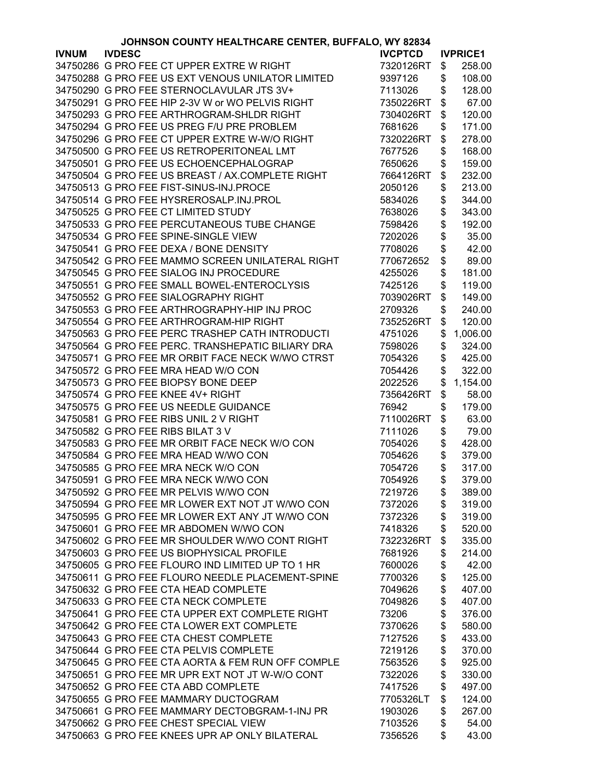| JOHNSON COUNTY HEALTHCARE CENTER, BUFFALO, WY 82834 |                                                   |                |    |                 |
|-----------------------------------------------------|---------------------------------------------------|----------------|----|-----------------|
| <b>IVNUM</b>                                        | <b>IVDESC</b>                                     | <b>IVCPTCD</b> |    | <b>IVPRICE1</b> |
|                                                     | 34750286 G PRO FEE CT UPPER EXTRE W RIGHT         | 7320126RT      | \$ | 258.00          |
|                                                     | 34750288 G PRO FEE US EXT VENOUS UNILATOR LIMITED | 9397126        | \$ | 108.00          |
|                                                     | 34750290 G PRO FEE STERNOCLAVULAR JTS 3V+         | 7113026        | \$ | 128.00          |
|                                                     | 34750291 G PRO FEE HIP 2-3V W or WO PELVIS RIGHT  | 7350226RT      | \$ | 67.00           |
|                                                     | 34750293 G PRO FEE ARTHROGRAM-SHLDR RIGHT         | 7304026RT      | \$ | 120.00          |
|                                                     | 34750294 G PRO FEE US PREG F/U PRE PROBLEM        | 7681626        | \$ | 171.00          |
|                                                     | 34750296 G PRO FEE CT UPPER EXTRE W-W/O RIGHT     | 7320226RT      | \$ | 278.00          |
|                                                     |                                                   |                |    |                 |
|                                                     | 34750500 G PRO FEE US RETROPERITONEAL LMT         | 7677526        | \$ | 168.00          |
|                                                     | 34750501 G PRO FEE US ECHOENCEPHALOGRAP           | 7650626        | \$ | 159.00          |
|                                                     | 34750504 G PRO FEE US BREAST / AX.COMPLETE RIGHT  | 7664126RT      | \$ | 232.00          |
|                                                     | 34750513 G PRO FEE FIST-SINUS-INJ.PROCE           | 2050126        | \$ | 213.00          |
|                                                     | 34750514 G PRO FEE HYSREROSALP.INJ.PROL           | 5834026        | \$ | 344.00          |
|                                                     | 34750525 G PRO FEE CT LIMITED STUDY               | 7638026        | \$ | 343.00          |
|                                                     | 34750533 G PRO FEE PERCUTANEOUS TUBE CHANGE       | 7598426        | \$ | 192.00          |
|                                                     | 34750534 G PRO FEE SPINE-SINGLE VIEW              | 7202026        | \$ | 35.00           |
|                                                     | 34750541 G PRO FEE DEXA / BONE DENSITY            | 7708026        | \$ | 42.00           |
|                                                     | 34750542 G PRO FEE MAMMO SCREEN UNILATERAL RIGHT  | 770672652      | \$ | 89.00           |
|                                                     | 34750545 G PRO FEE SIALOG INJ PROCEDURE           | 4255026        | \$ | 181.00          |
|                                                     | 34750551 G PRO FEE SMALL BOWEL-ENTEROCLYSIS       | 7425126        | \$ | 119.00          |
|                                                     | 34750552 G PRO FEE SIALOGRAPHY RIGHT              | 7039026RT      | \$ | 149.00          |
|                                                     | 34750553 G PRO FEE ARTHROGRAPHY-HIP INJ PROC      | 2709326        | \$ | 240.00          |
|                                                     | 34750554 G PRO FEE ARTHROGRAM-HIP RIGHT           | 7352526RT      | \$ | 120.00          |
|                                                     | 34750563 G PRO FEE PERC TRASHEP CATH INTRODUCTI   | 4751026        | \$ | 1,006.00        |
|                                                     | 34750564 G PRO FEE PERC. TRANSHEPATIC BILIARY DRA |                |    |                 |
|                                                     |                                                   | 7598026        | \$ | 324.00          |
|                                                     | 34750571 G PRO FEE MR ORBIT FACE NECK W/WO CTRST  | 7054326        | \$ | 425.00          |
|                                                     | 34750572 G PRO FEE MRA HEAD W/O CON               | 7054426        | \$ | 322.00          |
|                                                     | 34750573 G PRO FEE BIOPSY BONE DEEP               | 2022526        | \$ | 1,154.00        |
|                                                     | 34750574 G PRO FEE KNEE 4V+ RIGHT                 | 7356426RT      | \$ | 58.00           |
|                                                     | 34750575 G PRO FEE US NEEDLE GUIDANCE             | 76942          | \$ | 179.00          |
|                                                     | 34750581 G PRO FEE RIBS UNIL 2 V RIGHT            | 7110026RT      | \$ | 63.00           |
|                                                     | 34750582 G PRO FEE RIBS BILAT 3 V                 | 7111026        | \$ | 79.00           |
|                                                     | 34750583 G PRO FEE MR ORBIT FACE NECK W/O CON     | 7054026        | \$ | 428.00          |
|                                                     | 34750584 G PRO FEE MRA HEAD W/WO CON              | 7054626        | \$ | 379.00          |
|                                                     | 34750585 G PRO FEE MRA NECK W/O CON               | 7054726        | \$ | 317.00          |
|                                                     | 34750591 G PRO FEE MRA NECK W/WO CON              | 7054926        | \$ | 379.00          |
|                                                     | 34750592 G PRO FEE MR PELVIS W/WO CON             | 7219726        | \$ | 389.00          |
|                                                     | 34750594 G PRO FEE MR LOWER EXT NOT JT W/WO CON   | 7372026        | \$ | 319.00          |
|                                                     | 34750595 G PRO FEE MR LOWER EXT ANY JT W/WO CON   | 7372326        | \$ | 319.00          |
|                                                     | 34750601 G PRO FEE MR ABDOMEN W/WO CON            | 7418326        | \$ | 520.00          |
|                                                     | 34750602 G PRO FEE MR SHOULDER W/WO CONT RIGHT    | 7322326RT      | \$ | 335.00          |
|                                                     | 34750603 G PRO FEE US BIOPHYSICAL PROFILE         | 7681926        | \$ | 214.00          |
|                                                     | 34750605 G PRO FEE FLOURO IND LIMITED UP TO 1 HR  | 7600026        | \$ | 42.00           |
|                                                     | 34750611 G PRO FEE FLOURO NEEDLE PLACEMENT-SPINE  | 7700326        | \$ | 125.00          |
|                                                     | 34750632 G PRO FEE CTA HEAD COMPLETE              | 7049626        | \$ | 407.00          |
|                                                     | 34750633 G PRO FEE CTA NECK COMPLETE              |                | \$ | 407.00          |
|                                                     |                                                   | 7049826        |    |                 |
|                                                     | 34750641 G PRO FEE CTA UPPER EXT COMPLETE RIGHT   | 73206          | \$ | 376.00          |
|                                                     | 34750642 G PRO FEE CTA LOWER EXT COMPLETE         | 7370626        | \$ | 580.00          |
|                                                     | 34750643 G PRO FEE CTA CHEST COMPLETE             | 7127526        | \$ | 433.00          |
|                                                     | 34750644 G PRO FEE CTA PELVIS COMPLETE            | 7219126        | \$ | 370.00          |
|                                                     | 34750645 G PRO FEE CTA AORTA & FEM RUN OFF COMPLE | 7563526        | \$ | 925.00          |
|                                                     | 34750651 G PRO FEE MR UPR EXT NOT JT W-W/O CONT   | 7322026        | \$ | 330.00          |
|                                                     | 34750652 G PRO FEE CTA ABD COMPLETE               | 7417526        | \$ | 497.00          |
|                                                     | 34750655 G PRO FEE MAMMARY DUCTOGRAM              | 7705326LT      | \$ | 124.00          |
|                                                     | 34750661 G PRO FEE MAMMARY DECTOBGRAM-1-INJ PR    | 1903026        | \$ | 267.00          |
|                                                     | 34750662 G PRO FEE CHEST SPECIAL VIEW             | 7103526        | \$ | 54.00           |
|                                                     | 34750663 G PRO FEE KNEES UPR AP ONLY BILATERAL    | 7356526        | \$ | 43.00           |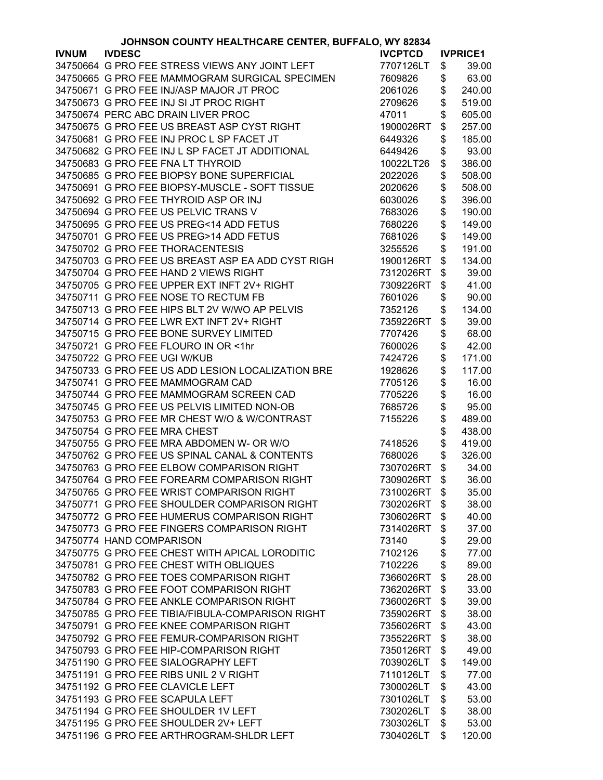| JOHNSON COUNTY HEALTHCARE CENTER, BUFFALO, WY 82834 |                                                   |                |    |                 |
|-----------------------------------------------------|---------------------------------------------------|----------------|----|-----------------|
| <b>IVNUM</b>                                        | <b>IVDESC</b>                                     | <b>IVCPTCD</b> |    | <b>IVPRICE1</b> |
|                                                     | 34750664 G PRO FEE STRESS VIEWS ANY JOINT LEFT    | 7707126LT      | \$ | 39.00           |
|                                                     | 34750665 G PRO FEE MAMMOGRAM SURGICAL SPECIMEN    | 7609826        | \$ | 63.00           |
|                                                     | 34750671 G PRO FEE INJ/ASP MAJOR JT PROC          | 2061026        | \$ | 240.00          |
|                                                     | 34750673 G PRO FEE INJ SI JT PROC RIGHT           | 2709626        | \$ | 519.00          |
|                                                     | 34750674 PERC ABC DRAIN LIVER PROC                | 47011          | \$ | 605.00          |
|                                                     | 34750675 G PRO FEE US BREAST ASP CYST RIGHT       | 1900026RT      | \$ | 257.00          |
|                                                     | 34750681 G PRO FEE INJ PROC L SP FACET JT         | 6449326        | \$ |                 |
|                                                     |                                                   |                |    | 185.00          |
|                                                     | 34750682 G PRO FEE INJ L SP FACET JT ADDITIONAL   | 6449426        | \$ | 93.00           |
|                                                     | 34750683 G PRO FEE FNA LT THYROID                 | 10022LT26      | \$ | 386.00          |
|                                                     | 34750685 G PRO FEE BIOPSY BONE SUPERFICIAL        | 2022026        | \$ | 508.00          |
|                                                     | 34750691 G PRO FEE BIOPSY-MUSCLE - SOFT TISSUE    | 2020626        | \$ | 508.00          |
|                                                     | 34750692 G PRO FEE THYROID ASP OR INJ             | 6030026        | \$ | 396.00          |
|                                                     | 34750694 G PRO FEE US PELVIC TRANS V              | 7683026        | \$ | 190.00          |
|                                                     | 34750695 G PRO FEE US PREG<14 ADD FETUS           | 7680226        | \$ | 149.00          |
|                                                     | 34750701 G PRO FEE US PREG>14 ADD FETUS           | 7681026        | \$ | 149.00          |
|                                                     | 34750702 G PRO FEE THORACENTESIS                  | 3255526        | \$ | 191.00          |
|                                                     | 34750703 G PRO FEE US BREAST ASP EA ADD CYST RIGH | 1900126RT      | \$ | 134.00          |
|                                                     | 34750704 G PRO FEE HAND 2 VIEWS RIGHT             | 7312026RT      | \$ | 39.00           |
|                                                     | 34750705 G PRO FEE UPPER EXT INFT 2V+ RIGHT       | 7309226RT      | \$ | 41.00           |
|                                                     | 34750711 G PRO FEE NOSE TO RECTUM FB              | 7601026        | \$ | 90.00           |
|                                                     | 34750713 G PRO FEE HIPS BLT 2V W/WO AP PELVIS     | 7352126        | \$ | 134.00          |
|                                                     | 34750714 G PRO FEE LWR EXT INFT 2V+ RIGHT         | 7359226RT      | \$ | 39.00           |
|                                                     | 34750715 G PRO FEE BONE SURVEY LIMITED            | 7707426        | \$ | 68.00           |
|                                                     | 34750721 G PRO FEE FLOURO IN OR <1hr              | 7600026        | \$ | 42.00           |
|                                                     | 34750722 G PRO FEE UGI W/KUB                      | 7424726        | \$ | 171.00          |
|                                                     |                                                   |                |    |                 |
|                                                     | 34750733 G PRO FEE US ADD LESION LOCALIZATION BRE | 1928626        | \$ | 117.00          |
|                                                     | 34750741 G PRO FEE MAMMOGRAM CAD                  | 7705126        | \$ | 16.00           |
|                                                     | 34750744 G PRO FEE MAMMOGRAM SCREEN CAD           | 7705226        | \$ | 16.00           |
|                                                     | 34750745 G PRO FEE US PELVIS LIMITED NON-OB       | 7685726        | \$ | 95.00           |
|                                                     | 34750753 G PRO FEE MR CHEST W/O & W/CONTRAST      | 7155226        | \$ | 489.00          |
|                                                     | 34750754 G PRO FEE MRA CHEST                      |                | \$ | 438.00          |
|                                                     | 34750755 G PRO FEE MRA ABDOMEN W- OR W/O          | 7418526        | \$ | 419.00          |
|                                                     | 34750762 G PRO FEE US SPINAL CANAL & CONTENTS     | 7680026        | \$ | 326.00          |
|                                                     | 34750763 G PRO FEE ELBOW COMPARISON RIGHT         | 7307026RT      | \$ | 34.00           |
|                                                     | 34750764 G PRO FEE FOREARM COMPARISON RIGHT       | 7309026RT      | \$ | 36.00           |
|                                                     | 34750765 G PRO FEE WRIST COMPARISON RIGHT         | 7310026RT      | \$ | 35.00           |
|                                                     | 34750771 G PRO FEE SHOULDER COMPARISON RIGHT      | 7302026RT      | \$ | 38.00           |
|                                                     | 34750772 G PRO FEE HUMERUS COMPARISON RIGHT       | 7306026RT      | \$ | 40.00           |
|                                                     | 34750773 G PRO FEE FINGERS COMPARISON RIGHT       | 7314026RT      | \$ | 37.00           |
|                                                     | 34750774 HAND COMPARISON                          | 73140          | \$ | 29.00           |
|                                                     | 34750775 G PRO FEE CHEST WITH APICAL LORODITIC    | 7102126        | \$ | 77.00           |
|                                                     | 34750781 G PRO FEE CHEST WITH OBLIQUES            | 7102226        | \$ | 89.00           |
|                                                     | 34750782 G PRO FEE TOES COMPARISON RIGHT          | 7366026RT      | \$ | 28.00           |
|                                                     | 34750783 G PRO FEE FOOT COMPARISON RIGHT          | 7362026RT      | \$ | 33.00           |
|                                                     | 34750784 G PRO FEE ANKLE COMPARISON RIGHT         | 7360026RT      | \$ | 39.00           |
|                                                     | 34750785 G PRO FEE TIBIA/FIBULA-COMPARISON RIGHT  | 7359026RT      | \$ | 38.00           |
|                                                     | 34750791 G PRO FEE KNEE COMPARISON RIGHT          | 7356026RT      | \$ | 43.00           |
|                                                     | 34750792 G PRO FEE FEMUR-COMPARISON RIGHT         | 7355226RT      | \$ | 38.00           |
|                                                     | 34750793 G PRO FEE HIP-COMPARISON RIGHT           | 7350126RT      | \$ | 49.00           |
|                                                     | 34751190 G PRO FEE SIALOGRAPHY LEFT               | 7039026LT      |    | 149.00          |
|                                                     |                                                   |                | \$ |                 |
|                                                     | 34751191 G PRO FEE RIBS UNIL 2 V RIGHT            | 7110126LT      | \$ | 77.00           |
|                                                     | 34751192 G PRO FEE CLAVICLE LEFT                  | 7300026LT      | \$ | 43.00           |
|                                                     | 34751193 G PRO FEE SCAPULA LEFT                   | 7301026LT      | \$ | 53.00           |
|                                                     | 34751194 G PRO FEE SHOULDER 1V LEFT               | 7302026LT      | \$ | 38.00           |
|                                                     | 34751195 G PRO FEE SHOULDER 2V+ LEFT              | 7303026LT      | \$ | 53.00           |
|                                                     | 34751196 G PRO FEE ARTHROGRAM-SHLDR LEFT          | 7304026LT      | \$ | 120.00          |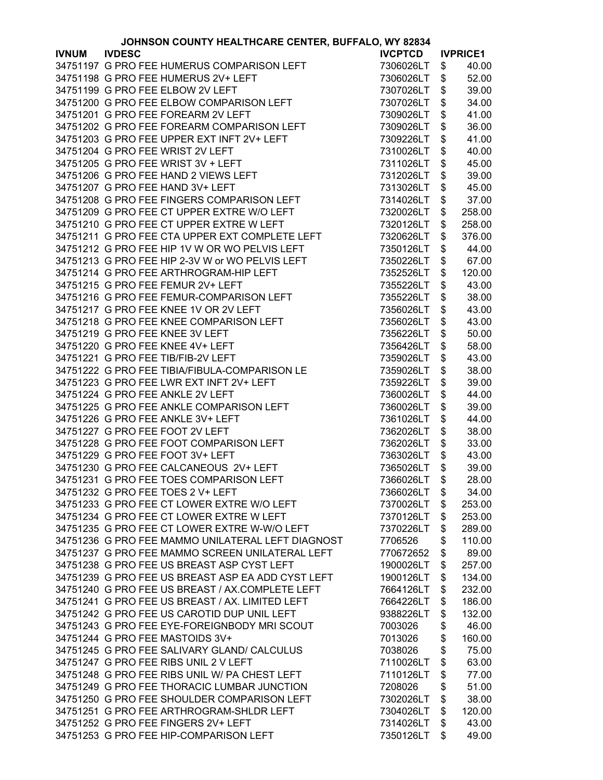|              | JOHNSON COUNTY HEALTHCARE CENTER, BUFFALO, WY 82834 |                |                 |
|--------------|-----------------------------------------------------|----------------|-----------------|
| <b>IVNUM</b> | <b>IVDESC</b>                                       | <b>IVCPTCD</b> | <b>IVPRICE1</b> |
|              | 34751197 G PRO FEE HUMERUS COMPARISON LEFT          | 7306026LT      | \$<br>40.00     |
|              | 34751198 G PRO FEE HUMERUS 2V+ LEFT                 | 7306026LT      | \$<br>52.00     |
|              | 34751199 G PRO FEE ELBOW 2V LEFT                    | 7307026LT      | \$<br>39.00     |
|              | 34751200 G PRO FEE ELBOW COMPARISON LEFT            | 7307026LT      | \$<br>34.00     |
|              | 34751201 G PRO FEE FOREARM 2V LEFT                  | 7309026LT      | \$<br>41.00     |
|              | 34751202 G PRO FEE FOREARM COMPARISON LEFT          | 7309026LT      | \$<br>36.00     |
|              | 34751203 G PRO FEE UPPER EXT INFT 2V+ LEFT          | 7309226LT      | \$<br>41.00     |
|              | 34751204 G PRO FEE WRIST 2V LEFT                    | 7310026LT      | \$<br>40.00     |
|              |                                                     |                |                 |
|              | 34751205 G PRO FEE WRIST 3V + LEFT                  | 7311026LT      | \$<br>45.00     |
|              | 34751206 G PRO FEE HAND 2 VIEWS LEFT                | 7312026LT      | \$<br>39.00     |
|              | 34751207 G PRO FEE HAND 3V+ LEFT                    | 7313026LT      | \$<br>45.00     |
|              | 34751208 G PRO FEE FINGERS COMPARISON LEFT          | 7314026LT      | \$<br>37.00     |
|              | 34751209 G PRO FEE CT UPPER EXTRE W/O LEFT          | 7320026LT      | \$<br>258.00    |
|              | 34751210 G PRO FEE CT UPPER EXTRE W LEFT            | 7320126LT      | \$<br>258.00    |
|              | 34751211 G PRO FEE CTA UPPER EXT COMPLETE LEFT      | 7320626LT      | \$<br>376.00    |
|              | 34751212 G PRO FEE HIP 1V W OR WO PELVIS LEFT       | 7350126LT      | \$<br>44.00     |
|              | 34751213 G PRO FEE HIP 2-3V W or WO PELVIS LEFT     | 7350226LT      | \$<br>67.00     |
|              | 34751214 G PRO FEE ARTHROGRAM-HIP LEFT              | 7352526LT      | \$<br>120.00    |
|              | 34751215 G PRO FEE FEMUR 2V+ LEFT                   | 7355226LT      | \$<br>43.00     |
|              | 34751216 G PRO FEE FEMUR-COMPARISON LEFT            | 7355226LT      | \$<br>38.00     |
|              | 34751217 G PRO FEE KNEE 1V OR 2V LEFT               | 7356026LT      | \$<br>43.00     |
|              | 34751218 G PRO FEE KNEE COMPARISON LEFT             | 7356026LT      | \$<br>43.00     |
|              | 34751219 G PRO FEE KNEE 3V LEFT                     | 7356226LT      | \$<br>50.00     |
|              | 34751220 G PRO FEE KNEE 4V+ LEFT                    |                | 58.00           |
|              |                                                     | 7356426LT      | \$              |
|              | 34751221 G PRO FEE TIB/FIB-2V LEFT                  | 7359026LT      | \$<br>43.00     |
|              | 34751222 G PRO FEE TIBIA/FIBULA-COMPARISON LE       | 7359026LT      | \$<br>38.00     |
|              | 34751223 G PRO FEE LWR EXT INFT 2V+ LEFT            | 7359226LT      | \$<br>39.00     |
|              | 34751224 G PRO FEE ANKLE 2V LEFT                    | 7360026LT      | \$<br>44.00     |
|              | 34751225 G PRO FEE ANKLE COMPARISON LEFT            | 7360026LT      | \$<br>39.00     |
|              | 34751226 G PRO FEE ANKLE 3V+ LEFT                   | 7361026LT      | \$<br>44.00     |
|              | 34751227 G PRO FEE FOOT 2V LEFT                     | 7362026LT      | \$<br>38.00     |
|              | 34751228 G PRO FEE FOOT COMPARISON LEFT             | 7362026LT      | \$<br>33.00     |
|              | 34751229 G PRO FEE FOOT 3V+ LEFT                    | 7363026LT      | \$<br>43.00     |
|              | 34751230 G PRO FEE CALCANEOUS 2V+ LEFT              | 7365026LT      | \$<br>39.00     |
|              | 34751231 G PRO FEE TOES COMPARISON LEFT             | 7366026LT      | \$<br>28.00     |
|              | 34751232 G PRO FEE TOES 2 V+ LEFT                   | 7366026LT      | \$<br>34.00     |
|              | 34751233 G PRO FEE CT LOWER EXTRE W/O LEFT          | 7370026LT      | \$<br>253.00    |
|              | 34751234 G PRO FEE CT LOWER EXTRE W LEFT            | 7370126LT      | \$<br>253.00    |
|              | 34751235 G PRO FEE CT LOWER EXTRE W-W/O LEFT        | 7370226LT      | \$<br>289.00    |
|              | 34751236 G PRO FEE MAMMO UNILATERAL LEFT DIAGNOST   | 7706526        | \$<br>110.00    |
|              | 34751237 G PRO FEE MAMMO SCREEN UNILATERAL LEFT     | 770672652      | \$<br>89.00     |
|              | 34751238 G PRO FEE US BREAST ASP CYST LEFT          | 1900026LT      | \$<br>257.00    |
|              | 34751239 G PRO FEE US BREAST ASP EA ADD CYST LEFT   | 1900126LT      | \$<br>134.00    |
|              | 34751240 G PRO FEE US BREAST / AX.COMPLETE LEFT     | 7664126LT      | \$<br>232.00    |
|              | 34751241 G PRO FEE US BREAST / AX. LIMITED LEFT     | 7664226LT      | \$<br>186.00    |
|              | 34751242 G PRO FEE US CAROTID DUP UNIL LEFT         | 9388226LT      | \$<br>132.00    |
|              |                                                     |                |                 |
|              | 34751243 G PRO FEE EYE-FOREIGNBODY MRI SCOUT        | 7003026        | \$<br>46.00     |
|              | 34751244 G PRO FEE MASTOIDS 3V+                     | 7013026        | \$<br>160.00    |
|              | 34751245 G PRO FEE SALIVARY GLAND/ CALCULUS         | 7038026        | \$<br>75.00     |
|              | 34751247 G PRO FEE RIBS UNIL 2 V LEFT               | 7110026LT      | \$<br>63.00     |
|              | 34751248 G PRO FEE RIBS UNIL W/ PA CHEST LEFT       | 7110126LT      | \$<br>77.00     |
|              | 34751249 G PRO FEE THORACIC LUMBAR JUNCTION         | 7208026        | \$<br>51.00     |
|              | 34751250 G PRO FEE SHOULDER COMPARISON LEFT         | 7302026LT      | \$<br>38.00     |
|              | 34751251 G PRO FEE ARTHROGRAM-SHLDR LEFT            | 7304026LT      | \$<br>120.00    |
|              | 34751252 G PRO FEE FINGERS 2V+ LEFT                 | 7314026LT      | \$<br>43.00     |
|              | 34751253 G PRO FEE HIP-COMPARISON LEFT              | 7350126LT      | \$<br>49.00     |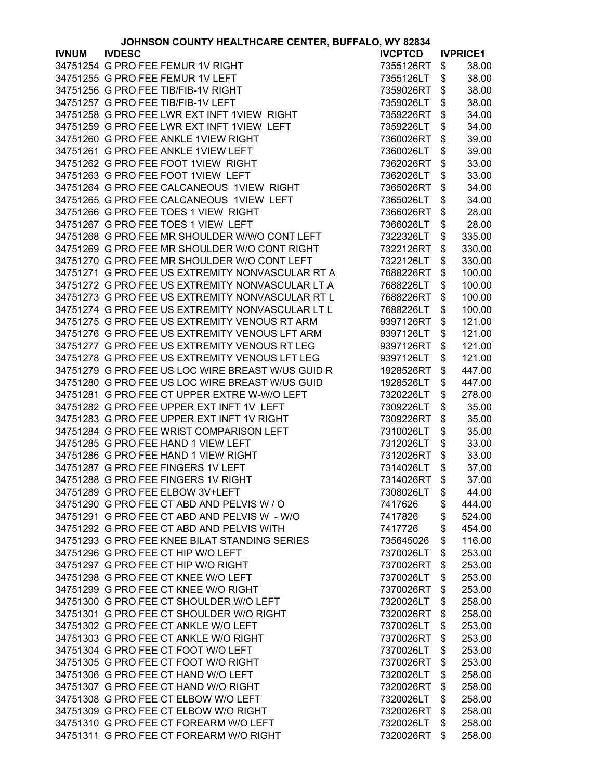|              | JOHNSON COUNTY HEALTHCARE CENTER, BUFFALO, WY 82834 |                        |                        |
|--------------|-----------------------------------------------------|------------------------|------------------------|
| <b>IVNUM</b> | <b>IVDESC</b>                                       | <b>IVCPTCD</b>         | <b>IVPRICE1</b>        |
|              | 34751254 G PRO FEE FEMUR 1V RIGHT                   | 7355126RT              | \$<br>38.00            |
|              | 34751255 G PRO FEE FEMUR 1V LEFT                    | 7355126LT              | \$<br>38.00            |
|              | 34751256 G PRO FEE TIB/FIB-1V RIGHT                 | 7359026RT              | \$<br>38.00            |
|              | 34751257 G PRO FEE TIB/FIB-1V LEFT                  | 7359026LT              | \$<br>38.00            |
|              | 34751258 G PRO FEE LWR EXT INFT 1VIEW RIGHT         | 7359226RT              | \$<br>34.00            |
|              | 34751259 G PRO FEE LWR EXT INFT 1VIEW LEFT          | 7359226LT              | \$<br>34.00            |
|              | 34751260 G PRO FEE ANKLE 1VIEW RIGHT                | 7360026RT              | \$<br>39.00            |
|              | 34751261 G PRO FEE ANKLE 1VIEW LEFT                 | 7360026LT              | \$<br>39.00            |
|              | 34751262 G PRO FEE FOOT 1VIEW RIGHT                 | 7362026RT              | \$<br>33.00            |
|              | 34751263 G PRO FEE FOOT 1VIEW LEFT                  | 7362026LT              | \$<br>33.00            |
|              | 34751264 G PRO FEE CALCANEOUS 1VIEW RIGHT           |                        |                        |
|              |                                                     | 7365026RT              | \$<br>34.00            |
|              | 34751265 G PRO FEE CALCANEOUS 1VIEW LEFT            | 7365026LT              | \$<br>34.00            |
|              | 34751266 G PRO FEE TOES 1 VIEW RIGHT                | 7366026RT              | \$<br>28.00            |
|              | 34751267 G PRO FEE TOES 1 VIEW LEFT                 | 7366026LT              | \$<br>28.00            |
|              | 34751268 G PRO FEE MR SHOULDER W/WO CONT LEFT       | 7322326LT              | \$<br>335.00           |
|              | 34751269 G PRO FEE MR SHOULDER W/O CONT RIGHT       | 7322126RT              | \$<br>330.00           |
|              | 34751270 G PRO FEE MR SHOULDER W/O CONT LEFT        | 7322126LT              | \$<br>330.00           |
|              | 34751271 G PRO FEE US EXTREMITY NONVASCULAR RT A    | 7688226RT              | \$<br>100.00           |
|              | 34751272 G PRO FEE US EXTREMITY NONVASCULAR LT A    | 7688226LT              | \$<br>100.00           |
|              | 34751273 G PRO FEE US EXTREMITY NONVASCULAR RT L    | 7688226RT              | \$<br>100.00           |
|              | 34751274 G PRO FEE US EXTREMITY NONVASCULAR LT L    | 7688226LT              | \$<br>100.00           |
|              | 34751275 G PRO FEE US EXTREMITY VENOUS RT ARM       | 9397126RT              | \$<br>121.00           |
|              | 34751276 G PRO FEE US EXTREMITY VENOUS LFT ARM      | 9397126LT              | \$<br>121.00           |
|              | 34751277 G PRO FEE US EXTREMITY VENOUS RT LEG       | 9397126RT              | \$<br>121.00           |
|              | 34751278 G PRO FEE US EXTREMITY VENOUS LFT LEG      | 9397126LT              | \$<br>121.00           |
|              | 34751279 G PRO FEE US LOC WIRE BREAST W/US GUID R   | 1928526RT              | \$<br>447.00           |
|              | 34751280 G PRO FEE US LOC WIRE BREAST W/US GUID     | 1928526LT              | \$<br>447.00           |
|              | 34751281 G PRO FEE CT UPPER EXTRE W-W/O LEFT        | 7320226LT              | \$<br>278.00           |
|              | 34751282 G PRO FEE UPPER EXT INFT 1V LEFT           | 7309226LT              | \$<br>35.00            |
|              | 34751283 G PRO FEE UPPER EXT INFT 1V RIGHT          | 7309226RT              | \$<br>35.00            |
|              | 34751284 G PRO FEE WRIST COMPARISON LEFT            | 7310026LT              | \$<br>35.00            |
|              | 34751285 G PRO FEE HAND 1 VIEW LEFT                 | 7312026LT              | \$<br>33.00            |
|              | 34751286 G PRO FEE HAND 1 VIEW RIGHT                | 7312026RT              | \$<br>33.00            |
|              | 34751287 G PRO FEE FINGERS 1V LEFT                  | 7314026LT              | \$<br>37.00            |
|              | 34751288 G PRO FEE FINGERS 1V RIGHT                 | 7314026RT              | \$<br>37.00            |
|              | 34751289 G PRO FEE ELBOW 3V+LEFT                    | 7308026LT              | \$<br>44.00            |
|              | 34751290 G PRO FEE CT ABD AND PELVIS W / O          | 7417626                | \$<br>444.00           |
|              | 34751291 G PRO FEE CT ABD AND PELVIS W - W/O        | 7417826                | \$<br>524.00           |
|              | 34751292 G PRO FEE CT ABD AND PELVIS WITH           | 7417726                | \$<br>454.00           |
|              | 34751293 G PRO FEE KNEE BILAT STANDING SERIES       | 735645026              | \$<br>116.00           |
|              | 34751296 G PRO FEE CT HIP W/O LEFT                  | 7370026LT              | \$<br>253.00           |
|              | 34751297 G PRO FEE CT HIP W/O RIGHT                 | 7370026RT              | \$<br>253.00           |
|              | 34751298 G PRO FEE CT KNEE W/O LEFT                 | 7370026LT              | \$<br>253.00           |
|              | 34751299 G PRO FEE CT KNEE W/O RIGHT                | 7370026RT              | \$<br>253.00           |
|              | 34751300 G PRO FEE CT SHOULDER W/O LEFT             | 7320026LT              | \$<br>258.00           |
|              | 34751301 G PRO FEE CT SHOULDER W/O RIGHT            | 7320026RT              | \$<br>258.00           |
|              | 34751302 G PRO FEE CT ANKLE W/O LEFT                | 7370026LT              | \$<br>253.00           |
|              | 34751303 G PRO FEE CT ANKLE W/O RIGHT               | 7370026RT              | \$<br>253.00           |
|              | 34751304 G PRO FEE CT FOOT W/O LEFT                 | 7370026LT              | \$<br>253.00           |
|              | 34751305 G PRO FEE CT FOOT W/O RIGHT                | 7370026RT              | \$<br>253.00           |
|              | 34751306 G PRO FEE CT HAND W/O LEFT                 |                        | \$                     |
|              | 34751307 G PRO FEE CT HAND W/O RIGHT                | 7320026LT<br>7320026RT | \$<br>258.00<br>258.00 |
|              | 34751308 G PRO FEE CT ELBOW W/O LEFT                |                        | \$                     |
|              |                                                     | 7320026LT              | 258.00                 |
|              | 34751309 G PRO FEE CT ELBOW W/O RIGHT               | 7320026RT              | \$<br>258.00           |
|              | 34751310 G PRO FEE CT FOREARM W/O LEFT              | 7320026LT              | \$<br>258.00           |
|              | 34751311 G PRO FEE CT FOREARM W/O RIGHT             | 7320026RT              | \$<br>258.00           |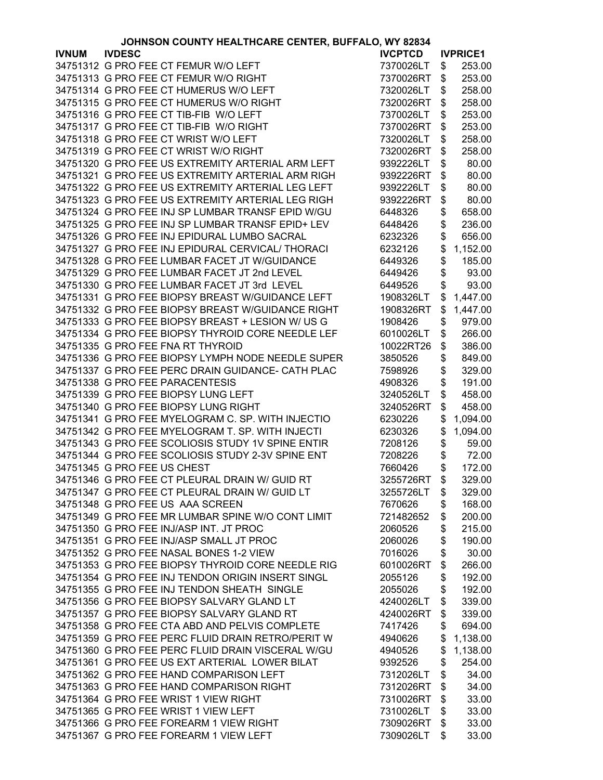|              | JOHNSON COUNTY HEALTHCARE CENTER, BUFFALO, WY 82834 |                |                 |
|--------------|-----------------------------------------------------|----------------|-----------------|
| <b>IVNUM</b> | <b>IVDESC</b>                                       | <b>IVCPTCD</b> | <b>IVPRICE1</b> |
|              | 34751312 G PRO FEE CT FEMUR W/O LEFT                | 7370026LT      | \$<br>253.00    |
|              | 34751313 G PRO FEE CT FEMUR W/O RIGHT               | 7370026RT      | \$<br>253.00    |
|              | 34751314 G PRO FEE CT HUMERUS W/O LEFT              | 7320026LT      | \$<br>258.00    |
|              | 34751315 G PRO FEE CT HUMERUS W/O RIGHT             | 7320026RT      | \$<br>258.00    |
|              | 34751316 G PRO FEE CT TIB-FIB W/O LEFT              | 7370026LT      | \$<br>253.00    |
|              | 34751317 G PRO FEE CT TIB-FIB W/O RIGHT             | 7370026RT      | \$<br>253.00    |
|              | 34751318 G PRO FEE CT WRIST W/O LEFT                |                | 258.00          |
|              |                                                     | 7320026LT      | \$<br>258.00    |
|              | 34751319 G PRO FEE CT WRIST W/O RIGHT               | 7320026RT      | \$              |
|              | 34751320 G PRO FEE US EXTREMITY ARTERIAL ARM LEFT   | 9392226LT      | \$<br>80.00     |
|              | 34751321 G PRO FEE US EXTREMITY ARTERIAL ARM RIGH   | 9392226RT      | \$<br>80.00     |
|              | 34751322 G PRO FEE US EXTREMITY ARTERIAL LEG LEFT   | 9392226LT      | \$<br>80.00     |
|              | 34751323 G PRO FEE US EXTREMITY ARTERIAL LEG RIGH   | 9392226RT      | \$<br>80.00     |
|              | 34751324 G PRO FEE INJ SP LUMBAR TRANSF EPID W/GU   | 6448326        | \$<br>658.00    |
|              | 34751325 G PRO FEE INJ SP LUMBAR TRANSF EPID+ LEV   | 6448426        | \$<br>236.00    |
|              | 34751326 G PRO FEE INJ EPIDURAL LUMBO SACRAL        | 6232326        | \$<br>656.00    |
|              | 34751327 G PRO FEE INJ EPIDURAL CERVICAL/ THORACI   | 6232126        | \$<br>1,152.00  |
|              | 34751328 G PRO FEE LUMBAR FACET JT W/GUIDANCE       | 6449326        | \$<br>185.00    |
|              | 34751329 G PRO FEE LUMBAR FACET JT 2nd LEVEL        | 6449426        | \$<br>93.00     |
|              | 34751330 G PRO FEE LUMBAR FACET JT 3rd LEVEL        | 6449526        | \$<br>93.00     |
|              | 34751331 G PRO FEE BIOPSY BREAST W/GUIDANCE LEFT    | 1908326LT      | \$<br>1,447.00  |
|              | 34751332 G PRO FEE BIOPSY BREAST W/GUIDANCE RIGHT   | 1908326RT      | \$<br>1,447.00  |
|              | 34751333 G PRO FEE BIOPSY BREAST + LESION W/ US G   | 1908426        | \$<br>979.00    |
|              | 34751334 G PRO FEE BIOPSY THYROID CORE NEEDLE LEF   | 6010026LT      | \$<br>266.00    |
|              | 34751335 G PRO FEE FNA RT THYROID                   | 10022RT26      | \$<br>386.00    |
|              | 34751336 G PRO FEE BIOPSY LYMPH NODE NEEDLE SUPER   | 3850526        | \$<br>849.00    |
|              | 34751337 G PRO FEE PERC DRAIN GUIDANCE- CATH PLAC   | 7598926        | \$<br>329.00    |
|              | 34751338 G PRO FEE PARACENTESIS                     | 4908326        | \$<br>191.00    |
|              | 34751339 G PRO FEE BIOPSY LUNG LEFT                 | 3240526LT      | \$<br>458.00    |
|              | 34751340 G PRO FEE BIOPSY LUNG RIGHT                | 3240526RT      | \$<br>458.00    |
|              | 34751341 G PRO FEE MYELOGRAM C. SP. WITH INJECTIO   | 6230226        | \$<br>1,094.00  |
|              | 34751342 G PRO FEE MYELOGRAM T. SP. WITH INJECTI    | 6230326        | \$<br>1,094.00  |
|              | 34751343 G PRO FEE SCOLIOSIS STUDY 1V SPINE ENTIR   | 7208126        | \$<br>59.00     |
|              | 34751344 G PRO FEE SCOLIOSIS STUDY 2-3V SPINE ENT   | 7208226        | \$<br>72.00     |
|              | 34751345 G PRO FEE US CHEST                         | 7660426        | \$<br>172.00    |
|              | 34751346 G PRO FEE CT PLEURAL DRAIN W/ GUID RT      | 3255726RT      | \$<br>329.00    |
|              | 34751347 G PRO FEE CT PLEURAL DRAIN W/ GUID LT      | 3255726LT      | \$<br>329.00    |
|              | 34751348 G PRO FEE US AAA SCREEN                    | 7670626        | \$<br>168.00    |
|              | 34751349 G PRO FEE MR LUMBAR SPINE W/O CONT LIMIT   | 721482652      | \$<br>200.00    |
|              | 34751350 G PRO FEE INJ/ASP INT. JT PROC             | 2060526        | \$<br>215.00    |
|              | 34751351 G PRO FEE INJ/ASP SMALL JT PROC            | 2060026        | \$<br>190.00    |
|              | 34751352 G PRO FEE NASAL BONES 1-2 VIEW             | 7016026        | \$<br>30.00     |
|              | 34751353 G PRO FEE BIOPSY THYROID CORE NEEDLE RIG   | 6010026RT      | \$<br>266.00    |
|              | 34751354 G PRO FEE INJ TENDON ORIGIN INSERT SINGL   | 2055126        | \$<br>192.00    |
|              | 34751355 G PRO FEE INJ TENDON SHEATH SINGLE         | 2055026        | \$<br>192.00    |
|              | 34751356 G PRO FEE BIOPSY SALVARY GLAND LT          | 4240026LT      | \$<br>339.00    |
|              | 34751357 G PRO FEE BIOPSY SALVARY GLAND RT          | 4240026RT      | \$<br>339.00    |
|              | 34751358 G PRO FEE CTA ABD AND PELVIS COMPLETE      | 7417426        | \$<br>694.00    |
|              | 34751359 G PRO FEE PERC FLUID DRAIN RETRO/PERIT W   | 4940626        | \$<br>1,138.00  |
|              | 34751360 G PRO FEE PERC FLUID DRAIN VISCERAL W/GU   | 4940526        | \$<br>1,138.00  |
|              | 34751361 G PRO FEE US EXT ARTERIAL LOWER BILAT      | 9392526        | \$<br>254.00    |
|              | 34751362 G PRO FEE HAND COMPARISON LEFT             | 7312026LT      | \$<br>34.00     |
|              | 34751363 G PRO FEE HAND COMPARISON RIGHT            | 7312026RT      | \$<br>34.00     |
|              | 34751364 G PRO FEE WRIST 1 VIEW RIGHT               | 7310026RT      | \$<br>33.00     |
|              | 34751365 G PRO FEE WRIST 1 VIEW LEFT                | 7310026LT      | \$<br>33.00     |
|              | 34751366 G PRO FEE FOREARM 1 VIEW RIGHT             | 7309026RT      | \$<br>33.00     |
|              | 34751367 G PRO FEE FOREARM 1 VIEW LEFT              | 7309026LT      | \$<br>33.00     |
|              |                                                     |                |                 |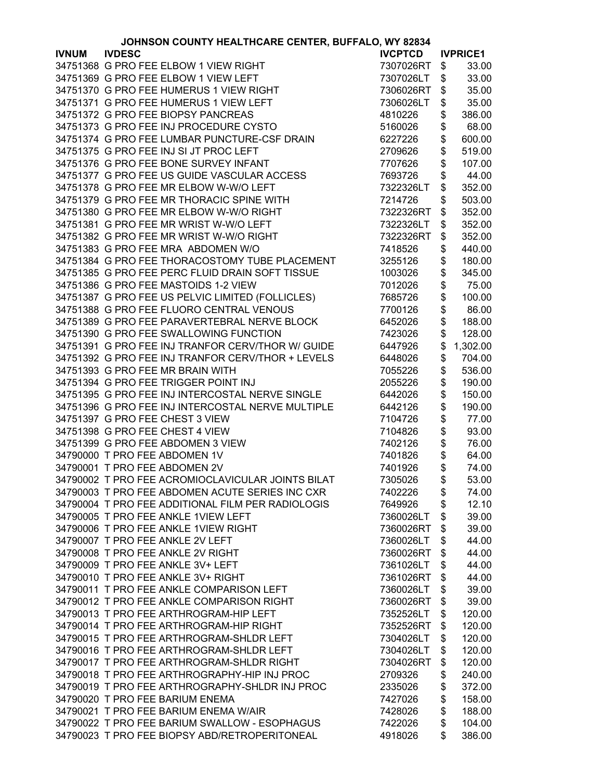|              | JOHNSON COUNTY HEALTHCARE CENTER, BUFFALO, WY 82834 |                |                 |
|--------------|-----------------------------------------------------|----------------|-----------------|
| <b>IVNUM</b> | <b>IVDESC</b>                                       | <b>IVCPTCD</b> | <b>IVPRICE1</b> |
|              | 34751368 G PRO FEE ELBOW 1 VIEW RIGHT               | 7307026RT      | \$<br>33.00     |
|              | 34751369 G PRO FEE ELBOW 1 VIEW LEFT                | 7307026LT      | \$<br>33.00     |
|              | 34751370 G PRO FEE HUMERUS 1 VIEW RIGHT             | 7306026RT      | \$<br>35.00     |
|              | 34751371 G PRO FEE HUMERUS 1 VIEW LEFT              | 7306026LT      | \$<br>35.00     |
|              | 34751372 G PRO FEE BIOPSY PANCREAS                  | 4810226        | \$<br>386.00    |
|              | 34751373 G PRO FEE INJ PROCEDURE CYSTO              | 5160026        | \$<br>68.00     |
|              | 34751374 G PRO FEE LUMBAR PUNCTURE-CSF DRAIN        |                | 600.00          |
|              |                                                     | 6227226        | \$              |
|              | 34751375 G PRO FEE INJ SI JT PROC LEFT              | 2709626        | \$<br>519.00    |
|              | 34751376 G PRO FEE BONE SURVEY INFANT               | 7707626        | \$<br>107.00    |
|              | 34751377 G PRO FEE US GUIDE VASCULAR ACCESS         | 7693726        | \$<br>44.00     |
|              | 34751378 G PRO FEE MR ELBOW W-W/O LEFT              | 7322326LT      | \$<br>352.00    |
|              | 34751379 G PRO FEE MR THORACIC SPINE WITH           | 7214726        | \$<br>503.00    |
|              | 34751380 G PRO FEE MR ELBOW W-W/O RIGHT             | 7322326RT      | \$<br>352.00    |
|              | 34751381 G PRO FEE MR WRIST W-W/O LEFT              | 7322326LT      | \$<br>352.00    |
|              | 34751382 G PRO FEE MR WRIST W-W/O RIGHT             | 7322326RT      | \$<br>352.00    |
|              | 34751383 G PRO FEE MRA ABDOMEN W/O                  | 7418526        | \$<br>440.00    |
|              | 34751384 G PRO FEE THORACOSTOMY TUBE PLACEMENT      | 3255126        | \$<br>180.00    |
|              | 34751385 G PRO FEE PERC FLUID DRAIN SOFT TISSUE     | 1003026        | \$<br>345.00    |
|              | 34751386 G PRO FEE MASTOIDS 1-2 VIEW                | 7012026        | \$<br>75.00     |
|              | 34751387 G PRO FEE US PELVIC LIMITED (FOLLICLES)    | 7685726        | \$<br>100.00    |
|              | 34751388 G PRO FEE FLUORO CENTRAL VENOUS            | 7700126        | \$<br>86.00     |
|              | 34751389 G PRO FEE PARAVERTEBRAL NERVE BLOCK        | 6452026        | \$<br>188.00    |
|              | 34751390 G PRO FEE SWALLOWING FUNCTION              | 7423026        | \$<br>128.00    |
|              | 34751391 G PRO FEE INJ TRANFOR CERV/THOR W/ GUIDE   |                | \$              |
|              |                                                     | 6447926        | 1,302.00        |
|              | 34751392 G PRO FEE INJ TRANFOR CERV/THOR + LEVELS   | 6448026        | \$<br>704.00    |
|              | 34751393 G PRO FEE MR BRAIN WITH                    | 7055226        | \$<br>536.00    |
|              | 34751394 G PRO FEE TRIGGER POINT INJ                | 2055226        | \$<br>190.00    |
|              | 34751395 G PRO FEE INJ INTERCOSTAL NERVE SINGLE     | 6442026        | \$<br>150.00    |
|              | 34751396 G PRO FEE INJ INTERCOSTAL NERVE MULTIPLE   | 6442126        | \$<br>190.00    |
|              | 34751397 G PRO FEE CHEST 3 VIEW                     | 7104726        | \$<br>77.00     |
|              | 34751398 G PRO FEE CHEST 4 VIEW                     | 7104826        | \$<br>93.00     |
|              | 34751399 G PRO FEE ABDOMEN 3 VIEW                   | 7402126        | \$<br>76.00     |
|              | 34790000 T PRO FEE ABDOMEN 1V                       | 7401826        | \$<br>64.00     |
|              | 34790001 T PRO FEE ABDOMEN 2V                       | 7401926        | \$<br>74.00     |
|              | 34790002 T PRO FEE ACROMIOCLAVICULAR JOINTS BILAT   | 7305026        | \$<br>53.00     |
|              | 34790003 T PRO FEE ABDOMEN ACUTE SERIES INC CXR     | 7402226        | \$<br>74.00     |
|              | 34790004 T PRO FEE ADDITIONAL FILM PER RADIOLOGIS   | 7649926        | \$<br>12.10     |
|              | 34790005 T PRO FEE ANKLE 1VIEW LEFT                 | 7360026LT      | \$<br>39.00     |
|              | 34790006 T PRO FEE ANKLE 1VIEW RIGHT                | 7360026RT      | \$<br>39.00     |
|              | 34790007 T PRO FEE ANKLE 2V LEFT                    | 7360026LT      | \$<br>44.00     |
|              | 34790008 T PRO FEE ANKLE 2V RIGHT                   | 7360026RT      | \$<br>44.00     |
|              | 34790009 T PRO FEE ANKLE 3V+ LEFT                   | 7361026LT      | \$<br>44.00     |
|              | 34790010 T PRO FEE ANKLE 3V+ RIGHT                  | 7361026RT      | \$<br>44.00     |
|              | 34790011 T PRO FEE ANKLE COMPARISON LEFT            | 7360026LT      | \$<br>39.00     |
|              | 34790012 T PRO FEE ANKLE COMPARISON RIGHT           | 7360026RT      | \$<br>39.00     |
|              | 34790013 T PRO FEE ARTHROGRAM-HIP LEFT              | 7352526LT      | \$<br>120.00    |
|              | 34790014 T PRO FEE ARTHROGRAM-HIP RIGHT             | 7352526RT      | \$<br>120.00    |
|              | 34790015 T PRO FEE ARTHROGRAM-SHLDR LEFT            | 7304026LT      | 120.00          |
|              |                                                     |                | \$              |
|              | 34790016 T PRO FEE ARTHROGRAM-SHLDR LEFT            | 7304026LT      | \$<br>120.00    |
|              | 34790017 T PRO FEE ARTHROGRAM-SHLDR RIGHT           | 7304026RT      | \$<br>120.00    |
|              | 34790018 T PRO FEE ARTHROGRAPHY-HIP INJ PROC        | 2709326        | \$<br>240.00    |
|              | 34790019 T PRO FEE ARTHROGRAPHY-SHLDR INJ PROC      | 2335026        | \$<br>372.00    |
|              | 34790020 T PRO FEE BARIUM ENEMA                     | 7427026        | \$<br>158.00    |
|              | 34790021 T PRO FEE BARIUM ENEMA W/AIR               | 7428026        | \$<br>188.00    |
|              | 34790022 T PRO FEE BARIUM SWALLOW - ESOPHAGUS       | 7422026        | \$<br>104.00    |
|              | 34790023 T PRO FEE BIOPSY ABD/RETROPERITONEAL       | 4918026        | \$<br>386.00    |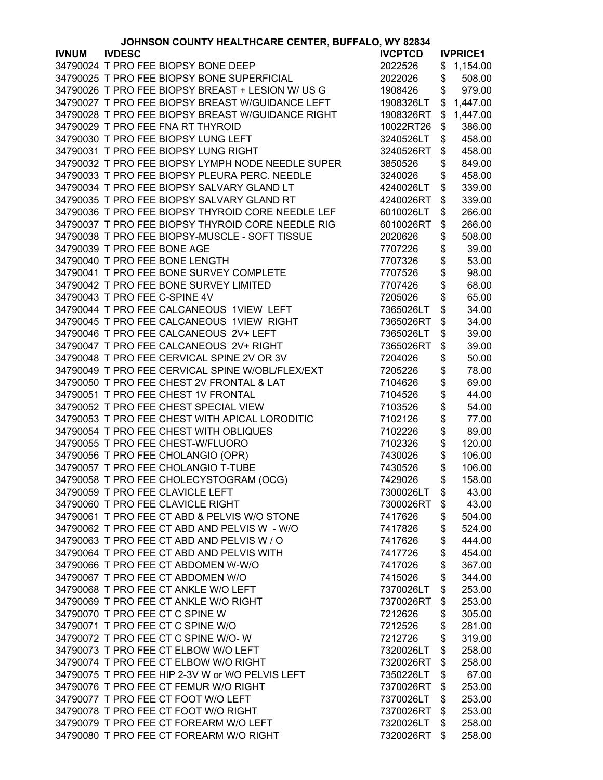| JOHNSON COUNTY HEALTHCARE CENTER, BUFFALO, WY 82834 |                                                   |                |    |                 |
|-----------------------------------------------------|---------------------------------------------------|----------------|----|-----------------|
| <b>IVNUM</b>                                        | <b>IVDESC</b>                                     | <b>IVCPTCD</b> |    | <b>IVPRICE1</b> |
|                                                     | 34790024 T PRO FEE BIOPSY BONE DEEP               | 2022526        | \$ | 1,154.00        |
|                                                     | 34790025 T PRO FEE BIOPSY BONE SUPERFICIAL        | 2022026        | \$ | 508.00          |
|                                                     | 34790026 T PRO FEE BIOPSY BREAST + LESION W/ US G | 1908426        | \$ | 979.00          |
|                                                     | 34790027 T PRO FEE BIOPSY BREAST W/GUIDANCE LEFT  | 1908326LT      |    | \$1,447.00      |
|                                                     | 34790028 T PRO FEE BIOPSY BREAST W/GUIDANCE RIGHT | 1908326RT      | \$ | 1,447.00        |
|                                                     | 34790029 T PRO FEE FNA RT THYROID                 | 10022RT26      | \$ | 386.00          |
|                                                     | 34790030 T PRO FEE BIOPSY LUNG LEFT               | 3240526LT      | \$ | 458.00          |
|                                                     | 34790031 T PRO FEE BIOPSY LUNG RIGHT              | 3240526RT      | \$ | 458.00          |
|                                                     | 34790032 T PRO FEE BIOPSY LYMPH NODE NEEDLE SUPER | 3850526        | \$ | 849.00          |
|                                                     | 34790033 T PRO FEE BIOPSY PLEURA PERC. NEEDLE     | 3240026        | \$ | 458.00          |
|                                                     | 34790034 T PRO FEE BIOPSY SALVARY GLAND LT        | 4240026LT      | \$ | 339.00          |
|                                                     | 34790035 T PRO FEE BIOPSY SALVARY GLAND RT        | 4240026RT      | \$ | 339.00          |
|                                                     | 34790036 T PRO FEE BIOPSY THYROID CORE NEEDLE LEF | 6010026LT      | \$ | 266.00          |
|                                                     | 34790037 T PRO FEE BIOPSY THYROID CORE NEEDLE RIG | 6010026RT      | \$ | 266.00          |
|                                                     | 34790038 T PRO FEE BIOPSY-MUSCLE - SOFT TISSUE    | 2020626        | \$ | 508.00          |
|                                                     | 34790039 T PRO FEE BONE AGE                       | 7707226        | \$ | 39.00           |
|                                                     | 34790040 T PRO FEE BONE LENGTH                    | 7707326        | \$ | 53.00           |
|                                                     |                                                   |                | \$ |                 |
|                                                     | 34790041 T PRO FEE BONE SURVEY COMPLETE           | 7707526        |    | 98.00           |
|                                                     | 34790042 T PRO FEE BONE SURVEY LIMITED            | 7707426        | \$ | 68.00           |
|                                                     | 34790043 T PRO FEE C-SPINE 4V                     | 7205026        | \$ | 65.00           |
|                                                     | 34790044 T PRO FEE CALCANEOUS 1VIEW LEFT          | 7365026LT      | \$ | 34.00           |
|                                                     | 34790045 T PRO FEE CALCANEOUS 1VIEW RIGHT         | 7365026RT      | \$ | 34.00           |
|                                                     | 34790046 T PRO FEE CALCANEOUS 2V+ LEFT            | 7365026LT      | \$ | 39.00           |
|                                                     | 34790047 T PRO FEE CALCANEOUS 2V+ RIGHT           | 7365026RT      | \$ | 39.00           |
|                                                     | 34790048 T PRO FEE CERVICAL SPINE 2V OR 3V        | 7204026        | \$ | 50.00           |
|                                                     | 34790049 T PRO FEE CERVICAL SPINE W/OBL/FLEX/EXT  | 7205226        | \$ | 78.00           |
|                                                     | 34790050 T PRO FEE CHEST 2V FRONTAL & LAT         | 7104626        | \$ | 69.00           |
|                                                     | 34790051 T PRO FEE CHEST 1V FRONTAL               | 7104526        | \$ | 44.00           |
|                                                     | 34790052 T PRO FEE CHEST SPECIAL VIEW             | 7103526        | \$ | 54.00           |
|                                                     | 34790053 T PRO FEE CHEST WITH APICAL LORODITIC    | 7102126        | \$ | 77.00           |
|                                                     | 34790054 T PRO FEE CHEST WITH OBLIQUES            | 7102226        | \$ | 89.00           |
|                                                     | 34790055 T PRO FEE CHEST-W/FLUORO                 | 7102326        | \$ | 120.00          |
|                                                     | 34790056 T PRO FEE CHOLANGIO (OPR)                | 7430026        | \$ | 106.00          |
|                                                     | 34790057 T PRO FEE CHOLANGIO T-TUBE               | 7430526        | \$ | 106.00          |
|                                                     | 34790058 T PRO FEE CHOLECYSTOGRAM (OCG)           | 7429026        | \$ | 158.00          |
|                                                     | 34790059 T PRO FEE CLAVICLE LEFT                  | 7300026LT      | \$ | 43.00           |
|                                                     | 34790060 T PRO FEE CLAVICLE RIGHT                 | 7300026RT      | \$ | 43.00           |
|                                                     | 34790061 T PRO FEE CT ABD & PELVIS W/O STONE      | 7417626        | \$ | 504.00          |
|                                                     | 34790062 T PRO FEE CT ABD AND PELVIS W - W/O      | 7417826        | \$ | 524.00          |
|                                                     | 34790063 T PRO FEE CT ABD AND PELVIS W / O        | 7417626        | \$ | 444.00          |
|                                                     | 34790064 T PRO FEE CT ABD AND PELVIS WITH         | 7417726        | \$ | 454.00          |
|                                                     | 34790066 T PRO FEE CT ABDOMEN W-W/O               | 7417026        | \$ | 367.00          |
|                                                     | 34790067 T PRO FEE CT ABDOMEN W/O                 | 7415026        | \$ | 344.00          |
|                                                     | 34790068 T PRO FEE CT ANKLE W/O LEFT              | 7370026LT      | \$ | 253.00          |
|                                                     | 34790069 T PRO FEE CT ANKLE W/O RIGHT             | 7370026RT      | \$ | 253.00          |
|                                                     | 34790070 T PRO FEE CT C SPINE W                   | 7212626        | \$ | 305.00          |
|                                                     | 34790071 T PRO FEE CT C SPINE W/O                 | 7212526        | \$ | 281.00          |
|                                                     | 34790072 T PRO FEE CT C SPINE W/O-W               | 7212726        | \$ | 319.00          |
|                                                     | 34790073 T PRO FEE CT ELBOW W/O LEFT              | 7320026LT      | \$ | 258.00          |
|                                                     | 34790074 T PRO FEE CT ELBOW W/O RIGHT             | 7320026RT      | \$ | 258.00          |
|                                                     | 34790075 T PRO FEE HIP 2-3V W or WO PELVIS LEFT   | 7350226LT      | \$ | 67.00           |
|                                                     | 34790076 T PRO FEE CT FEMUR W/O RIGHT             | 7370026RT      | \$ | 253.00          |
|                                                     | 34790077 T PRO FEE CT FOOT W/O LEFT               | 7370026LT      | \$ | 253.00          |
|                                                     | 34790078 T PRO FEE CT FOOT W/O RIGHT              | 7370026RT      | \$ | 253.00          |
|                                                     | 34790079 T PRO FEE CT FOREARM W/O LEFT            | 7320026LT      | \$ | 258.00          |
|                                                     | 34790080 T PRO FEE CT FOREARM W/O RIGHT           |                |    |                 |
|                                                     |                                                   | 7320026RT      | \$ | 258.00          |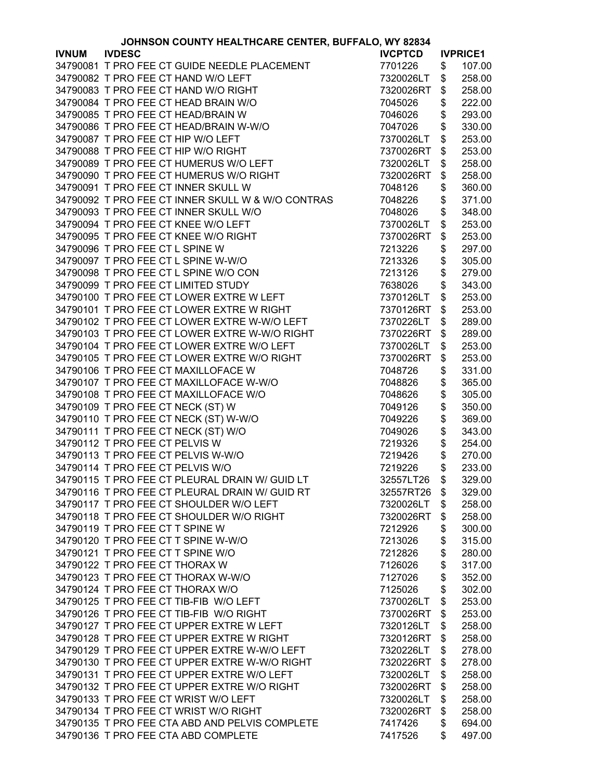|              | JOHNSON COUNTY HEALTHCARE CENTER, BUFFALO, WY 82834 |                        |               |                  |
|--------------|-----------------------------------------------------|------------------------|---------------|------------------|
| <b>IVNUM</b> | <b>IVDESC</b>                                       | <b>IVCPTCD</b>         |               | <b>IVPRICE1</b>  |
|              | 34790081 T PRO FEE CT GUIDE NEEDLE PLACEMENT        | 7701226                | \$            | 107.00           |
|              | 34790082 T PRO FEE CT HAND W/O LEFT                 | 7320026LT              | \$            | 258.00           |
|              | 34790083 T PRO FEE CT HAND W/O RIGHT                | 7320026RT              | \$            | 258.00           |
|              | 34790084 T PRO FEE CT HEAD BRAIN W/O                | 7045026                | \$            | 222.00           |
|              | 34790085 T PRO FEE CT HEAD/BRAIN W                  | 7046026                | \$            | 293.00           |
|              | 34790086 T PRO FEE CT HEAD/BRAIN W-W/O              | 7047026                | \$            | 330.00           |
|              | 34790087 T PRO FEE CT HIP W/O LEFT                  | 7370026LT              | \$            | 253.00           |
|              | 34790088 T PRO FEE CT HIP W/O RIGHT                 | 7370026RT              | \$            | 253.00           |
|              |                                                     | 7320026LT              |               |                  |
|              | 34790089 T PRO FEE CT HUMERUS W/O LEFT              |                        | \$            | 258.00           |
|              | 34790090 T PRO FEE CT HUMERUS W/O RIGHT             | 7320026RT              | \$            | 258.00           |
|              | 34790091 T PRO FEE CT INNER SKULL W                 | 7048126                | \$            | 360.00           |
|              | 34790092 T PRO FEE CT INNER SKULL W & W/O CONTRAS   | 7048226                | \$            | 371.00           |
|              | 34790093 T PRO FEE CT INNER SKULL W/O               | 7048026                | \$            | 348.00           |
|              | 34790094 T PRO FEE CT KNEE W/O LEFT                 | 7370026LT              | \$            | 253.00           |
|              | 34790095 T PRO FEE CT KNEE W/O RIGHT                | 7370026RT              | \$            | 253.00           |
|              | 34790096 T PRO FEE CT L SPINE W                     | 7213226                | \$            | 297.00           |
|              | 34790097 T PRO FEE CT L SPINE W-W/O                 | 7213326                | \$            | 305.00           |
|              | 34790098 T PRO FEE CT L SPINE W/O CON               | 7213126                | \$            | 279.00           |
|              | 34790099 T PRO FEE CT LIMITED STUDY                 | 7638026                | \$            | 343.00           |
|              | 34790100 T PRO FEE CT LOWER EXTRE W LEFT            | 7370126LT              | \$            | 253.00           |
|              | 34790101 T PRO FEE CT LOWER EXTRE W RIGHT           | 7370126RT              | \$            | 253.00           |
|              | 34790102 T PRO FEE CT LOWER EXTRE W-W/O LEFT        | 7370226LT              | \$            | 289.00           |
|              | 34790103 T PRO FEE CT LOWER EXTRE W-W/O RIGHT       | 7370226RT              | \$            | 289.00           |
|              | 34790104 T PRO FEE CT LOWER EXTRE W/O LEFT          | 7370026LT              | \$            | 253.00           |
|              | 34790105 T PRO FEE CT LOWER EXTRE W/O RIGHT         | 7370026RT              | \$            | 253.00           |
|              | 34790106 T PRO FEE CT MAXILLOFACE W                 | 7048726                | \$            | 331.00           |
|              | 34790107 T PRO FEE CT MAXILLOFACE W-W/O             | 7048826                |               | 365.00           |
|              |                                                     |                        | \$            |                  |
|              | 34790108 T PRO FEE CT MAXILLOFACE W/O               | 7048626                | \$            | 305.00           |
|              | 34790109 T PRO FEE CT NECK (ST) W                   | 7049126                | \$            | 350.00           |
|              | 34790110 T PRO FEE CT NECK (ST) W-W/O               | 7049226                | \$            | 369.00           |
|              | 34790111 T PRO FEE CT NECK (ST) W/O                 | 7049026                | \$            | 343.00           |
|              | 34790112 T PRO FEE CT PELVIS W                      | 7219326                | \$            | 254.00           |
|              | 34790113 T PRO FEE CT PELVIS W-W/O                  | 7219426                | \$            | 270.00           |
|              | 34790114 T PRO FEE CT PELVIS W/O                    | 7219226                | \$            | 233.00           |
|              | 34790115 T PRO FEE CT PLEURAL DRAIN W/ GUID LT      | 32557LT26              | $\frac{1}{2}$ | 329.00           |
|              | 34790116 T PRO FEE CT PLEURAL DRAIN W/ GUID RT      | 32557RT26              | \$            | 329.00           |
|              | 34790117 T PRO FEE CT SHOULDER W/O LEFT             | 7320026LT              | \$            | 258.00           |
|              | 34790118 T PRO FEE CT SHOULDER W/O RIGHT            | 7320026RT              | \$            | 258.00           |
|              | 34790119 T PRO FEE CT T SPINE W                     | 7212926                | \$            | 300.00           |
|              | 34790120 T PRO FEE CT T SPINE W-W/O                 | 7213026                | \$            | 315.00           |
|              | 34790121 T PRO FEE CT T SPINE W/O                   | 7212826                | \$            | 280.00           |
|              | 34790122 T PRO FEE CT THORAX W                      | 7126026                | \$            | 317.00           |
|              | 34790123 T PRO FEE CT THORAX W-W/O                  | 7127026                | \$            | 352.00           |
|              | 34790124 T PRO FEE CT THORAX W/O                    | 7125026                | \$            | 302.00           |
|              | 34790125 T PRO FEE CT TIB-FIB W/O LEFT              | 7370026LT              | \$            | 253.00           |
|              | 34790126 T PRO FEE CT TIB-FIB W/O RIGHT             | 7370026RT              | \$            | 253.00           |
|              | 34790127 T PRO FEE CT UPPER EXTRE W LEFT            | 7320126LT              | \$            | 258.00           |
|              | 34790128 T PRO FEE CT UPPER EXTRE W RIGHT           | 7320126RT              | \$            | 258.00           |
|              | 34790129 T PRO FEE CT UPPER EXTRE W-W/O LEFT        | 7320226LT              | \$            | 278.00           |
|              | 34790130 T PRO FEE CT UPPER EXTRE W-W/O RIGHT       | 7320226RT              | \$            | 278.00           |
|              | 34790131 T PRO FEE CT UPPER EXTRE W/O LEFT          |                        |               |                  |
|              | 34790132 T PRO FEE CT UPPER EXTRE W/O RIGHT         | 7320026LT<br>7320026RT | \$<br>\$      | 258.00<br>258.00 |
|              |                                                     |                        |               |                  |
|              | 34790133 T PRO FEE CT WRIST W/O LEFT                | 7320026LT              | \$            | 258.00           |
|              | 34790134 T PRO FEE CT WRIST W/O RIGHT               | 7320026RT              | \$            | 258.00           |
|              | 34790135 T PRO FEE CTA ABD AND PELVIS COMPLETE      | 7417426                | \$            | 694.00           |
|              | 34790136 T PRO FEE CTA ABD COMPLETE                 | 7417526                | \$            | 497.00           |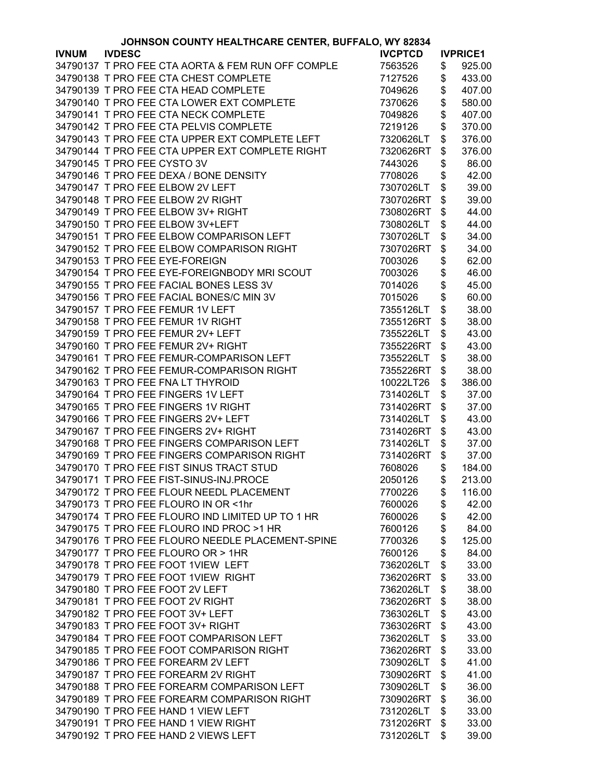|              | JOHNSON COUNTY HEALTHCARE CENTER, BUFFALO, WY 82834 |                |                 |
|--------------|-----------------------------------------------------|----------------|-----------------|
| <b>IVNUM</b> | <b>IVDESC</b>                                       | <b>IVCPTCD</b> | <b>IVPRICE1</b> |
|              | 34790137 T PRO FEE CTA AORTA & FEM RUN OFF COMPLE   | 7563526        | \$<br>925.00    |
|              | 34790138 T PRO FEE CTA CHEST COMPLETE               | 7127526        | \$<br>433.00    |
|              | 34790139 T PRO FEE CTA HEAD COMPLETE                | 7049626        | \$<br>407.00    |
|              | 34790140 T PRO FEE CTA LOWER EXT COMPLETE           | 7370626        | \$<br>580.00    |
|              | 34790141 T PRO FEE CTA NECK COMPLETE                | 7049826        | \$<br>407.00    |
|              | 34790142 T PRO FEE CTA PELVIS COMPLETE              | 7219126        | \$<br>370.00    |
|              | 34790143 T PRO FEE CTA UPPER EXT COMPLETE LEFT      | 7320626LT      | \$<br>376.00    |
|              | 34790144 T PRO FEE CTA UPPER EXT COMPLETE RIGHT     | 7320626RT      | \$<br>376.00    |
|              | 34790145 T PRO FEE CYSTO 3V                         |                |                 |
|              |                                                     | 7443026        | \$<br>86.00     |
|              | 34790146 T PRO FEE DEXA / BONE DENSITY              | 7708026        | \$<br>42.00     |
|              | 34790147 T PRO FEE ELBOW 2V LEFT                    | 7307026LT      | \$<br>39.00     |
|              | 34790148 T PRO FEE ELBOW 2V RIGHT                   | 7307026RT      | \$<br>39.00     |
|              | 34790149 T PRO FEE ELBOW 3V+ RIGHT                  | 7308026RT      | \$<br>44.00     |
|              | 34790150 T PRO FEE ELBOW 3V+LEFT                    | 7308026LT      | \$<br>44.00     |
|              | 34790151 T PRO FEE ELBOW COMPARISON LEFT            | 7307026LT      | \$<br>34.00     |
|              | 34790152 T PRO FEE ELBOW COMPARISON RIGHT           | 7307026RT      | \$<br>34.00     |
|              | 34790153 T PRO FEE EYE-FOREIGN                      | 7003026        | \$<br>62.00     |
|              | 34790154 T PRO FEE EYE-FOREIGNBODY MRI SCOUT        | 7003026        | \$<br>46.00     |
|              | 34790155 T PRO FEE FACIAL BONES LESS 3V             | 7014026        | \$<br>45.00     |
|              | 34790156 T PRO FEE FACIAL BONES/C MIN 3V            | 7015026        | \$<br>60.00     |
|              | 34790157 T PRO FEE FEMUR 1V LEFT                    | 7355126LT      | \$<br>38.00     |
|              | 34790158 T PRO FEE FEMUR 1V RIGHT                   | 7355126RT      | \$<br>38.00     |
|              | 34790159 T PRO FEE FEMUR 2V+ LEFT                   | 7355226LT      | \$<br>43.00     |
|              | 34790160 T PRO FEE FEMUR 2V+ RIGHT                  | 7355226RT      | \$<br>43.00     |
|              | 34790161 T PRO FEE FEMUR-COMPARISON LEFT            | 7355226LT      | \$<br>38.00     |
|              | 34790162 T PRO FEE FEMUR-COMPARISON RIGHT           | 7355226RT      | \$<br>38.00     |
|              |                                                     |                |                 |
|              | 34790163 T PRO FEE FNA LT THYROID                   | 10022LT26      | \$<br>386.00    |
|              | 34790164 T PRO FEE FINGERS 1V LEFT                  | 7314026LT      | \$<br>37.00     |
|              | 34790165 T PRO FEE FINGERS 1V RIGHT                 | 7314026RT      | \$<br>37.00     |
|              | 34790166 T PRO FEE FINGERS 2V+ LEFT                 | 7314026LT      | \$<br>43.00     |
|              | 34790167 T PRO FEE FINGERS 2V+ RIGHT                | 7314026RT      | \$<br>43.00     |
|              | 34790168 T PRO FEE FINGERS COMPARISON LEFT          | 7314026LT      | \$<br>37.00     |
|              | 34790169 T PRO FEE FINGERS COMPARISON RIGHT         | 7314026RT      | \$<br>37.00     |
|              | 34790170 T PRO FEE FIST SINUS TRACT STUD            | 7608026        | \$<br>184.00    |
|              | 34790171 T PRO FEE FIST-SINUS-INJ.PROCE             | 2050126        | \$<br>213.00    |
|              | 34790172 T PRO FEE FLOUR NEEDL PLACEMENT            | 7700226        | \$<br>116.00    |
|              | 34790173 T PRO FEE FLOURO IN OR <1hr                | 7600026        | \$<br>42.00     |
|              | 34790174 T PRO FEE FLOURO IND LIMITED UP TO 1 HR    | 7600026        | \$<br>42.00     |
|              | 34790175 T PRO FEE FLOURO IND PROC >1 HR            | 7600126        | \$<br>84.00     |
|              | 34790176 T PRO FEE FLOURO NEEDLE PLACEMENT-SPINE    | 7700326        | \$<br>125.00    |
|              | 34790177 T PRO FEE FLOURO OR > 1HR                  | 7600126        | \$<br>84.00     |
|              | 34790178 T PRO FEE FOOT 1VIEW LEFT                  | 7362026LT      | \$<br>33.00     |
|              | 34790179 T PRO FEE FOOT 1VIEW RIGHT                 | 7362026RT      | \$<br>33.00     |
|              | 34790180 T PRO FEE FOOT 2V LEFT                     | 7362026LT      | \$<br>38.00     |
|              | 34790181 T PRO FEE FOOT 2V RIGHT                    | 7362026RT      | \$<br>38.00     |
|              | 34790182 T PRO FEE FOOT 3V+ LEFT                    | 7363026LT      | \$<br>43.00     |
|              | 34790183 T PRO FEE FOOT 3V+ RIGHT                   |                | \$<br>43.00     |
|              |                                                     | 7363026RT      |                 |
|              | 34790184 T PRO FEE FOOT COMPARISON LEFT             | 7362026LT      | \$<br>33.00     |
|              | 34790185 T PRO FEE FOOT COMPARISON RIGHT            | 7362026RT      | \$<br>33.00     |
|              | 34790186 T PRO FEE FOREARM 2V LEFT                  | 7309026LT      | \$<br>41.00     |
|              | 34790187 T PRO FEE FOREARM 2V RIGHT                 | 7309026RT      | \$<br>41.00     |
|              | 34790188 T PRO FEE FOREARM COMPARISON LEFT          | 7309026LT      | \$<br>36.00     |
|              | 34790189 T PRO FEE FOREARM COMPARISON RIGHT         | 7309026RT      | \$<br>36.00     |
|              | 34790190 T PRO FEE HAND 1 VIEW LEFT                 | 7312026LT      | \$<br>33.00     |
|              | 34790191 T PRO FEE HAND 1 VIEW RIGHT                | 7312026RT      | \$<br>33.00     |
|              | 34790192 T PRO FEE HAND 2 VIEWS LEFT                | 7312026LT      | \$<br>39.00     |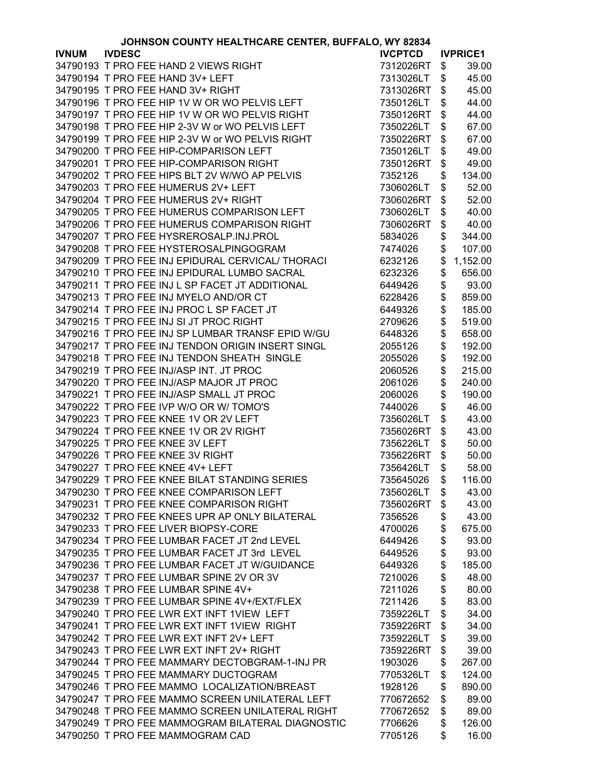| JOHNSON COUNTY HEALTHCARE CENTER, BUFFALO, WY 82834 |                                                   |                |    |                 |  |  |  |
|-----------------------------------------------------|---------------------------------------------------|----------------|----|-----------------|--|--|--|
| <b>IVNUM</b>                                        | <b>IVDESC</b>                                     | <b>IVCPTCD</b> |    | <b>IVPRICE1</b> |  |  |  |
|                                                     | 34790193 T PRO FEE HAND 2 VIEWS RIGHT             | 7312026RT      | \$ | 39.00           |  |  |  |
|                                                     | 34790194 T PRO FEE HAND 3V+ LEFT                  | 7313026LT      | \$ | 45.00           |  |  |  |
|                                                     | 34790195 T PRO FEE HAND 3V+ RIGHT                 | 7313026RT      | \$ | 45.00           |  |  |  |
|                                                     | 34790196 T PRO FEE HIP 1V W OR WO PELVIS LEFT     | 7350126LT      | \$ | 44.00           |  |  |  |
|                                                     | 34790197 T PRO FEE HIP 1V W OR WO PELVIS RIGHT    | 7350126RT      | \$ | 44.00           |  |  |  |
|                                                     | 34790198 T PRO FEE HIP 2-3V W or WO PELVIS LEFT   | 7350226LT      | \$ | 67.00           |  |  |  |
|                                                     |                                                   |                |    |                 |  |  |  |
|                                                     | 34790199 T PRO FEE HIP 2-3V W or WO PELVIS RIGHT  | 7350226RT      | \$ | 67.00           |  |  |  |
|                                                     | 34790200 T PRO FEE HIP-COMPARISON LEFT            | 7350126LT      | \$ | 49.00           |  |  |  |
|                                                     | 34790201 T PRO FEE HIP-COMPARISON RIGHT           | 7350126RT      | \$ | 49.00           |  |  |  |
|                                                     | 34790202 T PRO FEE HIPS BLT 2V W/WO AP PELVIS     | 7352126        | \$ | 134.00          |  |  |  |
|                                                     | 34790203 T PRO FEE HUMERUS 2V+ LEFT               | 7306026LT      | \$ | 52.00           |  |  |  |
|                                                     | 34790204 T PRO FEE HUMERUS 2V+ RIGHT              | 7306026RT      | \$ | 52.00           |  |  |  |
|                                                     | 34790205 T PRO FEE HUMERUS COMPARISON LEFT        | 7306026LT      | \$ | 40.00           |  |  |  |
|                                                     | 34790206 T PRO FEE HUMERUS COMPARISON RIGHT       | 7306026RT      | \$ | 40.00           |  |  |  |
|                                                     | 34790207 T PRO FEE HYSREROSALP.INJ.PROL           | 5834026        | \$ | 344.00          |  |  |  |
|                                                     | 34790208 T PRO FEE HYSTEROSALPINGOGRAM            | 7474026        | \$ | 107.00          |  |  |  |
|                                                     | 34790209 T PRO FEE INJ EPIDURAL CERVICAL/ THORACI | 6232126        | \$ | 1,152.00        |  |  |  |
|                                                     | 34790210 T PRO FEE INJ EPIDURAL LUMBO SACRAL      | 6232326        | \$ | 656.00          |  |  |  |
|                                                     | 34790211 T PRO FEE INJ L SP FACET JT ADDITIONAL   | 6449426        | \$ | 93.00           |  |  |  |
|                                                     | 34790213 T PRO FEE INJ MYELO AND/OR CT            |                | \$ |                 |  |  |  |
|                                                     |                                                   | 6228426        |    | 859.00          |  |  |  |
|                                                     | 34790214 T PRO FEE INJ PROC L SP FACET JT         | 6449326        | \$ | 185.00          |  |  |  |
|                                                     | 34790215 T PRO FEE INJ SI JT PROC RIGHT           | 2709626        | \$ | 519.00          |  |  |  |
|                                                     | 34790216 T PRO FEE INJ SP LUMBAR TRANSF EPID W/GU | 6448326        | \$ | 658.00          |  |  |  |
|                                                     | 34790217 T PRO FEE INJ TENDON ORIGIN INSERT SINGL | 2055126        | \$ | 192.00          |  |  |  |
|                                                     | 34790218 T PRO FEE INJ TENDON SHEATH SINGLE       | 2055026        | \$ | 192.00          |  |  |  |
|                                                     | 34790219 T PRO FEE INJ/ASP INT. JT PROC           | 2060526        | \$ | 215.00          |  |  |  |
|                                                     | 34790220 T PRO FEE INJ/ASP MAJOR JT PROC          | 2061026        | \$ | 240.00          |  |  |  |
|                                                     | 34790221 T PRO FEE INJ/ASP SMALL JT PROC          | 2060026        | \$ | 190.00          |  |  |  |
|                                                     | 34790222 T PRO FEE IVP W/O OR W/ TOMO'S           | 7440026        | \$ | 46.00           |  |  |  |
|                                                     | 34790223 T PRO FEE KNEE 1V OR 2V LEFT             | 7356026LT      | \$ | 43.00           |  |  |  |
|                                                     | 34790224 T PRO FEE KNEE 1V OR 2V RIGHT            | 7356026RT      | \$ | 43.00           |  |  |  |
|                                                     | 34790225 T PRO FEE KNEE 3V LEFT                   | 7356226LT      | \$ | 50.00           |  |  |  |
|                                                     | 34790226 T PRO FEE KNEE 3V RIGHT                  | 7356226RT      | \$ | 50.00           |  |  |  |
|                                                     | 34790227 T PRO FEE KNEE 4V+ LEFT                  | 7356426LT      | \$ | 58.00           |  |  |  |
|                                                     | 34790229 T PRO FEE KNEE BILAT STANDING SERIES     | 735645026      | \$ | 116.00          |  |  |  |
|                                                     |                                                   |                |    |                 |  |  |  |
|                                                     | 34790230 T PRO FEE KNEE COMPARISON LEFT           | 7356026LT      | \$ | 43.00           |  |  |  |
|                                                     | 34790231 T PRO FEE KNEE COMPARISON RIGHT          | 7356026RT      | \$ | 43.00           |  |  |  |
|                                                     | 34790232 T PRO FEE KNEES UPR AP ONLY BILATERAL    | 7356526        | \$ | 43.00           |  |  |  |
|                                                     | 34790233 T PRO FEE LIVER BIOPSY-CORE              | 4700026        | \$ | 675.00          |  |  |  |
|                                                     | 34790234 T PRO FEE LUMBAR FACET JT 2nd LEVEL      | 6449426        | \$ | 93.00           |  |  |  |
|                                                     | 34790235 T PRO FEE LUMBAR FACET JT 3rd LEVEL      | 6449526        | \$ | 93.00           |  |  |  |
|                                                     | 34790236 T PRO FEE LUMBAR FACET JT W/GUIDANCE     | 6449326        | \$ | 185.00          |  |  |  |
|                                                     | 34790237 T PRO FEE LUMBAR SPINE 2V OR 3V          | 7210026        | \$ | 48.00           |  |  |  |
|                                                     | 34790238 T PRO FEE LUMBAR SPINE 4V+               | 7211026        | \$ | 80.00           |  |  |  |
|                                                     | 34790239 T PRO FEE LUMBAR SPINE 4V+/EXT/FLEX      | 7211426        | \$ | 83.00           |  |  |  |
|                                                     | 34790240 T PRO FEE LWR EXT INFT 1VIEW LEFT        | 7359226LT      | \$ | 34.00           |  |  |  |
|                                                     | 34790241 T PRO FEE LWR EXT INFT 1VIEW RIGHT       | 7359226RT      | \$ | 34.00           |  |  |  |
|                                                     | 34790242 T PRO FEE LWR EXT INFT 2V+ LEFT          | 7359226LT      | \$ | 39.00           |  |  |  |
|                                                     | 34790243 T PRO FEE LWR EXT INFT 2V+ RIGHT         | 7359226RT      | \$ | 39.00           |  |  |  |
|                                                     | 34790244 T PRO FEE MAMMARY DECTOBGRAM-1-INJ PR    |                |    |                 |  |  |  |
|                                                     |                                                   | 1903026        | \$ | 267.00          |  |  |  |
|                                                     | 34790245 T PRO FEE MAMMARY DUCTOGRAM              | 7705326LT      | \$ | 124.00          |  |  |  |
|                                                     | 34790246 T PRO FEE MAMMO LOCALIZATION/BREAST      | 1928126        | \$ | 890.00          |  |  |  |
|                                                     | 34790247 T PRO FEE MAMMO SCREEN UNILATERAL LEFT   | 770672652      | \$ | 89.00           |  |  |  |
|                                                     | 34790248 T PRO FEE MAMMO SCREEN UNILATERAL RIGHT  | 770672652      | \$ | 89.00           |  |  |  |
|                                                     | 34790249 T PRO FEE MAMMOGRAM BILATERAL DIAGNOSTIC | 7706626        | \$ | 126.00          |  |  |  |
|                                                     | 34790250 T PRO FEE MAMMOGRAM CAD                  | 7705126        | \$ | 16.00           |  |  |  |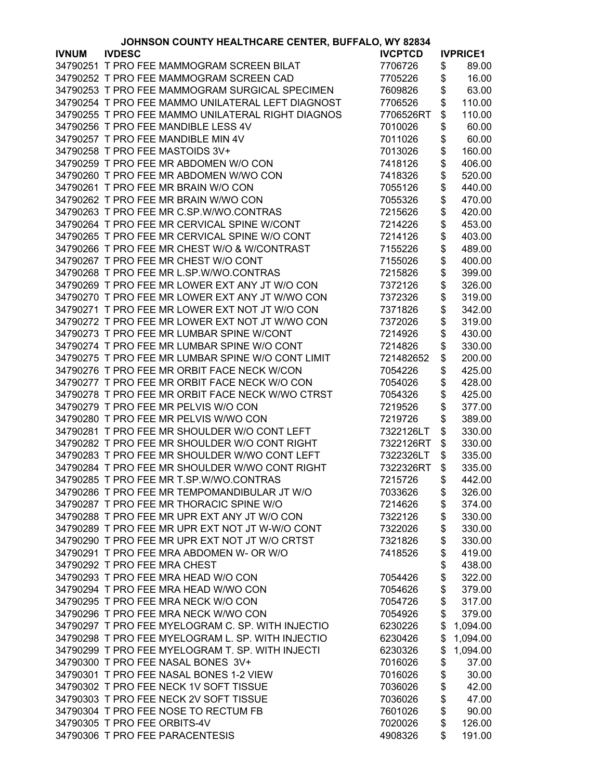| JOHNSON COUNTY HEALTHCARE CENTER, BUFFALO, WY 82834 |               |                                                   |                |               |                 |  |  |
|-----------------------------------------------------|---------------|---------------------------------------------------|----------------|---------------|-----------------|--|--|
| <b>IVNUM</b>                                        | <b>IVDESC</b> |                                                   | <b>IVCPTCD</b> |               | <b>IVPRICE1</b> |  |  |
|                                                     |               | 34790251 T PRO FEE MAMMOGRAM SCREEN BILAT         | 7706726        | \$            | 89.00           |  |  |
|                                                     |               | 34790252 T PRO FEE MAMMOGRAM SCREEN CAD           | 7705226        | \$            | 16.00           |  |  |
|                                                     |               | 34790253 T PRO FEE MAMMOGRAM SURGICAL SPECIMEN    | 7609826        | \$            | 63.00           |  |  |
|                                                     |               | 34790254 T PRO FEE MAMMO UNILATERAL LEFT DIAGNOST | 7706526        | \$            | 110.00          |  |  |
|                                                     |               | 34790255 T PRO FEE MAMMO UNILATERAL RIGHT DIAGNOS | 7706526RT      | \$            | 110.00          |  |  |
|                                                     |               | 34790256 T PRO FEE MANDIBLE LESS 4V               | 7010026        | \$            | 60.00           |  |  |
|                                                     |               | 34790257 T PRO FEE MANDIBLE MIN 4V                | 7011026        | \$            | 60.00           |  |  |
|                                                     |               | 34790258 T PRO FEE MASTOIDS 3V+                   | 7013026        | \$            | 160.00          |  |  |
|                                                     |               |                                                   |                |               |                 |  |  |
|                                                     |               | 34790259 T PRO FEE MR ABDOMEN W/O CON             | 7418126        | \$            | 406.00          |  |  |
|                                                     |               | 34790260 T PRO FEE MR ABDOMEN W/WO CON            | 7418326        | \$            | 520.00          |  |  |
|                                                     |               | 34790261 T PRO FEE MR BRAIN W/O CON               | 7055126        | \$            | 440.00          |  |  |
|                                                     |               | 34790262 T PRO FEE MR BRAIN W/WO CON              | 7055326        | \$            | 470.00          |  |  |
|                                                     |               | 34790263 T PRO FEE MR C.SP.W/WO.CONTRAS           | 7215626        | \$            | 420.00          |  |  |
|                                                     |               | 34790264 T PRO FEE MR CERVICAL SPINE W/CONT       | 7214226        | \$            | 453.00          |  |  |
|                                                     |               | 34790265 T PRO FEE MR CERVICAL SPINE W/O CONT     | 7214126        | \$            | 403.00          |  |  |
|                                                     |               | 34790266 T PRO FEE MR CHEST W/O & W/CONTRAST      | 7155226        | \$            | 489.00          |  |  |
|                                                     |               | 34790267 T PRO FEE MR CHEST W/O CONT              | 7155026        | \$            | 400.00          |  |  |
|                                                     |               | 34790268 T PRO FEE MR L.SP.W/WO.CONTRAS           | 7215826        | \$            | 399.00          |  |  |
|                                                     |               | 34790269 T PRO FEE MR LOWER EXT ANY JT W/O CON    | 7372126        | \$            | 326.00          |  |  |
|                                                     |               | 34790270 T PRO FEE MR LOWER EXT ANY JT W/WO CON   | 7372326        | \$            | 319.00          |  |  |
|                                                     |               | 34790271 T PRO FEE MR LOWER EXT NOT JT W/O CON    | 7371826        | \$            | 342.00          |  |  |
|                                                     |               | 34790272 T PRO FEE MR LOWER EXT NOT JT W/WO CON   | 7372026        | \$            | 319.00          |  |  |
|                                                     |               | 34790273 T PRO FEE MR LUMBAR SPINE W/CONT         | 7214926        | \$            | 430.00          |  |  |
|                                                     |               | 34790274 T PRO FEE MR LUMBAR SPINE W/O CONT       | 7214826        | \$            | 330.00          |  |  |
|                                                     |               | 34790275 T PRO FEE MR LUMBAR SPINE W/O CONT LIMIT | 721482652      | \$            | 200.00          |  |  |
|                                                     |               | 34790276 T PRO FEE MR ORBIT FACE NECK W/CON       | 7054226        |               | 425.00          |  |  |
|                                                     |               |                                                   |                | \$            |                 |  |  |
|                                                     |               | 34790277 T PRO FEE MR ORBIT FACE NECK W/O CON     | 7054026        | \$            | 428.00          |  |  |
|                                                     |               | 34790278 T PRO FEE MR ORBIT FACE NECK W/WO CTRST  | 7054326        | \$            | 425.00          |  |  |
|                                                     |               | 34790279 T PRO FEE MR PELVIS W/O CON              | 7219526        | \$            | 377.00          |  |  |
|                                                     |               | 34790280 T PRO FEE MR PELVIS W/WO CON             | 7219726        | \$            | 389.00          |  |  |
|                                                     |               | 34790281 T PRO FEE MR SHOULDER W/O CONT LEFT      | 7322126LT      | \$            | 330.00          |  |  |
|                                                     |               | 34790282 T PRO FEE MR SHOULDER W/O CONT RIGHT     | 7322126RT      | \$            | 330.00          |  |  |
|                                                     |               | 34790283 T PRO FEE MR SHOULDER W/WO CONT LEFT     | 7322326LT      | \$            | 335.00          |  |  |
|                                                     |               | 34790284 T PRO FEE MR SHOULDER W/WO CONT RIGHT    | 7322326RT      | \$            | 335.00          |  |  |
|                                                     |               | 34790285 T PRO FEE MR T.SP.W/WO.CONTRAS           | 7215726        | $\frac{1}{2}$ | 442.00          |  |  |
|                                                     |               | 34790286 T PRO FEE MR TEMPOMANDIBULAR JT W/O      | 7033626        | \$            | 326.00          |  |  |
|                                                     |               | 34790287 T PRO FEE MR THORACIC SPINE W/O          | 7214626        | \$            | 374.00          |  |  |
|                                                     |               | 34790288 T PRO FEE MR UPR EXT ANY JT W/O CON      | 7322126        | \$            | 330.00          |  |  |
|                                                     |               | 34790289 T PRO FEE MR UPR EXT NOT JT W-W/O CONT   | 7322026        | \$            | 330.00          |  |  |
|                                                     |               | 34790290 T PRO FEE MR UPR EXT NOT JT W/O CRTST    | 7321826        | \$            | 330.00          |  |  |
|                                                     |               | 34790291 T PRO FEE MRA ABDOMEN W- OR W/O          | 7418526        | \$            | 419.00          |  |  |
|                                                     |               | 34790292 T PRO FEE MRA CHEST                      |                | \$            | 438.00          |  |  |
|                                                     |               | 34790293 T PRO FEE MRA HEAD W/O CON               | 7054426        | \$            | 322.00          |  |  |
|                                                     |               | 34790294 T PRO FEE MRA HEAD W/WO CON              | 7054626        | \$            | 379.00          |  |  |
|                                                     |               | 34790295 T PRO FEE MRA NECK W/O CON               | 7054726        | \$            | 317.00          |  |  |
|                                                     |               | 34790296 T PRO FEE MRA NECK W/WO CON              | 7054926        | \$            | 379.00          |  |  |
|                                                     |               | 34790297 T PRO FEE MYELOGRAM C. SP. WITH INJECTIO | 6230226        | \$            | 1,094.00        |  |  |
|                                                     |               | 34790298 T PRO FEE MYELOGRAM L. SP. WITH INJECTIO |                |               |                 |  |  |
|                                                     |               |                                                   | 6230426        | \$            | 1,094.00        |  |  |
|                                                     |               | 34790299 T PRO FEE MYELOGRAM T. SP. WITH INJECTI  | 6230326        | \$            | 1,094.00        |  |  |
|                                                     |               | 34790300 T PRO FEE NASAL BONES 3V+                | 7016026        | \$            | 37.00           |  |  |
|                                                     |               | 34790301 T PRO FEE NASAL BONES 1-2 VIEW           | 7016026        | \$            | 30.00           |  |  |
|                                                     |               | 34790302 T PRO FEE NECK 1V SOFT TISSUE            | 7036026        | \$            | 42.00           |  |  |
|                                                     |               | 34790303 T PRO FEE NECK 2V SOFT TISSUE            | 7036026        | \$            | 47.00           |  |  |
|                                                     |               | 34790304 T PRO FEE NOSE TO RECTUM FB              | 7601026        | \$            | 90.00           |  |  |
|                                                     |               | 34790305 T PRO FEE ORBITS-4V                      | 7020026        | \$            | 126.00          |  |  |
|                                                     |               | 34790306 T PRO FEE PARACENTESIS                   | 4908326        | \$            | 191.00          |  |  |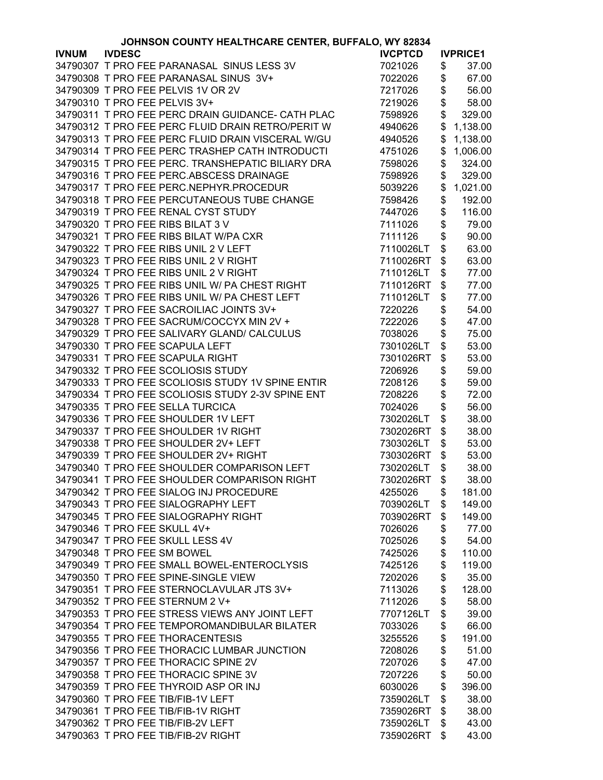|              | JOHNSON COUNTY HEALTHCARE CENTER, BUFFALO, WY 82834 |                                                   |                |    |                 |
|--------------|-----------------------------------------------------|---------------------------------------------------|----------------|----|-----------------|
| <b>IVNUM</b> | <b>IVDESC</b>                                       |                                                   | <b>IVCPTCD</b> |    | <b>IVPRICE1</b> |
|              |                                                     | 34790307 T PRO FEE PARANASAL SINUS LESS 3V        | 7021026        | \$ | 37.00           |
|              |                                                     | 34790308 T PRO FEE PARANASAL SINUS 3V+            | 7022026        | \$ | 67.00           |
|              |                                                     | 34790309 T PRO FEE PELVIS 1V OR 2V                | 7217026        | \$ | 56.00           |
|              |                                                     | 34790310 T PRO FEE PELVIS 3V+                     | 7219026        | \$ | 58.00           |
|              |                                                     | 34790311 T PRO FEE PERC DRAIN GUIDANCE- CATH PLAC | 7598926        | \$ | 329.00          |
|              |                                                     | 34790312 T PRO FEE PERC FLUID DRAIN RETRO/PERIT W | 4940626        | \$ | 1,138.00        |
|              |                                                     |                                                   |                |    |                 |
|              |                                                     | 34790313 T PRO FEE PERC FLUID DRAIN VISCERAL W/GU | 4940526        | \$ | 1,138.00        |
|              |                                                     | 34790314 T PRO FEE PERC TRASHEP CATH INTRODUCTI   | 4751026        | \$ | 1,006.00        |
|              |                                                     | 34790315 T PRO FEE PERC. TRANSHEPATIC BILIARY DRA | 7598026        | \$ | 324.00          |
|              |                                                     | 34790316 T PRO FEE PERC.ABSCESS DRAINAGE          | 7598926        | \$ | 329.00          |
|              |                                                     | 34790317 T PRO FEE PERC.NEPHYR.PROCEDUR           | 5039226        | \$ | 1,021.00        |
|              |                                                     | 34790318 T PRO FEE PERCUTANEOUS TUBE CHANGE       | 7598426        | \$ | 192.00          |
|              |                                                     | 34790319 T PRO FEE RENAL CYST STUDY               | 7447026        | \$ | 116.00          |
|              |                                                     | 34790320 T PRO FEE RIBS BILAT 3 V                 | 7111026        | \$ | 79.00           |
|              |                                                     | 34790321 T PRO FEE RIBS BILAT W/PA CXR            | 7111126        | \$ | 90.00           |
|              |                                                     | 34790322 T PRO FEE RIBS UNIL 2 V LEFT             | 7110026LT      | \$ | 63.00           |
|              |                                                     | 34790323 T PRO FEE RIBS UNIL 2 V RIGHT            | 7110026RT      | \$ | 63.00           |
|              |                                                     | 34790324 T PRO FEE RIBS UNIL 2 V RIGHT            | 7110126LT      | \$ | 77.00           |
|              |                                                     | 34790325 T PRO FEE RIBS UNIL W/ PA CHEST RIGHT    | 7110126RT      | \$ | 77.00           |
|              |                                                     | 34790326 T PRO FEE RIBS UNIL W/ PA CHEST LEFT     | 7110126LT      | \$ | 77.00           |
|              |                                                     | 34790327 T PRO FEE SACROILIAC JOINTS 3V+          | 7220226        | \$ | 54.00           |
|              |                                                     |                                                   |                |    |                 |
|              |                                                     | 34790328 T PRO FEE SACRUM/COCCYX MIN 2V +         | 7222026        | \$ | 47.00           |
|              |                                                     | 34790329 T PRO FEE SALIVARY GLAND/ CALCULUS       | 7038026        | \$ | 75.00           |
|              |                                                     | 34790330 T PRO FEE SCAPULA LEFT                   | 7301026LT      | \$ | 53.00           |
|              |                                                     | 34790331 T PRO FEE SCAPULA RIGHT                  | 7301026RT      | \$ | 53.00           |
|              |                                                     | 34790332 T PRO FEE SCOLIOSIS STUDY                | 7206926        | \$ | 59.00           |
|              |                                                     | 34790333 T PRO FEE SCOLIOSIS STUDY 1V SPINE ENTIR | 7208126        | \$ | 59.00           |
|              |                                                     | 34790334 T PRO FEE SCOLIOSIS STUDY 2-3V SPINE ENT | 7208226        | \$ | 72.00           |
|              |                                                     | 34790335 T PRO FEE SELLA TURCICA                  | 7024026        | \$ | 56.00           |
|              |                                                     | 34790336 T PRO FEE SHOULDER 1V LEFT               | 7302026LT      | \$ | 38.00           |
|              |                                                     | 34790337 T PRO FEE SHOULDER 1V RIGHT              | 7302026RT      | \$ | 38.00           |
|              |                                                     | 34790338 T PRO FEE SHOULDER 2V+ LEFT              | 7303026LT      | \$ | 53.00           |
|              |                                                     | 34790339 T PRO FEE SHOULDER 2V+ RIGHT             | 7303026RT      | \$ | 53.00           |
|              |                                                     | 34790340 T PRO FEE SHOULDER COMPARISON LEFT       | 7302026LT      | \$ | 38.00           |
|              |                                                     | 34790341 T PRO FEE SHOULDER COMPARISON RIGHT      | 7302026RT      | \$ | 38.00           |
|              |                                                     | 34790342 T PRO FEE SIALOG INJ PROCEDURE           | 4255026        | \$ | 181.00          |
|              |                                                     | 34790343 T PRO FEE SIALOGRAPHY LEFT               | 7039026LT      | \$ | 149.00          |
|              |                                                     | 34790345 T PRO FEE SIALOGRAPHY RIGHT              | 7039026RT      | \$ | 149.00          |
|              |                                                     | 34790346 T PRO FEE SKULL 4V+                      | 7026026        | \$ | 77.00           |
|              |                                                     |                                                   |                |    |                 |
|              |                                                     | 34790347 T PRO FEE SKULL LESS 4V                  | 7025026        | \$ | 54.00           |
|              |                                                     | 34790348 T PRO FEE SM BOWEL                       | 7425026        | \$ | 110.00          |
|              |                                                     | 34790349 T PRO FEE SMALL BOWEL-ENTEROCLYSIS       | 7425126        | \$ | 119.00          |
|              |                                                     | 34790350 T PRO FEE SPINE-SINGLE VIEW              | 7202026        | \$ | 35.00           |
|              |                                                     | 34790351 T PRO FEE STERNOCLAVULAR JTS 3V+         | 7113026        | \$ | 128.00          |
|              |                                                     | 34790352 T PRO FEE STERNUM 2 V+                   | 7112026        | \$ | 58.00           |
|              |                                                     | 34790353 T PRO FEE STRESS VIEWS ANY JOINT LEFT    | 7707126LT      | \$ | 39.00           |
|              |                                                     | 34790354 T PRO FEE TEMPOROMANDIBULAR BILATER      | 7033026        | \$ | 66.00           |
|              |                                                     | 34790355 T PRO FEE THORACENTESIS                  | 3255526        | \$ | 191.00          |
|              |                                                     | 34790356 T PRO FEE THORACIC LUMBAR JUNCTION       | 7208026        | \$ | 51.00           |
|              |                                                     | 34790357 T PRO FEE THORACIC SPINE 2V              | 7207026        | \$ | 47.00           |
|              |                                                     | 34790358 T PRO FEE THORACIC SPINE 3V              | 7207226        | \$ | 50.00           |
|              |                                                     | 34790359 T PRO FEE THYROID ASP OR INJ             | 6030026        | \$ | 396.00          |
|              |                                                     | 34790360 T PRO FEE TIB/FIB-1V LEFT                | 7359026LT      | \$ | 38.00           |
|              |                                                     | 34790361 T PRO FEE TIB/FIB-1V RIGHT               | 7359026RT      | \$ | 38.00           |
|              |                                                     |                                                   |                |    |                 |
|              |                                                     | 34790362 T PRO FEE TIB/FIB-2V LEFT                | 7359026LT      | \$ | 43.00           |
|              |                                                     | 34790363 T PRO FEE TIB/FIB-2V RIGHT               | 7359026RT      | \$ | 43.00           |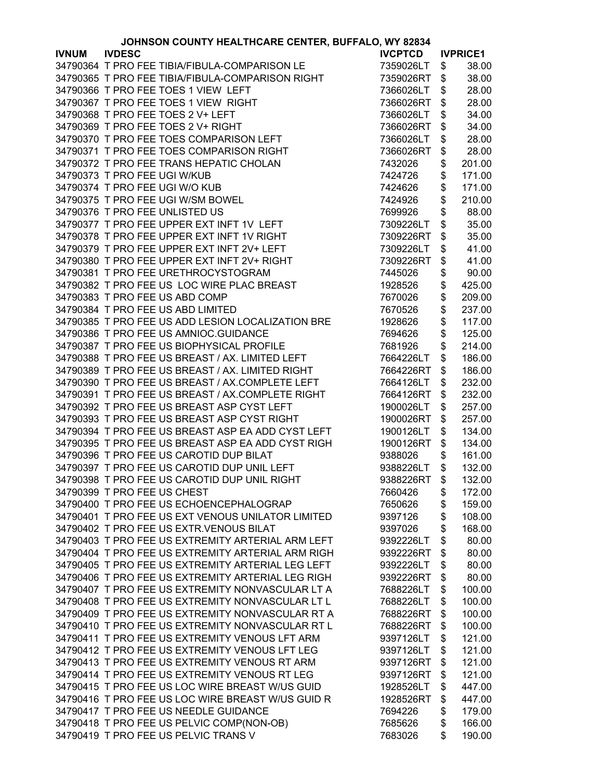| JOHNSON COUNTY HEALTHCARE CENTER, BUFFALO, WY 82834 |                                                   |                |    |                 |
|-----------------------------------------------------|---------------------------------------------------|----------------|----|-----------------|
| <b>IVNUM</b>                                        | <b>IVDESC</b>                                     | <b>IVCPTCD</b> |    | <b>IVPRICE1</b> |
|                                                     | 34790364 T PRO FEE TIBIA/FIBULA-COMPARISON LE     | 7359026LT      | \$ | 38.00           |
|                                                     | 34790365 T PRO FEE TIBIA/FIBULA-COMPARISON RIGHT  | 7359026RT      | \$ | 38.00           |
|                                                     | 34790366 T PRO FEE TOES 1 VIEW LEFT               | 7366026LT      | \$ | 28.00           |
|                                                     | 34790367 T PRO FEE TOES 1 VIEW RIGHT              | 7366026RT      | \$ | 28.00           |
|                                                     | 34790368 T PRO FEE TOES 2 V+ LEFT                 | 7366026LT      | \$ | 34.00           |
|                                                     | 34790369 T PRO FEE TOES 2 V+ RIGHT                | 7366026RT      | \$ | 34.00           |
|                                                     | 34790370 T PRO FEE TOES COMPARISON LEFT           | 7366026LT      | \$ | 28.00           |
|                                                     | 34790371 T PRO FEE TOES COMPARISON RIGHT          | 7366026RT      | \$ | 28.00           |
|                                                     | 34790372 T PRO FEE TRANS HEPATIC CHOLAN           |                |    | 201.00          |
|                                                     |                                                   | 7432026        | \$ |                 |
|                                                     | 34790373 T PRO FEE UGI W/KUB                      | 7424726        | \$ | 171.00          |
|                                                     | 34790374 T PRO FEE UGI W/O KUB                    | 7424626        | \$ | 171.00          |
|                                                     | 34790375 T PRO FEE UGI W/SM BOWEL                 | 7424926        | \$ | 210.00          |
|                                                     | 34790376 T PRO FEE UNLISTED US                    | 7699926        | \$ | 88.00           |
|                                                     | 34790377 T PRO FEE UPPER EXT INFT 1V LEFT         | 7309226LT      | \$ | 35.00           |
|                                                     | 34790378 T PRO FEE UPPER EXT INFT 1V RIGHT        | 7309226RT      | \$ | 35.00           |
|                                                     | 34790379 T PRO FEE UPPER EXT INFT 2V+ LEFT        | 7309226LT      | \$ | 41.00           |
|                                                     | 34790380 T PRO FEE UPPER EXT INFT 2V+ RIGHT       | 7309226RT      | \$ | 41.00           |
|                                                     | 34790381 T PRO FEE URETHROCYSTOGRAM               | 7445026        | \$ | 90.00           |
|                                                     | 34790382 T PRO FEE US LOC WIRE PLAC BREAST        | 1928526        | \$ | 425.00          |
|                                                     | 34790383 T PRO FEE US ABD COMP                    | 7670026        | \$ | 209.00          |
|                                                     | 34790384 T PRO FEE US ABD LIMITED                 | 7670526        | \$ | 237.00          |
|                                                     | 34790385 T PRO FEE US ADD LESION LOCALIZATION BRE | 1928626        | \$ | 117.00          |
|                                                     | 34790386 T PRO FEE US AMNIOC.GUIDANCE             | 7694626        | \$ | 125.00          |
|                                                     | 34790387 T PRO FEE US BIOPHYSICAL PROFILE         | 7681926        | \$ | 214.00          |
|                                                     |                                                   |                |    |                 |
|                                                     | 34790388 T PRO FEE US BREAST / AX. LIMITED LEFT   | 7664226LT      | \$ | 186.00          |
|                                                     | 34790389 T PRO FEE US BREAST / AX. LIMITED RIGHT  | 7664226RT      | \$ | 186.00          |
|                                                     | 34790390 T PRO FEE US BREAST / AX.COMPLETE LEFT   | 7664126LT      | \$ | 232.00          |
|                                                     | 34790391 T PRO FEE US BREAST / AX.COMPLETE RIGHT  | 7664126RT      | \$ | 232.00          |
|                                                     | 34790392 T PRO FEE US BREAST ASP CYST LEFT        | 1900026LT      | \$ | 257.00          |
|                                                     | 34790393 T PRO FEE US BREAST ASP CYST RIGHT       | 1900026RT      | \$ | 257.00          |
|                                                     | 34790394 T PRO FEE US BREAST ASP EA ADD CYST LEFT | 1900126LT      | \$ | 134.00          |
|                                                     | 34790395 T PRO FEE US BREAST ASP EA ADD CYST RIGH | 1900126RT      | \$ | 134.00          |
|                                                     | 34790396 T PRO FEE US CAROTID DUP BILAT           | 9388026        | \$ | 161.00          |
|                                                     | 34790397 T PRO FEE US CAROTID DUP UNIL LEFT       | 9388226LT      | \$ | 132.00          |
|                                                     | 34790398 T PRO FEE US CAROTID DUP UNIL RIGHT      | 9388226RT      | \$ | 132.00          |
|                                                     | 34790399 T PRO FEE US CHEST                       | 7660426        | \$ | 172.00          |
|                                                     | 34790400 T PRO FEE US ECHOENCEPHALOGRAP           | 7650626        | \$ | 159.00          |
|                                                     | 34790401 T PRO FEE US EXT VENOUS UNILATOR LIMITED | 9397126        | \$ | 108.00          |
|                                                     | 34790402 T PRO FEE US EXTR.VENOUS BILAT           | 9397026        | \$ | 168.00          |
|                                                     | 34790403 T PRO FEE US EXTREMITY ARTERIAL ARM LEFT | 9392226LT      | \$ | 80.00           |
|                                                     | 34790404 T PRO FEE US EXTREMITY ARTERIAL ARM RIGH | 9392226RT      | \$ | 80.00           |
|                                                     | 34790405 T PRO FEE US EXTREMITY ARTERIAL LEG LEFT | 9392226LT      | \$ | 80.00           |
|                                                     | 34790406 T PRO FEE US EXTREMITY ARTERIAL LEG RIGH | 9392226RT      | \$ | 80.00           |
|                                                     | 34790407 T PRO FEE US EXTREMITY NONVASCULAR LT A  | 7688226LT      | \$ | 100.00          |
|                                                     | 34790408 T PRO FEE US EXTREMITY NONVASCULAR LT L  | 7688226LT      | \$ | 100.00          |
|                                                     |                                                   |                |    |                 |
|                                                     | 34790409 T PRO FEE US EXTREMITY NONVASCULAR RT A  | 7688226RT      | \$ | 100.00          |
|                                                     | 34790410 T PRO FEE US EXTREMITY NONVASCULAR RT L  | 7688226RT      | \$ | 100.00          |
|                                                     | 34790411 T PRO FEE US EXTREMITY VENOUS LFT ARM    | 9397126LT      | \$ | 121.00          |
|                                                     | 34790412 T PRO FEE US EXTREMITY VENOUS LFT LEG    | 9397126LT      | \$ | 121.00          |
|                                                     | 34790413 T PRO FEE US EXTREMITY VENOUS RT ARM     | 9397126RT      | \$ | 121.00          |
|                                                     | 34790414 T PRO FEE US EXTREMITY VENOUS RT LEG     | 9397126RT      | \$ | 121.00          |
|                                                     | 34790415 T PRO FEE US LOC WIRE BREAST W/US GUID   | 1928526LT      | \$ | 447.00          |
|                                                     | 34790416 T PRO FEE US LOC WIRE BREAST W/US GUID R | 1928526RT      | \$ | 447.00          |
|                                                     | 34790417 T PRO FEE US NEEDLE GUIDANCE             | 7694226        | \$ | 179.00          |
|                                                     | 34790418 T PRO FEE US PELVIC COMP(NON-OB)         | 7685626        | \$ | 166.00          |
|                                                     | 34790419 T PRO FEE US PELVIC TRANS V              | 7683026        | \$ | 190.00          |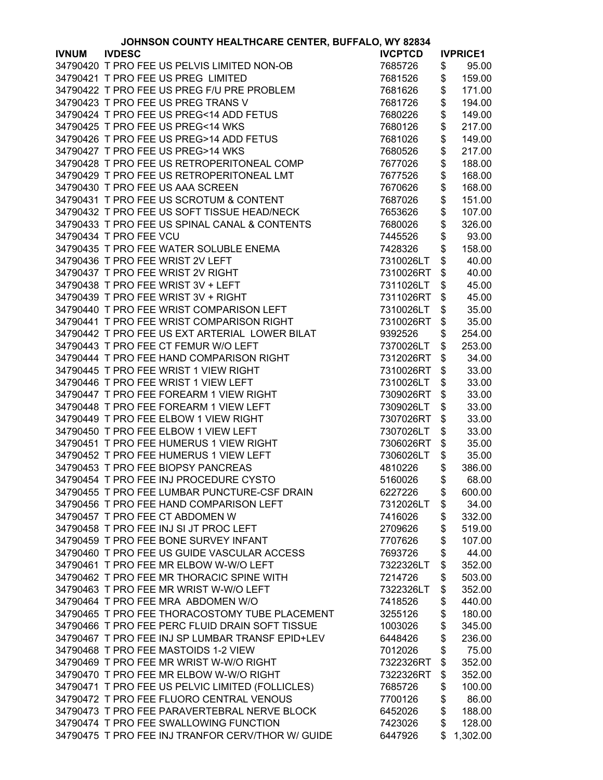|              | JOHNSON COUNTY HEALTHCARE CENTER, BUFFALO, WY 82834 |                |                 |
|--------------|-----------------------------------------------------|----------------|-----------------|
| <b>IVNUM</b> | <b>IVDESC</b>                                       | <b>IVCPTCD</b> | <b>IVPRICE1</b> |
|              | 34790420 T PRO FEE US PELVIS LIMITED NON-OB         | 7685726        | \$<br>95.00     |
|              | 34790421 T PRO FEE US PREG LIMITED                  | 7681526        | \$<br>159.00    |
|              | 34790422 T PRO FEE US PREG F/U PRE PROBLEM          | 7681626        | \$<br>171.00    |
|              | 34790423 T PRO FEE US PREG TRANS V                  | 7681726        | \$<br>194.00    |
|              | 34790424 T PRO FEE US PREG<14 ADD FETUS             | 7680226        | \$<br>149.00    |
|              | 34790425 T PRO FEE US PREG<14 WKS                   | 7680126        | \$<br>217.00    |
|              | 34790426 T PRO FEE US PREG>14 ADD FETUS             | 7681026        | \$<br>149.00    |
|              | 34790427 T PRO FEE US PREG>14 WKS                   | 7680526        | \$<br>217.00    |
|              | 34790428 T PRO FEE US RETROPERITONEAL COMP          | 7677026        | \$<br>188.00    |
|              | 34790429 T PRO FEE US RETROPERITONEAL LMT           | 7677526        | \$<br>168.00    |
|              | 34790430 T PRO FEE US AAA SCREEN                    | 7670626        | \$<br>168.00    |
|              | 34790431 T PRO FEE US SCROTUM & CONTENT             | 7687026        | \$<br>151.00    |
|              | 34790432 T PRO FEE US SOFT TISSUE HEAD/NECK         | 7653626        | \$<br>107.00    |
|              | 34790433 T PRO FEE US SPINAL CANAL & CONTENTS       | 7680026        | \$<br>326.00    |
|              | 34790434 T PRO FEE VCU                              | 7445526        | 93.00           |
|              |                                                     |                | \$              |
|              | 34790435 T PRO FEE WATER SOLUBLE ENEMA              | 7428326        | \$<br>158.00    |
|              | 34790436 T PRO FEE WRIST 2V LEFT                    | 7310026LT      | \$<br>40.00     |
|              | 34790437 T PRO FEE WRIST 2V RIGHT                   | 7310026RT      | \$<br>40.00     |
|              | 34790438 T PRO FEE WRIST 3V + LEFT                  | 7311026LT      | \$<br>45.00     |
|              | 34790439 T PRO FEE WRIST 3V + RIGHT                 | 7311026RT      | \$<br>45.00     |
|              | 34790440 T PRO FEE WRIST COMPARISON LEFT            | 7310026LT      | \$<br>35.00     |
|              | 34790441 T PRO FEE WRIST COMPARISON RIGHT           | 7310026RT      | \$<br>35.00     |
|              | 34790442 T PRO FEE US EXT ARTERIAL LOWER BILAT      | 9392526        | \$<br>254.00    |
|              | 34790443 T PRO FEE CT FEMUR W/O LEFT                | 7370026LT      | \$<br>253.00    |
|              | 34790444 T PRO FEE HAND COMPARISON RIGHT            | 7312026RT      | \$<br>34.00     |
|              | 34790445 T PRO FEE WRIST 1 VIEW RIGHT               | 7310026RT      | \$<br>33.00     |
|              | 34790446 T PRO FEE WRIST 1 VIEW LEFT                | 7310026LT      | \$<br>33.00     |
|              | 34790447 T PRO FEE FOREARM 1 VIEW RIGHT             | 7309026RT      | \$<br>33.00     |
|              | 34790448 T PRO FEE FOREARM 1 VIEW LEFT              | 7309026LT      | \$<br>33.00     |
|              | 34790449 T PRO FEE ELBOW 1 VIEW RIGHT               | 7307026RT      | \$<br>33.00     |
|              | 34790450 T PRO FEE ELBOW 1 VIEW LEFT                | 7307026LT      | \$<br>33.00     |
|              | 34790451 T PRO FEE HUMERUS 1 VIEW RIGHT             | 7306026RT      | \$<br>35.00     |
|              | 34790452 T PRO FEE HUMERUS 1 VIEW LEFT              | 7306026LT      | \$<br>35.00     |
|              | 34790453 T PRO FEE BIOPSY PANCREAS                  | 4810226        | \$<br>386.00    |
|              | 34790454 T PRO FEE INJ PROCEDURE CYSTO              | 5160026        | \$<br>68.00     |
|              | 34790455 T PRO FEE LUMBAR PUNCTURE-CSF DRAIN        | 6227226        | \$<br>600.00    |
|              | 34790456 T PRO FEE HAND COMPARISON LEFT             | 7312026LT      | \$<br>34.00     |
|              | 34790457 T PRO FEE CT ABDOMEN W                     | 7416026        | \$<br>332.00    |
|              | 34790458 T PRO FEE INJ SI JT PROC LEFT              | 2709626        | \$<br>519.00    |
|              | 34790459 T PRO FEE BONE SURVEY INFANT               | 7707626        | \$<br>107.00    |
|              | 34790460 T PRO FEE US GUIDE VASCULAR ACCESS         | 7693726        | \$<br>44.00     |
|              | 34790461 T PRO FEE MR ELBOW W-W/O LEFT              | 7322326LT      | \$<br>352.00    |
|              | 34790462 T PRO FEE MR THORACIC SPINE WITH           | 7214726        | \$<br>503.00    |
|              | 34790463 T PRO FEE MR WRIST W-W/O LEFT              | 7322326LT      | \$<br>352.00    |
|              | 34790464 T PRO FEE MRA ABDOMEN W/O                  | 7418526        | \$<br>440.00    |
|              | 34790465 T PRO FEE THORACOSTOMY TUBE PLACEMENT      |                | 180.00          |
|              |                                                     | 3255126        | \$              |
|              | 34790466 T PRO FEE PERC FLUID DRAIN SOFT TISSUE     | 1003026        | \$<br>345.00    |
|              | 34790467 T PRO FEE INJ SP LUMBAR TRANSF EPID+LEV    | 6448426        | \$<br>236.00    |
|              | 34790468 T PRO FEE MASTOIDS 1-2 VIEW                | 7012026        | \$<br>75.00     |
|              | 34790469 T PRO FEE MR WRIST W-W/O RIGHT             | 7322326RT      | \$<br>352.00    |
|              | 34790470 T PRO FEE MR ELBOW W-W/O RIGHT             | 7322326RT      | \$<br>352.00    |
|              | 34790471 T PRO FEE US PELVIC LIMITED (FOLLICLES)    | 7685726        | \$<br>100.00    |
|              | 34790472 T PRO FEE FLUORO CENTRAL VENOUS            | 7700126        | \$<br>86.00     |
|              | 34790473 T PRO FEE PARAVERTEBRAL NERVE BLOCK        | 6452026        | \$<br>188.00    |
|              | 34790474 T PRO FEE SWALLOWING FUNCTION              | 7423026        | \$<br>128.00    |
|              | 34790475 T PRO FEE INJ TRANFOR CERV/THOR W/ GUIDE   | 6447926        | \$<br>1,302.00  |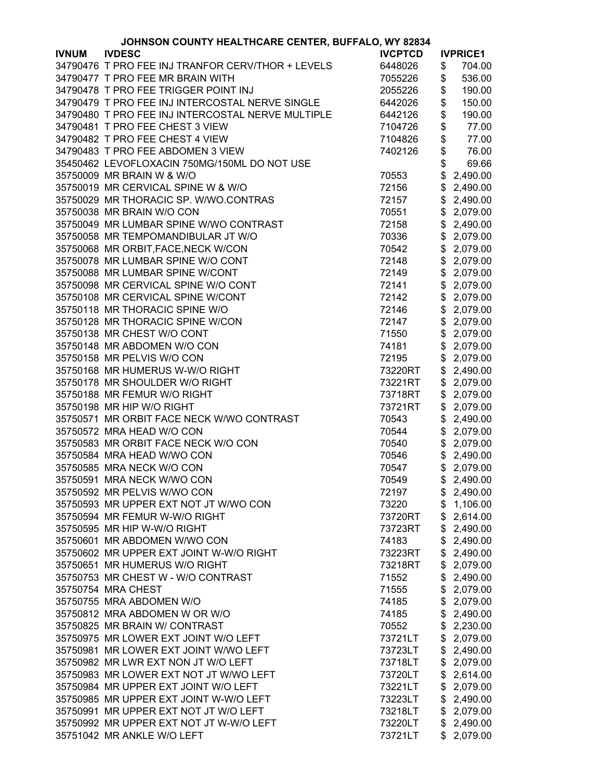|              | JOHNSON COUNTY HEALTHCARE CENTER, BUFFALO, WY 82834 |                |                 |
|--------------|-----------------------------------------------------|----------------|-----------------|
| <b>IVNUM</b> | <b>IVDESC</b>                                       | <b>IVCPTCD</b> | <b>IVPRICE1</b> |
|              | 34790476 T PRO FEE INJ TRANFOR CERV/THOR + LEVELS   | 6448026        | \$<br>704.00    |
|              | 34790477 T PRO FEE MR BRAIN WITH                    | 7055226        | \$<br>536.00    |
|              | 34790478 T PRO FEE TRIGGER POINT INJ                | 2055226        | \$<br>190.00    |
|              | 34790479 T PRO FEE INJ INTERCOSTAL NERVE SINGLE     | 6442026        | \$<br>150.00    |
|              | 34790480 T PRO FEE INJ INTERCOSTAL NERVE MULTIPLE   | 6442126        | \$<br>190.00    |
|              | 34790481 T PRO FEE CHEST 3 VIEW                     | 7104726        | \$<br>77.00     |
|              | 34790482 T PRO FEE CHEST 4 VIEW                     | 7104826        | \$<br>77.00     |
|              | 34790483 T PRO FEE ABDOMEN 3 VIEW                   | 7402126        | \$<br>76.00     |
|              | 35450462 LEVOFLOXACIN 750MG/150ML DO NOT USE        |                | \$              |
|              |                                                     |                | 69.66           |
|              | 35750009 MR BRAIN W & W/O                           | 70553          | \$<br>2,490.00  |
|              | 35750019 MR CERVICAL SPINE W & W/O                  | 72156          | \$<br>2,490.00  |
|              | 35750029 MR THORACIC SP. W/WO.CONTRAS               | 72157          | \$2,490.00      |
|              | 35750038 MR BRAIN W/O CON                           | 70551          | \$<br>2,079.00  |
|              | 35750049 MR LUMBAR SPINE W/WO CONTRAST              | 72158          | \$<br>2,490.00  |
|              | 35750058 MR TEMPOMANDIBULAR JT W/O                  | 70336          | \$<br>2,079.00  |
|              | 35750068 MR ORBIT, FACE, NECK W/CON                 | 70542          | \$2,079.00      |
|              | 35750078 MR LUMBAR SPINE W/O CONT                   | 72148          | \$<br>2,079.00  |
|              | 35750088 MR LUMBAR SPINE W/CONT                     | 72149          | \$<br>2,079.00  |
|              | 35750098 MR CERVICAL SPINE W/O CONT                 | 72141          | \$2,079.00      |
|              | 35750108 MR CERVICAL SPINE W/CONT                   | 72142          | \$2,079.00      |
|              | 35750118 MR THORACIC SPINE W/O                      | 72146          | \$2,079.00      |
|              | 35750128 MR THORACIC SPINE W/CON                    | 72147          | \$2,079.00      |
|              | 35750138 MR CHEST W/O CONT                          | 71550          | \$2,079.00      |
|              | 35750148 MR ABDOMEN W/O CON                         | 74181          | \$<br>2,079.00  |
|              | 35750158 MR PELVIS W/O CON                          | 72195          | \$<br>2,079.00  |
|              | 35750168 MR HUMERUS W-W/O RIGHT                     |                | \$<br>2,490.00  |
|              |                                                     | 73220RT        |                 |
|              | 35750178 MR SHOULDER W/O RIGHT                      | 73221RT        | \$<br>2,079.00  |
|              | 35750188 MR FEMUR W/O RIGHT                         | 73718RT        | \$2,079.00      |
|              | 35750198 MR HIP W/O RIGHT                           | 73721RT        | \$2,079.00      |
|              | 35750571 MR ORBIT FACE NECK W/WO CONTRAST           | 70543          | \$<br>2,490.00  |
|              | 35750572 MRA HEAD W/O CON                           | 70544          | \$<br>2,079.00  |
|              | 35750583 MR ORBIT FACE NECK W/O CON                 | 70540          | \$<br>2,079.00  |
|              | 35750584 MRA HEAD W/WO CON                          | 70546          | \$2,490.00      |
|              | 35750585 MRA NECK W/O CON                           | 70547          | \$2,079.00      |
|              | 35750591 MRA NECK W/WO CON                          | 70549          | \$2,490.00      |
|              | 35750592 MR PELVIS W/WO CON                         | 72197          | \$2,490.00      |
|              | 35750593 MR UPPER EXT NOT JT W/WO CON               | 73220          | \$1,106.00      |
|              | 35750594 MR FEMUR W-W/O RIGHT                       | 73720RT        | \$2,614.00      |
|              | 35750595 MR HIP W-W/O RIGHT                         | 73723RT        | \$2,490.00      |
|              | 35750601 MR ABDOMEN W/WO CON                        | 74183          | \$<br>2,490.00  |
|              | 35750602 MR UPPER EXT JOINT W-W/O RIGHT             | 73223RT        | \$<br>2,490.00  |
|              | 35750651 MR HUMERUS W/O RIGHT                       | 73218RT        | \$<br>2,079.00  |
|              | 35750753 MR CHEST W - W/O CONTRAST                  | 71552          | \$<br>2,490.00  |
|              | 35750754 MRA CHEST                                  | 71555          | \$<br>2,079.00  |
|              | 35750755 MRA ABDOMEN W/O                            | 74185          | \$<br>2,079.00  |
|              | 35750812 MRA ABDOMEN W OR W/O                       | 74185          | \$<br>2,490.00  |
|              | 35750825 MR BRAIN W/ CONTRAST                       | 70552          | \$<br>2,230.00  |
|              | 35750975 MR LOWER EXT JOINT W/O LEFT                | 73721LT        | \$<br>2,079.00  |
|              |                                                     |                |                 |
|              | 35750981 MR LOWER EXT JOINT W/WO LEFT               | 73723LT        | \$<br>2,490.00  |
|              | 35750982 MR LWR EXT NON JT W/O LEFT                 | 73718LT        | \$<br>2,079.00  |
|              | 35750983 MR LOWER EXT NOT JT W/WO LEFT              | 73720LT        | \$2,614.00      |
|              | 35750984 MR UPPER EXT JOINT W/O LEFT                | 73221LT        | \$2,079.00      |
|              | 35750985 MR UPPER EXT JOINT W-W/O LEFT              | 73223LT        | \$2,490.00      |
|              | 35750991 MR UPPER EXT NOT JT W/O LEFT               | 73218LT        | \$2,079.00      |
|              | 35750992 MR UPPER EXT NOT JT W-W/O LEFT             | 73220LT        | \$2,490.00      |
|              | 35751042 MR ANKLE W/O LEFT                          | 73721LT        | \$2,079.00      |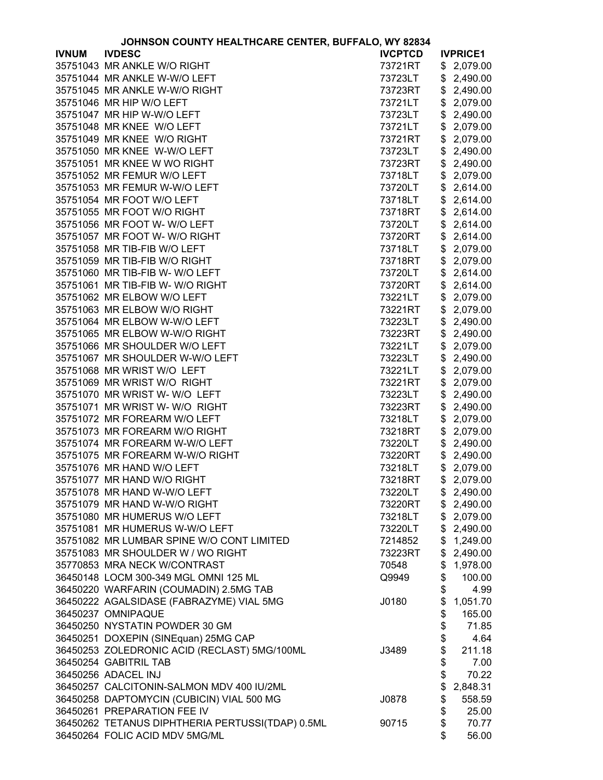| JOHNSON COUNTY HEALTHCARE CENTER, BUFFALO, WY 82834 |                                                  |                |    |                 |
|-----------------------------------------------------|--------------------------------------------------|----------------|----|-----------------|
| <b>IVNUM</b>                                        | <b>IVDESC</b>                                    | <b>IVCPTCD</b> |    | <b>IVPRICE1</b> |
|                                                     | 35751043 MR ANKLE W/O RIGHT                      | 73721RT        |    | \$2,079.00      |
|                                                     | 35751044 MR ANKLE W-W/O LEFT                     | 73723LT        | \$ | 2,490.00        |
|                                                     | 35751045 MR ANKLE W-W/O RIGHT                    | 73723RT        | \$ | 2,490.00        |
|                                                     | 35751046 MR HIP W/O LEFT                         | 73721LT        | \$ | 2,079.00        |
|                                                     | 35751047 MR HIP W-W/O LEFT                       | 73723LT        | \$ | 2,490.00        |
|                                                     | 35751048 MR KNEE W/O LEFT                        | 73721LT        | \$ | 2,079.00        |
|                                                     | 35751049 MR KNEE W/O RIGHT                       | 73721RT        | \$ | 2,079.00        |
|                                                     | 35751050 MR KNEE W-W/O LEFT                      | 73723LT        | \$ | 2,490.00        |
|                                                     | 35751051 MR KNEE W WO RIGHT                      | 73723RT        | \$ | 2,490.00        |
|                                                     | 35751052 MR FEMUR W/O LEFT                       | 73718LT        | \$ | 2,079.00        |
|                                                     | 35751053 MR FEMUR W-W/O LEFT                     | 73720LT        | \$ | 2,614.00        |
|                                                     | 35751054 MR FOOT W/O LEFT                        | 73718LT        | \$ | 2,614.00        |
|                                                     | 35751055 MR FOOT W/O RIGHT                       | 73718RT        | \$ | 2,614.00        |
|                                                     | 35751056 MR FOOT W- W/O LEFT                     | 73720LT        | \$ | 2,614.00        |
|                                                     | 35751057 MR FOOT W- W/O RIGHT                    |                | \$ |                 |
|                                                     |                                                  | 73720RT        |    | 2,614.00        |
|                                                     | 35751058 MR TIB-FIB W/O LEFT                     | 73718LT        | \$ | 2,079.00        |
|                                                     | 35751059 MR TIB-FIB W/O RIGHT                    | 73718RT        | \$ | 2,079.00        |
|                                                     | 35751060 MR TIB-FIB W- W/O LEFT                  | 73720LT        | \$ | 2,614.00        |
|                                                     | 35751061 MR TIB-FIB W- W/O RIGHT                 | 73720RT        | \$ | 2,614.00        |
|                                                     | 35751062 MR ELBOW W/O LEFT                       | 73221LT        | \$ | 2,079.00        |
|                                                     | 35751063 MR ELBOW W/O RIGHT                      | 73221RT        | \$ | 2,079.00        |
|                                                     | 35751064 MR ELBOW W-W/O LEFT                     | 73223LT        | \$ | 2,490.00        |
|                                                     | 35751065 MR ELBOW W-W/O RIGHT                    | 73223RT        | \$ | 2,490.00        |
|                                                     | 35751066 MR SHOULDER W/O LEFT                    | 73221LT        | \$ | 2,079.00        |
|                                                     | 35751067 MR SHOULDER W-W/O LEFT                  | 73223LT        | \$ | 2,490.00        |
|                                                     | 35751068 MR WRIST W/O LEFT                       | 73221LT        | \$ | 2,079.00        |
|                                                     | 35751069 MR WRIST W/O RIGHT                      | 73221RT        | \$ | 2,079.00        |
|                                                     | 35751070 MR WRIST W- W/O LEFT                    | 73223LT        | \$ | 2,490.00        |
|                                                     | 35751071 MR WRIST W- W/O RIGHT                   | 73223RT        | \$ | 2,490.00        |
|                                                     | 35751072 MR FOREARM W/O LEFT                     | 73218LT        | \$ | 2,079.00        |
|                                                     | 35751073 MR FOREARM W/O RIGHT                    | 73218RT        | \$ | 2,079.00        |
|                                                     | 35751074 MR FOREARM W-W/O LEFT                   | 73220LT        | \$ | 2,490.00        |
|                                                     | 35751075 MR FOREARM W-W/O RIGHT                  | 73220RT        | \$ | 2,490.00        |
|                                                     | 35751076 MR HAND W/O LEFT                        | 73218LT        | \$ | 2,079.00        |
|                                                     | 35751077 MR HAND W/O RIGHT                       | 73218RT        |    | \$2,079.00      |
|                                                     | 35751078 MR HAND W-W/O LEFT                      | 73220LT        |    | \$2,490.00      |
|                                                     | 35751079 MR HAND W-W/O RIGHT                     | 73220RT        |    | \$2,490.00      |
|                                                     | 35751080 MR HUMERUS W/O LEFT                     | 73218LT        |    | \$2,079.00      |
|                                                     | 35751081 MR HUMERUS W-W/O LEFT                   | 73220LT        |    | \$2,490.00      |
|                                                     | 35751082 MR LUMBAR SPINE W/O CONT LIMITED        | 7214852        |    | \$1,249.00      |
|                                                     | 35751083 MR SHOULDER W / WO RIGHT                | 73223RT        |    | \$2,490.00      |
|                                                     | 35770853 MRA NECK W/CONTRAST                     | 70548          | \$ | 1,978.00        |
|                                                     | 36450148 LOCM 300-349 MGL OMNI 125 ML            | Q9949          | \$ | 100.00          |
|                                                     | 36450220 WARFARIN (COUMADIN) 2.5MG TAB           |                | \$ | 4.99            |
|                                                     | 36450222 AGALSIDASE (FABRAZYME) VIAL 5MG         | J0180          | \$ | 1,051.70        |
|                                                     | 36450237 OMNIPAQUE                               |                | \$ | 165.00          |
|                                                     | 36450250 NYSTATIN POWDER 30 GM                   |                | \$ | 71.85           |
|                                                     |                                                  |                |    |                 |
|                                                     | 36450251 DOXEPIN (SINEquan) 25MG CAP             |                | \$ | 4.64            |
|                                                     | 36450253 ZOLEDRONIC ACID (RECLAST) 5MG/100ML     | J3489          | \$ | 211.18          |
|                                                     | 36450254 GABITRIL TAB                            |                | \$ | 7.00            |
|                                                     | 36450256 ADACEL INJ                              |                | \$ | 70.22           |
|                                                     | 36450257 CALCITONIN-SALMON MDV 400 IU/2ML        |                | \$ | 2,848.31        |
|                                                     | 36450258 DAPTOMYCIN (CUBICIN) VIAL 500 MG        | J0878          | \$ | 558.59          |
|                                                     | 36450261 PREPARATION FEE IV                      |                | \$ | 25.00           |
|                                                     | 36450262 TETANUS DIPHTHERIA PERTUSSI(TDAP) 0.5ML | 90715          | \$ | 70.77           |
|                                                     | 36450264 FOLIC ACID MDV 5MG/ML                   |                | \$ | 56.00           |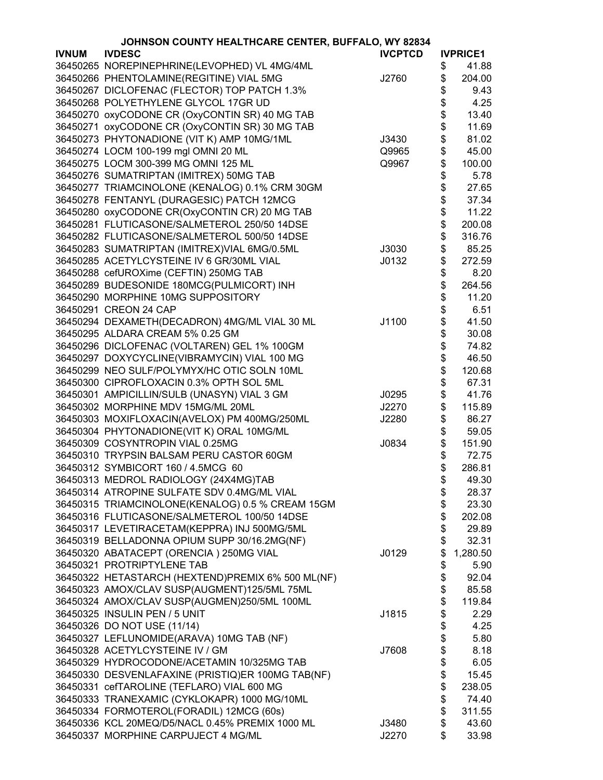|              | JOHNSON COUNTY HEALTHCARE CENTER, BUFFALO, WY 82834 |                |          |                 |  |  |
|--------------|-----------------------------------------------------|----------------|----------|-----------------|--|--|
| <b>IVNUM</b> | <b>IVDESC</b>                                       | <b>IVCPTCD</b> |          | <b>IVPRICE1</b> |  |  |
|              | 36450265 NOREPINEPHRINE(LEVOPHED) VL 4MG/4ML        |                | \$       | 41.88           |  |  |
|              | 36450266 PHENTOLAMINE(REGITINE) VIAL 5MG            | J2760          | \$       | 204.00          |  |  |
|              | 36450267 DICLOFENAC (FLECTOR) TOP PATCH 1.3%        |                | \$       | 9.43            |  |  |
|              | 36450268 POLYETHYLENE GLYCOL 17GR UD                |                | \$       | 4.25            |  |  |
|              | 36450270 oxyCODONE CR (OxyCONTIN SR) 40 MG TAB      |                | \$       | 13.40           |  |  |
|              | 36450271 oxyCODONE CR (OxyCONTIN SR) 30 MG TAB      |                | \$       | 11.69           |  |  |
|              | 36450273 PHYTONADIONE (VIT K) AMP 10MG/1ML          | J3430          | \$       | 81.02           |  |  |
|              | 36450274 LOCM 100-199 mgl OMNI 20 ML                | Q9965          | \$       | 45.00           |  |  |
|              | 36450275 LOCM 300-399 MG OMNI 125 ML                | Q9967          | \$       | 100.00          |  |  |
|              | 36450276 SUMATRIPTAN (IMITREX) 50MG TAB             |                | \$       | 5.78            |  |  |
|              | 36450277 TRIAMCINOLONE (KENALOG) 0.1% CRM 30GM      |                | \$       | 27.65           |  |  |
|              | 36450278 FENTANYL (DURAGESIC) PATCH 12MCG           |                | \$       | 37.34           |  |  |
|              | 36450280 oxyCODONE CR(OxyCONTIN CR) 20 MG TAB       |                | \$       | 11.22           |  |  |
|              | 36450281 FLUTICASONE/SALMETEROL 250/50 14DSE        |                | \$       | 200.08          |  |  |
|              | 36450282 FLUTICASONE/SALMETEROL 500/50 14DSE        |                | \$       | 316.76          |  |  |
|              | 36450283 SUMATRIPTAN (IMITREX)VIAL 6MG/0.5ML        | J3030          | \$       | 85.25           |  |  |
|              | 36450285 ACETYLCYSTEINE IV 6 GR/30ML VIAL           | J0132          | \$       | 272.59          |  |  |
|              | 36450288 cefUROXime (CEFTIN) 250MG TAB              |                | \$       | 8.20            |  |  |
|              | 36450289 BUDESONIDE 180MCG(PULMICORT) INH           |                | \$       | 264.56          |  |  |
|              | 36450290 MORPHINE 10MG SUPPOSITORY                  |                | \$       | 11.20           |  |  |
|              | 36450291 CREON 24 CAP                               |                | \$       | 6.51            |  |  |
|              | 36450294 DEXAMETH(DECADRON) 4MG/ML VIAL 30 ML       | J1100          | \$       | 41.50           |  |  |
|              | 36450295 ALDARA CREAM 5% 0.25 GM                    |                | \$       | 30.08           |  |  |
|              | 36450296 DICLOFENAC (VOLTAREN) GEL 1% 100GM         |                | \$       | 74.82           |  |  |
|              | 36450297 DOXYCYCLINE(VIBRAMYCIN) VIAL 100 MG        |                | \$       | 46.50           |  |  |
|              | 36450299 NEO SULF/POLYMYX/HC OTIC SOLN 10ML         |                | \$       | 120.68          |  |  |
|              | 36450300 CIPROFLOXACIN 0.3% OPTH SOL 5ML            |                | \$       | 67.31           |  |  |
|              | 36450301 AMPICILLIN/SULB (UNASYN) VIAL 3 GM         | J0295          | \$       | 41.76           |  |  |
|              | 36450302 MORPHINE MDV 15MG/ML 20ML                  | J2270          | \$       | 115.89          |  |  |
|              | 36450303 MOXIFLOXACIN(AVELOX) PM 400MG/250ML        | J2280          | \$       | 86.27           |  |  |
|              | 36450304 PHYTONADIONE(VIT K) ORAL 10MG/ML           |                |          | 59.05           |  |  |
|              | 36450309 COSYNTROPIN VIAL 0.25MG                    | J0834          | \$<br>\$ | 151.90          |  |  |
|              | 36450310 TRYPSIN BALSAM PERU CASTOR 60GM            |                | \$       | 72.75           |  |  |
|              | 36450312 SYMBICORT 160 / 4.5MCG 60                  |                | \$       | 286.81          |  |  |
|              |                                                     |                |          |                 |  |  |
|              | 36450313 MEDROL RADIOLOGY (24X4MG)TAB               |                | Φ        | 49.30           |  |  |
|              | 36450314 ATROPINE SULFATE SDV 0.4MG/ML VIAL         |                | \$       | 28.37           |  |  |
|              | 36450315 TRIAMCINOLONE(KENALOG) 0.5 % CREAM 15GM    |                | \$       | 23.30           |  |  |
|              | 36450316 FLUTICASONE/SALMETEROL 100/50 14DSE        |                | \$       | 202.08          |  |  |
|              | 36450317 LEVETIRACETAM(KEPPRA) INJ 500MG/5ML        |                | \$       | 29.89           |  |  |
|              | 36450319 BELLADONNA OPIUM SUPP 30/16.2MG(NF)        |                | \$       | 32.31           |  |  |
|              | 36450320 ABATACEPT (ORENCIA) 250MG VIAL             | J0129          | \$       | 1,280.50        |  |  |
|              | 36450321 PROTRIPTYLENE TAB                          |                | \$       | 5.90            |  |  |
|              | 36450322 HETASTARCH (HEXTEND)PREMIX 6% 500 ML(NF)   |                | \$       | 92.04           |  |  |
|              | 36450323 AMOX/CLAV SUSP(AUGMENT)125/5ML 75ML        |                | \$       | 85.58           |  |  |
|              | 36450324 AMOX/CLAV SUSP(AUGMEN)250/5ML 100ML        |                | \$       | 119.84          |  |  |
|              | 36450325 INSULIN PEN / 5 UNIT                       | J1815          | \$       | 2.29            |  |  |
|              | 36450326 DO NOT USE (11/14)                         |                | \$       | 4.25            |  |  |
|              | 36450327 LEFLUNOMIDE(ARAVA) 10MG TAB (NF)           |                | \$       | 5.80            |  |  |
|              | 36450328 ACETYLCYSTEINE IV / GM                     | J7608          | \$       | 8.18            |  |  |
|              | 36450329 HYDROCODONE/ACETAMIN 10/325MG TAB          |                | \$       | 6.05            |  |  |
|              | 36450330 DESVENLAFAXINE (PRISTIQ)ER 100MG TAB(NF)   |                | \$       | 15.45           |  |  |
|              | 36450331 cefTAROLINE (TEFLARO) VIAL 600 MG          |                | \$       | 238.05          |  |  |
|              | 36450333 TRANEXAMIC (CYKLOKAPR) 1000 MG/10ML        |                | \$       | 74.40           |  |  |
|              | 36450334 FORMOTEROL(FORADIL) 12MCG (60s)            |                | \$       | 311.55          |  |  |
|              | 36450336 KCL 20MEQ/D5/NACL 0.45% PREMIX 1000 ML     | J3480          | \$       | 43.60           |  |  |
|              | 36450337 MORPHINE CARPUJECT 4 MG/ML                 | J2270          | \$       | 33.98           |  |  |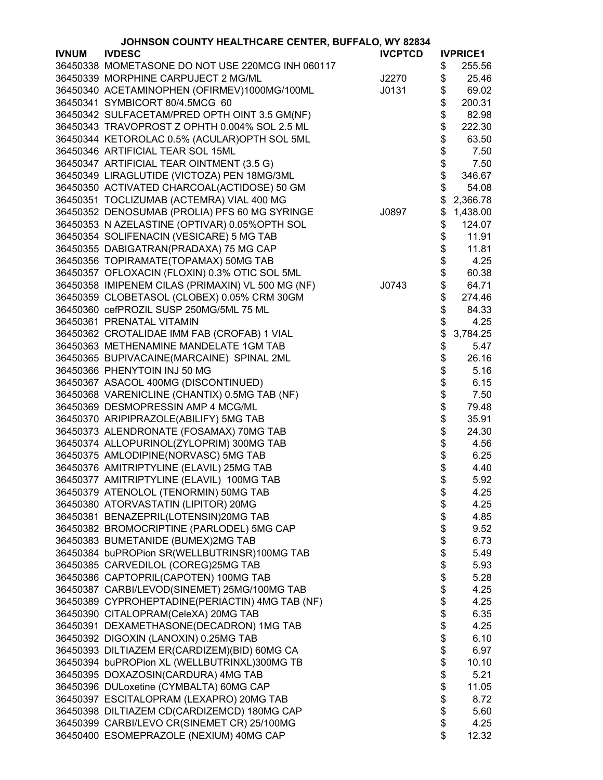|              | JOHNSON COUNTY HEALTHCARE CENTER, BUFFALO, WY 82834 |                |    |                 |
|--------------|-----------------------------------------------------|----------------|----|-----------------|
| <b>IVNUM</b> | <b>IVDESC</b>                                       | <b>IVCPTCD</b> |    | <b>IVPRICE1</b> |
|              | 36450338 MOMETASONE DO NOT USE 220MCG INH 060117    |                | \$ | 255.56          |
|              | 36450339 MORPHINE CARPUJECT 2 MG/ML                 | J2270          | \$ | 25.46           |
|              | 36450340 ACETAMINOPHEN (OFIRMEV)1000MG/100ML        | J0131          | \$ | 69.02           |
|              | 36450341 SYMBICORT 80/4.5MCG 60                     |                | \$ | 200.31          |
|              | 36450342 SULFACETAM/PRED OPTH OINT 3.5 GM(NF)       |                | \$ | 82.98           |
|              | 36450343 TRAVOPROST Z OPHTH 0.004% SOL 2.5 ML       |                | \$ | 222.30          |
|              | 36450344 KETOROLAC 0.5% (ACULAR)OPTH SOL 5ML        |                | \$ | 63.50           |
|              | 36450346 ARTIFICIAL TEAR SOL 15ML                   |                | \$ | 7.50            |
|              | 36450347 ARTIFICIAL TEAR OINTMENT (3.5 G)           |                | \$ | 7.50            |
|              | 36450349 LIRAGLUTIDE (VICTOZA) PEN 18MG/3ML         |                | \$ | 346.67          |
|              | 36450350 ACTIVATED CHARCOAL(ACTIDOSE) 50 GM         |                | \$ | 54.08           |
|              | 36450351 TOCLIZUMAB (ACTEMRA) VIAL 400 MG           |                | \$ | 2,366.78        |
|              | 36450352 DENOSUMAB (PROLIA) PFS 60 MG SYRINGE       | J0897          | \$ | 1,438.00        |
|              | 36450353 N AZELASTINE (OPTIVAR) 0.05% OPTH SOL      |                | \$ | 124.07          |
|              | 36450354 SOLIFENACIN (VESICARE) 5 MG TAB            |                | \$ | 11.91           |
|              | 36450355 DABIGATRAN(PRADAXA) 75 MG CAP              |                | \$ | 11.81           |
|              | 36450356 TOPIRAMATE(TOPAMAX) 50MG TAB               |                | \$ | 4.25            |
|              | 36450357 OFLOXACIN (FLOXIN) 0.3% OTIC SOL 5ML       |                | \$ | 60.38           |
|              | 36450358 IMIPENEM CILAS (PRIMAXIN) VL 500 MG (NF)   | J0743          | \$ | 64.71           |
|              | 36450359 CLOBETASOL (CLOBEX) 0.05% CRM 30GM         |                | \$ | 274.46          |
|              | 36450360 cefPROZIL SUSP 250MG/5ML 75 ML             |                | \$ | 84.33           |
|              | 36450361 PRENATAL VITAMIN                           |                | \$ | 4.25            |
|              | 36450362 CROTALIDAE IMM FAB (CROFAB) 1 VIAL         |                | \$ |                 |
|              | 36450363 METHENAMINE MANDELATE 1GM TAB              |                |    | 3,784.25        |
|              |                                                     |                | \$ | 5.47            |
|              | 36450365 BUPIVACAINE(MARCAINE) SPINAL 2ML           |                | \$ | 26.16           |
|              | 36450366 PHENYTOIN INJ 50 MG                        |                | \$ | 5.16            |
|              | 36450367 ASACOL 400MG (DISCONTINUED)                |                | \$ | 6.15            |
|              | 36450368 VARENICLINE (CHANTIX) 0.5MG TAB (NF)       |                | \$ | 7.50            |
|              | 36450369 DESMOPRESSIN AMP 4 MCG/ML                  |                | \$ | 79.48           |
|              | 36450370 ARIPIPRAZOLE(ABILIFY) 5MG TAB              |                | \$ | 35.91           |
|              | 36450373 ALENDRONATE (FOSAMAX) 70MG TAB             |                | \$ | 24.30           |
|              | 36450374 ALLOPURINOL(ZYLOPRIM) 300MG TAB            |                | \$ | 4.56            |
|              | 36450375 AMLODIPINE(NORVASC) 5MG TAB                |                | \$ | 6.25            |
|              | 36450376 AMITRIPTYLINE (ELAVIL) 25MG TAB            |                | \$ | 4.40            |
|              | 36450377 AMITRIPTYLINE (ELAVIL) 100MG TAB           |                | Φ  | 5.92            |
|              | 36450379 ATENOLOL (TENORMIN) 50MG TAB               |                | \$ | 4.25            |
|              | 36450380 ATORVASTATIN (LIPITOR) 20MG                |                | \$ | 4.25            |
|              | 36450381 BENAZEPRIL(LOTENSIN)20MG TAB               |                | \$ | 4.85            |
|              | 36450382 BROMOCRIPTINE (PARLODEL) 5MG CAP           |                | \$ | 9.52            |
|              | 36450383 BUMETANIDE (BUMEX)2MG TAB                  |                | \$ | 6.73            |
|              | 36450384 buPROPion SR(WELLBUTRINSR)100MG TAB        |                | \$ | 5.49            |
|              | 36450385 CARVEDILOL (COREG)25MG TAB                 |                | \$ | 5.93            |
|              | 36450386 CAPTOPRIL(CAPOTEN) 100MG TAB               |                | \$ | 5.28            |
|              | 36450387 CARBI/LEVOD(SINEMET) 25MG/100MG TAB        |                | \$ | 4.25            |
|              | 36450389 CYPROHEPTADINE(PERIACTIN) 4MG TAB (NF)     |                | \$ | 4.25            |
|              | 36450390 CITALOPRAM(CeleXA) 20MG TAB                |                | \$ | 6.35            |
|              | 36450391 DEXAMETHASONE(DECADRON) 1MG TAB            |                | \$ | 4.25            |
|              | 36450392 DIGOXIN (LANOXIN) 0.25MG TAB               |                | \$ | 6.10            |
|              | 36450393 DILTIAZEM ER(CARDIZEM)(BID) 60MG CA        |                | \$ | 6.97            |
|              | 36450394 buPROPion XL (WELLBUTRINXL)300MG TB        |                | \$ | 10.10           |
|              | 36450395 DOXAZOSIN(CARDURA) 4MG TAB                 |                | \$ | 5.21            |
|              | 36450396 DULoxetine (CYMBALTA) 60MG CAP             |                | \$ | 11.05           |
|              | 36450397 ESCITALOPRAM (LEXAPRO) 20MG TAB            |                | \$ | 8.72            |
|              | 36450398 DILTIAZEM CD(CARDIZEMCD) 180MG CAP         |                | \$ | 5.60            |
|              | 36450399 CARBI/LEVO CR(SINEMET CR) 25/100MG         |                | \$ | 4.25            |
|              | 36450400 ESOMEPRAZOLE (NEXIUM) 40MG CAP             |                | \$ | 12.32           |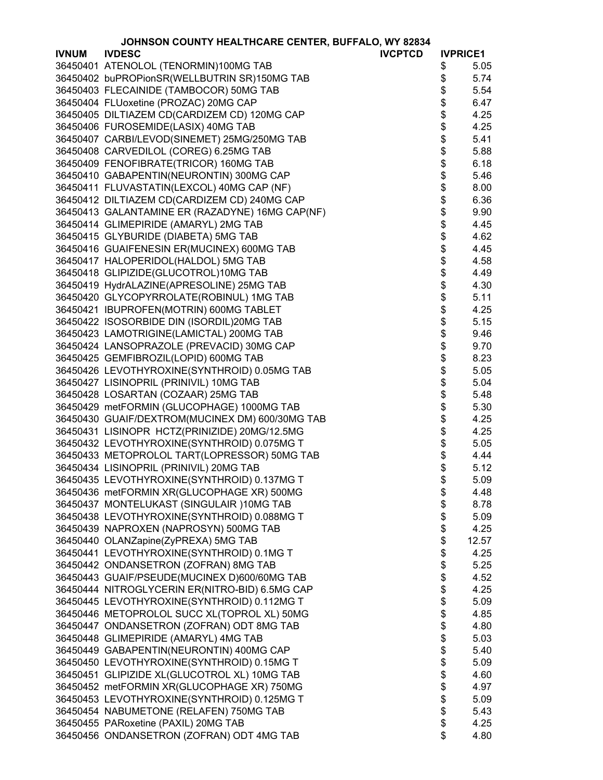|              | JOHNSON COUNTY HEALTHCARE CENTER, BUFFALO, WY 82834 |                |                 |
|--------------|-----------------------------------------------------|----------------|-----------------|
| <b>IVNUM</b> | <b>IVDESC</b>                                       | <b>IVCPTCD</b> | <b>IVPRICE1</b> |
|              | 36450401 ATENOLOL (TENORMIN)100MG TAB               |                | \$<br>5.05      |
|              | 36450402 buPROPionSR(WELLBUTRIN SR)150MG TAB        |                | \$<br>5.74      |
|              | 36450403 FLECAINIDE (TAMBOCOR) 50MG TAB             |                | \$<br>5.54      |
|              | 36450404 FLUoxetine (PROZAC) 20MG CAP               |                | \$<br>6.47      |
|              | 36450405 DILTIAZEM CD(CARDIZEM CD) 120MG CAP        |                | \$<br>4.25      |
|              | 36450406 FUROSEMIDE(LASIX) 40MG TAB                 |                | \$<br>4.25      |
|              | 36450407 CARBI/LEVOD(SINEMET) 25MG/250MG TAB        |                | \$<br>5.41      |
|              | 36450408 CARVEDILOL (COREG) 6.25MG TAB              |                | \$<br>5.88      |
|              | 36450409 FENOFIBRATE(TRICOR) 160MG TAB              |                | \$<br>6.18      |
|              | 36450410 GABAPENTIN(NEURONTIN) 300MG CAP            |                | 5.46            |
|              | 36450411 FLUVASTATIN(LEXCOL) 40MG CAP (NF)          |                | \$<br>8.00      |
|              | 36450412 DILTIAZEM CD(CARDIZEM CD) 240MG CAP        |                | \$<br>6.36      |
|              | 36450413 GALANTAMINE ER (RAZADYNE) 16MG CAP(NF)     |                | \$<br>9.90      |
|              | 36450414 GLIMEPIRIDE (AMARYL) 2MG TAB               |                | 4.45            |
|              | 36450415 GLYBURIDE (DIABETA) 5MG TAB                |                | \$<br>4.62      |
|              | 36450416 GUAIFENESIN ER(MUCINEX) 600MG TAB          |                | \$<br>4.45      |
|              | 36450417 HALOPERIDOL(HALDOL) 5MG TAB                |                | \$<br>4.58      |
|              | 36450418 GLIPIZIDE(GLUCOTROL)10MG TAB               |                | \$<br>4.49      |
|              | 36450419 HydrALAZINE(APRESOLINE) 25MG TAB           |                | \$<br>4.30      |
|              | 36450420 GLYCOPYRROLATE(ROBINUL) 1MG TAB            |                | \$<br>5.11      |
|              | 36450421 IBUPROFEN(MOTRIN) 600MG TABLET             |                | \$<br>4.25      |
|              |                                                     |                | \$<br>5.15      |
|              | 36450422 ISOSORBIDE DIN (ISORDIL)20MG TAB           |                | \$              |
|              | 36450423 LAMOTRIGINE(LAMICTAL) 200MG TAB            |                | 9.46            |
|              | 36450424 LANSOPRAZOLE (PREVACID) 30MG CAP           |                | \$<br>9.70      |
|              | 36450425 GEMFIBROZIL(LOPID) 600MG TAB               |                | \$<br>8.23      |
|              | 36450426 LEVOTHYROXINE(SYNTHROID) 0.05MG TAB        |                | \$<br>5.05      |
|              | 36450427 LISINOPRIL (PRINIVIL) 10MG TAB             |                | \$<br>5.04      |
|              | 36450428 LOSARTAN (COZAAR) 25MG TAB                 |                | \$<br>5.48      |
|              | 36450429 metFORMIN (GLUCOPHAGE) 1000MG TAB          |                | \$<br>5.30      |
|              | 36450430 GUAIF/DEXTROM(MUCINEX DM) 600/30MG TAB     |                | \$<br>4.25      |
|              | 36450431 LISINOPR HCTZ(PRINIZIDE) 20MG/12.5MG       |                | \$<br>4.25      |
|              | 36450432 LEVOTHYROXINE(SYNTHROID) 0.075MG T         |                | 5.05            |
|              | 36450433 METOPROLOL TART(LOPRESSOR) 50MG TAB        |                | \$<br>4.44      |
|              | 36450434 LISINOPRIL (PRINIVIL) 20MG TAB             |                | 5.12            |
|              | 36450435 LEVOTHYROXINE(SYNTHROID) 0.137MG T         |                | \$<br>5.09      |
|              | 36450436 metFORMIN XR(GLUCOPHAGE XR) 500MG          |                | \$<br>4.48      |
|              | 36450437 MONTELUKAST (SINGULAIR) 10MG TAB           |                | \$<br>8.78      |
|              | 36450438 LEVOTHYROXINE(SYNTHROID) 0.088MG T         |                | \$<br>5.09      |
|              | 36450439 NAPROXEN (NAPROSYN) 500MG TAB              |                | \$<br>4.25      |
|              | 36450440 OLANZapine(ZyPREXA) 5MG TAB                |                | \$<br>12.57     |
|              | 36450441 LEVOTHYROXINE(SYNTHROID) 0.1MG T           |                | \$<br>4.25      |
|              | 36450442 ONDANSETRON (ZOFRAN) 8MG TAB               |                | \$<br>5.25      |
|              | 36450443 GUAIF/PSEUDE(MUCINEX D)600/60MG TAB        |                | \$<br>4.52      |
|              | 36450444 NITROGLYCERIN ER(NITRO-BID) 6.5MG CAP      |                | \$<br>4.25      |
|              | 36450445 LEVOTHYROXINE(SYNTHROID) 0.112MG T         |                | \$<br>5.09      |
|              | 36450446 METOPROLOL SUCC XL(TOPROL XL) 50MG         |                | \$<br>4.85      |
|              | 36450447 ONDANSETRON (ZOFRAN) ODT 8MG TAB           |                | \$<br>4.80      |
|              | 36450448 GLIMEPIRIDE (AMARYL) 4MG TAB               |                | \$<br>5.03      |
|              | 36450449 GABAPENTIN(NEURONTIN) 400MG CAP            |                | \$<br>5.40      |
|              | 36450450 LEVOTHYROXINE(SYNTHROID) 0.15MG T          |                | \$<br>5.09      |
|              | 36450451 GLIPIZIDE XL(GLUCOTROL XL) 10MG TAB        |                | \$<br>4.60      |
|              | 36450452 metFORMIN XR(GLUCOPHAGE XR) 750MG          |                | \$<br>4.97      |
|              | 36450453 LEVOTHYROXINE(SYNTHROID) 0.125MG T         |                | \$<br>5.09      |
|              | 36450454 NABUMETONE (RELAFEN) 750MG TAB             |                | \$<br>5.43      |
|              | 36450455 PARoxetine (PAXIL) 20MG TAB                |                | \$<br>4.25      |
|              | 36450456 ONDANSETRON (ZOFRAN) ODT 4MG TAB           |                | \$<br>4.80      |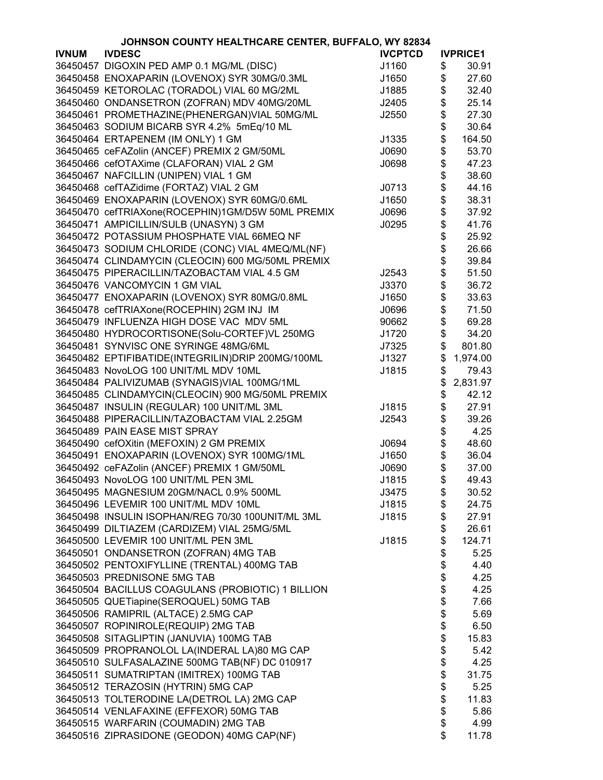|              | JOHNSON COUNTY HEALTHCARE CENTER, BUFFALO, WY 82834 |                |          |                 |
|--------------|-----------------------------------------------------|----------------|----------|-----------------|
| <b>IVNUM</b> | <b>IVDESC</b>                                       | <b>IVCPTCD</b> |          | <b>IVPRICE1</b> |
|              | 36450457 DIGOXIN PED AMP 0.1 MG/ML (DISC)           | J1160          | \$       | 30.91           |
|              | 36450458 ENOXAPARIN (LOVENOX) SYR 30MG/0.3ML        | J1650          | \$       | 27.60           |
|              | 36450459 KETOROLAC (TORADOL) VIAL 60 MG/2ML         | J1885          | \$       | 32.40           |
|              | 36450460 ONDANSETRON (ZOFRAN) MDV 40MG/20ML         | J2405          | \$       | 25.14           |
|              | 36450461 PROMETHAZINE(PHENERGAN)VIAL 50MG/ML        | J2550          | \$       | 27.30           |
|              | 36450463 SODIUM BICARB SYR 4.2% 5mEq/10 ML          |                | \$       | 30.64           |
|              | 36450464 ERTAPENEM (IM ONLY) 1 GM                   | J1335          | \$       | 164.50          |
|              | 36450465 ceFAZolin (ANCEF) PREMIX 2 GM/50ML         | J0690          | \$       | 53.70           |
|              | 36450466 cefOTAXime (CLAFORAN) VIAL 2 GM            | J0698          | \$       | 47.23           |
|              | 36450467 NAFCILLIN (UNIPEN) VIAL 1 GM               |                |          | 38.60           |
|              |                                                     |                | \$       |                 |
|              | 36450468 cefTAZidime (FORTAZ) VIAL 2 GM             | J0713          |          | 44.16           |
|              | 36450469 ENOXAPARIN (LOVENOX) SYR 60MG/0.6ML        | J1650          | \$       | 38.31           |
|              | 36450470 cefTRIAXone(ROCEPHIN)1GM/D5W 50ML PREMIX   | J0696          | \$       | 37.92           |
|              | 36450471 AMPICILLIN/SULB (UNASYN) 3 GM              | J0295          | \$       | 41.76           |
|              | 36450472 POTASSIUM PHOSPHATE VIAL 66MEQ NF          |                | \$       | 25.92           |
|              | 36450473 SODIUM CHLORIDE (CONC) VIAL 4MEQ/ML(NF)    |                | \$       | 26.66           |
|              | 36450474 CLINDAMYCIN (CLEOCIN) 600 MG/50ML PREMIX   |                | \$       | 39.84           |
|              | 36450475 PIPERACILLIN/TAZOBACTAM VIAL 4.5 GM        | J2543          | \$       | 51.50           |
|              | 36450476 VANCOMYCIN 1 GM VIAL                       | J3370          | \$       | 36.72           |
|              | 36450477 ENOXAPARIN (LOVENOX) SYR 80MG/0.8ML        | J1650          | \$       | 33.63           |
|              | 36450478 cefTRIAXone(ROCEPHIN) 2GM INJ IM           | J0696          | \$       | 71.50           |
|              | 36450479 INFLUENZA HIGH DOSE VAC MDV 5ML            | 90662          | \$       | 69.28           |
|              | 36450480 HYDROCORTISONE(Solu-CORTEF)VL 250MG        | J1720          | \$       | 34.20           |
|              | 36450481 SYNVISC ONE SYRINGE 48MG/6ML               | J7325          | \$       | 801.80          |
|              | 36450482 EPTIFIBATIDE(INTEGRILIN)DRIP 200MG/100ML   | J1327          | \$       | 1,974.00        |
|              | 36450483 NovoLOG 100 UNIT/ML MDV 10ML               | J1815          | \$       | 79.43           |
|              | 36450484 PALIVIZUMAB (SYNAGIS)VIAL 100MG/1ML        |                | \$       | 2,831.97        |
|              | 36450485 CLINDAMYCIN(CLEOCIN) 900 MG/50ML PREMIX    |                | \$       | 42.12           |
|              | 36450487 INSULIN (REGULAR) 100 UNIT/ML 3ML          | J1815          | \$       | 27.91           |
|              | 36450488 PIPERACILLIN/TAZOBACTAM VIAL 2.25GM        | J2543          | \$       | 39.26           |
|              | 36450489 PAIN EASE MIST SPRAY                       |                | \$       | 4.25            |
|              | 36450490 cefOXitin (MEFOXIN) 2 GM PREMIX            | J0694          | \$       | 48.60           |
|              | 36450491 ENOXAPARIN (LOVENOX) SYR 100MG/1ML         | J1650          | \$       | 36.04           |
|              | 36450492 ceFAZolin (ANCEF) PREMIX 1 GM/50ML         | J0690          | \$       | 37.00           |
|              | 36450493 NovoLOG 100 UNIT/ML PEN 3ML                | J1815          | \$       | 49.43           |
|              | 36450495 MAGNESIUM 20GM/NACL 0.9% 500ML             | J3475          | \$       | 30.52           |
|              | 36450496 LEVEMIR 100 UNIT/ML MDV 10ML               | J1815          | \$       | 24.75           |
|              | 36450498 INSULIN ISOPHAN/REG 70/30 100UNIT/ML 3ML   | J1815          | \$       | 27.91           |
|              | 36450499 DILTIAZEM (CARDIZEM) VIAL 25MG/5ML         |                | \$       | 26.61           |
|              | 36450500 LEVEMIR 100 UNIT/ML PEN 3ML                | J1815          | \$       | 124.71          |
|              | 36450501 ONDANSETRON (ZOFRAN) 4MG TAB               |                | \$       | 5.25            |
|              | 36450502 PENTOXIFYLLINE (TRENTAL) 400MG TAB         |                | \$       | 4.40            |
|              | 36450503 PREDNISONE 5MG TAB                         |                |          | 4.25            |
|              | 36450504 BACILLUS COAGULANS (PROBIOTIC) 1 BILLION   |                | \$<br>\$ | 4.25            |
|              | 36450505 QUETiapine(SEROQUEL) 50MG TAB              |                | \$       | 7.66            |
|              | 36450506 RAMIPRIL (ALTACE) 2.5MG CAP                |                | \$       | 5.69            |
|              | 36450507 ROPINIROLE(REQUIP) 2MG TAB                 |                | \$       | 6.50            |
|              | 36450508 SITAGLIPTIN (JANUVIA) 100MG TAB            |                | \$       | 15.83           |
|              | 36450509 PROPRANOLOL LA(INDERAL LA)80 MG CAP        |                | \$       | 5.42            |
|              | 36450510 SULFASALAZINE 500MG TAB(NF) DC 010917      |                | \$       | 4.25            |
|              | 36450511 SUMATRIPTAN (IMITREX) 100MG TAB            |                | \$       | 31.75           |
|              | 36450512 TERAZOSIN (HYTRIN) 5MG CAP                 |                | \$       | 5.25            |
|              | 36450513 TOLTERODINE LA(DETROL LA) 2MG CAP          |                | \$       | 11.83           |
|              | 36450514 VENLAFAXINE (EFFEXOR) 50MG TAB             |                | \$       | 5.86            |
|              | 36450515 WARFARIN (COUMADIN) 2MG TAB                |                | \$       | 4.99            |
|              | 36450516 ZIPRASIDONE (GEODON) 40MG CAP(NF)          |                | \$       | 11.78           |
|              |                                                     |                |          |                 |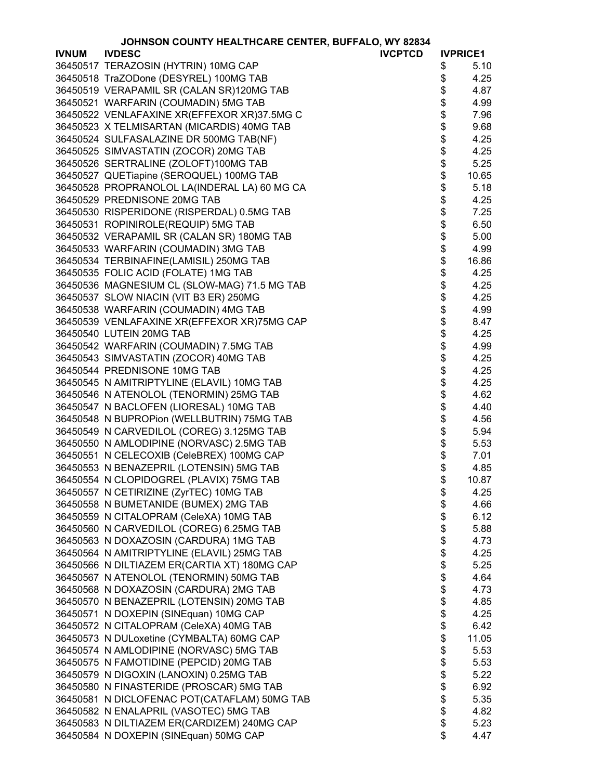|              | JOHNSON COUNTY HEALTHCARE CENTER, BUFFALO, WY 82834 |                |      |                 |
|--------------|-----------------------------------------------------|----------------|------|-----------------|
| <b>IVNUM</b> | <b>IVDESC</b>                                       | <b>IVCPTCD</b> |      | <b>IVPRICE1</b> |
|              | 36450517 TERAZOSIN (HYTRIN) 10MG CAP                |                | \$   | 5.10            |
|              | 36450518 TraZODone (DESYREL) 100MG TAB              |                | \$   | 4.25            |
|              | 36450519 VERAPAMIL SR (CALAN SR)120MG TAB           |                | \$   | 4.87            |
|              | 36450521 WARFARIN (COUMADIN) 5MG TAB                |                | \$   | 4.99            |
|              | 36450522 VENLAFAXINE XR(EFFEXOR XR)37.5MG C         |                | \$   | 7.96            |
|              | 36450523 X TELMISARTAN (MICARDIS) 40MG TAB          |                | \$   | 9.68            |
|              | 36450524 SULFASALAZINE DR 500MG TAB(NF)             |                | \$   | 4.25            |
|              | 36450525 SIMVASTATIN (ZOCOR) 20MG TAB               |                | \$   | 4.25            |
|              | 36450526 SERTRALINE (ZOLOFT)100MG TAB               |                | \$   | 5.25            |
|              | 36450527 QUETiapine (SEROQUEL) 100MG TAB            |                | \$   | 10.65           |
|              | 36450528 PROPRANOLOL LA(INDERAL LA) 60 MG CA        |                | \$   | 5.18            |
|              | 36450529 PREDNISONE 20MG TAB                        |                | \$   | 4.25            |
|              | 36450530 RISPERIDONE (RISPERDAL) 0.5MG TAB          |                |      | 7.25            |
|              | 36450531 ROPINIROLE(REQUIP) 5MG TAB                 |                | \$   | 6.50            |
|              | 36450532 VERAPAMIL SR (CALAN SR) 180MG TAB          |                | \$   | 5.00            |
|              | 36450533 WARFARIN (COUMADIN) 3MG TAB                |                | \$   | 4.99            |
|              | 36450534 TERBINAFINE(LAMISIL) 250MG TAB             |                |      | 16.86           |
|              | 36450535 FOLIC ACID (FOLATE) 1MG TAB                |                | \$   | 4.25            |
|              |                                                     |                | \$   |                 |
|              | 36450536 MAGNESIUM CL (SLOW-MAG) 71.5 MG TAB        |                | \$   | 4.25            |
|              | 36450537 SLOW NIACIN (VIT B3 ER) 250MG              |                | \$   | 4.25            |
|              | 36450538 WARFARIN (COUMADIN) 4MG TAB                |                | \$   | 4.99            |
|              | 36450539 VENLAFAXINE XR(EFFEXOR XR)75MG CAP         |                | \$   | 8.47            |
|              | 36450540 LUTEIN 20MG TAB                            |                | \$   | 4.25            |
|              | 36450542 WARFARIN (COUMADIN) 7.5MG TAB              |                | \$   | 4.99            |
|              | 36450543 SIMVASTATIN (ZOCOR) 40MG TAB               |                | \$\$ | 4.25            |
|              | 36450544 PREDNISONE 10MG TAB                        |                |      | 4.25            |
|              | 36450545 N AMITRIPTYLINE (ELAVIL) 10MG TAB          |                |      | 4.25            |
|              | 36450546 N ATENOLOL (TENORMIN) 25MG TAB             |                | \$   | 4.62            |
|              | 36450547 N BACLOFEN (LIORESAL) 10MG TAB             |                | \$   | 4.40            |
|              | 36450548 N BUPROPion (WELLBUTRIN) 75MG TAB          |                | \$   | 4.56            |
|              | 36450549 N CARVEDILOL (COREG) 3.125MG TAB           |                |      | 5.94            |
|              | 36450550 N AMLODIPINE (NORVASC) 2.5MG TAB           |                | \$   | 5.53            |
|              | 36450551 N CELECOXIB (CeleBREX) 100MG CAP           |                | \$   | 7.01            |
|              | 36450553 N BENAZEPRIL (LOTENSIN) 5MG TAB            |                | \$   | 4.85            |
|              | 36450554 N CLOPIDOGREL (PLAVIX) 75MG TAB            |                | \$   | 10.87           |
|              | 36450557 N CETIRIZINE (ZyrTEC) 10MG TAB             |                | \$   | 4.25            |
|              | 36450558 N BUMETANIDE (BUMEX) 2MG TAB               |                | \$   | 4.66            |
|              | 36450559 N CITALOPRAM (CeleXA) 10MG TAB             |                | \$   | 6.12            |
|              | 36450560 N CARVEDILOL (COREG) 6.25MG TAB            |                | \$   | 5.88            |
|              | 36450563 N DOXAZOSIN (CARDURA) 1MG TAB              |                | \$   | 4.73            |
|              | 36450564 N AMITRIPTYLINE (ELAVIL) 25MG TAB          |                | \$   | 4.25            |
|              | 36450566 N DILTIAZEM ER(CARTIA XT) 180MG CAP        |                | \$   | 5.25            |
|              | 36450567 N ATENOLOL (TENORMIN) 50MG TAB             |                | \$   | 4.64            |
|              | 36450568 N DOXAZOSIN (CARDURA) 2MG TAB              |                | \$   | 4.73            |
|              | 36450570 N BENAZEPRIL (LOTENSIN) 20MG TAB           |                | \$   | 4.85            |
|              | 36450571 N DOXEPIN (SINEquan) 10MG CAP              |                | \$   | 4.25            |
|              | 36450572 N CITALOPRAM (CeleXA) 40MG TAB             |                | \$   | 6.42            |
|              | 36450573 N DULoxetine (CYMBALTA) 60MG CAP           |                | \$   | 11.05           |
|              | 36450574 N AMLODIPINE (NORVASC) 5MG TAB             |                | \$   | 5.53            |
|              | 36450575 N FAMOTIDINE (PEPCID) 20MG TAB             |                | \$   | 5.53            |
|              | 36450579 N DIGOXIN (LANOXIN) 0.25MG TAB             |                | \$   | 5.22            |
|              | 36450580 N FINASTERIDE (PROSCAR) 5MG TAB            |                | \$   | 6.92            |
|              | 36450581 N DICLOFENAC POT(CATAFLAM) 50MG TAB        |                | \$   | 5.35            |
|              | 36450582 N ENALAPRIL (VASOTEC) 5MG TAB              |                | \$   | 4.82            |
|              | 36450583 N DILTIAZEM ER(CARDIZEM) 240MG CAP         |                | \$   | 5.23            |
|              |                                                     |                | \$   | 4.47            |
|              | 36450584 N DOXEPIN (SINEquan) 50MG CAP              |                |      |                 |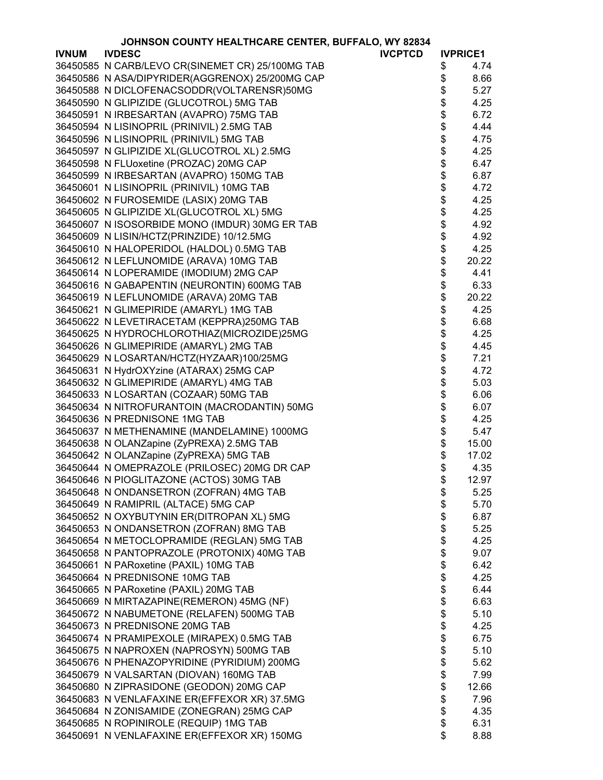|              | JOHNSON COUNTY HEALTHCARE CENTER, BUFFALO, WY 82834 |                |        |                 |
|--------------|-----------------------------------------------------|----------------|--------|-----------------|
| <b>IVNUM</b> | <b>IVDESC</b>                                       | <b>IVCPTCD</b> |        | <b>IVPRICE1</b> |
|              | 36450585 N CARB/LEVO CR(SINEMET CR) 25/100MG TAB    |                | \$     | 4.74            |
|              | 36450586 N ASA/DIPYRIDER(AGGRENOX) 25/200MG CAP     |                | \$     | 8.66            |
|              | 36450588 N DICLOFENACSODDR(VOLTARENSR)50MG          |                | \$     | 5.27            |
|              | 36450590 N GLIPIZIDE (GLUCOTROL) 5MG TAB            |                | \$     | 4.25            |
|              | 36450591 N IRBESARTAN (AVAPRO) 75MG TAB             |                |        | 6.72            |
|              | 36450594 N LISINOPRIL (PRINIVIL) 2.5MG TAB          |                | \$\$\$ | 4.44            |
|              | 36450596 N LISINOPRIL (PRINIVIL) 5MG TAB            |                |        | 4.75            |
|              | 36450597 N GLIPIZIDE XL(GLUCOTROL XL) 2.5MG         |                |        | 4.25            |
|              | 36450598 N FLUoxetine (PROZAC) 20MG CAP             |                | \$\$\$ | 6.47            |
|              | 36450599 N IRBESARTAN (AVAPRO) 150MG TAB            |                |        | 6.87            |
|              | 36450601 N LISINOPRIL (PRINIVIL) 10MG TAB           |                |        | 4.72            |
|              | 36450602 N FUROSEMIDE (LASIX) 20MG TAB              |                |        | 4.25            |
|              | 36450605 N GLIPIZIDE XL(GLUCOTROL XL) 5MG           |                | \$     | 4.25            |
|              | 36450607 N ISOSORBIDE MONO (IMDUR) 30MG ER TAB      |                | \$     | 4.92            |
|              | 36450609 N LISIN/HCTZ(PRINZIDE) 10/12.5MG           |                | \$     | 4.92            |
|              | 36450610 N HALOPERIDOL (HALDOL) 0.5MG TAB           |                | \$     | 4.25            |
|              | 36450612 N LEFLUNOMIDE (ARAVA) 10MG TAB             |                | \$     | 20.22           |
|              | 36450614 N LOPERAMIDE (IMODIUM) 2MG CAP             |                | \$     | 4.41            |
|              | 36450616 N GABAPENTIN (NEURONTIN) 600MG TAB         |                | \$     | 6.33            |
|              | 36450619 N LEFLUNOMIDE (ARAVA) 20MG TAB             |                | \$     | 20.22           |
|              | 36450621 N GLIMEPIRIDE (AMARYL) 1MG TAB             |                | \$     | 4.25            |
|              | 36450622 N LEVETIRACETAM (KEPPRA)250MG TAB          |                |        | 6.68            |
|              | 36450625 N HYDROCHLOROTHIAZ(MICROZIDE)25MG          |                | \$     | 4.25            |
|              | 36450626 N GLIMEPIRIDE (AMARYL) 2MG TAB             |                | \$     | 4.45            |
|              | 36450629 N LOSARTAN/HCTZ(HYZAAR)100/25MG            |                | \$     | 7.21            |
|              | 36450631 N HydrOXYzine (ATARAX) 25MG CAP            |                |        | 4.72            |
|              | 36450632 N GLIMEPIRIDE (AMARYL) 4MG TAB             |                |        | 5.03            |
|              | 36450633 N LOSARTAN (COZAAR) 50MG TAB               |                | \$\$   | 6.06            |
|              | 36450634 N NITROFURANTOIN (MACRODANTIN) 50MG        |                | \$     | 6.07            |
|              | 36450636 N PREDNISONE 1MG TAB                       |                | \$     | 4.25            |
|              | 36450637 N METHENAMINE (MANDELAMINE) 1000MG         |                | \$     | 5.47            |
|              | 36450638 N OLANZapine (ZyPREXA) 2.5MG TAB           |                | \$     | 15.00           |
|              | 36450642 N OLANZapine (ZyPREXA) 5MG TAB             |                | \$     | 17.02           |
|              | 36450644 N OMEPRAZOLE (PRILOSEC) 20MG DR CAP        |                | \$     | 4.35            |
|              | 36450646 N PIOGLITAZONE (ACTOS) 30MG TAB            |                | \$     | 12.97           |
|              | 36450648 N ONDANSETRON (ZOFRAN) 4MG TAB             |                | \$     | 5.25            |
|              | 36450649 N RAMIPRIL (ALTACE) 5MG CAP                |                | \$     | 5.70            |
|              | 36450652 N OXYBUTYNIN ER(DITROPAN XL) 5MG           |                | \$     | 6.87            |
|              | 36450653 N ONDANSETRON (ZOFRAN) 8MG TAB             |                | \$     | 5.25            |
|              | 36450654 N METOCLOPRAMIDE (REGLAN) 5MG TAB          |                | \$     | 4.25            |
|              | 36450658 N PANTOPRAZOLE (PROTONIX) 40MG TAB         |                | \$     | 9.07            |
|              | 36450661 N PARoxetine (PAXIL) 10MG TAB              |                | \$     | 6.42            |
|              | 36450664 N PREDNISONE 10MG TAB                      |                | \$     | 4.25            |
|              | 36450665 N PARoxetine (PAXIL) 20MG TAB              |                | \$     | 6.44            |
|              | 36450669 N MIRTAZAPINE(REMERON) 45MG (NF)           |                | \$     | 6.63            |
|              | 36450672 N NABUMETONE (RELAFEN) 500MG TAB           |                | \$     | 5.10            |
|              | 36450673 N PREDNISONE 20MG TAB                      |                | \$     | 4.25            |
|              | 36450674 N PRAMIPEXOLE (MIRAPEX) 0.5MG TAB          |                | \$     | 6.75            |
|              | 36450675 N NAPROXEN (NAPROSYN) 500MG TAB            |                | \$     | 5.10            |
|              | 36450676 N PHENAZOPYRIDINE (PYRIDIUM) 200MG         |                | \$     | 5.62            |
|              | 36450679 N VALSARTAN (DIOVAN) 160MG TAB             |                | \$     | 7.99            |
|              | 36450680 N ZIPRASIDONE (GEODON) 20MG CAP            |                | \$     | 12.66           |
|              | 36450683 N VENLAFAXINE ER(EFFEXOR XR) 37.5MG        |                | \$     | 7.96            |
|              | 36450684 N ZONISAMIDE (ZONEGRAN) 25MG CAP           |                | \$     | 4.35            |
|              | 36450685 N ROPINIROLE (REQUIP) 1MG TAB              |                | \$     | 6.31            |
|              | 36450691 N VENLAFAXINE ER(EFFEXOR XR) 150MG         |                | \$     | 8.88            |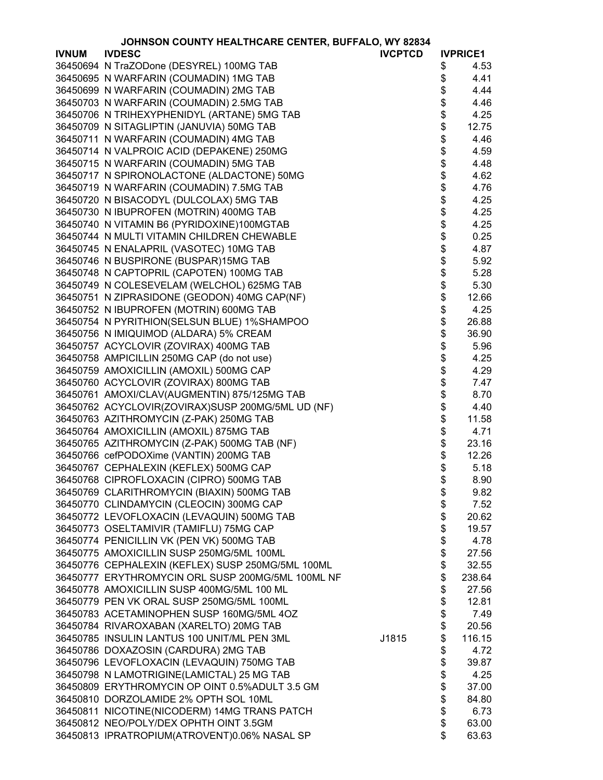|              | JOHNSON COUNTY HEALTHCARE CENTER, BUFFALO, WY 82834 |                |          |                 |
|--------------|-----------------------------------------------------|----------------|----------|-----------------|
| <b>IVNUM</b> | <b>IVDESC</b>                                       | <b>IVCPTCD</b> |          | <b>IVPRICE1</b> |
|              | 36450694 N TraZODone (DESYREL) 100MG TAB            |                | \$       | 4.53            |
|              | 36450695 N WARFARIN (COUMADIN) 1MG TAB              |                | \$       | 4.41            |
|              | 36450699 N WARFARIN (COUMADIN) 2MG TAB              |                | \$       | 4.44            |
|              | 36450703 N WARFARIN (COUMADIN) 2.5MG TAB            |                | \$       | 4.46            |
|              | 36450706 N TRIHEXYPHENIDYL (ARTANE) 5MG TAB         |                | \$       | 4.25            |
|              | 36450709 N SITAGLIPTIN (JANUVIA) 50MG TAB           |                | \$       | 12.75           |
|              | 36450711 N WARFARIN (COUMADIN) 4MG TAB              |                | \$       | 4.46            |
|              | 36450714 N VALPROIC ACID (DEPAKENE) 250MG           |                | \$       | 4.59            |
|              | 36450715 N WARFARIN (COUMADIN) 5MG TAB              |                | \$       | 4.48            |
|              | 36450717 N SPIRONOLACTONE (ALDACTONE) 50MG          |                | \$       | 4.62            |
|              | 36450719 N WARFARIN (COUMADIN) 7.5MG TAB            |                | \$       | 4.76            |
|              | 36450720 N BISACODYL (DULCOLAX) 5MG TAB             |                | \$       | 4.25            |
|              | 36450730 N IBUPROFEN (MOTRIN) 400MG TAB             |                | \$       | 4.25            |
|              | 36450740 N VITAMIN B6 (PYRIDOXINE)100MGTAB          |                | \$       | 4.25            |
|              | 36450744 N MULTI VITAMIN CHILDREN CHEWABLE          |                | \$       | 0.25            |
|              | 36450745 N ENALAPRIL (VASOTEC) 10MG TAB             |                | \$       | 4.87            |
|              | 36450746 N BUSPIRONE (BUSPAR)15MG TAB               |                | \$       | 5.92            |
|              | 36450748 N CAPTOPRIL (CAPOTEN) 100MG TAB            |                | \$       | 5.28            |
|              | 36450749 N COLESEVELAM (WELCHOL) 625MG TAB          |                | \$       | 5.30            |
|              | 36450751 N ZIPRASIDONE (GEODON) 40MG CAP(NF)        |                | \$       | 12.66           |
|              | 36450752 N IBUPROFEN (MOTRIN) 600MG TAB             |                | \$       | 4.25            |
|              | 36450754 N PYRITHION(SELSUN BLUE) 1%SHAMPOO         |                | \$       | 26.88           |
|              | 36450756 N IMIQUIMOD (ALDARA) 5% CREAM              |                | \$       | 36.90           |
|              | 36450757 ACYCLOVIR (ZOVIRAX) 400MG TAB              |                | \$       | 5.96            |
|              | 36450758 AMPICILLIN 250MG CAP (do not use)          |                | \$       | 4.25            |
|              | 36450759 AMOXICILLIN (AMOXIL) 500MG CAP             |                | \$       | 4.29            |
|              | 36450760 ACYCLOVIR (ZOVIRAX) 800MG TAB              |                | \$       | 7.47            |
|              | 36450761 AMOXI/CLAV(AUGMENTIN) 875/125MG TAB        |                | \$       | 8.70            |
|              | 36450762 ACYCLOVIR(ZOVIRAX)SUSP 200MG/5ML UD (NF)   |                | \$       | 4.40            |
|              | 36450763 AZITHROMYCIN (Z-PAK) 250MG TAB             |                | \$       | 11.58           |
|              | 36450764 AMOXICILLIN (AMOXIL) 875MG TAB             |                | \$       | 4.71            |
|              | 36450765 AZITHROMYCIN (Z-PAK) 500MG TAB (NF)        |                | \$       | 23.16           |
|              | 36450766 cefPODOXime (VANTIN) 200MG TAB             |                |          | 12.26           |
|              |                                                     |                | \$<br>\$ | 5.18            |
|              | 36450767 CEPHALEXIN (KEFLEX) 500MG CAP              |                |          | 8.90            |
|              | 36450768 CIPROFLOXACIN (CIPRO) 500MG TAB            |                | \$       |                 |
|              | 36450769 CLARITHROMYCIN (BIAXIN) 500MG TAB          |                | \$       | 9.82            |
|              | 36450770 CLINDAMYCIN (CLEOCIN) 300MG CAP            |                | \$       | 7.52            |
|              | 36450772 LEVOFLOXACIN (LEVAQUIN) 500MG TAB          |                | \$       | 20.62           |
|              | 36450773 OSELTAMIVIR (TAMIFLU) 75MG CAP             |                | \$       | 19.57           |
|              | 36450774 PENICILLIN VK (PEN VK) 500MG TAB           |                | \$       | 4.78            |
|              | 36450775 AMOXICILLIN SUSP 250MG/5ML 100ML           |                | \$       | 27.56           |
|              | 36450776 CEPHALEXIN (KEFLEX) SUSP 250MG/5ML 100ML   |                | \$       | 32.55           |
|              | 36450777 ERYTHROMYCIN ORL SUSP 200MG/5ML 100ML NF   |                | \$       | 238.64          |
|              | 36450778 AMOXICILLIN SUSP 400MG/5ML 100 ML          |                | \$       | 27.56           |
|              | 36450779 PEN VK ORAL SUSP 250MG/5ML 100ML           |                | \$       | 12.81           |
|              | 36450783 ACETAMINOPHEN SUSP 160MG/5ML 4OZ           |                | \$       | 7.49            |
|              | 36450784 RIVAROXABAN (XARELTO) 20MG TAB             |                | \$       | 20.56           |
|              | 36450785 INSULIN LANTUS 100 UNIT/ML PEN 3ML         | J1815          | \$       | 116.15          |
|              | 36450786 DOXAZOSIN (CARDURA) 2MG TAB                |                | \$       | 4.72            |
|              | 36450796 LEVOFLOXACIN (LEVAQUIN) 750MG TAB          |                | \$       | 39.87           |
|              | 36450798 N LAMOTRIGINE(LAMICTAL) 25 MG TAB          |                | \$       | 4.25            |
|              | 36450809 ERYTHROMYCIN OP OINT 0.5%ADULT 3.5 GM      |                | \$       | 37.00           |
|              | 36450810 DORZOLAMIDE 2% OPTH SOL 10ML               |                | \$       | 84.80           |
|              | 36450811 NICOTINE(NICODERM) 14MG TRANS PATCH        |                | \$       | 6.73            |
|              | 36450812 NEO/POLY/DEX OPHTH OINT 3.5GM              |                | \$       | 63.00           |
|              | 36450813 IPRATROPIUM(ATROVENT)0.06% NASAL SP        |                | \$       | 63.63           |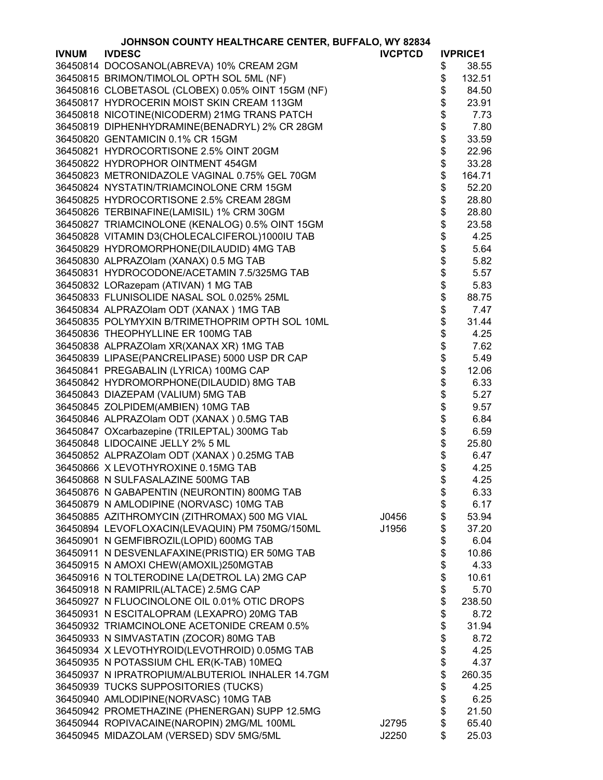|              | JOHNSON COUNTY HEALTHCARE CENTER, BUFFALO, WY 82834 |                |          |                 |
|--------------|-----------------------------------------------------|----------------|----------|-----------------|
| <b>IVNUM</b> | <b>IVDESC</b>                                       | <b>IVCPTCD</b> |          | <b>IVPRICE1</b> |
|              | 36450814 DOCOSANOL(ABREVA) 10% CREAM 2GM            |                | \$       | 38.55           |
|              | 36450815 BRIMON/TIMOLOL OPTH SOL 5ML (NF)           |                | \$       | 132.51          |
|              | 36450816 CLOBETASOL (CLOBEX) 0.05% OINT 15GM (NF)   |                | \$       | 84.50           |
|              | 36450817 HYDROCERIN MOIST SKIN CREAM 113GM          |                | \$       | 23.91           |
|              | 36450818 NICOTINE(NICODERM) 21MG TRANS PATCH        |                | \$       | 7.73            |
|              | 36450819 DIPHENHYDRAMINE(BENADRYL) 2% CR 28GM       |                | \$       | 7.80            |
|              | 36450820 GENTAMICIN 0.1% CR 15GM                    |                | \$       |                 |
|              |                                                     |                |          | 33.59           |
|              | 36450821 HYDROCORTISONE 2.5% OINT 20GM              |                | \$       | 22.96           |
|              | 36450822 HYDROPHOR OINTMENT 454GM                   |                | \$       | 33.28           |
|              | 36450823 METRONIDAZOLE VAGINAL 0.75% GEL 70GM       |                | \$       | 164.71          |
|              | 36450824 NYSTATIN/TRIAMCINOLONE CRM 15GM            |                | \$       | 52.20           |
|              | 36450825 HYDROCORTISONE 2.5% CREAM 28GM             |                | \$       | 28.80           |
|              | 36450826 TERBINAFINE(LAMISIL) 1% CRM 30GM           |                |          | 28.80           |
|              | 36450827 TRIAMCINOLONE (KENALOG) 0.5% OINT 15GM     |                | \$<br>\$ | 23.58           |
|              | 36450828 VITAMIN D3(CHOLECALCIFEROL)1000IU TAB      |                | \$       | 4.25            |
|              | 36450829 HYDROMORPHONE(DILAUDID) 4MG TAB            |                | \$       | 5.64            |
|              | 36450830 ALPRAZOlam (XANAX) 0.5 MG TAB              |                | \$       | 5.82            |
|              | 36450831 HYDROCODONE/ACETAMIN 7.5/325MG TAB         |                | \$       | 5.57            |
|              | 36450832 LORazepam (ATIVAN) 1 MG TAB                |                | \$       | 5.83            |
|              | 36450833 FLUNISOLIDE NASAL SOL 0.025% 25ML          |                | \$       | 88.75           |
|              | 36450834 ALPRAZOlam ODT (XANAX) 1MG TAB             |                | \$       | 7.47            |
|              | 36450835 POLYMYXIN B/TRIMETHOPRIM OPTH SOL 10ML     |                | \$       | 31.44           |
|              | 36450836 THEOPHYLLINE ER 100MG TAB                  |                | \$       | 4.25            |
|              |                                                     |                | \$       |                 |
|              | 36450838 ALPRAZOlam XR(XANAX XR) 1MG TAB            |                |          | 7.62            |
|              | 36450839 LIPASE(PANCRELIPASE) 5000 USP DR CAP       |                | \$       | 5.49            |
|              | 36450841 PREGABALIN (LYRICA) 100MG CAP              |                | \$       | 12.06           |
|              | 36450842 HYDROMORPHONE(DILAUDID) 8MG TAB            |                | \$       | 6.33            |
|              | 36450843 DIAZEPAM (VALIUM) 5MG TAB                  |                | \$       | 5.27            |
|              | 36450845 ZOLPIDEM(AMBIEN) 10MG TAB                  |                | \$       | 9.57            |
|              | 36450846 ALPRAZOlam ODT (XANAX) 0.5MG TAB           |                | \$<br>\$ | 6.84            |
|              | 36450847 OXcarbazepine (TRILEPTAL) 300MG Tab        |                |          | 6.59            |
|              | 36450848 LIDOCAINE JELLY 2% 5 ML                    |                | \$       | 25.80           |
|              | 36450852 ALPRAZOlam ODT (XANAX) 0.25MG TAB          |                | \$       | 6.47            |
|              | 36450866 X LEVOTHYROXINE 0.15MG TAB                 |                | \$       | 4.25            |
|              | 36450868 N SULFASALAZINE 500MG TAB                  |                | \$       | 4.25            |
|              | 36450876 N GABAPENTIN (NEURONTIN) 800MG TAB         |                | \$       | 6.33            |
|              | 36450879 N AMLODIPINE (NORVASC) 10MG TAB            |                | \$       | 6.17            |
|              | 36450885 AZITHROMYCIN (ZITHROMAX) 500 MG VIAL       | J0456          | \$       | 53.94           |
|              | 36450894 LEVOFLOXACIN(LEVAQUIN) PM 750MG/150ML      | J1956          | \$       | 37.20           |
|              | 36450901 N GEMFIBROZIL(LOPID) 600MG TAB             |                | \$       | 6.04            |
|              | 36450911 N DESVENLAFAXINE(PRISTIQ) ER 50MG TAB      |                | \$       | 10.86           |
|              | 36450915 N AMOXI CHEW(AMOXIL)250MGTAB               |                | \$       | 4.33            |
|              | 36450916 N TOLTERODINE LA(DETROL LA) 2MG CAP        |                | \$       | 10.61           |
|              | 36450918 N RAMIPRIL(ALTACE) 2.5MG CAP               |                | \$       | 5.70            |
|              | 36450927 N FLUOCINOLONE OIL 0.01% OTIC DROPS        |                | \$       | 238.50          |
|              |                                                     |                |          |                 |
|              | 36450931 N ESCITALOPRAM (LEXAPRO) 20MG TAB          |                | \$       | 8.72            |
|              | 36450932 TRIAMCINOLONE ACETONIDE CREAM 0.5%         |                | \$       | 31.94           |
|              | 36450933 N SIMVASTATIN (ZOCOR) 80MG TAB             |                | \$       | 8.72            |
|              | 36450934 X LEVOTHYROID(LEVOTHROID) 0.05MG TAB       |                | \$       | 4.25            |
|              | 36450935 N POTASSIUM CHL ER(K-TAB) 10MEQ            |                | \$       | 4.37            |
|              | 36450937 N IPRATROPIUM/ALBUTERIOL INHALER 14.7GM    |                | \$       | 260.35          |
|              | 36450939 TUCKS SUPPOSITORIES (TUCKS)                |                | \$       | 4.25            |
|              | 36450940 AMLODIPINE(NORVASC) 10MG TAB               |                | \$       | 6.25            |
|              | 36450942 PROMETHAZINE (PHENERGAN) SUPP 12.5MG       |                | \$       | 21.50           |
|              | 36450944 ROPIVACAINE(NAROPIN) 2MG/ML 100ML          | J2795          | \$       | 65.40           |
|              | 36450945 MIDAZOLAM (VERSED) SDV 5MG/5ML             | J2250          | \$       | 25.03           |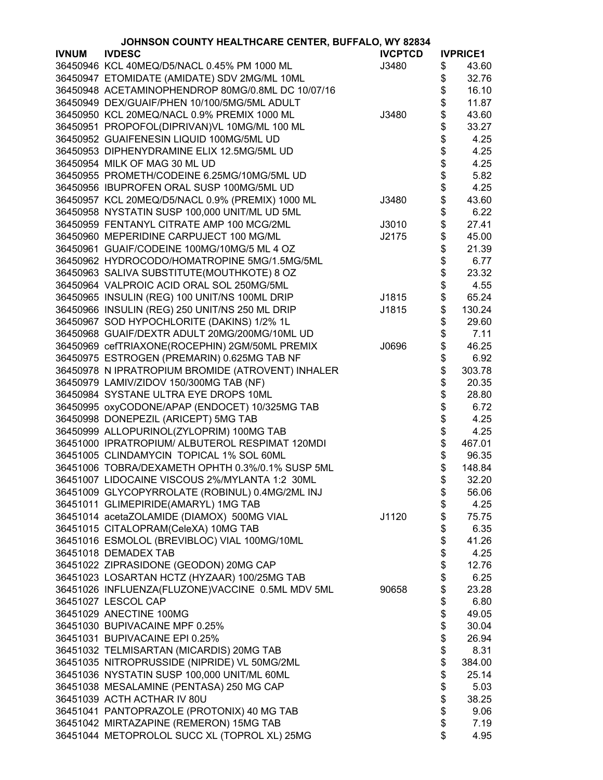|              | JOHNSON COUNTY HEALTHCARE CENTER, BUFFALO, WY 82834 |                |      |                 |
|--------------|-----------------------------------------------------|----------------|------|-----------------|
| <b>IVNUM</b> | <b>IVDESC</b>                                       | <b>IVCPTCD</b> |      | <b>IVPRICE1</b> |
|              | 36450946 KCL 40MEQ/D5/NACL 0.45% PM 1000 ML         | J3480          | \$   | 43.60           |
|              | 36450947 ETOMIDATE (AMIDATE) SDV 2MG/ML 10ML        |                | \$   | 32.76           |
|              | 36450948 ACETAMINOPHENDROP 80MG/0.8ML DC 10/07/16   |                | \$   | 16.10           |
|              | 36450949 DEX/GUAIF/PHEN 10/100/5MG/5ML ADULT        |                | \$   | 11.87           |
|              | 36450950 KCL 20MEQ/NACL 0.9% PREMIX 1000 ML         | J3480          | \$   | 43.60           |
|              | 36450951 PROPOFOL(DIPRIVAN)VL 10MG/ML 100 ML        |                |      | 33.27           |
|              |                                                     |                | \$   |                 |
|              | 36450952 GUAIFENESIN LIQUID 100MG/5ML UD            |                | \$\$ | 4.25            |
|              | 36450953 DIPHENYDRAMINE ELIX 12.5MG/5ML UD          |                |      | 4.25            |
|              | 36450954 MILK OF MAG 30 ML UD                       |                |      | 4.25            |
|              | 36450955 PROMETH/CODEINE 6.25MG/10MG/5ML UD         |                | \$   | 5.82            |
|              | 36450956 IBUPROFEN ORAL SUSP 100MG/5ML UD           |                | \$   | 4.25            |
|              | 36450957 KCL 20MEQ/D5/NACL 0.9% (PREMIX) 1000 ML    | J3480          | \$   | 43.60           |
|              | 36450958 NYSTATIN SUSP 100,000 UNIT/ML UD 5ML       |                | \$   | 6.22            |
|              | 36450959 FENTANYL CITRATE AMP 100 MCG/2ML           | J3010          | \$   | 27.41           |
|              | 36450960 MEPERIDINE CARPUJECT 100 MG/ML             | J2175          | \$   | 45.00           |
|              | 36450961 GUAIF/CODEINE 100MG/10MG/5 ML 4 OZ         |                | \$   | 21.39           |
|              | 36450962 HYDROCODO/HOMATROPINE 5MG/1.5MG/5ML        |                | \$   | 6.77            |
|              | 36450963 SALIVA SUBSTITUTE(MOUTHKOTE) 8 OZ          |                | \$   | 23.32           |
|              | 36450964 VALPROIC ACID ORAL SOL 250MG/5ML           |                | \$   | 4.55            |
|              | 36450965 INSULIN (REG) 100 UNIT/NS 100ML DRIP       | J1815          | \$   | 65.24           |
|              | 36450966 INSULIN (REG) 250 UNIT/NS 250 ML DRIP      | J1815          | \$   | 130.24          |
|              | 36450967 SOD HYPOCHLORITE (DAKINS) 1/2% 1L          |                | \$   | 29.60           |
|              |                                                     |                |      |                 |
|              | 36450968 GUAIF/DEXTR ADULT 20MG/200MG/10ML UD       |                | \$   | 7.11            |
|              | 36450969 cefTRIAXONE(ROCEPHIN) 2GM/50ML PREMIX      | J0696          | \$   | 46.25           |
|              | 36450975 ESTROGEN (PREMARIN) 0.625MG TAB NF         |                | \$   | 6.92            |
|              | 36450978 N IPRATROPIUM BROMIDE (ATROVENT) INHALER   |                | \$   | 303.78          |
|              | 36450979 LAMIV/ZIDOV 150/300MG TAB (NF)             |                | \$   | 20.35           |
|              | 36450984 SYSTANE ULTRA EYE DROPS 10ML               |                | \$   | 28.80           |
|              | 36450995 oxyCODONE/APAP (ENDOCET) 10/325MG TAB      |                | \$   | 6.72            |
|              | 36450998 DONEPEZIL (ARICEPT) 5MG TAB                |                | \$   | 4.25            |
|              | 36450999 ALLOPURINOL(ZYLOPRIM) 100MG TAB            |                | \$   | 4.25            |
|              | 36451000 IPRATROPIUM/ ALBUTEROL RESPIMAT 120MDI     |                | \$   | 467.01          |
|              | 36451005 CLINDAMYCIN TOPICAL 1% SOL 60ML            |                | \$   | 96.35           |
|              | 36451006 TOBRA/DEXAMETH OPHTH 0.3%/0.1% SUSP 5ML    |                | \$   | 148.84          |
|              | 36451007 LIDOCAINE VISCOUS 2%/MYLANTA 1:2 30ML      |                | \$   | 32.20           |
|              | 36451009 GLYCOPYRROLATE (ROBINUL) 0.4MG/2ML INJ     |                | \$   | 56.06           |
|              | 36451011 GLIMEPIRIDE(AMARYL) 1MG TAB                |                | \$   | 4.25            |
|              | 36451014 acetaZOLAMIDE (DIAMOX) 500MG VIAL          | J1120          | \$   | 75.75           |
|              | 36451015 CITALOPRAM(CeleXA) 10MG TAB                |                | \$   | 6.35            |
|              | 36451016 ESMOLOL (BREVIBLOC) VIAL 100MG/10ML        |                | \$   | 41.26           |
|              | 36451018 DEMADEX TAB                                |                | \$   | 4.25            |
|              | 36451022 ZIPRASIDONE (GEODON) 20MG CAP              |                | \$   | 12.76           |
|              | 36451023 LOSARTAN HCTZ (HYZAAR) 100/25MG TAB        |                | \$   | 6.25            |
|              | 36451026 INFLUENZA(FLUZONE)VACCINE 0.5ML MDV 5ML    | 90658          | \$   | 23.28           |
|              | 36451027 LESCOL CAP                                 |                | \$   | 6.80            |
|              | 36451029 ANECTINE 100MG                             |                |      |                 |
|              |                                                     |                | \$   | 49.05           |
|              | 36451030 BUPIVACAINE MPF 0.25%                      |                | \$   | 30.04           |
|              | 36451031 BUPIVACAINE EPI 0.25%                      |                | \$   | 26.94           |
|              | 36451032 TELMISARTAN (MICARDIS) 20MG TAB            |                | \$   | 8.31            |
|              | 36451035 NITROPRUSSIDE (NIPRIDE) VL 50MG/2ML        |                | \$   | 384.00          |
|              | 36451036 NYSTATIN SUSP 100,000 UNIT/ML 60ML         |                | \$   | 25.14           |
|              | 36451038 MESALAMINE (PENTASA) 250 MG CAP            |                | \$   | 5.03            |
|              | 36451039 ACTH ACTHAR IV 80U                         |                | \$   | 38.25           |
|              | 36451041 PANTOPRAZOLE (PROTONIX) 40 MG TAB          |                | \$   | 9.06            |
|              | 36451042 MIRTAZAPINE (REMERON) 15MG TAB             |                | \$   | 7.19            |
|              | 36451044 METOPROLOL SUCC XL (TOPROL XL) 25MG        |                | \$   | 4.95            |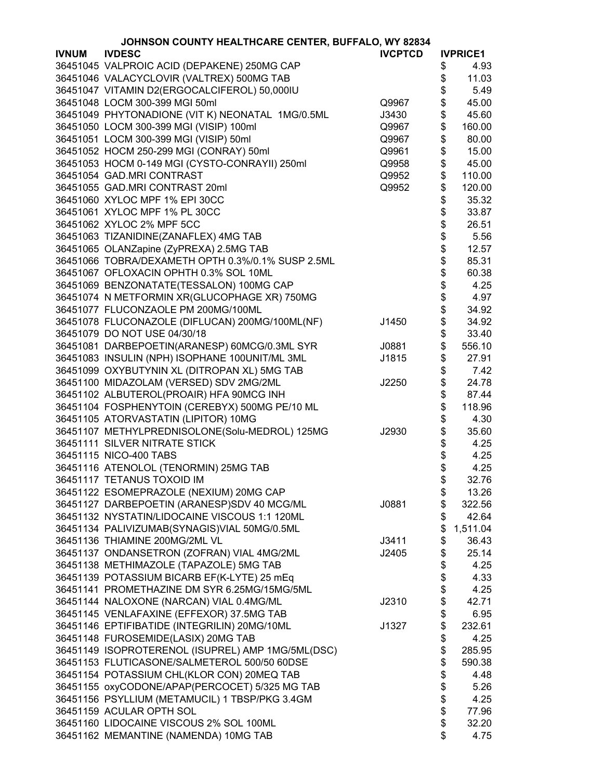|              | JOHNSON COUNTY HEALTHCARE CENTER, BUFFALO, WY 82834 |                |          |                 |
|--------------|-----------------------------------------------------|----------------|----------|-----------------|
| <b>IVNUM</b> | <b>IVDESC</b>                                       | <b>IVCPTCD</b> |          | <b>IVPRICE1</b> |
|              | 36451045 VALPROIC ACID (DEPAKENE) 250MG CAP         |                | \$       | 4.93            |
|              | 36451046 VALACYCLOVIR (VALTREX) 500MG TAB           |                | \$       | 11.03           |
|              | 36451047 VITAMIN D2(ERGOCALCIFEROL) 50,000IU        |                | \$       | 5.49            |
|              | 36451048 LOCM 300-399 MGI 50ml                      | Q9967          | \$       | 45.00           |
|              | 36451049 PHYTONADIONE (VIT K) NEONATAL 1MG/0.5ML    | J3430          | \$       | 45.60           |
|              | 36451050 LOCM 300-399 MGI (VISIP) 100ml             | Q9967          | \$       | 160.00          |
|              |                                                     |                |          |                 |
|              | 36451051 LOCM 300-399 MGI (VISIP) 50ml              | Q9967          | \$       | 80.00           |
|              | 36451052 HOCM 250-299 MGI (CONRAY) 50ml             | Q9961          | \$       | 15.00           |
|              | 36451053 HOCM 0-149 MGI (CYSTO-CONRAYII) 250ml      | Q9958          | \$       | 45.00           |
|              | 36451054 GAD.MRI CONTRAST                           | Q9952          | \$       | 110.00          |
|              | 36451055 GAD.MRI CONTRAST 20ml                      | Q9952          | \$       | 120.00          |
|              | 36451060 XYLOC MPF 1% EPI 30CC                      |                | \$       | 35.32           |
|              | 36451061 XYLOC MPF 1% PL 30CC                       |                | \$       | 33.87           |
|              | 36451062 XYLOC 2% MPF 5CC                           |                |          | 26.51           |
|              | 36451063 TIZANIDINE(ZANAFLEX) 4MG TAB               |                | \$\$     | 5.56            |
|              | 36451065 OLANZapine (ZyPREXA) 2.5MG TAB             |                |          | 12.57           |
|              | 36451066 TOBRA/DEXAMETH OPTH 0.3%/0.1% SUSP 2.5ML   |                |          | 85.31           |
|              | 36451067 OFLOXACIN OPHTH 0.3% SOL 10ML              |                | \$<br>\$ | 60.38           |
|              | 36451069 BENZONATATE(TESSALON) 100MG CAP            |                | \$       | 4.25            |
|              | 36451074 N METFORMIN XR(GLUCOPHAGE XR) 750MG        |                | \$       | 4.97            |
|              | 36451077 FLUCONZAOLE PM 200MG/100ML                 |                | \$       | 34.92           |
|              | 36451078 FLUCONAZOLE (DIFLUCAN) 200MG/100ML(NF)     | J1450          | \$       | 34.92           |
|              | 36451079 DO NOT USE 04/30/18                        |                | \$       | 33.40           |
|              |                                                     |                |          |                 |
|              | 36451081 DARBEPOETIN(ARANESP) 60MCG/0.3ML SYR       | J0881          | \$       | 556.10          |
|              | 36451083 INSULIN (NPH) ISOPHANE 100UNIT/ML 3ML      | J1815          | \$       | 27.91           |
|              | 36451099 OXYBUTYNIN XL (DITROPAN XL) 5MG TAB        |                | \$       | 7.42            |
|              | 36451100 MIDAZOLAM (VERSED) SDV 2MG/2ML             | J2250          | \$       | 24.78           |
|              | 36451102 ALBUTEROL(PROAIR) HFA 90MCG INH            |                | \$       | 87.44           |
|              | 36451104 FOSPHENYTOIN (CEREBYX) 500MG PE/10 ML      |                | \$       | 118.96          |
|              | 36451105 ATORVASTATIN (LIPITOR) 10MG                |                | \$       | 4.30            |
|              | 36451107 METHYLPREDNISOLONE(Solu-MEDROL) 125MG      | J2930          | \$       | 35.60           |
|              | 36451111 SILVER NITRATE STICK                       |                | \$       | 4.25            |
|              | 36451115 NICO-400 TABS                              |                | \$       | 4.25            |
|              | 36451116 ATENOLOL (TENORMIN) 25MG TAB               |                | \$       | 4.25            |
|              | 36451117 TETANUS TOXOID IM                          |                | \$       | 32.76           |
|              | 36451122 ESOMEPRAZOLE (NEXIUM) 20MG CAP             |                | \$       | 13.26           |
|              | 36451127 DARBEPOETIN (ARANESP)SDV 40 MCG/ML         | J0881          | \$       | 322.56          |
|              | 36451132 NYSTATIN/LIDOCAINE VISCOUS 1:1 120ML       |                | \$       | 42.64           |
|              | 36451134 PALIVIZUMAB(SYNAGIS)VIAL 50MG/0.5ML        |                | \$       | 1,511.04        |
|              | 36451136 THIAMINE 200MG/2ML VL                      | J3411          | \$       | 36.43           |
|              | 36451137 ONDANSETRON (ZOFRAN) VIAL 4MG/2ML          | J2405          | \$       | 25.14           |
|              | 36451138 METHIMAZOLE (TAPAZOLE) 5MG TAB             |                | \$       | 4.25            |
|              | 36451139 POTASSIUM BICARB EF(K-LYTE) 25 mEq         |                | \$       | 4.33            |
|              | 36451141 PROMETHAZINE DM SYR 6.25MG/15MG/5ML        |                | \$       | 4.25            |
|              | 36451144 NALOXONE (NARCAN) VIAL 0.4MG/ML            | J2310          | \$       | 42.71           |
|              |                                                     |                |          |                 |
|              | 36451145 VENLAFAXINE (EFFEXOR) 37.5MG TAB           |                | \$       | 6.95            |
|              | 36451146 EPTIFIBATIDE (INTEGRILIN) 20MG/10ML        | J1327          | \$       | 232.61          |
|              | 36451148 FUROSEMIDE(LASIX) 20MG TAB                 |                | \$       | 4.25            |
|              | 36451149 ISOPROTERENOL (ISUPREL) AMP 1MG/5ML(DSC)   |                | \$       | 285.95          |
|              | 36451153 FLUTICASONE/SALMETEROL 500/50 60DSE        |                | \$       | 590.38          |
|              | 36451154 POTASSIUM CHL(KLOR CON) 20MEQ TAB          |                | \$       | 4.48            |
|              | 36451155 oxyCODONE/APAP(PERCOCET) 5/325 MG TAB      |                | \$       | 5.26            |
|              | 36451156 PSYLLIUM (METAMUCIL) 1 TBSP/PKG 3.4GM      |                | \$       | 4.25            |
|              | 36451159 ACULAR OPTH SOL                            |                | \$       | 77.96           |
|              | 36451160 LIDOCAINE VISCOUS 2% SOL 100ML             |                | \$       | 32.20           |
|              | 36451162 MEMANTINE (NAMENDA) 10MG TAB               |                | \$       | 4.75            |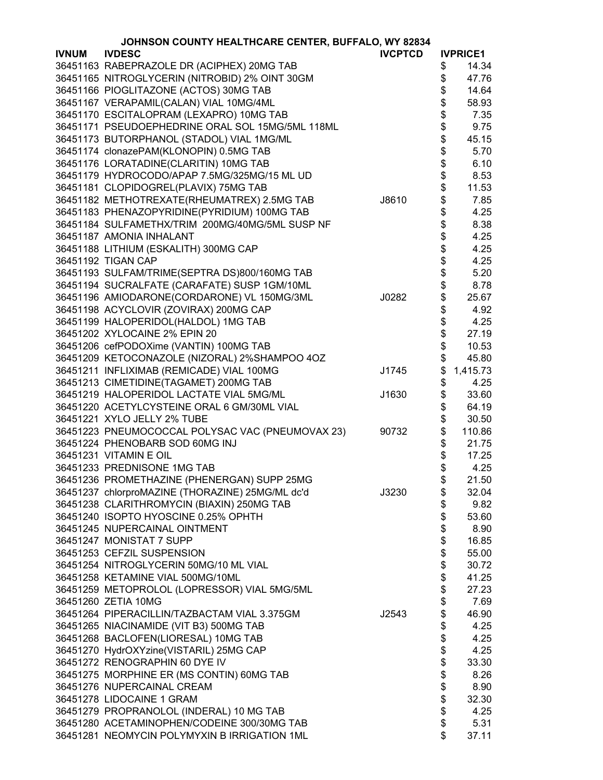| <b>IVNUM</b><br><b>IVDESC</b><br><b>IVCPTCD</b><br><b>IVPRICE1</b><br>36451163 RABEPRAZOLE DR (ACIPHEX) 20MG TAB<br>14.34<br>\$<br>36451165 NITROGLYCERIN (NITROBID) 2% OINT 30GM<br>\$<br>47.76<br>\$<br>36451166 PIOGLITAZONE (ACTOS) 30MG TAB<br>14.64<br><b>8888888</b><br>36451167 VERAPAMIL(CALAN) VIAL 10MG/4ML<br>58.93<br>36451170 ESCITALOPRAM (LEXAPRO) 10MG TAB<br>7.35<br>36451171 PSEUDOEPHEDRINE ORAL SOL 15MG/5ML 118ML<br>9.75<br>36451173 BUTORPHANOL (STADOL) VIAL 1MG/ML<br>45.15<br>36451174 clonazePAM(KLONOPIN) 0.5MG TAB<br>5.70<br>36451176 LORATADINE(CLARITIN) 10MG TAB<br>6.10<br>36451179 HYDROCODO/APAP 7.5MG/325MG/15 ML UD<br>8.53<br>36451181 CLOPIDOGREL(PLAVIX) 75MG TAB<br>11.53<br>\$<br>36451182 METHOTREXATE(RHEUMATREX) 2.5MG TAB<br>J8610<br>7.85<br>\$<br>36451183 PHENAZOPYRIDINE(PYRIDIUM) 100MG TAB<br>4.25<br>\$<br>36451184 SULFAMETHX/TRIM 200MG/40MG/5ML SUSP NF<br>8.38<br>\$<br>36451187 AMONIA INHALANT<br>4.25<br>\$<br>36451188 LITHIUM (ESKALITH) 300MG CAP<br>4.25<br>\$<br>36451192 TIGAN CAP<br>4.25<br>\$<br>5.20<br>36451193 SULFAM/TRIME(SEPTRA DS)800/160MG TAB<br>\$<br>\$<br>36451194 SUCRALFATE (CARAFATE) SUSP 1GM/10ML<br>8.78<br>36451196 AMIODARONE(CORDARONE) VL 150MG/3ML<br>J0282<br>25.67<br>\$<br>36451198 ACYCLOVIR (ZOVIRAX) 200MG CAP<br>4.92<br>\$<br>36451199 HALOPERIDOL(HALDOL) 1MG TAB<br>4.25<br>\$<br>36451202 XYLOCAINE 2% EPIN 20<br>27.19<br>\$<br>36451206 cefPODOXime (VANTIN) 100MG TAB<br>10.53<br>\$<br>36451209 KETOCONAZOLE (NIZORAL) 2%SHAMPOO 4OZ<br>45.80<br>\$<br>36451211 INFLIXIMAB (REMICADE) VIAL 100MG<br>1,415.73<br>J1745<br>\$<br>36451213 CIMETIDINE(TAGAMET) 200MG TAB<br>4.25<br>\$<br>36451219 HALOPERIDOL LACTATE VIAL 5MG/ML<br>33.60<br>J1630<br>\$<br>36451220 ACETYLCYSTEINE ORAL 6 GM/30ML VIAL<br>64.19<br>\$<br>36451221 XYLO JELLY 2% TUBE<br>30.50<br>\$<br>36451223 PNEUMOCOCCAL POLYSAC VAC (PNEUMOVAX 23)<br>110.86<br>90732<br>\$<br>36451224 PHENOBARB SOD 60MG INJ<br>21.75<br>\$<br>36451231 VITAMIN E OIL<br>17.25<br>\$<br>36451233 PREDNISONE 1MG TAB<br>4.25<br>36451236 PROMETHAZINE (PHENERGAN) SUPP 25MG<br>21.50<br>Φ<br>36451237 chlorproMAZINE (THORAZINE) 25MG/ML dc'd<br>\$<br>J3230<br>32.04<br>\$<br>36451238 CLARITHROMYCIN (BIAXIN) 250MG TAB<br>9.82<br>\$<br>36451240 ISOPTO HYOSCINE 0.25% OPHTH<br>53.60<br>\$<br>36451245 NUPERCAINAL OINTMENT<br>8.90<br>\$<br>36451247 MONISTAT 7 SUPP<br>16.85<br>\$<br>36451253 CEFZIL SUSPENSION<br>55.00<br>\$<br>36451254 NITROGLYCERIN 50MG/10 ML VIAL<br>30.72<br>\$<br>36451258 KETAMINE VIAL 500MG/10ML<br>41.25<br>\$<br>36451259 METOPROLOL (LOPRESSOR) VIAL 5MG/5ML<br>27.23<br>\$<br>36451260 ZETIA 10MG<br>7.69<br>\$<br>36451264 PIPERACILLIN/TAZBACTAM VIAL 3.375GM<br>46.90<br>J2543<br>\$<br>36451265 NIACINAMIDE (VIT B3) 500MG TAB<br>4.25<br>\$<br>36451268 BACLOFEN(LIORESAL) 10MG TAB<br>4.25<br>\$<br>36451270 HydrOXYzine(VISTARIL) 25MG CAP<br>4.25<br>\$<br>36451272 RENOGRAPHIN 60 DYE IV<br>33.30<br>\$<br>8.26<br>36451275 MORPHINE ER (MS CONTIN) 60MG TAB<br>\$<br>8.90<br>36451276 NUPERCAINAL CREAM<br>\$<br>36451278 LIDOCAINE 1 GRAM<br>32.30<br>\$<br>36451279 PROPRANOLOL (INDERAL) 10 MG TAB<br>4.25<br>\$<br>36451280 ACETAMINOPHEN/CODEINE 300/30MG TAB<br>5.31<br>\$<br>36451281 NEOMYCIN POLYMYXIN B IRRIGATION 1ML<br>37.11 | JOHNSON COUNTY HEALTHCARE CENTER, BUFFALO, WY 82834 |  |  |  |  |
|---------------------------------------------------------------------------------------------------------------------------------------------------------------------------------------------------------------------------------------------------------------------------------------------------------------------------------------------------------------------------------------------------------------------------------------------------------------------------------------------------------------------------------------------------------------------------------------------------------------------------------------------------------------------------------------------------------------------------------------------------------------------------------------------------------------------------------------------------------------------------------------------------------------------------------------------------------------------------------------------------------------------------------------------------------------------------------------------------------------------------------------------------------------------------------------------------------------------------------------------------------------------------------------------------------------------------------------------------------------------------------------------------------------------------------------------------------------------------------------------------------------------------------------------------------------------------------------------------------------------------------------------------------------------------------------------------------------------------------------------------------------------------------------------------------------------------------------------------------------------------------------------------------------------------------------------------------------------------------------------------------------------------------------------------------------------------------------------------------------------------------------------------------------------------------------------------------------------------------------------------------------------------------------------------------------------------------------------------------------------------------------------------------------------------------------------------------------------------------------------------------------------------------------------------------------------------------------------------------------------------------------------------------------------------------------------------------------------------------------------------------------------------------------------------------------------------------------------------------------------------------------------------------------------------------------------------------------------------------------------------------------------------------------------------------------------------------------------------------------------------------------------------------------------------------------------------------------------------------------------------------------------------------------------------------------------------------------------------------------|-----------------------------------------------------|--|--|--|--|
|                                                                                                                                                                                                                                                                                                                                                                                                                                                                                                                                                                                                                                                                                                                                                                                                                                                                                                                                                                                                                                                                                                                                                                                                                                                                                                                                                                                                                                                                                                                                                                                                                                                                                                                                                                                                                                                                                                                                                                                                                                                                                                                                                                                                                                                                                                                                                                                                                                                                                                                                                                                                                                                                                                                                                                                                                                                                                                                                                                                                                                                                                                                                                                                                                                                                                                                                                               |                                                     |  |  |  |  |
|                                                                                                                                                                                                                                                                                                                                                                                                                                                                                                                                                                                                                                                                                                                                                                                                                                                                                                                                                                                                                                                                                                                                                                                                                                                                                                                                                                                                                                                                                                                                                                                                                                                                                                                                                                                                                                                                                                                                                                                                                                                                                                                                                                                                                                                                                                                                                                                                                                                                                                                                                                                                                                                                                                                                                                                                                                                                                                                                                                                                                                                                                                                                                                                                                                                                                                                                                               |                                                     |  |  |  |  |
|                                                                                                                                                                                                                                                                                                                                                                                                                                                                                                                                                                                                                                                                                                                                                                                                                                                                                                                                                                                                                                                                                                                                                                                                                                                                                                                                                                                                                                                                                                                                                                                                                                                                                                                                                                                                                                                                                                                                                                                                                                                                                                                                                                                                                                                                                                                                                                                                                                                                                                                                                                                                                                                                                                                                                                                                                                                                                                                                                                                                                                                                                                                                                                                                                                                                                                                                                               |                                                     |  |  |  |  |
|                                                                                                                                                                                                                                                                                                                                                                                                                                                                                                                                                                                                                                                                                                                                                                                                                                                                                                                                                                                                                                                                                                                                                                                                                                                                                                                                                                                                                                                                                                                                                                                                                                                                                                                                                                                                                                                                                                                                                                                                                                                                                                                                                                                                                                                                                                                                                                                                                                                                                                                                                                                                                                                                                                                                                                                                                                                                                                                                                                                                                                                                                                                                                                                                                                                                                                                                                               |                                                     |  |  |  |  |
|                                                                                                                                                                                                                                                                                                                                                                                                                                                                                                                                                                                                                                                                                                                                                                                                                                                                                                                                                                                                                                                                                                                                                                                                                                                                                                                                                                                                                                                                                                                                                                                                                                                                                                                                                                                                                                                                                                                                                                                                                                                                                                                                                                                                                                                                                                                                                                                                                                                                                                                                                                                                                                                                                                                                                                                                                                                                                                                                                                                                                                                                                                                                                                                                                                                                                                                                                               |                                                     |  |  |  |  |
|                                                                                                                                                                                                                                                                                                                                                                                                                                                                                                                                                                                                                                                                                                                                                                                                                                                                                                                                                                                                                                                                                                                                                                                                                                                                                                                                                                                                                                                                                                                                                                                                                                                                                                                                                                                                                                                                                                                                                                                                                                                                                                                                                                                                                                                                                                                                                                                                                                                                                                                                                                                                                                                                                                                                                                                                                                                                                                                                                                                                                                                                                                                                                                                                                                                                                                                                                               |                                                     |  |  |  |  |
|                                                                                                                                                                                                                                                                                                                                                                                                                                                                                                                                                                                                                                                                                                                                                                                                                                                                                                                                                                                                                                                                                                                                                                                                                                                                                                                                                                                                                                                                                                                                                                                                                                                                                                                                                                                                                                                                                                                                                                                                                                                                                                                                                                                                                                                                                                                                                                                                                                                                                                                                                                                                                                                                                                                                                                                                                                                                                                                                                                                                                                                                                                                                                                                                                                                                                                                                                               |                                                     |  |  |  |  |
|                                                                                                                                                                                                                                                                                                                                                                                                                                                                                                                                                                                                                                                                                                                                                                                                                                                                                                                                                                                                                                                                                                                                                                                                                                                                                                                                                                                                                                                                                                                                                                                                                                                                                                                                                                                                                                                                                                                                                                                                                                                                                                                                                                                                                                                                                                                                                                                                                                                                                                                                                                                                                                                                                                                                                                                                                                                                                                                                                                                                                                                                                                                                                                                                                                                                                                                                                               |                                                     |  |  |  |  |
|                                                                                                                                                                                                                                                                                                                                                                                                                                                                                                                                                                                                                                                                                                                                                                                                                                                                                                                                                                                                                                                                                                                                                                                                                                                                                                                                                                                                                                                                                                                                                                                                                                                                                                                                                                                                                                                                                                                                                                                                                                                                                                                                                                                                                                                                                                                                                                                                                                                                                                                                                                                                                                                                                                                                                                                                                                                                                                                                                                                                                                                                                                                                                                                                                                                                                                                                                               |                                                     |  |  |  |  |
|                                                                                                                                                                                                                                                                                                                                                                                                                                                                                                                                                                                                                                                                                                                                                                                                                                                                                                                                                                                                                                                                                                                                                                                                                                                                                                                                                                                                                                                                                                                                                                                                                                                                                                                                                                                                                                                                                                                                                                                                                                                                                                                                                                                                                                                                                                                                                                                                                                                                                                                                                                                                                                                                                                                                                                                                                                                                                                                                                                                                                                                                                                                                                                                                                                                                                                                                                               |                                                     |  |  |  |  |
|                                                                                                                                                                                                                                                                                                                                                                                                                                                                                                                                                                                                                                                                                                                                                                                                                                                                                                                                                                                                                                                                                                                                                                                                                                                                                                                                                                                                                                                                                                                                                                                                                                                                                                                                                                                                                                                                                                                                                                                                                                                                                                                                                                                                                                                                                                                                                                                                                                                                                                                                                                                                                                                                                                                                                                                                                                                                                                                                                                                                                                                                                                                                                                                                                                                                                                                                                               |                                                     |  |  |  |  |
|                                                                                                                                                                                                                                                                                                                                                                                                                                                                                                                                                                                                                                                                                                                                                                                                                                                                                                                                                                                                                                                                                                                                                                                                                                                                                                                                                                                                                                                                                                                                                                                                                                                                                                                                                                                                                                                                                                                                                                                                                                                                                                                                                                                                                                                                                                                                                                                                                                                                                                                                                                                                                                                                                                                                                                                                                                                                                                                                                                                                                                                                                                                                                                                                                                                                                                                                                               |                                                     |  |  |  |  |
|                                                                                                                                                                                                                                                                                                                                                                                                                                                                                                                                                                                                                                                                                                                                                                                                                                                                                                                                                                                                                                                                                                                                                                                                                                                                                                                                                                                                                                                                                                                                                                                                                                                                                                                                                                                                                                                                                                                                                                                                                                                                                                                                                                                                                                                                                                                                                                                                                                                                                                                                                                                                                                                                                                                                                                                                                                                                                                                                                                                                                                                                                                                                                                                                                                                                                                                                                               |                                                     |  |  |  |  |
|                                                                                                                                                                                                                                                                                                                                                                                                                                                                                                                                                                                                                                                                                                                                                                                                                                                                                                                                                                                                                                                                                                                                                                                                                                                                                                                                                                                                                                                                                                                                                                                                                                                                                                                                                                                                                                                                                                                                                                                                                                                                                                                                                                                                                                                                                                                                                                                                                                                                                                                                                                                                                                                                                                                                                                                                                                                                                                                                                                                                                                                                                                                                                                                                                                                                                                                                                               |                                                     |  |  |  |  |
|                                                                                                                                                                                                                                                                                                                                                                                                                                                                                                                                                                                                                                                                                                                                                                                                                                                                                                                                                                                                                                                                                                                                                                                                                                                                                                                                                                                                                                                                                                                                                                                                                                                                                                                                                                                                                                                                                                                                                                                                                                                                                                                                                                                                                                                                                                                                                                                                                                                                                                                                                                                                                                                                                                                                                                                                                                                                                                                                                                                                                                                                                                                                                                                                                                                                                                                                                               |                                                     |  |  |  |  |
|                                                                                                                                                                                                                                                                                                                                                                                                                                                                                                                                                                                                                                                                                                                                                                                                                                                                                                                                                                                                                                                                                                                                                                                                                                                                                                                                                                                                                                                                                                                                                                                                                                                                                                                                                                                                                                                                                                                                                                                                                                                                                                                                                                                                                                                                                                                                                                                                                                                                                                                                                                                                                                                                                                                                                                                                                                                                                                                                                                                                                                                                                                                                                                                                                                                                                                                                                               |                                                     |  |  |  |  |
|                                                                                                                                                                                                                                                                                                                                                                                                                                                                                                                                                                                                                                                                                                                                                                                                                                                                                                                                                                                                                                                                                                                                                                                                                                                                                                                                                                                                                                                                                                                                                                                                                                                                                                                                                                                                                                                                                                                                                                                                                                                                                                                                                                                                                                                                                                                                                                                                                                                                                                                                                                                                                                                                                                                                                                                                                                                                                                                                                                                                                                                                                                                                                                                                                                                                                                                                                               |                                                     |  |  |  |  |
|                                                                                                                                                                                                                                                                                                                                                                                                                                                                                                                                                                                                                                                                                                                                                                                                                                                                                                                                                                                                                                                                                                                                                                                                                                                                                                                                                                                                                                                                                                                                                                                                                                                                                                                                                                                                                                                                                                                                                                                                                                                                                                                                                                                                                                                                                                                                                                                                                                                                                                                                                                                                                                                                                                                                                                                                                                                                                                                                                                                                                                                                                                                                                                                                                                                                                                                                                               |                                                     |  |  |  |  |
|                                                                                                                                                                                                                                                                                                                                                                                                                                                                                                                                                                                                                                                                                                                                                                                                                                                                                                                                                                                                                                                                                                                                                                                                                                                                                                                                                                                                                                                                                                                                                                                                                                                                                                                                                                                                                                                                                                                                                                                                                                                                                                                                                                                                                                                                                                                                                                                                                                                                                                                                                                                                                                                                                                                                                                                                                                                                                                                                                                                                                                                                                                                                                                                                                                                                                                                                                               |                                                     |  |  |  |  |
|                                                                                                                                                                                                                                                                                                                                                                                                                                                                                                                                                                                                                                                                                                                                                                                                                                                                                                                                                                                                                                                                                                                                                                                                                                                                                                                                                                                                                                                                                                                                                                                                                                                                                                                                                                                                                                                                                                                                                                                                                                                                                                                                                                                                                                                                                                                                                                                                                                                                                                                                                                                                                                                                                                                                                                                                                                                                                                                                                                                                                                                                                                                                                                                                                                                                                                                                                               |                                                     |  |  |  |  |
|                                                                                                                                                                                                                                                                                                                                                                                                                                                                                                                                                                                                                                                                                                                                                                                                                                                                                                                                                                                                                                                                                                                                                                                                                                                                                                                                                                                                                                                                                                                                                                                                                                                                                                                                                                                                                                                                                                                                                                                                                                                                                                                                                                                                                                                                                                                                                                                                                                                                                                                                                                                                                                                                                                                                                                                                                                                                                                                                                                                                                                                                                                                                                                                                                                                                                                                                                               |                                                     |  |  |  |  |
|                                                                                                                                                                                                                                                                                                                                                                                                                                                                                                                                                                                                                                                                                                                                                                                                                                                                                                                                                                                                                                                                                                                                                                                                                                                                                                                                                                                                                                                                                                                                                                                                                                                                                                                                                                                                                                                                                                                                                                                                                                                                                                                                                                                                                                                                                                                                                                                                                                                                                                                                                                                                                                                                                                                                                                                                                                                                                                                                                                                                                                                                                                                                                                                                                                                                                                                                                               |                                                     |  |  |  |  |
|                                                                                                                                                                                                                                                                                                                                                                                                                                                                                                                                                                                                                                                                                                                                                                                                                                                                                                                                                                                                                                                                                                                                                                                                                                                                                                                                                                                                                                                                                                                                                                                                                                                                                                                                                                                                                                                                                                                                                                                                                                                                                                                                                                                                                                                                                                                                                                                                                                                                                                                                                                                                                                                                                                                                                                                                                                                                                                                                                                                                                                                                                                                                                                                                                                                                                                                                                               |                                                     |  |  |  |  |
|                                                                                                                                                                                                                                                                                                                                                                                                                                                                                                                                                                                                                                                                                                                                                                                                                                                                                                                                                                                                                                                                                                                                                                                                                                                                                                                                                                                                                                                                                                                                                                                                                                                                                                                                                                                                                                                                                                                                                                                                                                                                                                                                                                                                                                                                                                                                                                                                                                                                                                                                                                                                                                                                                                                                                                                                                                                                                                                                                                                                                                                                                                                                                                                                                                                                                                                                                               |                                                     |  |  |  |  |
|                                                                                                                                                                                                                                                                                                                                                                                                                                                                                                                                                                                                                                                                                                                                                                                                                                                                                                                                                                                                                                                                                                                                                                                                                                                                                                                                                                                                                                                                                                                                                                                                                                                                                                                                                                                                                                                                                                                                                                                                                                                                                                                                                                                                                                                                                                                                                                                                                                                                                                                                                                                                                                                                                                                                                                                                                                                                                                                                                                                                                                                                                                                                                                                                                                                                                                                                                               |                                                     |  |  |  |  |
|                                                                                                                                                                                                                                                                                                                                                                                                                                                                                                                                                                                                                                                                                                                                                                                                                                                                                                                                                                                                                                                                                                                                                                                                                                                                                                                                                                                                                                                                                                                                                                                                                                                                                                                                                                                                                                                                                                                                                                                                                                                                                                                                                                                                                                                                                                                                                                                                                                                                                                                                                                                                                                                                                                                                                                                                                                                                                                                                                                                                                                                                                                                                                                                                                                                                                                                                                               |                                                     |  |  |  |  |
|                                                                                                                                                                                                                                                                                                                                                                                                                                                                                                                                                                                                                                                                                                                                                                                                                                                                                                                                                                                                                                                                                                                                                                                                                                                                                                                                                                                                                                                                                                                                                                                                                                                                                                                                                                                                                                                                                                                                                                                                                                                                                                                                                                                                                                                                                                                                                                                                                                                                                                                                                                                                                                                                                                                                                                                                                                                                                                                                                                                                                                                                                                                                                                                                                                                                                                                                                               |                                                     |  |  |  |  |
|                                                                                                                                                                                                                                                                                                                                                                                                                                                                                                                                                                                                                                                                                                                                                                                                                                                                                                                                                                                                                                                                                                                                                                                                                                                                                                                                                                                                                                                                                                                                                                                                                                                                                                                                                                                                                                                                                                                                                                                                                                                                                                                                                                                                                                                                                                                                                                                                                                                                                                                                                                                                                                                                                                                                                                                                                                                                                                                                                                                                                                                                                                                                                                                                                                                                                                                                                               |                                                     |  |  |  |  |
|                                                                                                                                                                                                                                                                                                                                                                                                                                                                                                                                                                                                                                                                                                                                                                                                                                                                                                                                                                                                                                                                                                                                                                                                                                                                                                                                                                                                                                                                                                                                                                                                                                                                                                                                                                                                                                                                                                                                                                                                                                                                                                                                                                                                                                                                                                                                                                                                                                                                                                                                                                                                                                                                                                                                                                                                                                                                                                                                                                                                                                                                                                                                                                                                                                                                                                                                                               |                                                     |  |  |  |  |
|                                                                                                                                                                                                                                                                                                                                                                                                                                                                                                                                                                                                                                                                                                                                                                                                                                                                                                                                                                                                                                                                                                                                                                                                                                                                                                                                                                                                                                                                                                                                                                                                                                                                                                                                                                                                                                                                                                                                                                                                                                                                                                                                                                                                                                                                                                                                                                                                                                                                                                                                                                                                                                                                                                                                                                                                                                                                                                                                                                                                                                                                                                                                                                                                                                                                                                                                                               |                                                     |  |  |  |  |
|                                                                                                                                                                                                                                                                                                                                                                                                                                                                                                                                                                                                                                                                                                                                                                                                                                                                                                                                                                                                                                                                                                                                                                                                                                                                                                                                                                                                                                                                                                                                                                                                                                                                                                                                                                                                                                                                                                                                                                                                                                                                                                                                                                                                                                                                                                                                                                                                                                                                                                                                                                                                                                                                                                                                                                                                                                                                                                                                                                                                                                                                                                                                                                                                                                                                                                                                                               |                                                     |  |  |  |  |
|                                                                                                                                                                                                                                                                                                                                                                                                                                                                                                                                                                                                                                                                                                                                                                                                                                                                                                                                                                                                                                                                                                                                                                                                                                                                                                                                                                                                                                                                                                                                                                                                                                                                                                                                                                                                                                                                                                                                                                                                                                                                                                                                                                                                                                                                                                                                                                                                                                                                                                                                                                                                                                                                                                                                                                                                                                                                                                                                                                                                                                                                                                                                                                                                                                                                                                                                                               |                                                     |  |  |  |  |
|                                                                                                                                                                                                                                                                                                                                                                                                                                                                                                                                                                                                                                                                                                                                                                                                                                                                                                                                                                                                                                                                                                                                                                                                                                                                                                                                                                                                                                                                                                                                                                                                                                                                                                                                                                                                                                                                                                                                                                                                                                                                                                                                                                                                                                                                                                                                                                                                                                                                                                                                                                                                                                                                                                                                                                                                                                                                                                                                                                                                                                                                                                                                                                                                                                                                                                                                                               |                                                     |  |  |  |  |
|                                                                                                                                                                                                                                                                                                                                                                                                                                                                                                                                                                                                                                                                                                                                                                                                                                                                                                                                                                                                                                                                                                                                                                                                                                                                                                                                                                                                                                                                                                                                                                                                                                                                                                                                                                                                                                                                                                                                                                                                                                                                                                                                                                                                                                                                                                                                                                                                                                                                                                                                                                                                                                                                                                                                                                                                                                                                                                                                                                                                                                                                                                                                                                                                                                                                                                                                                               |                                                     |  |  |  |  |
|                                                                                                                                                                                                                                                                                                                                                                                                                                                                                                                                                                                                                                                                                                                                                                                                                                                                                                                                                                                                                                                                                                                                                                                                                                                                                                                                                                                                                                                                                                                                                                                                                                                                                                                                                                                                                                                                                                                                                                                                                                                                                                                                                                                                                                                                                                                                                                                                                                                                                                                                                                                                                                                                                                                                                                                                                                                                                                                                                                                                                                                                                                                                                                                                                                                                                                                                                               |                                                     |  |  |  |  |
|                                                                                                                                                                                                                                                                                                                                                                                                                                                                                                                                                                                                                                                                                                                                                                                                                                                                                                                                                                                                                                                                                                                                                                                                                                                                                                                                                                                                                                                                                                                                                                                                                                                                                                                                                                                                                                                                                                                                                                                                                                                                                                                                                                                                                                                                                                                                                                                                                                                                                                                                                                                                                                                                                                                                                                                                                                                                                                                                                                                                                                                                                                                                                                                                                                                                                                                                                               |                                                     |  |  |  |  |
|                                                                                                                                                                                                                                                                                                                                                                                                                                                                                                                                                                                                                                                                                                                                                                                                                                                                                                                                                                                                                                                                                                                                                                                                                                                                                                                                                                                                                                                                                                                                                                                                                                                                                                                                                                                                                                                                                                                                                                                                                                                                                                                                                                                                                                                                                                                                                                                                                                                                                                                                                                                                                                                                                                                                                                                                                                                                                                                                                                                                                                                                                                                                                                                                                                                                                                                                                               |                                                     |  |  |  |  |
|                                                                                                                                                                                                                                                                                                                                                                                                                                                                                                                                                                                                                                                                                                                                                                                                                                                                                                                                                                                                                                                                                                                                                                                                                                                                                                                                                                                                                                                                                                                                                                                                                                                                                                                                                                                                                                                                                                                                                                                                                                                                                                                                                                                                                                                                                                                                                                                                                                                                                                                                                                                                                                                                                                                                                                                                                                                                                                                                                                                                                                                                                                                                                                                                                                                                                                                                                               |                                                     |  |  |  |  |
|                                                                                                                                                                                                                                                                                                                                                                                                                                                                                                                                                                                                                                                                                                                                                                                                                                                                                                                                                                                                                                                                                                                                                                                                                                                                                                                                                                                                                                                                                                                                                                                                                                                                                                                                                                                                                                                                                                                                                                                                                                                                                                                                                                                                                                                                                                                                                                                                                                                                                                                                                                                                                                                                                                                                                                                                                                                                                                                                                                                                                                                                                                                                                                                                                                                                                                                                                               |                                                     |  |  |  |  |
|                                                                                                                                                                                                                                                                                                                                                                                                                                                                                                                                                                                                                                                                                                                                                                                                                                                                                                                                                                                                                                                                                                                                                                                                                                                                                                                                                                                                                                                                                                                                                                                                                                                                                                                                                                                                                                                                                                                                                                                                                                                                                                                                                                                                                                                                                                                                                                                                                                                                                                                                                                                                                                                                                                                                                                                                                                                                                                                                                                                                                                                                                                                                                                                                                                                                                                                                                               |                                                     |  |  |  |  |
|                                                                                                                                                                                                                                                                                                                                                                                                                                                                                                                                                                                                                                                                                                                                                                                                                                                                                                                                                                                                                                                                                                                                                                                                                                                                                                                                                                                                                                                                                                                                                                                                                                                                                                                                                                                                                                                                                                                                                                                                                                                                                                                                                                                                                                                                                                                                                                                                                                                                                                                                                                                                                                                                                                                                                                                                                                                                                                                                                                                                                                                                                                                                                                                                                                                                                                                                                               |                                                     |  |  |  |  |
|                                                                                                                                                                                                                                                                                                                                                                                                                                                                                                                                                                                                                                                                                                                                                                                                                                                                                                                                                                                                                                                                                                                                                                                                                                                                                                                                                                                                                                                                                                                                                                                                                                                                                                                                                                                                                                                                                                                                                                                                                                                                                                                                                                                                                                                                                                                                                                                                                                                                                                                                                                                                                                                                                                                                                                                                                                                                                                                                                                                                                                                                                                                                                                                                                                                                                                                                                               |                                                     |  |  |  |  |
|                                                                                                                                                                                                                                                                                                                                                                                                                                                                                                                                                                                                                                                                                                                                                                                                                                                                                                                                                                                                                                                                                                                                                                                                                                                                                                                                                                                                                                                                                                                                                                                                                                                                                                                                                                                                                                                                                                                                                                                                                                                                                                                                                                                                                                                                                                                                                                                                                                                                                                                                                                                                                                                                                                                                                                                                                                                                                                                                                                                                                                                                                                                                                                                                                                                                                                                                                               |                                                     |  |  |  |  |
|                                                                                                                                                                                                                                                                                                                                                                                                                                                                                                                                                                                                                                                                                                                                                                                                                                                                                                                                                                                                                                                                                                                                                                                                                                                                                                                                                                                                                                                                                                                                                                                                                                                                                                                                                                                                                                                                                                                                                                                                                                                                                                                                                                                                                                                                                                                                                                                                                                                                                                                                                                                                                                                                                                                                                                                                                                                                                                                                                                                                                                                                                                                                                                                                                                                                                                                                                               |                                                     |  |  |  |  |
|                                                                                                                                                                                                                                                                                                                                                                                                                                                                                                                                                                                                                                                                                                                                                                                                                                                                                                                                                                                                                                                                                                                                                                                                                                                                                                                                                                                                                                                                                                                                                                                                                                                                                                                                                                                                                                                                                                                                                                                                                                                                                                                                                                                                                                                                                                                                                                                                                                                                                                                                                                                                                                                                                                                                                                                                                                                                                                                                                                                                                                                                                                                                                                                                                                                                                                                                                               |                                                     |  |  |  |  |
|                                                                                                                                                                                                                                                                                                                                                                                                                                                                                                                                                                                                                                                                                                                                                                                                                                                                                                                                                                                                                                                                                                                                                                                                                                                                                                                                                                                                                                                                                                                                                                                                                                                                                                                                                                                                                                                                                                                                                                                                                                                                                                                                                                                                                                                                                                                                                                                                                                                                                                                                                                                                                                                                                                                                                                                                                                                                                                                                                                                                                                                                                                                                                                                                                                                                                                                                                               |                                                     |  |  |  |  |
|                                                                                                                                                                                                                                                                                                                                                                                                                                                                                                                                                                                                                                                                                                                                                                                                                                                                                                                                                                                                                                                                                                                                                                                                                                                                                                                                                                                                                                                                                                                                                                                                                                                                                                                                                                                                                                                                                                                                                                                                                                                                                                                                                                                                                                                                                                                                                                                                                                                                                                                                                                                                                                                                                                                                                                                                                                                                                                                                                                                                                                                                                                                                                                                                                                                                                                                                                               |                                                     |  |  |  |  |
|                                                                                                                                                                                                                                                                                                                                                                                                                                                                                                                                                                                                                                                                                                                                                                                                                                                                                                                                                                                                                                                                                                                                                                                                                                                                                                                                                                                                                                                                                                                                                                                                                                                                                                                                                                                                                                                                                                                                                                                                                                                                                                                                                                                                                                                                                                                                                                                                                                                                                                                                                                                                                                                                                                                                                                                                                                                                                                                                                                                                                                                                                                                                                                                                                                                                                                                                                               |                                                     |  |  |  |  |
|                                                                                                                                                                                                                                                                                                                                                                                                                                                                                                                                                                                                                                                                                                                                                                                                                                                                                                                                                                                                                                                                                                                                                                                                                                                                                                                                                                                                                                                                                                                                                                                                                                                                                                                                                                                                                                                                                                                                                                                                                                                                                                                                                                                                                                                                                                                                                                                                                                                                                                                                                                                                                                                                                                                                                                                                                                                                                                                                                                                                                                                                                                                                                                                                                                                                                                                                                               |                                                     |  |  |  |  |
|                                                                                                                                                                                                                                                                                                                                                                                                                                                                                                                                                                                                                                                                                                                                                                                                                                                                                                                                                                                                                                                                                                                                                                                                                                                                                                                                                                                                                                                                                                                                                                                                                                                                                                                                                                                                                                                                                                                                                                                                                                                                                                                                                                                                                                                                                                                                                                                                                                                                                                                                                                                                                                                                                                                                                                                                                                                                                                                                                                                                                                                                                                                                                                                                                                                                                                                                                               |                                                     |  |  |  |  |
|                                                                                                                                                                                                                                                                                                                                                                                                                                                                                                                                                                                                                                                                                                                                                                                                                                                                                                                                                                                                                                                                                                                                                                                                                                                                                                                                                                                                                                                                                                                                                                                                                                                                                                                                                                                                                                                                                                                                                                                                                                                                                                                                                                                                                                                                                                                                                                                                                                                                                                                                                                                                                                                                                                                                                                                                                                                                                                                                                                                                                                                                                                                                                                                                                                                                                                                                                               |                                                     |  |  |  |  |
|                                                                                                                                                                                                                                                                                                                                                                                                                                                                                                                                                                                                                                                                                                                                                                                                                                                                                                                                                                                                                                                                                                                                                                                                                                                                                                                                                                                                                                                                                                                                                                                                                                                                                                                                                                                                                                                                                                                                                                                                                                                                                                                                                                                                                                                                                                                                                                                                                                                                                                                                                                                                                                                                                                                                                                                                                                                                                                                                                                                                                                                                                                                                                                                                                                                                                                                                                               |                                                     |  |  |  |  |
|                                                                                                                                                                                                                                                                                                                                                                                                                                                                                                                                                                                                                                                                                                                                                                                                                                                                                                                                                                                                                                                                                                                                                                                                                                                                                                                                                                                                                                                                                                                                                                                                                                                                                                                                                                                                                                                                                                                                                                                                                                                                                                                                                                                                                                                                                                                                                                                                                                                                                                                                                                                                                                                                                                                                                                                                                                                                                                                                                                                                                                                                                                                                                                                                                                                                                                                                                               |                                                     |  |  |  |  |
|                                                                                                                                                                                                                                                                                                                                                                                                                                                                                                                                                                                                                                                                                                                                                                                                                                                                                                                                                                                                                                                                                                                                                                                                                                                                                                                                                                                                                                                                                                                                                                                                                                                                                                                                                                                                                                                                                                                                                                                                                                                                                                                                                                                                                                                                                                                                                                                                                                                                                                                                                                                                                                                                                                                                                                                                                                                                                                                                                                                                                                                                                                                                                                                                                                                                                                                                                               |                                                     |  |  |  |  |
|                                                                                                                                                                                                                                                                                                                                                                                                                                                                                                                                                                                                                                                                                                                                                                                                                                                                                                                                                                                                                                                                                                                                                                                                                                                                                                                                                                                                                                                                                                                                                                                                                                                                                                                                                                                                                                                                                                                                                                                                                                                                                                                                                                                                                                                                                                                                                                                                                                                                                                                                                                                                                                                                                                                                                                                                                                                                                                                                                                                                                                                                                                                                                                                                                                                                                                                                                               |                                                     |  |  |  |  |
|                                                                                                                                                                                                                                                                                                                                                                                                                                                                                                                                                                                                                                                                                                                                                                                                                                                                                                                                                                                                                                                                                                                                                                                                                                                                                                                                                                                                                                                                                                                                                                                                                                                                                                                                                                                                                                                                                                                                                                                                                                                                                                                                                                                                                                                                                                                                                                                                                                                                                                                                                                                                                                                                                                                                                                                                                                                                                                                                                                                                                                                                                                                                                                                                                                                                                                                                                               |                                                     |  |  |  |  |
|                                                                                                                                                                                                                                                                                                                                                                                                                                                                                                                                                                                                                                                                                                                                                                                                                                                                                                                                                                                                                                                                                                                                                                                                                                                                                                                                                                                                                                                                                                                                                                                                                                                                                                                                                                                                                                                                                                                                                                                                                                                                                                                                                                                                                                                                                                                                                                                                                                                                                                                                                                                                                                                                                                                                                                                                                                                                                                                                                                                                                                                                                                                                                                                                                                                                                                                                                               |                                                     |  |  |  |  |
|                                                                                                                                                                                                                                                                                                                                                                                                                                                                                                                                                                                                                                                                                                                                                                                                                                                                                                                                                                                                                                                                                                                                                                                                                                                                                                                                                                                                                                                                                                                                                                                                                                                                                                                                                                                                                                                                                                                                                                                                                                                                                                                                                                                                                                                                                                                                                                                                                                                                                                                                                                                                                                                                                                                                                                                                                                                                                                                                                                                                                                                                                                                                                                                                                                                                                                                                                               |                                                     |  |  |  |  |
|                                                                                                                                                                                                                                                                                                                                                                                                                                                                                                                                                                                                                                                                                                                                                                                                                                                                                                                                                                                                                                                                                                                                                                                                                                                                                                                                                                                                                                                                                                                                                                                                                                                                                                                                                                                                                                                                                                                                                                                                                                                                                                                                                                                                                                                                                                                                                                                                                                                                                                                                                                                                                                                                                                                                                                                                                                                                                                                                                                                                                                                                                                                                                                                                                                                                                                                                                               |                                                     |  |  |  |  |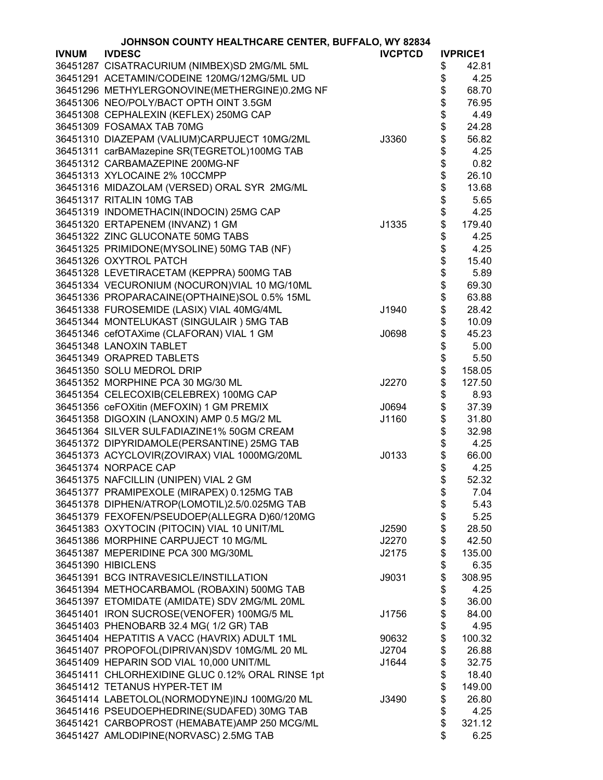|              | JOHNSON COUNTY HEALTHCARE CENTER, BUFFALO, WY 82834 |                |          |                 |
|--------------|-----------------------------------------------------|----------------|----------|-----------------|
| <b>IVNUM</b> | <b>IVDESC</b>                                       | <b>IVCPTCD</b> |          | <b>IVPRICE1</b> |
|              | 36451287 CISATRACURIUM (NIMBEX)SD 2MG/ML 5ML        |                | \$       | 42.81           |
|              | 36451291 ACETAMIN/CODEINE 120MG/12MG/5ML UD         |                | \$       | 4.25            |
|              | 36451296 METHYLERGONOVINE(METHERGINE)0.2MG NF       |                | \$       | 68.70           |
|              | 36451306 NEO/POLY/BACT OPTH OINT 3.5GM              |                | \$       | 76.95           |
|              | 36451308 CEPHALEXIN (KEFLEX) 250MG CAP              |                | \$       | 4.49            |
|              |                                                     |                |          |                 |
|              | 36451309 FOSAMAX TAB 70MG                           |                | \$       | 24.28           |
|              | 36451310 DIAZEPAM (VALIUM)CARPUJECT 10MG/2ML        | J3360          | \$       | 56.82           |
|              | 36451311 carBAMazepine SR(TEGRETOL)100MG TAB        |                | \$       | 4.25            |
|              | 36451312 CARBAMAZEPINE 200MG-NF                     |                | \$<br>\$ | 0.82            |
|              | 36451313 XYLOCAINE 2% 10CCMPP                       |                |          | 26.10           |
|              | 36451316 MIDAZOLAM (VERSED) ORAL SYR 2MG/ML         |                | \$       | 13.68           |
|              | 36451317 RITALIN 10MG TAB                           |                | \$       | 5.65            |
|              | 36451319 INDOMETHACIN(INDOCIN) 25MG CAP             |                | \$       | 4.25            |
|              | 36451320 ERTAPENEM (INVANZ) 1 GM                    | J1335          | \$       | 179.40          |
|              | 36451322 ZINC GLUCONATE 50MG TABS                   |                | \$       | 4.25            |
|              | 36451325 PRIMIDONE(MYSOLINE) 50MG TAB (NF)          |                | \$       | 4.25            |
|              | 36451326 OXYTROL PATCH                              |                | \$       | 15.40           |
|              | 36451328 LEVETIRACETAM (KEPPRA) 500MG TAB           |                | \$       | 5.89            |
|              | 36451334 VECURONIUM (NOCURON)VIAL 10 MG/10ML        |                | \$       | 69.30           |
|              | 36451336 PROPARACAINE(OPTHAINE)SOL 0.5% 15ML        |                | \$       | 63.88           |
|              | 36451338 FUROSEMIDE (LASIX) VIAL 40MG/4ML           | J1940          | \$       | 28.42           |
|              | 36451344 MONTELUKAST (SINGULAIR) 5MG TAB            |                | \$       | 10.09           |
|              | 36451346 cefOTAXime (CLAFORAN) VIAL 1 GM            | J0698          | \$       | 45.23           |
|              |                                                     |                |          |                 |
|              | 36451348 LANOXIN TABLET                             |                | \$       | 5.00            |
|              | 36451349 ORAPRED TABLETS                            |                | \$       | 5.50            |
|              | 36451350 SOLU MEDROL DRIP                           |                | \$       | 158.05          |
|              | 36451352 MORPHINE PCA 30 MG/30 ML                   | J2270          |          | 127.50          |
|              | 36451354 CELECOXIB(CELEBREX) 100MG CAP              |                | \$       | 8.93            |
|              | 36451356 ceFOXitin (MEFOXIN) 1 GM PREMIX            | J0694          | \$       | 37.39           |
|              | 36451358 DIGOXIN (LANOXIN) AMP 0.5 MG/2 ML          | J1160          | \$       | 31.80           |
|              | 36451364 SILVER SULFADIAZINE1% 50GM CREAM           |                | \$       | 32.98           |
|              | 36451372 DIPYRIDAMOLE(PERSANTINE) 25MG TAB          |                | \$       | 4.25            |
|              | 36451373 ACYCLOVIR(ZOVIRAX) VIAL 1000MG/20ML        | J0133          | \$       | 66.00           |
|              | 36451374 NORPACE CAP                                |                | \$       | 4.25            |
|              | 36451375 NAFCILLIN (UNIPEN) VIAL 2 GM               |                | \$       | 52.32           |
|              | 36451377 PRAMIPEXOLE (MIRAPEX) 0.125MG TAB          |                | \$       | 7.04            |
|              | 36451378 DIPHEN/ATROP(LOMOTIL)2.5/0.025MG TAB       |                | \$       | 5.43            |
|              | 36451379 FEXOFEN/PSEUDOEP(ALLEGRA D)60/120MG        |                | \$       | 5.25            |
|              | 36451383 OXYTOCIN (PITOCIN) VIAL 10 UNIT/ML         | J2590          | \$       | 28.50           |
|              | 36451386 MORPHINE CARPUJECT 10 MG/ML                | J2270          | \$       | 42.50           |
|              | 36451387 MEPERIDINE PCA 300 MG/30ML                 | J2175          | \$       | 135.00          |
|              | 36451390 HIBICLENS                                  |                | \$       | 6.35            |
|              | 36451391 BCG INTRAVESICLE/INSTILLATION              | J9031          | \$       | 308.95          |
|              | 36451394 METHOCARBAMOL (ROBAXIN) 500MG TAB          |                | \$       | 4.25            |
|              | 36451397 ETOMIDATE (AMIDATE) SDV 2MG/ML 20ML        |                | \$       | 36.00           |
|              | 36451401 IRON SUCROSE(VENOFER) 100MG/5 ML           | J1756          | \$       | 84.00           |
|              | 36451403 PHENOBARB 32.4 MG( 1/2 GR) TAB             |                |          | 4.95            |
|              | 36451404 HEPATITIS A VACC (HAVRIX) ADULT 1ML        |                | \$       |                 |
|              |                                                     | 90632          | \$       | 100.32          |
|              | 36451407 PROPOFOL(DIPRIVAN)SDV 10MG/ML 20 ML        | J2704          | \$       | 26.88           |
|              | 36451409 HEPARIN SOD VIAL 10,000 UNIT/ML            | J1644          | \$       | 32.75           |
|              | 36451411 CHLORHEXIDINE GLUC 0.12% ORAL RINSE 1pt    |                | \$       | 18.40           |
|              | 36451412 TETANUS HYPER-TET IM                       |                | \$       | 149.00          |
|              | 36451414 LABETOLOL(NORMODYNE)INJ 100MG/20 ML        | J3490          | \$       | 26.80           |
|              | 36451416 PSEUDOEPHEDRINE(SUDAFED) 30MG TAB          |                | \$       | 4.25            |
|              | 36451421 CARBOPROST (HEMABATE)AMP 250 MCG/ML        |                | \$       | 321.12          |
|              | 36451427 AMLODIPINE(NORVASC) 2.5MG TAB              |                | \$       | 6.25            |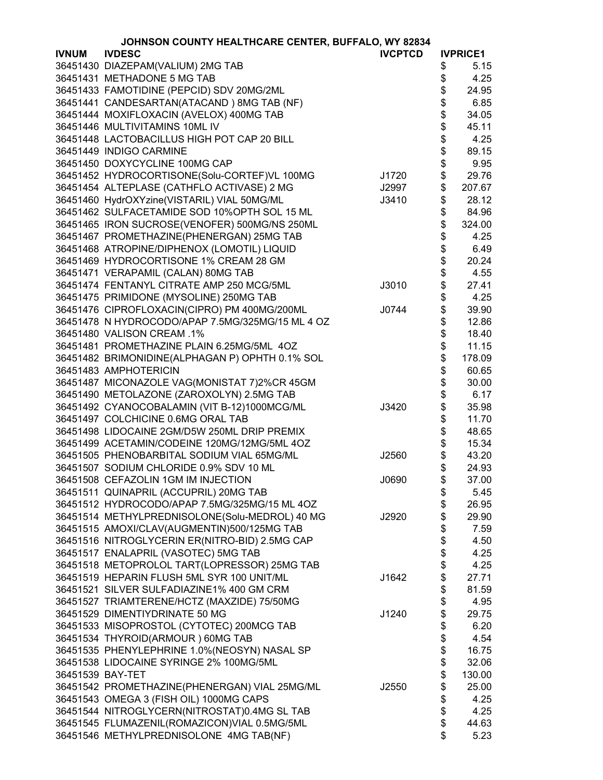|                  | JOHNSON COUNTY HEALTHCARE CENTER, BUFFALO, WY 82834 |                |      |                 |
|------------------|-----------------------------------------------------|----------------|------|-----------------|
| <b>IVNUM</b>     | <b>IVDESC</b>                                       | <b>IVCPTCD</b> |      | <b>IVPRICE1</b> |
|                  | 36451430 DIAZEPAM(VALIUM) 2MG TAB                   |                | \$   | 5.15            |
|                  | 36451431 METHADONE 5 MG TAB                         |                | \$   | 4.25            |
|                  | 36451433 FAMOTIDINE (PEPCID) SDV 20MG/2ML           |                | \$   | 24.95           |
|                  | 36451441 CANDESARTAN(ATACAND) 8MG TAB (NF)          |                | \$   | 6.85            |
|                  | 36451444 MOXIFLOXACIN (AVELOX) 400MG TAB            |                | \$   | 34.05           |
|                  | 36451446 MULTIVITAMINS 10ML IV                      |                |      | 45.11           |
|                  | 36451448 LACTOBACILLUS HIGH POT CAP 20 BILL         |                |      | 4.25            |
|                  | 36451449 INDIGO CARMINE                             |                | \$\$ | 89.15           |
|                  | 36451450 DOXYCYCLINE 100MG CAP                      |                | \$   | 9.95            |
|                  | 36451452 HYDROCORTISONE(Solu-CORTEF)VL 100MG        | J1720          | \$   | 29.76           |
|                  | 36451454 ALTEPLASE (CATHFLO ACTIVASE) 2 MG          | J2997          | \$   | 207.67          |
|                  | 36451460 HydrOXYzine(VISTARIL) VIAL 50MG/ML         | J3410          | \$   | 28.12           |
|                  | 36451462 SULFACETAMIDE SOD 10%OPTH SOL 15 ML        |                | \$   | 84.96           |
|                  | 36451465 IRON SUCROSE(VENOFER) 500MG/NS 250ML       |                | \$   | 324.00          |
|                  | 36451467 PROMETHAZINE(PHENERGAN) 25MG TAB           |                | \$   | 4.25            |
|                  | 36451468 ATROPINE/DIPHENOX (LOMOTIL) LIQUID         |                | \$   | 6.49            |
|                  | 36451469 HYDROCORTISONE 1% CREAM 28 GM              |                | \$   | 20.24           |
|                  | 36451471 VERAPAMIL (CALAN) 80MG TAB                 |                | \$   | 4.55            |
|                  | 36451474 FENTANYL CITRATE AMP 250 MCG/5ML           | J3010          | \$   | 27.41           |
|                  | 36451475 PRIMIDONE (MYSOLINE) 250MG TAB             |                | \$   | 4.25            |
|                  | 36451476 CIPROFLOXACIN(CIPRO) PM 400MG/200ML        | J0744          | \$   | 39.90           |
|                  | 36451478 N HYDROCODO/APAP 7.5MG/325MG/15 ML 4 OZ    |                | \$   | 12.86           |
|                  | 36451480 VALISON CREAM .1%                          |                | \$   | 18.40           |
|                  | 36451481 PROMETHAZINE PLAIN 6.25MG/5ML 4OZ          |                | \$   | 11.15           |
|                  |                                                     |                | \$   |                 |
|                  | 36451482 BRIMONIDINE(ALPHAGAN P) OPHTH 0.1% SOL     |                |      | 178.09          |
|                  | 36451483 AMPHOTERICIN                               |                | \$   | 60.65           |
|                  | 36451487 MICONAZOLE VAG(MONISTAT 7)2%CR 45GM        |                | \$   | 30.00           |
|                  | 36451490 METOLAZONE (ZAROXOLYN) 2.5MG TAB           |                | \$   | 6.17            |
|                  | 36451492 CYANOCOBALAMIN (VIT B-12)1000MCG/ML        | J3420          | \$   | 35.98           |
|                  | 36451497 COLCHICINE 0.6MG ORAL TAB                  |                | \$   | 11.70           |
|                  | 36451498 LIDOCAINE 2GM/D5W 250ML DRIP PREMIX        |                | \$   | 48.65           |
|                  | 36451499 ACETAMIN/CODEINE 120MG/12MG/5ML 4OZ        |                | \$   | 15.34           |
|                  | 36451505 PHENOBARBITAL SODIUM VIAL 65MG/ML          | J2560          | \$   | 43.20           |
|                  | 36451507 SODIUM CHLORIDE 0.9% SDV 10 ML             |                | \$   | 24.93           |
|                  | 36451508 CEFAZOLIN 1GM IM INJECTION                 | J0690          | \$   | 37.00           |
|                  | 36451511 QUINAPRIL (ACCUPRIL) 20MG TAB              |                | \$   | 5.45            |
|                  | 36451512 HYDROCODO/APAP 7.5MG/325MG/15 ML 4OZ       |                | \$   | 26.95           |
|                  | 36451514 METHYLPREDNISOLONE(Solu-MEDROL) 40 MG      | J2920          | \$   | 29.90           |
|                  | 36451515 AMOXI/CLAV(AUGMENTIN)500/125MG TAB         |                | \$   | 7.59            |
|                  | 36451516 NITROGLYCERIN ER(NITRO-BID) 2.5MG CAP      |                | \$   | 4.50            |
|                  | 36451517 ENALAPRIL (VASOTEC) 5MG TAB                |                | \$   | 4.25            |
|                  | 36451518 METOPROLOL TART(LOPRESSOR) 25MG TAB        |                | \$   | 4.25            |
|                  | 36451519 HEPARIN FLUSH 5ML SYR 100 UNIT/ML          | J1642          | \$   | 27.71           |
|                  | 36451521 SILVER SULFADIAZINE1% 400 GM CRM           |                | \$   | 81.59           |
|                  | 36451527 TRIAMTERENE/HCTZ (MAXZIDE) 75/50MG         |                | \$   | 4.95            |
|                  | 36451529 DIMENTIYDRINATE 50 MG                      | J1240          | \$   | 29.75           |
|                  | 36451533 MISOPROSTOL (CYTOTEC) 200MCG TAB           |                | \$   | 6.20            |
|                  | 36451534 THYROID(ARMOUR) 60MG TAB                   |                | \$   | 4.54            |
|                  | 36451535 PHENYLEPHRINE 1.0%(NEOSYN) NASAL SP        |                | \$   | 16.75           |
|                  | 36451538 LIDOCAINE SYRINGE 2% 100MG/5ML             |                | \$   | 32.06           |
| 36451539 BAY-TET |                                                     |                | \$   | 130.00          |
|                  | 36451542 PROMETHAZINE(PHENERGAN) VIAL 25MG/ML       | J2550          | \$   | 25.00           |
|                  | 36451543 OMEGA 3 (FISH OIL) 1000MG CAPS             |                | \$   | 4.25            |
|                  | 36451544 NITROGLYCERN(NITROSTAT)0.4MG SL TAB        |                | \$   | 4.25            |
|                  | 36451545 FLUMAZENIL(ROMAZICON)VIAL 0.5MG/5ML        |                | \$   | 44.63           |
|                  | 36451546 METHYLPREDNISOLONE 4MG TAB(NF)             |                | \$   | 5.23            |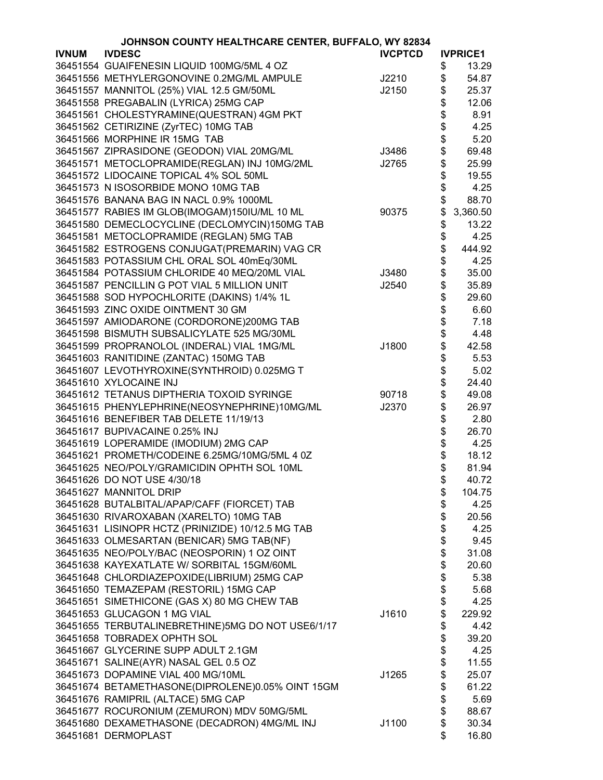| JOHNSON COUNTY HEALTHCARE CENTER, BUFFALO, WY 82834 |                                                   |                |          |                 |
|-----------------------------------------------------|---------------------------------------------------|----------------|----------|-----------------|
| <b>IVNUM</b>                                        | <b>IVDESC</b>                                     | <b>IVCPTCD</b> |          | <b>IVPRICE1</b> |
|                                                     | 36451554 GUAIFENESIN LIQUID 100MG/5ML 4 OZ        |                | \$       | 13.29           |
|                                                     | 36451556 METHYLERGONOVINE 0.2MG/ML AMPULE         | J2210          | \$       | 54.87           |
|                                                     | 36451557 MANNITOL (25%) VIAL 12.5 GM/50ML         | J2150          | \$       | 25.37           |
|                                                     | 36451558 PREGABALIN (LYRICA) 25MG CAP             |                | \$       | 12.06           |
|                                                     | 36451561 CHOLESTYRAMINE(QUESTRAN) 4GM PKT         |                | \$       | 8.91            |
|                                                     | 36451562 CETIRIZINE (ZyrTEC) 10MG TAB             |                |          | 4.25            |
|                                                     | 36451566 MORPHINE IR 15MG TAB                     |                | \$<br>\$ | 5.20            |
|                                                     | 36451567 ZIPRASIDONE (GEODON) VIAL 20MG/ML        | J3486          | \$       | 69.48           |
|                                                     | 36451571 METOCLOPRAMIDE(REGLAN) INJ 10MG/2ML      | J2765          | \$       | 25.99           |
|                                                     | 36451572 LIDOCAINE TOPICAL 4% SOL 50ML            |                | \$       | 19.55           |
|                                                     | 36451573 N ISOSORBIDE MONO 10MG TAB               |                | \$       | 4.25            |
|                                                     | 36451576 BANANA BAG IN NACL 0.9% 1000ML           |                | \$       | 88.70           |
|                                                     |                                                   |                |          |                 |
|                                                     | 36451577 RABIES IM GLOB(IMOGAM)150IU/ML 10 ML     | 90375          | \$       | 3,360.50        |
|                                                     | 36451580 DEMECLOCYCLINE (DECLOMYCIN)150MG TAB     |                | \$       | 13.22           |
|                                                     | 36451581 METOCLOPRAMIDE (REGLAN) 5MG TAB          |                | \$       | 4.25            |
|                                                     | 36451582 ESTROGENS CONJUGAT(PREMARIN) VAG CR      |                | \$       | 444.92          |
|                                                     | 36451583 POTASSIUM CHL ORAL SOL 40mEq/30ML        |                | \$       | 4.25            |
|                                                     | 36451584 POTASSIUM CHLORIDE 40 MEQ/20ML VIAL      | J3480          | \$       | 35.00           |
|                                                     | 36451587 PENCILLIN G POT VIAL 5 MILLION UNIT      | J2540          | \$       | 35.89           |
|                                                     | 36451588 SOD HYPOCHLORITE (DAKINS) 1/4% 1L        |                | \$       | 29.60           |
|                                                     | 36451593 ZINC OXIDE OINTMENT 30 GM                |                | \$       | 6.60            |
|                                                     | 36451597 AMIODARONE (CORDORONE)200MG TAB          |                | \$<br>\$ | 7.18            |
|                                                     | 36451598 BISMUTH SUBSALICYLATE 525 MG/30ML        |                |          | 4.48            |
|                                                     | 36451599 PROPRANOLOL (INDERAL) VIAL 1MG/ML        | J1800          | \$       | 42.58           |
|                                                     | 36451603 RANITIDINE (ZANTAC) 150MG TAB            |                | \$       | 5.53            |
|                                                     | 36451607 LEVOTHYROXINE(SYNTHROID) 0.025MG T       |                | \$<br>\$ | 5.02            |
|                                                     | 36451610 XYLOCAINE INJ                            |                |          | 24.40           |
|                                                     | 36451612 TETANUS DIPTHERIA TOXOID SYRINGE         | 90718          | \$       | 49.08           |
|                                                     | 36451615 PHENYLEPHRINE(NEOSYNEPHRINE)10MG/ML      | J2370          | \$       | 26.97           |
|                                                     | 36451616 BENEFIBER TAB DELETE 11/19/13            |                | \$       | 2.80            |
|                                                     | 36451617 BUPIVACAINE 0.25% INJ                    |                | \$       | 26.70           |
|                                                     | 36451619 LOPERAMIDE (IMODIUM) 2MG CAP             |                | \$       | 4.25            |
|                                                     | 36451621 PROMETH/CODEINE 6.25MG/10MG/5ML 4 0Z     |                | \$       | 18.12           |
|                                                     | 36451625 NEO/POLY/GRAMICIDIN OPHTH SOL 10ML       |                | \$       | 81.94           |
|                                                     | 36451626 DO NOT USE 4/30/18                       |                | Φ        | 40.72           |
|                                                     | 36451627 MANNITOL DRIP                            |                | \$       | 104.75          |
|                                                     | 36451628 BUTALBITAL/APAP/CAFF (FIORCET) TAB       |                | \$       | 4.25            |
|                                                     | 36451630 RIVAROXABAN (XARELTO) 10MG TAB           |                | \$       | 20.56           |
|                                                     | 36451631 LISINOPR HCTZ (PRINIZIDE) 10/12.5 MG TAB |                | \$       | 4.25            |
|                                                     | 36451633 OLMESARTAN (BENICAR) 5MG TAB(NF)         |                | \$       | 9.45            |
|                                                     | 36451635 NEO/POLY/BAC (NEOSPORIN) 1 OZ OINT       |                | \$       | 31.08           |
|                                                     | 36451638 KAYEXATLATE W/ SORBITAL 15GM/60ML        |                | \$       | 20.60           |
|                                                     | 36451648 CHLORDIAZEPOXIDE(LIBRIUM) 25MG CAP       |                | \$       | 5.38            |
|                                                     | 36451650 TEMAZEPAM (RESTORIL) 15MG CAP            |                | \$       | 5.68            |
|                                                     | 36451651 SIMETHICONE (GAS X) 80 MG CHEW TAB       |                | \$       | 4.25            |
|                                                     | 36451653 GLUCAGON 1 MG VIAL                       | J1610          | \$       | 229.92          |
|                                                     | 36451655 TERBUTALINEBRETHINE)5MG DO NOT USE6/1/17 |                | \$       | 4.42            |
|                                                     | 36451658 TOBRADEX OPHTH SOL                       |                | \$       | 39.20           |
|                                                     | 36451667 GLYCERINE SUPP ADULT 2.1GM               |                | \$       | 4.25            |
|                                                     | 36451671 SALINE(AYR) NASAL GEL 0.5 OZ             |                | \$       | 11.55           |
|                                                     | 36451673 DOPAMINE VIAL 400 MG/10ML                | J1265          | \$       | 25.07           |
|                                                     | 36451674 BETAMETHASONE(DIPROLENE)0.05% OINT 15GM  |                | \$       | 61.22           |
|                                                     | 36451676 RAMIPRIL (ALTACE) 5MG CAP                |                | \$       | 5.69            |
|                                                     | 36451677 ROCURONIUM (ZEMURON) MDV 50MG/5ML        |                | \$       | 88.67           |
|                                                     | 36451680 DEXAMETHASONE (DECADRON) 4MG/ML INJ      | J1100          | \$       | 30.34           |
|                                                     | 36451681 DERMOPLAST                               |                | \$       | 16.80           |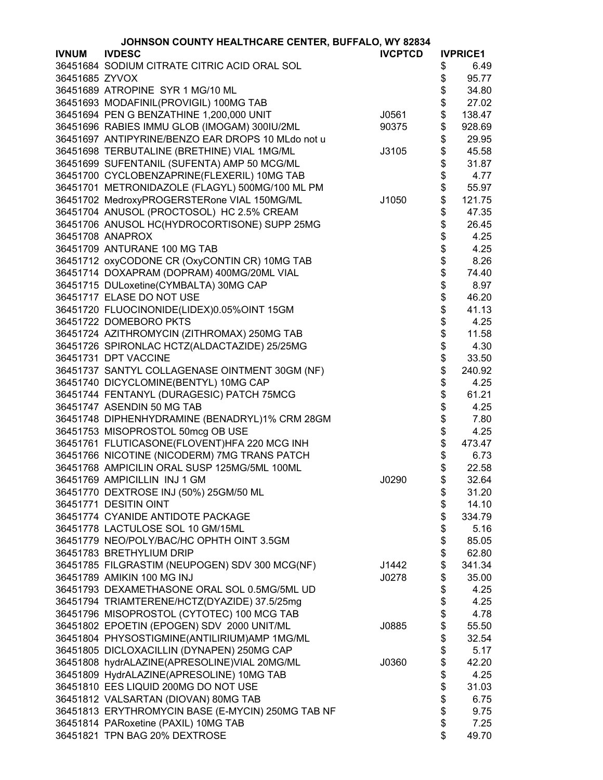| <b>IVDESC</b><br><b>IVCPTCD</b><br><b>IVNUM</b><br><b>IVPRICE1</b><br>36451684 SODIUM CITRATE CITRIC ACID ORAL SOL<br>\$<br>6.49<br>36451685 ZYVOX<br>\$<br>95.77<br>\$<br>36451689 ATROPINE SYR 1 MG/10 ML<br>34.80<br>36451693 MODAFINIL(PROVIGIL) 100MG TAB<br>27.02<br>\$<br>36451694 PEN G BENZATHINE 1,200,000 UNIT<br>138.47<br>J0561<br>\$<br>36451696 RABIES IMMU GLOB (IMOGAM) 300IU/2ML<br>90375<br>928.69<br>\$<br>36451697 ANTIPYRINE/BENZO EAR DROPS 10 MLdo not u<br>29.95<br>\$<br>36451698 TERBUTALINE (BRETHINE) VIAL 1MG/ML<br>45.58<br>J3105<br>\$<br>36451699 SUFENTANIL (SUFENTA) AMP 50 MCG/ML<br>31.87<br>\$<br>36451700 CYCLOBENZAPRINE(FLEXERIL) 10MG TAB<br>4.77<br>\$<br>36451701 METRONIDAZOLE (FLAGYL) 500MG/100 ML PM<br>55.97<br>36451702 MedroxyPROGERSTERone VIAL 150MG/ML<br>121.75<br>J1050<br>\$<br>36451704 ANUSOL (PROCTOSOL) HC 2.5% CREAM<br>47.35<br>\$<br>36451706 ANUSOL HC(HYDROCORTISONE) SUPP 25MG<br>26.45<br>\$<br>36451708 ANAPROX<br>4.25<br>\$<br>36451709 ANTURANE 100 MG TAB<br>4.25<br>\$\$\$\$\$<br>36451712 oxyCODONE CR (OxyCONTIN CR) 10MG TAB<br>8.26<br>36451714 DOXAPRAM (DOPRAM) 400MG/20ML VIAL<br>74.40<br>36451715 DULoxetine(CYMBALTA) 30MG CAP<br>8.97<br>36451717 ELASE DO NOT USE<br>46.20<br>36451720 FLUOCINONIDE(LIDEX)0.05%OINT 15GM<br>41.13<br>\$<br>36451722 DOMEBORO PKTS<br>4.25<br>\$<br>36451724 AZITHROMYCIN (ZITHROMAX) 250MG TAB<br>11.58<br>\$<br>36451726 SPIRONLAC HCTZ(ALDACTAZIDE) 25/25MG<br>4.30<br>\$<br>33.50<br>36451731 DPT VACCINE<br>\$<br>240.92<br>36451737 SANTYL COLLAGENASE OINTMENT 30GM (NF)<br>\$<br>36451740 DICYCLOMINE(BENTYL) 10MG CAP<br>4.25<br>\$<br>36451744 FENTANYL (DURAGESIC) PATCH 75MCG<br>61.21<br>\$<br>36451747 ASENDIN 50 MG TAB<br>4.25<br>\$<br>36451748 DIPHENHYDRAMINE (BENADRYL)1% CRM 28GM<br>7.80<br>\$<br>36451753 MISOPROSTOL 50mcg OB USE<br>4.25<br>\$<br>36451761 FLUTICASONE(FLOVENT)HFA 220 MCG INH<br>473.47<br>\$<br>36451766 NICOTINE (NICODERM) 7MG TRANS PATCH<br>6.73<br>\$<br>36451768 AMPICILIN ORAL SUSP 125MG/5ML 100ML<br>22.58<br>36451769 AMPICILLIN INJ 1 GM<br>J0290<br>\$<br>32.64<br>\$<br>36451770 DEXTROSE INJ (50%) 25GM/50 ML<br>31.20<br>\$<br>36451771 DESITIN OINT<br>14.10<br>\$<br>36451774 CYANIDE ANTIDOTE PACKAGE<br>334.79<br>\$<br>36451778 LACTULOSE SOL 10 GM/15ML<br>5.16<br>\$<br>36451779 NEO/POLY/BAC/HC OPHTH OINT 3.5GM<br>85.05<br>\$<br>36451783 BRETHYLIUM DRIP<br>62.80<br>\$<br>36451785 FILGRASTIM (NEUPOGEN) SDV 300 MCG(NF)<br>341.34<br>J1442<br>\$<br>36451789 AMIKIN 100 MG INJ<br>35.00<br>J0278<br>\$<br>36451793 DEXAMETHASONE ORAL SOL 0.5MG/5ML UD<br>4.25<br>\$<br>36451794 TRIAMTERENE/HCTZ(DYAZIDE) 37.5/25mg<br>4.25<br>\$<br>36451796 MISOPROSTOL (CYTOTEC) 100 MCG TAB<br>4.78<br>\$<br>36451802 EPOETIN (EPOGEN) SDV 2000 UNIT/ML<br>55.50<br>J0885<br>\$<br>36451804 PHYSOSTIGMINE(ANTILIRIUM)AMP 1MG/ML<br>32.54<br>\$<br>36451805 DICLOXACILLIN (DYNAPEN) 250MG CAP<br>5.17<br>\$<br>36451808 hydrALAZINE(APRESOLINE)VIAL 20MG/ML<br>42.20<br>J0360<br>\$<br>36451809 HydrALAZINE(APRESOLINE) 10MG TAB<br>4.25<br>\$<br>36451810 EES LIQUID 200MG DO NOT USE<br>31.03<br>\$<br>36451812 VALSARTAN (DIOVAN) 80MG TAB<br>6.75<br>36451813 ERYTHROMYCIN BASE (E-MYCIN) 250MG TAB NF<br>9.75<br>\$<br>36451814 PARoxetine (PAXIL) 10MG TAB<br>7.25<br>36451821 TPN BAG 20% DEXTROSE | JOHNSON COUNTY HEALTHCARE CENTER, BUFFALO, WY 82834 |  |  |    |       |
|-------------------------------------------------------------------------------------------------------------------------------------------------------------------------------------------------------------------------------------------------------------------------------------------------------------------------------------------------------------------------------------------------------------------------------------------------------------------------------------------------------------------------------------------------------------------------------------------------------------------------------------------------------------------------------------------------------------------------------------------------------------------------------------------------------------------------------------------------------------------------------------------------------------------------------------------------------------------------------------------------------------------------------------------------------------------------------------------------------------------------------------------------------------------------------------------------------------------------------------------------------------------------------------------------------------------------------------------------------------------------------------------------------------------------------------------------------------------------------------------------------------------------------------------------------------------------------------------------------------------------------------------------------------------------------------------------------------------------------------------------------------------------------------------------------------------------------------------------------------------------------------------------------------------------------------------------------------------------------------------------------------------------------------------------------------------------------------------------------------------------------------------------------------------------------------------------------------------------------------------------------------------------------------------------------------------------------------------------------------------------------------------------------------------------------------------------------------------------------------------------------------------------------------------------------------------------------------------------------------------------------------------------------------------------------------------------------------------------------------------------------------------------------------------------------------------------------------------------------------------------------------------------------------------------------------------------------------------------------------------------------------------------------------------------------------------------------------------------------------------------------------------------------------------------------------------------------------------------------------------------------------------------------------------------------------------------------------------------------------------------------------------|-----------------------------------------------------|--|--|----|-------|
|                                                                                                                                                                                                                                                                                                                                                                                                                                                                                                                                                                                                                                                                                                                                                                                                                                                                                                                                                                                                                                                                                                                                                                                                                                                                                                                                                                                                                                                                                                                                                                                                                                                                                                                                                                                                                                                                                                                                                                                                                                                                                                                                                                                                                                                                                                                                                                                                                                                                                                                                                                                                                                                                                                                                                                                                                                                                                                                                                                                                                                                                                                                                                                                                                                                                                                                                                                                           |                                                     |  |  |    |       |
|                                                                                                                                                                                                                                                                                                                                                                                                                                                                                                                                                                                                                                                                                                                                                                                                                                                                                                                                                                                                                                                                                                                                                                                                                                                                                                                                                                                                                                                                                                                                                                                                                                                                                                                                                                                                                                                                                                                                                                                                                                                                                                                                                                                                                                                                                                                                                                                                                                                                                                                                                                                                                                                                                                                                                                                                                                                                                                                                                                                                                                                                                                                                                                                                                                                                                                                                                                                           |                                                     |  |  |    |       |
|                                                                                                                                                                                                                                                                                                                                                                                                                                                                                                                                                                                                                                                                                                                                                                                                                                                                                                                                                                                                                                                                                                                                                                                                                                                                                                                                                                                                                                                                                                                                                                                                                                                                                                                                                                                                                                                                                                                                                                                                                                                                                                                                                                                                                                                                                                                                                                                                                                                                                                                                                                                                                                                                                                                                                                                                                                                                                                                                                                                                                                                                                                                                                                                                                                                                                                                                                                                           |                                                     |  |  |    |       |
|                                                                                                                                                                                                                                                                                                                                                                                                                                                                                                                                                                                                                                                                                                                                                                                                                                                                                                                                                                                                                                                                                                                                                                                                                                                                                                                                                                                                                                                                                                                                                                                                                                                                                                                                                                                                                                                                                                                                                                                                                                                                                                                                                                                                                                                                                                                                                                                                                                                                                                                                                                                                                                                                                                                                                                                                                                                                                                                                                                                                                                                                                                                                                                                                                                                                                                                                                                                           |                                                     |  |  |    |       |
|                                                                                                                                                                                                                                                                                                                                                                                                                                                                                                                                                                                                                                                                                                                                                                                                                                                                                                                                                                                                                                                                                                                                                                                                                                                                                                                                                                                                                                                                                                                                                                                                                                                                                                                                                                                                                                                                                                                                                                                                                                                                                                                                                                                                                                                                                                                                                                                                                                                                                                                                                                                                                                                                                                                                                                                                                                                                                                                                                                                                                                                                                                                                                                                                                                                                                                                                                                                           |                                                     |  |  |    |       |
|                                                                                                                                                                                                                                                                                                                                                                                                                                                                                                                                                                                                                                                                                                                                                                                                                                                                                                                                                                                                                                                                                                                                                                                                                                                                                                                                                                                                                                                                                                                                                                                                                                                                                                                                                                                                                                                                                                                                                                                                                                                                                                                                                                                                                                                                                                                                                                                                                                                                                                                                                                                                                                                                                                                                                                                                                                                                                                                                                                                                                                                                                                                                                                                                                                                                                                                                                                                           |                                                     |  |  |    |       |
|                                                                                                                                                                                                                                                                                                                                                                                                                                                                                                                                                                                                                                                                                                                                                                                                                                                                                                                                                                                                                                                                                                                                                                                                                                                                                                                                                                                                                                                                                                                                                                                                                                                                                                                                                                                                                                                                                                                                                                                                                                                                                                                                                                                                                                                                                                                                                                                                                                                                                                                                                                                                                                                                                                                                                                                                                                                                                                                                                                                                                                                                                                                                                                                                                                                                                                                                                                                           |                                                     |  |  |    |       |
|                                                                                                                                                                                                                                                                                                                                                                                                                                                                                                                                                                                                                                                                                                                                                                                                                                                                                                                                                                                                                                                                                                                                                                                                                                                                                                                                                                                                                                                                                                                                                                                                                                                                                                                                                                                                                                                                                                                                                                                                                                                                                                                                                                                                                                                                                                                                                                                                                                                                                                                                                                                                                                                                                                                                                                                                                                                                                                                                                                                                                                                                                                                                                                                                                                                                                                                                                                                           |                                                     |  |  |    |       |
|                                                                                                                                                                                                                                                                                                                                                                                                                                                                                                                                                                                                                                                                                                                                                                                                                                                                                                                                                                                                                                                                                                                                                                                                                                                                                                                                                                                                                                                                                                                                                                                                                                                                                                                                                                                                                                                                                                                                                                                                                                                                                                                                                                                                                                                                                                                                                                                                                                                                                                                                                                                                                                                                                                                                                                                                                                                                                                                                                                                                                                                                                                                                                                                                                                                                                                                                                                                           |                                                     |  |  |    |       |
|                                                                                                                                                                                                                                                                                                                                                                                                                                                                                                                                                                                                                                                                                                                                                                                                                                                                                                                                                                                                                                                                                                                                                                                                                                                                                                                                                                                                                                                                                                                                                                                                                                                                                                                                                                                                                                                                                                                                                                                                                                                                                                                                                                                                                                                                                                                                                                                                                                                                                                                                                                                                                                                                                                                                                                                                                                                                                                                                                                                                                                                                                                                                                                                                                                                                                                                                                                                           |                                                     |  |  |    |       |
|                                                                                                                                                                                                                                                                                                                                                                                                                                                                                                                                                                                                                                                                                                                                                                                                                                                                                                                                                                                                                                                                                                                                                                                                                                                                                                                                                                                                                                                                                                                                                                                                                                                                                                                                                                                                                                                                                                                                                                                                                                                                                                                                                                                                                                                                                                                                                                                                                                                                                                                                                                                                                                                                                                                                                                                                                                                                                                                                                                                                                                                                                                                                                                                                                                                                                                                                                                                           |                                                     |  |  |    |       |
|                                                                                                                                                                                                                                                                                                                                                                                                                                                                                                                                                                                                                                                                                                                                                                                                                                                                                                                                                                                                                                                                                                                                                                                                                                                                                                                                                                                                                                                                                                                                                                                                                                                                                                                                                                                                                                                                                                                                                                                                                                                                                                                                                                                                                                                                                                                                                                                                                                                                                                                                                                                                                                                                                                                                                                                                                                                                                                                                                                                                                                                                                                                                                                                                                                                                                                                                                                                           |                                                     |  |  |    |       |
|                                                                                                                                                                                                                                                                                                                                                                                                                                                                                                                                                                                                                                                                                                                                                                                                                                                                                                                                                                                                                                                                                                                                                                                                                                                                                                                                                                                                                                                                                                                                                                                                                                                                                                                                                                                                                                                                                                                                                                                                                                                                                                                                                                                                                                                                                                                                                                                                                                                                                                                                                                                                                                                                                                                                                                                                                                                                                                                                                                                                                                                                                                                                                                                                                                                                                                                                                                                           |                                                     |  |  |    |       |
|                                                                                                                                                                                                                                                                                                                                                                                                                                                                                                                                                                                                                                                                                                                                                                                                                                                                                                                                                                                                                                                                                                                                                                                                                                                                                                                                                                                                                                                                                                                                                                                                                                                                                                                                                                                                                                                                                                                                                                                                                                                                                                                                                                                                                                                                                                                                                                                                                                                                                                                                                                                                                                                                                                                                                                                                                                                                                                                                                                                                                                                                                                                                                                                                                                                                                                                                                                                           |                                                     |  |  |    |       |
|                                                                                                                                                                                                                                                                                                                                                                                                                                                                                                                                                                                                                                                                                                                                                                                                                                                                                                                                                                                                                                                                                                                                                                                                                                                                                                                                                                                                                                                                                                                                                                                                                                                                                                                                                                                                                                                                                                                                                                                                                                                                                                                                                                                                                                                                                                                                                                                                                                                                                                                                                                                                                                                                                                                                                                                                                                                                                                                                                                                                                                                                                                                                                                                                                                                                                                                                                                                           |                                                     |  |  |    |       |
|                                                                                                                                                                                                                                                                                                                                                                                                                                                                                                                                                                                                                                                                                                                                                                                                                                                                                                                                                                                                                                                                                                                                                                                                                                                                                                                                                                                                                                                                                                                                                                                                                                                                                                                                                                                                                                                                                                                                                                                                                                                                                                                                                                                                                                                                                                                                                                                                                                                                                                                                                                                                                                                                                                                                                                                                                                                                                                                                                                                                                                                                                                                                                                                                                                                                                                                                                                                           |                                                     |  |  |    |       |
|                                                                                                                                                                                                                                                                                                                                                                                                                                                                                                                                                                                                                                                                                                                                                                                                                                                                                                                                                                                                                                                                                                                                                                                                                                                                                                                                                                                                                                                                                                                                                                                                                                                                                                                                                                                                                                                                                                                                                                                                                                                                                                                                                                                                                                                                                                                                                                                                                                                                                                                                                                                                                                                                                                                                                                                                                                                                                                                                                                                                                                                                                                                                                                                                                                                                                                                                                                                           |                                                     |  |  |    |       |
|                                                                                                                                                                                                                                                                                                                                                                                                                                                                                                                                                                                                                                                                                                                                                                                                                                                                                                                                                                                                                                                                                                                                                                                                                                                                                                                                                                                                                                                                                                                                                                                                                                                                                                                                                                                                                                                                                                                                                                                                                                                                                                                                                                                                                                                                                                                                                                                                                                                                                                                                                                                                                                                                                                                                                                                                                                                                                                                                                                                                                                                                                                                                                                                                                                                                                                                                                                                           |                                                     |  |  |    |       |
|                                                                                                                                                                                                                                                                                                                                                                                                                                                                                                                                                                                                                                                                                                                                                                                                                                                                                                                                                                                                                                                                                                                                                                                                                                                                                                                                                                                                                                                                                                                                                                                                                                                                                                                                                                                                                                                                                                                                                                                                                                                                                                                                                                                                                                                                                                                                                                                                                                                                                                                                                                                                                                                                                                                                                                                                                                                                                                                                                                                                                                                                                                                                                                                                                                                                                                                                                                                           |                                                     |  |  |    |       |
|                                                                                                                                                                                                                                                                                                                                                                                                                                                                                                                                                                                                                                                                                                                                                                                                                                                                                                                                                                                                                                                                                                                                                                                                                                                                                                                                                                                                                                                                                                                                                                                                                                                                                                                                                                                                                                                                                                                                                                                                                                                                                                                                                                                                                                                                                                                                                                                                                                                                                                                                                                                                                                                                                                                                                                                                                                                                                                                                                                                                                                                                                                                                                                                                                                                                                                                                                                                           |                                                     |  |  |    |       |
|                                                                                                                                                                                                                                                                                                                                                                                                                                                                                                                                                                                                                                                                                                                                                                                                                                                                                                                                                                                                                                                                                                                                                                                                                                                                                                                                                                                                                                                                                                                                                                                                                                                                                                                                                                                                                                                                                                                                                                                                                                                                                                                                                                                                                                                                                                                                                                                                                                                                                                                                                                                                                                                                                                                                                                                                                                                                                                                                                                                                                                                                                                                                                                                                                                                                                                                                                                                           |                                                     |  |  |    |       |
|                                                                                                                                                                                                                                                                                                                                                                                                                                                                                                                                                                                                                                                                                                                                                                                                                                                                                                                                                                                                                                                                                                                                                                                                                                                                                                                                                                                                                                                                                                                                                                                                                                                                                                                                                                                                                                                                                                                                                                                                                                                                                                                                                                                                                                                                                                                                                                                                                                                                                                                                                                                                                                                                                                                                                                                                                                                                                                                                                                                                                                                                                                                                                                                                                                                                                                                                                                                           |                                                     |  |  |    |       |
|                                                                                                                                                                                                                                                                                                                                                                                                                                                                                                                                                                                                                                                                                                                                                                                                                                                                                                                                                                                                                                                                                                                                                                                                                                                                                                                                                                                                                                                                                                                                                                                                                                                                                                                                                                                                                                                                                                                                                                                                                                                                                                                                                                                                                                                                                                                                                                                                                                                                                                                                                                                                                                                                                                                                                                                                                                                                                                                                                                                                                                                                                                                                                                                                                                                                                                                                                                                           |                                                     |  |  |    |       |
|                                                                                                                                                                                                                                                                                                                                                                                                                                                                                                                                                                                                                                                                                                                                                                                                                                                                                                                                                                                                                                                                                                                                                                                                                                                                                                                                                                                                                                                                                                                                                                                                                                                                                                                                                                                                                                                                                                                                                                                                                                                                                                                                                                                                                                                                                                                                                                                                                                                                                                                                                                                                                                                                                                                                                                                                                                                                                                                                                                                                                                                                                                                                                                                                                                                                                                                                                                                           |                                                     |  |  |    |       |
|                                                                                                                                                                                                                                                                                                                                                                                                                                                                                                                                                                                                                                                                                                                                                                                                                                                                                                                                                                                                                                                                                                                                                                                                                                                                                                                                                                                                                                                                                                                                                                                                                                                                                                                                                                                                                                                                                                                                                                                                                                                                                                                                                                                                                                                                                                                                                                                                                                                                                                                                                                                                                                                                                                                                                                                                                                                                                                                                                                                                                                                                                                                                                                                                                                                                                                                                                                                           |                                                     |  |  |    |       |
|                                                                                                                                                                                                                                                                                                                                                                                                                                                                                                                                                                                                                                                                                                                                                                                                                                                                                                                                                                                                                                                                                                                                                                                                                                                                                                                                                                                                                                                                                                                                                                                                                                                                                                                                                                                                                                                                                                                                                                                                                                                                                                                                                                                                                                                                                                                                                                                                                                                                                                                                                                                                                                                                                                                                                                                                                                                                                                                                                                                                                                                                                                                                                                                                                                                                                                                                                                                           |                                                     |  |  |    |       |
|                                                                                                                                                                                                                                                                                                                                                                                                                                                                                                                                                                                                                                                                                                                                                                                                                                                                                                                                                                                                                                                                                                                                                                                                                                                                                                                                                                                                                                                                                                                                                                                                                                                                                                                                                                                                                                                                                                                                                                                                                                                                                                                                                                                                                                                                                                                                                                                                                                                                                                                                                                                                                                                                                                                                                                                                                                                                                                                                                                                                                                                                                                                                                                                                                                                                                                                                                                                           |                                                     |  |  |    |       |
|                                                                                                                                                                                                                                                                                                                                                                                                                                                                                                                                                                                                                                                                                                                                                                                                                                                                                                                                                                                                                                                                                                                                                                                                                                                                                                                                                                                                                                                                                                                                                                                                                                                                                                                                                                                                                                                                                                                                                                                                                                                                                                                                                                                                                                                                                                                                                                                                                                                                                                                                                                                                                                                                                                                                                                                                                                                                                                                                                                                                                                                                                                                                                                                                                                                                                                                                                                                           |                                                     |  |  |    |       |
|                                                                                                                                                                                                                                                                                                                                                                                                                                                                                                                                                                                                                                                                                                                                                                                                                                                                                                                                                                                                                                                                                                                                                                                                                                                                                                                                                                                                                                                                                                                                                                                                                                                                                                                                                                                                                                                                                                                                                                                                                                                                                                                                                                                                                                                                                                                                                                                                                                                                                                                                                                                                                                                                                                                                                                                                                                                                                                                                                                                                                                                                                                                                                                                                                                                                                                                                                                                           |                                                     |  |  |    |       |
|                                                                                                                                                                                                                                                                                                                                                                                                                                                                                                                                                                                                                                                                                                                                                                                                                                                                                                                                                                                                                                                                                                                                                                                                                                                                                                                                                                                                                                                                                                                                                                                                                                                                                                                                                                                                                                                                                                                                                                                                                                                                                                                                                                                                                                                                                                                                                                                                                                                                                                                                                                                                                                                                                                                                                                                                                                                                                                                                                                                                                                                                                                                                                                                                                                                                                                                                                                                           |                                                     |  |  |    |       |
|                                                                                                                                                                                                                                                                                                                                                                                                                                                                                                                                                                                                                                                                                                                                                                                                                                                                                                                                                                                                                                                                                                                                                                                                                                                                                                                                                                                                                                                                                                                                                                                                                                                                                                                                                                                                                                                                                                                                                                                                                                                                                                                                                                                                                                                                                                                                                                                                                                                                                                                                                                                                                                                                                                                                                                                                                                                                                                                                                                                                                                                                                                                                                                                                                                                                                                                                                                                           |                                                     |  |  |    |       |
|                                                                                                                                                                                                                                                                                                                                                                                                                                                                                                                                                                                                                                                                                                                                                                                                                                                                                                                                                                                                                                                                                                                                                                                                                                                                                                                                                                                                                                                                                                                                                                                                                                                                                                                                                                                                                                                                                                                                                                                                                                                                                                                                                                                                                                                                                                                                                                                                                                                                                                                                                                                                                                                                                                                                                                                                                                                                                                                                                                                                                                                                                                                                                                                                                                                                                                                                                                                           |                                                     |  |  |    |       |
|                                                                                                                                                                                                                                                                                                                                                                                                                                                                                                                                                                                                                                                                                                                                                                                                                                                                                                                                                                                                                                                                                                                                                                                                                                                                                                                                                                                                                                                                                                                                                                                                                                                                                                                                                                                                                                                                                                                                                                                                                                                                                                                                                                                                                                                                                                                                                                                                                                                                                                                                                                                                                                                                                                                                                                                                                                                                                                                                                                                                                                                                                                                                                                                                                                                                                                                                                                                           |                                                     |  |  |    |       |
|                                                                                                                                                                                                                                                                                                                                                                                                                                                                                                                                                                                                                                                                                                                                                                                                                                                                                                                                                                                                                                                                                                                                                                                                                                                                                                                                                                                                                                                                                                                                                                                                                                                                                                                                                                                                                                                                                                                                                                                                                                                                                                                                                                                                                                                                                                                                                                                                                                                                                                                                                                                                                                                                                                                                                                                                                                                                                                                                                                                                                                                                                                                                                                                                                                                                                                                                                                                           |                                                     |  |  |    |       |
|                                                                                                                                                                                                                                                                                                                                                                                                                                                                                                                                                                                                                                                                                                                                                                                                                                                                                                                                                                                                                                                                                                                                                                                                                                                                                                                                                                                                                                                                                                                                                                                                                                                                                                                                                                                                                                                                                                                                                                                                                                                                                                                                                                                                                                                                                                                                                                                                                                                                                                                                                                                                                                                                                                                                                                                                                                                                                                                                                                                                                                                                                                                                                                                                                                                                                                                                                                                           |                                                     |  |  |    |       |
|                                                                                                                                                                                                                                                                                                                                                                                                                                                                                                                                                                                                                                                                                                                                                                                                                                                                                                                                                                                                                                                                                                                                                                                                                                                                                                                                                                                                                                                                                                                                                                                                                                                                                                                                                                                                                                                                                                                                                                                                                                                                                                                                                                                                                                                                                                                                                                                                                                                                                                                                                                                                                                                                                                                                                                                                                                                                                                                                                                                                                                                                                                                                                                                                                                                                                                                                                                                           |                                                     |  |  |    |       |
|                                                                                                                                                                                                                                                                                                                                                                                                                                                                                                                                                                                                                                                                                                                                                                                                                                                                                                                                                                                                                                                                                                                                                                                                                                                                                                                                                                                                                                                                                                                                                                                                                                                                                                                                                                                                                                                                                                                                                                                                                                                                                                                                                                                                                                                                                                                                                                                                                                                                                                                                                                                                                                                                                                                                                                                                                                                                                                                                                                                                                                                                                                                                                                                                                                                                                                                                                                                           |                                                     |  |  |    |       |
|                                                                                                                                                                                                                                                                                                                                                                                                                                                                                                                                                                                                                                                                                                                                                                                                                                                                                                                                                                                                                                                                                                                                                                                                                                                                                                                                                                                                                                                                                                                                                                                                                                                                                                                                                                                                                                                                                                                                                                                                                                                                                                                                                                                                                                                                                                                                                                                                                                                                                                                                                                                                                                                                                                                                                                                                                                                                                                                                                                                                                                                                                                                                                                                                                                                                                                                                                                                           |                                                     |  |  |    |       |
|                                                                                                                                                                                                                                                                                                                                                                                                                                                                                                                                                                                                                                                                                                                                                                                                                                                                                                                                                                                                                                                                                                                                                                                                                                                                                                                                                                                                                                                                                                                                                                                                                                                                                                                                                                                                                                                                                                                                                                                                                                                                                                                                                                                                                                                                                                                                                                                                                                                                                                                                                                                                                                                                                                                                                                                                                                                                                                                                                                                                                                                                                                                                                                                                                                                                                                                                                                                           |                                                     |  |  |    |       |
|                                                                                                                                                                                                                                                                                                                                                                                                                                                                                                                                                                                                                                                                                                                                                                                                                                                                                                                                                                                                                                                                                                                                                                                                                                                                                                                                                                                                                                                                                                                                                                                                                                                                                                                                                                                                                                                                                                                                                                                                                                                                                                                                                                                                                                                                                                                                                                                                                                                                                                                                                                                                                                                                                                                                                                                                                                                                                                                                                                                                                                                                                                                                                                                                                                                                                                                                                                                           |                                                     |  |  |    |       |
|                                                                                                                                                                                                                                                                                                                                                                                                                                                                                                                                                                                                                                                                                                                                                                                                                                                                                                                                                                                                                                                                                                                                                                                                                                                                                                                                                                                                                                                                                                                                                                                                                                                                                                                                                                                                                                                                                                                                                                                                                                                                                                                                                                                                                                                                                                                                                                                                                                                                                                                                                                                                                                                                                                                                                                                                                                                                                                                                                                                                                                                                                                                                                                                                                                                                                                                                                                                           |                                                     |  |  |    |       |
|                                                                                                                                                                                                                                                                                                                                                                                                                                                                                                                                                                                                                                                                                                                                                                                                                                                                                                                                                                                                                                                                                                                                                                                                                                                                                                                                                                                                                                                                                                                                                                                                                                                                                                                                                                                                                                                                                                                                                                                                                                                                                                                                                                                                                                                                                                                                                                                                                                                                                                                                                                                                                                                                                                                                                                                                                                                                                                                                                                                                                                                                                                                                                                                                                                                                                                                                                                                           |                                                     |  |  |    |       |
|                                                                                                                                                                                                                                                                                                                                                                                                                                                                                                                                                                                                                                                                                                                                                                                                                                                                                                                                                                                                                                                                                                                                                                                                                                                                                                                                                                                                                                                                                                                                                                                                                                                                                                                                                                                                                                                                                                                                                                                                                                                                                                                                                                                                                                                                                                                                                                                                                                                                                                                                                                                                                                                                                                                                                                                                                                                                                                                                                                                                                                                                                                                                                                                                                                                                                                                                                                                           |                                                     |  |  |    |       |
|                                                                                                                                                                                                                                                                                                                                                                                                                                                                                                                                                                                                                                                                                                                                                                                                                                                                                                                                                                                                                                                                                                                                                                                                                                                                                                                                                                                                                                                                                                                                                                                                                                                                                                                                                                                                                                                                                                                                                                                                                                                                                                                                                                                                                                                                                                                                                                                                                                                                                                                                                                                                                                                                                                                                                                                                                                                                                                                                                                                                                                                                                                                                                                                                                                                                                                                                                                                           |                                                     |  |  |    |       |
|                                                                                                                                                                                                                                                                                                                                                                                                                                                                                                                                                                                                                                                                                                                                                                                                                                                                                                                                                                                                                                                                                                                                                                                                                                                                                                                                                                                                                                                                                                                                                                                                                                                                                                                                                                                                                                                                                                                                                                                                                                                                                                                                                                                                                                                                                                                                                                                                                                                                                                                                                                                                                                                                                                                                                                                                                                                                                                                                                                                                                                                                                                                                                                                                                                                                                                                                                                                           |                                                     |  |  |    |       |
|                                                                                                                                                                                                                                                                                                                                                                                                                                                                                                                                                                                                                                                                                                                                                                                                                                                                                                                                                                                                                                                                                                                                                                                                                                                                                                                                                                                                                                                                                                                                                                                                                                                                                                                                                                                                                                                                                                                                                                                                                                                                                                                                                                                                                                                                                                                                                                                                                                                                                                                                                                                                                                                                                                                                                                                                                                                                                                                                                                                                                                                                                                                                                                                                                                                                                                                                                                                           |                                                     |  |  |    |       |
|                                                                                                                                                                                                                                                                                                                                                                                                                                                                                                                                                                                                                                                                                                                                                                                                                                                                                                                                                                                                                                                                                                                                                                                                                                                                                                                                                                                                                                                                                                                                                                                                                                                                                                                                                                                                                                                                                                                                                                                                                                                                                                                                                                                                                                                                                                                                                                                                                                                                                                                                                                                                                                                                                                                                                                                                                                                                                                                                                                                                                                                                                                                                                                                                                                                                                                                                                                                           |                                                     |  |  |    |       |
|                                                                                                                                                                                                                                                                                                                                                                                                                                                                                                                                                                                                                                                                                                                                                                                                                                                                                                                                                                                                                                                                                                                                                                                                                                                                                                                                                                                                                                                                                                                                                                                                                                                                                                                                                                                                                                                                                                                                                                                                                                                                                                                                                                                                                                                                                                                                                                                                                                                                                                                                                                                                                                                                                                                                                                                                                                                                                                                                                                                                                                                                                                                                                                                                                                                                                                                                                                                           |                                                     |  |  |    |       |
|                                                                                                                                                                                                                                                                                                                                                                                                                                                                                                                                                                                                                                                                                                                                                                                                                                                                                                                                                                                                                                                                                                                                                                                                                                                                                                                                                                                                                                                                                                                                                                                                                                                                                                                                                                                                                                                                                                                                                                                                                                                                                                                                                                                                                                                                                                                                                                                                                                                                                                                                                                                                                                                                                                                                                                                                                                                                                                                                                                                                                                                                                                                                                                                                                                                                                                                                                                                           |                                                     |  |  |    |       |
|                                                                                                                                                                                                                                                                                                                                                                                                                                                                                                                                                                                                                                                                                                                                                                                                                                                                                                                                                                                                                                                                                                                                                                                                                                                                                                                                                                                                                                                                                                                                                                                                                                                                                                                                                                                                                                                                                                                                                                                                                                                                                                                                                                                                                                                                                                                                                                                                                                                                                                                                                                                                                                                                                                                                                                                                                                                                                                                                                                                                                                                                                                                                                                                                                                                                                                                                                                                           |                                                     |  |  |    |       |
|                                                                                                                                                                                                                                                                                                                                                                                                                                                                                                                                                                                                                                                                                                                                                                                                                                                                                                                                                                                                                                                                                                                                                                                                                                                                                                                                                                                                                                                                                                                                                                                                                                                                                                                                                                                                                                                                                                                                                                                                                                                                                                                                                                                                                                                                                                                                                                                                                                                                                                                                                                                                                                                                                                                                                                                                                                                                                                                                                                                                                                                                                                                                                                                                                                                                                                                                                                                           |                                                     |  |  |    |       |
|                                                                                                                                                                                                                                                                                                                                                                                                                                                                                                                                                                                                                                                                                                                                                                                                                                                                                                                                                                                                                                                                                                                                                                                                                                                                                                                                                                                                                                                                                                                                                                                                                                                                                                                                                                                                                                                                                                                                                                                                                                                                                                                                                                                                                                                                                                                                                                                                                                                                                                                                                                                                                                                                                                                                                                                                                                                                                                                                                                                                                                                                                                                                                                                                                                                                                                                                                                                           |                                                     |  |  |    |       |
|                                                                                                                                                                                                                                                                                                                                                                                                                                                                                                                                                                                                                                                                                                                                                                                                                                                                                                                                                                                                                                                                                                                                                                                                                                                                                                                                                                                                                                                                                                                                                                                                                                                                                                                                                                                                                                                                                                                                                                                                                                                                                                                                                                                                                                                                                                                                                                                                                                                                                                                                                                                                                                                                                                                                                                                                                                                                                                                                                                                                                                                                                                                                                                                                                                                                                                                                                                                           |                                                     |  |  |    |       |
|                                                                                                                                                                                                                                                                                                                                                                                                                                                                                                                                                                                                                                                                                                                                                                                                                                                                                                                                                                                                                                                                                                                                                                                                                                                                                                                                                                                                                                                                                                                                                                                                                                                                                                                                                                                                                                                                                                                                                                                                                                                                                                                                                                                                                                                                                                                                                                                                                                                                                                                                                                                                                                                                                                                                                                                                                                                                                                                                                                                                                                                                                                                                                                                                                                                                                                                                                                                           |                                                     |  |  |    |       |
|                                                                                                                                                                                                                                                                                                                                                                                                                                                                                                                                                                                                                                                                                                                                                                                                                                                                                                                                                                                                                                                                                                                                                                                                                                                                                                                                                                                                                                                                                                                                                                                                                                                                                                                                                                                                                                                                                                                                                                                                                                                                                                                                                                                                                                                                                                                                                                                                                                                                                                                                                                                                                                                                                                                                                                                                                                                                                                                                                                                                                                                                                                                                                                                                                                                                                                                                                                                           |                                                     |  |  |    |       |
|                                                                                                                                                                                                                                                                                                                                                                                                                                                                                                                                                                                                                                                                                                                                                                                                                                                                                                                                                                                                                                                                                                                                                                                                                                                                                                                                                                                                                                                                                                                                                                                                                                                                                                                                                                                                                                                                                                                                                                                                                                                                                                                                                                                                                                                                                                                                                                                                                                                                                                                                                                                                                                                                                                                                                                                                                                                                                                                                                                                                                                                                                                                                                                                                                                                                                                                                                                                           |                                                     |  |  |    |       |
|                                                                                                                                                                                                                                                                                                                                                                                                                                                                                                                                                                                                                                                                                                                                                                                                                                                                                                                                                                                                                                                                                                                                                                                                                                                                                                                                                                                                                                                                                                                                                                                                                                                                                                                                                                                                                                                                                                                                                                                                                                                                                                                                                                                                                                                                                                                                                                                                                                                                                                                                                                                                                                                                                                                                                                                                                                                                                                                                                                                                                                                                                                                                                                                                                                                                                                                                                                                           |                                                     |  |  | \$ | 49.70 |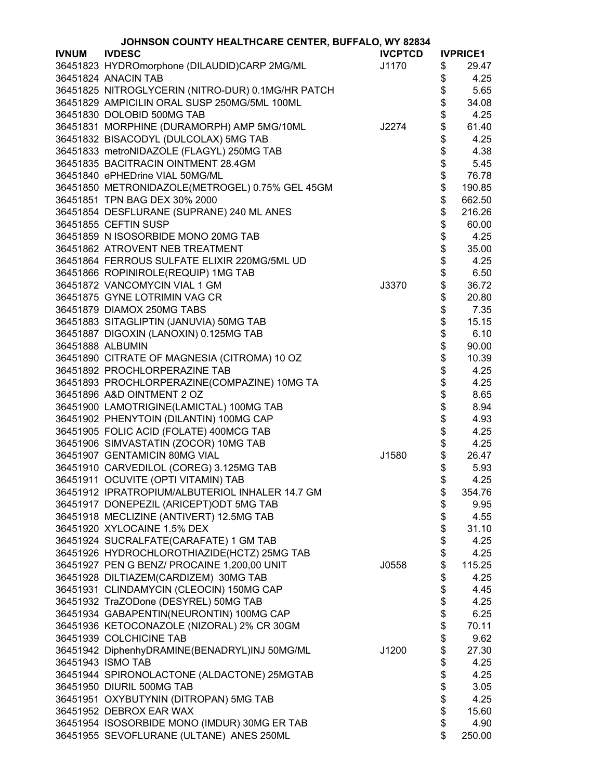| JOHNSON COUNTY HEALTHCARE CENTER, BUFFALO, WY 82834 |                                                   |                |                  |                 |
|-----------------------------------------------------|---------------------------------------------------|----------------|------------------|-----------------|
| <b>IVNUM</b>                                        | <b>IVDESC</b>                                     | <b>IVCPTCD</b> |                  | <b>IVPRICE1</b> |
|                                                     | 36451823 HYDROmorphone (DILAUDID)CARP 2MG/ML      | J1170          | \$               | 29.47           |
|                                                     | 36451824 ANACIN TAB                               |                | \$               | 4.25            |
|                                                     | 36451825 NITROGLYCERIN (NITRO-DUR) 0.1MG/HR PATCH |                | \$               | 5.65            |
|                                                     | 36451829 AMPICILIN ORAL SUSP 250MG/5ML 100ML      |                |                  | 34.08           |
|                                                     | 36451830 DOLOBID 500MG TAB                        |                | \$\$\$           | 4.25            |
|                                                     | 36451831 MORPHINE (DURAMORPH) AMP 5MG/10ML        | J2274          |                  | 61.40           |
|                                                     | 36451832 BISACODYL (DULCOLAX) 5MG TAB             |                |                  | 4.25            |
|                                                     | 36451833 metroNIDAZOLE (FLAGYL) 250MG TAB         |                |                  | 4.38            |
|                                                     | 36451835 BACITRACIN OINTMENT 28.4GM               |                |                  | 5.45            |
|                                                     |                                                   |                | \$\$\$           |                 |
|                                                     | 36451840 ePHEDrine VIAL 50MG/ML                   |                |                  | 76.78           |
|                                                     | 36451850 METRONIDAZOLE(METROGEL) 0.75% GEL 45GM   |                |                  | 190.85          |
|                                                     | 36451851 TPN BAG DEX 30% 2000                     |                | \$               | 662.50          |
|                                                     | 36451854 DESFLURANE (SUPRANE) 240 ML ANES         |                | \$               | 216.26          |
|                                                     | 36451855 CEFTIN SUSP                              |                | \$               | 60.00           |
|                                                     | 36451859 N ISOSORBIDE MONO 20MG TAB               |                | \$               | 4.25            |
|                                                     | 36451862 ATROVENT NEB TREATMENT                   |                | \$               | 35.00           |
|                                                     | 36451864 FERROUS SULFATE ELIXIR 220MG/5ML UD      |                | \$               | 4.25            |
|                                                     | 36451866 ROPINIROLE(REQUIP) 1MG TAB               |                | \$<br>\$         | 6.50            |
|                                                     | 36451872 VANCOMYCIN VIAL 1 GM                     | J3370          |                  | 36.72           |
|                                                     | 36451875 GYNE LOTRIMIN VAG CR                     |                | \$               | 20.80           |
|                                                     | 36451879 DIAMOX 250MG TABS                        |                |                  | 7.35            |
|                                                     | 36451883 SITAGLIPTIN (JANUVIA) 50MG TAB           |                |                  | 15.15           |
|                                                     | 36451887 DIGOXIN (LANOXIN) 0.125MG TAB            |                |                  | 6.10            |
| 36451888 ALBUMIN                                    |                                                   |                |                  | 90.00           |
|                                                     | 36451890 CITRATE OF MAGNESIA (CITROMA) 10 OZ      |                |                  | 10.39           |
|                                                     | 36451892 PROCHLORPERAZINE TAB                     |                |                  | 4.25            |
|                                                     | 36451893 PROCHLORPERAZINE(COMPAZINE) 10MG TA      |                |                  | 4.25            |
|                                                     | 36451896 A&D OINTMENT 2 OZ                        |                | \$\$\$\$\$\$\$\$ | 8.65            |
|                                                     | 36451900 LAMOTRIGINE(LAMICTAL) 100MG TAB          |                | \$               | 8.94            |
|                                                     | 36451902 PHENYTOIN (DILANTIN) 100MG CAP           |                | \$               | 4.93            |
|                                                     | 36451905 FOLIC ACID (FOLATE) 400MCG TAB           |                |                  | 4.25            |
|                                                     | 36451906 SIMVASTATIN (ZOCOR) 10MG TAB             |                | \$<br>\$         | 4.25            |
|                                                     | 36451907 GENTAMICIN 80MG VIAL                     | J1580          | \$               | 26.47           |
|                                                     | 36451910 CARVEDILOL (COREG) 3.125MG TAB           |                | \$               | 5.93            |
|                                                     | 36451911 OCUVITE (OPTI VITAMIN) TAB               |                | Φ                | 4.25            |
|                                                     | 36451912 IPRATROPIUM/ALBUTERIOL INHALER 14.7 GM   |                | \$               | 354.76          |
|                                                     | 36451917 DONEPEZIL (ARICEPT)ODT 5MG TAB           |                | \$               | 9.95            |
|                                                     | 36451918 MECLIZINE (ANTIVERT) 12.5MG TAB          |                | \$               | 4.55            |
|                                                     | 36451920 XYLOCAINE 1.5% DEX                       |                | \$               | 31.10           |
|                                                     | 36451924 SUCRALFATE(CARAFATE) 1 GM TAB            |                | \$               | 4.25            |
|                                                     | 36451926 HYDROCHLOROTHIAZIDE(HCTZ) 25MG TAB       |                | \$               | 4.25            |
|                                                     | 36451927 PEN G BENZ/ PROCAINE 1,200,00 UNIT       | J0558          | \$               | 115.25          |
|                                                     | 36451928 DILTIAZEM(CARDIZEM) 30MG TAB             |                | \$               | 4.25            |
|                                                     | 36451931 CLINDAMYCIN (CLEOCIN) 150MG CAP          |                | \$               | 4.45            |
|                                                     | 36451932 TraZODone (DESYREL) 50MG TAB             |                | \$               | 4.25            |
|                                                     | 36451934 GABAPENTIN(NEURONTIN) 100MG CAP          |                | \$               | 6.25            |
|                                                     | 36451936 KETOCONAZOLE (NIZORAL) 2% CR 30GM        |                |                  | 70.11           |
|                                                     | 36451939 COLCHICINE TAB                           |                | \$<br>\$         | 9.62            |
|                                                     |                                                   |                |                  |                 |
|                                                     | 36451942 DiphenhyDRAMINE(BENADRYL)INJ 50MG/ML     | J1200          | \$               | 27.30           |
|                                                     | 36451943 ISMO TAB                                 |                | \$               | 4.25            |
|                                                     | 36451944 SPIRONOLACTONE (ALDACTONE) 25MGTAB       |                | \$               | 4.25            |
|                                                     | 36451950 DIURIL 500MG TAB                         |                | \$               | 3.05            |
|                                                     | 36451951 OXYBUTYNIN (DITROPAN) 5MG TAB            |                | \$               | 4.25            |
|                                                     | 36451952 DEBROX EAR WAX                           |                | \$               | 15.60           |
|                                                     | 36451954 ISOSORBIDE MONO (IMDUR) 30MG ER TAB      |                | \$               | 4.90            |
|                                                     | 36451955 SEVOFLURANE (ULTANE) ANES 250ML          |                | \$               | 250.00          |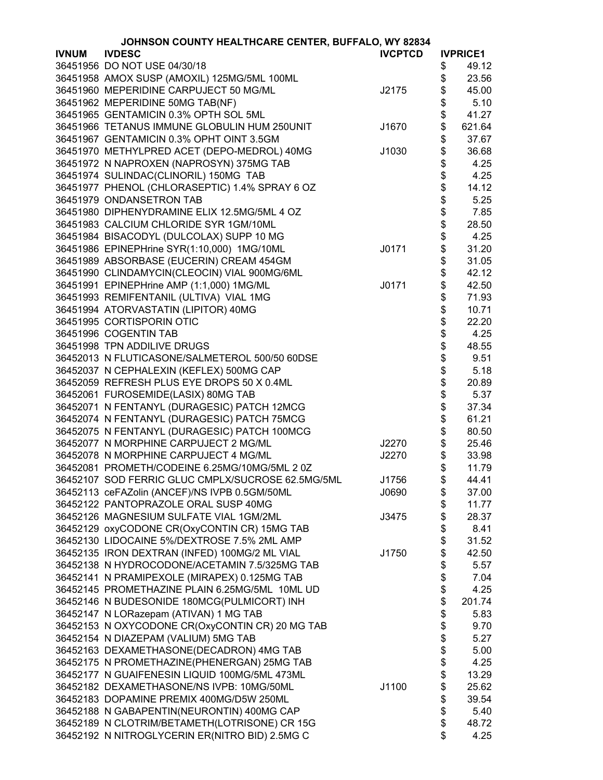|              | JOHNSON COUNTY HEALTHCARE CENTER, BUFFALO, WY 82834 |                |                |                 |
|--------------|-----------------------------------------------------|----------------|----------------|-----------------|
| <b>IVNUM</b> | <b>IVDESC</b>                                       | <b>IVCPTCD</b> |                | <b>IVPRICE1</b> |
|              | 36451956 DO NOT USE 04/30/18                        |                | \$             | 49.12           |
|              | 36451958 AMOX SUSP (AMOXIL) 125MG/5ML 100ML         |                | \$             | 23.56           |
|              | 36451960 MEPERIDINE CARPUJECT 50 MG/ML              | J2175          | \$             | 45.00           |
|              | 36451962 MEPERIDINE 50MG TAB(NF)                    |                | \$             | 5.10            |
|              | 36451965 GENTAMICIN 0.3% OPTH SOL 5ML               |                | \$             | 41.27           |
|              | 36451966 TETANUS IMMUNE GLOBULIN HUM 250UNIT        | J1670          | \$             | 621.64          |
|              | 36451967 GENTAMICIN 0.3% OPHT OINT 3.5GM            |                | \$             | 37.67           |
|              | 36451970 METHYLPRED ACET (DEPO-MEDROL) 40MG         | J1030          | \$             | 36.68           |
|              |                                                     |                |                |                 |
|              | 36451972 N NAPROXEN (NAPROSYN) 375MG TAB            |                | \$             | 4.25            |
|              | 36451974 SULINDAC(CLINORIL) 150MG TAB               |                |                | 4.25            |
|              | 36451977 PHENOL (CHLORASEPTIC) 1.4% SPRAY 6 OZ      |                | \$\$           | 14.12           |
|              | 36451979 ONDANSETRON TAB                            |                |                | 5.25            |
|              | 36451980 DIPHENYDRAMINE ELIX 12.5MG/5ML 4 OZ        |                | \$             | 7.85            |
|              | 36451983 CALCIUM CHLORIDE SYR 1GM/10ML              |                | \$<br>\$       | 28.50           |
|              | 36451984 BISACODYL (DULCOLAX) SUPP 10 MG            |                |                | 4.25            |
|              | 36451986 EPINEPHrine SYR(1:10,000) 1MG/10ML         | J0171          | \$             | 31.20           |
|              | 36451989 ABSORBASE (EUCERIN) CREAM 454GM            |                | \$             | 31.05           |
|              | 36451990 CLINDAMYCIN(CLEOCIN) VIAL 900MG/6ML        |                | \$<br>\$       | 42.12           |
|              | 36451991 EPINEPHrine AMP (1:1,000) 1MG/ML           | J0171          |                | 42.50           |
|              | 36451993 REMIFENTANIL (ULTIVA) VIAL 1MG             |                | \$             | 71.93           |
|              | 36451994 ATORVASTATIN (LIPITOR) 40MG                |                | \$             | 10.71           |
|              | 36451995 CORTISPORIN OTIC                           |                | \$             | 22.20           |
|              | 36451996 COGENTIN TAB                               |                | \$             | 4.25            |
|              | 36451998 TPN ADDILIVE DRUGS                         |                |                | 48.55           |
|              | 36452013 N FLUTICASONE/SALMETEROL 500/50 60DSE      |                |                | 9.51            |
|              | 36452037 N CEPHALEXIN (KEFLEX) 500MG CAP            |                | <b>8888888</b> | 5.18            |
|              | 36452059 REFRESH PLUS EYE DROPS 50 X 0.4ML          |                |                | 20.89           |
|              | 36452061 FUROSEMIDE(LASIX) 80MG TAB                 |                |                | 5.37            |
|              | 36452071 N FENTANYL (DURAGESIC) PATCH 12MCG         |                |                | 37.34           |
|              | 36452074 N FENTANYL (DURAGESIC) PATCH 75MCG         |                |                | 61.21           |
|              | 36452075 N FENTANYL (DURAGESIC) PATCH 100MCG        |                |                | 80.50           |
|              | 36452077 N MORPHINE CARPUJECT 2 MG/ML               | J2270          | \$             | 25.46           |
|              | 36452078 N MORPHINE CARPUJECT 4 MG/ML               | J2270          | \$             | 33.98           |
|              | 36452081 PROMETH/CODEINE 6.25MG/10MG/5ML 2 0Z       |                | \$             | 11.79           |
|              | 36452107 SOD FERRIC GLUC CMPLX/SUCROSE 62.5MG/5ML   | J1756          | \$             | 44.41           |
|              | 36452113 ceFAZolin (ANCEF)/NS IVPB 0.5GM/50ML       | J0690          | \$             | 37.00           |
|              | 36452122 PANTOPRAZOLE ORAL SUSP 40MG                |                | \$             | 11.77           |
|              | 36452126 MAGNESIUM SULFATE VIAL 1GM/2ML             | J3475          | \$             | 28.37           |
|              | 36452129 oxyCODONE CR(OxyCONTIN CR) 15MG TAB        |                | \$             | 8.41            |
|              | 36452130 LIDOCAINE 5%/DEXTROSE 7.5% 2ML AMP         |                | \$             | 31.52           |
|              | 36452135 IRON DEXTRAN (INFED) 100MG/2 ML VIAL       | J1750          | \$             | 42.50           |
|              | 36452138 N HYDROCODONE/ACETAMIN 7.5/325MG TAB       |                | \$             | 5.57            |
|              | 36452141 N PRAMIPEXOLE (MIRAPEX) 0.125MG TAB        |                |                | 7.04            |
|              | 36452145 PROMETHAZINE PLAIN 6.25MG/5ML 10ML UD      |                | \$<br>\$       | 4.25            |
|              |                                                     |                | \$             | 201.74          |
|              | 36452146 N BUDESONIDE 180MCG(PULMICORT) INH         |                | \$             |                 |
|              | 36452147 N LORazepam (ATIVAN) 1 MG TAB              |                |                | 5.83            |
|              | 36452153 N OXYCODONE CR(OxyCONTIN CR) 20 MG TAB     |                | \$             | 9.70            |
|              | 36452154 N DIAZEPAM (VALIUM) 5MG TAB                |                | \$             | 5.27            |
|              | 36452163 DEXAMETHASONE(DECADRON) 4MG TAB            |                | \$             | 5.00            |
|              | 36452175 N PROMETHAZINE(PHENERGAN) 25MG TAB         |                | \$             | 4.25            |
|              | 36452177 N GUAIFENESIN LIQUID 100MG/5ML 473ML       |                | \$             | 13.29           |
|              | 36452182 DEXAMETHASONE/NS IVPB: 10MG/50ML           | J1100          | \$             | 25.62           |
|              | 36452183 DOPAMINE PREMIX 400MG/D5W 250ML            |                | \$             | 39.54           |
|              | 36452188 N GABAPENTIN(NEURONTIN) 400MG CAP          |                | \$             | 5.40            |
|              | 36452189 N CLOTRIM/BETAMETH(LOTRISONE) CR 15G       |                | \$             | 48.72           |
|              | 36452192 N NITROGLYCERIN ER(NITRO BID) 2.5MG C      |                | \$             | 4.25            |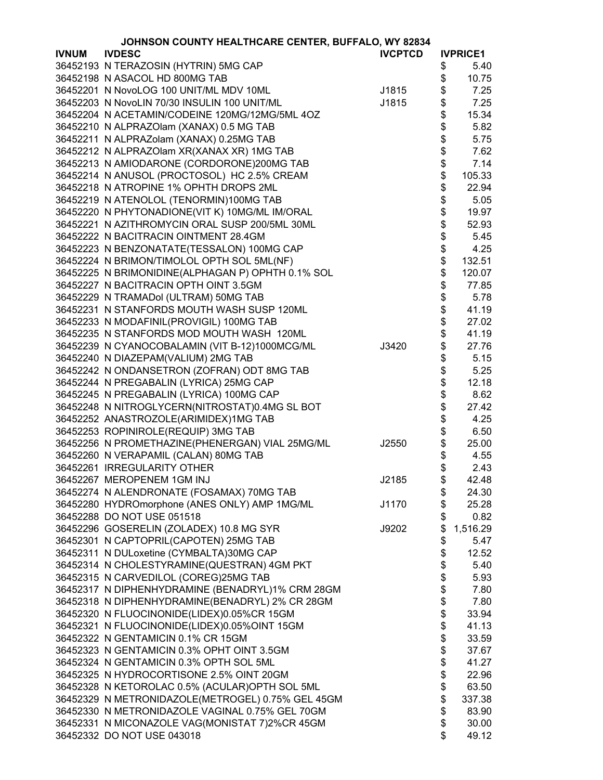|              | JOHNSON COUNTY HEALTHCARE CENTER, BUFFALO, WY 82834 |                |                 |
|--------------|-----------------------------------------------------|----------------|-----------------|
| <b>IVNUM</b> | <b>IVDESC</b>                                       | <b>IVCPTCD</b> | <b>IVPRICE1</b> |
|              | 36452193 N TERAZOSIN (HYTRIN) 5MG CAP               |                | \$<br>5.40      |
|              | 36452198 N ASACOL HD 800MG TAB                      |                | \$<br>10.75     |
|              | 36452201 N NovoLOG 100 UNIT/ML MDV 10ML             | J1815          | \$<br>7.25      |
|              | 36452203 N NovoLIN 70/30 INSULIN 100 UNIT/ML        | J1815          | \$<br>7.25      |
|              | 36452204 N ACETAMIN/CODEINE 120MG/12MG/5ML 4OZ      |                | \$<br>15.34     |
|              | 36452210 N ALPRAZOlam (XANAX) 0.5 MG TAB            |                | \$<br>5.82      |
|              |                                                     |                |                 |
|              | 36452211 N ALPRAZolam (XANAX) 0.25MG TAB            |                | \$<br>5.75      |
|              | 36452212 N ALPRAZOlam XR(XANAX XR) 1MG TAB          |                | \$<br>7.62      |
|              | 36452213 N AMIODARONE (CORDORONE)200MG TAB          |                | \$<br>7.14      |
|              | 36452214 N ANUSOL (PROCTOSOL) HC 2.5% CREAM         |                | \$<br>105.33    |
|              | 36452218 N ATROPINE 1% OPHTH DROPS 2ML              |                | \$<br>22.94     |
|              | 36452219 N ATENOLOL (TENORMIN)100MG TAB             |                | \$<br>5.05      |
|              | 36452220 N PHYTONADIONE(VIT K) 10MG/ML IM/ORAL      |                | \$<br>19.97     |
|              | 36452221 N AZITHROMYCIN ORAL SUSP 200/5ML 30ML      |                | \$<br>52.93     |
|              | 36452222 N BACITRACIN OINTMENT 28.4GM               |                | \$<br>5.45      |
|              | 36452223 N BENZONATATE(TESSALON) 100MG CAP          |                | \$<br>4.25      |
|              | 36452224 N BRIMON/TIMOLOL OPTH SOL 5ML(NF)          |                | \$<br>132.51    |
|              | 36452225 N BRIMONIDINE(ALPHAGAN P) OPHTH 0.1% SOL   |                | \$<br>120.07    |
|              | 36452227 N BACITRACIN OPTH OINT 3.5GM               |                | \$<br>77.85     |
|              | 36452229 N TRAMADol (ULTRAM) 50MG TAB               |                | \$<br>5.78      |
|              | 36452231 N STANFORDS MOUTH WASH SUSP 120ML          |                | \$<br>41.19     |
|              |                                                     |                |                 |
|              | 36452233 N MODAFINIL(PROVIGIL) 100MG TAB            |                | \$<br>27.02     |
|              | 36452235 N STANFORDS MOD MOUTH WASH 120ML           |                | \$<br>41.19     |
|              | 36452239 N CYANOCOBALAMIN (VIT B-12)1000MCG/ML      | J3420          | \$<br>27.76     |
|              | 36452240 N DIAZEPAM(VALIUM) 2MG TAB                 |                | \$<br>5.15      |
|              | 36452242 N ONDANSETRON (ZOFRAN) ODT 8MG TAB         |                | \$<br>5.25      |
|              | 36452244 N PREGABALIN (LYRICA) 25MG CAP             |                | \$<br>12.18     |
|              | 36452245 N PREGABALIN (LYRICA) 100MG CAP            |                | \$<br>8.62      |
|              | 36452248 N NITROGLYCERN(NITROSTAT)0.4MG SL BOT      |                | \$<br>27.42     |
|              | 36452252 ANASTROZOLE(ARIMIDEX)1MG TAB               |                | \$<br>4.25      |
|              | 36452253 ROPINIROLE(REQUIP) 3MG TAB                 |                | \$<br>6.50      |
|              | 36452256 N PROMETHAZINE(PHENERGAN) VIAL 25MG/ML     | J2550          | \$<br>25.00     |
|              | 36452260 N VERAPAMIL (CALAN) 80MG TAB               |                | \$<br>4.55      |
|              | 36452261 IRREGULARITY OTHER                         |                | \$<br>2.43      |
|              | 36452267 MEROPENEM 1GM INJ                          | J2185          | \$<br>42.48     |
|              | 36452274 N ALENDRONATE (FOSAMAX) 70MG TAB           |                | \$<br>24.30     |
|              | 36452280 HYDROmorphone (ANES ONLY) AMP 1MG/ML       | J1170          | \$<br>25.28     |
|              | 36452288 DO NOT USE 051518                          |                | \$<br>0.82      |
|              | 36452296 GOSERELIN (ZOLADEX) 10.8 MG SYR            | J9202          | \$<br>1,516.29  |
|              | 36452301 N CAPTOPRIL(CAPOTEN) 25MG TAB              |                |                 |
|              |                                                     |                | \$<br>5.47      |
|              | 36452311 N DULoxetine (CYMBALTA)30MG CAP            |                | \$<br>12.52     |
|              | 36452314 N CHOLESTYRAMINE(QUESTRAN) 4GM PKT         |                | \$<br>5.40      |
|              | 36452315 N CARVEDILOL (COREG)25MG TAB               |                | \$<br>5.93      |
|              | 36452317 N DIPHENHYDRAMINE (BENADRYL)1% CRM 28GM    |                | \$<br>7.80      |
|              | 36452318 N DIPHENHYDRAMINE(BENADRYL) 2% CR 28GM     |                | \$<br>7.80      |
|              | 36452320 N FLUOCINONIDE(LIDEX)0.05%CR 15GM          |                | \$<br>33.94     |
|              | 36452321 N FLUOCINONIDE(LIDEX)0.05%OINT 15GM        |                | \$<br>41.13     |
|              | 36452322 N GENTAMICIN 0.1% CR 15GM                  |                | \$<br>33.59     |
|              | 36452323 N GENTAMICIN 0.3% OPHT OINT 3.5GM          |                | \$<br>37.67     |
|              | 36452324 N GENTAMICIN 0.3% OPTH SOL 5ML             |                | \$<br>41.27     |
|              | 36452325 N HYDROCORTISONE 2.5% OINT 20GM            |                | \$<br>22.96     |
|              | 36452328 N KETOROLAC 0.5% (ACULAR) OPTH SOL 5ML     |                | \$<br>63.50     |
|              | 36452329 N METRONIDAZOLE(METROGEL) 0.75% GEL 45GM   |                | \$<br>337.38    |
|              | 36452330 N METRONIDAZOLE VAGINAL 0.75% GEL 70GM     |                | \$<br>83.90     |
|              | 36452331 N MICONAZOLE VAG(MONISTAT 7)2%CR 45GM      |                | \$<br>30.00     |
|              | 36452332 DO NOT USE 043018                          |                | \$<br>49.12     |
|              |                                                     |                |                 |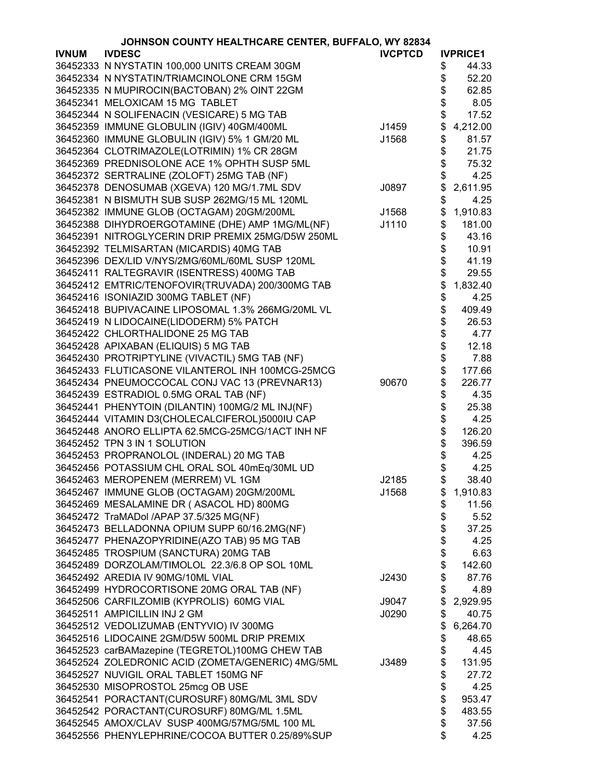|              | JOHNSON COUNTY HEALTHCARE CENTER, BUFFALO, WY 82834                                                |                |          |                 |
|--------------|----------------------------------------------------------------------------------------------------|----------------|----------|-----------------|
| <b>IVNUM</b> | <b>IVDESC</b>                                                                                      | <b>IVCPTCD</b> |          | <b>IVPRICE1</b> |
|              | 36452333 N NYSTATIN 100,000 UNITS CREAM 30GM                                                       |                | \$       | 44.33           |
|              | 36452334 N NYSTATIN/TRIAMCINOLONE CRM 15GM                                                         |                | \$       | 52.20           |
|              | 36452335 N MUPIROCIN(BACTOBAN) 2% OINT 22GM                                                        |                | \$       | 62.85           |
|              | 36452341 MELOXICAM 15 MG TABLET                                                                    |                | \$       | 8.05            |
|              | 36452344 N SOLIFENACIN (VESICARE) 5 MG TAB                                                         |                | \$       | 17.52           |
|              | 36452359 IMMUNE GLOBULIN (IGIV) 40GM/400ML                                                         | J1459          | \$       | 4,212.00        |
|              | 36452360 IMMUNE GLOBULIN (IGIV) 5% 1 GM/20 ML                                                      | J1568          | \$       | 81.57           |
|              | 36452364 CLOTRIMAZOLE(LOTRIMIN) 1% CR 28GM                                                         |                | \$       | 21.75           |
|              | 36452369 PREDNISOLONE ACE 1% OPHTH SUSP 5ML                                                        |                | \$       | 75.32           |
|              | 36452372 SERTRALINE (ZOLOFT) 25MG TAB (NF)                                                         |                | \$       | 4.25            |
|              | 36452378 DENOSUMAB (XGEVA) 120 MG/1.7ML SDV                                                        | J0897          | \$       | 2,611.95        |
|              | 36452381 N BISMUTH SUB SUSP 262MG/15 ML 120ML                                                      |                | \$       | 4.25            |
|              | 36452382 IMMUNE GLOB (OCTAGAM) 20GM/200ML                                                          | J1568          | \$       | 1,910.83        |
|              | 36452388 DIHYDROERGOTAMINE (DHE) AMP 1MG/ML(NF)                                                    | J1110          | \$       | 181.00          |
|              | 36452391 NITROGLYCERIN DRIP PREMIX 25MG/D5W 250ML                                                  |                | \$       | 43.16           |
|              | 36452392 TELMISARTAN (MICARDIS) 40MG TAB                                                           |                | \$       | 10.91           |
|              | 36452396 DEX/LID V/NYS/2MG/60ML/60ML SUSP 120ML                                                    |                | \$       | 41.19           |
|              | 36452411 RALTEGRAVIR (ISENTRESS) 400MG TAB                                                         |                | \$       | 29.55           |
|              | 36452412 EMTRIC/TENOFOVIR(TRUVADA) 200/300MG TAB                                                   |                | \$       | 1,832.40        |
|              | 36452416 ISONIAZID 300MG TABLET (NF)                                                               |                | \$       | 4.25            |
|              | 36452418 BUPIVACAINE LIPOSOMAL 1.3% 266MG/20ML VL                                                  |                | \$       | 409.49          |
|              | 36452419 N LIDOCAINE(LIDODERM) 5% PATCH                                                            |                | \$       | 26.53           |
|              | 36452422 CHLORTHALIDONE 25 MG TAB                                                                  |                | \$       | 4.77            |
|              | 36452428 APIXABAN (ELIQUIS) 5 MG TAB                                                               |                | \$       | 12.18           |
|              | 36452430 PROTRIPTYLINE (VIVACTIL) 5MG TAB (NF)                                                     |                |          | 7.88            |
|              | 36452433 FLUTICASONE VILANTEROL INH 100MCG-25MCG                                                   |                | \$<br>\$ | 177.66          |
|              | 36452434 PNEUMOCCOCAL CONJ VAC 13 (PREVNAR13)                                                      | 90670          | \$       | 226.77          |
|              | 36452439 ESTRADIOL 0.5MG ORAL TAB (NF)                                                             |                |          | 4.35            |
|              |                                                                                                    |                | \$       | 25.38           |
|              | 36452441 PHENYTOIN (DILANTIN) 100MG/2 ML INJ(NF)                                                   |                | \$       |                 |
|              | 36452444 VITAMIN D3(CHOLECALCIFEROL)5000IU CAP<br>36452448 ANORO ELLIPTA 62.5MCG-25MCG/1ACT INH NF |                | \$       | 4.25            |
|              |                                                                                                    |                | \$       | 126.20          |
|              | 36452452 TPN 3 IN 1 SOLUTION                                                                       |                | \$       | 396.59          |
|              | 36452453 PROPRANOLOL (INDERAL) 20 MG TAB                                                           |                | \$       | 4.25            |
|              | 36452456 POTASSIUM CHL ORAL SOL 40mEq/30ML UD                                                      |                | \$       | 4.25            |
|              | 36452463 MEROPENEM (MERREM) VL 1GM                                                                 | J2185          | \$       | 38.40           |
|              | 36452467 IMMUNE GLOB (OCTAGAM) 20GM/200ML                                                          | J1568          | \$       | 1,910.83        |
|              | 36452469 MESALAMINE DR (ASACOL HD) 800MG                                                           |                | \$       | 11.56           |
|              | 36452472 TraMADol /APAP 37.5/325 MG(NF)                                                            |                | \$       | 5.52            |
|              | 36452473 BELLADONNA OPIUM SUPP 60/16.2MG(NF)                                                       |                | \$       | 37.25           |
|              | 36452477 PHENAZOPYRIDINE(AZO TAB) 95 MG TAB                                                        |                | \$       | 4.25            |
|              | 36452485 TROSPIUM (SANCTURA) 20MG TAB                                                              |                | \$       | 6.63            |
|              | 36452489 DORZOLAM/TIMOLOL 22.3/6.8 OP SOL 10ML                                                     |                | \$       | 142.60          |
|              | 36452492 AREDIA IV 90MG/10ML VIAL                                                                  | J2430          | \$       | 87.76           |
|              | 36452499 HYDROCORTISONE 20MG ORAL TAB (NF)                                                         |                | \$       | 4.89            |
|              | 36452506 CARFILZOMIB (KYPROLIS) 60MG VIAL                                                          | J9047          | \$       | 2,929.95        |
|              | 36452511 AMPICILLIN INJ 2 GM                                                                       | J0290          | \$       | 40.75           |
|              | 36452512 VEDOLIZUMAB (ENTYVIO) IV 300MG                                                            |                | \$       | 6,264.70        |
|              | 36452516 LIDOCAINE 2GM/D5W 500ML DRIP PREMIX                                                       |                | \$       | 48.65           |
|              | 36452523 carBAMazepine (TEGRETOL)100MG CHEW TAB                                                    |                | \$       | 4.45            |
|              | 36452524 ZOLEDRONIC ACID (ZOMETA/GENERIC) 4MG/5ML                                                  | J3489          | \$       | 131.95          |
|              | 36452527 NUVIGIL ORAL TABLET 150MG NF                                                              |                | \$       | 27.72           |
|              | 36452530 MISOPROSTOL 25mcg OB USE                                                                  |                | \$       | 4.25            |
|              | 36452541 PORACTANT(CUROSURF) 80MG/ML 3ML SDV                                                       |                | \$       | 953.47          |
|              | 36452542 PORACTANT(CUROSURF) 80MG/ML 1.5ML                                                         |                | \$       | 483.55          |
|              | 36452545 AMOX/CLAV SUSP 400MG/57MG/5ML 100 ML                                                      |                | \$       | 37.56           |
|              | 36452556 PHENYLEPHRINE/COCOA BUTTER 0.25/89%SUP                                                    |                | \$       | 4.25            |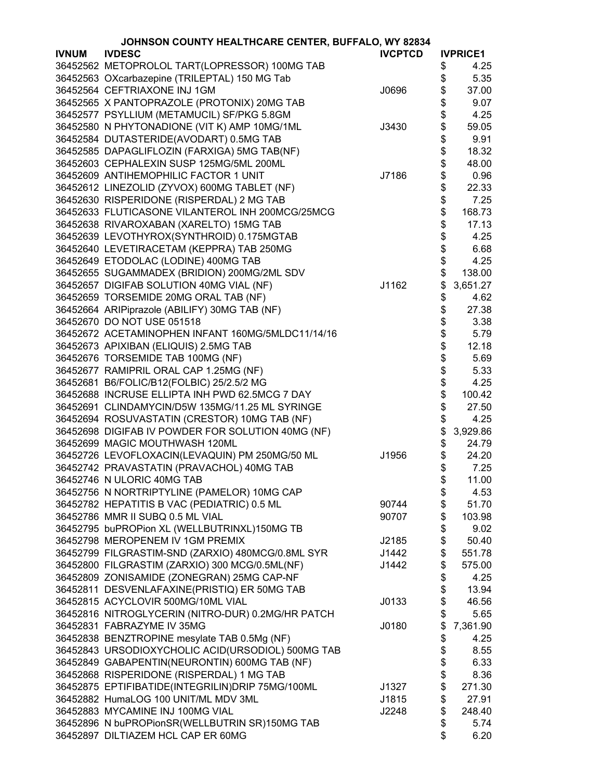|              | JOHNSON COUNTY HEALTHCARE CENTER, BUFFALO, WY 82834 |                |          |                 |
|--------------|-----------------------------------------------------|----------------|----------|-----------------|
| <b>IVNUM</b> | <b>IVDESC</b>                                       | <b>IVCPTCD</b> |          | <b>IVPRICE1</b> |
|              | 36452562 METOPROLOL TART(LOPRESSOR) 100MG TAB       |                | \$       | 4.25            |
|              | 36452563 OXcarbazepine (TRILEPTAL) 150 MG Tab       |                | \$       | 5.35            |
|              | 36452564 CEFTRIAXONE INJ 1GM                        | J0696          | \$       | 37.00           |
|              | 36452565 X PANTOPRAZOLE (PROTONIX) 20MG TAB         |                | \$       | 9.07            |
|              | 36452577 PSYLLIUM (METAMUCIL) SF/PKG 5.8GM          |                |          | 4.25            |
|              | 36452580 N PHYTONADIONE (VIT K) AMP 10MG/1ML        | J3430          | \$<br>\$ | 59.05           |
|              | 36452584 DUTASTERIDE(AVODART) 0.5MG TAB             |                | \$       | 9.91            |
|              | 36452585 DAPAGLIFLOZIN (FARXIGA) 5MG TAB(NF)        |                | \$       | 18.32           |
|              | 36452603 CEPHALEXIN SUSP 125MG/5ML 200ML            |                | \$       | 48.00           |
|              | 36452609 ANTIHEMOPHILIC FACTOR 1 UNIT               | J7186          | \$       | 0.96            |
|              | 36452612 LINEZOLID (ZYVOX) 600MG TABLET (NF)        |                | \$       | 22.33           |
|              | 36452630 RISPERIDONE (RISPERDAL) 2 MG TAB           |                | \$       | 7.25            |
|              |                                                     |                |          |                 |
|              | 36452633 FLUTICASONE VILANTEROL INH 200MCG/25MCG    |                | \$       | 168.73          |
|              | 36452638 RIVAROXABAN (XARELTO) 15MG TAB             |                | \$       | 17.13           |
|              | 36452639 LEVOTHYROX(SYNTHROID) 0.175MGTAB           |                | \$       | 4.25            |
|              | 36452640 LEVETIRACETAM (KEPPRA) TAB 250MG           |                | \$       | 6.68            |
|              | 36452649 ETODOLAC (LODINE) 400MG TAB                |                | \$       | 4.25            |
|              | 36452655 SUGAMMADEX (BRIDION) 200MG/2ML SDV         |                | \$       | 138.00          |
|              | 36452657 DIGIFAB SOLUTION 40MG VIAL (NF)            | J1162          | \$       | 3,651.27        |
|              | 36452659 TORSEMIDE 20MG ORAL TAB (NF)               |                | \$       | 4.62            |
|              | 36452664 ARIPiprazole (ABILIFY) 30MG TAB (NF)       |                | \$       | 27.38           |
|              | 36452670 DO NOT USE 051518                          |                | \$       | 3.38            |
|              | 36452672 ACETAMINOPHEN INFANT 160MG/5MLDC11/14/16   |                | \$<br>\$ | 5.79            |
|              | 36452673 APIXIBAN (ELIQUIS) 2.5MG TAB               |                |          | 12.18           |
|              | 36452676 TORSEMIDE TAB 100MG (NF)                   |                | \$       | 5.69            |
|              | 36452677 RAMIPRIL ORAL CAP 1.25MG (NF)              |                | \$<br>\$ | 5.33            |
|              | 36452681 B6/FOLIC/B12(FOLBIC) 25/2.5/2 MG           |                |          | 4.25            |
|              | 36452688 INCRUSE ELLIPTA INH PWD 62.5MCG 7 DAY      |                | \$       | 100.42          |
|              | 36452691 CLINDAMYCIN/D5W 135MG/11.25 ML SYRINGE     |                | \$       | 27.50           |
|              | 36452694 ROSUVASTATIN (CRESTOR) 10MG TAB (NF)       |                | \$       | 4.25            |
|              | 36452698 DIGIFAB IV POWDER FOR SOLUTION 40MG (NF)   |                | \$       | 3,929.86        |
|              | 36452699 MAGIC MOUTHWASH 120ML                      |                | \$       | 24.79           |
|              | 36452726 LEVOFLOXACIN(LEVAQUIN) PM 250MG/50 ML      | J1956          | \$       | 24.20           |
|              | 36452742 PRAVASTATIN (PRAVACHOL) 40MG TAB           |                | \$       | 7.25            |
|              | 36452746 N ULORIC 40MG TAB                          |                | \$       | 11.00           |
|              | 36452756 N NORTRIPTYLINE (PAMELOR) 10MG CAP         |                | \$       | 4.53            |
|              | 36452782 HEPATITIS B VAC (PEDIATRIC) 0.5 ML         | 90744          | \$       | 51.70           |
|              | 36452786 MMR II SUBQ 0.5 ML VIAL                    | 90707          | \$       | 103.98          |
|              | 36452795 buPROPion XL (WELLBUTRINXL)150MG TB        |                | \$       | 9.02            |
|              | 36452798 MEROPENEM IV 1GM PREMIX                    | J2185          | \$       | 50.40           |
|              | 36452799 FILGRASTIM-SND (ZARXIO) 480MCG/0.8ML SYR   | J1442          | \$       | 551.78          |
|              | 36452800 FILGRASTIM (ZARXIO) 300 MCG/0.5ML(NF)      | J1442          | \$       | 575.00          |
|              | 36452809 ZONISAMIDE (ZONEGRAN) 25MG CAP-NF          |                | \$       | 4.25            |
|              | 36452811 DESVENLAFAXINE(PRISTIQ) ER 50MG TAB        |                | \$       | 13.94           |
|              | 36452815 ACYCLOVIR 500MG/10ML VIAL                  | J0133          | \$       | 46.56           |
|              | 36452816 NITROGLYCERIN (NITRO-DUR) 0.2MG/HR PATCH   |                | \$       | 5.65            |
|              | 36452831 FABRAZYME IV 35MG                          | J0180          | \$       | 7,361.90        |
|              | 36452838 BENZTROPINE mesylate TAB 0.5Mg (NF)        |                | \$       | 4.25            |
|              | 36452843 URSODIOXYCHOLIC ACID(URSODIOL) 500MG TAB   |                | \$       | 8.55            |
|              | 36452849 GABAPENTIN(NEURONTIN) 600MG TAB (NF)       |                | \$       | 6.33            |
|              | 36452868 RISPERIDONE (RISPERDAL) 1 MG TAB           |                | \$       | 8.36            |
|              | 36452875 EPTIFIBATIDE(INTEGRILIN)DRIP 75MG/100ML    | J1327          | \$       | 271.30          |
|              | 36452882 HumaLOG 100 UNIT/ML MDV 3ML                | J1815          | \$       | 27.91           |
|              | 36452883 MYCAMINE INJ 100MG VIAL                    | J2248          | \$       | 248.40          |
|              | 36452896 N buPROPionSR(WELLBUTRIN SR)150MG TAB      |                | \$       | 5.74            |
|              | 36452897 DILTIAZEM HCL CAP ER 60MG                  |                | \$       | 6.20            |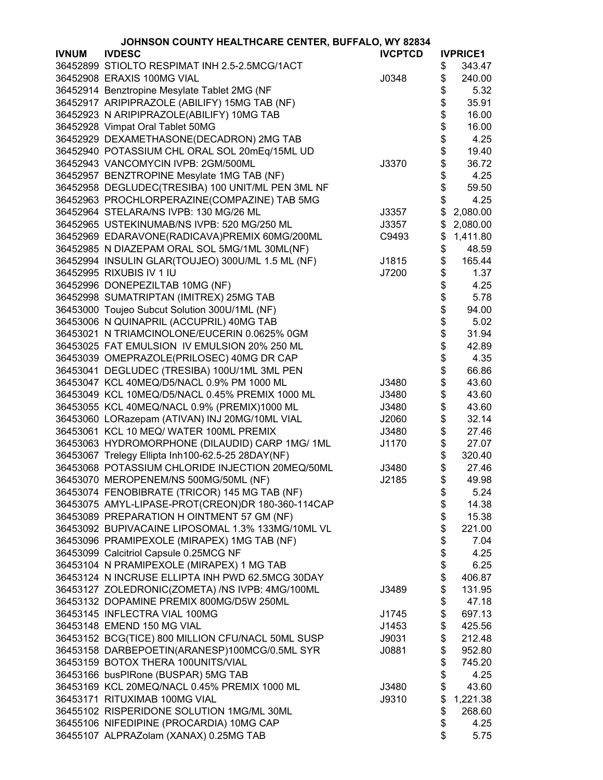| JOHNSON COUNTY HEALTHCARE CENTER, BUFFALO, WY 82834 |                                                   |                |          |                 |
|-----------------------------------------------------|---------------------------------------------------|----------------|----------|-----------------|
| <b>IVNUM</b>                                        | <b>IVDESC</b>                                     | <b>IVCPTCD</b> |          | <b>IVPRICE1</b> |
|                                                     | 36452899 STIOLTO RESPIMAT INH 2.5-2.5MCG/1ACT     |                | \$       | 343.47          |
|                                                     | 36452908 ERAXIS 100MG VIAL                        | J0348          | \$       | 240.00          |
|                                                     | 36452914 Benztropine Mesylate Tablet 2MG (NF      |                | \$       | 5.32            |
|                                                     | 36452917 ARIPIPRAZOLE (ABILIFY) 15MG TAB (NF)     |                | \$       | 35.91           |
|                                                     | 36452923 N ARIPIPRAZOLE(ABILIFY) 10MG TAB         |                | \$       | 16.00           |
|                                                     | 36452928 Vimpat Oral Tablet 50MG                  |                | \$       | 16.00           |
|                                                     | 36452929 DEXAMETHASONE(DECADRON) 2MG TAB          |                | \$       | 4.25            |
|                                                     | 36452940 POTASSIUM CHL ORAL SOL 20mEq/15ML UD     |                | \$       | 19.40           |
|                                                     | 36452943 VANCOMYCIN IVPB: 2GM/500ML               | J3370          | \$       | 36.72           |
|                                                     | 36452957 BENZTROPINE Mesylate 1MG TAB (NF)        |                | \$       | 4.25            |
|                                                     | 36452958 DEGLUDEC(TRESIBA) 100 UNIT/ML PEN 3ML NF |                | \$       | 59.50           |
|                                                     | 36452963 PROCHLORPERAZINE(COMPAZINE) TAB 5MG      |                | \$       | 4.25            |
|                                                     | 36452964 STELARA/NS IVPB: 130 MG/26 ML            | J3357          | \$       | 2,080.00        |
|                                                     | 36452965 USTEKINUMAB/NS IVPB: 520 MG/250 ML       | J3357          | \$       | 2,080.00        |
|                                                     | 36452969 EDARAVONE(RADICAVA)PREMIX 60MG/200ML     | C9493          | \$       | 1,411.80        |
|                                                     | 36452985 N DIAZEPAM ORAL SOL 5MG/1ML 30ML(NF)     |                |          | 48.59           |
|                                                     | 36452994 INSULIN GLAR(TOUJEO) 300U/ML 1.5 ML (NF) |                | \$<br>\$ | 165.44          |
|                                                     | 36452995 RIXUBIS IV 1 IU                          | J1815          |          |                 |
|                                                     |                                                   | J7200          | \$       | 1.37            |
|                                                     | 36452996 DONEPEZILTAB 10MG (NF)                   |                | \$       | 4.25            |
|                                                     | 36452998 SUMATRIPTAN (IMITREX) 25MG TAB           |                | \$       | 5.78            |
|                                                     | 36453000 Toujeo Subcut Solution 300U/1ML (NF)     |                | \$       | 94.00           |
|                                                     | 36453006 N QUINAPRIL (ACCUPRIL) 40MG TAB          |                | \$       | 5.02            |
|                                                     | 36453021 N TRIAMCINOLONE/EUCERIN 0.0625% 0GM      |                | \$       | 31.94           |
|                                                     | 36453025 FAT EMULSION IV EMULSION 20% 250 ML      |                | \$       | 42.89           |
|                                                     | 36453039 OMEPRAZOLE(PRILOSEC) 40MG DR CAP         |                | \$       | 4.35            |
|                                                     | 36453041 DEGLUDEC (TRESIBA) 100U/1ML 3ML PEN      |                | \$       | 66.86           |
|                                                     | 36453047 KCL 40MEQ/D5/NACL 0.9% PM 1000 ML        | J3480          | \$       | 43.60           |
|                                                     | 36453049 KCL 10MEQ/D5/NACL 0.45% PREMIX 1000 ML   | J3480          | \$       | 43.60           |
|                                                     | 36453055 KCL 40MEQ/NACL 0.9% (PREMIX)1000 ML      | J3480          | \$       | 43.60           |
|                                                     | 36453060 LORazepam (ATIVAN) INJ 20MG/10ML VIAL    | J2060          | \$       | 32.14           |
|                                                     | 36453061 KCL 10 MEQ/ WATER 100ML PREMIX           | J3480          | \$       | 27.46           |
|                                                     | 36453063 HYDROMORPHONE (DILAUDID) CARP 1MG/ 1ML   | J1170          | \$       | 27.07           |
|                                                     | 36453067 Trelegy Ellipta Inh100-62.5-25 28DAY(NF) |                | \$       | 320.40          |
|                                                     | 36453068 POTASSIUM CHLORIDE INJECTION 20MEQ/50ML  | J3480          | \$       | 27.46           |
|                                                     | 36453070 MEROPENEM/NS 500MG/50ML (NF)             | J2185          | \$       | 49.98           |
|                                                     | 36453074 FENOBIBRATE (TRICOR) 145 MG TAB (NF)     |                | \$       | 5.24            |
|                                                     | 36453075 AMYL-LIPASE-PROT(CREON)DR 180-360-114CAP |                | \$       | 14.38           |
|                                                     | 36453089 PREPARATION H OINTMENT 57 GM (NF)        |                | \$       | 15.38           |
|                                                     | 36453092 BUPIVACAINE LIPOSOMAL 1.3% 133MG/10ML VL |                | \$       | 221.00          |
|                                                     | 36453096 PRAMIPEXOLE (MIRAPEX) 1MG TAB (NF)       |                | \$       | 7.04            |
|                                                     | 36453099 Calcitriol Capsule 0.25MCG NF            |                | \$       | 4.25            |
|                                                     | 36453104 N PRAMIPEXOLE (MIRAPEX) 1 MG TAB         |                | \$       | 6.25            |
|                                                     | 36453124 N INCRUSE ELLIPTA INH PWD 62.5MCG 30DAY  |                | \$       | 406.87          |
|                                                     | 36453127 ZOLEDRONIC(ZOMETA) /NS IVPB: 4MG/100ML   | J3489          | \$       | 131.95          |
|                                                     | 36453132 DOPAMINE PREMIX 800MG/D5W 250ML          |                | \$       | 47.18           |
|                                                     | 36453145 INFLECTRA VIAL 100MG                     | J1745          | \$       | 697.13          |
|                                                     | 36453148 EMEND 150 MG VIAL                        | J1453          |          | 425.56          |
|                                                     |                                                   |                | \$       |                 |
|                                                     | 36453152 BCG(TICE) 800 MILLION CFU/NACL 50ML SUSP | J9031          | \$       | 212.48          |
|                                                     | 36453158 DARBEPOETIN(ARANESP)100MCG/0.5ML SYR     | J0881          | \$       | 952.80          |
|                                                     | 36453159 BOTOX THERA 100UNITS/VIAL                |                | \$       | 745.20          |
|                                                     | 36453166 busPIRone (BUSPAR) 5MG TAB               |                | \$       | 4.25            |
|                                                     | 36453169 KCL 20MEQ/NACL 0.45% PREMIX 1000 ML      | J3480          | \$       | 43.60           |
|                                                     | 36453171 RITUXIMAB 100MG VIAL                     | J9310          | \$       | 1,221.38        |
|                                                     | 36455102 RISPERIDONE SOLUTION 1MG/ML 30ML         |                | \$       | 268.60          |
|                                                     | 36455106 NIFEDIPINE (PROCARDIA) 10MG CAP          |                | \$       | 4.25            |
|                                                     | 36455107 ALPRAZolam (XANAX) 0.25MG TAB            |                | \$       | 5.75            |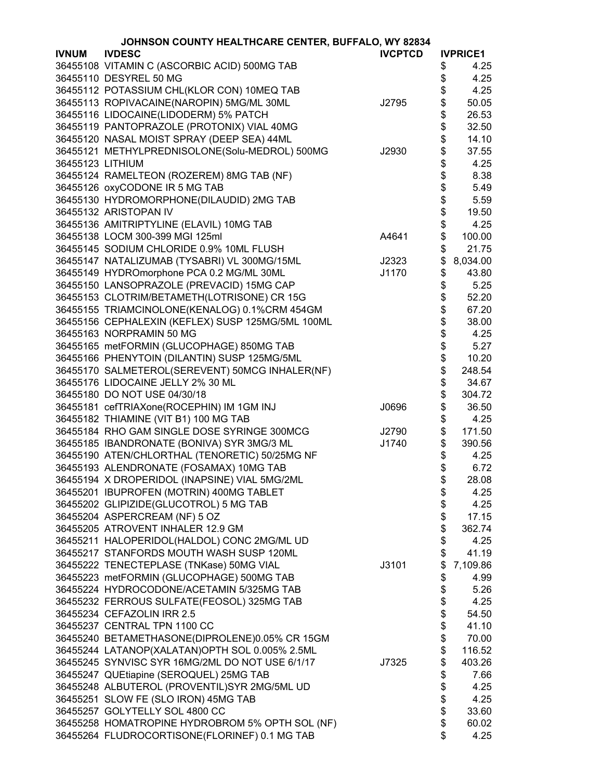| JOHNSON COUNTY HEALTHCARE CENTER, BUFFALO, WY 82834 |                                                   |                |    |                 |
|-----------------------------------------------------|---------------------------------------------------|----------------|----|-----------------|
| <b>IVNUM</b>                                        | <b>IVDESC</b>                                     | <b>IVCPTCD</b> |    | <b>IVPRICE1</b> |
|                                                     | 36455108 VITAMIN C (ASCORBIC ACID) 500MG TAB      |                | \$ | 4.25            |
|                                                     | 36455110 DESYREL 50 MG                            |                | \$ | 4.25            |
|                                                     | 36455112 POTASSIUM CHL(KLOR CON) 10MEQ TAB        |                | \$ | 4.25            |
|                                                     | 36455113 ROPIVACAINE(NAROPIN) 5MG/ML 30ML         | J2795          | \$ | 50.05           |
|                                                     | 36455116 LIDOCAINE(LIDODERM) 5% PATCH             |                | \$ | 26.53           |
|                                                     | 36455119 PANTOPRAZOLE (PROTONIX) VIAL 40MG        |                | \$ | 32.50           |
|                                                     |                                                   |                | \$ | 14.10           |
|                                                     | 36455120 NASAL MOIST SPRAY (DEEP SEA) 44ML        |                |    |                 |
|                                                     | 36455121 METHYLPREDNISOLONE(Solu-MEDROL) 500MG    | J2930          | \$ | 37.55           |
| 36455123 LITHIUM                                    |                                                   |                | \$ | 4.25            |
|                                                     | 36455124 RAMELTEON (ROZEREM) 8MG TAB (NF)         |                | \$ | 8.38            |
|                                                     | 36455126 oxyCODONE IR 5 MG TAB                    |                | \$ | 5.49            |
|                                                     | 36455130 HYDROMORPHONE(DILAUDID) 2MG TAB          |                | \$ | 5.59            |
|                                                     | 36455132 ARISTOPAN IV                             |                | \$ | 19.50           |
|                                                     | 36455136 AMITRIPTYLINE (ELAVIL) 10MG TAB          |                | \$ | 4.25            |
|                                                     | 36455138 LOCM 300-399 MGI 125ml                   | A4641          | \$ | 100.00          |
|                                                     | 36455145 SODIUM CHLORIDE 0.9% 10ML FLUSH          |                | \$ | 21.75           |
|                                                     | 36455147 NATALIZUMAB (TYSABRI) VL 300MG/15ML      | J2323          | \$ | 8,034.00        |
|                                                     | 36455149 HYDROmorphone PCA 0.2 MG/ML 30ML         | J1170          | \$ | 43.80           |
|                                                     | 36455150 LANSOPRAZOLE (PREVACID) 15MG CAP         |                | \$ | 5.25            |
|                                                     | 36455153 CLOTRIM/BETAMETH(LOTRISONE) CR 15G       |                | \$ | 52.20           |
|                                                     | 36455155 TRIAMCINOLONE(KENALOG) 0.1%CRM 454GM     |                | \$ | 67.20           |
|                                                     | 36455156 CEPHALEXIN (KEFLEX) SUSP 125MG/5ML 100ML |                | \$ | 38.00           |
|                                                     |                                                   |                | \$ |                 |
|                                                     | 36455163 NORPRAMIN 50 MG                          |                |    | 4.25            |
|                                                     | 36455165 metFORMIN (GLUCOPHAGE) 850MG TAB         |                | \$ | 5.27            |
|                                                     | 36455166 PHENYTOIN (DILANTIN) SUSP 125MG/5ML      |                | \$ | 10.20           |
|                                                     | 36455170 SALMETEROL(SEREVENT) 50MCG INHALER(NF)   |                | \$ | 248.54          |
|                                                     | 36455176 LIDOCAINE JELLY 2% 30 ML                 |                | \$ | 34.67           |
|                                                     | 36455180 DO NOT USE 04/30/18                      |                | \$ | 304.72          |
|                                                     | 36455181 cefTRIAXone(ROCEPHIN) IM 1GM INJ         | J0696          | \$ | 36.50           |
|                                                     | 36455182 THIAMINE (VIT B1) 100 MG TAB             |                | \$ | 4.25            |
|                                                     | 36455184 RHO GAM SINGLE DOSE SYRINGE 300MCG       | J2790          | \$ | 171.50          |
|                                                     | 36455185 IBANDRONATE (BONIVA) SYR 3MG/3 ML        | J1740          | \$ | 390.56          |
|                                                     | 36455190 ATEN/CHLORTHAL (TENORETIC) 50/25MG NF    |                | \$ | 4.25            |
|                                                     | 36455193 ALENDRONATE (FOSAMAX) 10MG TAB           |                | \$ | 6.72            |
|                                                     | 36455194 X DROPERIDOL (INAPSINE) VIAL 5MG/2ML     |                | \$ | 28.08           |
|                                                     | 36455201 IBUPROFEN (MOTRIN) 400MG TABLET          |                | \$ | 4.25            |
|                                                     | 36455202 GLIPIZIDE(GLUCOTROL) 5 MG TAB            |                | \$ | 4.25            |
|                                                     | 36455204 ASPERCREAM (NF) 5 OZ                     |                | \$ | 17.15           |
|                                                     | 36455205 ATROVENT INHALER 12.9 GM                 |                | \$ | 362.74          |
|                                                     | 36455211 HALOPERIDOL(HALDOL) CONC 2MG/ML UD       |                | \$ | 4.25            |
|                                                     | 36455217 STANFORDS MOUTH WASH SUSP 120ML          |                | \$ | 41.19           |
|                                                     | 36455222 TENECTEPLASE (TNKase) 50MG VIAL          | J3101          | \$ | 7,109.86        |
|                                                     |                                                   |                |    |                 |
|                                                     | 36455223 metFORMIN (GLUCOPHAGE) 500MG TAB         |                | \$ | 4.99            |
|                                                     | 36455224 HYDROCODONE/ACETAMIN 5/325MG TAB         |                | \$ | 5.26            |
|                                                     | 36455232 FERROUS SULFATE(FEOSOL) 325MG TAB        |                | \$ | 4.25            |
|                                                     | 36455234 CEFAZOLIN IRR 2.5                        |                | \$ | 54.50           |
|                                                     | 36455237 CENTRAL TPN 1100 CC                      |                | \$ | 41.10           |
|                                                     | 36455240 BETAMETHASONE(DIPROLENE)0.05% CR 15GM    |                | \$ | 70.00           |
|                                                     | 36455244 LATANOP(XALATAN)OPTH SOL 0.005% 2.5ML    |                | \$ | 116.52          |
|                                                     | 36455245 SYNVISC SYR 16MG/2ML DO NOT USE 6/1/17   | J7325          | \$ | 403.26          |
|                                                     | 36455247 QUEtiapine (SEROQUEL) 25MG TAB           |                | \$ | 7.66            |
|                                                     | 36455248 ALBUTEROL (PROVENTIL)SYR 2MG/5ML UD      |                | \$ | 4.25            |
|                                                     | 36455251 SLOW FE (SLO IRON) 45MG TAB              |                | \$ | 4.25            |
|                                                     | 36455257 GOLYTELLY SOL 4800 CC                    |                | \$ | 33.60           |
|                                                     | 36455258 HOMATROPINE HYDROBROM 5% OPTH SOL (NF)   |                | \$ | 60.02           |
|                                                     | 36455264 FLUDROCORTISONE(FLORINEF) 0.1 MG TAB     |                | \$ | 4.25            |
|                                                     |                                                   |                |    |                 |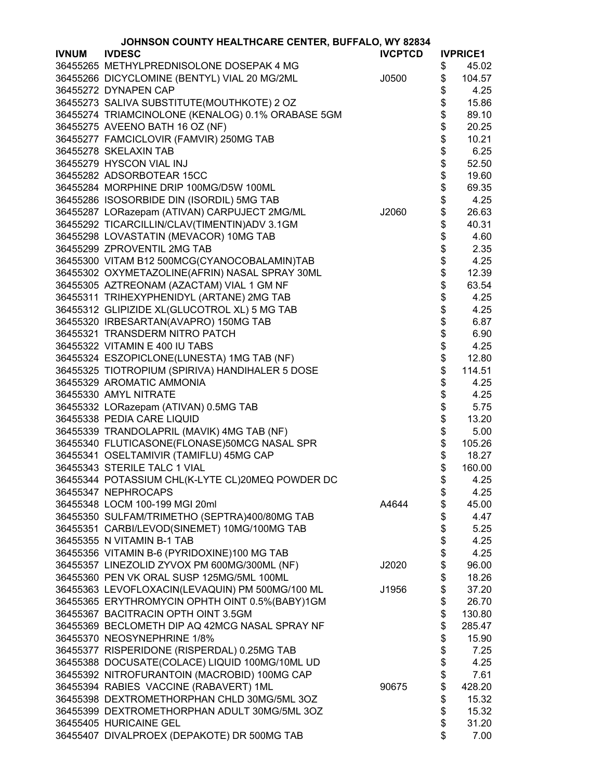|              | JOHNSON COUNTY HEALTHCARE CENTER, BUFFALO, WY 82834                        |                |            |                 |
|--------------|----------------------------------------------------------------------------|----------------|------------|-----------------|
| <b>IVNUM</b> | <b>IVDESC</b>                                                              | <b>IVCPTCD</b> |            | <b>IVPRICE1</b> |
|              | 36455265 METHYLPREDNISOLONE DOSEPAK 4 MG                                   |                | \$         | 45.02           |
|              | 36455266 DICYCLOMINE (BENTYL) VIAL 20 MG/2ML                               | J0500          | \$         | 104.57          |
|              | 36455272 DYNAPEN CAP                                                       |                | \$         | 4.25            |
|              | 36455273 SALIVA SUBSTITUTE(MOUTHKOTE) 2 OZ                                 |                | \$         | 15.86           |
|              | 36455274 TRIAMCINOLONE (KENALOG) 0.1% ORABASE 5GM                          |                | \$         | 89.10           |
|              | 36455275 AVEENO BATH 16 OZ (NF)                                            |                | \$         | 20.25           |
|              | 36455277 FAMCICLOVIR (FAMVIR) 250MG TAB                                    |                | \$         | 10.21           |
|              | 36455278 SKELAXIN TAB                                                      |                |            | 6.25            |
|              | 36455279 HYSCON VIAL INJ                                                   |                |            | 52.50           |
|              | 36455282 ADSORBOTEAR 15CC                                                  |                |            | 19.60           |
|              | 36455284 MORPHINE DRIP 100MG/D5W 100ML                                     |                |            | 69.35           |
|              | 36455286 ISOSORBIDE DIN (ISORDIL) 5MG TAB                                  |                | \$\$\$\$\$ | 4.25            |
|              | 36455287 LORazepam (ATIVAN) CARPUJECT 2MG/ML                               | J2060          | \$         | 26.63           |
|              | 36455292 TICARCILLIN/CLAV(TIMENTIN)ADV 3.1GM                               |                | \$         | 40.31           |
|              | 36455298 LOVASTATIN (MEVACOR) 10MG TAB                                     |                | \$         | 4.60            |
|              | 36455299 ZPROVENTIL 2MG TAB                                                |                |            | 2.35            |
|              | 36455300 VITAM B12 500MCG(CYANOCOBALAMIN)TAB                               |                | \$\$\$     | 4.25            |
|              | 36455302 OXYMETAZOLINE(AFRIN) NASAL SPRAY 30ML                             |                |            | 12.39           |
|              | 36455305 AZTREONAM (AZACTAM) VIAL 1 GM NF                                  |                |            | 63.54           |
|              | 36455311 TRIHEXYPHENIDYL (ARTANE) 2MG TAB                                  |                | \$         | 4.25            |
|              | 36455312 GLIPIZIDE XL(GLUCOTROL XL) 5 MG TAB                               |                | \$         | 4.25            |
|              | 36455320 IRBESARTAN(AVAPRO) 150MG TAB                                      |                | \$         | 6.87            |
|              | 36455321 TRANSDERM NITRO PATCH                                             |                | \$         | 6.90            |
|              | 36455322 VITAMIN E 400 IU TABS                                             |                |            | 4.25            |
|              | 36455324 ESZOPICLONE(LUNESTA) 1MG TAB (NF)                                 |                | \$\$       | 12.80           |
|              | 36455325 TIOTROPIUM (SPIRIVA) HANDIHALER 5 DOSE                            |                |            | 114.51          |
|              | 36455329 AROMATIC AMMONIA                                                  |                | \$         | 4.25            |
|              | 36455330 AMYL NITRATE                                                      |                | \$         | 4.25            |
|              | 36455332 LORazepam (ATIVAN) 0.5MG TAB                                      |                | \$         | 5.75            |
|              | 36455338 PEDIA CARE LIQUID                                                 |                | \$         | 13.20           |
|              | 36455339 TRANDOLAPRIL (MAVIK) 4MG TAB (NF)                                 |                | \$         | 5.00            |
|              | 36455340 FLUTICASONE(FLONASE)50MCG NASAL SPR                               |                | \$         | 105.26          |
|              | 36455341 OSELTAMIVIR (TAMIFLU) 45MG CAP                                    |                | \$         | 18.27           |
|              | 36455343 STERILE TALC 1 VIAL                                               |                | \$         | 160.00          |
|              | 36455344 POTASSIUM CHL(K-LYTE CL)20MEQ POWDER DC                           |                |            | 4.25            |
|              | 36455347 NEPHROCAPS                                                        |                | \$         | 4.25            |
|              | 36455348 LOCM 100-199 MGI 20ml                                             | A4644          | \$<br>\$   |                 |
|              |                                                                            |                | \$         | 45.00           |
|              | 36455350 SULFAM/TRIMETHO (SEPTRA)400/80MG TAB                              |                |            | 4.47            |
|              | 36455351 CARBI/LEVOD(SINEMET) 10MG/100MG TAB<br>36455355 N VITAMIN B-1 TAB |                | \$<br>\$   | 5.25            |
|              |                                                                            |                |            | 4.25            |
|              | 36455356 VITAMIN B-6 (PYRIDOXINE)100 MG TAB                                |                | \$         | 4.25            |
|              | 36455357 LINEZOLID ZYVOX PM 600MG/300ML (NF)                               | J2020          | \$         | 96.00           |
|              | 36455360 PEN VK ORAL SUSP 125MG/5ML 100ML                                  |                | \$         | 18.26           |
|              | 36455363 LEVOFLOXACIN(LEVAQUIN) PM 500MG/100 ML                            | J1956          | \$         | 37.20           |
|              | 36455365 ERYTHROMYCIN OPHTH OINT 0.5%(BABY)1GM                             |                | \$         | 26.70           |
|              | 36455367 BACITRACIN OPTH OINT 3.5GM                                        |                | \$         | 130.80          |
|              | 36455369 BECLOMETH DIP AQ 42MCG NASAL SPRAY NF                             |                | \$         | 285.47          |
|              | 36455370 NEOSYNEPHRINE 1/8%                                                |                | \$         | 15.90           |
|              | 36455377 RISPERIDONE (RISPERDAL) 0.25MG TAB                                |                | \$         | 7.25            |
|              | 36455388 DOCUSATE(COLACE) LIQUID 100MG/10ML UD                             |                | \$         | 4.25            |
|              | 36455392 NITROFURANTOIN (MACROBID) 100MG CAP                               |                | \$         | 7.61            |
|              | 36455394 RABIES VACCINE (RABAVERT) 1ML                                     | 90675          | \$         | 428.20          |
|              | 36455398 DEXTROMETHORPHAN CHLD 30MG/5ML 3OZ                                |                | \$         | 15.32           |
|              | 36455399 DEXTROMETHORPHAN ADULT 30MG/5ML 3OZ                               |                | \$         | 15.32           |
|              | 36455405 HURICAINE GEL                                                     |                | \$         | 31.20           |
|              | 36455407 DIVALPROEX (DEPAKOTE) DR 500MG TAB                                |                | \$         | 7.00            |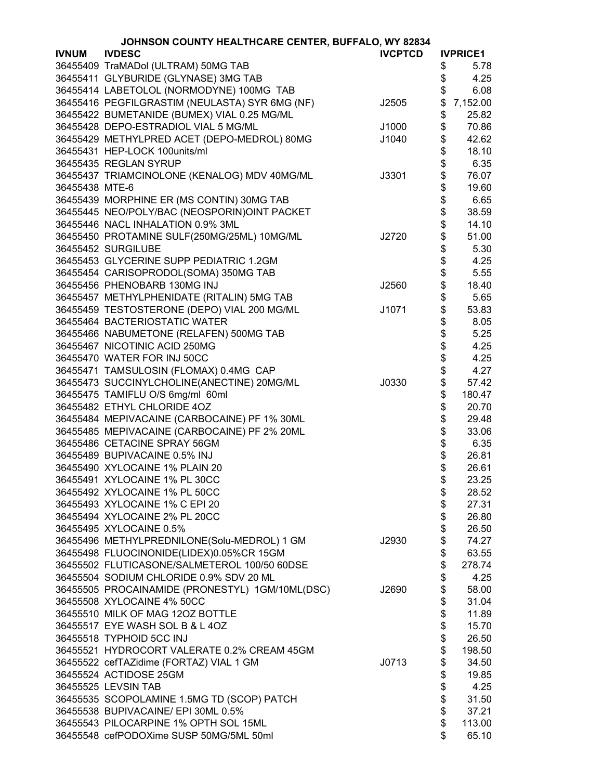|                | JOHNSON COUNTY HEALTHCARE CENTER, BUFFALO, WY 82834 |                |        |                 |
|----------------|-----------------------------------------------------|----------------|--------|-----------------|
| <b>IVNUM</b>   | <b>IVDESC</b>                                       | <b>IVCPTCD</b> |        | <b>IVPRICE1</b> |
|                | 36455409 TraMADol (ULTRAM) 50MG TAB                 |                | \$     | 5.78            |
|                | 36455411 GLYBURIDE (GLYNASE) 3MG TAB                |                | \$     | 4.25            |
|                | 36455414 LABETOLOL (NORMODYNE) 100MG TAB            |                | \$     | 6.08            |
|                | 36455416 PEGFILGRASTIM (NEULASTA) SYR 6MG (NF)      | J2505          | \$     | 7,152.00        |
|                | 36455422 BUMETANIDE (BUMEX) VIAL 0.25 MG/ML         |                | \$     | 25.82           |
|                | 36455428 DEPO-ESTRADIOL VIAL 5 MG/ML                | J1000          | \$     | 70.86           |
|                | 36455429 METHYLPRED ACET (DEPO-MEDROL) 80MG         | J1040          | \$     | 42.62           |
|                | 36455431 HEP-LOCK 100units/ml                       |                | \$     | 18.10           |
|                | 36455435 REGLAN SYRUP                               |                | \$     | 6.35            |
|                | 36455437 TRIAMCINOLONE (KENALOG) MDV 40MG/ML        | J3301          | \$     | 76.07           |
| 36455438 MTE-6 |                                                     |                | \$     | 19.60           |
|                | 36455439 MORPHINE ER (MS CONTIN) 30MG TAB           |                |        | 6.65            |
|                |                                                     |                | \$     |                 |
|                | 36455445 NEO/POLY/BAC (NEOSPORIN)OINT PACKET        |                | \$     | 38.59           |
|                | 36455446 NACL INHALATION 0.9% 3ML                   |                | \$     | 14.10           |
|                | 36455450 PROTAMINE SULF(250MG/25ML) 10MG/ML         | J2720          | \$     | 51.00           |
|                | 36455452 SURGILUBE                                  |                | \$     | 5.30            |
|                | 36455453 GLYCERINE SUPP PEDIATRIC 1.2GM             |                | \$     | 4.25            |
|                | 36455454 CARISOPRODOL(SOMA) 350MG TAB               |                | \$     | 5.55            |
|                | 36455456 PHENOBARB 130MG INJ                        | J2560          | \$     | 18.40           |
|                | 36455457 METHYLPHENIDATE (RITALIN) 5MG TAB          |                | \$     | 5.65            |
|                | 36455459 TESTOSTERONE (DEPO) VIAL 200 MG/ML         | J1071          | \$     | 53.83           |
|                | 36455464 BACTERIOSTATIC WATER                       |                | \$     | 8.05            |
|                | 36455466 NABUMETONE (RELAFEN) 500MG TAB             |                | \$     | 5.25            |
|                | 36455467 NICOTINIC ACID 250MG                       |                |        | 4.25            |
|                | 36455470 WATER FOR INJ 50CC                         |                | \$\$\$ | 4.25            |
|                | 36455471 TAMSULOSIN (FLOMAX) 0.4MG CAP              |                |        | 4.27            |
|                | 36455473 SUCCINYLCHOLINE(ANECTINE) 20MG/ML          | J0330          |        | 57.42           |
|                | 36455475 TAMIFLU O/S 6mg/ml 60ml                    |                | \$     | 180.47          |
|                | 36455482 ETHYL CHLORIDE 4OZ                         |                | \$     | 20.70           |
|                | 36455484 MEPIVACAINE (CARBOCAINE) PF 1% 30ML        |                | \$     | 29.48           |
|                | 36455485 MEPIVACAINE (CARBOCAINE) PF 2% 20ML        |                | \$     | 33.06           |
|                | 36455486 CETACINE SPRAY 56GM                        |                | \$     | 6.35            |
|                | 36455489 BUPIVACAINE 0.5% INJ                       |                | \$     | 26.81           |
|                | 36455490 XYLOCAINE 1% PLAIN 20                      |                | \$     | 26.61           |
|                | 36455491 XYLOCAINE 1% PL 30CC                       |                | \$     | 23.25           |
|                | 36455492 XYLOCAINE 1% PL 50CC                       |                | \$     | 28.52           |
|                | 36455493 XYLOCAINE 1% C EPI 20                      |                | \$     | 27.31           |
|                | 36455494 XYLOCAINE 2% PL 20CC                       |                | \$     | 26.80           |
|                | 36455495 XYLOCAINE 0.5%                             |                | \$     | 26.50           |
|                | 36455496 METHYLPREDNILONE(Solu-MEDROL) 1 GM         | J2930          | \$     | 74.27           |
|                | 36455498 FLUOCINONIDE(LIDEX)0.05%CR 15GM            |                | \$     | 63.55           |
|                | 36455502 FLUTICASONE/SALMETEROL 100/50 60DSE        |                | \$     | 278.74          |
|                | 36455504 SODIUM CHLORIDE 0.9% SDV 20 ML             |                | \$     | 4.25            |
|                | 36455505 PROCAINAMIDE (PRONESTYL) 1GM/10ML(DSC)     | J2690          | \$     | 58.00           |
|                | 36455508 XYLOCAINE 4% 50CC                          |                | \$     | 31.04           |
|                | 36455510 MILK OF MAG 12OZ BOTTLE                    |                | \$     | 11.89           |
|                | 36455517 EYE WASH SOL B & L 4OZ                     |                | \$     | 15.70           |
|                | 36455518 TYPHOID 5CC INJ                            |                | \$     | 26.50           |
|                | 36455521 HYDROCORT VALERATE 0.2% CREAM 45GM         |                | \$     | 198.50          |
|                | 36455522 cefTAZidime (FORTAZ) VIAL 1 GM             | J0713          | \$     | 34.50           |
|                | 36455524 ACTIDOSE 25GM                              |                | \$     | 19.85           |
|                | 36455525 LEVSIN TAB                                 |                | \$     | 4.25            |
|                |                                                     |                |        |                 |
|                | 36455535 SCOPOLAMINE 1.5MG TD (SCOP) PATCH          |                | \$     | 31.50           |
|                | 36455538 BUPIVACAINE/ EPI 30ML 0.5%                 |                | \$     | 37.21           |
|                | 36455543 PILOCARPINE 1% OPTH SOL 15ML               |                | \$     | 113.00          |
|                | 36455548 cefPODOXime SUSP 50MG/5ML 50ml             |                | \$     | 65.10           |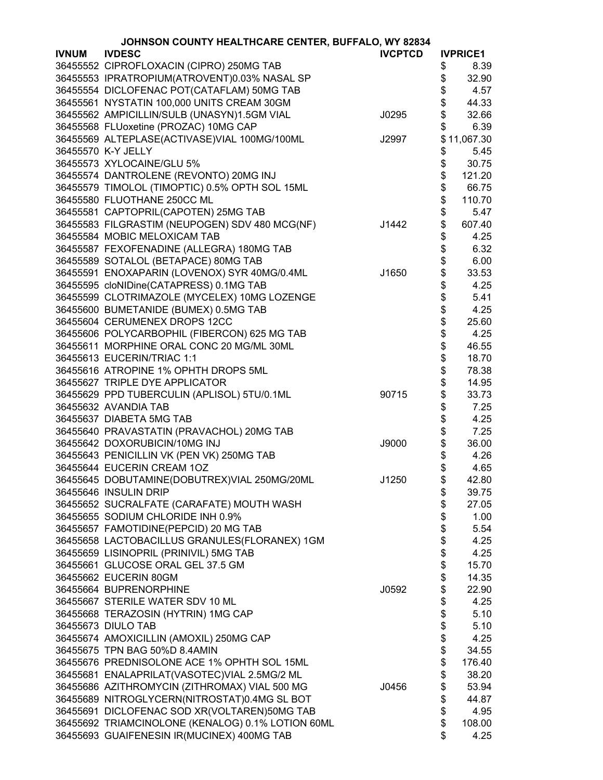| <b>IVDESC</b><br><b>IVCPTCD</b><br><b>IVNUM</b><br><b>IVPRICE1</b><br>36455552 CIPROFLOXACIN (CIPRO) 250MG TAB<br>\$<br>8.39<br>36455553 IPRATROPIUM(ATROVENT)0.03% NASAL SP<br>\$<br>32.90<br>\$<br>36455554 DICLOFENAC POT(CATAFLAM) 50MG TAB<br>4.57<br>\$<br>36455561 NYSTATIN 100,000 UNITS CREAM 30GM<br>44.33<br>\$<br>36455562 AMPICILLIN/SULB (UNASYN)1.5GM VIAL<br>J0295<br>32.66<br>\$<br>36455568 FLUoxetine (PROZAC) 10MG CAP<br>6.39<br>36455569 ALTEPLASE(ACTIVASE)VIAL 100MG/100ML<br>\$11,067.30<br>J2997<br>36455570 K-Y JELLY<br>\$<br>5.45<br>\$<br>36455573 XYLOCAINE/GLU 5%<br>30.75<br>\$<br>36455574 DANTROLENE (REVONTO) 20MG INJ<br>121.20<br>\$<br>36455579 TIMOLOL (TIMOPTIC) 0.5% OPTH SOL 15ML<br>66.75<br>\$<br>36455580 FLUOTHANE 250CC ML<br>110.70<br>\$<br>36455581 CAPTOPRIL(CAPOTEN) 25MG TAB<br>5.47<br>\$<br>36455583 FILGRASTIM (NEUPOGEN) SDV 480 MCG(NF)<br>607.40<br>J1442<br>\$<br>36455584 MOBIC MELOXICAM TAB<br>4.25<br>\$<br>36455587 FEXOFENADINE (ALLEGRA) 180MG TAB<br>6.32<br>\$<br>\$<br>36455589 SOTALOL (BETAPACE) 80MG TAB<br>6.00<br>36455591 ENOXAPARIN (LOVENOX) SYR 40MG/0.4ML<br>J1650<br>33.53<br>\$<br>\$<br>36455595 cloNIDine(CATAPRESS) 0.1MG TAB<br>4.25<br>36455599 CLOTRIMAZOLE (MYCELEX) 10MG LOZENGE<br>5.41<br>$\ddot{\$}$<br>36455600 BUMETANIDE (BUMEX) 0.5MG TAB<br>4.25<br>\$<br>36455604 CERUMENEX DROPS 12CC<br>25.60<br>\$<br>\$<br>36455606 POLYCARBOPHIL (FIBERCON) 625 MG TAB<br>4.25<br>36455611 MORPHINE ORAL CONC 20 MG/ML 30ML<br>46.55<br>\$<br>36455613 EUCERIN/TRIAC 1:1<br>18.70<br>\$<br>78.38<br>36455616 ATROPINE 1% OPHTH DROPS 5ML<br>\$<br>36455627 TRIPLE DYE APPLICATOR<br>14.95<br>\$<br>36455629 PPD TUBERCULIN (APLISOL) 5TU/0.1ML<br>33.73<br>90715<br>\$<br>36455632 AVANDIA TAB<br>7.25<br>\$<br>36455637 DIABETA 5MG TAB<br>4.25<br>\$<br>36455640 PRAVASTATIN (PRAVACHOL) 20MG TAB<br>7.25<br>\$<br>36455642 DOXORUBICIN/10MG INJ<br>36.00<br>J9000<br>\$<br>36455643 PENICILLIN VK (PEN VK) 250MG TAB<br>4.26<br>\$<br>36455644 EUCERIN CREAM 1OZ<br>4.65<br>36455645 DOBUTAMINE(DOBUTREX)VIAL 250MG/20ML<br>J1250<br>42.80<br>\$<br>36455646 INSULIN DRIP<br>\$<br>39.75<br>\$<br>36455652 SUCRALFATE (CARAFATE) MOUTH WASH<br>27.05<br>\$<br>36455655 SODIUM CHLORIDE INH 0.9%<br>1.00<br>\$<br>36455657 FAMOTIDINE(PEPCID) 20 MG TAB<br>5.54<br>\$<br>36455658 LACTOBACILLUS GRANULES(FLORANEX) 1GM<br>4.25<br>\$<br>36455659 LISINOPRIL (PRINIVIL) 5MG TAB<br>4.25<br>\$<br>15.70<br>36455661 GLUCOSE ORAL GEL 37.5 GM<br>\$<br>36455662 EUCERIN 80GM<br>14.35<br>\$<br>22.90<br>36455664 BUPRENORPHINE<br>J0592<br>\$<br>36455667 STERILE WATER SDV 10 ML<br>4.25<br>\$<br>36455668 TERAZOSIN (HYTRIN) 1MG CAP<br>5.10<br>\$<br>36455673 DIULO TAB<br>5.10<br>\$<br>36455674 AMOXICILLIN (AMOXIL) 250MG CAP<br>4.25<br>\$<br>36455675 TPN BAG 50%D 8.4AMIN<br>34.55<br>\$<br>36455676 PREDNISOLONE ACE 1% OPHTH SOL 15ML<br>176.40<br>\$<br>36455681 ENALAPRILAT(VASOTEC)VIAL 2.5MG/2 ML<br>38.20<br>\$<br>36455686 AZITHROMYCIN (ZITHROMAX) VIAL 500 MG<br>53.94<br>J0456<br>\$<br>36455689 NITROGLYCERN(NITROSTAT)0.4MG SL BOT<br>44.87<br>\$<br>36455691 DICLOFENAC SOD XR(VOLTAREN)50MG TAB<br>4.95<br>\$<br>36455692 TRIAMCINOLONE (KENALOG) 0.1% LOTION 60ML<br>108.00<br>\$<br>36455693 GUAIFENESIN IR(MUCINEX) 400MG TAB<br>4.25 | JOHNSON COUNTY HEALTHCARE CENTER, BUFFALO, WY 82834 |  |  |
|----------------------------------------------------------------------------------------------------------------------------------------------------------------------------------------------------------------------------------------------------------------------------------------------------------------------------------------------------------------------------------------------------------------------------------------------------------------------------------------------------------------------------------------------------------------------------------------------------------------------------------------------------------------------------------------------------------------------------------------------------------------------------------------------------------------------------------------------------------------------------------------------------------------------------------------------------------------------------------------------------------------------------------------------------------------------------------------------------------------------------------------------------------------------------------------------------------------------------------------------------------------------------------------------------------------------------------------------------------------------------------------------------------------------------------------------------------------------------------------------------------------------------------------------------------------------------------------------------------------------------------------------------------------------------------------------------------------------------------------------------------------------------------------------------------------------------------------------------------------------------------------------------------------------------------------------------------------------------------------------------------------------------------------------------------------------------------------------------------------------------------------------------------------------------------------------------------------------------------------------------------------------------------------------------------------------------------------------------------------------------------------------------------------------------------------------------------------------------------------------------------------------------------------------------------------------------------------------------------------------------------------------------------------------------------------------------------------------------------------------------------------------------------------------------------------------------------------------------------------------------------------------------------------------------------------------------------------------------------------------------------------------------------------------------------------------------------------------------------------------------------------------------------------------------------------------------------------------------------------------------------------------------------------------------------------------------------------------------------|-----------------------------------------------------|--|--|
|                                                                                                                                                                                                                                                                                                                                                                                                                                                                                                                                                                                                                                                                                                                                                                                                                                                                                                                                                                                                                                                                                                                                                                                                                                                                                                                                                                                                                                                                                                                                                                                                                                                                                                                                                                                                                                                                                                                                                                                                                                                                                                                                                                                                                                                                                                                                                                                                                                                                                                                                                                                                                                                                                                                                                                                                                                                                                                                                                                                                                                                                                                                                                                                                                                                                                                                                                          |                                                     |  |  |
|                                                                                                                                                                                                                                                                                                                                                                                                                                                                                                                                                                                                                                                                                                                                                                                                                                                                                                                                                                                                                                                                                                                                                                                                                                                                                                                                                                                                                                                                                                                                                                                                                                                                                                                                                                                                                                                                                                                                                                                                                                                                                                                                                                                                                                                                                                                                                                                                                                                                                                                                                                                                                                                                                                                                                                                                                                                                                                                                                                                                                                                                                                                                                                                                                                                                                                                                                          |                                                     |  |  |
|                                                                                                                                                                                                                                                                                                                                                                                                                                                                                                                                                                                                                                                                                                                                                                                                                                                                                                                                                                                                                                                                                                                                                                                                                                                                                                                                                                                                                                                                                                                                                                                                                                                                                                                                                                                                                                                                                                                                                                                                                                                                                                                                                                                                                                                                                                                                                                                                                                                                                                                                                                                                                                                                                                                                                                                                                                                                                                                                                                                                                                                                                                                                                                                                                                                                                                                                                          |                                                     |  |  |
|                                                                                                                                                                                                                                                                                                                                                                                                                                                                                                                                                                                                                                                                                                                                                                                                                                                                                                                                                                                                                                                                                                                                                                                                                                                                                                                                                                                                                                                                                                                                                                                                                                                                                                                                                                                                                                                                                                                                                                                                                                                                                                                                                                                                                                                                                                                                                                                                                                                                                                                                                                                                                                                                                                                                                                                                                                                                                                                                                                                                                                                                                                                                                                                                                                                                                                                                                          |                                                     |  |  |
|                                                                                                                                                                                                                                                                                                                                                                                                                                                                                                                                                                                                                                                                                                                                                                                                                                                                                                                                                                                                                                                                                                                                                                                                                                                                                                                                                                                                                                                                                                                                                                                                                                                                                                                                                                                                                                                                                                                                                                                                                                                                                                                                                                                                                                                                                                                                                                                                                                                                                                                                                                                                                                                                                                                                                                                                                                                                                                                                                                                                                                                                                                                                                                                                                                                                                                                                                          |                                                     |  |  |
|                                                                                                                                                                                                                                                                                                                                                                                                                                                                                                                                                                                                                                                                                                                                                                                                                                                                                                                                                                                                                                                                                                                                                                                                                                                                                                                                                                                                                                                                                                                                                                                                                                                                                                                                                                                                                                                                                                                                                                                                                                                                                                                                                                                                                                                                                                                                                                                                                                                                                                                                                                                                                                                                                                                                                                                                                                                                                                                                                                                                                                                                                                                                                                                                                                                                                                                                                          |                                                     |  |  |
|                                                                                                                                                                                                                                                                                                                                                                                                                                                                                                                                                                                                                                                                                                                                                                                                                                                                                                                                                                                                                                                                                                                                                                                                                                                                                                                                                                                                                                                                                                                                                                                                                                                                                                                                                                                                                                                                                                                                                                                                                                                                                                                                                                                                                                                                                                                                                                                                                                                                                                                                                                                                                                                                                                                                                                                                                                                                                                                                                                                                                                                                                                                                                                                                                                                                                                                                                          |                                                     |  |  |
|                                                                                                                                                                                                                                                                                                                                                                                                                                                                                                                                                                                                                                                                                                                                                                                                                                                                                                                                                                                                                                                                                                                                                                                                                                                                                                                                                                                                                                                                                                                                                                                                                                                                                                                                                                                                                                                                                                                                                                                                                                                                                                                                                                                                                                                                                                                                                                                                                                                                                                                                                                                                                                                                                                                                                                                                                                                                                                                                                                                                                                                                                                                                                                                                                                                                                                                                                          |                                                     |  |  |
|                                                                                                                                                                                                                                                                                                                                                                                                                                                                                                                                                                                                                                                                                                                                                                                                                                                                                                                                                                                                                                                                                                                                                                                                                                                                                                                                                                                                                                                                                                                                                                                                                                                                                                                                                                                                                                                                                                                                                                                                                                                                                                                                                                                                                                                                                                                                                                                                                                                                                                                                                                                                                                                                                                                                                                                                                                                                                                                                                                                                                                                                                                                                                                                                                                                                                                                                                          |                                                     |  |  |
|                                                                                                                                                                                                                                                                                                                                                                                                                                                                                                                                                                                                                                                                                                                                                                                                                                                                                                                                                                                                                                                                                                                                                                                                                                                                                                                                                                                                                                                                                                                                                                                                                                                                                                                                                                                                                                                                                                                                                                                                                                                                                                                                                                                                                                                                                                                                                                                                                                                                                                                                                                                                                                                                                                                                                                                                                                                                                                                                                                                                                                                                                                                                                                                                                                                                                                                                                          |                                                     |  |  |
|                                                                                                                                                                                                                                                                                                                                                                                                                                                                                                                                                                                                                                                                                                                                                                                                                                                                                                                                                                                                                                                                                                                                                                                                                                                                                                                                                                                                                                                                                                                                                                                                                                                                                                                                                                                                                                                                                                                                                                                                                                                                                                                                                                                                                                                                                                                                                                                                                                                                                                                                                                                                                                                                                                                                                                                                                                                                                                                                                                                                                                                                                                                                                                                                                                                                                                                                                          |                                                     |  |  |
|                                                                                                                                                                                                                                                                                                                                                                                                                                                                                                                                                                                                                                                                                                                                                                                                                                                                                                                                                                                                                                                                                                                                                                                                                                                                                                                                                                                                                                                                                                                                                                                                                                                                                                                                                                                                                                                                                                                                                                                                                                                                                                                                                                                                                                                                                                                                                                                                                                                                                                                                                                                                                                                                                                                                                                                                                                                                                                                                                                                                                                                                                                                                                                                                                                                                                                                                                          |                                                     |  |  |
|                                                                                                                                                                                                                                                                                                                                                                                                                                                                                                                                                                                                                                                                                                                                                                                                                                                                                                                                                                                                                                                                                                                                                                                                                                                                                                                                                                                                                                                                                                                                                                                                                                                                                                                                                                                                                                                                                                                                                                                                                                                                                                                                                                                                                                                                                                                                                                                                                                                                                                                                                                                                                                                                                                                                                                                                                                                                                                                                                                                                                                                                                                                                                                                                                                                                                                                                                          |                                                     |  |  |
|                                                                                                                                                                                                                                                                                                                                                                                                                                                                                                                                                                                                                                                                                                                                                                                                                                                                                                                                                                                                                                                                                                                                                                                                                                                                                                                                                                                                                                                                                                                                                                                                                                                                                                                                                                                                                                                                                                                                                                                                                                                                                                                                                                                                                                                                                                                                                                                                                                                                                                                                                                                                                                                                                                                                                                                                                                                                                                                                                                                                                                                                                                                                                                                                                                                                                                                                                          |                                                     |  |  |
|                                                                                                                                                                                                                                                                                                                                                                                                                                                                                                                                                                                                                                                                                                                                                                                                                                                                                                                                                                                                                                                                                                                                                                                                                                                                                                                                                                                                                                                                                                                                                                                                                                                                                                                                                                                                                                                                                                                                                                                                                                                                                                                                                                                                                                                                                                                                                                                                                                                                                                                                                                                                                                                                                                                                                                                                                                                                                                                                                                                                                                                                                                                                                                                                                                                                                                                                                          |                                                     |  |  |
|                                                                                                                                                                                                                                                                                                                                                                                                                                                                                                                                                                                                                                                                                                                                                                                                                                                                                                                                                                                                                                                                                                                                                                                                                                                                                                                                                                                                                                                                                                                                                                                                                                                                                                                                                                                                                                                                                                                                                                                                                                                                                                                                                                                                                                                                                                                                                                                                                                                                                                                                                                                                                                                                                                                                                                                                                                                                                                                                                                                                                                                                                                                                                                                                                                                                                                                                                          |                                                     |  |  |
|                                                                                                                                                                                                                                                                                                                                                                                                                                                                                                                                                                                                                                                                                                                                                                                                                                                                                                                                                                                                                                                                                                                                                                                                                                                                                                                                                                                                                                                                                                                                                                                                                                                                                                                                                                                                                                                                                                                                                                                                                                                                                                                                                                                                                                                                                                                                                                                                                                                                                                                                                                                                                                                                                                                                                                                                                                                                                                                                                                                                                                                                                                                                                                                                                                                                                                                                                          |                                                     |  |  |
|                                                                                                                                                                                                                                                                                                                                                                                                                                                                                                                                                                                                                                                                                                                                                                                                                                                                                                                                                                                                                                                                                                                                                                                                                                                                                                                                                                                                                                                                                                                                                                                                                                                                                                                                                                                                                                                                                                                                                                                                                                                                                                                                                                                                                                                                                                                                                                                                                                                                                                                                                                                                                                                                                                                                                                                                                                                                                                                                                                                                                                                                                                                                                                                                                                                                                                                                                          |                                                     |  |  |
|                                                                                                                                                                                                                                                                                                                                                                                                                                                                                                                                                                                                                                                                                                                                                                                                                                                                                                                                                                                                                                                                                                                                                                                                                                                                                                                                                                                                                                                                                                                                                                                                                                                                                                                                                                                                                                                                                                                                                                                                                                                                                                                                                                                                                                                                                                                                                                                                                                                                                                                                                                                                                                                                                                                                                                                                                                                                                                                                                                                                                                                                                                                                                                                                                                                                                                                                                          |                                                     |  |  |
|                                                                                                                                                                                                                                                                                                                                                                                                                                                                                                                                                                                                                                                                                                                                                                                                                                                                                                                                                                                                                                                                                                                                                                                                                                                                                                                                                                                                                                                                                                                                                                                                                                                                                                                                                                                                                                                                                                                                                                                                                                                                                                                                                                                                                                                                                                                                                                                                                                                                                                                                                                                                                                                                                                                                                                                                                                                                                                                                                                                                                                                                                                                                                                                                                                                                                                                                                          |                                                     |  |  |
|                                                                                                                                                                                                                                                                                                                                                                                                                                                                                                                                                                                                                                                                                                                                                                                                                                                                                                                                                                                                                                                                                                                                                                                                                                                                                                                                                                                                                                                                                                                                                                                                                                                                                                                                                                                                                                                                                                                                                                                                                                                                                                                                                                                                                                                                                                                                                                                                                                                                                                                                                                                                                                                                                                                                                                                                                                                                                                                                                                                                                                                                                                                                                                                                                                                                                                                                                          |                                                     |  |  |
|                                                                                                                                                                                                                                                                                                                                                                                                                                                                                                                                                                                                                                                                                                                                                                                                                                                                                                                                                                                                                                                                                                                                                                                                                                                                                                                                                                                                                                                                                                                                                                                                                                                                                                                                                                                                                                                                                                                                                                                                                                                                                                                                                                                                                                                                                                                                                                                                                                                                                                                                                                                                                                                                                                                                                                                                                                                                                                                                                                                                                                                                                                                                                                                                                                                                                                                                                          |                                                     |  |  |
|                                                                                                                                                                                                                                                                                                                                                                                                                                                                                                                                                                                                                                                                                                                                                                                                                                                                                                                                                                                                                                                                                                                                                                                                                                                                                                                                                                                                                                                                                                                                                                                                                                                                                                                                                                                                                                                                                                                                                                                                                                                                                                                                                                                                                                                                                                                                                                                                                                                                                                                                                                                                                                                                                                                                                                                                                                                                                                                                                                                                                                                                                                                                                                                                                                                                                                                                                          |                                                     |  |  |
|                                                                                                                                                                                                                                                                                                                                                                                                                                                                                                                                                                                                                                                                                                                                                                                                                                                                                                                                                                                                                                                                                                                                                                                                                                                                                                                                                                                                                                                                                                                                                                                                                                                                                                                                                                                                                                                                                                                                                                                                                                                                                                                                                                                                                                                                                                                                                                                                                                                                                                                                                                                                                                                                                                                                                                                                                                                                                                                                                                                                                                                                                                                                                                                                                                                                                                                                                          |                                                     |  |  |
|                                                                                                                                                                                                                                                                                                                                                                                                                                                                                                                                                                                                                                                                                                                                                                                                                                                                                                                                                                                                                                                                                                                                                                                                                                                                                                                                                                                                                                                                                                                                                                                                                                                                                                                                                                                                                                                                                                                                                                                                                                                                                                                                                                                                                                                                                                                                                                                                                                                                                                                                                                                                                                                                                                                                                                                                                                                                                                                                                                                                                                                                                                                                                                                                                                                                                                                                                          |                                                     |  |  |
|                                                                                                                                                                                                                                                                                                                                                                                                                                                                                                                                                                                                                                                                                                                                                                                                                                                                                                                                                                                                                                                                                                                                                                                                                                                                                                                                                                                                                                                                                                                                                                                                                                                                                                                                                                                                                                                                                                                                                                                                                                                                                                                                                                                                                                                                                                                                                                                                                                                                                                                                                                                                                                                                                                                                                                                                                                                                                                                                                                                                                                                                                                                                                                                                                                                                                                                                                          |                                                     |  |  |
|                                                                                                                                                                                                                                                                                                                                                                                                                                                                                                                                                                                                                                                                                                                                                                                                                                                                                                                                                                                                                                                                                                                                                                                                                                                                                                                                                                                                                                                                                                                                                                                                                                                                                                                                                                                                                                                                                                                                                                                                                                                                                                                                                                                                                                                                                                                                                                                                                                                                                                                                                                                                                                                                                                                                                                                                                                                                                                                                                                                                                                                                                                                                                                                                                                                                                                                                                          |                                                     |  |  |
|                                                                                                                                                                                                                                                                                                                                                                                                                                                                                                                                                                                                                                                                                                                                                                                                                                                                                                                                                                                                                                                                                                                                                                                                                                                                                                                                                                                                                                                                                                                                                                                                                                                                                                                                                                                                                                                                                                                                                                                                                                                                                                                                                                                                                                                                                                                                                                                                                                                                                                                                                                                                                                                                                                                                                                                                                                                                                                                                                                                                                                                                                                                                                                                                                                                                                                                                                          |                                                     |  |  |
|                                                                                                                                                                                                                                                                                                                                                                                                                                                                                                                                                                                                                                                                                                                                                                                                                                                                                                                                                                                                                                                                                                                                                                                                                                                                                                                                                                                                                                                                                                                                                                                                                                                                                                                                                                                                                                                                                                                                                                                                                                                                                                                                                                                                                                                                                                                                                                                                                                                                                                                                                                                                                                                                                                                                                                                                                                                                                                                                                                                                                                                                                                                                                                                                                                                                                                                                                          |                                                     |  |  |
|                                                                                                                                                                                                                                                                                                                                                                                                                                                                                                                                                                                                                                                                                                                                                                                                                                                                                                                                                                                                                                                                                                                                                                                                                                                                                                                                                                                                                                                                                                                                                                                                                                                                                                                                                                                                                                                                                                                                                                                                                                                                                                                                                                                                                                                                                                                                                                                                                                                                                                                                                                                                                                                                                                                                                                                                                                                                                                                                                                                                                                                                                                                                                                                                                                                                                                                                                          |                                                     |  |  |
|                                                                                                                                                                                                                                                                                                                                                                                                                                                                                                                                                                                                                                                                                                                                                                                                                                                                                                                                                                                                                                                                                                                                                                                                                                                                                                                                                                                                                                                                                                                                                                                                                                                                                                                                                                                                                                                                                                                                                                                                                                                                                                                                                                                                                                                                                                                                                                                                                                                                                                                                                                                                                                                                                                                                                                                                                                                                                                                                                                                                                                                                                                                                                                                                                                                                                                                                                          |                                                     |  |  |
|                                                                                                                                                                                                                                                                                                                                                                                                                                                                                                                                                                                                                                                                                                                                                                                                                                                                                                                                                                                                                                                                                                                                                                                                                                                                                                                                                                                                                                                                                                                                                                                                                                                                                                                                                                                                                                                                                                                                                                                                                                                                                                                                                                                                                                                                                                                                                                                                                                                                                                                                                                                                                                                                                                                                                                                                                                                                                                                                                                                                                                                                                                                                                                                                                                                                                                                                                          |                                                     |  |  |
|                                                                                                                                                                                                                                                                                                                                                                                                                                                                                                                                                                                                                                                                                                                                                                                                                                                                                                                                                                                                                                                                                                                                                                                                                                                                                                                                                                                                                                                                                                                                                                                                                                                                                                                                                                                                                                                                                                                                                                                                                                                                                                                                                                                                                                                                                                                                                                                                                                                                                                                                                                                                                                                                                                                                                                                                                                                                                                                                                                                                                                                                                                                                                                                                                                                                                                                                                          |                                                     |  |  |
|                                                                                                                                                                                                                                                                                                                                                                                                                                                                                                                                                                                                                                                                                                                                                                                                                                                                                                                                                                                                                                                                                                                                                                                                                                                                                                                                                                                                                                                                                                                                                                                                                                                                                                                                                                                                                                                                                                                                                                                                                                                                                                                                                                                                                                                                                                                                                                                                                                                                                                                                                                                                                                                                                                                                                                                                                                                                                                                                                                                                                                                                                                                                                                                                                                                                                                                                                          |                                                     |  |  |
|                                                                                                                                                                                                                                                                                                                                                                                                                                                                                                                                                                                                                                                                                                                                                                                                                                                                                                                                                                                                                                                                                                                                                                                                                                                                                                                                                                                                                                                                                                                                                                                                                                                                                                                                                                                                                                                                                                                                                                                                                                                                                                                                                                                                                                                                                                                                                                                                                                                                                                                                                                                                                                                                                                                                                                                                                                                                                                                                                                                                                                                                                                                                                                                                                                                                                                                                                          |                                                     |  |  |
|                                                                                                                                                                                                                                                                                                                                                                                                                                                                                                                                                                                                                                                                                                                                                                                                                                                                                                                                                                                                                                                                                                                                                                                                                                                                                                                                                                                                                                                                                                                                                                                                                                                                                                                                                                                                                                                                                                                                                                                                                                                                                                                                                                                                                                                                                                                                                                                                                                                                                                                                                                                                                                                                                                                                                                                                                                                                                                                                                                                                                                                                                                                                                                                                                                                                                                                                                          |                                                     |  |  |
|                                                                                                                                                                                                                                                                                                                                                                                                                                                                                                                                                                                                                                                                                                                                                                                                                                                                                                                                                                                                                                                                                                                                                                                                                                                                                                                                                                                                                                                                                                                                                                                                                                                                                                                                                                                                                                                                                                                                                                                                                                                                                                                                                                                                                                                                                                                                                                                                                                                                                                                                                                                                                                                                                                                                                                                                                                                                                                                                                                                                                                                                                                                                                                                                                                                                                                                                                          |                                                     |  |  |
|                                                                                                                                                                                                                                                                                                                                                                                                                                                                                                                                                                                                                                                                                                                                                                                                                                                                                                                                                                                                                                                                                                                                                                                                                                                                                                                                                                                                                                                                                                                                                                                                                                                                                                                                                                                                                                                                                                                                                                                                                                                                                                                                                                                                                                                                                                                                                                                                                                                                                                                                                                                                                                                                                                                                                                                                                                                                                                                                                                                                                                                                                                                                                                                                                                                                                                                                                          |                                                     |  |  |
|                                                                                                                                                                                                                                                                                                                                                                                                                                                                                                                                                                                                                                                                                                                                                                                                                                                                                                                                                                                                                                                                                                                                                                                                                                                                                                                                                                                                                                                                                                                                                                                                                                                                                                                                                                                                                                                                                                                                                                                                                                                                                                                                                                                                                                                                                                                                                                                                                                                                                                                                                                                                                                                                                                                                                                                                                                                                                                                                                                                                                                                                                                                                                                                                                                                                                                                                                          |                                                     |  |  |
|                                                                                                                                                                                                                                                                                                                                                                                                                                                                                                                                                                                                                                                                                                                                                                                                                                                                                                                                                                                                                                                                                                                                                                                                                                                                                                                                                                                                                                                                                                                                                                                                                                                                                                                                                                                                                                                                                                                                                                                                                                                                                                                                                                                                                                                                                                                                                                                                                                                                                                                                                                                                                                                                                                                                                                                                                                                                                                                                                                                                                                                                                                                                                                                                                                                                                                                                                          |                                                     |  |  |
|                                                                                                                                                                                                                                                                                                                                                                                                                                                                                                                                                                                                                                                                                                                                                                                                                                                                                                                                                                                                                                                                                                                                                                                                                                                                                                                                                                                                                                                                                                                                                                                                                                                                                                                                                                                                                                                                                                                                                                                                                                                                                                                                                                                                                                                                                                                                                                                                                                                                                                                                                                                                                                                                                                                                                                                                                                                                                                                                                                                                                                                                                                                                                                                                                                                                                                                                                          |                                                     |  |  |
|                                                                                                                                                                                                                                                                                                                                                                                                                                                                                                                                                                                                                                                                                                                                                                                                                                                                                                                                                                                                                                                                                                                                                                                                                                                                                                                                                                                                                                                                                                                                                                                                                                                                                                                                                                                                                                                                                                                                                                                                                                                                                                                                                                                                                                                                                                                                                                                                                                                                                                                                                                                                                                                                                                                                                                                                                                                                                                                                                                                                                                                                                                                                                                                                                                                                                                                                                          |                                                     |  |  |
|                                                                                                                                                                                                                                                                                                                                                                                                                                                                                                                                                                                                                                                                                                                                                                                                                                                                                                                                                                                                                                                                                                                                                                                                                                                                                                                                                                                                                                                                                                                                                                                                                                                                                                                                                                                                                                                                                                                                                                                                                                                                                                                                                                                                                                                                                                                                                                                                                                                                                                                                                                                                                                                                                                                                                                                                                                                                                                                                                                                                                                                                                                                                                                                                                                                                                                                                                          |                                                     |  |  |
|                                                                                                                                                                                                                                                                                                                                                                                                                                                                                                                                                                                                                                                                                                                                                                                                                                                                                                                                                                                                                                                                                                                                                                                                                                                                                                                                                                                                                                                                                                                                                                                                                                                                                                                                                                                                                                                                                                                                                                                                                                                                                                                                                                                                                                                                                                                                                                                                                                                                                                                                                                                                                                                                                                                                                                                                                                                                                                                                                                                                                                                                                                                                                                                                                                                                                                                                                          |                                                     |  |  |
|                                                                                                                                                                                                                                                                                                                                                                                                                                                                                                                                                                                                                                                                                                                                                                                                                                                                                                                                                                                                                                                                                                                                                                                                                                                                                                                                                                                                                                                                                                                                                                                                                                                                                                                                                                                                                                                                                                                                                                                                                                                                                                                                                                                                                                                                                                                                                                                                                                                                                                                                                                                                                                                                                                                                                                                                                                                                                                                                                                                                                                                                                                                                                                                                                                                                                                                                                          |                                                     |  |  |
|                                                                                                                                                                                                                                                                                                                                                                                                                                                                                                                                                                                                                                                                                                                                                                                                                                                                                                                                                                                                                                                                                                                                                                                                                                                                                                                                                                                                                                                                                                                                                                                                                                                                                                                                                                                                                                                                                                                                                                                                                                                                                                                                                                                                                                                                                                                                                                                                                                                                                                                                                                                                                                                                                                                                                                                                                                                                                                                                                                                                                                                                                                                                                                                                                                                                                                                                                          |                                                     |  |  |
|                                                                                                                                                                                                                                                                                                                                                                                                                                                                                                                                                                                                                                                                                                                                                                                                                                                                                                                                                                                                                                                                                                                                                                                                                                                                                                                                                                                                                                                                                                                                                                                                                                                                                                                                                                                                                                                                                                                                                                                                                                                                                                                                                                                                                                                                                                                                                                                                                                                                                                                                                                                                                                                                                                                                                                                                                                                                                                                                                                                                                                                                                                                                                                                                                                                                                                                                                          |                                                     |  |  |
|                                                                                                                                                                                                                                                                                                                                                                                                                                                                                                                                                                                                                                                                                                                                                                                                                                                                                                                                                                                                                                                                                                                                                                                                                                                                                                                                                                                                                                                                                                                                                                                                                                                                                                                                                                                                                                                                                                                                                                                                                                                                                                                                                                                                                                                                                                                                                                                                                                                                                                                                                                                                                                                                                                                                                                                                                                                                                                                                                                                                                                                                                                                                                                                                                                                                                                                                                          |                                                     |  |  |
|                                                                                                                                                                                                                                                                                                                                                                                                                                                                                                                                                                                                                                                                                                                                                                                                                                                                                                                                                                                                                                                                                                                                                                                                                                                                                                                                                                                                                                                                                                                                                                                                                                                                                                                                                                                                                                                                                                                                                                                                                                                                                                                                                                                                                                                                                                                                                                                                                                                                                                                                                                                                                                                                                                                                                                                                                                                                                                                                                                                                                                                                                                                                                                                                                                                                                                                                                          |                                                     |  |  |
|                                                                                                                                                                                                                                                                                                                                                                                                                                                                                                                                                                                                                                                                                                                                                                                                                                                                                                                                                                                                                                                                                                                                                                                                                                                                                                                                                                                                                                                                                                                                                                                                                                                                                                                                                                                                                                                                                                                                                                                                                                                                                                                                                                                                                                                                                                                                                                                                                                                                                                                                                                                                                                                                                                                                                                                                                                                                                                                                                                                                                                                                                                                                                                                                                                                                                                                                                          |                                                     |  |  |
|                                                                                                                                                                                                                                                                                                                                                                                                                                                                                                                                                                                                                                                                                                                                                                                                                                                                                                                                                                                                                                                                                                                                                                                                                                                                                                                                                                                                                                                                                                                                                                                                                                                                                                                                                                                                                                                                                                                                                                                                                                                                                                                                                                                                                                                                                                                                                                                                                                                                                                                                                                                                                                                                                                                                                                                                                                                                                                                                                                                                                                                                                                                                                                                                                                                                                                                                                          |                                                     |  |  |
|                                                                                                                                                                                                                                                                                                                                                                                                                                                                                                                                                                                                                                                                                                                                                                                                                                                                                                                                                                                                                                                                                                                                                                                                                                                                                                                                                                                                                                                                                                                                                                                                                                                                                                                                                                                                                                                                                                                                                                                                                                                                                                                                                                                                                                                                                                                                                                                                                                                                                                                                                                                                                                                                                                                                                                                                                                                                                                                                                                                                                                                                                                                                                                                                                                                                                                                                                          |                                                     |  |  |
|                                                                                                                                                                                                                                                                                                                                                                                                                                                                                                                                                                                                                                                                                                                                                                                                                                                                                                                                                                                                                                                                                                                                                                                                                                                                                                                                                                                                                                                                                                                                                                                                                                                                                                                                                                                                                                                                                                                                                                                                                                                                                                                                                                                                                                                                                                                                                                                                                                                                                                                                                                                                                                                                                                                                                                                                                                                                                                                                                                                                                                                                                                                                                                                                                                                                                                                                                          |                                                     |  |  |
|                                                                                                                                                                                                                                                                                                                                                                                                                                                                                                                                                                                                                                                                                                                                                                                                                                                                                                                                                                                                                                                                                                                                                                                                                                                                                                                                                                                                                                                                                                                                                                                                                                                                                                                                                                                                                                                                                                                                                                                                                                                                                                                                                                                                                                                                                                                                                                                                                                                                                                                                                                                                                                                                                                                                                                                                                                                                                                                                                                                                                                                                                                                                                                                                                                                                                                                                                          |                                                     |  |  |
|                                                                                                                                                                                                                                                                                                                                                                                                                                                                                                                                                                                                                                                                                                                                                                                                                                                                                                                                                                                                                                                                                                                                                                                                                                                                                                                                                                                                                                                                                                                                                                                                                                                                                                                                                                                                                                                                                                                                                                                                                                                                                                                                                                                                                                                                                                                                                                                                                                                                                                                                                                                                                                                                                                                                                                                                                                                                                                                                                                                                                                                                                                                                                                                                                                                                                                                                                          |                                                     |  |  |
|                                                                                                                                                                                                                                                                                                                                                                                                                                                                                                                                                                                                                                                                                                                                                                                                                                                                                                                                                                                                                                                                                                                                                                                                                                                                                                                                                                                                                                                                                                                                                                                                                                                                                                                                                                                                                                                                                                                                                                                                                                                                                                                                                                                                                                                                                                                                                                                                                                                                                                                                                                                                                                                                                                                                                                                                                                                                                                                                                                                                                                                                                                                                                                                                                                                                                                                                                          |                                                     |  |  |
|                                                                                                                                                                                                                                                                                                                                                                                                                                                                                                                                                                                                                                                                                                                                                                                                                                                                                                                                                                                                                                                                                                                                                                                                                                                                                                                                                                                                                                                                                                                                                                                                                                                                                                                                                                                                                                                                                                                                                                                                                                                                                                                                                                                                                                                                                                                                                                                                                                                                                                                                                                                                                                                                                                                                                                                                                                                                                                                                                                                                                                                                                                                                                                                                                                                                                                                                                          |                                                     |  |  |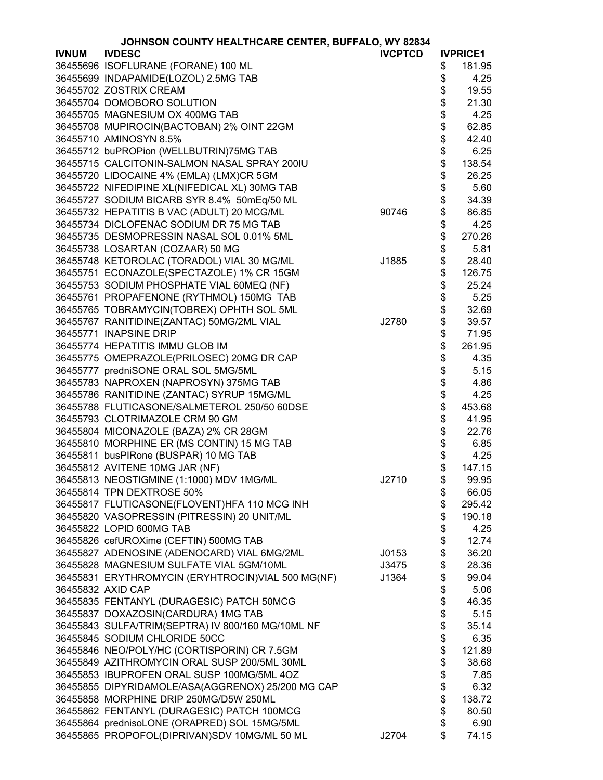|              | JOHNSON COUNTY HEALTHCARE CENTER, BUFFALO, WY 82834 |                |          |                 |
|--------------|-----------------------------------------------------|----------------|----------|-----------------|
| <b>IVNUM</b> | <b>IVDESC</b>                                       | <b>IVCPTCD</b> |          | <b>IVPRICE1</b> |
|              | 36455696 ISOFLURANE (FORANE) 100 ML                 |                | \$       | 181.95          |
|              | 36455699 INDAPAMIDE(LOZOL) 2.5MG TAB                |                | \$       | 4.25            |
|              | 36455702 ZOSTRIX CREAM                              |                | \$       | 19.55           |
|              | 36455704 DOMOBORO SOLUTION                          |                | \$       | 21.30           |
|              | 36455705 MAGNESIUM OX 400MG TAB                     |                | \$       | 4.25            |
|              | 36455708 MUPIROCIN(BACTOBAN) 2% OINT 22GM           |                |          | 62.85           |
|              | 36455710 AMINOSYN 8.5%                              |                | \$<br>\$ | 42.40           |
|              | 36455712 buPROPion (WELLBUTRIN)75MG TAB             |                | \$       | 6.25            |
|              | 36455715 CALCITONIN-SALMON NASAL SPRAY 200IU        |                | \$       | 138.54          |
|              | 36455720 LIDOCAINE 4% (EMLA) (LMX)CR 5GM            |                | \$       | 26.25           |
|              | 36455722 NIFEDIPINE XL(NIFEDICAL XL) 30MG TAB       |                |          | 5.60            |
|              |                                                     |                | \$       |                 |
|              | 36455727 SODIUM BICARB SYR 8.4% 50mEq/50 ML         |                | \$       | 34.39           |
|              | 36455732 HEPATITIS B VAC (ADULT) 20 MCG/ML          | 90746          | \$       | 86.85           |
|              | 36455734 DICLOFENAC SODIUM DR 75 MG TAB             |                | \$       | 4.25            |
|              | 36455735 DESMOPRESSIN NASAL SOL 0.01% 5ML           |                | \$       | 270.26          |
|              | 36455738 LOSARTAN (COZAAR) 50 MG                    |                | \$       | 5.81            |
|              | 36455748 KETOROLAC (TORADOL) VIAL 30 MG/ML          | J1885          | \$       | 28.40           |
|              | 36455751 ECONAZOLE(SPECTAZOLE) 1% CR 15GM           |                | \$       | 126.75          |
|              | 36455753 SODIUM PHOSPHATE VIAL 60MEQ (NF)           |                | \$       | 25.24           |
|              | 36455761 PROPAFENONE (RYTHMOL) 150MG TAB            |                | \$<br>\$ | 5.25            |
|              | 36455765 TOBRAMYCIN(TOBREX) OPHTH SOL 5ML           |                |          | 32.69           |
|              | 36455767 RANITIDINE(ZANTAC) 50MG/2ML VIAL           | J2780          | \$       | 39.57           |
|              | 36455771 INAPSINE DRIP                              |                | \$       | 71.95           |
|              | 36455774 HEPATITIS IMMU GLOB IM                     |                | \$       | 261.95          |
|              | 36455775 OMEPRAZOLE(PRILOSEC) 20MG DR CAP           |                | \$       | 4.35            |
|              | 36455777 predniSONE ORAL SOL 5MG/5ML                |                |          | 5.15            |
|              | 36455783 NAPROXEN (NAPROSYN) 375MG TAB              |                |          | 4.86            |
|              | 36455786 RANITIDINE (ZANTAC) SYRUP 15MG/ML          |                | \$\$     | 4.25            |
|              | 36455788 FLUTICASONE/SALMETEROL 250/50 60DSE        |                | \$       | 453.68          |
|              | 36455793 CLOTRIMAZOLE CRM 90 GM                     |                | \$       | 41.95           |
|              | 36455804 MICONAZOLE (BAZA) 2% CR 28GM               |                | \$       | 22.76           |
|              | 36455810 MORPHINE ER (MS CONTIN) 15 MG TAB          |                | \$       | 6.85            |
|              | 36455811 busPIRone (BUSPAR) 10 MG TAB               |                | \$       | 4.25            |
|              | 36455812 AVITENE 10MG JAR (NF)                      |                | \$       | 147.15          |
|              | 36455813 NEOSTIGMINE (1:1000) MDV 1MG/ML            | J2710          | \$       | 99.95           |
|              | 36455814 TPN DEXTROSE 50%                           |                | \$       | 66.05           |
|              | 36455817 FLUTICASONE(FLOVENT)HFA 110 MCG INH        |                | \$       | 295.42          |
|              | 36455820 VASOPRESSIN (PITRESSIN) 20 UNIT/ML         |                | \$       | 190.18          |
|              | 36455822 LOPID 600MG TAB                            |                | \$       | 4.25            |
|              | 36455826 cefUROXime (CEFTIN) 500MG TAB              |                | \$       | 12.74           |
|              | 36455827 ADENOSINE (ADENOCARD) VIAL 6MG/2ML         | J0153          | \$       | 36.20           |
|              | 36455828 MAGNESIUM SULFATE VIAL 5GM/10ML            | J3475          | \$       | 28.36           |
|              | 36455831 ERYTHROMYCIN (ERYHTROCIN)VIAL 500 MG(NF)   | J1364          | \$       | 99.04           |
|              | 36455832 AXID CAP                                   |                | \$       | 5.06            |
|              | 36455835 FENTANYL (DURAGESIC) PATCH 50MCG           |                | \$       | 46.35           |
|              | 36455837 DOXAZOSIN(CARDURA) 1MG TAB                 |                | \$       | 5.15            |
|              | 36455843 SULFA/TRIM(SEPTRA) IV 800/160 MG/10ML NF   |                | \$       | 35.14           |
|              | 36455845 SODIUM CHLORIDE 50CC                       |                | \$       | 6.35            |
|              | 36455846 NEO/POLY/HC (CORTISPORIN) CR 7.5GM         |                | \$       | 121.89          |
|              | 36455849 AZITHROMYCIN ORAL SUSP 200/5ML 30ML        |                | \$       | 38.68           |
|              | 36455853 IBUPROFEN ORAL SUSP 100MG/5ML 4OZ          |                | \$       | 7.85            |
|              | 36455855 DIPYRIDAMOLE/ASA(AGGRENOX) 25/200 MG CAP   |                | \$       | 6.32            |
|              | 36455858 MORPHINE DRIP 250MG/D5W 250ML              |                | \$       | 138.72          |
|              | 36455862 FENTANYL (DURAGESIC) PATCH 100MCG          |                | \$       | 80.50           |
|              | 36455864 prednisoLONE (ORAPRED) SOL 15MG/5ML        |                | \$       | 6.90            |
|              | 36455865 PROPOFOL(DIPRIVAN)SDV 10MG/ML 50 ML        | J2704          | \$       | 74.15           |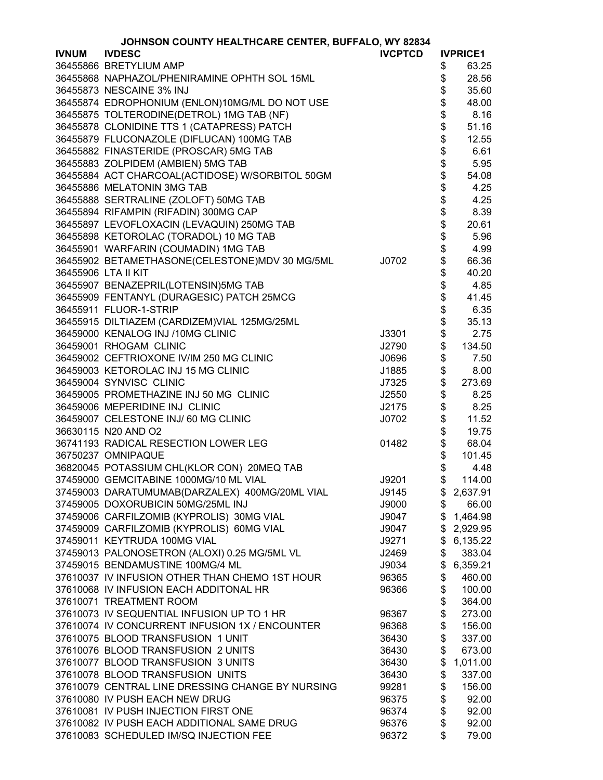|              | JOHNSON COUNTY HEALTHCARE CENTER, BUFFALO, WY 82834 |                |                                |                 |
|--------------|-----------------------------------------------------|----------------|--------------------------------|-----------------|
| <b>IVNUM</b> | <b>IVDESC</b>                                       | <b>IVCPTCD</b> |                                | <b>IVPRICE1</b> |
|              | 36455866 BRETYLIUM AMP                              |                | \$                             | 63.25           |
|              | 36455868 NAPHAZOL/PHENIRAMINE OPHTH SOL 15ML        |                | \$                             | 28.56           |
|              | 36455873 NESCAINE 3% INJ                            |                | \$                             | 35.60           |
|              | 36455874 EDROPHONIUM (ENLON)10MG/ML DO NOT USE      |                | \$                             | 48.00           |
|              | 36455875 TOLTERODINE(DETROL) 1MG TAB (NF)           |                | \$                             | 8.16            |
|              | 36455878 CLONIDINE TTS 1 (CATAPRESS) PATCH          |                |                                | 51.16           |
|              | 36455879 FLUCONAZOLE (DIFLUCAN) 100MG TAB           |                | \$\$\$\$\$\$\$\$\$\$\$\$\$\$\$ | 12.55           |
|              | 36455882 FINASTERIDE (PROSCAR) 5MG TAB              |                |                                | 6.61            |
|              | 36455883 ZOLPIDEM (AMBIEN) 5MG TAB                  |                |                                | 5.95            |
|              | 36455884 ACT CHARCOAL(ACTIDOSE) W/SORBITOL 50GM     |                |                                | 54.08           |
|              | 36455886 MELATONIN 3MG TAB                          |                |                                | 4.25            |
|              | 36455888 SERTRALINE (ZOLOFT) 50MG TAB               |                |                                | 4.25            |
|              | 36455894 RIFAMPIN (RIFADIN) 300MG CAP               |                |                                | 8.39            |
|              | 36455897 LEVOFLOXACIN (LEVAQUIN) 250MG TAB          |                |                                | 20.61           |
|              | 36455898 KETOROLAC (TORADOL) 10 MG TAB              |                |                                | 5.96            |
|              | 36455901 WARFARIN (COUMADIN) 1MG TAB                |                |                                | 4.99            |
|              | 36455902 BETAMETHASONE(CELESTONE)MDV 30 MG/5ML      | J0702          |                                | 66.36           |
|              |                                                     |                |                                |                 |
|              | 36455906 LTA II KIT                                 |                |                                | 40.20           |
|              | 36455907 BENAZEPRIL(LOTENSIN)5MG TAB                |                |                                | 4.85            |
|              | 36455909 FENTANYL (DURAGESIC) PATCH 25MCG           |                | \$                             | 41.45           |
|              | 36455911 FLUOR-1-STRIP                              |                | \$                             | 6.35            |
|              | 36455915 DILTIAZEM (CARDIZEM)VIAL 125MG/25ML        |                | \$                             | 35.13           |
|              | 36459000 KENALOG INJ /10MG CLINIC                   | J3301          | \$                             | 2.75            |
|              | 36459001 RHOGAM CLINIC                              | J2790          | \$                             | 134.50          |
|              | 36459002 CEFTRIOXONE IV/IM 250 MG CLINIC            | J0696          | \$                             | 7.50            |
|              | 36459003 KETOROLAC INJ 15 MG CLINIC                 | J1885          | \$                             | 8.00            |
|              | 36459004 SYNVISC CLINIC                             | J7325          |                                | 273.69          |
|              | 36459005 PROMETHAZINE INJ 50 MG CLINIC              | J2550          | \$                             | 8.25            |
|              | 36459006 MEPERIDINE INJ CLINIC                      | J2175          | \$                             | 8.25            |
|              | 36459007 CELESTONE INJ/ 60 MG CLINIC                | J0702          | \$                             | 11.52           |
|              | 36630115 N20 AND O2                                 |                | \$                             | 19.75           |
|              | 36741193 RADICAL RESECTION LOWER LEG                | 01482          | \$                             | 68.04           |
|              | 36750237 OMNIPAQUE                                  |                | \$                             | 101.45          |
|              | 36820045 POTASSIUM CHL(KLOR CON) 20MEQ TAB          |                | \$                             | 4.48            |
|              | 37459000 GEMCITABINE 1000MG/10 ML VIAL              | J9201          | \$                             | 114.00          |
|              | 37459003 DARATUMUMAB(DARZALEX) 400MG/20ML VIAL      | J9145          | \$                             | 2,637.91        |
|              | 37459005 DOXORUBICIN 50MG/25ML INJ                  | J9000          | \$                             | 66.00           |
|              | 37459006 CARFILZOMIB (KYPROLIS) 30MG VIAL           | J9047          | \$                             | 1,464.98        |
|              | 37459009 CARFILZOMIB (KYPROLIS) 60MG VIAL           | J9047          | \$                             | 2,929.95        |
|              | 37459011 KEYTRUDA 100MG VIAL                        | J9271          | \$                             | 6,135.22        |
|              | 37459013 PALONOSETRON (ALOXI) 0.25 MG/5ML VL        | J2469          | \$                             | 383.04          |
|              | 37459015 BENDAMUSTINE 100MG/4 ML                    | J9034          | \$                             | 6,359.21        |
|              | 37610037 IV INFUSION OTHER THAN CHEMO 1ST HOUR      | 96365          |                                | 460.00          |
|              | 37610068 IV INFUSION EACH ADDITONAL HR              |                | \$                             |                 |
|              |                                                     | 96366          | \$                             | 100.00          |
|              | 37610071 TREATMENT ROOM                             |                | \$                             | 364.00          |
|              | 37610073 IV SEQUENTIAL INFUSION UP TO 1 HR          | 96367          | \$                             | 273.00          |
|              | 37610074 IV CONCURRENT INFUSION 1X / ENCOUNTER      | 96368          | \$                             | 156.00          |
|              | 37610075 BLOOD TRANSFUSION 1 UNIT                   | 36430          | \$                             | 337.00          |
|              | 37610076 BLOOD TRANSFUSION 2 UNITS                  | 36430          | \$                             | 673.00          |
|              | 37610077 BLOOD TRANSFUSION 3 UNITS                  | 36430          | \$                             | 1,011.00        |
|              | 37610078 BLOOD TRANSFUSION UNITS                    | 36430          | \$                             | 337.00          |
|              | 37610079 CENTRAL LINE DRESSING CHANGE BY NURSING    | 99281          | \$                             | 156.00          |
|              | 37610080 IV PUSH EACH NEW DRUG                      | 96375          | \$                             | 92.00           |
|              | 37610081 IV PUSH INJECTION FIRST ONE                | 96374          | \$                             | 92.00           |
|              | 37610082 IV PUSH EACH ADDITIONAL SAME DRUG          | 96376          | \$                             | 92.00           |
|              | 37610083 SCHEDULED IM/SQ INJECTION FEE              | 96372          | \$                             | 79.00           |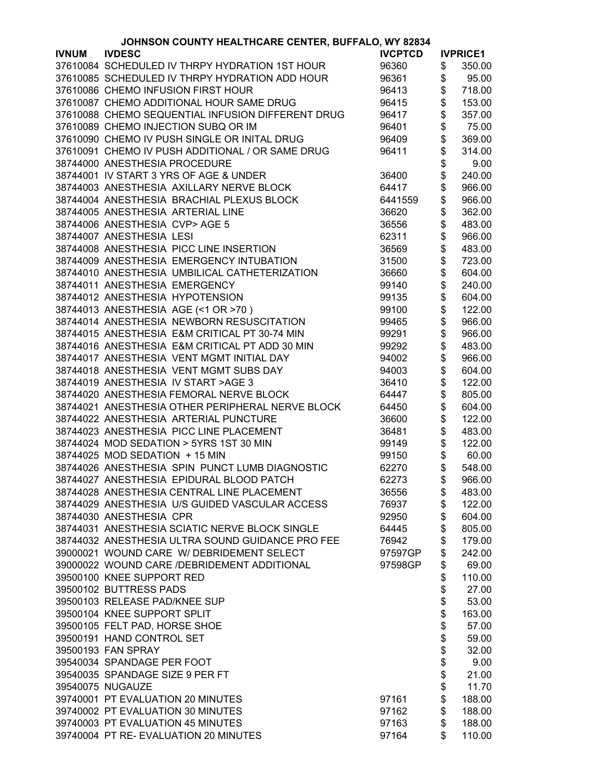|              | JOHNSON COUNTY HEALTHCARE CENTER, BUFFALO, WY 82834 |                |               |                 |
|--------------|-----------------------------------------------------|----------------|---------------|-----------------|
| <b>IVNUM</b> | <b>IVDESC</b>                                       | <b>IVCPTCD</b> |               | <b>IVPRICE1</b> |
|              | 37610084 SCHEDULED IV THRPY HYDRATION 1ST HOUR      | 96360          | \$            | 350.00          |
|              | 37610085 SCHEDULED IV THRPY HYDRATION ADD HOUR      | 96361          | \$            | 95.00           |
|              | 37610086 CHEMO INFUSION FIRST HOUR                  | 96413          | \$            | 718.00          |
|              | 37610087 CHEMO ADDITIONAL HOUR SAME DRUG            | 96415          | \$            | 153.00          |
|              | 37610088 CHEMO SEQUENTIAL INFUSION DIFFERENT DRUG   | 96417          | \$            | 357.00          |
|              | 37610089 CHEMO INJECTION SUBQ OR IM                 | 96401          | \$            | 75.00           |
|              | 37610090 CHEMO IV PUSH SINGLE OR INITAL DRUG        | 96409          | \$            | 369.00          |
|              | 37610091 CHEMO IV PUSH ADDITIONAL / OR SAME DRUG    | 96411          | \$            | 314.00          |
|              | 38744000 ANESTHESIA PROCEDURE                       |                | \$            | 9.00            |
|              |                                                     |                |               |                 |
|              | 38744001 IV START 3 YRS OF AGE & UNDER              | 36400          | \$            | 240.00          |
|              | 38744003 ANESTHESIA AXILLARY NERVE BLOCK            | 64417          | \$            | 966.00          |
|              | 38744004 ANESTHESIA BRACHIAL PLEXUS BLOCK           | 6441559        | \$            | 966.00          |
|              | 38744005 ANESTHESIA ARTERIAL LINE                   | 36620          | \$            | 362.00          |
|              | 38744006 ANESTHESIA CVP> AGE 5                      | 36556          | \$            | 483.00          |
|              | 38744007 ANESTHESIA LESI                            | 62311          | \$            | 966.00          |
|              | 38744008 ANESTHESIA PICC LINE INSERTION             | 36569          | \$            | 483.00          |
|              | 38744009 ANESTHESIA EMERGENCY INTUBATION            | 31500          | \$            | 723.00          |
|              | 38744010 ANESTHESIA UMBILICAL CATHETERIZATION       | 36660          | \$            | 604.00          |
|              | 38744011 ANESTHESIA EMERGENCY                       | 99140          | \$            | 240.00          |
|              | 38744012 ANESTHESIA HYPOTENSION                     | 99135          | \$            | 604.00          |
|              | 38744013 ANESTHESIA AGE (<1 OR >70)                 | 99100          | \$            | 122.00          |
|              | 38744014 ANESTHESIA NEWBORN RESUSCITATION           | 99465          | \$            | 966.00          |
|              | 38744015 ANESTHESIA E&M CRITICAL PT 30-74 MIN       | 99291          | \$            | 966.00          |
|              | 38744016 ANESTHESIA E&M CRITICAL PT ADD 30 MIN      | 99292          | \$            | 483.00          |
|              | 38744017 ANESTHESIA VENT MGMT INITIAL DAY           | 94002          | \$            | 966.00          |
|              | 38744018 ANESTHESIA VENT MGMT SUBS DAY              | 94003          | \$            | 604.00          |
|              | 38744019 ANESTHESIA IV START > AGE 3                | 36410          | \$            |                 |
|              |                                                     |                |               | 122.00          |
|              | 38744020 ANESTHESIA FEMORAL NERVE BLOCK             | 64447          | \$            | 805.00          |
|              | 38744021 ANESTHESIA OTHER PERIPHERAL NERVE BLOCK    | 64450          | \$            | 604.00          |
|              | 38744022 ANESTHESIA ARTERIAL PUNCTURE               | 36600          | \$            | 122.00          |
|              | 38744023 ANESTHESIA PICC LINE PLACEMENT             | 36481          | \$<br>\$      | 483.00          |
|              | 38744024 MOD SEDATION > 5YRS 1ST 30 MIN             | 99149          |               | 122.00          |
|              | 38744025 MOD SEDATION + 15 MIN                      | 99150          | \$            | 60.00           |
|              | 38744026 ANESTHESIA SPIN PUNCT LUMB DIAGNOSTIC      | 62270          | \$            | 548.00          |
|              | 38744027 ANESTHESIA EPIDURAL BLOOD PATCH            | 62273          | $\frac{1}{2}$ | 966.00          |
|              | 38744028 ANESTHESIA CENTRAL LINE PLACEMENT          | 36556          | \$            | 483.00          |
|              | 38744029 ANESTHESIA U/S GUIDED VASCULAR ACCESS      | 76937          | \$            | 122.00          |
|              | 38744030 ANESTHESIA CPR                             | 92950          | \$            | 604.00          |
|              | 38744031 ANESTHESIA SCIATIC NERVE BLOCK SINGLE      | 64445          | \$            | 805.00          |
|              | 38744032 ANESTHESIA ULTRA SOUND GUIDANCE PRO FEE    | 76942          | \$            | 179.00          |
|              | 39000021 WOUND CARE W/ DEBRIDEMENT SELECT           | 97597GP        | \$            | 242.00          |
|              | 39000022 WOUND CARE /DEBRIDEMENT ADDITIONAL         | 97598GP        | \$            | 69.00           |
|              | 39500100 KNEE SUPPORT RED                           |                | \$            | 110.00          |
|              | 39500102 BUTTRESS PADS                              |                | \$            | 27.00           |
|              | 39500103 RELEASE PAD/KNEE SUP                       |                | \$            | 53.00           |
|              | 39500104 KNEE SUPPORT SPLIT                         |                | \$            | 163.00          |
|              | 39500105 FELT PAD, HORSE SHOE                       |                | \$            | 57.00           |
|              | 39500191 HAND CONTROL SET                           |                | \$            | 59.00           |
|              | 39500193 FAN SPRAY                                  |                | \$            | 32.00           |
|              | 39540034 SPANDAGE PER FOOT                          |                | \$            | 9.00            |
|              | 39540035 SPANDAGE SIZE 9 PER FT                     |                |               |                 |
|              | 39540075 NUGAUZE                                    |                | \$            | 21.00<br>11.70  |
|              | 39740001 PT EVALUATION 20 MINUTES                   |                | \$            |                 |
|              |                                                     | 97161          | \$            | 188.00          |
|              | 39740002 PT EVALUATION 30 MINUTES                   | 97162          | \$            | 188.00          |
|              | 39740003 PT EVALUATION 45 MINUTES                   | 97163          | \$            | 188.00          |
|              | 39740004 PT RE- EVALUATION 20 MINUTES               | 97164          | \$            | 110.00          |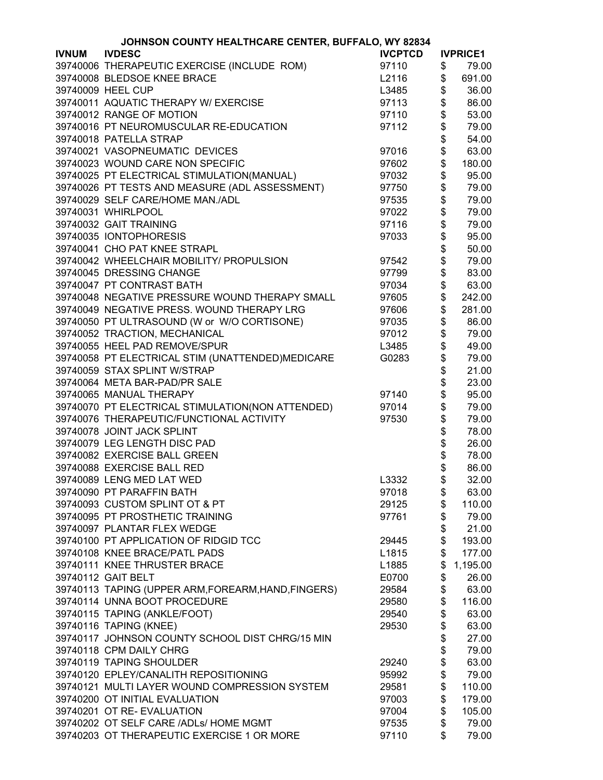|              | JOHNSON COUNTY HEALTHCARE CENTER, BUFFALO, WY 82834 |                |        |                 |
|--------------|-----------------------------------------------------|----------------|--------|-----------------|
| <b>IVNUM</b> | <b>IVDESC</b>                                       | <b>IVCPTCD</b> |        | <b>IVPRICE1</b> |
|              | 39740006 THERAPEUTIC EXERCISE (INCLUDE ROM)         | 97110          | \$     | 79.00           |
|              | 39740008 BLEDSOE KNEE BRACE                         | L2116          | \$     | 691.00          |
|              | 39740009 HEEL CUP                                   | L3485          | \$     | 36.00           |
|              | 39740011 AQUATIC THERAPY W/ EXERCISE                | 97113          | \$     | 86.00           |
|              | 39740012 RANGE OF MOTION                            | 97110          | \$     | 53.00           |
|              | 39740016 PT NEUROMUSCULAR RE-EDUCATION              | 97112          | \$     | 79.00           |
|              | 39740018 PATELLA STRAP                              |                | \$     | 54.00           |
|              | 39740021 VASOPNEUMATIC DEVICES                      | 97016          | \$     | 63.00           |
|              | 39740023 WOUND CARE NON SPECIFIC                    | 97602          | \$     | 180.00          |
|              | 39740025 PT ELECTRICAL STIMULATION(MANUAL)          | 97032          | \$     | 95.00           |
|              |                                                     |                | \$     |                 |
|              | 39740026 PT TESTS AND MEASURE (ADL ASSESSMENT)      | 97750          |        | 79.00           |
|              | 39740029 SELF CARE/HOME MAN./ADL                    | 97535          | \$     | 79.00           |
|              | 39740031 WHIRLPOOL                                  | 97022          | \$     | 79.00           |
|              | 39740032 GAIT TRAINING                              | 97116          | \$     | 79.00           |
|              | 39740035 IONTOPHORESIS                              | 97033          | \$     | 95.00           |
|              | 39740041 CHO PAT KNEE STRAPL                        |                |        | 50.00           |
|              | 39740042 WHEELCHAIR MOBILITY/ PROPULSION            | 97542          | \$\$   | 79.00           |
|              | 39740045 DRESSING CHANGE                            | 97799          |        | 83.00           |
|              | 39740047 PT CONTRAST BATH                           | 97034          | \$     | 63.00           |
|              | 39740048 NEGATIVE PRESSURE WOUND THERAPY SMALL      | 97605          | \$     | 242.00          |
|              | 39740049 NEGATIVE PRESS. WOUND THERAPY LRG          | 97606          | \$     | 281.00          |
|              | 39740050 PT ULTRASOUND (W or W/O CORTISONE)         | 97035          | \$     | 86.00           |
|              | 39740052 TRACTION, MECHANICAL                       | 97012          | \$     | 79.00           |
|              | 39740055 HEEL PAD REMOVE/SPUR                       | L3485          | \$     | 49.00           |
|              | 39740058 PT ELECTRICAL STIM (UNATTENDED)MEDICARE    | G0283          |        | 79.00           |
|              | 39740059 STAX SPLINT W/STRAP                        |                |        | 21.00           |
|              | 39740064 META BAR-PAD/PR SALE                       |                |        | 23.00           |
|              | 39740065 MANUAL THERAPY                             | 97140          | \$\$\$ | 95.00           |
|              | 39740070 PT ELECTRICAL STIMULATION(NON ATTENDED)    | 97014          | \$     | 79.00           |
|              | 39740076 THERAPEUTIC/FUNCTIONAL ACTIVITY            | 97530          | \$     | 79.00           |
|              | 39740078 JOINT JACK SPLINT                          |                | \$     | 78.00           |
|              | 39740079 LEG LENGTH DISC PAD                        |                | \$     | 26.00           |
|              | 39740082 EXERCISE BALL GREEN                        |                | \$     | 78.00           |
|              | 39740088 EXERCISE BALL RED                          |                | \$     | 86.00           |
|              | 39740089 LENG MED LAT WED                           | L3332          | \$     | 32.00           |
|              | 39740090 PT PARAFFIN BATH                           | 97018          | \$     | 63.00           |
|              | 39740093 CUSTOM SPLINT OT & PT                      | 29125          | \$     | 110.00          |
|              | 39740095 PT PROSTHETIC TRAINING                     | 97761          | \$     | 79.00           |
|              | 39740097 PLANTAR FLEX WEDGE                         |                | \$     | 21.00           |
|              | 39740100 PT APPLICATION OF RIDGID TCC               | 29445          | \$     | 193.00          |
|              | 39740108 KNEE BRACE/PATL PADS                       | L1815          | \$     | 177.00          |
|              | 39740111 KNEE THRUSTER BRACE                        | L1885          | \$     | 1,195.00        |
|              | 39740112 GAIT BELT                                  | E0700          | \$     | 26.00           |
|              | 39740113 TAPING (UPPER ARM, FOREARM, HAND, FINGERS) | 29584          | \$     | 63.00           |
|              | 39740114 UNNA BOOT PROCEDURE                        | 29580          | \$     | 116.00          |
|              | 39740115 TAPING (ANKLE/FOOT)                        | 29540          | \$     | 63.00           |
|              | 39740116 TAPING (KNEE)                              | 29530          | \$     | 63.00           |
|              | 39740117 JOHNSON COUNTY SCHOOL DIST CHRG/15 MIN     |                | \$     | 27.00           |
|              | 39740118 CPM DAILY CHRG                             |                | \$     | 79.00           |
|              | 39740119 TAPING SHOULDER                            | 29240          | \$     | 63.00           |
|              | 39740120 EPLEY/CANALITH REPOSITIONING               | 95992          | \$     | 79.00           |
|              | 39740121 MULTI LAYER WOUND COMPRESSION SYSTEM       | 29581          | \$     | 110.00          |
|              | 39740200 OT INITIAL EVALUATION                      | 97003          | \$     | 179.00          |
|              | 39740201 OT RE- EVALUATION                          | 97004          | \$     | 105.00          |
|              | 39740202 OT SELF CARE /ADLs/ HOME MGMT              | 97535          | \$     | 79.00           |
|              | 39740203 OT THERAPEUTIC EXERCISE 1 OR MORE          | 97110          | \$     | 79.00           |
|              |                                                     |                |        |                 |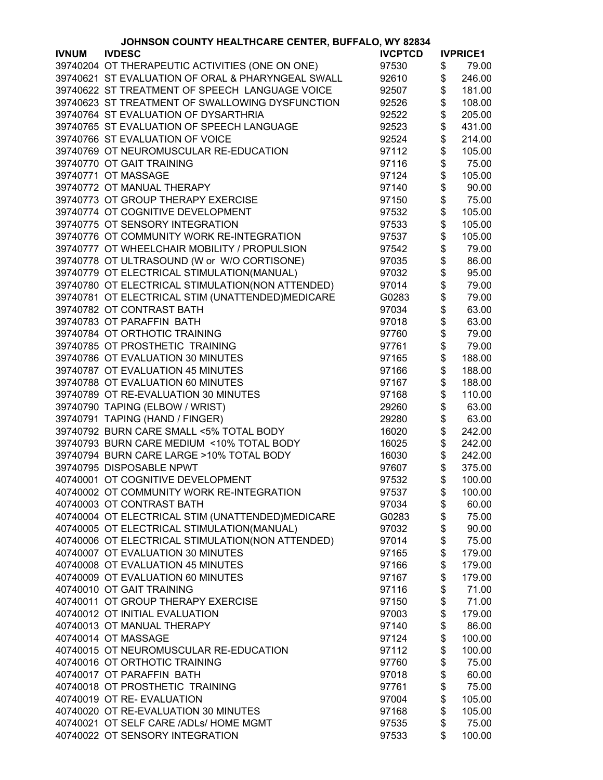|              | JOHNSON COUNTY HEALTHCARE CENTER, BUFFALO, WY 82834 |                |          |                 |
|--------------|-----------------------------------------------------|----------------|----------|-----------------|
| <b>IVNUM</b> | <b>IVDESC</b>                                       | <b>IVCPTCD</b> |          | <b>IVPRICE1</b> |
|              | 39740204 OT THERAPEUTIC ACTIVITIES (ONE ON ONE)     | 97530          | \$       | 79.00           |
|              | 39740621 ST EVALUATION OF ORAL & PHARYNGEAL SWALL   | 92610          | \$       | 246.00          |
|              | 39740622 ST TREATMENT OF SPEECH LANGUAGE VOICE      | 92507          | \$       | 181.00          |
|              | 39740623 ST TREATMENT OF SWALLOWING DYSFUNCTION     | 92526          | \$       | 108.00          |
|              | 39740764 ST EVALUATION OF DYSARTHRIA                | 92522          | \$       | 205.00          |
|              | 39740765 ST EVALUATION OF SPEECH LANGUAGE           | 92523          | \$       | 431.00          |
|              | 39740766 ST EVALUATION OF VOICE                     | 92524          | \$       | 214.00          |
|              | 39740769 OT NEUROMUSCULAR RE-EDUCATION              | 97112          | \$       | 105.00          |
|              | 39740770 OT GAIT TRAINING                           | 97116          | \$       | 75.00           |
|              |                                                     |                |          |                 |
|              | 39740771 OT MASSAGE                                 | 97124          | \$       | 105.00          |
|              | 39740772 OT MANUAL THERAPY                          | 97140          | \$       | 90.00           |
|              | 39740773 OT GROUP THERAPY EXERCISE                  | 97150          | \$       | 75.00           |
|              | 39740774 OT COGNITIVE DEVELOPMENT                   | 97532          | \$       | 105.00          |
|              | 39740775 OT SENSORY INTEGRATION                     | 97533          | \$       | 105.00          |
|              | 39740776 OT COMMUNITY WORK RE-INTEGRATION           | 97537          | \$       | 105.00          |
|              | 39740777 OT WHEELCHAIR MOBILITY / PROPULSION        | 97542          | \$       | 79.00           |
|              | 39740778 OT ULTRASOUND (W or W/O CORTISONE)         | 97035          | \$       | 86.00           |
|              | 39740779 OT ELECTRICAL STIMULATION(MANUAL)          | 97032          | \$       | 95.00           |
|              | 39740780 OT ELECTRICAL STIMULATION(NON ATTENDED)    | 97014          | \$       | 79.00           |
|              | 39740781 OT ELECTRICAL STIM (UNATTENDED)MEDICARE    | G0283          | \$       | 79.00           |
|              | 39740782 OT CONTRAST BATH                           | 97034          | \$       | 63.00           |
|              | 39740783 OT PARAFFIN BATH                           | 97018          | \$       | 63.00           |
|              | 39740784 OT ORTHOTIC TRAINING                       | 97760          | \$       | 79.00           |
|              | 39740785 OT PROSTHETIC TRAINING                     | 97761          | \$       | 79.00           |
|              | 39740786 OT EVALUATION 30 MINUTES                   | 97165          | \$       | 188.00          |
|              | 39740787 OT EVALUATION 45 MINUTES                   | 97166          | \$       | 188.00          |
|              | 39740788 OT EVALUATION 60 MINUTES                   | 97167          | \$       | 188.00          |
|              | 39740789 OT RE-EVALUATION 30 MINUTES                | 97168          | \$       | 110.00          |
|              | 39740790 TAPING (ELBOW / WRIST)                     | 29260          | \$       | 63.00           |
|              | 39740791 TAPING (HAND / FINGER)                     | 29280          | \$       | 63.00           |
|              | 39740792 BURN CARE SMALL <5% TOTAL BODY             | 16020          | \$       | 242.00          |
|              | 39740793 BURN CARE MEDIUM <10% TOTAL BODY           | 16025          | \$       | 242.00          |
|              | 39740794 BURN CARE LARGE >10% TOTAL BODY            | 16030          | \$       | 242.00          |
|              | 39740795 DISPOSABLE NPWT                            | 97607          | \$       | 375.00          |
|              | 40740001 OT COGNITIVE DEVELOPMENT                   | 97532          | \$       | 100.00          |
|              | 40740002 OT COMMUNITY WORK RE-INTEGRATION           |                |          |                 |
|              | 40740003 OT CONTRAST BATH                           | 97537          | \$<br>\$ | 100.00          |
|              |                                                     | 97034          |          | 60.00           |
|              | 40740004 OT ELECTRICAL STIM (UNATTENDED)MEDICARE    | G0283          | \$       | 75.00           |
|              | 40740005 OT ELECTRICAL STIMULATION(MANUAL)          | 97032          | \$       | 90.00           |
|              | 40740006 OT ELECTRICAL STIMULATION(NON ATTENDED)    | 97014          | \$       | 75.00           |
|              | 40740007 OT EVALUATION 30 MINUTES                   | 97165          | \$       | 179.00          |
|              | 40740008 OT EVALUATION 45 MINUTES                   | 97166          | \$       | 179.00          |
|              | 40740009 OT EVALUATION 60 MINUTES                   | 97167          | \$       | 179.00          |
|              | 40740010 OT GAIT TRAINING                           | 97116          | \$       | 71.00           |
|              | 40740011 OT GROUP THERAPY EXERCISE                  | 97150          | \$       | 71.00           |
|              | 40740012 OT INITIAL EVALUATION                      | 97003          | \$       | 179.00          |
|              | 40740013 OT MANUAL THERAPY                          | 97140          | \$       | 86.00           |
|              | 40740014 OT MASSAGE                                 | 97124          | \$       | 100.00          |
|              | 40740015 OT NEUROMUSCULAR RE-EDUCATION              | 97112          | \$       | 100.00          |
|              | 40740016 OT ORTHOTIC TRAINING                       | 97760          | \$       | 75.00           |
|              | 40740017 OT PARAFFIN BATH                           | 97018          | \$       | 60.00           |
|              | 40740018 OT PROSTHETIC TRAINING                     | 97761          | \$       | 75.00           |
|              | 40740019 OT RE- EVALUATION                          | 97004          | \$       | 105.00          |
|              | 40740020 OT RE-EVALUATION 30 MINUTES                | 97168          | \$       | 105.00          |
|              | 40740021 OT SELF CARE /ADLs/ HOME MGMT              | 97535          | \$       | 75.00           |
|              | 40740022 OT SENSORY INTEGRATION                     | 97533          | \$       | 100.00          |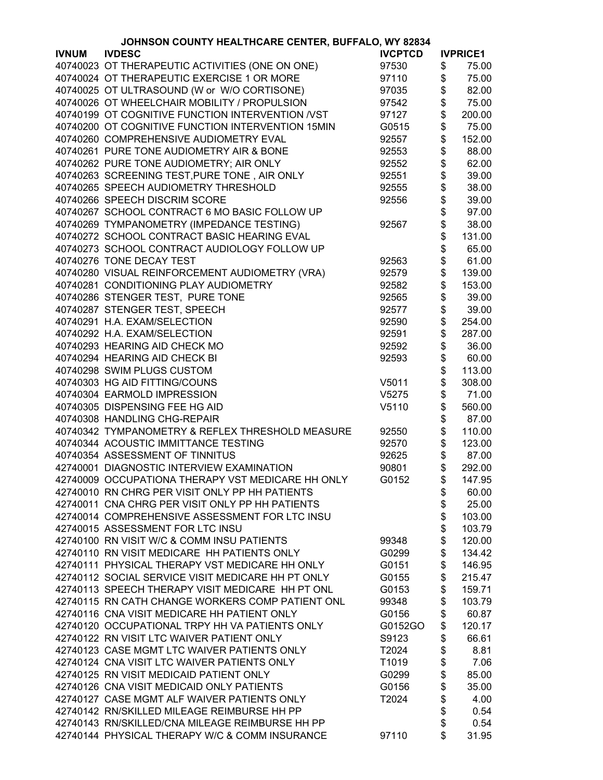|              | JOHNSON COUNTY HEALTHCARE CENTER, BUFFALO, WY 82834 |                |                  |                 |
|--------------|-----------------------------------------------------|----------------|------------------|-----------------|
| <b>IVNUM</b> | <b>IVDESC</b>                                       | <b>IVCPTCD</b> |                  | <b>IVPRICE1</b> |
|              | 40740023 OT THERAPEUTIC ACTIVITIES (ONE ON ONE)     | 97530          | \$               | 75.00           |
|              | 40740024 OT THERAPEUTIC EXERCISE 1 OR MORE          | 97110          | \$               | 75.00           |
|              | 40740025 OT ULTRASOUND (W or W/O CORTISONE)         | 97035          | \$               | 82.00           |
|              | 40740026 OT WHEELCHAIR MOBILITY / PROPULSION        | 97542          | \$               | 75.00           |
|              | 40740199 OT COGNITIVE FUNCTION INTERVENTION /VST    | 97127          | \$               | 200.00          |
|              | 40740200 OT COGNITIVE FUNCTION INTERVENTION 15MIN   | G0515          | \$               | 75.00           |
|              | 40740260 COMPREHENSIVE AUDIOMETRY EVAL              | 92557          |                  | 152.00          |
|              |                                                     |                |                  |                 |
|              | 40740261 PURE TONE AUDIOMETRY AIR & BONE            | 92553          |                  | 88.00           |
|              | 40740262 PURE TONE AUDIOMETRY; AIR ONLY             | 92552          |                  | 62.00           |
|              | 40740263 SCREENING TEST, PURE TONE, AIR ONLY        | 92551          | <b>888888888</b> | 39.00           |
|              | 40740265 SPEECH AUDIOMETRY THRESHOLD                | 92555          |                  | 38.00           |
|              | 40740266 SPEECH DISCRIM SCORE                       | 92556          |                  | 39.00           |
|              | 40740267 SCHOOL CONTRACT 6 MO BASIC FOLLOW UP       |                |                  | 97.00           |
|              | 40740269 TYMPANOMETRY (IMPEDANCE TESTING)           | 92567          |                  | 38.00           |
|              | 40740272 SCHOOL CONTRACT BASIC HEARING EVAL         |                |                  | 131.00          |
|              | 40740273 SCHOOL CONTRACT AUDIOLOGY FOLLOW UP        |                | \$               | 65.00           |
|              | 40740276 TONE DECAY TEST                            | 92563          | \$               | 61.00           |
|              | 40740280 VISUAL REINFORCEMENT AUDIOMETRY (VRA)      | 92579          | \$               | 139.00          |
|              | 40740281 CONDITIONING PLAY AUDIOMETRY               | 92582          | \$               | 153.00          |
|              | 40740286 STENGER TEST, PURE TONE                    | 92565          | \$               | 39.00           |
|              | 40740287 STENGER TEST, SPEECH                       | 92577          | \$               | 39.00           |
|              | 40740291 H.A. EXAM/SELECTION                        | 92590          | \$               | 254.00          |
|              |                                                     |                | \$               |                 |
|              | 40740292 H.A. EXAM/SELECTION                        | 92591          |                  | 287.00          |
|              | 40740293 HEARING AID CHECK MO                       | 92592          | \$               | 36.00           |
|              | 40740294 HEARING AID CHECK BI                       | 92593          | \$               | 60.00           |
|              | 40740298 SWIM PLUGS CUSTOM                          |                | \$               | 113.00          |
|              | 40740303 HG AID FITTING/COUNS                       | V5011          | \$               | 308.00          |
|              | 40740304 EARMOLD IMPRESSION                         | V5275          | \$               | 71.00           |
|              | 40740305 DISPENSING FEE HG AID                      | V5110          | \$               | 560.00          |
|              | 40740308 HANDLING CHG-REPAIR                        |                | \$               | 87.00           |
|              | 40740342 TYMPANOMETRY & REFLEX THRESHOLD MEASURE    | 92550          | \$               | 110.00          |
|              | 40740344 ACOUSTIC IMMITTANCE TESTING                | 92570          | \$               | 123.00          |
|              | 40740354 ASSESSMENT OF TINNITUS                     | 92625          | \$               | 87.00           |
|              | 42740001 DIAGNOSTIC INTERVIEW EXAMINATION           | 90801          | \$               | 292.00          |
|              | 42740009 OCCUPATIONA THERAPY VST MEDICARE HH ONLY   | G0152          | \$               | 147.95          |
|              | 42740010 RN CHRG PER VISIT ONLY PP HH PATIENTS      |                | \$               | 60.00           |
|              | 42740011 CNA CHRG PER VISIT ONLY PP HH PATIENTS     |                | \$               | 25.00           |
|              | 42740014 COMPREHENSIVE ASSESSMENT FOR LTC INSU      |                | \$               | 103.00          |
|              | 42740015 ASSESSMENT FOR LTC INSU                    |                | \$               | 103.79          |
|              | 42740100 RN VISIT W/C & COMM INSU PATIENTS          | 99348          | \$               | 120.00          |
|              | 42740110 RN VISIT MEDICARE HH PATIENTS ONLY         | G0299          | \$               | 134.42          |
|              | 42740111 PHYSICAL THERAPY VST MEDICARE HH ONLY      | G0151          | \$               | 146.95          |
|              | 42740112 SOCIAL SERVICE VISIT MEDICARE HH PT ONLY   | G0155          | \$               | 215.47          |
|              | 42740113 SPEECH THERAPY VISIT MEDICARE HH PT ONL    | G0153          | \$               | 159.71          |
|              | 42740115 RN CATH CHANGE WORKERS COMP PATIENT ONL    | 99348          | \$               | 103.79          |
|              |                                                     |                |                  |                 |
|              | 42740116 CNA VISIT MEDICARE HH PATIENT ONLY         | G0156          | \$               | 60.87           |
|              | 42740120 OCCUPATIONAL TRPY HH VA PATIENTS ONLY      | G0152GO        | \$               | 120.17          |
|              | 42740122 RN VISIT LTC WAIVER PATIENT ONLY           | S9123          | \$               | 66.61           |
|              | 42740123 CASE MGMT LTC WAIVER PATIENTS ONLY         | T2024          | \$               | 8.81            |
|              | 42740124 CNA VISIT LTC WAIVER PATIENTS ONLY         | T1019          | \$               | 7.06            |
|              | 42740125 RN VISIT MEDICAID PATIENT ONLY             | G0299          | \$               | 85.00           |
|              | 42740126 CNA VISIT MEDICAID ONLY PATIENTS           | G0156          | \$               | 35.00           |
|              | 42740127 CASE MGMT ALF WAIVER PATIENTS ONLY         | T2024          | \$               | 4.00            |
|              | 42740142 RN/SKILLED MILEAGE REIMBURSE HH PP         |                | \$               | 0.54            |
|              | 42740143 RN/SKILLED/CNA MILEAGE REIMBURSE HH PP     |                | \$               | 0.54            |
|              | 42740144 PHYSICAL THERAPY W/C & COMM INSURANCE      | 97110          | \$               | 31.95           |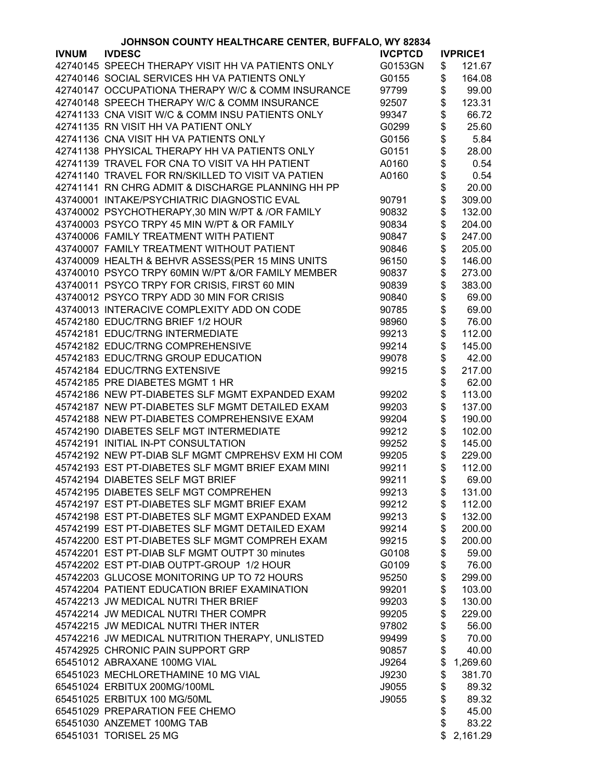| JOHNSON COUNTY HEALTHCARE CENTER, BUFFALO, WY 82834 |                                                   |                |          |                 |
|-----------------------------------------------------|---------------------------------------------------|----------------|----------|-----------------|
| <b>IVNUM</b>                                        | <b>IVDESC</b>                                     | <b>IVCPTCD</b> |          | <b>IVPRICE1</b> |
|                                                     | 42740145 SPEECH THERAPY VISIT HH VA PATIENTS ONLY | G0153GN        | \$       | 121.67          |
|                                                     | 42740146 SOCIAL SERVICES HH VA PATIENTS ONLY      | G0155          | \$       | 164.08          |
|                                                     | 42740147 OCCUPATIONA THERAPY W/C & COMM INSURANCE | 97799          | \$       | 99.00           |
|                                                     | 42740148 SPEECH THERAPY W/C & COMM INSURANCE      | 92507          | \$       | 123.31          |
|                                                     | 42741133 CNA VISIT W/C & COMM INSU PATIENTS ONLY  | 99347          | \$       | 66.72           |
|                                                     | 42741135 RN VISIT HH VA PATIENT ONLY              | G0299          | \$       | 25.60           |
|                                                     | 42741136 CNA VISIT HH VA PATIENTS ONLY            | G0156          |          | 5.84            |
|                                                     | 42741138 PHYSICAL THERAPY HH VA PATIENTS ONLY     | G0151          | \$<br>\$ | 28.00           |
|                                                     | 42741139 TRAVEL FOR CNA TO VISIT VA HH PATIENT    | A0160          |          | 0.54            |
|                                                     |                                                   |                | \$\$\$   |                 |
|                                                     | 42741140 TRAVEL FOR RN/SKILLED TO VISIT VA PATIEN | A0160          |          | 0.54            |
|                                                     | 42741141 RN CHRG ADMIT & DISCHARGE PLANNING HH PP |                |          | 20.00           |
|                                                     | 43740001 INTAKE/PSYCHIATRIC DIAGNOSTIC EVAL       | 90791          |          | 309.00          |
|                                                     | 43740002 PSYCHOTHERAPY,30 MIN W/PT & /OR FAMILY   | 90832          | \$       | 132.00          |
|                                                     | 43740003 PSYCO TRPY 45 MIN W/PT & OR FAMILY       | 90834          | \$       | 204.00          |
|                                                     | 43740006 FAMILY TREATMENT WITH PATIENT            | 90847          | \$       | 247.00          |
|                                                     | 43740007 FAMILY TREATMENT WITHOUT PATIENT         | 90846          | \$       | 205.00          |
|                                                     | 43740009 HEALTH & BEHVR ASSESS(PER 15 MINS UNITS  | 96150          | \$       | 146.00          |
|                                                     | 43740010 PSYCO TRPY 60MIN W/PT &/OR FAMILY MEMBER | 90837          | \$       | 273.00          |
|                                                     | 43740011 PSYCO TRPY FOR CRISIS, FIRST 60 MIN      | 90839          | \$       | 383.00          |
|                                                     | 43740012 PSYCO TRPY ADD 30 MIN FOR CRISIS         | 90840          | \$       | 69.00           |
|                                                     | 43740013 INTERACIVE COMPLEXITY ADD ON CODE        | 90785          | \$       | 69.00           |
|                                                     | 45742180 EDUC/TRNG BRIEF 1/2 HOUR                 | 98960          |          | 76.00           |
|                                                     | 45742181 EDUC/TRNG INTERMEDIATE                   | 99213          | \$<br>\$ | 112.00          |
|                                                     | 45742182 EDUC/TRNG COMPREHENSIVE                  | 99214          | \$       | 145.00          |
|                                                     | 45742183 EDUC/TRNG GROUP EDUCATION                | 99078          | \$       | 42.00           |
|                                                     | 45742184 EDUC/TRNG EXTENSIVE                      |                |          |                 |
|                                                     |                                                   | 99215          | \$       | 217.00          |
|                                                     | 45742185 PRE DIABETES MGMT 1 HR                   |                | \$<br>\$ | 62.00           |
|                                                     | 45742186 NEW PT-DIABETES SLF MGMT EXPANDED EXAM   | 99202          |          | 113.00          |
|                                                     | 45742187 NEW PT-DIABETES SLF MGMT DETAILED EXAM   | 99203          | \$       | 137.00          |
|                                                     | 45742188 NEW PT-DIABETES COMPREHENSIVE EXAM       | 99204          | \$       | 190.00          |
|                                                     | 45742190 DIABETES SELF MGT INTERMEDIATE           | 99212          | \$       | 102.00          |
|                                                     | 45742191 INITIAL IN-PT CONSULTATION               | 99252          | \$       | 145.00          |
|                                                     | 45742192 NEW PT-DIAB SLF MGMT CMPREHSV EXM HI COM | 99205          | \$       | 229.00          |
|                                                     | 45742193 EST PT-DIABETES SLF MGMT BRIEF EXAM MINI | 99211          | \$       | 112.00          |
|                                                     | 45742194 DIABETES SELF MGT BRIEF                  | 99211          | \$       | 69.00           |
|                                                     | 45742195 DIABETES SELF MGT COMPREHEN              | 99213          | \$       | 131.00          |
|                                                     | 45742197 EST PT-DIABETES SLF MGMT BRIEF EXAM      | 99212          | \$       | 112.00          |
|                                                     | 45742198 EST PT-DIABETES SLF MGMT EXPANDED EXAM   | 99213          | \$       | 132.00          |
|                                                     | 45742199 EST PT-DIABETES SLF MGMT DETAILED EXAM   | 99214          | \$       | 200.00          |
|                                                     | 45742200 EST PT-DIABETES SLF MGMT COMPREH EXAM    | 99215          | \$       | 200.00          |
|                                                     | 45742201 EST PT-DIAB SLF MGMT OUTPT 30 minutes    | G0108          | \$       | 59.00           |
|                                                     | 45742202 EST PT-DIAB OUTPT-GROUP 1/2 HOUR         | G0109          | \$       | 76.00           |
|                                                     | 45742203 GLUCOSE MONITORING UP TO 72 HOURS        | 95250          | \$       | 299.00          |
|                                                     | 45742204 PATIENT EDUCATION BRIEF EXAMINATION      | 99201          | \$       | 103.00          |
|                                                     | 45742213 JW MEDICAL NUTRI THER BRIEF              | 99203          | \$       | 130.00          |
|                                                     | 45742214 JW MEDICAL NUTRI THER COMPR              | 99205          | \$       | 229.00          |
|                                                     | 45742215 JW MEDICAL NUTRI THER INTER              | 97802          | \$       | 56.00           |
|                                                     | 45742216 JW MEDICAL NUTRITION THERAPY, UNLISTED   | 99499          | \$       | 70.00           |
|                                                     | 45742925 CHRONIC PAIN SUPPORT GRP                 | 90857          | \$       | 40.00           |
|                                                     | 65451012 ABRAXANE 100MG VIAL                      |                | \$       | 1,269.60        |
|                                                     |                                                   | J9264          |          |                 |
|                                                     | 65451023 MECHLORETHAMINE 10 MG VIAL               | J9230          | \$       | 381.70          |
|                                                     | 65451024 ERBITUX 200MG/100ML                      | J9055          | \$       | 89.32           |
|                                                     | 65451025 ERBITUX 100 MG/50ML                      | J9055          | \$       | 89.32           |
|                                                     | 65451029 PREPARATION FEE CHEMO                    |                | \$       | 45.00           |
|                                                     | 65451030 ANZEMET 100MG TAB                        |                | \$       | 83.22           |
|                                                     | 65451031 TORISEL 25 MG                            |                | \$       | 2,161.29        |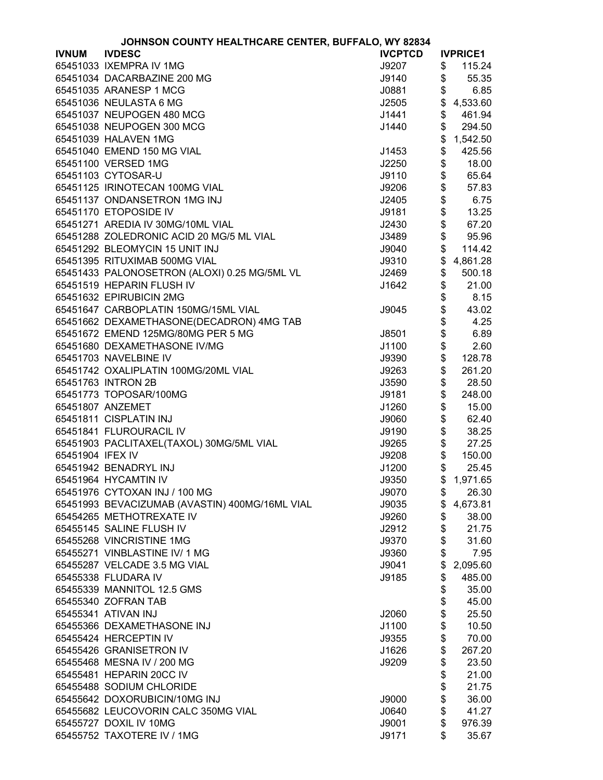| JOHNSON COUNTY HEALTHCARE CENTER, BUFFALO, WY 82834 |                                                |                |    |                 |
|-----------------------------------------------------|------------------------------------------------|----------------|----|-----------------|
| <b>IVNUM</b>                                        | <b>IVDESC</b>                                  | <b>IVCPTCD</b> |    | <b>IVPRICE1</b> |
|                                                     | 65451033 IXEMPRA IV 1MG                        | J9207          | \$ | 115.24          |
|                                                     | 65451034 DACARBAZINE 200 MG                    | J9140          | \$ | 55.35           |
|                                                     | 65451035 ARANESP 1 MCG                         | J0881          | \$ | 6.85            |
|                                                     | 65451036 NEULASTA 6 MG                         | J2505          | \$ | 4,533.60        |
|                                                     | 65451037 NEUPOGEN 480 MCG                      | J1441          | \$ | 461.94          |
|                                                     | 65451038 NEUPOGEN 300 MCG                      | J1440          | \$ | 294.50          |
|                                                     | 65451039 HALAVEN 1MG                           |                | \$ | 1,542.50        |
|                                                     | 65451040 EMEND 150 MG VIAL                     | J1453          | \$ | 425.56          |
|                                                     | 65451100 VERSED 1MG                            | J2250          | \$ | 18.00           |
|                                                     | 65451103 CYTOSAR-U                             | J9110          | \$ | 65.64           |
|                                                     |                                                |                |    |                 |
|                                                     | 65451125 IRINOTECAN 100MG VIAL                 | J9206          | \$ | 57.83           |
|                                                     | 65451137 ONDANSETRON 1MG INJ                   | J2405          | \$ | 6.75            |
|                                                     | 65451170 ETOPOSIDE IV                          | J9181          | \$ | 13.25           |
|                                                     | 65451271 AREDIA IV 30MG/10ML VIAL              | J2430          | \$ | 67.20           |
|                                                     | 65451288 ZOLEDRONIC ACID 20 MG/5 ML VIAL       | J3489          | \$ | 95.96           |
|                                                     | 65451292 BLEOMYCIN 15 UNIT INJ                 | J9040          | \$ | 114.42          |
|                                                     | 65451395 RITUXIMAB 500MG VIAL                  | J9310          | \$ | 4,861.28        |
|                                                     | 65451433 PALONOSETRON (ALOXI) 0.25 MG/5ML VL   | J2469          | \$ | 500.18          |
|                                                     | 65451519 HEPARIN FLUSH IV                      | J1642          | \$ | 21.00           |
|                                                     | 65451632 EPIRUBICIN 2MG                        |                | \$ | 8.15            |
|                                                     | 65451647 CARBOPLATIN 150MG/15ML VIAL           | J9045          | \$ | 43.02           |
|                                                     | 65451662 DEXAMETHASONE(DECADRON) 4MG TAB       |                | \$ | 4.25            |
|                                                     | 65451672 EMEND 125MG/80MG PER 5 MG             | J8501          | \$ | 6.89            |
|                                                     | 65451680 DEXAMETHASONE IV/MG                   | J1100          | \$ | 2.60            |
|                                                     | 65451703 NAVELBINE IV                          | J9390          | \$ | 128.78          |
|                                                     | 65451742 OXALIPLATIN 100MG/20ML VIAL           | J9263          | \$ | 261.20          |
|                                                     | 65451763 INTRON 2B                             | J3590          | \$ | 28.50           |
|                                                     | 65451773 TOPOSAR/100MG                         | J9181          | \$ | 248.00          |
|                                                     | 65451807 ANZEMET                               | J1260          | \$ | 15.00           |
|                                                     | 65451811 CISPLATIN INJ                         | J9060          | \$ | 62.40           |
|                                                     | 65451841 FLUROURACIL IV                        | J9190          | \$ | 38.25           |
|                                                     | 65451903 PACLITAXEL(TAXOL) 30MG/5ML VIAL       | J9265          | \$ | 27.25           |
| 65451904 IFEX IV                                    |                                                | J9208          | \$ | 150.00          |
|                                                     | 65451942 BENADRYL INJ                          | J1200          | \$ | 25.45           |
|                                                     | 65451964 HYCAMTIN IV                           |                |    |                 |
|                                                     | 65451976 CYTOXAN INJ / 100 MG                  | J9350          |    | \$1,971.65      |
|                                                     |                                                | J9070          | \$ | 26.30           |
|                                                     | 65451993 BEVACIZUMAB (AVASTIN) 400MG/16ML VIAL | J9035          | \$ | 4,673.81        |
|                                                     | 65454265 METHOTREXATE IV                       | J9260          | \$ | 38.00           |
|                                                     | 65455145 SALINE FLUSH IV                       | J2912          | \$ | 21.75           |
|                                                     | 65455268 VINCRISTINE 1MG                       | J9370          | \$ | 31.60           |
|                                                     | 65455271 VINBLASTINE IV/ 1 MG                  | J9360          | \$ | 7.95            |
|                                                     | 65455287 VELCADE 3.5 MG VIAL                   | J9041          | \$ | 2,095.60        |
|                                                     | 65455338 FLUDARA IV                            | J9185          | \$ | 485.00          |
|                                                     | 65455339 MANNITOL 12.5 GMS                     |                | \$ | 35.00           |
|                                                     | 65455340 ZOFRAN TAB                            |                | \$ | 45.00           |
|                                                     | 65455341 ATIVAN INJ                            | J2060          | \$ | 25.50           |
|                                                     | 65455366 DEXAMETHASONE INJ                     | J1100          | \$ | 10.50           |
|                                                     | 65455424 HERCEPTIN IV                          | J9355          | \$ | 70.00           |
|                                                     | 65455426 GRANISETRON IV                        | J1626          | \$ | 267.20          |
|                                                     | 65455468 MESNA IV / 200 MG                     | J9209          | \$ | 23.50           |
|                                                     | 65455481 HEPARIN 20CC IV                       |                | \$ | 21.00           |
|                                                     | 65455488 SODIUM CHLORIDE                       |                | \$ | 21.75           |
|                                                     | 65455642 DOXORUBICIN/10MG INJ                  | J9000          | \$ | 36.00           |
|                                                     | 65455682 LEUCOVORIN CALC 350MG VIAL            | J0640          | \$ | 41.27           |
|                                                     | 65455727 DOXIL IV 10MG                         | J9001          | \$ | 976.39          |
|                                                     | 65455752 TAXOTERE IV / 1MG                     | J9171          | \$ | 35.67           |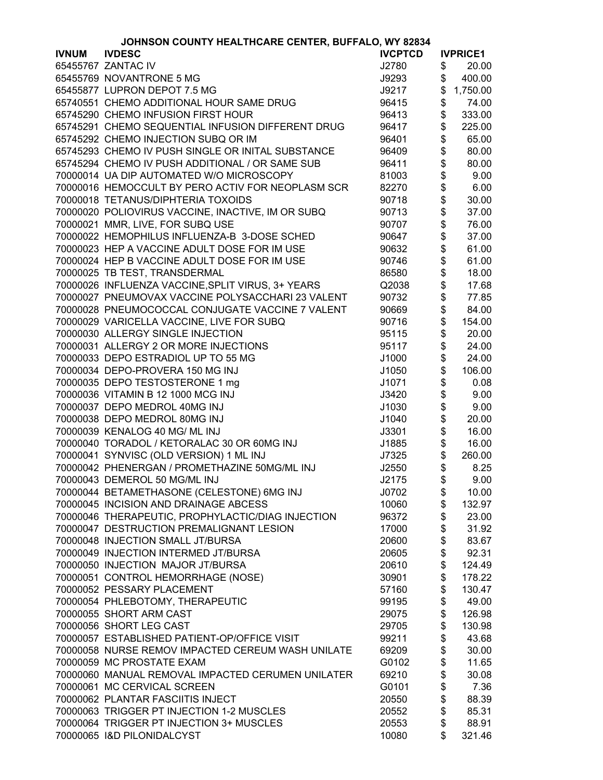|              | <b>JOHNSON COUNTY HEALTHCARE CENTER, BUFFALO, WY 82834</b> |                |        |                 |
|--------------|------------------------------------------------------------|----------------|--------|-----------------|
| <b>IVNUM</b> | <b>IVDESC</b>                                              | <b>IVCPTCD</b> |        | <b>IVPRICE1</b> |
|              | 65455767 ZANTAC IV                                         | J2780          | \$     | 20.00           |
|              | 65455769 NOVANTRONE 5 MG                                   | J9293          | \$     | 400.00          |
|              | 65455877 LUPRON DEPOT 7.5 MG                               | J9217          | \$     | 1,750.00        |
|              | 65740551 CHEMO ADDITIONAL HOUR SAME DRUG                   | 96415          | \$     | 74.00           |
|              | 65745290 CHEMO INFUSION FIRST HOUR                         | 96413          | \$     | 333.00          |
|              | 65745291 CHEMO SEQUENTIAL INFUSION DIFFERENT DRUG          | 96417          | \$     | 225.00          |
|              | 65745292 CHEMO INJECTION SUBQ OR IM                        | 96401          | \$     | 65.00           |
|              | 65745293 CHEMO IV PUSH SINGLE OR INITAL SUBSTANCE          | 96409          | \$     | 80.00           |
|              | 65745294 CHEMO IV PUSH ADDITIONAL / OR SAME SUB            | 96411          | \$     | 80.00           |
|              | 70000014 UA DIP AUTOMATED W/O MICROSCOPY                   | 81003          | \$     | 9.00            |
|              | 70000016 HEMOCCULT BY PERO ACTIV FOR NEOPLASM SCR          | 82270          | \$     | 6.00            |
|              | 70000018 TETANUS/DIPHTERIA TOXOIDS                         | 90718          | \$     | 30.00           |
|              | 70000020 POLIOVIRUS VACCINE, INACTIVE, IM OR SUBQ          | 90713          | \$     | 37.00           |
|              | 70000021 MMR, LIVE, FOR SUBQ USE                           | 90707          |        | 76.00           |
|              | 70000022 HEMOPHILUS INFLUENZA-B 3-DOSE SCHED               | 90647          | \$\$\$ | 37.00           |
|              |                                                            |                |        |                 |
|              | 70000023 HEP A VACCINE ADULT DOSE FOR IM USE               | 90632          |        | 61.00           |
|              | 70000024 HEP B VACCINE ADULT DOSE FOR IM USE               | 90746          |        | 61.00           |
|              | 70000025 TB TEST, TRANSDERMAL                              | 86580          | \$     | 18.00           |
|              | 70000026 INFLUENZA VACCINE, SPLIT VIRUS, 3+ YEARS          | Q2038          | \$\$   | 17.68           |
|              | 70000027 PNEUMOVAX VACCINE POLYSACCHARI 23 VALENT          | 90732          |        | 77.85           |
|              | 70000028 PNEUMOCOCCAL CONJUGATE VACCINE 7 VALENT           | 90669          |        | 84.00           |
|              | 70000029 VARICELLA VACCINE, LIVE FOR SUBQ                  | 90716          | \$     | 154.00          |
|              | 70000030 ALLERGY SINGLE INJECTION                          | 95115          | \$     | 20.00           |
|              | 70000031 ALLERGY 2 OR MORE INJECTIONS                      | 95117          | \$     | 24.00           |
|              | 70000033 DEPO ESTRADIOL UP TO 55 MG                        | J1000          | \$     | 24.00           |
|              | 70000034 DEPO-PROVERA 150 MG INJ                           | J1050          | \$     | 106.00          |
|              | 70000035 DEPO TESTOSTERONE 1 mg                            | J1071          | \$     | 0.08            |
|              | 70000036 VITAMIN B 12 1000 MCG INJ                         | J3420          | \$     | 9.00            |
|              | 70000037 DEPO MEDROL 40MG INJ                              | J1030          | \$     | 9.00            |
|              | 70000038 DEPO MEDROL 80MG INJ                              | J1040          | \$     | 20.00           |
|              | 70000039 KENALOG 40 MG/ ML INJ                             | J3301          | \$     | 16.00           |
|              | 70000040 TORADOL / KETORALAC 30 OR 60MG INJ                | J1885          | \$     | 16.00           |
|              | 70000041 SYNVISC (OLD VERSION) 1 ML INJ                    | J7325          | \$     | 260.00          |
|              | 70000042 PHENERGAN / PROMETHAZINE 50MG/ML INJ              | J2550          | \$     | 8.25            |
|              | 70000043 DEMEROL 50 MG/ML INJ                              | J2175          | \$     | 9.00            |
|              | 70000044 BETAMETHASONE (CELESTONE) 6MG INJ                 | J0702          | \$     | 10.00           |
|              | 70000045 INCISION AND DRAINAGE ABCESS                      | 10060          | \$     | 132.97          |
|              | 70000046 THERAPEUTIC, PROPHYLACTIC/DIAG INJECTION          | 96372          | \$     | 23.00           |
|              | 70000047 DESTRUCTION PREMALIGNANT LESION                   | 17000          |        | 31.92           |
|              |                                                            |                | \$     |                 |
|              | 70000048 INJECTION SMALL JT/BURSA                          | 20600          | \$     | 83.67           |
|              | 70000049 INJECTION INTERMED JT/BURSA                       | 20605          | \$     | 92.31           |
|              | 70000050 INJECTION MAJOR JT/BURSA                          | 20610          | \$     | 124.49          |
|              | 70000051 CONTROL HEMORRHAGE (NOSE)                         | 30901          | \$     | 178.22          |
|              | 70000052 PESSARY PLACEMENT                                 | 57160          | \$     | 130.47          |
|              | 70000054 PHLEBOTOMY, THERAPEUTIC                           | 99195          | \$     | 49.00           |
|              | 70000055 SHORT ARM CAST                                    | 29075          | \$     | 126.98          |
|              | 70000056 SHORT LEG CAST                                    | 29705          | \$     | 130.98          |
|              | 70000057 ESTABLISHED PATIENT-OP/OFFICE VISIT               | 99211          | \$     | 43.68           |
|              | 70000058 NURSE REMOV IMPACTED CEREUM WASH UNILATE          | 69209          | \$     | 30.00           |
|              | 70000059 MC PROSTATE EXAM                                  | G0102          | \$     | 11.65           |
|              | 70000060 MANUAL REMOVAL IMPACTED CERUMEN UNILATER          | 69210          |        | 30.08           |
|              | 70000061 MC CERVICAL SCREEN                                | G0101          | \$     | 7.36            |
|              | 70000062 PLANTAR FASCIITIS INJECT                          | 20550          | \$     | 88.39           |
|              | 70000063 TRIGGER PT INJECTION 1-2 MUSCLES                  | 20552          | \$     | 85.31           |
|              | 70000064 TRIGGER PT INJECTION 3+ MUSCLES                   | 20553          | \$     | 88.91           |
|              | 70000065 I&D PILONIDALCYST                                 | 10080          | \$     | 321.46          |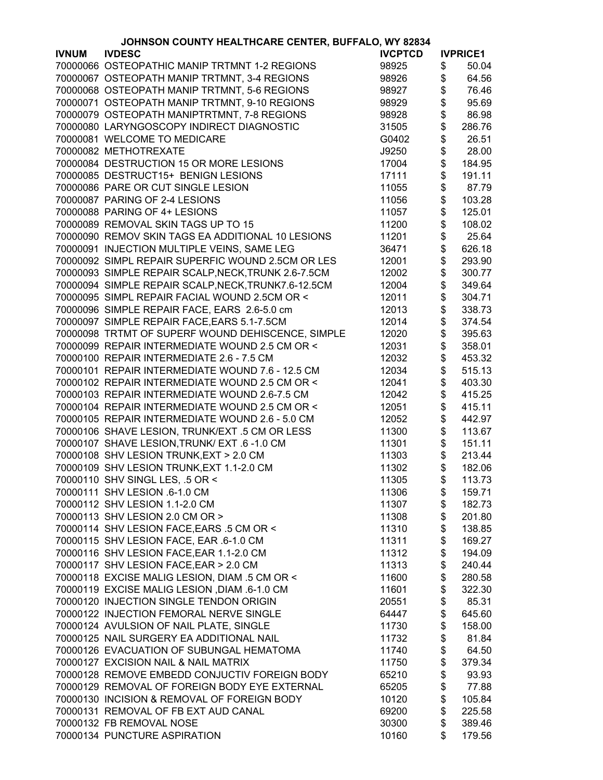| JOHNSON COUNTY HEALTHCARE CENTER, BUFFALO, WY 82834 |                                                     |                |               |                 |
|-----------------------------------------------------|-----------------------------------------------------|----------------|---------------|-----------------|
| <b>IVNUM</b>                                        | <b>IVDESC</b>                                       | <b>IVCPTCD</b> |               | <b>IVPRICE1</b> |
|                                                     | 70000066 OSTEOPATHIC MANIP TRTMNT 1-2 REGIONS       | 98925          | \$            | 50.04           |
|                                                     | 70000067 OSTEOPATH MANIP TRTMNT, 3-4 REGIONS        | 98926          | \$            | 64.56           |
|                                                     | 70000068 OSTEOPATH MANIP TRTMNT, 5-6 REGIONS        | 98927          | \$            | 76.46           |
|                                                     | 70000071 OSTEOPATH MANIP TRTMNT, 9-10 REGIONS       | 98929          | \$            | 95.69           |
|                                                     | 70000079 OSTEOPATH MANIPTRTMNT, 7-8 REGIONS         | 98928          | \$            | 86.98           |
|                                                     | 70000080 LARYNGOSCOPY INDIRECT DIAGNOSTIC           | 31505          | \$            | 286.76          |
|                                                     | 70000081 WELCOME TO MEDICARE                        | G0402          | \$            | 26.51           |
|                                                     | 70000082 METHOTREXATE                               | J9250          | \$            | 28.00           |
|                                                     | 70000084 DESTRUCTION 15 OR MORE LESIONS             | 17004          | \$            | 184.95          |
|                                                     | 70000085 DESTRUCT15+ BENIGN LESIONS                 | 17111          | \$            | 191.11          |
|                                                     | 70000086 PARE OR CUT SINGLE LESION                  |                | \$            | 87.79           |
|                                                     |                                                     | 11055          |               |                 |
|                                                     | 70000087 PARING OF 2-4 LESIONS                      | 11056          | \$            | 103.28          |
|                                                     | 70000088 PARING OF 4+ LESIONS                       | 11057          | \$            | 125.01          |
|                                                     | 70000089 REMOVAL SKIN TAGS UP TO 15                 | 11200          | \$            | 108.02          |
|                                                     | 70000090 REMOV SKIN TAGS EA ADDITIONAL 10 LESIONS   | 11201          | \$            | 25.64           |
|                                                     | 70000091 INJECTION MULTIPLE VEINS, SAME LEG         | 36471          | \$            | 626.18          |
|                                                     | 70000092 SIMPL REPAIR SUPERFIC WOUND 2.5CM OR LES   | 12001          | \$            | 293.90          |
|                                                     | 70000093 SIMPLE REPAIR SCALP, NECK, TRUNK 2.6-7.5CM | 12002          | \$            | 300.77          |
|                                                     | 70000094 SIMPLE REPAIR SCALP, NECK, TRUNK7.6-12.5CM | 12004          | \$            | 349.64          |
|                                                     | 70000095 SIMPL REPAIR FACIAL WOUND 2.5CM OR <       | 12011          | \$            | 304.71          |
|                                                     | 70000096 SIMPLE REPAIR FACE, EARS 2.6-5.0 cm        | 12013          | \$            | 338.73          |
|                                                     | 70000097 SIMPLE REPAIR FACE, EARS 5.1-7.5CM         | 12014          | \$            | 374.54          |
|                                                     | 70000098 TRTMT OF SUPERF WOUND DEHISCENCE, SIMPLE   | 12020          | \$            | 395.63          |
|                                                     | 70000099 REPAIR INTERMEDIATE WOUND 2.5 CM OR <      | 12031          | \$            | 358.01          |
|                                                     | 70000100 REPAIR INTERMEDIATE 2.6 - 7.5 CM           | 12032          | \$            | 453.32          |
|                                                     | 70000101 REPAIR INTERMEDIATE WOUND 7.6 - 12.5 CM    | 12034          | \$            | 515.13          |
|                                                     | 70000102 REPAIR INTERMEDIATE WOUND 2.5 CM OR <      | 12041          | \$            | 403.30          |
|                                                     | 70000103 REPAIR INTERMEDIATE WOUND 2.6-7.5 CM       | 12042          | \$            | 415.25          |
|                                                     | 70000104 REPAIR INTERMEDIATE WOUND 2.5 CM OR <      | 12051          | \$            | 415.11          |
|                                                     | 70000105 REPAIR INTERMEDIATE WOUND 2.6 - 5.0 CM     | 12052          | \$            | 442.97          |
|                                                     | 70000106 SHAVE LESION, TRUNK/EXT .5 CM OR LESS      | 11300          | \$            | 113.67          |
|                                                     | 70000107 SHAVE LESION, TRUNK/ EXT .6 -1.0 CM        | 11301          | \$            | 151.11          |
|                                                     | 70000108 SHV LESION TRUNK, EXT > 2.0 CM             | 11303          | \$            | 213.44          |
|                                                     | 70000109 SHV LESION TRUNK, EXT 1.1-2.0 CM           | 11302          | \$            | 182.06          |
|                                                     | 70000110 SHV SINGL LES, .5 OR <                     | 11305          | $\frac{1}{2}$ | 113.73          |
|                                                     | 70000111 SHV LESION .6-1.0 CM                       | 11306          | \$            | 159.71          |
|                                                     | 70000112 SHV LESION 1.1-2.0 CM                      | 11307          | \$            | 182.73          |
|                                                     | 70000113 SHV LESION 2.0 CM OR >                     | 11308          | \$            | 201.80          |
|                                                     | 70000114 SHV LESION FACE, EARS .5 CM OR <           | 11310          | \$            | 138.85          |
|                                                     | 70000115 SHV LESION FACE, EAR .6-1.0 CM             | 11311          | \$            | 169.27          |
|                                                     | 70000116 SHV LESION FACE, EAR 1.1-2.0 CM            | 11312          | \$            | 194.09          |
|                                                     | 70000117 SHV LESION FACE, EAR > 2.0 CM              | 11313          | \$            | 240.44          |
|                                                     | 70000118 EXCISE MALIG LESION, DIAM .5 CM OR <       | 11600          | \$            | 280.58          |
|                                                     | 70000119 EXCISE MALIG LESION , DIAM .6-1.0 CM       | 11601          | \$            | 322.30          |
|                                                     | 70000120 INJECTION SINGLE TENDON ORIGIN             | 20551          | \$            | 85.31           |
|                                                     | 70000122 INJECTION FEMORAL NERVE SINGLE             | 64447          | \$            | 645.60          |
|                                                     | 70000124 AVULSION OF NAIL PLATE, SINGLE             | 11730          | \$            | 158.00          |
|                                                     | 70000125 NAIL SURGERY EA ADDITIONAL NAIL            |                |               |                 |
|                                                     |                                                     | 11732          | \$            | 81.84           |
|                                                     | 70000126 EVACUATION OF SUBUNGAL HEMATOMA            | 11740          | \$            | 64.50           |
|                                                     | 70000127 EXCISION NAIL & NAIL MATRIX                | 11750          | \$            | 379.34          |
|                                                     | 70000128 REMOVE EMBEDD CONJUCTIV FOREIGN BODY       | 65210          | \$            | 93.93           |
|                                                     | 70000129 REMOVAL OF FOREIGN BODY EYE EXTERNAL       | 65205          | \$            | 77.88           |
|                                                     | 70000130 INCISION & REMOVAL OF FOREIGN BODY         | 10120          | \$            | 105.84          |
|                                                     | 70000131 REMOVAL OF FB EXT AUD CANAL                | 69200          | \$            | 225.58          |
|                                                     | 70000132 FB REMOVAL NOSE                            | 30300          | \$            | 389.46          |
|                                                     | 70000134 PUNCTURE ASPIRATION                        | 10160          | \$            | 179.56          |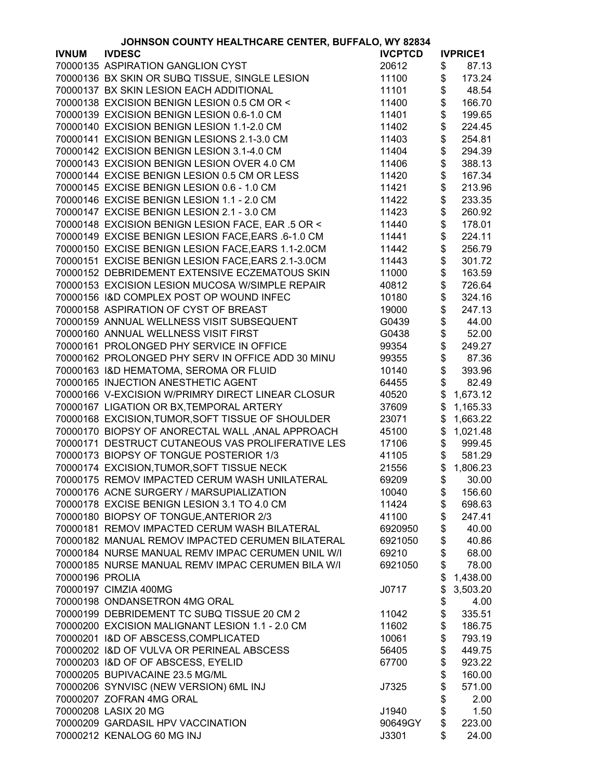| JOHNSON COUNTY HEALTHCARE CENTER, BUFFALO, WY 82834 |                                                    |                |          |                        |
|-----------------------------------------------------|----------------------------------------------------|----------------|----------|------------------------|
| <b>IVNUM</b>                                        | <b>IVDESC</b>                                      | <b>IVCPTCD</b> |          | <b>IVPRICE1</b>        |
|                                                     | 70000135 ASPIRATION GANGLION CYST                  | 20612          | \$       | 87.13                  |
|                                                     | 70000136 BX SKIN OR SUBQ TISSUE, SINGLE LESION     | 11100          | \$       | 173.24                 |
|                                                     | 70000137 BX SKIN LESION EACH ADDITIONAL            | 11101          | \$       | 48.54                  |
|                                                     | 70000138 EXCISION BENIGN LESION 0.5 CM OR <        | 11400          | \$       | 166.70                 |
|                                                     | 70000139 EXCISION BENIGN LESION 0.6-1.0 CM         | 11401          | \$       | 199.65                 |
|                                                     | 70000140 EXCISION BENIGN LESION 1.1-2.0 CM         | 11402          | \$       | 224.45                 |
|                                                     | 70000141 EXCISION BENIGN LESIONS 2.1-3.0 CM        | 11403          | \$       | 254.81                 |
|                                                     | 70000142 EXCISION BENIGN LESION 3.1-4.0 CM         | 11404          | \$       | 294.39                 |
|                                                     |                                                    |                |          |                        |
|                                                     | 70000143 EXCISION BENIGN LESION OVER 4.0 CM        | 11406          | \$<br>\$ | 388.13                 |
|                                                     | 70000144 EXCISE BENIGN LESION 0.5 CM OR LESS       | 11420          |          | 167.34                 |
|                                                     | 70000145 EXCISE BENIGN LESION 0.6 - 1.0 CM         | 11421          | \$       | 213.96                 |
|                                                     | 70000146 EXCISE BENIGN LESION 1.1 - 2.0 CM         | 11422          | \$       | 233.35                 |
|                                                     | 70000147 EXCISE BENIGN LESION 2.1 - 3.0 CM         | 11423          | \$       | 260.92                 |
|                                                     | 70000148 EXCISION BENIGN LESION FACE, EAR .5 OR <  | 11440          | \$       | 178.01                 |
|                                                     | 70000149 EXCISE BENIGN LESION FACE, EARS .6-1.0 CM | 11441          | \$       | 224.11                 |
|                                                     | 70000150 EXCISE BENIGN LESION FACE, EARS 1.1-2.0CM | 11442          | \$       | 256.79                 |
|                                                     | 70000151 EXCISE BENIGN LESION FACE, EARS 2.1-3.0CM | 11443          | \$       | 301.72                 |
|                                                     | 70000152 DEBRIDEMENT EXTENSIVE ECZEMATOUS SKIN     | 11000          | \$       | 163.59                 |
|                                                     | 70000153 EXCISION LESION MUCOSA W/SIMPLE REPAIR    | 40812          | \$       | 726.64                 |
|                                                     | 70000156 I&D COMPLEX POST OP WOUND INFEC           | 10180          | \$       | 324.16                 |
|                                                     | 70000158 ASPIRATION OF CYST OF BREAST              | 19000          | \$       | 247.13                 |
|                                                     | 70000159 ANNUAL WELLNESS VISIT SUBSEQUENT          | G0439          | \$       | 44.00                  |
|                                                     | 70000160 ANNUAL WELLNESS VISIT FIRST               | G0438          | \$       | 52.00                  |
|                                                     | 70000161 PROLONGED PHY SERVICE IN OFFICE           | 99354          | \$       | 249.27                 |
|                                                     | 70000162 PROLONGED PHY SERV IN OFFICE ADD 30 MINU  | 99355          |          | 87.36                  |
|                                                     | 70000163 I&D HEMATOMA, SEROMA OR FLUID             | 10140          | \$<br>\$ | 393.96                 |
|                                                     | 70000165 INJECTION ANESTHETIC AGENT                | 64455          | \$       | 82.49                  |
|                                                     | 70000166 V-EXCISION W/PRIMRY DIRECT LINEAR CLOSUR  | 40520          | \$       | 1,673.12               |
|                                                     | 70000167 LIGATION OR BX, TEMPORAL ARTERY           | 37609          | \$       | 1,165.33               |
|                                                     | 70000168 EXCISION, TUMOR, SOFT TISSUE OF SHOULDER  | 23071          | \$       | 1,663.22               |
|                                                     | 70000170 BIOPSY OF ANORECTAL WALL, ANAL APPROACH   | 45100          | \$       | 1,021.48               |
|                                                     | 70000171 DESTRUCT CUTANEOUS VAS PROLIFERATIVE LES  | 17106          | \$       | 999.45                 |
|                                                     | 70000173 BIOPSY OF TONGUE POSTERIOR 1/3            | 41105          | \$       | 581.29                 |
|                                                     | 70000174 EXCISION, TUMOR, SOFT TISSUE NECK         | 21556          | \$       | 1,806.23               |
|                                                     | 70000175 REMOV IMPACTED CERUM WASH UNILATERAL      | 69209          |          | $\frac{1}{2}$<br>30.00 |
|                                                     | 70000176 ACNE SURGERY / MARSUPIALIZATION           | 10040          | \$       | 156.60                 |
|                                                     | 70000178 EXCISE BENIGN LESION 3.1 TO 4.0 CM        | 11424          | \$       | 698.63                 |
|                                                     | 70000180 BIOPSY OF TONGUE, ANTERIOR 2/3            | 41100          | \$       | 247.41                 |
|                                                     | 70000181 REMOV IMPACTED CERUM WASH BILATERAL       | 6920950        |          | 40.00                  |
|                                                     | 70000182 MANUAL REMOV IMPACTED CERUMEN BILATERAL   |                | \$       |                        |
|                                                     |                                                    | 6921050        | \$       | 40.86                  |
|                                                     | 70000184 NURSE MANUAL REMV IMPAC CERUMEN UNIL W/I  | 69210          | \$       | 68.00                  |
|                                                     | 70000185 NURSE MANUAL REMV IMPAC CERUMEN BILA W/I  | 6921050        | \$       | 78.00                  |
| 70000196 PROLIA                                     |                                                    |                | \$       | 1,438.00               |
|                                                     | 70000197 CIMZIA 400MG                              | J0717          | \$       | 3,503.20               |
|                                                     | 70000198 ONDANSETRON 4MG ORAL                      |                | \$       | 4.00                   |
|                                                     | 70000199 DEBRIDEMENT TC SUBQ TISSUE 20 CM 2        | 11042          | \$       | 335.51                 |
|                                                     | 70000200 EXCISION MALIGNANT LESION 1.1 - 2.0 CM    | 11602          | \$       | 186.75                 |
|                                                     | 70000201 I&D OF ABSCESS, COMPLICATED               | 10061          | \$       | 793.19                 |
|                                                     | 70000202 I&D OF VULVA OR PERINEAL ABSCESS          | 56405          | \$       | 449.75                 |
|                                                     | 70000203 I&D OF OF ABSCESS, EYELID                 | 67700          | \$       | 923.22                 |
|                                                     | 70000205 BUPIVACAINE 23.5 MG/ML                    |                | \$       | 160.00                 |
|                                                     | 70000206 SYNVISC (NEW VERSION) 6ML INJ             | J7325          | \$       | 571.00                 |
|                                                     | 70000207 ZOFRAN 4MG ORAL                           |                | \$       | 2.00                   |
|                                                     | 70000208 LASIX 20 MG                               | J1940          | \$       | 1.50                   |
|                                                     | 70000209 GARDASIL HPV VACCINATION                  | 90649GY        | \$       | 223.00                 |
|                                                     | 70000212 KENALOG 60 MG INJ                         | J3301          | \$       | 24.00                  |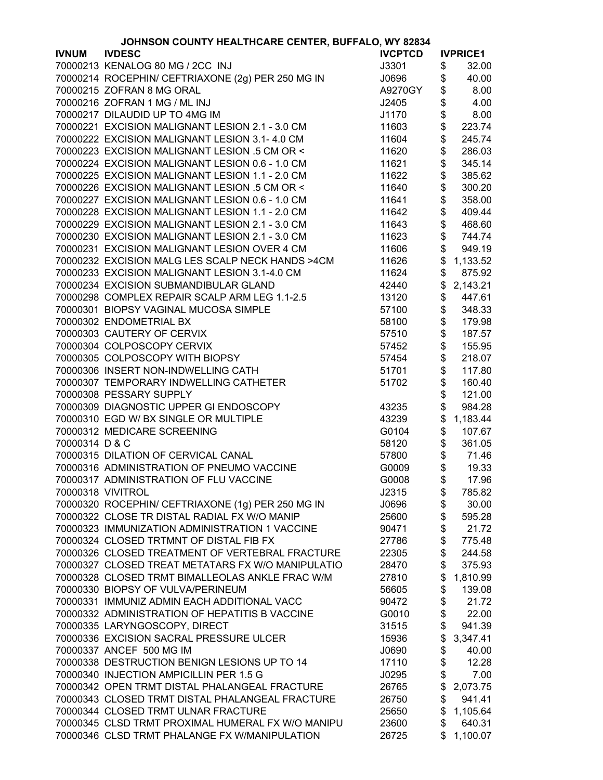|                | JOHNSON COUNTY HEALTHCARE CENTER, BUFFALO, WY 82834 |                |                 |
|----------------|-----------------------------------------------------|----------------|-----------------|
| <b>IVNUM</b>   | <b>IVDESC</b>                                       | <b>IVCPTCD</b> | <b>IVPRICE1</b> |
|                | 70000213 KENALOG 80 MG / 2CC INJ                    | J3301          | \$<br>32.00     |
|                | 70000214 ROCEPHIN/ CEFTRIAXONE (2g) PER 250 MG IN   | J0696          | \$<br>40.00     |
|                | 70000215 ZOFRAN 8 MG ORAL                           | A9270GY        | \$<br>8.00      |
|                | 70000216 ZOFRAN 1 MG / ML INJ                       | J2405          | \$<br>4.00      |
|                | 70000217 DILAUDID UP TO 4MG IM                      | J1170          | \$<br>8.00      |
|                | 70000221 EXCISION MALIGNANT LESION 2.1 - 3.0 CM     | 11603          | \$<br>223.74    |
|                | 70000222 EXCISION MALIGNANT LESION 3.1-4.0 CM       | 11604          | \$<br>245.74    |
|                | 70000223 EXCISION MALIGNANT LESION .5 CM OR <       | 11620          | \$<br>286.03    |
|                | 70000224 EXCISION MALIGNANT LESION 0.6 - 1.0 CM     | 11621          | \$<br>345.14    |
|                | 70000225 EXCISION MALIGNANT LESION 1.1 - 2.0 CM     | 11622          | \$<br>385.62    |
|                | 70000226 EXCISION MALIGNANT LESION .5 CM OR <       | 11640          | \$<br>300.20    |
|                | 70000227 EXCISION MALIGNANT LESION 0.6 - 1.0 CM     | 11641          | \$<br>358.00    |
|                | 70000228 EXCISION MALIGNANT LESION 1.1 - 2.0 CM     | 11642          | \$<br>409.44    |
|                | 70000229 EXCISION MALIGNANT LESION 2.1 - 3.0 CM     | 11643          | \$<br>468.60    |
|                | 70000230 EXCISION MALIGNANT LESION 2.1 - 3.0 CM     | 11623          | \$<br>744.74    |
|                | 70000231 EXCISION MALIGNANT LESION OVER 4 CM        | 11606          | \$<br>949.19    |
|                | 70000232 EXCISION MALG LES SCALP NECK HANDS >4CM    | 11626          | \$<br>1,133.52  |
|                | 70000233 EXCISION MALIGNANT LESION 3.1-4.0 CM       | 11624          | \$<br>875.92    |
|                | 70000234 EXCISION SUBMANDIBULAR GLAND               | 42440          | \$<br>2,143.21  |
|                | 70000298 COMPLEX REPAIR SCALP ARM LEG 1.1-2.5       | 13120          | \$<br>447.61    |
|                |                                                     |                |                 |
|                | 70000301 BIOPSY VAGINAL MUCOSA SIMPLE               | 57100          | \$<br>348.33    |
|                | 70000302 ENDOMETRIAL BX                             | 58100          | \$<br>179.98    |
|                | 70000303 CAUTERY OF CERVIX                          | 57510          | \$<br>187.57    |
|                | 70000304 COLPOSCOPY CERVIX                          | 57452          | \$<br>155.95    |
|                | 70000305 COLPOSCOPY WITH BIOPSY                     | 57454          | \$<br>218.07    |
|                | 70000306 INSERT NON-INDWELLING CATH                 | 51701          | \$<br>117.80    |
|                | 70000307 TEMPORARY INDWELLING CATHETER              | 51702          | \$<br>160.40    |
|                | 70000308 PESSARY SUPPLY                             |                | \$<br>121.00    |
|                | 70000309 DIAGNOSTIC UPPER GI ENDOSCOPY              | 43235          | \$<br>984.28    |
|                | 70000310 EGD W/ BX SINGLE OR MULTIPLE               | 43239          | \$<br>1,183.44  |
|                | 70000312 MEDICARE SCREENING                         | G0104          | \$<br>107.67    |
| 70000314 D & C |                                                     | 58120          | \$<br>361.05    |
|                | 70000315 DILATION OF CERVICAL CANAL                 | 57800          | \$<br>71.46     |
|                | 70000316 ADMINISTRATION OF PNEUMO VACCINE           | G0009          | \$<br>19.33     |
|                | 70000317 ADMINISTRATION OF FLU VACCINE              | G0008          | \$<br>17.96     |
|                | 70000318 VIVITROL                                   | J2315          | \$<br>785.82    |
|                | 70000320 ROCEPHIN/ CEFTRIAXONE (1g) PER 250 MG IN   | J0696          | \$<br>30.00     |
|                | 70000322 CLOSE TR DISTAL RADIAL FX W/O MANIP        | 25600          | \$<br>595.28    |
|                | 70000323 IMMUNIZATION ADMINISTRATION 1 VACCINE      | 90471          | \$<br>21.72     |
|                | 70000324 CLOSED TRTMNT OF DISTAL FIB FX             | 27786          | \$<br>775.48    |
|                | 70000326 CLOSED TREATMENT OF VERTEBRAL FRACTURE     | 22305          | \$<br>244.58    |
|                | 70000327 CLOSED TREAT METATARS FX W/O MANIPULATIO   | 28470          | \$<br>375.93    |
|                | 70000328 CLOSED TRMT BIMALLEOLAS ANKLE FRAC W/M     | 27810          | \$<br>1,810.99  |
|                | 70000330 BIOPSY OF VULVA/PERINEUM                   | 56605          | \$<br>139.08    |
|                | 70000331 IMMUNIZ ADMIN EACH ADDITIONAL VACC         | 90472          | \$<br>21.72     |
|                | 70000332 ADMINISTRATION OF HEPATITIS B VACCINE      | G0010          | \$<br>22.00     |
|                | 70000335 LARYNGOSCOPY, DIRECT                       | 31515          | \$<br>941.39    |
|                | 70000336 EXCISION SACRAL PRESSURE ULCER             | 15936          | \$<br>3,347.41  |
|                | 70000337 ANCEF 500 MG IM                            | J0690          | \$<br>40.00     |
|                | 70000338 DESTRUCTION BENIGN LESIONS UP TO 14        | 17110          | \$<br>12.28     |
|                | 70000340 INJECTION AMPICILLIN PER 1.5 G             | J0295          | \$<br>7.00      |
|                | 70000342 OPEN TRMT DISTAL PHALANGEAL FRACTURE       | 26765          | \$<br>2,073.75  |
|                | 70000343 CLOSED TRMT DISTAL PHALANGEAL FRACTURE     | 26750          | \$<br>941.41    |
|                | 70000344 CLOSED TRMT ULNAR FRACTURE                 | 25650          | \$<br>1,105.64  |
|                | 70000345 CLSD TRMT PROXIMAL HUMERAL FX W/O MANIPU   | 23600          | \$<br>640.31    |
|                | 70000346 CLSD TRMT PHALANGE FX W/MANIPULATION       | 26725          | \$<br>1,100.07  |
|                |                                                     |                |                 |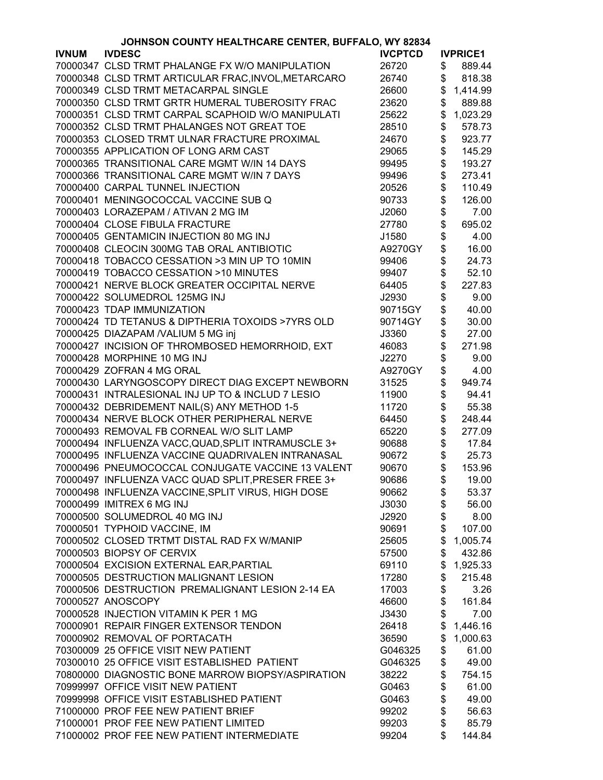| JOHNSON COUNTY HEALTHCARE CENTER, BUFFALO, WY 82834 |                                                     |                |    |                 |
|-----------------------------------------------------|-----------------------------------------------------|----------------|----|-----------------|
| <b>IVNUM</b>                                        | <b>IVDESC</b>                                       | <b>IVCPTCD</b> |    | <b>IVPRICE1</b> |
|                                                     | 70000347 CLSD TRMT PHALANGE FX W/O MANIPULATION     | 26720          | \$ | 889.44          |
|                                                     | 70000348 CLSD TRMT ARTICULAR FRAC, INVOL, METARCARO | 26740          | \$ | 818.38          |
|                                                     | 70000349 CLSD TRMT METACARPAL SINGLE                | 26600          | \$ | 1,414.99        |
|                                                     | 70000350 CLSD TRMT GRTR HUMERAL TUBEROSITY FRAC     | 23620          | \$ | 889.88          |
|                                                     | 70000351 CLSD TRMT CARPAL SCAPHOID W/O MANIPULATI   | 25622          | \$ | 1,023.29        |
|                                                     | 70000352 CLSD TRMT PHALANGES NOT GREAT TOE          | 28510          | \$ | 578.73          |
|                                                     | 70000353 CLOSED TRMT ULNAR FRACTURE PROXIMAL        | 24670          | \$ | 923.77          |
|                                                     | 70000355 APPLICATION OF LONG ARM CAST               | 29065          | \$ | 145.29          |
|                                                     | 70000365 TRANSITIONAL CARE MGMT W/IN 14 DAYS        | 99495          | \$ | 193.27          |
|                                                     | 70000366 TRANSITIONAL CARE MGMT W/IN 7 DAYS         | 99496          | \$ | 273.41          |
|                                                     | 70000400 CARPAL TUNNEL INJECTION                    | 20526          | \$ | 110.49          |
|                                                     | 70000401 MENINGOCOCCAL VACCINE SUB Q                | 90733          | \$ | 126.00          |
|                                                     | 70000403 LORAZEPAM / ATIVAN 2 MG IM                 | J2060          | \$ | 7.00            |
|                                                     | 70000404 CLOSE FIBULA FRACTURE                      | 27780          | \$ | 695.02          |
|                                                     | 70000405 GENTAMICIN INJECTION 80 MG INJ             |                |    |                 |
|                                                     | 70000408 CLEOCIN 300MG TAB ORAL ANTIBIOTIC          | J1580          | \$ | 4.00            |
|                                                     |                                                     | A9270GY        | \$ | 16.00           |
|                                                     | 70000418 TOBACCO CESSATION >3 MIN UP TO 10MIN       | 99406          | \$ | 24.73           |
|                                                     | 70000419 TOBACCO CESSATION >10 MINUTES              | 99407          | \$ | 52.10           |
|                                                     | 70000421 NERVE BLOCK GREATER OCCIPITAL NERVE        | 64405          | \$ | 227.83          |
|                                                     | 70000422 SOLUMEDROL 125MG INJ                       | J2930          | \$ | 9.00            |
|                                                     | 70000423 TDAP IMMUNIZATION                          | 90715GY        | \$ | 40.00           |
|                                                     | 70000424 TD TETANUS & DIPTHERIA TOXOIDS >7YRS OLD   | 90714GY        | \$ | 30.00           |
|                                                     | 70000425 DIAZAPAM /VALIUM 5 MG inj                  | J3360          | \$ | 27.00           |
|                                                     | 70000427 INCISION OF THROMBOSED HEMORRHOID, EXT     | 46083          | \$ | 271.98          |
|                                                     | 70000428 MORPHINE 10 MG INJ                         | J2270          | \$ | 9.00            |
|                                                     | 70000429 ZOFRAN 4 MG ORAL                           | A9270GY        | \$ | 4.00            |
|                                                     | 70000430 LARYNGOSCOPY DIRECT DIAG EXCEPT NEWBORN    | 31525          | \$ | 949.74          |
|                                                     | 70000431 INTRALESIONAL INJ UP TO & INCLUD 7 LESIO   | 11900          | \$ | 94.41           |
|                                                     | 70000432 DEBRIDEMENT NAIL(S) ANY METHOD 1-5         | 11720          | \$ | 55.38           |
|                                                     | 70000434 NERVE BLOCK OTHER PERIPHERAL NERVE         | 64450          | \$ | 248.44          |
|                                                     | 70000493 REMOVAL FB CORNEAL W/O SLIT LAMP           | 65220          | \$ | 277.09          |
|                                                     | 70000494 INFLUENZA VACC, QUAD, SPLIT INTRAMUSCLE 3+ | 90688          | \$ | 17.84           |
|                                                     | 70000495 INFLUENZA VACCINE QUADRIVALEN INTRANASAL   | 90672          | \$ | 25.73           |
|                                                     | 70000496 PNEUMOCOCCAL CONJUGATE VACCINE 13 VALENT   | 90670          | \$ | 153.96          |
|                                                     | 70000497 INFLUENZA VACC QUAD SPLIT, PRESER FREE 3+  | 90686          | \$ | 19.00           |
|                                                     | 70000498 INFLUENZA VACCINE, SPLIT VIRUS, HIGH DOSE  | 90662          | \$ | 53.37           |
|                                                     | 70000499 IMITREX 6 MG INJ                           | J3030          | \$ | 56.00           |
|                                                     | 70000500 SOLUMEDROL 40 MG INJ                       | J2920          | \$ | 8.00            |
|                                                     | 70000501 TYPHOID VACCINE, IM                        | 90691          | \$ | 107.00          |
|                                                     | 70000502 CLOSED TRTMT DISTAL RAD FX W/MANIP         | 25605          | \$ | 1,005.74        |
|                                                     | 70000503 BIOPSY OF CERVIX                           | 57500          | \$ | 432.86          |
|                                                     | 70000504 EXCISION EXTERNAL EAR, PARTIAL             | 69110          | \$ | 1,925.33        |
|                                                     | 70000505 DESTRUCTION MALIGNANT LESION               | 17280          | \$ | 215.48          |
|                                                     | 70000506 DESTRUCTION PREMALIGNANT LESION 2-14 EA    | 17003          | \$ | 3.26            |
|                                                     | 70000527 ANOSCOPY                                   | 46600          | \$ | 161.84          |
|                                                     | 70000528 INJECTION VITAMIN K PER 1 MG               | J3430          | \$ | 7.00            |
|                                                     | 70000901 REPAIR FINGER EXTENSOR TENDON              |                |    |                 |
|                                                     |                                                     | 26418          | \$ | 1,446.16        |
|                                                     | 70000902 REMOVAL OF PORTACATH                       | 36590          | \$ | 1,000.63        |
|                                                     | 70300009 25 OFFICE VISIT NEW PATIENT                | G046325        | \$ | 61.00           |
|                                                     | 70300010 25 OFFICE VISIT ESTABLISHED PATIENT        | G046325        | \$ | 49.00           |
|                                                     | 70800000 DIAGNOSTIC BONE MARROW BIOPSY/ASPIRATION   | 38222          | \$ | 754.15          |
|                                                     | 70999997 OFFICE VISIT NEW PATIENT                   | G0463          | \$ | 61.00           |
|                                                     | 70999998 OFFICE VISIT ESTABLISHED PATIENT           | G0463          | \$ | 49.00           |
|                                                     | 71000000 PROF FEE NEW PATIENT BRIEF                 | 99202          | \$ | 56.63           |
|                                                     | 71000001 PROF FEE NEW PATIENT LIMITED               | 99203          | \$ | 85.79           |
|                                                     | 71000002 PROF FEE NEW PATIENT INTERMEDIATE          | 99204          | \$ | 144.84          |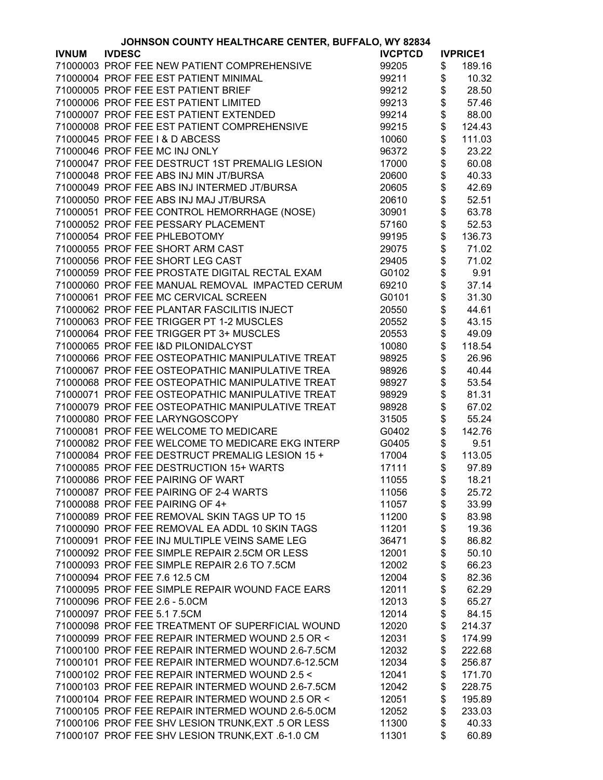| JOHNSON COUNTY HEALTHCARE CENTER, BUFFALO, WY 82834 |                                                    |                |      |                 |
|-----------------------------------------------------|----------------------------------------------------|----------------|------|-----------------|
| <b>IVNUM</b>                                        | <b>IVDESC</b>                                      | <b>IVCPTCD</b> |      | <b>IVPRICE1</b> |
|                                                     | 71000003 PROF FEE NEW PATIENT COMPREHENSIVE        | 99205          | \$   | 189.16          |
|                                                     | 71000004 PROF FEE EST PATIENT MINIMAL              | 99211          | \$   | 10.32           |
|                                                     | 71000005 PROF FEE EST PATIENT BRIEF                | 99212          | \$   | 28.50           |
|                                                     | 71000006 PROF FEE EST PATIENT LIMITED              | 99213          | \$   | 57.46           |
|                                                     | 71000007 PROF FEE EST PATIENT EXTENDED             | 99214          | \$   | 88.00           |
|                                                     | 71000008 PROF FEE EST PATIENT COMPREHENSIVE        | 99215          | \$   | 124.43          |
|                                                     | 71000045 PROF FEE I & D ABCESS                     | 10060          | \$   | 111.03          |
|                                                     | 71000046 PROF FEE MC INJ ONLY                      | 96372          | \$   | 23.22           |
|                                                     |                                                    |                |      |                 |
|                                                     | 71000047 PROF FEE DESTRUCT 1ST PREMALIG LESION     | 17000          | \$   | 60.08           |
|                                                     | 71000048 PROF FEE ABS INJ MIN JT/BURSA             | 20600          | \$\$ | 40.33           |
|                                                     | 71000049 PROF FEE ABS INJ INTERMED JT/BURSA        | 20605          |      | 42.69           |
|                                                     | 71000050 PROF FEE ABS INJ MAJ JT/BURSA             | 20610          |      | 52.51           |
|                                                     | 71000051 PROF FEE CONTROL HEMORRHAGE (NOSE)        | 30901          | \$   | 63.78           |
|                                                     | 71000052 PROF FEE PESSARY PLACEMENT                | 57160          | \$   | 52.53           |
|                                                     | 71000054 PROF FEE PHLEBOTOMY                       | 99195          | \$   | 136.73          |
|                                                     | 71000055 PROF FEE SHORT ARM CAST                   | 29075          | \$   | 71.02           |
|                                                     | 71000056 PROF FEE SHORT LEG CAST                   | 29405          | \$   | 71.02           |
|                                                     | 71000059 PROF FEE PROSTATE DIGITAL RECTAL EXAM     | G0102          | \$   | 9.91            |
|                                                     | 71000060 PROF FEE MANUAL REMOVAL IMPACTED CERUM    | 69210          | \$   | 37.14           |
|                                                     | 71000061 PROF FEE MC CERVICAL SCREEN               | G0101          | \$   | 31.30           |
|                                                     | 71000062 PROF FEE PLANTAR FASCILITIS INJECT        | 20550          | \$   | 44.61           |
|                                                     | 71000063 PROF FEE TRIGGER PT 1-2 MUSCLES           | 20552          | \$   | 43.15           |
|                                                     | 71000064 PROF FEE TRIGGER PT 3+ MUSCLES            | 20553          | \$   | 49.09           |
|                                                     | 71000065 PROF FEE I&D PILONIDALCYST                | 10080          | \$   | 118.54          |
|                                                     | 71000066 PROF FEE OSTEOPATHIC MANIPULATIVE TREAT   | 98925          | \$   | 26.96           |
|                                                     | 71000067 PROF FEE OSTEOPATHIC MANIPULATIVE TREA    | 98926          |      | 40.44           |
|                                                     | 71000068 PROF FEE OSTEOPATHIC MANIPULATIVE TREAT   | 98927          |      | 53.54           |
|                                                     |                                                    |                | \$\$ |                 |
|                                                     | 71000071 PROF FEE OSTEOPATHIC MANIPULATIVE TREAT   | 98929          |      | 81.31           |
|                                                     | 71000079 PROF FEE OSTEOPATHIC MANIPULATIVE TREAT   | 98928          | \$   | 67.02           |
|                                                     | 71000080 PROF FEE LARYNGOSCOPY                     | 31505          | \$   | 55.24           |
|                                                     | 71000081 PROF FEE WELCOME TO MEDICARE              | G0402          | \$   | 142.76          |
|                                                     | 71000082 PROF FEE WELCOME TO MEDICARE EKG INTERP   | G0405          | \$   | 9.51            |
|                                                     | 71000084 PROF FEE DESTRUCT PREMALIG LESION 15 +    | 17004          | \$   | 113.05          |
|                                                     | 71000085 PROF FEE DESTRUCTION 15+ WARTS            | 17111          | \$   | 97.89           |
|                                                     | 71000086 PROF FEE PAIRING OF WART                  | 11055          | \$   | 18.21           |
|                                                     | 71000087 PROF FEE PAIRING OF 2-4 WARTS             | 11056          | \$   | 25.72           |
|                                                     | 71000088 PROF FEE PAIRING OF 4+                    | 11057          | \$   | 33.99           |
|                                                     | 71000089 PROF FEE REMOVAL SKIN TAGS UP TO 15       | 11200          | \$   | 83.98           |
|                                                     | 71000090 PROF FEE REMOVAL EA ADDL 10 SKIN TAGS     | 11201          | \$   | 19.36           |
|                                                     | 71000091 PROF FEE INJ MULTIPLE VEINS SAME LEG      | 36471          | \$   | 86.82           |
|                                                     | 71000092 PROF FEE SIMPLE REPAIR 2.5CM OR LESS      | 12001          | \$   | 50.10           |
|                                                     | 71000093 PROF FEE SIMPLE REPAIR 2.6 TO 7.5CM       | 12002          | \$   | 66.23           |
|                                                     | 71000094 PROF FEE 7.6 12.5 CM                      | 12004          | \$   | 82.36           |
|                                                     | 71000095 PROF FEE SIMPLE REPAIR WOUND FACE EARS    | 12011          | \$   | 62.29           |
|                                                     | 71000096 PROF FEE 2.6 - 5.0CM                      | 12013          | \$   | 65.27           |
|                                                     | 71000097 PROF FEE 5.1 7.5CM                        | 12014          | \$   | 84.15           |
|                                                     | 71000098 PROF FEE TREATMENT OF SUPERFICIAL WOUND   | 12020          | \$   | 214.37          |
|                                                     | 71000099 PROF FEE REPAIR INTERMED WOUND 2.5 OR <   | 12031          | \$   | 174.99          |
|                                                     |                                                    |                |      |                 |
|                                                     | 71000100 PROF FEE REPAIR INTERMED WOUND 2.6-7.5CM  | 12032          | \$   | 222.68          |
|                                                     | 71000101 PROF FEE REPAIR INTERMED WOUND7.6-12.5CM  | 12034          | \$   | 256.87          |
|                                                     | 71000102 PROF FEE REPAIR INTERMED WOUND 2.5 <      | 12041          | \$   | 171.70          |
|                                                     | 71000103 PROF FEE REPAIR INTERMED WOUND 2.6-7.5CM  | 12042          | \$   | 228.75          |
|                                                     | 71000104 PROF FEE REPAIR INTERMED WOUND 2.5 OR <   | 12051          | \$   | 195.89          |
|                                                     | 71000105 PROF FEE REPAIR INTERMED WOUND 2.6-5.0CM  | 12052          | \$   | 233.03          |
|                                                     | 71000106 PROF FEE SHV LESION TRUNK, EXT .5 OR LESS | 11300          | \$   | 40.33           |
|                                                     | 71000107 PROF FEE SHV LESION TRUNK, EXT .6-1.0 CM  | 11301          | \$   | 60.89           |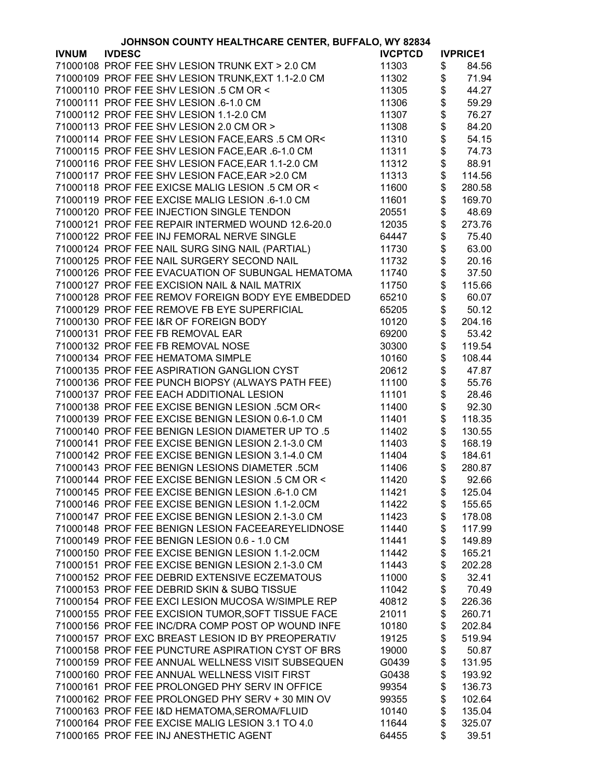| JOHNSON COUNTY HEALTHCARE CENTER, BUFFALO, WY 82834 |                                                    |                |          |                 |
|-----------------------------------------------------|----------------------------------------------------|----------------|----------|-----------------|
| <b>IVNUM</b>                                        | <b>IVDESC</b>                                      | <b>IVCPTCD</b> |          | <b>IVPRICE1</b> |
|                                                     | 71000108 PROF FEE SHV LESION TRUNK EXT > 2.0 CM    | 11303          | \$       | 84.56           |
|                                                     | 71000109 PROF FEE SHV LESION TRUNK, EXT 1.1-2.0 CM | 11302          | \$       | 71.94           |
|                                                     | 71000110 PROF FEE SHV LESION .5 CM OR <            | 11305          | \$       | 44.27           |
|                                                     | 71000111 PROF FEE SHV LESION .6-1.0 CM             | 11306          | \$       | 59.29           |
|                                                     | 71000112 PROF FEE SHV LESION 1.1-2.0 CM            | 11307          |          | 76.27           |
|                                                     | 71000113 PROF FEE SHV LESION 2.0 CM OR >           |                |          |                 |
|                                                     |                                                    | 11308          |          | 84.20           |
|                                                     | 71000114 PROF FEE SHV LESION FACE, EARS .5 CM OR<  | 11310          | \$\$\$\$ | 54.15           |
|                                                     | 71000115 PROF FEE SHV LESION FACE, EAR .6-1.0 CM   | 11311          |          | 74.73           |
|                                                     | 71000116 PROF FEE SHV LESION FACE, EAR 1.1-2.0 CM  | 11312          | \$       | 88.91           |
|                                                     | 71000117 PROF FEE SHV LESION FACE, EAR > 2.0 CM    | 11313          | \$       | 114.56          |
|                                                     | 71000118 PROF FEE EXICSE MALIG LESION .5 CM OR <   | 11600          | \$       | 280.58          |
|                                                     | 71000119 PROF FEE EXCISE MALIG LESION .6-1.0 CM    | 11601          | \$       | 169.70          |
|                                                     | 71000120 PROF FEE INJECTION SINGLE TENDON          | 20551          | \$       | 48.69           |
|                                                     | 71000121 PROF FEE REPAIR INTERMED WOUND 12.6-20.0  | 12035          | \$       | 273.76          |
|                                                     | 71000122 PROF FEE INJ FEMORAL NERVE SINGLE         | 64447          | \$       | 75.40           |
|                                                     | 71000124 PROF FEE NAIL SURG SING NAIL (PARTIAL)    | 11730          | \$       | 63.00           |
|                                                     | 71000125 PROF FEE NAIL SURGERY SECOND NAIL         | 11732          | \$       | 20.16           |
|                                                     | 71000126 PROF FEE EVACUATION OF SUBUNGAL HEMATOMA  | 11740          | \$       | 37.50           |
|                                                     | 71000127 PROF FEE EXCISION NAIL & NAIL MATRIX      | 11750          | \$       | 115.66          |
|                                                     | 71000128 PROF FEE REMOV FOREIGN BODY EYE EMBEDDED  | 65210          | \$       | 60.07           |
|                                                     |                                                    | 65205          |          |                 |
|                                                     | 71000129 PROF FEE REMOVE FB EYE SUPERFICIAL        |                | \$       | 50.12           |
|                                                     | 71000130 PROF FEE I&R OF FOREIGN BODY              | 10120          | \$       | 204.16          |
|                                                     | 71000131 PROF FEE FB REMOVAL EAR                   | 69200          | \$       | 53.42           |
|                                                     | 71000132 PROF FEE FB REMOVAL NOSE                  | 30300          | \$       | 119.54          |
|                                                     | 71000134 PROF FEE HEMATOMA SIMPLE                  | 10160          | \$       | 108.44          |
|                                                     | 71000135 PROF FEE ASPIRATION GANGLION CYST         | 20612          |          | 47.87           |
|                                                     | 71000136 PROF FEE PUNCH BIOPSY (ALWAYS PATH FEE)   | 11100          | \$\$     | 55.76           |
|                                                     | 71000137 PROF FEE EACH ADDITIONAL LESION           | 11101          |          | 28.46           |
|                                                     | 71000138 PROF FEE EXCISE BENIGN LESION .5CM OR<    | 11400          | \$       | 92.30           |
|                                                     | 71000139 PROF FEE EXCISE BENIGN LESION 0.6-1.0 CM  | 11401          | \$       | 118.35          |
|                                                     | 71000140 PROF FEE BENIGN LESION DIAMETER UP TO .5  | 11402          | \$       | 130.55          |
|                                                     | 71000141 PROF FEE EXCISE BENIGN LESION 2.1-3.0 CM  | 11403          | \$       | 168.19          |
|                                                     | 71000142 PROF FEE EXCISE BENIGN LESION 3.1-4.0 CM  | 11404          | \$       | 184.61          |
|                                                     | 71000143 PROF FEE BENIGN LESIONS DIAMETER .5CM     | 11406          | \$       | 280.87          |
|                                                     | 71000144 PROF FEE EXCISE BENIGN LESION .5 CM OR <  | 11420          | \$       | 92.66           |
|                                                     | 71000145 PROF FEE EXCISE BENIGN LESION .6-1.0 CM   | 11421          | \$       | 125.04          |
|                                                     | 71000146 PROF FEE EXCISE BENIGN LESION 1.1-2.0CM   | 11422          | \$       | 155.65          |
|                                                     | 71000147 PROF FEE EXCISE BENIGN LESION 2.1-3.0 CM  |                |          |                 |
|                                                     |                                                    | 11423          | \$       | 178.08          |
|                                                     | 71000148 PROF FEE BENIGN LESION FACEEAREYELIDNOSE  | 11440          | \$       | 117.99          |
|                                                     | 71000149 PROF FEE BENIGN LESION 0.6 - 1.0 CM       | 11441          | \$       | 149.89          |
|                                                     | 71000150 PROF FEE EXCISE BENIGN LESION 1.1-2.0CM   | 11442          | \$       | 165.21          |
|                                                     | 71000151 PROF FEE EXCISE BENIGN LESION 2.1-3.0 CM  | 11443          | \$       | 202.28          |
|                                                     | 71000152 PROF FEE DEBRID EXTENSIVE ECZEMATOUS      | 11000          | \$       | 32.41           |
|                                                     | 71000153 PROF FEE DEBRID SKIN & SUBQ TISSUE        | 11042          | \$       | 70.49           |
|                                                     | 71000154 PROF FEE EXCI LESION MUCOSA W/SIMPLE REP  | 40812          | \$       | 226.36          |
|                                                     | 71000155 PROF FEE EXCISION TUMOR, SOFT TISSUE FACE | 21011          | \$       | 260.71          |
|                                                     | 71000156 PROF FEE INC/DRA COMP POST OP WOUND INFE  | 10180          | \$       | 202.84          |
|                                                     | 71000157 PROF EXC BREAST LESION ID BY PREOPERATIV  | 19125          | \$       | 519.94          |
|                                                     | 71000158 PROF FEE PUNCTURE ASPIRATION CYST OF BRS  | 19000          | \$       | 50.87           |
|                                                     | 71000159 PROF FEE ANNUAL WELLNESS VISIT SUBSEQUEN  | G0439          | \$       | 131.95          |
|                                                     | 71000160 PROF FEE ANNUAL WELLNESS VISIT FIRST      | G0438          | \$       | 193.92          |
|                                                     | 71000161 PROF FEE PROLONGED PHY SERV IN OFFICE     | 99354          | \$       | 136.73          |
|                                                     | 71000162 PROF FEE PROLONGED PHY SERV + 30 MIN OV   | 99355          | \$       | 102.64          |
|                                                     | 71000163 PROF FEE I&D HEMATOMA, SEROMA/FLUID       | 10140          | \$       | 135.04          |
|                                                     |                                                    |                | \$       |                 |
|                                                     | 71000164 PROF FEE EXCISE MALIG LESION 3.1 TO 4.0   | 11644          |          | 325.07          |
|                                                     | 71000165 PROF FEE INJ ANESTHETIC AGENT             | 64455          | \$       | 39.51           |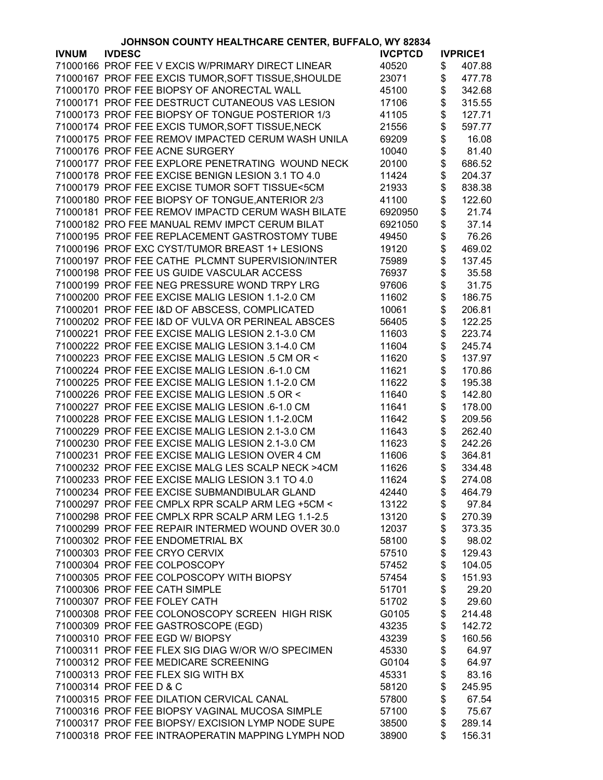|              | JOHNSON COUNTY HEALTHCARE CENTER, BUFFALO, WY 82834 |                |                 |
|--------------|-----------------------------------------------------|----------------|-----------------|
| <b>IVNUM</b> | <b>IVDESC</b>                                       | <b>IVCPTCD</b> | <b>IVPRICE1</b> |
|              | 71000166 PROF FEE V EXCIS W/PRIMARY DIRECT LINEAR   | 40520          | \$<br>407.88    |
|              | 71000167 PROF FEE EXCIS TUMOR, SOFT TISSUE, SHOULDE | 23071          | \$<br>477.78    |
|              | 71000170 PROF FEE BIOPSY OF ANORECTAL WALL          | 45100          | \$<br>342.68    |
|              | 71000171 PROF FEE DESTRUCT CUTANEOUS VAS LESION     | 17106          | \$<br>315.55    |
|              | 71000173 PROF FEE BIOPSY OF TONGUE POSTERIOR 1/3    | 41105          | \$<br>127.71    |
|              | 71000174 PROF FEE EXCIS TUMOR, SOFT TISSUE, NECK    | 21556          | \$<br>597.77    |
|              | 71000175 PROF FEE REMOV IMPACTED CERUM WASH UNILA   | 69209          | \$<br>16.08     |
|              | 71000176 PROF FEE ACNE SURGERY                      | 10040          | 81.40           |
|              |                                                     |                | \$              |
|              | 71000177 PROF FEE EXPLORE PENETRATING WOUND NECK    | 20100          | \$<br>686.52    |
|              | 71000178 PROF FEE EXCISE BENIGN LESION 3.1 TO 4.0   | 11424          | \$<br>204.37    |
|              | 71000179 PROF FEE EXCISE TUMOR SOFT TISSUE<5CM      | 21933          | \$<br>838.38    |
|              | 71000180 PROF FEE BIOPSY OF TONGUE, ANTERIOR 2/3    | 41100          | \$<br>122.60    |
|              | 71000181 PROF FEE REMOV IMPACTD CERUM WASH BILATE   | 6920950        | \$<br>21.74     |
|              | 71000182 PRO FEE MANUAL REMV IMPCT CERUM BILAT      | 6921050        | \$<br>37.14     |
|              | 71000195 PROF FEE REPLACEMENT GASTROSTOMY TUBE      | 49450          | \$<br>76.26     |
|              | 71000196 PROF EXC CYST/TUMOR BREAST 1+ LESIONS      | 19120          | \$<br>469.02    |
|              | 71000197 PROF FEE CATHE PLCMNT SUPERVISION/INTER    | 75989          | \$<br>137.45    |
|              | 71000198 PROF FEE US GUIDE VASCULAR ACCESS          | 76937          | \$<br>35.58     |
|              | 71000199 PROF FEE NEG PRESSURE WOND TRPY LRG        | 97606          | \$<br>31.75     |
|              | 71000200 PROF FEE EXCISE MALIG LESION 1.1-2.0 CM    | 11602          | \$<br>186.75    |
|              | 71000201 PROF FEE I&D OF ABSCESS, COMPLICATED       | 10061          | \$<br>206.81    |
|              | 71000202 PROF FEE I&D OF VULVA OR PERINEAL ABSCES   | 56405          | \$<br>122.25    |
|              | 71000221 PROF FEE EXCISE MALIG LESION 2.1-3.0 CM    | 11603          | \$<br>223.74    |
|              | 71000222 PROF FEE EXCISE MALIG LESION 3.1-4.0 CM    | 11604          | \$<br>245.74    |
|              | 71000223 PROF FEE EXCISE MALIG LESION .5 CM OR <    |                | \$<br>137.97    |
|              |                                                     | 11620          |                 |
|              | 71000224 PROF FEE EXCISE MALIG LESION .6-1.0 CM     | 11621          | \$<br>170.86    |
|              | 71000225 PROF FEE EXCISE MALIG LESION 1.1-2.0 CM    | 11622          | \$<br>195.38    |
|              | 71000226 PROF FEE EXCISE MALIG LESION .5 OR <       | 11640          | \$<br>142.80    |
|              | 71000227 PROF FEE EXCISE MALIG LESION .6-1.0 CM     | 11641          | \$<br>178.00    |
|              | 71000228 PROF FEE EXCISE MALIG LESION 1.1-2.0CM     | 11642          | \$<br>209.56    |
|              | 71000229 PROF FEE EXCISE MALIG LESION 2.1-3.0 CM    | 11643          | \$<br>262.40    |
|              | 71000230 PROF FEE EXCISE MALIG LESION 2.1-3.0 CM    | 11623          | \$<br>242.26    |
|              | 71000231 PROF FEE EXCISE MALIG LESION OVER 4 CM     | 11606          | \$<br>364.81    |
|              | 71000232 PROF FEE EXCISE MALG LES SCALP NECK >4CM   | 11626          | \$<br>334.48    |
|              | 71000233 PROF FEE EXCISE MALIG LESION 3.1 TO 4.0    | 11624          | \$<br>274.08    |
|              | 71000234 PROF FEE EXCISE SUBMANDIBULAR GLAND        | 42440          | \$<br>464.79    |
|              | 71000297 PROF FEE CMPLX RPR SCALP ARM LEG +5CM <    | 13122          | \$<br>97.84     |
|              | 71000298 PROF FEE CMPLX RPR SCALP ARM LEG 1.1-2.5   | 13120          | \$<br>270.39    |
|              | 71000299 PROF FEE REPAIR INTERMED WOUND OVER 30.0   | 12037          | \$<br>373.35    |
|              | 71000302 PROF FEE ENDOMETRIAL BX                    | 58100          | \$<br>98.02     |
|              | 71000303 PROF FEE CRYO CERVIX                       | 57510          | \$<br>129.43    |
|              | 71000304 PROF FEE COLPOSCOPY                        | 57452          | \$<br>104.05    |
|              | 71000305 PROF FEE COLPOSCOPY WITH BIOPSY            | 57454          | \$<br>151.93    |
|              | 71000306 PROF FEE CATH SIMPLE                       | 51701          | \$<br>29.20     |
|              | 71000307 PROF FEE FOLEY CATH                        | 51702          | \$<br>29.60     |
|              | 71000308 PROF FEE COLONOSCOPY SCREEN HIGH RISK      | G0105          | \$<br>214.48    |
|              | 71000309 PROF FEE GASTROSCOPE (EGD)                 | 43235          | \$<br>142.72    |
|              |                                                     |                |                 |
|              | 71000310 PROF FEE EGD W/ BIOPSY                     | 43239          | \$<br>160.56    |
|              | 71000311 PROF FEE FLEX SIG DIAG W/OR W/O SPECIMEN   | 45330          | \$<br>64.97     |
|              | 71000312 PROF FEE MEDICARE SCREENING                | G0104          | \$<br>64.97     |
|              | 71000313 PROF FEE FLEX SIG WITH BX                  | 45331          | \$<br>83.16     |
|              | 71000314 PROF FEE D & C                             | 58120          | \$<br>245.95    |
|              | 71000315 PROF FEE DILATION CERVICAL CANAL           | 57800          | \$<br>67.54     |
|              | 71000316 PROF FEE BIOPSY VAGINAL MUCOSA SIMPLE      | 57100          | \$<br>75.67     |
|              | 71000317 PROF FEE BIOPSY/ EXCISION LYMP NODE SUPE   | 38500          | \$<br>289.14    |
|              | 71000318 PROF FEE INTRAOPERATIN MAPPING LYMPH NOD   | 38900          | \$<br>156.31    |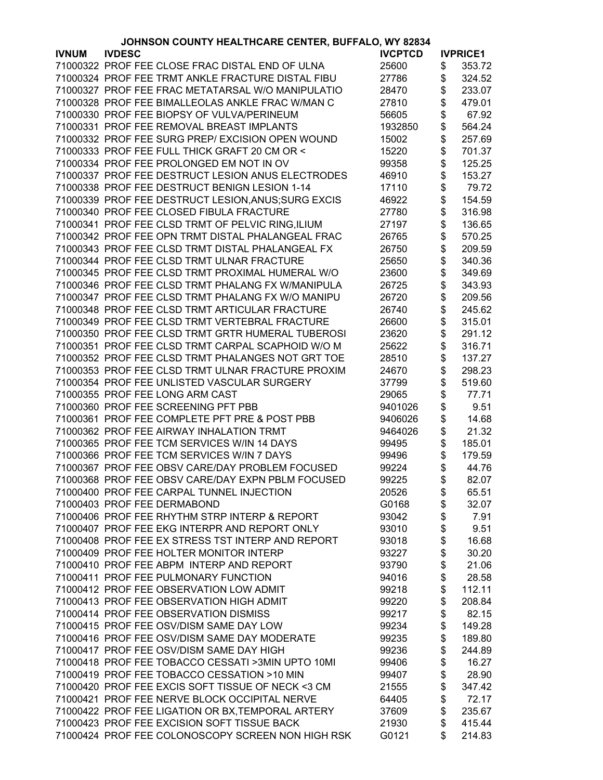|              | JOHNSON COUNTY HEALTHCARE CENTER, BUFFALO, WY 82834 |                |      |                 |
|--------------|-----------------------------------------------------|----------------|------|-----------------|
| <b>IVNUM</b> | <b>IVDESC</b>                                       | <b>IVCPTCD</b> |      | <b>IVPRICE1</b> |
|              | 71000322 PROF FEE CLOSE FRAC DISTAL END OF ULNA     | 25600          | \$   | 353.72          |
|              | 71000324 PROF FEE TRMT ANKLE FRACTURE DISTAL FIBU   | 27786          | \$   | 324.52          |
|              | 71000327 PROF FEE FRAC METATARSAL W/O MANIPULATIO   | 28470          | \$   | 233.07          |
|              | 71000328 PROF FEE BIMALLEOLAS ANKLE FRAC W/MAN C    | 27810          | \$   | 479.01          |
|              | 71000330 PROF FEE BIOPSY OF VULVA/PERINEUM          | 56605          | \$   | 67.92           |
|              | 71000331 PROF FEE REMOVAL BREAST IMPLANTS           | 1932850        | \$   | 564.24          |
|              | 71000332 PROF FEE SURG PREP/ EXCISION OPEN WOUND    | 15002          | \$   | 257.69          |
|              | 71000333 PROF FEE FULL THICK GRAFT 20 CM OR <       | 15220          | \$   | 701.37          |
|              |                                                     |                |      |                 |
|              | 71000334 PROF FEE PROLONGED EM NOT IN OV            | 99358          | \$   | 125.25          |
|              | 71000337 PROF FEE DESTRUCT LESION ANUS ELECTRODES   | 46910          | \$   | 153.27          |
|              | 71000338 PROF FEE DESTRUCT BENIGN LESION 1-14       | 17110          | \$   | 79.72           |
|              | 71000339 PROF FEE DESTRUCT LESION, ANUS; SURG EXCIS | 46922          | \$   | 154.59          |
|              | 71000340 PROF FEE CLOSED FIBULA FRACTURE            | 27780          | \$   | 316.98          |
|              | 71000341 PROF FEE CLSD TRMT OF PELVIC RING, ILIUM   | 27197          | \$   | 136.65          |
|              | 71000342 PROF FEE OPN TRMT DISTAL PHALANGEAL FRAC   | 26765          | \$   | 570.25          |
|              | 71000343 PROF FEE CLSD TRMT DISTAL PHALANGEAL FX    | 26750          | \$   | 209.59          |
|              | 71000344 PROF FEE CLSD TRMT ULNAR FRACTURE          | 25650          | \$   | 340.36          |
|              | 71000345 PROF FEE CLSD TRMT PROXIMAL HUMERAL W/O    | 23600          | \$   | 349.69          |
|              | 71000346 PROF FEE CLSD TRMT PHALANG FX W/MANIPULA   | 26725          | \$   | 343.93          |
|              | 71000347 PROF FEE CLSD TRMT PHALANG FX W/O MANIPU   | 26720          | \$   | 209.56          |
|              | 71000348 PROF FEE CLSD TRMT ARTICULAR FRACTURE      | 26740          | \$   | 245.62          |
|              | 71000349 PROF FEE CLSD TRMT VERTEBRAL FRACTURE      | 26600          | \$   | 315.01          |
|              | 71000350 PROF FEE CLSD TRMT GRTR HUMERAL TUBEROSI   | 23620          | \$   | 291.12          |
|              | 71000351 PROF FEE CLSD TRMT CARPAL SCAPHOID W/O M   | 25622          | \$   | 316.71          |
|              |                                                     |                |      |                 |
|              | 71000352 PROF FEE CLSD TRMT PHALANGES NOT GRT TOE   | 28510          | \$   | 137.27          |
|              | 71000353 PROF FEE CLSD TRMT ULNAR FRACTURE PROXIM   | 24670          | \$   | 298.23          |
|              | 71000354 PROF FEE UNLISTED VASCULAR SURGERY         | 37799          | \$   | 519.60          |
|              | 71000355 PROF FEE LONG ARM CAST                     | 29065          | \$   | 77.71           |
|              | 71000360 PROF FEE SCREENING PFT PBB                 | 9401026        | \$   | 9.51            |
|              | 71000361 PROF FEE COMPLETE PFT PRE & POST PBB       | 9406026        | \$   | 14.68           |
|              | 71000362 PROF FEE AIRWAY INHALATION TRMT            | 9464026        | \$   | 21.32           |
|              | 71000365 PROF FEE TCM SERVICES W/IN 14 DAYS         | 99495          | \$   | 185.01          |
|              | 71000366 PROF FEE TCM SERVICES W/IN 7 DAYS          | 99496          | \$   | 179.59          |
|              | 71000367 PROF FEE OBSV CARE/DAY PROBLEM FOCUSED     | 99224          | \$   | 44.76           |
|              | 71000368 PROF FEE OBSV CARE/DAY EXPN PBLM FOCUSED   | 99225          | \$   | 82.07           |
|              | 71000400 PROF FEE CARPAL TUNNEL INJECTION           | 20526          | \$   | 65.51           |
|              | 71000403 PROF FEE DERMABOND                         | G0168          | \$   | 32.07           |
|              | 71000406 PROF FEE RHYTHM STRP INTERP & REPORT       | 93042          | \$   | 7.91            |
|              | 71000407 PROF FEE EKG INTERPR AND REPORT ONLY       | 93010          | \$   | 9.51            |
|              | 71000408 PROF FEE EX STRESS TST INTERP AND REPORT   | 93018          | \$   | 16.68           |
|              | 71000409 PROF FEE HOLTER MONITOR INTERP             | 93227          |      | 30.20           |
|              | 71000410 PROF FEE ABPM INTERP AND REPORT            | 93790          | \$\$ | 21.06           |
|              | 71000411 PROF FEE PULMONARY FUNCTION                | 94016          |      | 28.58           |
|              | 71000412 PROF FEE OBSERVATION LOW ADMIT             | 99218          | \$   | 112.11          |
|              | 71000413 PROF FEE OBSERVATION HIGH ADMIT            | 99220          | \$   | 208.84          |
|              | 71000414 PROF FEE OBSERVATION DISMISS               | 99217          | \$   | 82.15           |
|              | 71000415 PROF FEE OSV/DISM SAME DAY LOW             | 99234          | \$   | 149.28          |
|              |                                                     |                |      |                 |
|              | 71000416 PROF FEE OSV/DISM SAME DAY MODERATE        | 99235          | \$   | 189.80          |
|              | 71000417 PROF FEE OSV/DISM SAME DAY HIGH            | 99236          | \$   | 244.89          |
|              | 71000418 PROF FEE TOBACCO CESSATI >3MIN UPTO 10MI   | 99406          | \$   | 16.27           |
|              | 71000419 PROF FEE TOBACCO CESSATION >10 MIN         | 99407          | \$   | 28.90           |
|              | 71000420 PROF FEE EXCIS SOFT TISSUE OF NECK <3 CM   | 21555          | \$   | 347.42          |
|              | 71000421 PROF FEE NERVE BLOCK OCCIPITAL NERVE       | 64405          | \$   | 72.17           |
|              | 71000422 PROF FEE LIGATION OR BX, TEMPORAL ARTERY   | 37609          | \$   | 235.67          |
|              | 71000423 PROF FEE EXCISION SOFT TISSUE BACK         | 21930          | \$   | 415.44          |
|              | 71000424 PROF FEE COLONOSCOPY SCREEN NON HIGH RSK   | G0121          | \$   | 214.83          |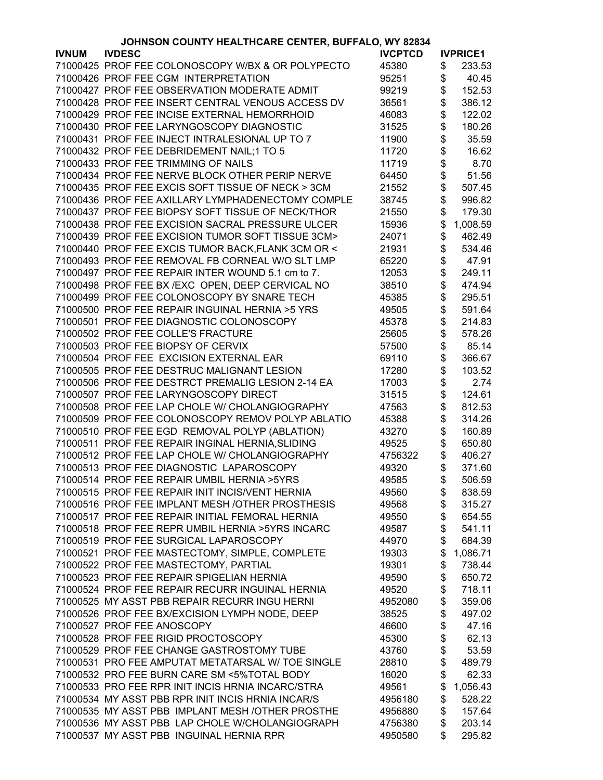|              | JOHNSON COUNTY HEALTHCARE CENTER, BUFFALO, WY 82834 |                |                 |
|--------------|-----------------------------------------------------|----------------|-----------------|
| <b>IVNUM</b> | <b>IVDESC</b>                                       | <b>IVCPTCD</b> | <b>IVPRICE1</b> |
|              | 71000425 PROF FEE COLONOSCOPY W/BX & OR POLYPECTO   | 45380          | \$<br>233.53    |
|              | 71000426 PROF FEE CGM INTERPRETATION                | 95251          | \$<br>40.45     |
|              | 71000427 PROF FEE OBSERVATION MODERATE ADMIT        | 99219          | \$<br>152.53    |
|              | 71000428 PROF FEE INSERT CENTRAL VENOUS ACCESS DV   | 36561          | \$<br>386.12    |
|              | 71000429 PROF FEE INCISE EXTERNAL HEMORRHOID        | 46083          | \$<br>122.02    |
|              | 71000430 PROF FEE LARYNGOSCOPY DIAGNOSTIC           | 31525          | \$<br>180.26    |
|              | 71000431 PROF FEE INJECT INTRALESIONAL UP TO 7      | 11900          | \$<br>35.59     |
|              | 71000432 PROF FEE DEBRIDEMENT NAIL;1 TO 5           |                | \$              |
|              |                                                     | 11720          | 16.62           |
|              | 71000433 PROF FEE TRIMMING OF NAILS                 | 11719          | \$<br>8.70      |
|              | 71000434 PROF FEE NERVE BLOCK OTHER PERIP NERVE     | 64450          | \$<br>51.56     |
|              | 71000435 PROF FEE EXCIS SOFT TISSUE OF NECK > 3CM   | 21552          | \$<br>507.45    |
|              | 71000436 PROF FEE AXILLARY LYMPHADENECTOMY COMPLE   | 38745          | \$<br>996.82    |
|              | 71000437 PROF FEE BIOPSY SOFT TISSUE OF NECK/THOR   | 21550          | \$<br>179.30    |
|              | 71000438 PROF FEE EXCISION SACRAL PRESSURE ULCER    | 15936          | \$<br>1,008.59  |
|              | 71000439 PROF FEE EXCISION TUMOR SOFT TISSUE 3CM>   | 24071          | \$<br>462.49    |
|              | 71000440 PROF FEE EXCIS TUMOR BACK, FLANK 3CM OR <  | 21931          | \$<br>534.46    |
|              | 71000493 PROF FEE REMOVAL FB CORNEAL W/O SLT LMP    | 65220          | \$<br>47.91     |
|              | 71000497 PROF FEE REPAIR INTER WOUND 5.1 cm to 7.   | 12053          | \$<br>249.11    |
|              | 71000498 PROF FEE BX /EXC OPEN, DEEP CERVICAL NO    | 38510          | \$<br>474.94    |
|              | 71000499 PROF FEE COLONOSCOPY BY SNARE TECH         | 45385          | \$<br>295.51    |
|              | 71000500 PROF FEE REPAIR INGUINAL HERNIA >5 YRS     | 49505          | \$<br>591.64    |
|              | 71000501 PROF FEE DIAGNOSTIC COLONOSCOPY            | 45378          | \$<br>214.83    |
|              | 71000502 PROF FEE COLLE'S FRACTURE                  | 25605          | \$<br>578.26    |
|              | 71000503 PROF FEE BIOPSY OF CERVIX                  | 57500          | \$<br>85.14     |
|              | 71000504 PROF FEE EXCISION EXTERNAL EAR             | 69110          | \$<br>366.67    |
|              | 71000505 PROF FEE DESTRUC MALIGNANT LESION          | 17280          | \$<br>103.52    |
|              | 71000506 PROF FEE DESTRCT PREMALIG LESION 2-14 EA   | 17003          | \$<br>2.74      |
|              |                                                     |                |                 |
|              | 71000507 PROF FEE LARYNGOSCOPY DIRECT               | 31515          | \$<br>124.61    |
|              | 71000508 PROF FEE LAP CHOLE W/ CHOLANGIOGRAPHY      | 47563          | \$<br>812.53    |
|              | 71000509 PROF FEE COLONOSCOPY REMOV POLYP ABLATIO   | 45388          | \$<br>314.26    |
|              | 71000510 PROF FEE EGD REMOVAL POLYP (ABLATION)      | 43270          | \$<br>160.89    |
|              | 71000511 PROF FEE REPAIR INGINAL HERNIA, SLIDING    | 49525          | \$<br>650.80    |
|              | 71000512 PROF FEE LAP CHOLE W/ CHOLANGIOGRAPHY      | 4756322        | \$<br>406.27    |
|              | 71000513 PROF FEE DIAGNOSTIC LAPAROSCOPY            | 49320          | \$<br>371.60    |
|              | 71000514 PROF FEE REPAIR UMBIL HERNIA >5YRS         | 49585          | \$<br>506.59    |
|              | 71000515 PROF FEE REPAIR INIT INCIS/VENT HERNIA     | 49560          | \$<br>838.59    |
|              | 71000516 PROF FEE IMPLANT MESH /OTHER PROSTHESIS    | 49568          | \$<br>315.27    |
|              | 71000517 PROF FEE REPAIR INITIAL FEMORAL HERNIA     | 49550          | \$<br>654.55    |
|              | 71000518 PROF FEE REPR UMBIL HERNIA > 5YRS INCARC   | 49587          | \$<br>541.11    |
|              | 71000519 PROF FEE SURGICAL LAPAROSCOPY              | 44970          | \$<br>684.39    |
|              | 71000521 PROF FEE MASTECTOMY, SIMPLE, COMPLETE      | 19303          | \$<br>1,086.71  |
|              | 71000522 PROF FEE MASTECTOMY, PARTIAL               | 19301          | \$<br>738.44    |
|              | 71000523 PROF FEE REPAIR SPIGELIAN HERNIA           | 49590          | \$<br>650.72    |
|              | 71000524 PROF FEE REPAIR RECURR INGUINAL HERNIA     | 49520          | \$<br>718.11    |
|              | 71000525 MY ASST PBB REPAIR RECURR INGU HERNI       | 4952080        | \$<br>359.06    |
|              | 71000526 PROF FEE BX/EXCISION LYMPH NODE, DEEP      | 38525          | \$<br>497.02    |
|              | 71000527 PROF FEE ANOSCOPY                          | 46600          | \$<br>47.16     |
|              | 71000528 PROF FEE RIGID PROCTOSCOPY                 | 45300          | \$<br>62.13     |
|              | 71000529 PROF FEE CHANGE GASTROSTOMY TUBE           | 43760          | \$<br>53.59     |
|              | 71000531 PRO FEE AMPUTAT METATARSAL W/ TOE SINGLE   | 28810          | \$<br>489.79    |
|              | 71000532 PRO FEE BURN CARE SM <5%TOTAL BODY         | 16020          | \$<br>62.33     |
|              | 71000533 PRO FEE RPR INIT INCIS HRNIA INCARC/STRA   | 49561          | \$<br>1,056.43  |
|              | 71000534 MY ASST PBB RPR INIT INCIS HRNIA INCAR/S   |                |                 |
|              | 71000535 MY ASST PBB IMPLANT MESH / OTHER PROSTHE   | 4956180        | \$<br>528.22    |
|              |                                                     | 4956880        | \$<br>157.64    |
|              | 71000536 MY ASST PBB LAP CHOLE W/CHOLANGIOGRAPH     | 4756380        | \$<br>203.14    |
|              | 71000537 MY ASST PBB INGUINAL HERNIA RPR            | 4950580        | \$<br>295.82    |